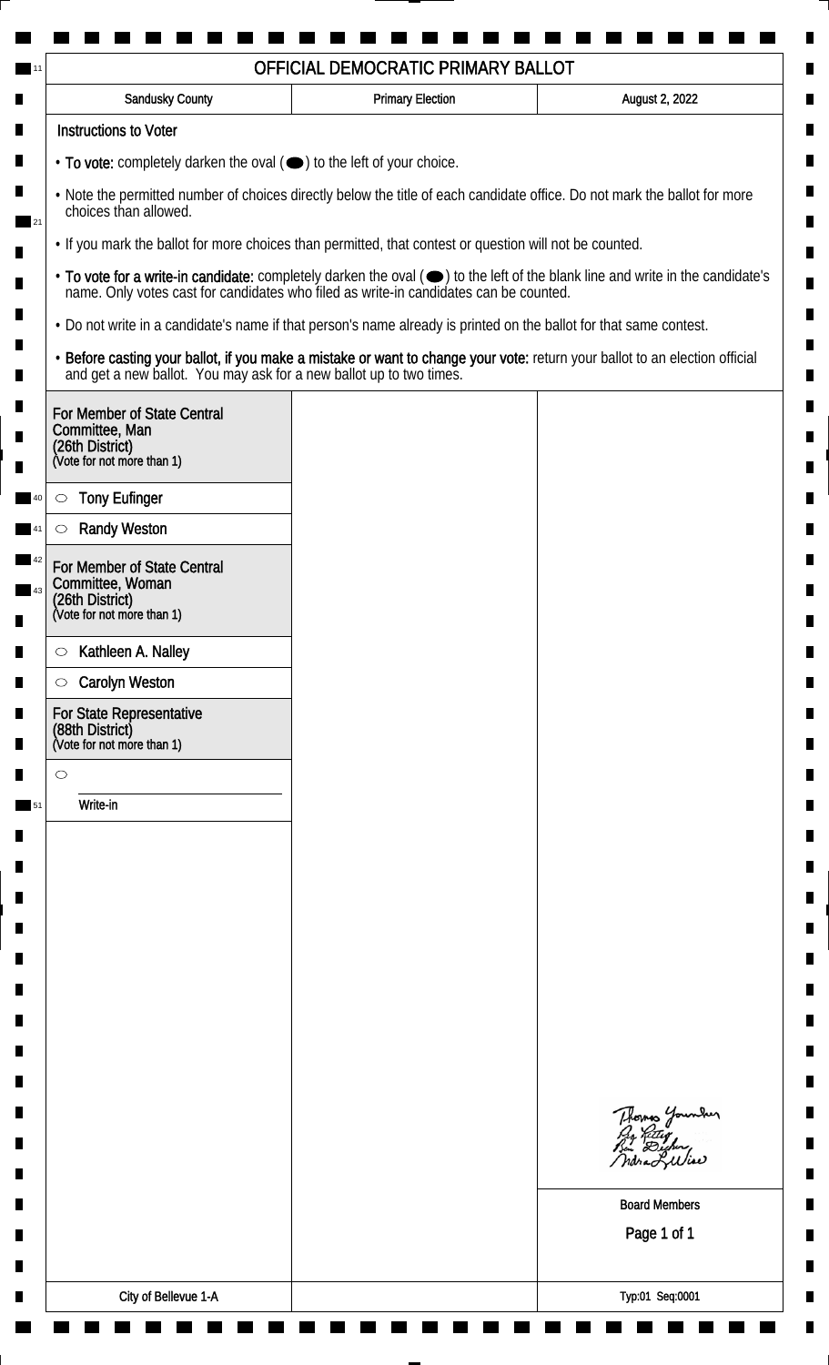| <b>Sandusky County</b>                                                                                             | <b>Primary Election</b> | August 2, 2022                                                                                                                                                                                                                 |
|--------------------------------------------------------------------------------------------------------------------|-------------------------|--------------------------------------------------------------------------------------------------------------------------------------------------------------------------------------------------------------------------------|
| <b>Instructions to Voter</b>                                                                                       |                         |                                                                                                                                                                                                                                |
| • To vote: completely darken the oval ( $\bigcirc$ ) to the left of your choice.                                   |                         |                                                                                                                                                                                                                                |
| choices than allowed.                                                                                              |                         | . Note the permitted number of choices directly below the title of each candidate office. Do not mark the ballot for more                                                                                                      |
| . If you mark the ballot for more choices than permitted, that contest or question will not be counted.            |                         |                                                                                                                                                                                                                                |
|                                                                                                                    |                         | • To vote for a write-in candidate: completely darken the oval ( $\bigcirc$ ) to the left of the blank line and write in the candidate's name. Only votes cast for candidates who filed as write-in candidates can be counted. |
| . Do not write in a candidate's name if that person's name already is printed on the ballot for that same contest. |                         |                                                                                                                                                                                                                                |
|                                                                                                                    |                         | • Before casting your ballot, if you make a mistake or want to change your vote: return your ballot to an election official and get a new ballot. You may ask for a new ballot up to two times.                                |
| For Member of State Central<br>Committee, Man<br>(26th District)<br>(Vote for not more than 1)                     |                         |                                                                                                                                                                                                                                |
| <b>Tony Eufinger</b><br>$\circ$                                                                                    |                         |                                                                                                                                                                                                                                |
| <b>Randy Weston</b>                                                                                                |                         |                                                                                                                                                                                                                                |
| For Member of State Central<br>Committee, Woman                                                                    |                         |                                                                                                                                                                                                                                |
| (26th District)<br>(Vote for not more than 1)                                                                      |                         |                                                                                                                                                                                                                                |
| Kathleen A. Nalley<br>$\circ$                                                                                      |                         |                                                                                                                                                                                                                                |
| <b>Carolyn Weston</b><br>$\circ$                                                                                   |                         |                                                                                                                                                                                                                                |
| For State Representative<br>(88th District)<br>(Vote for not more than 1)                                          |                         |                                                                                                                                                                                                                                |
| $\circ$                                                                                                            |                         |                                                                                                                                                                                                                                |
| Write-in                                                                                                           |                         |                                                                                                                                                                                                                                |
|                                                                                                                    |                         |                                                                                                                                                                                                                                |
|                                                                                                                    |                         |                                                                                                                                                                                                                                |
|                                                                                                                    |                         |                                                                                                                                                                                                                                |
|                                                                                                                    |                         |                                                                                                                                                                                                                                |
|                                                                                                                    |                         |                                                                                                                                                                                                                                |
|                                                                                                                    |                         |                                                                                                                                                                                                                                |
|                                                                                                                    |                         |                                                                                                                                                                                                                                |
|                                                                                                                    |                         |                                                                                                                                                                                                                                |
|                                                                                                                    |                         |                                                                                                                                                                                                                                |
|                                                                                                                    |                         | Thomas Younder                                                                                                                                                                                                                 |
|                                                                                                                    |                         | <b>Board Members</b>                                                                                                                                                                                                           |
|                                                                                                                    |                         | Page 1 of 1                                                                                                                                                                                                                    |
|                                                                                                                    |                         |                                                                                                                                                                                                                                |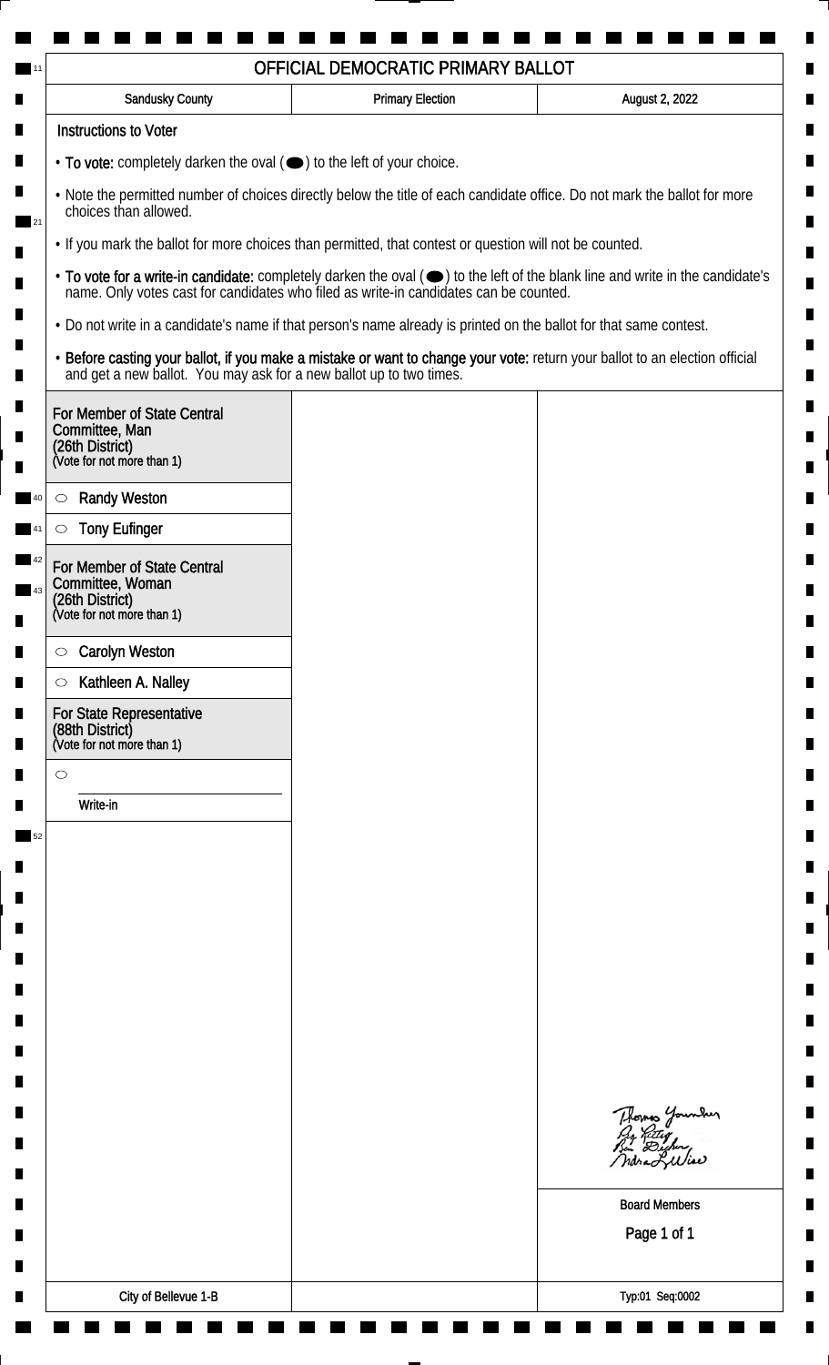| Sandusky County                                                           | <b>Primary Election</b>                                                                                                                                                                                                        | August 2, 2022                              |
|---------------------------------------------------------------------------|--------------------------------------------------------------------------------------------------------------------------------------------------------------------------------------------------------------------------------|---------------------------------------------|
| <b>Instructions to Voter</b>                                              |                                                                                                                                                                                                                                |                                             |
| • To vote: completely darken the oval (•) to the left of your choice.     |                                                                                                                                                                                                                                |                                             |
| choices than allowed.                                                     | . Note the permitted number of choices directly below the title of each candidate office. Do not mark the ballot for more                                                                                                      |                                             |
|                                                                           | . If you mark the ballot for more choices than permitted, that contest or question will not be counted.                                                                                                                        |                                             |
|                                                                           | • To vote for a write-in candidate: completely darken the oval ( $\bigcirc$ ) to the left of the blank line and write in the candidate's name. Only votes cast for candidates who filed as write-in candidates can be counted. |                                             |
|                                                                           | . Do not write in a candidate's name if that person's name already is printed on the ballot for that same contest.                                                                                                             |                                             |
|                                                                           | • Before casting your ballot, if you make a mistake or want to change your vote: return your ballot to an election official and get a new ballot. You may ask for a new ballot up to two times.                                |                                             |
| For Member of State Central                                               |                                                                                                                                                                                                                                |                                             |
| Committee, Man<br>(26th District)<br>(Vote for not more than 1)           |                                                                                                                                                                                                                                |                                             |
|                                                                           |                                                                                                                                                                                                                                |                                             |
| <b>Randy Weston</b><br>$\circlearrowright$                                |                                                                                                                                                                                                                                |                                             |
| <b>Tony Eufinger</b><br>O                                                 |                                                                                                                                                                                                                                |                                             |
| For Member of State Central<br>Committee, Woman                           |                                                                                                                                                                                                                                |                                             |
| (26th District)<br>(Vote for not more than 1)                             |                                                                                                                                                                                                                                |                                             |
| <b>Carolyn Weston</b><br>$\circ$                                          |                                                                                                                                                                                                                                |                                             |
| Kathleen A. Nalley<br>$\circ$                                             |                                                                                                                                                                                                                                |                                             |
| For State Representative<br>(88th District)<br>(Vote for not more than 1) |                                                                                                                                                                                                                                |                                             |
| $\circ$                                                                   |                                                                                                                                                                                                                                |                                             |
| Write-in                                                                  |                                                                                                                                                                                                                                |                                             |
|                                                                           |                                                                                                                                                                                                                                |                                             |
|                                                                           |                                                                                                                                                                                                                                |                                             |
|                                                                           |                                                                                                                                                                                                                                |                                             |
|                                                                           |                                                                                                                                                                                                                                |                                             |
|                                                                           |                                                                                                                                                                                                                                |                                             |
|                                                                           |                                                                                                                                                                                                                                |                                             |
|                                                                           |                                                                                                                                                                                                                                |                                             |
|                                                                           |                                                                                                                                                                                                                                |                                             |
|                                                                           |                                                                                                                                                                                                                                |                                             |
|                                                                           |                                                                                                                                                                                                                                | Thomas Younder<br>Pro Retter<br>Bin Dicher, |
|                                                                           |                                                                                                                                                                                                                                |                                             |
|                                                                           |                                                                                                                                                                                                                                | <b>Board Members</b>                        |
|                                                                           |                                                                                                                                                                                                                                | Page 1 of 1                                 |
|                                                                           |                                                                                                                                                                                                                                |                                             |
|                                                                           |                                                                                                                                                                                                                                |                                             |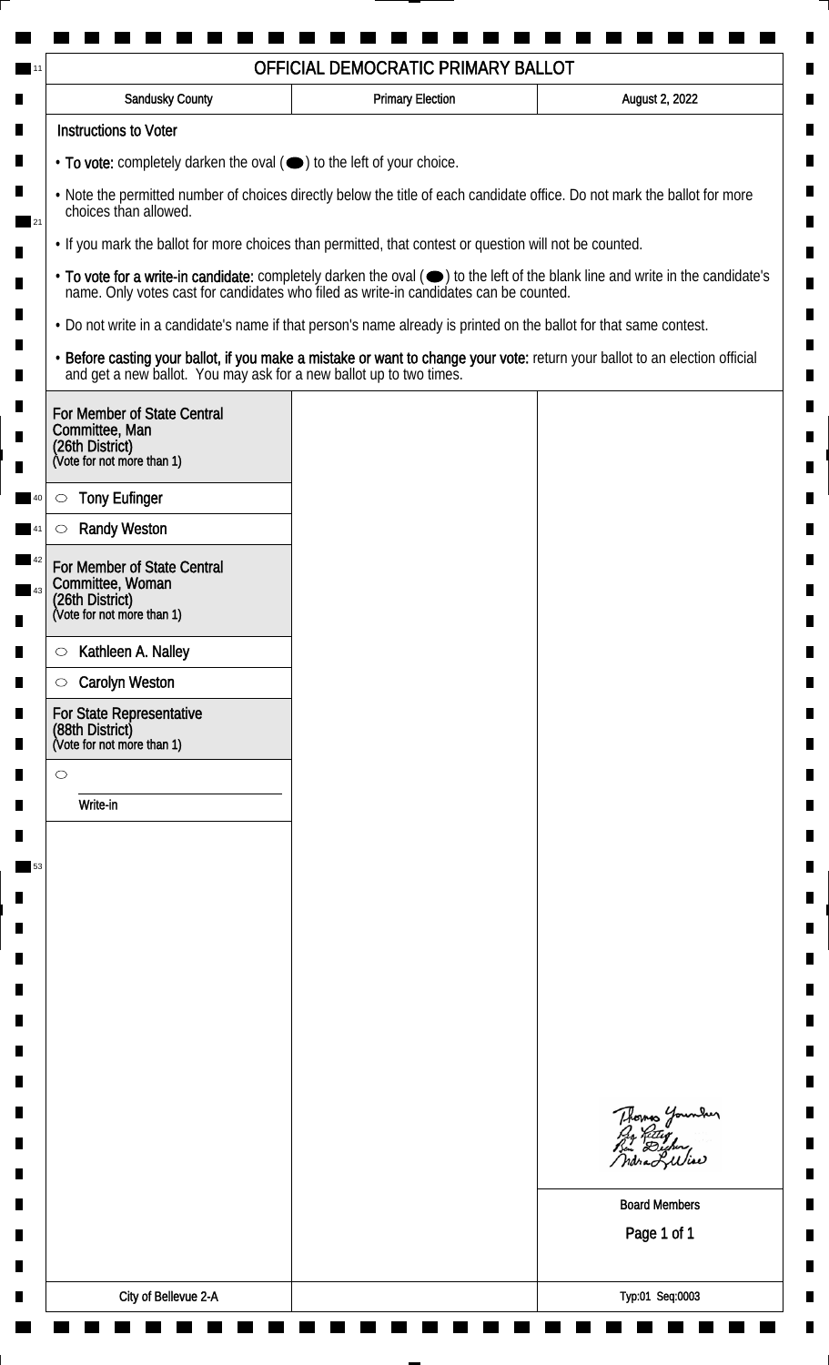| <b>Sandusky County</b>                                                                                             | <b>Primary Election</b> | August 2, 2022                                                                                                                                                                                                                 |
|--------------------------------------------------------------------------------------------------------------------|-------------------------|--------------------------------------------------------------------------------------------------------------------------------------------------------------------------------------------------------------------------------|
| <b>Instructions to Voter</b>                                                                                       |                         |                                                                                                                                                                                                                                |
| • To vote: completely darken the oval ( $\bigcirc$ ) to the left of your choice.                                   |                         |                                                                                                                                                                                                                                |
| choices than allowed.                                                                                              |                         | . Note the permitted number of choices directly below the title of each candidate office. Do not mark the ballot for more                                                                                                      |
| . If you mark the ballot for more choices than permitted, that contest or question will not be counted.            |                         |                                                                                                                                                                                                                                |
|                                                                                                                    |                         | • To vote for a write-in candidate: completely darken the oval ( $\bigcirc$ ) to the left of the blank line and write in the candidate's name. Only votes cast for candidates who filed as write-in candidates can be counted. |
| . Do not write in a candidate's name if that person's name already is printed on the ballot for that same contest. |                         |                                                                                                                                                                                                                                |
|                                                                                                                    |                         | • Before casting your ballot, if you make a mistake or want to change your vote: return your ballot to an election official and get a new ballot. You may ask for a new ballot up to two times.                                |
| For Member of State Central<br>Committee, Man                                                                      |                         |                                                                                                                                                                                                                                |
| (26th District)<br>(Vote for not more than 1)                                                                      |                         |                                                                                                                                                                                                                                |
| <b>Tony Eufinger</b><br>$\circlearrowright$                                                                        |                         |                                                                                                                                                                                                                                |
| <b>Randy Weston</b>                                                                                                |                         |                                                                                                                                                                                                                                |
| For Member of State Central<br>Committee, Woman<br>(26th District)<br>(Vote for not more than 1)                   |                         |                                                                                                                                                                                                                                |
| Kathleen A. Nalley<br>$\circ$                                                                                      |                         |                                                                                                                                                                                                                                |
| <b>Carolyn Weston</b><br>$\circ$                                                                                   |                         |                                                                                                                                                                                                                                |
| For State Representative<br>(88th District)<br>(Vote for not more than 1)                                          |                         |                                                                                                                                                                                                                                |
| $\circ$                                                                                                            |                         |                                                                                                                                                                                                                                |
| Write-in                                                                                                           |                         |                                                                                                                                                                                                                                |
|                                                                                                                    |                         |                                                                                                                                                                                                                                |
|                                                                                                                    |                         |                                                                                                                                                                                                                                |
|                                                                                                                    |                         |                                                                                                                                                                                                                                |
|                                                                                                                    |                         |                                                                                                                                                                                                                                |
|                                                                                                                    |                         |                                                                                                                                                                                                                                |
|                                                                                                                    |                         |                                                                                                                                                                                                                                |
|                                                                                                                    |                         |                                                                                                                                                                                                                                |
|                                                                                                                    |                         |                                                                                                                                                                                                                                |
|                                                                                                                    |                         | Thomas Younder                                                                                                                                                                                                                 |
|                                                                                                                    |                         | <b>Board Members</b>                                                                                                                                                                                                           |
|                                                                                                                    |                         | Page 1 of 1                                                                                                                                                                                                                    |
|                                                                                                                    |                         |                                                                                                                                                                                                                                |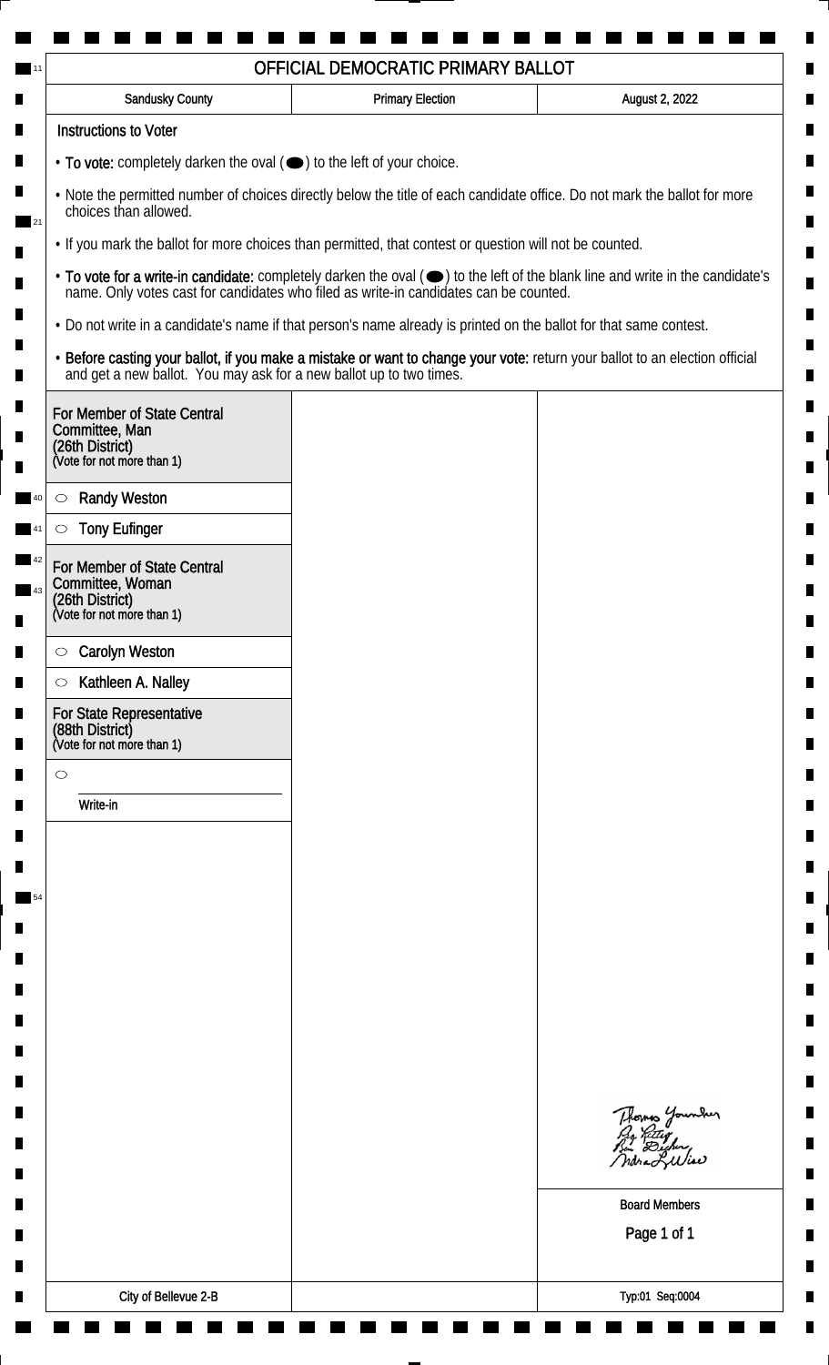| <b>Sandusky County</b>                                                                                             | <b>Primary Election</b> | August 2, 2022                                                                                                                                                                                                                 |
|--------------------------------------------------------------------------------------------------------------------|-------------------------|--------------------------------------------------------------------------------------------------------------------------------------------------------------------------------------------------------------------------------|
| <b>Instructions to Voter</b>                                                                                       |                         |                                                                                                                                                                                                                                |
| $\cdot$ To vote: completely darken the oval $(\bullet)$ to the left of your choice.                                |                         |                                                                                                                                                                                                                                |
| choices than allowed.                                                                                              |                         | . Note the permitted number of choices directly below the title of each candidate office. Do not mark the ballot for more                                                                                                      |
| . If you mark the ballot for more choices than permitted, that contest or question will not be counted.            |                         |                                                                                                                                                                                                                                |
|                                                                                                                    |                         | • To vote for a write-in candidate: completely darken the oval ( $\bigcirc$ ) to the left of the blank line and write in the candidate's name. Only votes cast for candidates who filed as write-in candidates can be counted. |
| . Do not write in a candidate's name if that person's name already is printed on the ballot for that same contest. |                         |                                                                                                                                                                                                                                |
|                                                                                                                    |                         | • Before casting your ballot, if you make a mistake or want to change your vote: return your ballot to an election official and get a new ballot. You may ask for a new ballot up to two times.                                |
| For Member of State Central<br>Committee, Man                                                                      |                         |                                                                                                                                                                                                                                |
| (26th District)<br>(Vote for not more than 1)                                                                      |                         |                                                                                                                                                                                                                                |
| <b>Randy Weston</b><br>$\circlearrowright$                                                                         |                         |                                                                                                                                                                                                                                |
| <b>Tony Eufinger</b><br>$\circlearrowright$                                                                        |                         |                                                                                                                                                                                                                                |
| For Member of State Central<br>Committee, Woman<br>(26th District)<br>(Vote for not more than 1)                   |                         |                                                                                                                                                                                                                                |
| <b>Carolyn Weston</b><br>$\circ$                                                                                   |                         |                                                                                                                                                                                                                                |
| Kathleen A. Nalley<br>$\circ$                                                                                      |                         |                                                                                                                                                                                                                                |
| For State Representative<br>(88th District)<br>(Vote for not more than 1)                                          |                         |                                                                                                                                                                                                                                |
| $\circ$                                                                                                            |                         |                                                                                                                                                                                                                                |
| Write-in                                                                                                           |                         |                                                                                                                                                                                                                                |
|                                                                                                                    |                         |                                                                                                                                                                                                                                |
|                                                                                                                    |                         |                                                                                                                                                                                                                                |
|                                                                                                                    |                         |                                                                                                                                                                                                                                |
|                                                                                                                    |                         |                                                                                                                                                                                                                                |
|                                                                                                                    |                         |                                                                                                                                                                                                                                |
|                                                                                                                    |                         |                                                                                                                                                                                                                                |
|                                                                                                                    |                         |                                                                                                                                                                                                                                |
|                                                                                                                    |                         |                                                                                                                                                                                                                                |
|                                                                                                                    |                         |                                                                                                                                                                                                                                |
|                                                                                                                    |                         | Thomas Younder                                                                                                                                                                                                                 |
|                                                                                                                    |                         |                                                                                                                                                                                                                                |
|                                                                                                                    |                         | <b>Board Members</b>                                                                                                                                                                                                           |
|                                                                                                                    |                         | Page 1 of 1                                                                                                                                                                                                                    |
|                                                                                                                    |                         |                                                                                                                                                                                                                                |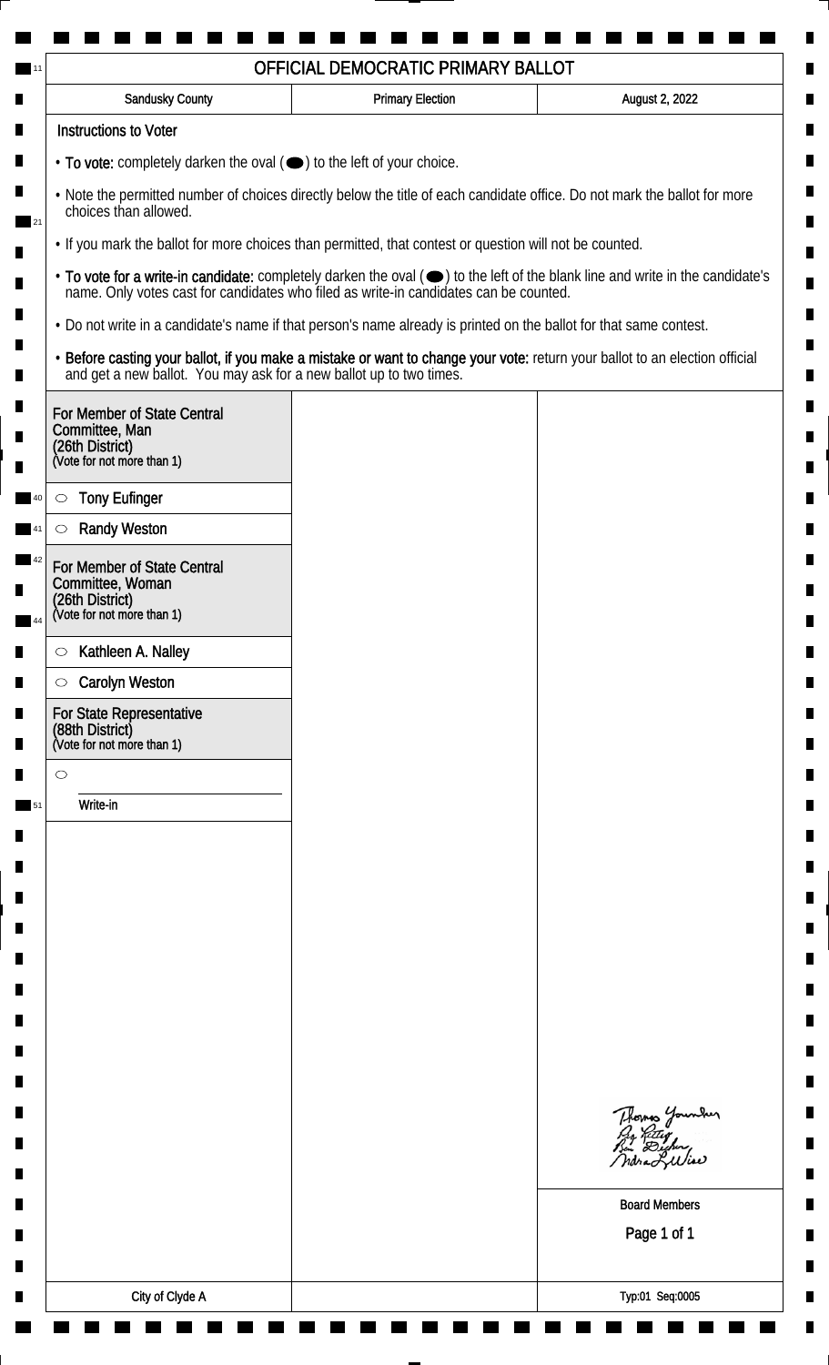| <b>Sandusky County</b>                                                                                             | <b>Primary Election</b> | August 2, 2022                                                                                                                                                                                                                 |
|--------------------------------------------------------------------------------------------------------------------|-------------------------|--------------------------------------------------------------------------------------------------------------------------------------------------------------------------------------------------------------------------------|
| <b>Instructions to Voter</b>                                                                                       |                         |                                                                                                                                                                                                                                |
| • To vote: completely darken the oval ( $\bigcirc$ ) to the left of your choice.                                   |                         |                                                                                                                                                                                                                                |
| choices than allowed.                                                                                              |                         | . Note the permitted number of choices directly below the title of each candidate office. Do not mark the ballot for more                                                                                                      |
| . If you mark the ballot for more choices than permitted, that contest or question will not be counted.            |                         |                                                                                                                                                                                                                                |
|                                                                                                                    |                         | • To vote for a write-in candidate: completely darken the oval ( $\bigcirc$ ) to the left of the blank line and write in the candidate's name. Only votes cast for candidates who filed as write-in candidates can be counted. |
| . Do not write in a candidate's name if that person's name already is printed on the ballot for that same contest. |                         |                                                                                                                                                                                                                                |
|                                                                                                                    |                         | • Before casting your ballot, if you make a mistake or want to change your vote: return your ballot to an election official and get a new ballot. You may ask for a new ballot up to two times.                                |
| For Member of State Central<br>Committee, Man<br>(26th District)<br>(Vote for not more than 1)                     |                         |                                                                                                                                                                                                                                |
| <b>Tony Eufinger</b><br>$\circ$                                                                                    |                         |                                                                                                                                                                                                                                |
| <b>Randy Weston</b>                                                                                                |                         |                                                                                                                                                                                                                                |
| For Member of State Central<br>Committee, Woman                                                                    |                         |                                                                                                                                                                                                                                |
| (26th District)<br>(Vote for not more than 1)                                                                      |                         |                                                                                                                                                                                                                                |
| Kathleen A. Nalley<br>$\circ$                                                                                      |                         |                                                                                                                                                                                                                                |
| <b>Carolyn Weston</b><br>$\circ$                                                                                   |                         |                                                                                                                                                                                                                                |
| For State Representative<br>(88th District)<br>(Vote for not more than 1)                                          |                         |                                                                                                                                                                                                                                |
| $\circ$                                                                                                            |                         |                                                                                                                                                                                                                                |
| Write-in                                                                                                           |                         |                                                                                                                                                                                                                                |
|                                                                                                                    |                         |                                                                                                                                                                                                                                |
|                                                                                                                    |                         |                                                                                                                                                                                                                                |
|                                                                                                                    |                         |                                                                                                                                                                                                                                |
|                                                                                                                    |                         |                                                                                                                                                                                                                                |
|                                                                                                                    |                         |                                                                                                                                                                                                                                |
|                                                                                                                    |                         |                                                                                                                                                                                                                                |
|                                                                                                                    |                         |                                                                                                                                                                                                                                |
|                                                                                                                    |                         |                                                                                                                                                                                                                                |
|                                                                                                                    |                         | Thomas Younder                                                                                                                                                                                                                 |
|                                                                                                                    |                         | <b>Board Members</b><br>Page 1 of 1                                                                                                                                                                                            |
|                                                                                                                    |                         |                                                                                                                                                                                                                                |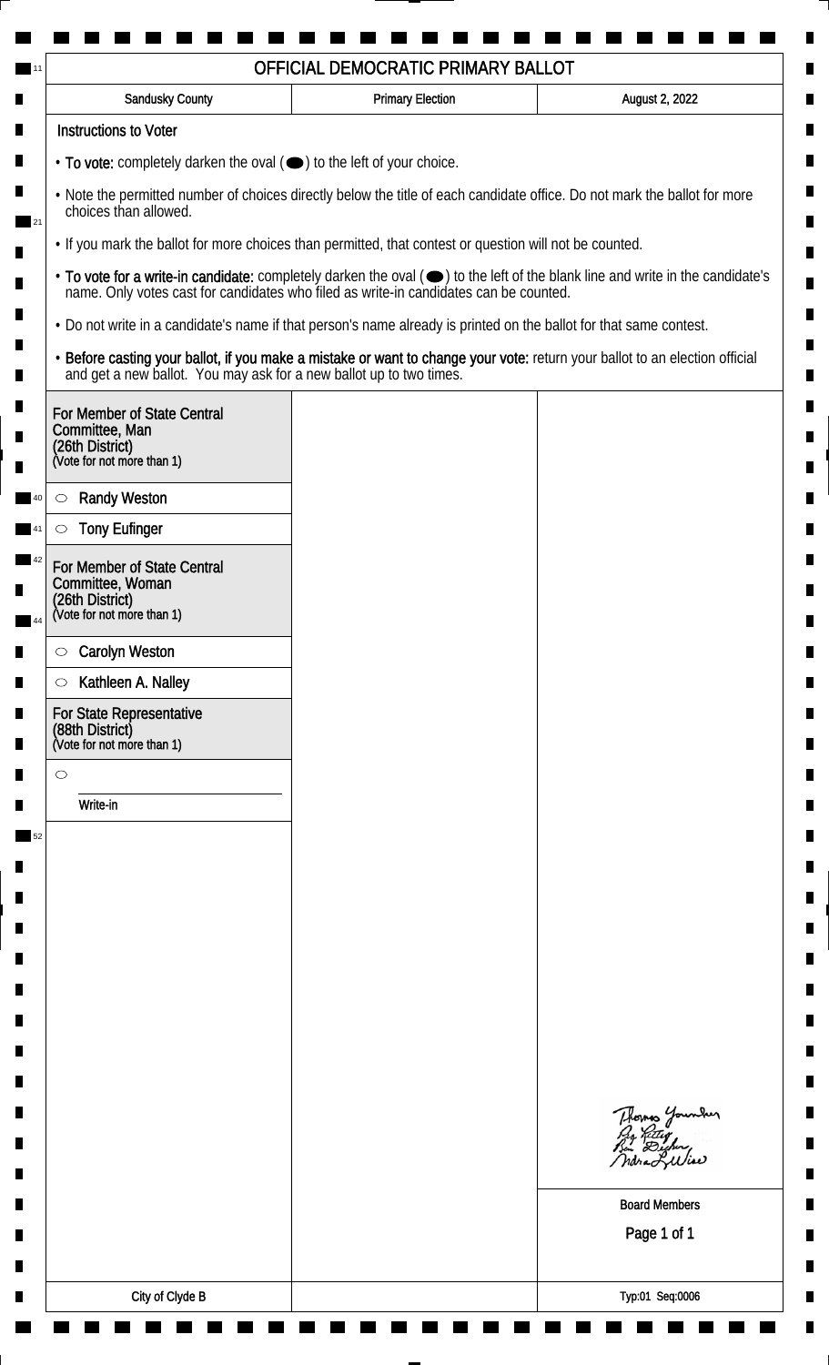| <b>Sandusky County</b>                                                                                             | <b>Primary Election</b> | August 2, 2022                                                                                                                                                                                                                 |
|--------------------------------------------------------------------------------------------------------------------|-------------------------|--------------------------------------------------------------------------------------------------------------------------------------------------------------------------------------------------------------------------------|
| <b>Instructions to Voter</b>                                                                                       |                         |                                                                                                                                                                                                                                |
| $\cdot$ To vote: completely darken the oval $(\bullet)$ to the left of your choice.                                |                         |                                                                                                                                                                                                                                |
| choices than allowed.                                                                                              |                         | . Note the permitted number of choices directly below the title of each candidate office. Do not mark the ballot for more                                                                                                      |
| . If you mark the ballot for more choices than permitted, that contest or question will not be counted.            |                         |                                                                                                                                                                                                                                |
|                                                                                                                    |                         | • To vote for a write-in candidate: completely darken the oval ( $\bigcirc$ ) to the left of the blank line and write in the candidate's name. Only votes cast for candidates who filed as write-in candidates can be counted. |
| . Do not write in a candidate's name if that person's name already is printed on the ballot for that same contest. |                         |                                                                                                                                                                                                                                |
|                                                                                                                    |                         | • Before casting your ballot, if you make a mistake or want to change your vote: return your ballot to an election official and get a new ballot. You may ask for a new ballot up to two times.                                |
| For Member of State Central<br>Committee, Man<br>(26th District)<br>(Vote for not more than 1)                     |                         |                                                                                                                                                                                                                                |
| <b>Randy Weston</b><br>$\circ$                                                                                     |                         |                                                                                                                                                                                                                                |
| <b>Tony Eufinger</b>                                                                                               |                         |                                                                                                                                                                                                                                |
| For Member of State Central<br>Committee, Woman<br>(26th District)<br>(Vote for not more than 1)                   |                         |                                                                                                                                                                                                                                |
|                                                                                                                    |                         |                                                                                                                                                                                                                                |
| <b>Carolyn Weston</b><br>$\circ$<br>Kathleen A. Nalley<br>$\circ$                                                  |                         |                                                                                                                                                                                                                                |
| For State Representative<br>(88th District)<br>(Vote for not more than 1)                                          |                         |                                                                                                                                                                                                                                |
| $\circ$                                                                                                            |                         |                                                                                                                                                                                                                                |
| Write-in                                                                                                           |                         |                                                                                                                                                                                                                                |
|                                                                                                                    |                         |                                                                                                                                                                                                                                |
|                                                                                                                    |                         |                                                                                                                                                                                                                                |
|                                                                                                                    |                         |                                                                                                                                                                                                                                |
|                                                                                                                    |                         |                                                                                                                                                                                                                                |
|                                                                                                                    |                         |                                                                                                                                                                                                                                |
|                                                                                                                    |                         |                                                                                                                                                                                                                                |
|                                                                                                                    |                         |                                                                                                                                                                                                                                |
|                                                                                                                    |                         |                                                                                                                                                                                                                                |
|                                                                                                                    |                         |                                                                                                                                                                                                                                |
|                                                                                                                    |                         | Thomas Younder                                                                                                                                                                                                                 |
|                                                                                                                    |                         | <b>Board Members</b>                                                                                                                                                                                                           |
|                                                                                                                    |                         | Page 1 of 1                                                                                                                                                                                                                    |
|                                                                                                                    |                         |                                                                                                                                                                                                                                |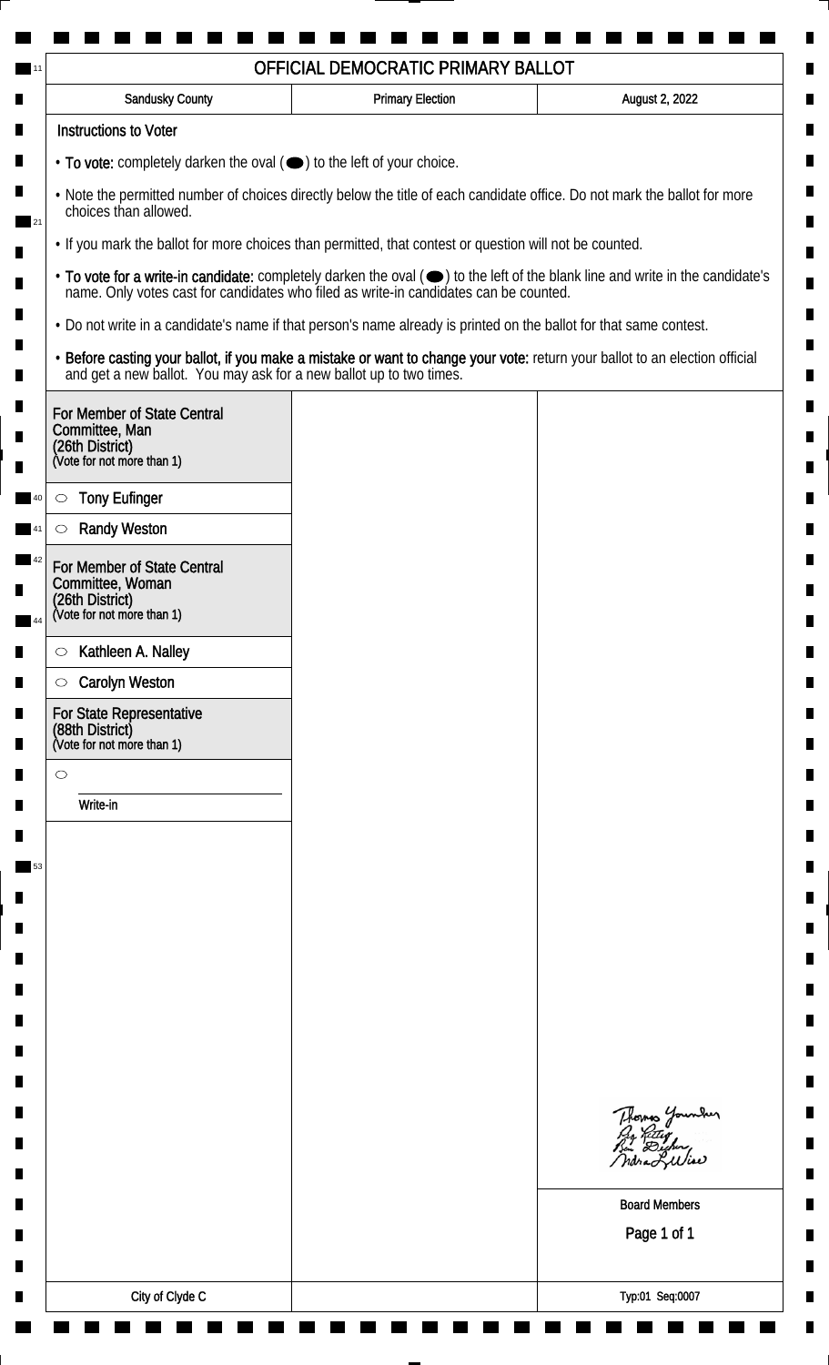| <b>Sandusky County</b>                                                                         | <b>Primary Election</b>                                                                                            | August 2, 2022                                                                                                                                                                                                                 |
|------------------------------------------------------------------------------------------------|--------------------------------------------------------------------------------------------------------------------|--------------------------------------------------------------------------------------------------------------------------------------------------------------------------------------------------------------------------------|
| <b>Instructions to Voter</b>                                                                   |                                                                                                                    |                                                                                                                                                                                                                                |
| • To vote: completely darken the oval ( $\bigcirc$ ) to the left of your choice.               |                                                                                                                    |                                                                                                                                                                                                                                |
| choices than allowed.                                                                          |                                                                                                                    | . Note the permitted number of choices directly below the title of each candidate office. Do not mark the ballot for more                                                                                                      |
|                                                                                                | . If you mark the ballot for more choices than permitted, that contest or question will not be counted.            |                                                                                                                                                                                                                                |
|                                                                                                |                                                                                                                    | • To vote for a write-in candidate: completely darken the oval ( $\bigcirc$ ) to the left of the blank line and write in the candidate's name. Only votes cast for candidates who filed as write-in candidates can be counted. |
|                                                                                                | . Do not write in a candidate's name if that person's name already is printed on the ballot for that same contest. |                                                                                                                                                                                                                                |
|                                                                                                |                                                                                                                    | • Before casting your ballot, if you make a mistake or want to change your vote: return your ballot to an election official and get a new ballot. You may ask for a new ballot up to two times.                                |
| For Member of State Central<br>Committee, Man<br>(26th District)<br>(Vote for not more than 1) |                                                                                                                    |                                                                                                                                                                                                                                |
| <b>Tony Eufinger</b><br>$\circlearrowright$                                                    |                                                                                                                    |                                                                                                                                                                                                                                |
| <b>Randy Weston</b>                                                                            |                                                                                                                    |                                                                                                                                                                                                                                |
| For Member of State Central<br>Committee, Woman                                                |                                                                                                                    |                                                                                                                                                                                                                                |
| (26th District)<br>(Vote for not more than 1)                                                  |                                                                                                                    |                                                                                                                                                                                                                                |
| Kathleen A. Nalley<br>$\circ$                                                                  |                                                                                                                    |                                                                                                                                                                                                                                |
| <b>Carolyn Weston</b><br>$\circ$                                                               |                                                                                                                    |                                                                                                                                                                                                                                |
| For State Representative<br>(88th District)<br>(Vote for not more than 1)                      |                                                                                                                    |                                                                                                                                                                                                                                |
| $\circ$                                                                                        |                                                                                                                    |                                                                                                                                                                                                                                |
| Write-in                                                                                       |                                                                                                                    |                                                                                                                                                                                                                                |
|                                                                                                |                                                                                                                    |                                                                                                                                                                                                                                |
|                                                                                                |                                                                                                                    |                                                                                                                                                                                                                                |
|                                                                                                |                                                                                                                    |                                                                                                                                                                                                                                |
|                                                                                                |                                                                                                                    |                                                                                                                                                                                                                                |
|                                                                                                |                                                                                                                    |                                                                                                                                                                                                                                |
|                                                                                                |                                                                                                                    |                                                                                                                                                                                                                                |
|                                                                                                |                                                                                                                    |                                                                                                                                                                                                                                |
|                                                                                                |                                                                                                                    |                                                                                                                                                                                                                                |
|                                                                                                |                                                                                                                    |                                                                                                                                                                                                                                |
|                                                                                                |                                                                                                                    | Thomas Younder                                                                                                                                                                                                                 |
|                                                                                                |                                                                                                                    | <b>Board Members</b>                                                                                                                                                                                                           |
|                                                                                                |                                                                                                                    | Page 1 of 1                                                                                                                                                                                                                    |
|                                                                                                |                                                                                                                    |                                                                                                                                                                                                                                |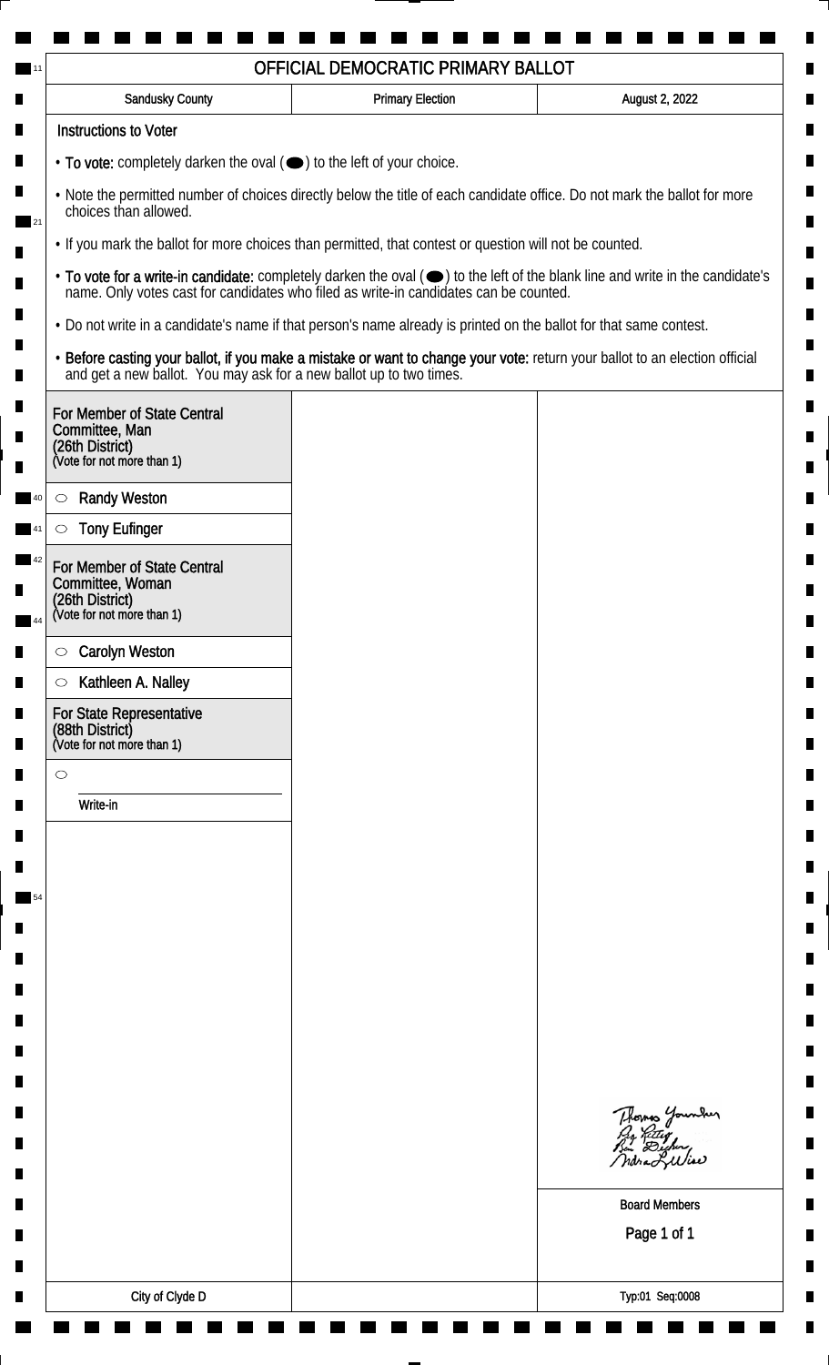| <b>Sandusky County</b>                                                                                                                             | <b>Primary Election</b> | August 2, 2022                                                                                                                |
|----------------------------------------------------------------------------------------------------------------------------------------------------|-------------------------|-------------------------------------------------------------------------------------------------------------------------------|
| <b>Instructions to Voter</b>                                                                                                                       |                         |                                                                                                                               |
| • To vote: completely darken the oval (•) to the left of your choice.                                                                              |                         |                                                                                                                               |
| . Note the permitted number of choices directly below the title of each candidate office. Do not mark the ballot for more<br>choices than allowed. |                         |                                                                                                                               |
| . If you mark the ballot for more choices than permitted, that contest or question will not be counted.                                            |                         |                                                                                                                               |
| name. Only votes cast for candidates who filed as write-in candidates can be counted.                                                              |                         | • To vote for a write-in candidate: completely darken the oval (•) to the left of the blank line and write in the candidate's |
| . Do not write in a candidate's name if that person's name already is printed on the ballot for that same contest.                                 |                         |                                                                                                                               |
| and get a new ballot. You may ask for a new ballot up to two times.                                                                                |                         | · Before casting your ballot, if you make a mistake or want to change your vote: return your ballot to an election official   |
| For Member of State Central<br>Committee, Man<br>(26th District)<br>(Vote for not more than 1)                                                     |                         |                                                                                                                               |
| <b>Randy Weston</b><br>$\circlearrowright$                                                                                                         |                         |                                                                                                                               |
| <b>Tony Eufinger</b><br>$\circlearrowright$                                                                                                        |                         |                                                                                                                               |
| For Member of State Central<br>Committee, Woman<br>(26th District)<br>(Vote for not more than 1)                                                   |                         |                                                                                                                               |
|                                                                                                                                                    |                         |                                                                                                                               |
| <b>Carolyn Weston</b><br>$\circ$<br>Kathleen A. Nalley                                                                                             |                         |                                                                                                                               |
| $\circ$<br>For State Representative<br>(88th District)<br>(Vote for not more than 1)                                                               |                         |                                                                                                                               |
| $\circ$                                                                                                                                            |                         |                                                                                                                               |
| Write-in                                                                                                                                           |                         |                                                                                                                               |
|                                                                                                                                                    |                         |                                                                                                                               |
|                                                                                                                                                    |                         |                                                                                                                               |
|                                                                                                                                                    |                         |                                                                                                                               |
|                                                                                                                                                    |                         |                                                                                                                               |
|                                                                                                                                                    |                         |                                                                                                                               |
|                                                                                                                                                    |                         |                                                                                                                               |
|                                                                                                                                                    |                         |                                                                                                                               |
|                                                                                                                                                    |                         |                                                                                                                               |
|                                                                                                                                                    |                         |                                                                                                                               |
|                                                                                                                                                    |                         | Thomas Younder<br>By Riter<br>Bu Dicher,                                                                                      |
|                                                                                                                                                    |                         | <b>Board Members</b>                                                                                                          |
|                                                                                                                                                    |                         | Page 1 of 1                                                                                                                   |
|                                                                                                                                                    |                         |                                                                                                                               |
| City of Clyde D                                                                                                                                    |                         | Typ:01 Seq:0008                                                                                                               |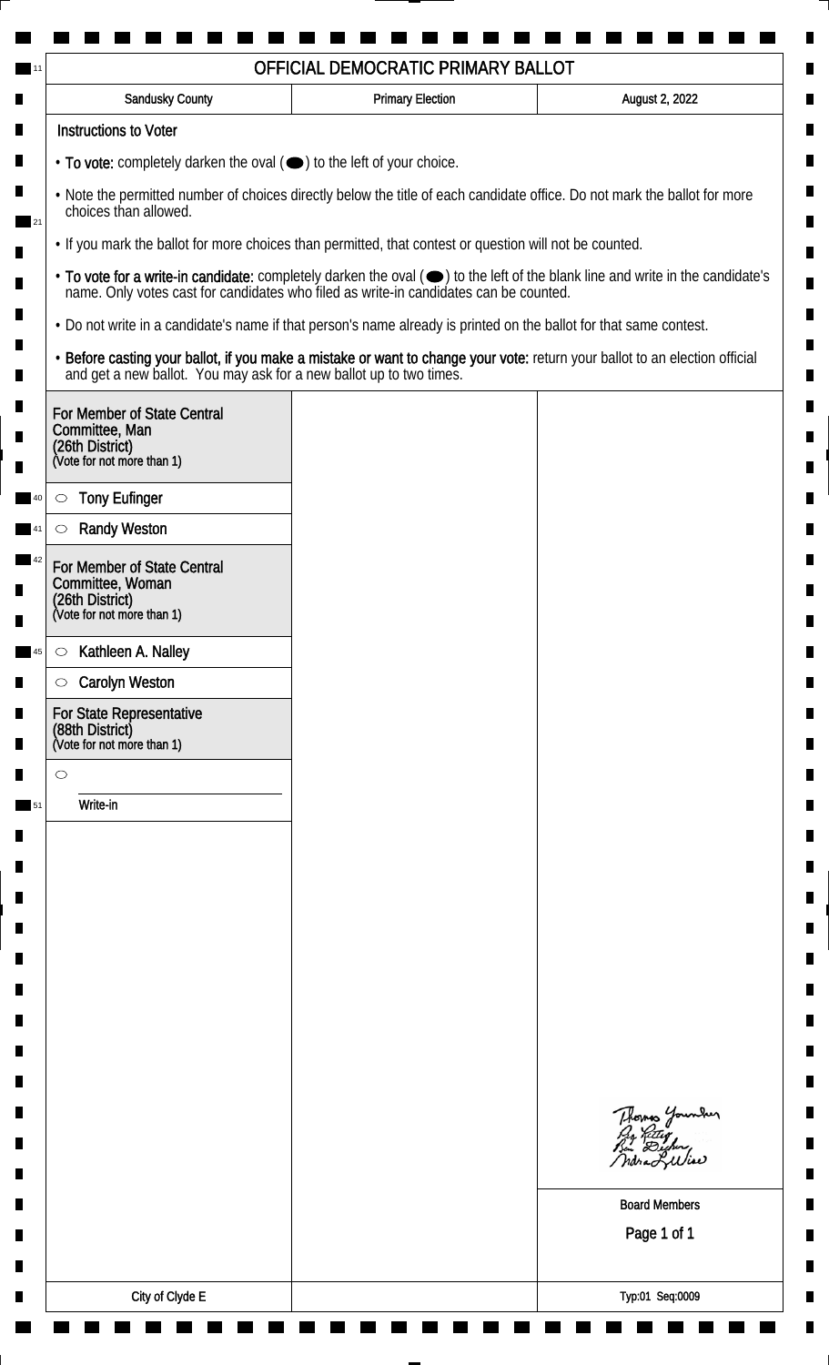| <b>Sandusky County</b>                                                                         | <b>Primary Election</b>                                                                                                                                                                         | August 2, 2022                                                                                                                                                                                                                 |
|------------------------------------------------------------------------------------------------|-------------------------------------------------------------------------------------------------------------------------------------------------------------------------------------------------|--------------------------------------------------------------------------------------------------------------------------------------------------------------------------------------------------------------------------------|
| <b>Instructions to Voter</b>                                                                   |                                                                                                                                                                                                 |                                                                                                                                                                                                                                |
| • To vote: completely darken the oval (•) to the left of your choice.                          |                                                                                                                                                                                                 |                                                                                                                                                                                                                                |
| choices than allowed.                                                                          | . Note the permitted number of choices directly below the title of each candidate office. Do not mark the ballot for more                                                                       |                                                                                                                                                                                                                                |
|                                                                                                | • If you mark the ballot for more choices than permitted, that contest or question will not be counted.                                                                                         |                                                                                                                                                                                                                                |
|                                                                                                |                                                                                                                                                                                                 | • To vote for a write-in candidate: completely darken the oval ( $\bigcirc$ ) to the left of the blank line and write in the candidate's name. Only votes cast for candidates who filed as write-in candidates can be counted. |
|                                                                                                | . Do not write in a candidate's name if that person's name already is printed on the ballot for that same contest.                                                                              |                                                                                                                                                                                                                                |
|                                                                                                | • Before casting your ballot, if you make a mistake or want to change your vote: return your ballot to an election official and get a new ballot. You may ask for a new ballot up to two times. |                                                                                                                                                                                                                                |
| For Member of State Central<br>Committee, Man<br>(26th District)<br>(Vote for not more than 1) |                                                                                                                                                                                                 |                                                                                                                                                                                                                                |
|                                                                                                |                                                                                                                                                                                                 |                                                                                                                                                                                                                                |
| <b>Tony Eufinger</b><br>$\circ$<br><b>Randy Weston</b>                                         |                                                                                                                                                                                                 |                                                                                                                                                                                                                                |
|                                                                                                |                                                                                                                                                                                                 |                                                                                                                                                                                                                                |
| For Member of State Central<br>Committee, Woman                                                |                                                                                                                                                                                                 |                                                                                                                                                                                                                                |
| (26th District)<br>(Vote for not more than 1)                                                  |                                                                                                                                                                                                 |                                                                                                                                                                                                                                |
| Kathleen A. Nalley<br>$\circ$                                                                  |                                                                                                                                                                                                 |                                                                                                                                                                                                                                |
| <b>Carolyn Weston</b><br>$\circlearrowright$                                                   |                                                                                                                                                                                                 |                                                                                                                                                                                                                                |
| For State Representative<br>(88th District)<br>(Vote for not more than 1)                      |                                                                                                                                                                                                 |                                                                                                                                                                                                                                |
| $\circ$                                                                                        |                                                                                                                                                                                                 |                                                                                                                                                                                                                                |
| Write-in                                                                                       |                                                                                                                                                                                                 |                                                                                                                                                                                                                                |
|                                                                                                |                                                                                                                                                                                                 |                                                                                                                                                                                                                                |
|                                                                                                |                                                                                                                                                                                                 |                                                                                                                                                                                                                                |
|                                                                                                |                                                                                                                                                                                                 |                                                                                                                                                                                                                                |
|                                                                                                |                                                                                                                                                                                                 |                                                                                                                                                                                                                                |
|                                                                                                |                                                                                                                                                                                                 |                                                                                                                                                                                                                                |
|                                                                                                |                                                                                                                                                                                                 |                                                                                                                                                                                                                                |
|                                                                                                |                                                                                                                                                                                                 |                                                                                                                                                                                                                                |
|                                                                                                |                                                                                                                                                                                                 |                                                                                                                                                                                                                                |
|                                                                                                |                                                                                                                                                                                                 |                                                                                                                                                                                                                                |
|                                                                                                |                                                                                                                                                                                                 | Thomas Younder<br>Pro Retter<br>Bin Dighing                                                                                                                                                                                    |
|                                                                                                |                                                                                                                                                                                                 | ndra Liliae                                                                                                                                                                                                                    |
|                                                                                                |                                                                                                                                                                                                 | <b>Board Members</b>                                                                                                                                                                                                           |
|                                                                                                |                                                                                                                                                                                                 | Page 1 of 1                                                                                                                                                                                                                    |
|                                                                                                |                                                                                                                                                                                                 |                                                                                                                                                                                                                                |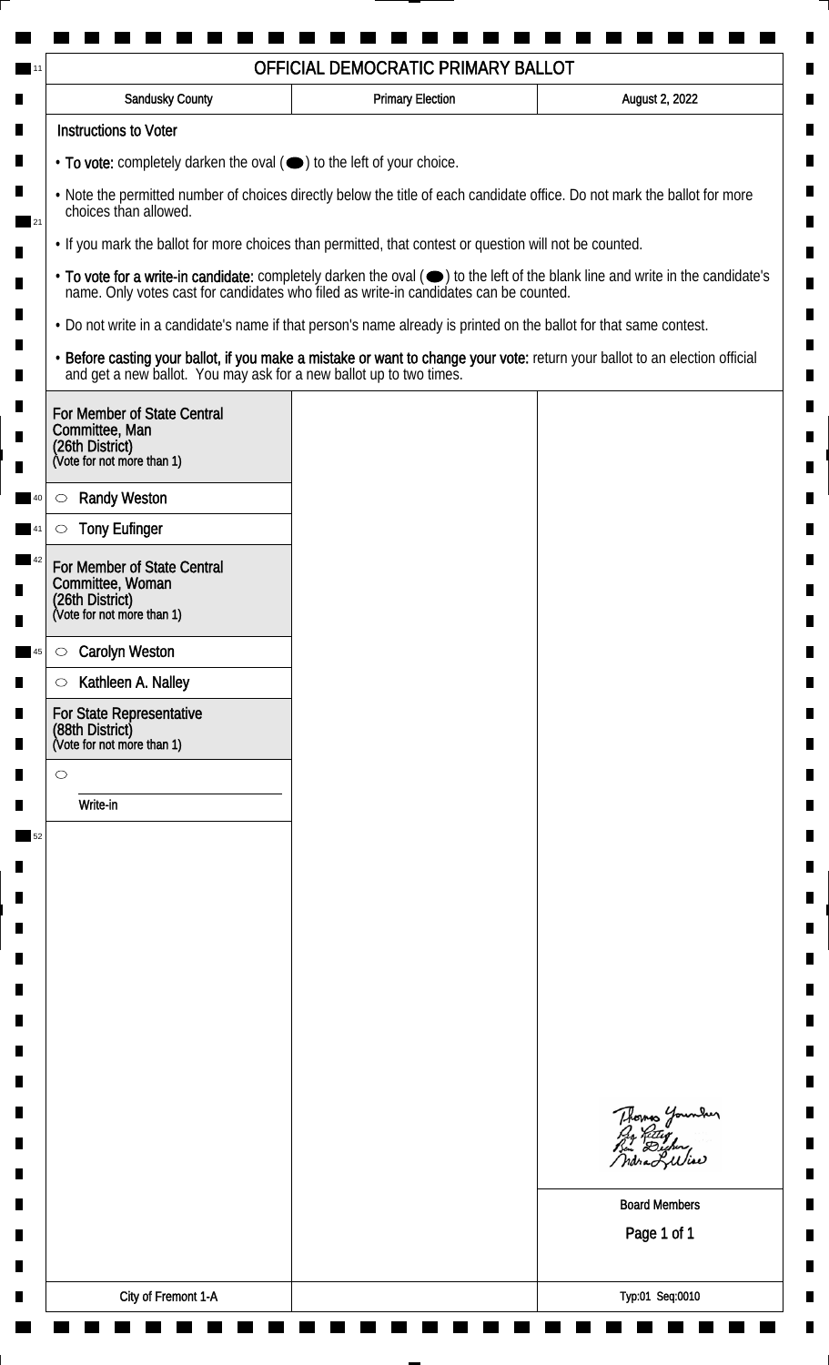| <b>Sandusky County</b>                                                                                             | <b>Primary Election</b> | August 2, 2022                                                                                                                                                                                                                 |
|--------------------------------------------------------------------------------------------------------------------|-------------------------|--------------------------------------------------------------------------------------------------------------------------------------------------------------------------------------------------------------------------------|
| <b>Instructions to Voter</b>                                                                                       |                         |                                                                                                                                                                                                                                |
| • To vote: completely darken the oval ( $\bigcirc$ ) to the left of your choice.                                   |                         |                                                                                                                                                                                                                                |
| choices than allowed.                                                                                              |                         | . Note the permitted number of choices directly below the title of each candidate office. Do not mark the ballot for more                                                                                                      |
| . If you mark the ballot for more choices than permitted, that contest or question will not be counted.            |                         |                                                                                                                                                                                                                                |
|                                                                                                                    |                         | • To vote for a write-in candidate: completely darken the oval ( $\bigcirc$ ) to the left of the blank line and write in the candidate's name. Only votes cast for candidates who filed as write-in candidates can be counted. |
| . Do not write in a candidate's name if that person's name already is printed on the ballot for that same contest. |                         |                                                                                                                                                                                                                                |
|                                                                                                                    |                         | • Before casting your ballot, if you make a mistake or want to change your vote: return your ballot to an election official and get a new ballot. You may ask for a new ballot up to two times.                                |
| For Member of State Central<br>Committee, Man<br>(26th District)<br>(Vote for not more than 1)                     |                         |                                                                                                                                                                                                                                |
| <b>Randy Weston</b><br>$\circ$                                                                                     |                         |                                                                                                                                                                                                                                |
| <b>Tony Eufinger</b>                                                                                               |                         |                                                                                                                                                                                                                                |
| For Member of State Central<br>Committee, Woman<br>(26th District)<br>(Vote for not more than 1)                   |                         |                                                                                                                                                                                                                                |
|                                                                                                                    |                         |                                                                                                                                                                                                                                |
| <b>Carolyn Weston</b><br>$\circ$                                                                                   |                         |                                                                                                                                                                                                                                |
| Kathleen A. Nalley<br>$\circ$<br>For State Representative<br>(88th District)<br>(Vote for not more than 1)         |                         |                                                                                                                                                                                                                                |
| $\circ$                                                                                                            |                         |                                                                                                                                                                                                                                |
| Write-in                                                                                                           |                         |                                                                                                                                                                                                                                |
|                                                                                                                    |                         |                                                                                                                                                                                                                                |
|                                                                                                                    |                         |                                                                                                                                                                                                                                |
|                                                                                                                    |                         |                                                                                                                                                                                                                                |
|                                                                                                                    |                         |                                                                                                                                                                                                                                |
|                                                                                                                    |                         |                                                                                                                                                                                                                                |
|                                                                                                                    |                         |                                                                                                                                                                                                                                |
|                                                                                                                    |                         |                                                                                                                                                                                                                                |
|                                                                                                                    |                         |                                                                                                                                                                                                                                |
|                                                                                                                    |                         |                                                                                                                                                                                                                                |
|                                                                                                                    |                         | Thomas Younder                                                                                                                                                                                                                 |
|                                                                                                                    |                         | <b>Board Members</b><br>Page 1 of 1                                                                                                                                                                                            |
|                                                                                                                    |                         |                                                                                                                                                                                                                                |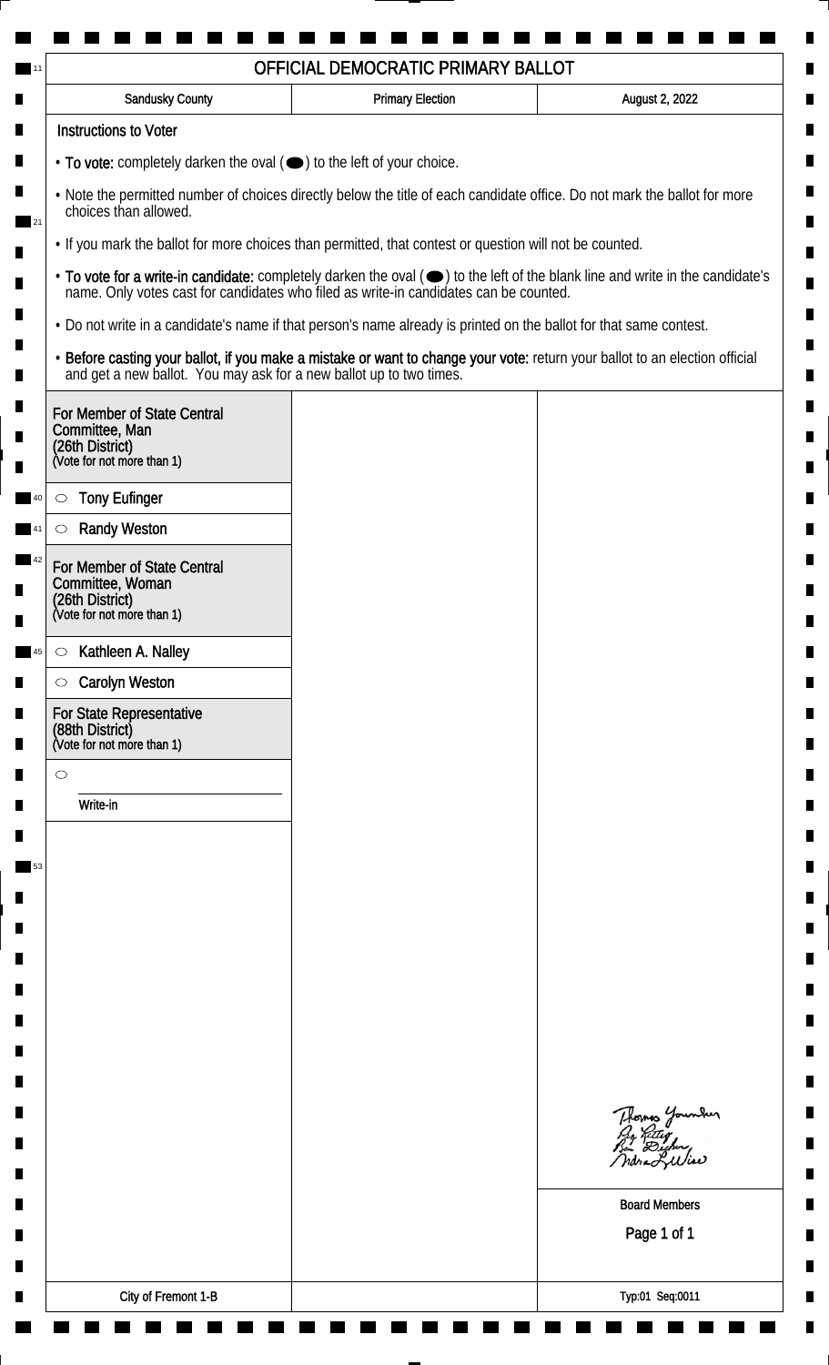| <b>Sandusky County</b>                                                                                             | <b>Primary Election</b> | August 2, 2022                                                                                                                                                                                                                 |
|--------------------------------------------------------------------------------------------------------------------|-------------------------|--------------------------------------------------------------------------------------------------------------------------------------------------------------------------------------------------------------------------------|
| <b>Instructions to Voter</b>                                                                                       |                         |                                                                                                                                                                                                                                |
| • To vote: completely darken the oval ( $\bigcirc$ ) to the left of your choice.                                   |                         |                                                                                                                                                                                                                                |
| choices than allowed.                                                                                              |                         | . Note the permitted number of choices directly below the title of each candidate office. Do not mark the ballot for more                                                                                                      |
| . If you mark the ballot for more choices than permitted, that contest or question will not be counted.            |                         |                                                                                                                                                                                                                                |
|                                                                                                                    |                         | • To vote for a write-in candidate: completely darken the oval ( $\bigcirc$ ) to the left of the blank line and write in the candidate's name. Only votes cast for candidates who filed as write-in candidates can be counted. |
| . Do not write in a candidate's name if that person's name already is printed on the ballot for that same contest. |                         |                                                                                                                                                                                                                                |
|                                                                                                                    |                         | • Before casting your ballot, if you make a mistake or want to change your vote: return your ballot to an election official and get a new ballot. You may ask for a new ballot up to two times.                                |
| For Member of State Central<br>Committee, Man<br>(26th District)<br>(Vote for not more than 1)                     |                         |                                                                                                                                                                                                                                |
|                                                                                                                    |                         |                                                                                                                                                                                                                                |
| <b>Tony Eufinger</b><br>$\circ$<br><b>Randy Weston</b>                                                             |                         |                                                                                                                                                                                                                                |
|                                                                                                                    |                         |                                                                                                                                                                                                                                |
| For Member of State Central<br>Committee, Woman<br>(26th District)<br>(Vote for not more than 1)                   |                         |                                                                                                                                                                                                                                |
| Kathleen A. Nalley<br>$\circ$                                                                                      |                         |                                                                                                                                                                                                                                |
| <b>Carolyn Weston</b><br>$\circ$                                                                                   |                         |                                                                                                                                                                                                                                |
| For State Representative<br>(88th District)<br>(Vote for not more than 1)                                          |                         |                                                                                                                                                                                                                                |
| $\circ$                                                                                                            |                         |                                                                                                                                                                                                                                |
| Write-in                                                                                                           |                         |                                                                                                                                                                                                                                |
|                                                                                                                    |                         |                                                                                                                                                                                                                                |
|                                                                                                                    |                         |                                                                                                                                                                                                                                |
|                                                                                                                    |                         |                                                                                                                                                                                                                                |
|                                                                                                                    |                         |                                                                                                                                                                                                                                |
|                                                                                                                    |                         |                                                                                                                                                                                                                                |
|                                                                                                                    |                         |                                                                                                                                                                                                                                |
|                                                                                                                    |                         |                                                                                                                                                                                                                                |
|                                                                                                                    |                         |                                                                                                                                                                                                                                |
|                                                                                                                    |                         | Thomas Younder                                                                                                                                                                                                                 |
|                                                                                                                    |                         |                                                                                                                                                                                                                                |
|                                                                                                                    |                         | <b>Board Members</b>                                                                                                                                                                                                           |
|                                                                                                                    |                         | Page 1 of 1                                                                                                                                                                                                                    |
|                                                                                                                    |                         |                                                                                                                                                                                                                                |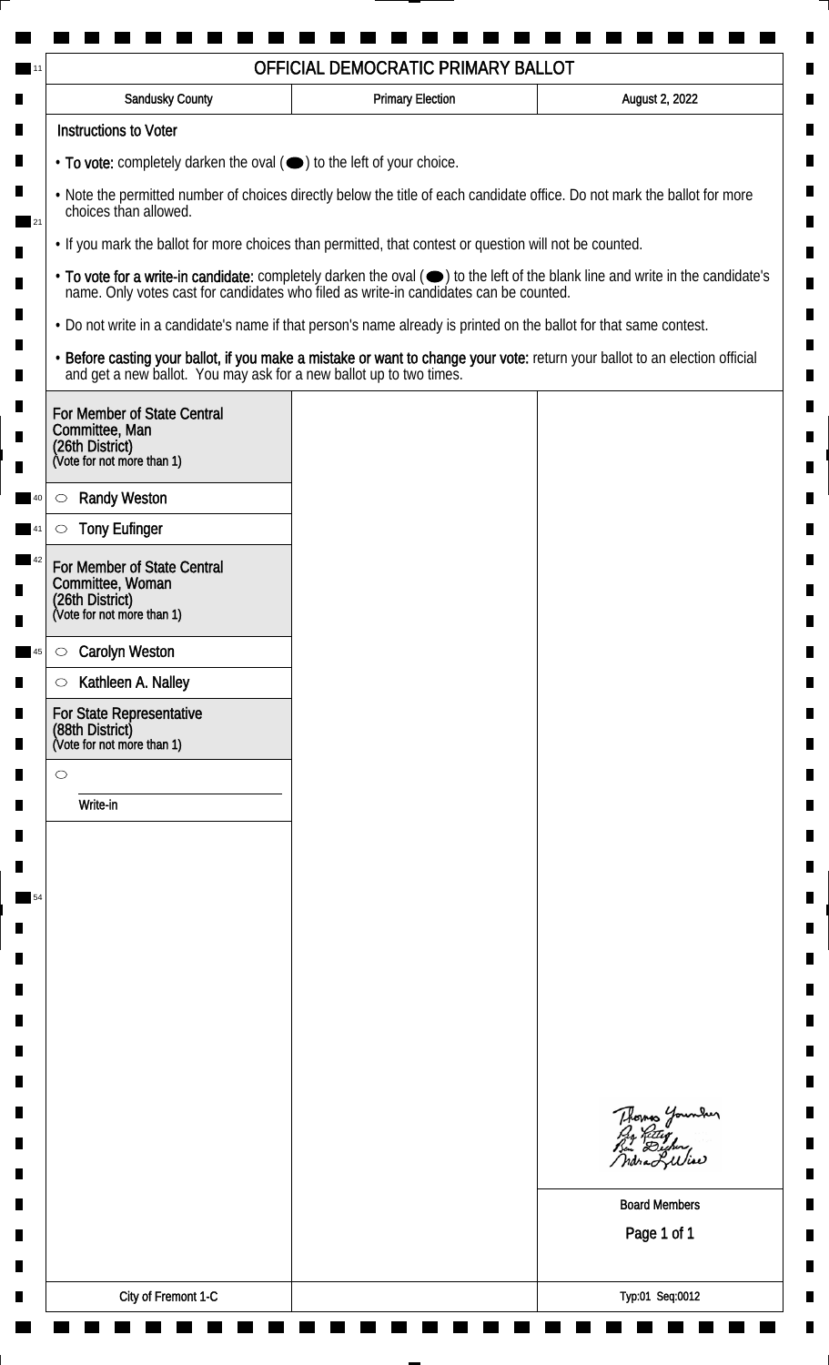| <b>Sandusky County</b>                                                    | <b>Primary Election</b>                                                                                            | August 2, 2022                                                                                                                                                                                                                 |
|---------------------------------------------------------------------------|--------------------------------------------------------------------------------------------------------------------|--------------------------------------------------------------------------------------------------------------------------------------------------------------------------------------------------------------------------------|
| <b>Instructions to Voter</b>                                              |                                                                                                                    |                                                                                                                                                                                                                                |
| • To vote: completely darken the oval (•) to the left of your choice.     |                                                                                                                    |                                                                                                                                                                                                                                |
| choices than allowed.                                                     |                                                                                                                    | . Note the permitted number of choices directly below the title of each candidate office. Do not mark the ballot for more                                                                                                      |
|                                                                           | . If you mark the ballot for more choices than permitted, that contest or question will not be counted.            |                                                                                                                                                                                                                                |
|                                                                           |                                                                                                                    | • To vote for a write-in candidate: completely darken the oval ( $\bigcirc$ ) to the left of the blank line and write in the candidate's name. Only votes cast for candidates who filed as write-in candidates can be counted. |
|                                                                           | . Do not write in a candidate's name if that person's name already is printed on the ballot for that same contest. |                                                                                                                                                                                                                                |
|                                                                           |                                                                                                                    | • Before casting your ballot, if you make a mistake or want to change your vote: return your ballot to an election official and get a new ballot. You may ask for a new ballot up to two times.                                |
| For Member of State Central                                               |                                                                                                                    |                                                                                                                                                                                                                                |
| Committee, Man<br>(26th District)<br>(Vote for not more than 1)           |                                                                                                                    |                                                                                                                                                                                                                                |
|                                                                           |                                                                                                                    |                                                                                                                                                                                                                                |
| <b>Randy Weston</b><br>$\circ$                                            |                                                                                                                    |                                                                                                                                                                                                                                |
| <b>Tony Eufinger</b><br>C                                                 |                                                                                                                    |                                                                                                                                                                                                                                |
| For Member of State Central<br>Committee, Woman                           |                                                                                                                    |                                                                                                                                                                                                                                |
| (26th District)<br>(Vote for not more than 1)                             |                                                                                                                    |                                                                                                                                                                                                                                |
| <b>Carolyn Weston</b><br>$\circ$                                          |                                                                                                                    |                                                                                                                                                                                                                                |
| Kathleen A. Nalley<br>$\circ$                                             |                                                                                                                    |                                                                                                                                                                                                                                |
| For State Representative<br>(88th District)<br>(Vote for not more than 1) |                                                                                                                    |                                                                                                                                                                                                                                |
| $\circ$                                                                   |                                                                                                                    |                                                                                                                                                                                                                                |
| Write-in                                                                  |                                                                                                                    |                                                                                                                                                                                                                                |
|                                                                           |                                                                                                                    |                                                                                                                                                                                                                                |
|                                                                           |                                                                                                                    |                                                                                                                                                                                                                                |
|                                                                           |                                                                                                                    |                                                                                                                                                                                                                                |
|                                                                           |                                                                                                                    |                                                                                                                                                                                                                                |
|                                                                           |                                                                                                                    |                                                                                                                                                                                                                                |
|                                                                           |                                                                                                                    |                                                                                                                                                                                                                                |
|                                                                           |                                                                                                                    |                                                                                                                                                                                                                                |
|                                                                           |                                                                                                                    |                                                                                                                                                                                                                                |
|                                                                           |                                                                                                                    |                                                                                                                                                                                                                                |
|                                                                           |                                                                                                                    | Thomas Younder                                                                                                                                                                                                                 |
|                                                                           |                                                                                                                    |                                                                                                                                                                                                                                |
|                                                                           |                                                                                                                    | <b>Board Members</b>                                                                                                                                                                                                           |
|                                                                           |                                                                                                                    | Page 1 of 1                                                                                                                                                                                                                    |
|                                                                           |                                                                                                                    |                                                                                                                                                                                                                                |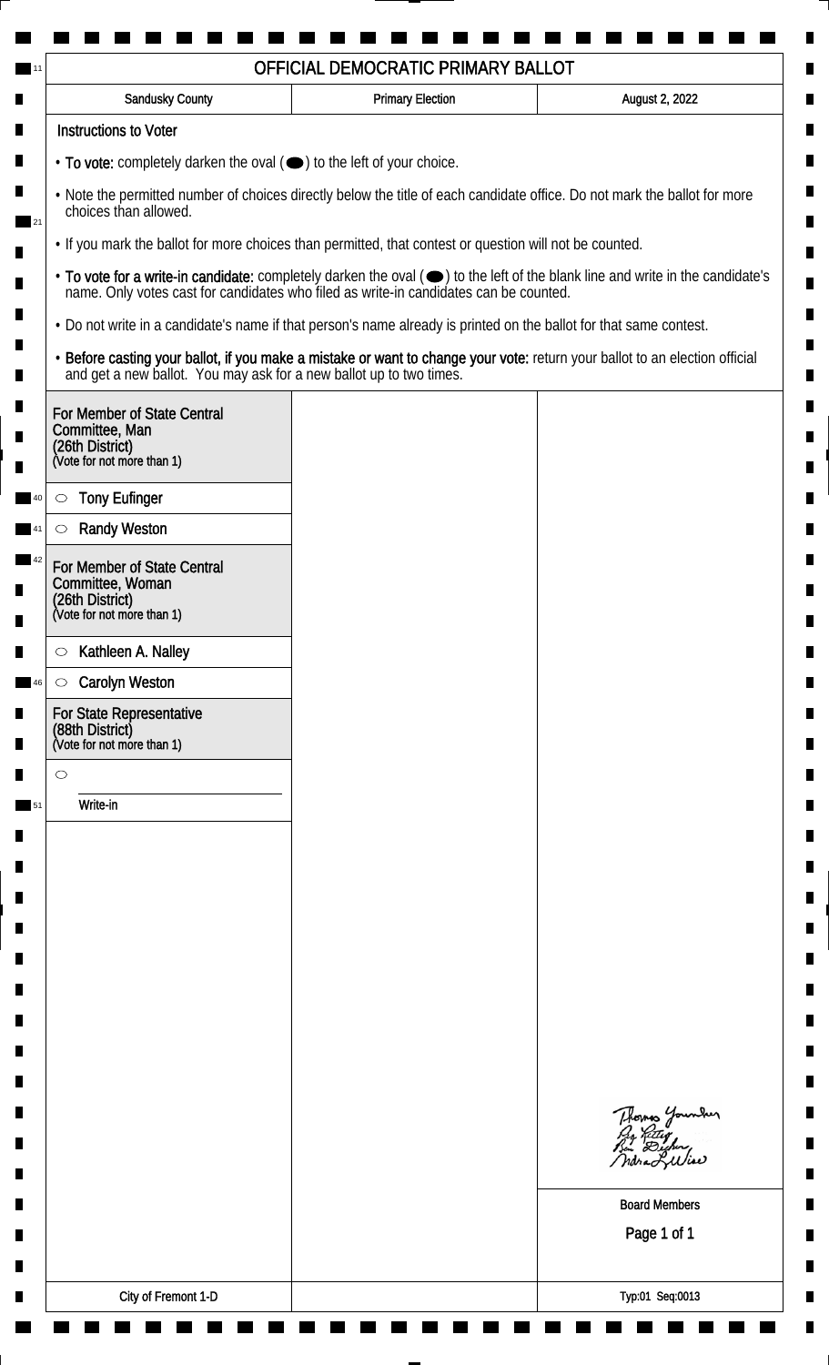| Sandusky County                                                                                                                                    | <b>Primary Election</b>                                                                                                                                                                         | August 2, 2022                                                                                                                                                                                                                 |  |  |
|----------------------------------------------------------------------------------------------------------------------------------------------------|-------------------------------------------------------------------------------------------------------------------------------------------------------------------------------------------------|--------------------------------------------------------------------------------------------------------------------------------------------------------------------------------------------------------------------------------|--|--|
| <b>Instructions to Voter</b>                                                                                                                       |                                                                                                                                                                                                 |                                                                                                                                                                                                                                |  |  |
| • To vote: completely darken the oval (•) to the left of your choice.                                                                              |                                                                                                                                                                                                 |                                                                                                                                                                                                                                |  |  |
| . Note the permitted number of choices directly below the title of each candidate office. Do not mark the ballot for more<br>choices than allowed. |                                                                                                                                                                                                 |                                                                                                                                                                                                                                |  |  |
|                                                                                                                                                    | . If you mark the ballot for more choices than permitted, that contest or question will not be counted.                                                                                         |                                                                                                                                                                                                                                |  |  |
|                                                                                                                                                    |                                                                                                                                                                                                 | • To vote for a write-in candidate: completely darken the oval ( $\bigcirc$ ) to the left of the blank line and write in the candidate's name. Only votes cast for candidates who filed as write-in candidates can be counted. |  |  |
|                                                                                                                                                    | . Do not write in a candidate's name if that person's name already is printed on the ballot for that same contest.                                                                              |                                                                                                                                                                                                                                |  |  |
|                                                                                                                                                    | • Before casting your ballot, if you make a mistake or want to change your vote: return your ballot to an election official and get a new ballot. You may ask for a new ballot up to two times. |                                                                                                                                                                                                                                |  |  |
| For Member of State Central<br>Committee, Man                                                                                                      |                                                                                                                                                                                                 |                                                                                                                                                                                                                                |  |  |
| (26th District)<br>(Vote for not more than 1)                                                                                                      |                                                                                                                                                                                                 |                                                                                                                                                                                                                                |  |  |
| <b>Tony Eufinger</b><br>$\circ$                                                                                                                    |                                                                                                                                                                                                 |                                                                                                                                                                                                                                |  |  |
| <b>Randy Weston</b>                                                                                                                                |                                                                                                                                                                                                 |                                                                                                                                                                                                                                |  |  |
| For Member of State Central<br>Committee, Woman<br>(26th District)<br>(Vote for not more than 1)                                                   |                                                                                                                                                                                                 |                                                                                                                                                                                                                                |  |  |
|                                                                                                                                                    |                                                                                                                                                                                                 |                                                                                                                                                                                                                                |  |  |
| Kathleen A. Nalley<br>$\circ$                                                                                                                      |                                                                                                                                                                                                 |                                                                                                                                                                                                                                |  |  |
| <b>Carolyn Weston</b><br>$\circ$<br>For State Representative                                                                                       |                                                                                                                                                                                                 |                                                                                                                                                                                                                                |  |  |
| (88th District)<br>(Vote for not more than 1)                                                                                                      |                                                                                                                                                                                                 |                                                                                                                                                                                                                                |  |  |
| $\circ$                                                                                                                                            |                                                                                                                                                                                                 |                                                                                                                                                                                                                                |  |  |
| Write-in                                                                                                                                           |                                                                                                                                                                                                 |                                                                                                                                                                                                                                |  |  |
|                                                                                                                                                    |                                                                                                                                                                                                 |                                                                                                                                                                                                                                |  |  |
|                                                                                                                                                    |                                                                                                                                                                                                 |                                                                                                                                                                                                                                |  |  |
|                                                                                                                                                    |                                                                                                                                                                                                 |                                                                                                                                                                                                                                |  |  |
|                                                                                                                                                    |                                                                                                                                                                                                 |                                                                                                                                                                                                                                |  |  |
|                                                                                                                                                    |                                                                                                                                                                                                 |                                                                                                                                                                                                                                |  |  |
|                                                                                                                                                    |                                                                                                                                                                                                 |                                                                                                                                                                                                                                |  |  |
|                                                                                                                                                    |                                                                                                                                                                                                 |                                                                                                                                                                                                                                |  |  |
|                                                                                                                                                    |                                                                                                                                                                                                 |                                                                                                                                                                                                                                |  |  |
|                                                                                                                                                    |                                                                                                                                                                                                 |                                                                                                                                                                                                                                |  |  |
|                                                                                                                                                    |                                                                                                                                                                                                 | Thomas Younder<br>Pro Retter<br>Bin Dicher,                                                                                                                                                                                    |  |  |
|                                                                                                                                                    |                                                                                                                                                                                                 |                                                                                                                                                                                                                                |  |  |
|                                                                                                                                                    |                                                                                                                                                                                                 | <b>Board Members</b>                                                                                                                                                                                                           |  |  |
|                                                                                                                                                    |                                                                                                                                                                                                 | Page 1 of 1                                                                                                                                                                                                                    |  |  |
|                                                                                                                                                    |                                                                                                                                                                                                 |                                                                                                                                                                                                                                |  |  |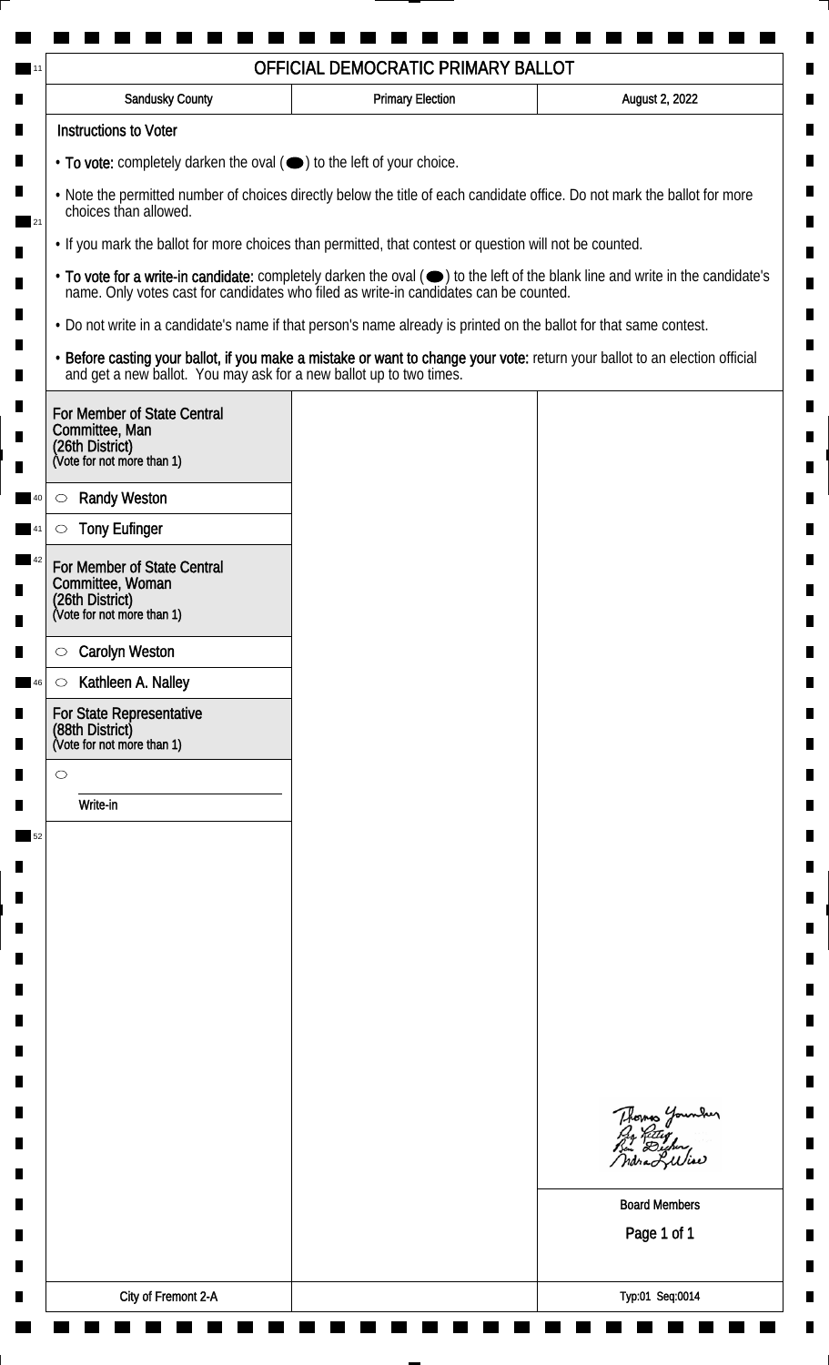| <b>Sandusky County</b>                                                                                                                             | <b>Primary Election</b>                                                                                            | August 2, 2022                                                                                                                                                                                                                 |
|----------------------------------------------------------------------------------------------------------------------------------------------------|--------------------------------------------------------------------------------------------------------------------|--------------------------------------------------------------------------------------------------------------------------------------------------------------------------------------------------------------------------------|
| <b>Instructions to Voter</b>                                                                                                                       |                                                                                                                    |                                                                                                                                                                                                                                |
| • To vote: completely darken the oval (•) to the left of your choice.                                                                              |                                                                                                                    |                                                                                                                                                                                                                                |
| . Note the permitted number of choices directly below the title of each candidate office. Do not mark the ballot for more<br>choices than allowed. |                                                                                                                    |                                                                                                                                                                                                                                |
|                                                                                                                                                    | • If you mark the ballot for more choices than permitted, that contest or question will not be counted.            |                                                                                                                                                                                                                                |
|                                                                                                                                                    |                                                                                                                    | • To vote for a write-in candidate: completely darken the oval ( $\bigcirc$ ) to the left of the blank line and write in the candidate's name. Only votes cast for candidates who filed as write-in candidates can be counted. |
|                                                                                                                                                    | . Do not write in a candidate's name if that person's name already is printed on the ballot for that same contest. |                                                                                                                                                                                                                                |
|                                                                                                                                                    |                                                                                                                    | • Before casting your ballot, if you make a mistake or want to change your vote: return your ballot to an election official and get a new ballot. You may ask for a new ballot up to two times.                                |
| For Member of State Central<br>Committee, Man<br>(26th District)<br>(Vote for not more than 1)                                                     |                                                                                                                    |                                                                                                                                                                                                                                |
| <b>Randy Weston</b><br>$\circ$                                                                                                                     |                                                                                                                    |                                                                                                                                                                                                                                |
| <b>Tony Eufinger</b>                                                                                                                               |                                                                                                                    |                                                                                                                                                                                                                                |
| For Member of State Central<br>Committee, Woman<br>(26th District)<br>(Vote for not more than 1)                                                   |                                                                                                                    |                                                                                                                                                                                                                                |
| <b>Carolyn Weston</b><br>$\circ$                                                                                                                   |                                                                                                                    |                                                                                                                                                                                                                                |
| Kathleen A. Nalley<br>$\circ$                                                                                                                      |                                                                                                                    |                                                                                                                                                                                                                                |
| For State Representative<br>(88th District)<br>(Vote for not more than 1)                                                                          |                                                                                                                    |                                                                                                                                                                                                                                |
| $\circ$                                                                                                                                            |                                                                                                                    |                                                                                                                                                                                                                                |
| Write-in                                                                                                                                           |                                                                                                                    |                                                                                                                                                                                                                                |
|                                                                                                                                                    |                                                                                                                    |                                                                                                                                                                                                                                |
|                                                                                                                                                    |                                                                                                                    |                                                                                                                                                                                                                                |
|                                                                                                                                                    |                                                                                                                    |                                                                                                                                                                                                                                |
|                                                                                                                                                    |                                                                                                                    |                                                                                                                                                                                                                                |
|                                                                                                                                                    |                                                                                                                    |                                                                                                                                                                                                                                |
|                                                                                                                                                    |                                                                                                                    |                                                                                                                                                                                                                                |
|                                                                                                                                                    |                                                                                                                    |                                                                                                                                                                                                                                |
|                                                                                                                                                    |                                                                                                                    |                                                                                                                                                                                                                                |
|                                                                                                                                                    |                                                                                                                    |                                                                                                                                                                                                                                |
|                                                                                                                                                    |                                                                                                                    | Thomas Younder                                                                                                                                                                                                                 |
|                                                                                                                                                    |                                                                                                                    | <b>Board Members</b><br>Page 1 of 1                                                                                                                                                                                            |
|                                                                                                                                                    |                                                                                                                    |                                                                                                                                                                                                                                |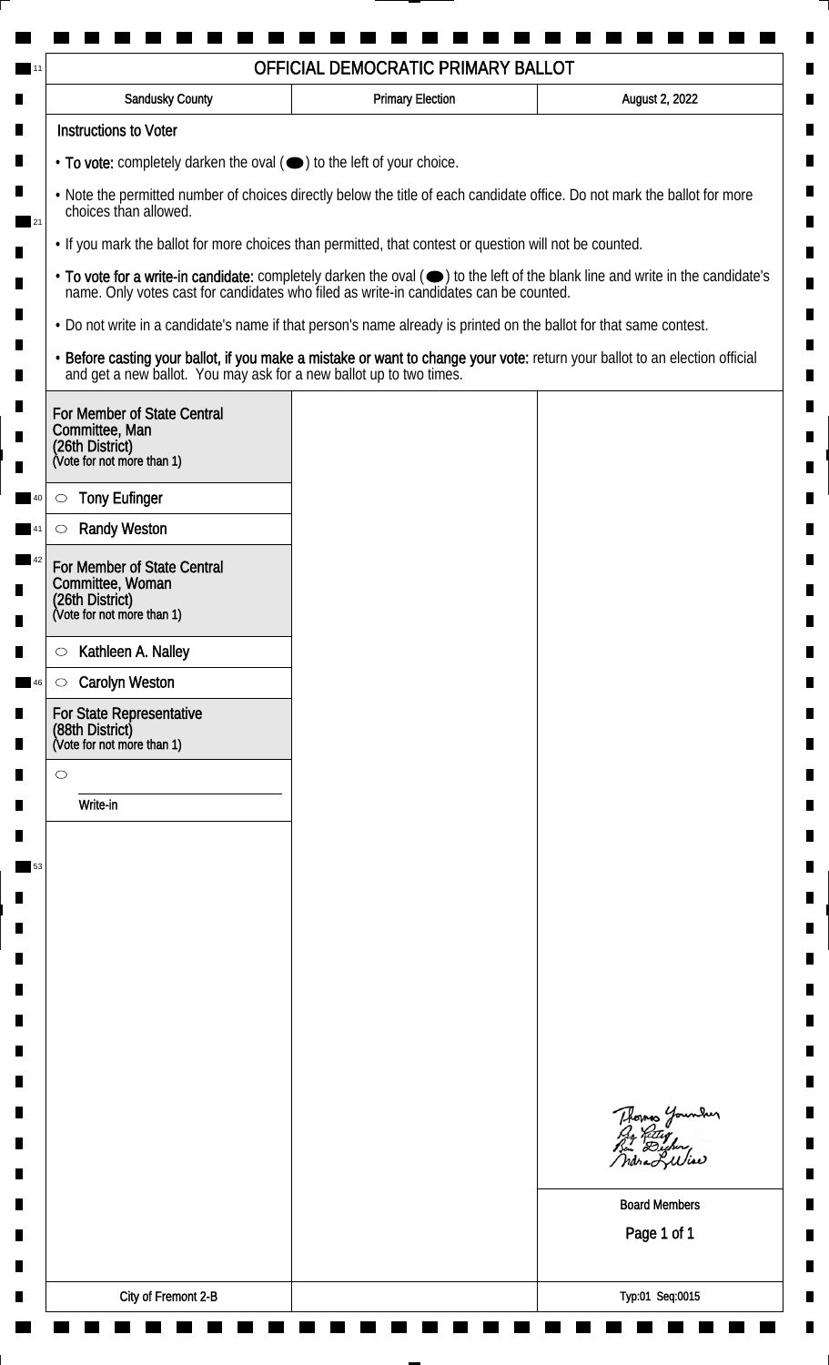| <b>Sandusky County</b>                                                                                             | <b>Primary Election</b> | August 2, 2022                                                                                                                                                                                                                 |
|--------------------------------------------------------------------------------------------------------------------|-------------------------|--------------------------------------------------------------------------------------------------------------------------------------------------------------------------------------------------------------------------------|
| <b>Instructions to Voter</b>                                                                                       |                         |                                                                                                                                                                                                                                |
| • To vote: completely darken the oval ( $\bigcirc$ ) to the left of your choice.                                   |                         |                                                                                                                                                                                                                                |
| choices than allowed.                                                                                              |                         | . Note the permitted number of choices directly below the title of each candidate office. Do not mark the ballot for more                                                                                                      |
| . If you mark the ballot for more choices than permitted, that contest or question will not be counted.            |                         |                                                                                                                                                                                                                                |
|                                                                                                                    |                         | • To vote for a write-in candidate: completely darken the oval ( $\bigcirc$ ) to the left of the blank line and write in the candidate's name. Only votes cast for candidates who filed as write-in candidates can be counted. |
| . Do not write in a candidate's name if that person's name already is printed on the ballot for that same contest. |                         |                                                                                                                                                                                                                                |
|                                                                                                                    |                         | • Before casting your ballot, if you make a mistake or want to change your vote: return your ballot to an election official and get a new ballot. You may ask for a new ballot up to two times.                                |
| For Member of State Central<br>Committee, Man<br>(26th District)<br>(Vote for not more than 1)                     |                         |                                                                                                                                                                                                                                |
|                                                                                                                    |                         |                                                                                                                                                                                                                                |
| <b>Tony Eufinger</b><br>$\circ$                                                                                    |                         |                                                                                                                                                                                                                                |
| <b>Randy Weston</b>                                                                                                |                         |                                                                                                                                                                                                                                |
| For Member of State Central<br>Committee, Woman<br>(26th District)<br>(Vote for not more than 1)                   |                         |                                                                                                                                                                                                                                |
| Kathleen A. Nalley<br>$\circ$                                                                                      |                         |                                                                                                                                                                                                                                |
| <b>Carolyn Weston</b><br>$\circ$                                                                                   |                         |                                                                                                                                                                                                                                |
| For State Representative<br>(88th District)<br>(Vote for not more than 1)                                          |                         |                                                                                                                                                                                                                                |
| $\circ$                                                                                                            |                         |                                                                                                                                                                                                                                |
| Write-in                                                                                                           |                         |                                                                                                                                                                                                                                |
|                                                                                                                    |                         |                                                                                                                                                                                                                                |
|                                                                                                                    |                         |                                                                                                                                                                                                                                |
|                                                                                                                    |                         |                                                                                                                                                                                                                                |
|                                                                                                                    |                         |                                                                                                                                                                                                                                |
|                                                                                                                    |                         |                                                                                                                                                                                                                                |
|                                                                                                                    |                         |                                                                                                                                                                                                                                |
|                                                                                                                    |                         |                                                                                                                                                                                                                                |
|                                                                                                                    |                         |                                                                                                                                                                                                                                |
|                                                                                                                    |                         |                                                                                                                                                                                                                                |
|                                                                                                                    |                         | Thomas Younder                                                                                                                                                                                                                 |
|                                                                                                                    |                         | <b>Board Members</b>                                                                                                                                                                                                           |
|                                                                                                                    |                         | Page 1 of 1                                                                                                                                                                                                                    |
|                                                                                                                    |                         |                                                                                                                                                                                                                                |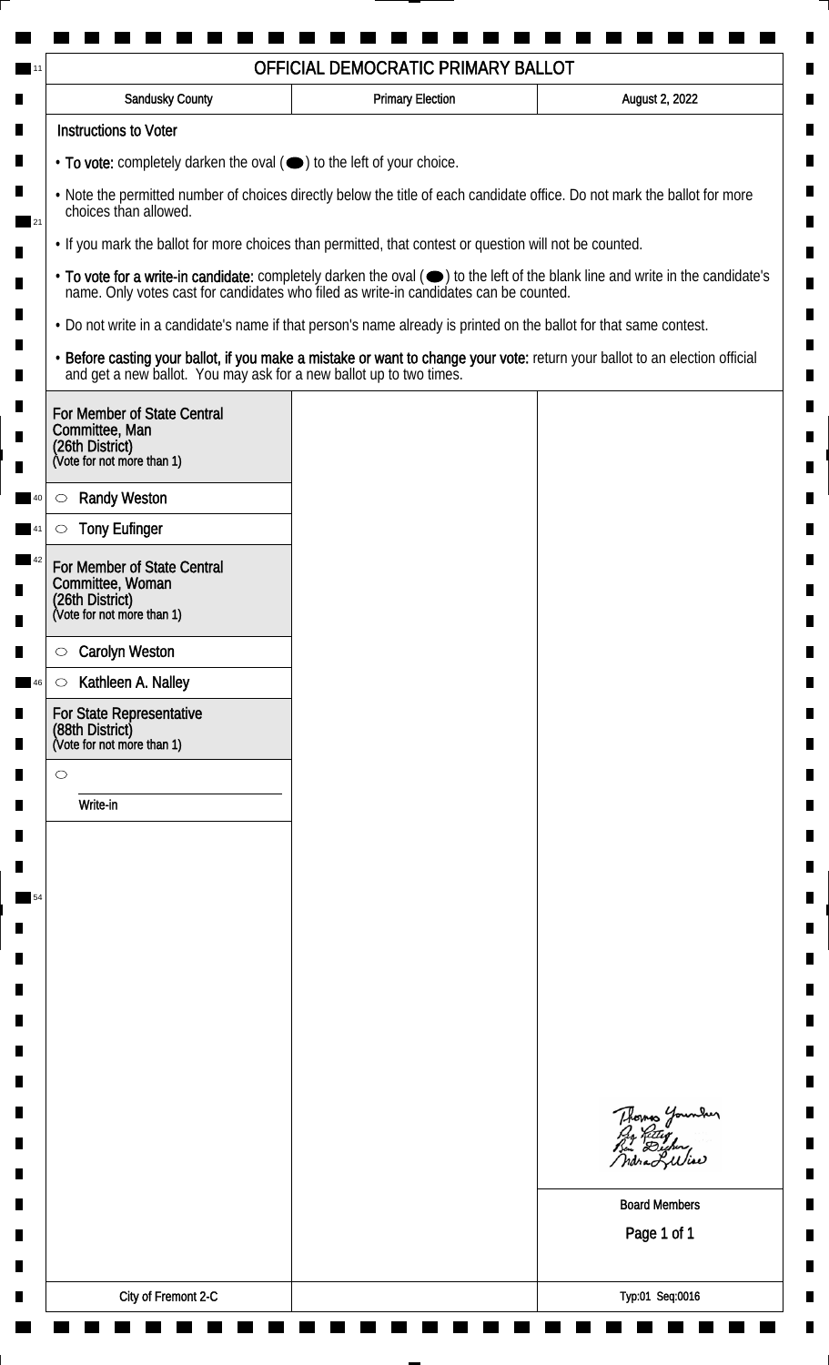| <b>Sandusky County</b>                                                                                             | <b>Primary Election</b> | August 2, 2022                                                                                                                                                                                                                 |
|--------------------------------------------------------------------------------------------------------------------|-------------------------|--------------------------------------------------------------------------------------------------------------------------------------------------------------------------------------------------------------------------------|
| <b>Instructions to Voter</b>                                                                                       |                         |                                                                                                                                                                                                                                |
| • To vote: completely darken the oval ( $\bigcirc$ ) to the left of your choice.                                   |                         |                                                                                                                                                                                                                                |
| choices than allowed.                                                                                              |                         | . Note the permitted number of choices directly below the title of each candidate office. Do not mark the ballot for more                                                                                                      |
| . If you mark the ballot for more choices than permitted, that contest or question will not be counted.            |                         |                                                                                                                                                                                                                                |
|                                                                                                                    |                         | • To vote for a write-in candidate: completely darken the oval ( $\bigcirc$ ) to the left of the blank line and write in the candidate's name. Only votes cast for candidates who filed as write-in candidates can be counted. |
| . Do not write in a candidate's name if that person's name already is printed on the ballot for that same contest. |                         |                                                                                                                                                                                                                                |
|                                                                                                                    |                         | • Before casting your ballot, if you make a mistake or want to change your vote: return your ballot to an election official and get a new ballot. You may ask for a new ballot up to two times.                                |
| For Member of State Central<br>Committee, Man<br>(26th District)<br>(Vote for not more than 1)                     |                         |                                                                                                                                                                                                                                |
|                                                                                                                    |                         |                                                                                                                                                                                                                                |
| <b>Randy Weston</b><br>$\circ$<br><b>Tony Eufinger</b>                                                             |                         |                                                                                                                                                                                                                                |
| For Member of State Central                                                                                        |                         |                                                                                                                                                                                                                                |
| Committee, Woman<br>(26th District)<br>(Vote for not more than 1)                                                  |                         |                                                                                                                                                                                                                                |
| <b>Carolyn Weston</b><br>$\circ$                                                                                   |                         |                                                                                                                                                                                                                                |
| Kathleen A. Nalley<br>$\circ$                                                                                      |                         |                                                                                                                                                                                                                                |
| For State Representative<br>(88th District)<br>(Vote for not more than 1)                                          |                         |                                                                                                                                                                                                                                |
| $\circ$                                                                                                            |                         |                                                                                                                                                                                                                                |
| Write-in                                                                                                           |                         |                                                                                                                                                                                                                                |
|                                                                                                                    |                         |                                                                                                                                                                                                                                |
|                                                                                                                    |                         |                                                                                                                                                                                                                                |
|                                                                                                                    |                         |                                                                                                                                                                                                                                |
|                                                                                                                    |                         |                                                                                                                                                                                                                                |
|                                                                                                                    |                         |                                                                                                                                                                                                                                |
|                                                                                                                    |                         |                                                                                                                                                                                                                                |
|                                                                                                                    |                         |                                                                                                                                                                                                                                |
|                                                                                                                    |                         |                                                                                                                                                                                                                                |
|                                                                                                                    |                         |                                                                                                                                                                                                                                |
|                                                                                                                    |                         | Thomas Younder                                                                                                                                                                                                                 |
|                                                                                                                    |                         |                                                                                                                                                                                                                                |
|                                                                                                                    |                         | <b>Board Members</b>                                                                                                                                                                                                           |
|                                                                                                                    |                         | Page 1 of 1                                                                                                                                                                                                                    |
|                                                                                                                    |                         |                                                                                                                                                                                                                                |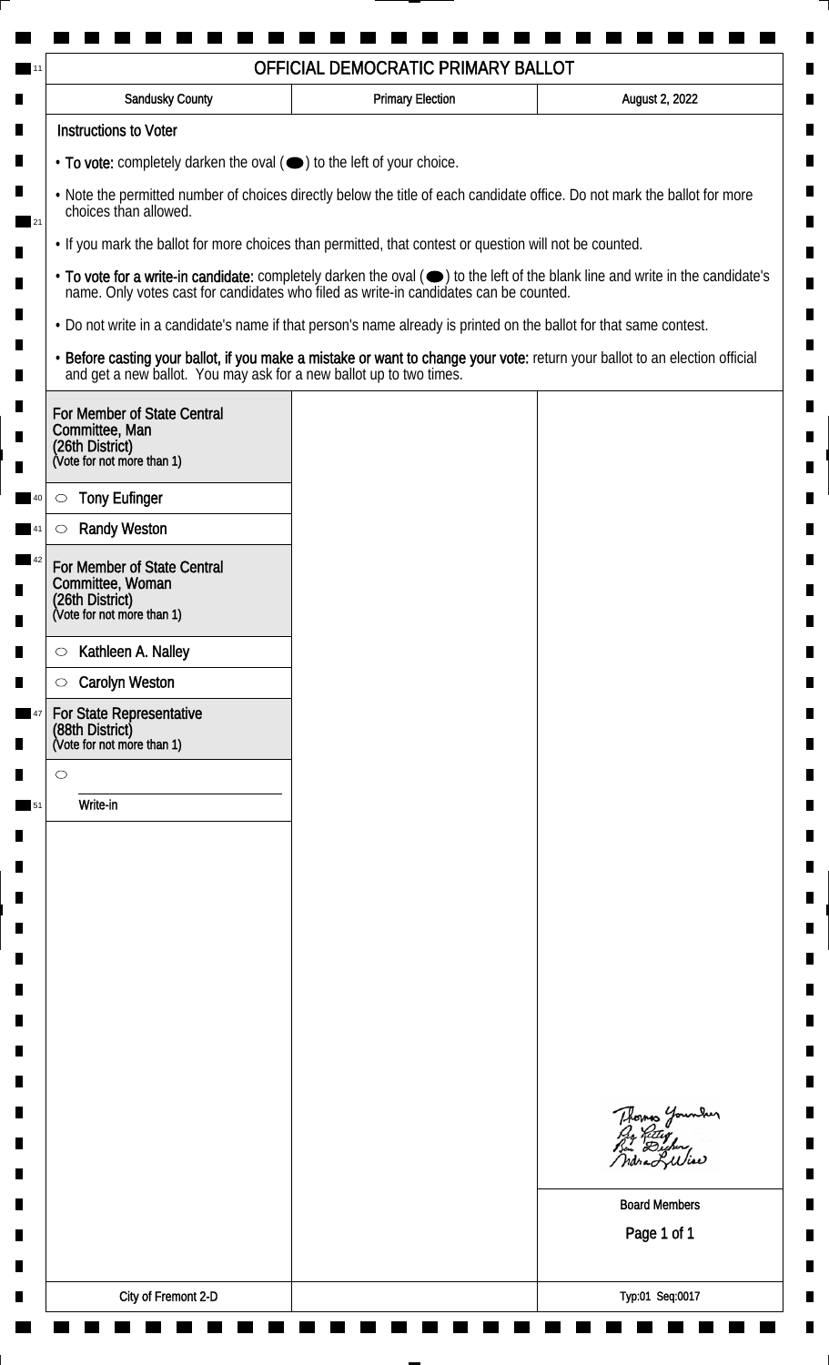| <b>Instructions to Voter</b><br>• To vote: completely darken the oval (•) to the left of your choice.<br>. Note the permitted number of choices directly below the title of each candidate office. Do not mark the ballot for more<br>choices than allowed.<br>. If you mark the ballot for more choices than permitted, that contest or question will not be counted.<br>• To vote for a write-in candidate: completely darken the oval ( $\bigcirc$ ) to the left of the blank line and write in the candidate's name. Only votes cast for candidates who filed as write-in candidates can be counted.<br>. Do not write in a candidate's name if that person's name already is printed on the ballot for that same contest.<br>• Before casting your ballot, if you make a mistake or want to change your vote: return your ballot to an election official and get a new ballot. You may ask for a new ballot up to two times.<br>For Member of State Central<br>Committee, Man<br>(26th District)<br>(Vote for not more than 1)<br><b>Tony Eufinger</b><br>$\circ$<br><b>Randy Weston</b><br>For Member of State Central<br>(26th District)<br>(Vote for not more than 1)<br>Kathleen A. Nalley<br>$\circ$<br><b>Carolyn Weston</b><br>$\circ$<br>For State Representative<br>(Vote for not more than 1)<br>$\circ$<br>Write-in<br>Thomas Younder<br>Pro Retter<br>Bin Dicher,<br><b>Board Members</b><br>Page 1 of 1 | Sandusky County  | <b>Primary Election</b> | August 2, 2022 |
|---------------------------------------------------------------------------------------------------------------------------------------------------------------------------------------------------------------------------------------------------------------------------------------------------------------------------------------------------------------------------------------------------------------------------------------------------------------------------------------------------------------------------------------------------------------------------------------------------------------------------------------------------------------------------------------------------------------------------------------------------------------------------------------------------------------------------------------------------------------------------------------------------------------------------------------------------------------------------------------------------------------------------------------------------------------------------------------------------------------------------------------------------------------------------------------------------------------------------------------------------------------------------------------------------------------------------------------------------------------------------------------------------------------------------|------------------|-------------------------|----------------|
|                                                                                                                                                                                                                                                                                                                                                                                                                                                                                                                                                                                                                                                                                                                                                                                                                                                                                                                                                                                                                                                                                                                                                                                                                                                                                                                                                                                                                           |                  |                         |                |
|                                                                                                                                                                                                                                                                                                                                                                                                                                                                                                                                                                                                                                                                                                                                                                                                                                                                                                                                                                                                                                                                                                                                                                                                                                                                                                                                                                                                                           |                  |                         |                |
|                                                                                                                                                                                                                                                                                                                                                                                                                                                                                                                                                                                                                                                                                                                                                                                                                                                                                                                                                                                                                                                                                                                                                                                                                                                                                                                                                                                                                           |                  |                         |                |
|                                                                                                                                                                                                                                                                                                                                                                                                                                                                                                                                                                                                                                                                                                                                                                                                                                                                                                                                                                                                                                                                                                                                                                                                                                                                                                                                                                                                                           |                  |                         |                |
|                                                                                                                                                                                                                                                                                                                                                                                                                                                                                                                                                                                                                                                                                                                                                                                                                                                                                                                                                                                                                                                                                                                                                                                                                                                                                                                                                                                                                           |                  |                         |                |
|                                                                                                                                                                                                                                                                                                                                                                                                                                                                                                                                                                                                                                                                                                                                                                                                                                                                                                                                                                                                                                                                                                                                                                                                                                                                                                                                                                                                                           |                  |                         |                |
|                                                                                                                                                                                                                                                                                                                                                                                                                                                                                                                                                                                                                                                                                                                                                                                                                                                                                                                                                                                                                                                                                                                                                                                                                                                                                                                                                                                                                           |                  |                         |                |
|                                                                                                                                                                                                                                                                                                                                                                                                                                                                                                                                                                                                                                                                                                                                                                                                                                                                                                                                                                                                                                                                                                                                                                                                                                                                                                                                                                                                                           |                  |                         |                |
|                                                                                                                                                                                                                                                                                                                                                                                                                                                                                                                                                                                                                                                                                                                                                                                                                                                                                                                                                                                                                                                                                                                                                                                                                                                                                                                                                                                                                           |                  |                         |                |
|                                                                                                                                                                                                                                                                                                                                                                                                                                                                                                                                                                                                                                                                                                                                                                                                                                                                                                                                                                                                                                                                                                                                                                                                                                                                                                                                                                                                                           |                  |                         |                |
|                                                                                                                                                                                                                                                                                                                                                                                                                                                                                                                                                                                                                                                                                                                                                                                                                                                                                                                                                                                                                                                                                                                                                                                                                                                                                                                                                                                                                           |                  |                         |                |
|                                                                                                                                                                                                                                                                                                                                                                                                                                                                                                                                                                                                                                                                                                                                                                                                                                                                                                                                                                                                                                                                                                                                                                                                                                                                                                                                                                                                                           | Committee, Woman |                         |                |
|                                                                                                                                                                                                                                                                                                                                                                                                                                                                                                                                                                                                                                                                                                                                                                                                                                                                                                                                                                                                                                                                                                                                                                                                                                                                                                                                                                                                                           |                  |                         |                |
|                                                                                                                                                                                                                                                                                                                                                                                                                                                                                                                                                                                                                                                                                                                                                                                                                                                                                                                                                                                                                                                                                                                                                                                                                                                                                                                                                                                                                           |                  |                         |                |
|                                                                                                                                                                                                                                                                                                                                                                                                                                                                                                                                                                                                                                                                                                                                                                                                                                                                                                                                                                                                                                                                                                                                                                                                                                                                                                                                                                                                                           |                  |                         |                |
|                                                                                                                                                                                                                                                                                                                                                                                                                                                                                                                                                                                                                                                                                                                                                                                                                                                                                                                                                                                                                                                                                                                                                                                                                                                                                                                                                                                                                           | (88th District)  |                         |                |
|                                                                                                                                                                                                                                                                                                                                                                                                                                                                                                                                                                                                                                                                                                                                                                                                                                                                                                                                                                                                                                                                                                                                                                                                                                                                                                                                                                                                                           |                  |                         |                |
|                                                                                                                                                                                                                                                                                                                                                                                                                                                                                                                                                                                                                                                                                                                                                                                                                                                                                                                                                                                                                                                                                                                                                                                                                                                                                                                                                                                                                           |                  |                         |                |
|                                                                                                                                                                                                                                                                                                                                                                                                                                                                                                                                                                                                                                                                                                                                                                                                                                                                                                                                                                                                                                                                                                                                                                                                                                                                                                                                                                                                                           |                  |                         |                |
|                                                                                                                                                                                                                                                                                                                                                                                                                                                                                                                                                                                                                                                                                                                                                                                                                                                                                                                                                                                                                                                                                                                                                                                                                                                                                                                                                                                                                           |                  |                         |                |
|                                                                                                                                                                                                                                                                                                                                                                                                                                                                                                                                                                                                                                                                                                                                                                                                                                                                                                                                                                                                                                                                                                                                                                                                                                                                                                                                                                                                                           |                  |                         |                |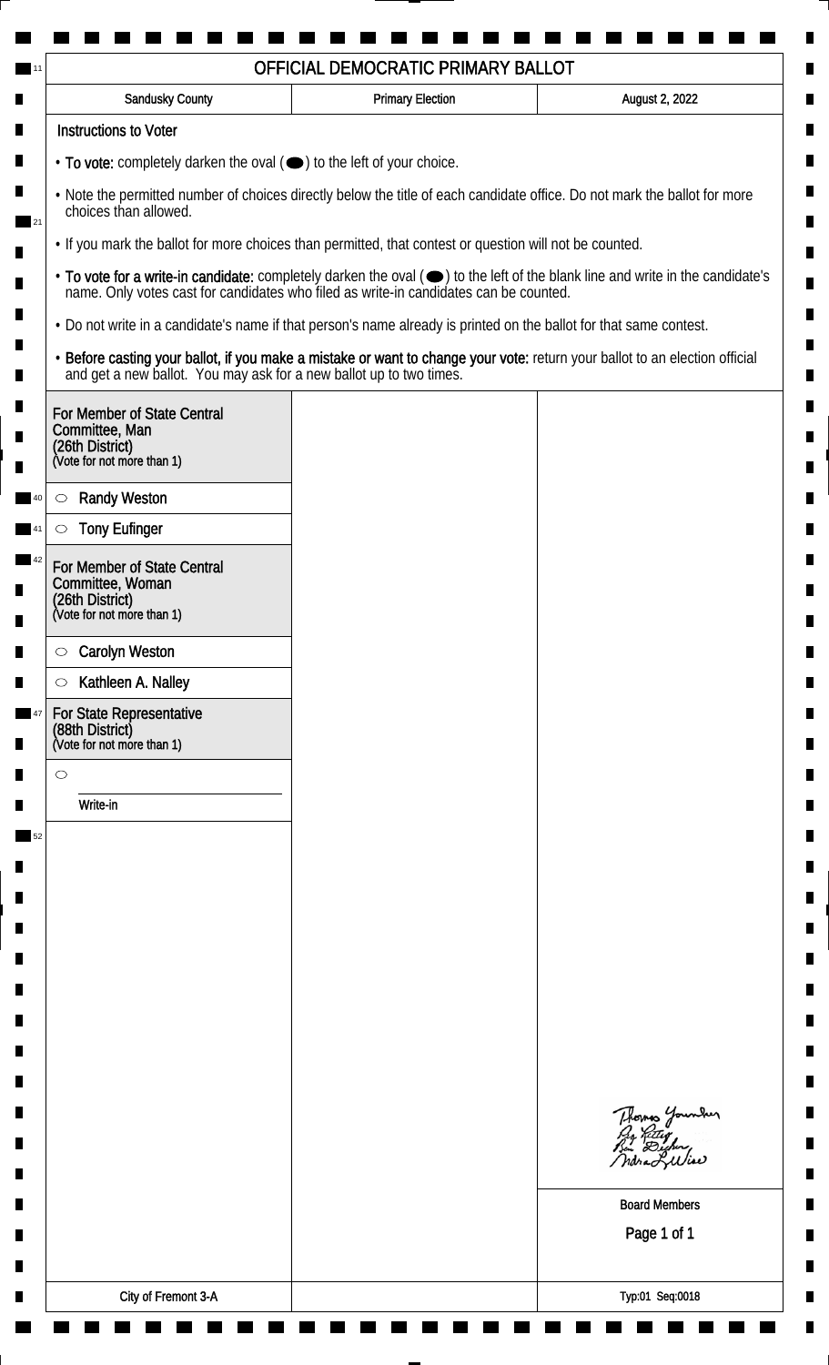| <b>Sandusky County</b>                                                                                             | <b>Primary Election</b> | August 2, 2022                                                                                                                                                                                                                 |
|--------------------------------------------------------------------------------------------------------------------|-------------------------|--------------------------------------------------------------------------------------------------------------------------------------------------------------------------------------------------------------------------------|
| <b>Instructions to Voter</b>                                                                                       |                         |                                                                                                                                                                                                                                |
| • To vote: completely darken the oval (•) to the left of your choice.                                              |                         |                                                                                                                                                                                                                                |
| choices than allowed.                                                                                              |                         | . Note the permitted number of choices directly below the title of each candidate office. Do not mark the ballot for more                                                                                                      |
| . If you mark the ballot for more choices than permitted, that contest or question will not be counted.            |                         |                                                                                                                                                                                                                                |
|                                                                                                                    |                         | • To vote for a write-in candidate: completely darken the oval ( $\bigcirc$ ) to the left of the blank line and write in the candidate's name. Only votes cast for candidates who filed as write-in candidates can be counted. |
| • Do not write in a candidate's name if that person's name already is printed on the ballot for that same contest. |                         |                                                                                                                                                                                                                                |
| and get a new ballot. You may ask for a new ballot up to two times.                                                |                         | · Before casting your ballot, if you make a mistake or want to change your vote: return your ballot to an election official                                                                                                    |
| For Member of State Central<br>Committee, Man<br>(26th District)<br>(Vote for not more than 1)                     |                         |                                                                                                                                                                                                                                |
| <b>Randy Weston</b><br>$\circlearrowright$                                                                         |                         |                                                                                                                                                                                                                                |
| <b>Tony Eufinger</b>                                                                                               |                         |                                                                                                                                                                                                                                |
| For Member of State Central                                                                                        |                         |                                                                                                                                                                                                                                |
| Committee, Woman<br>(26th District)                                                                                |                         |                                                                                                                                                                                                                                |
| (Vote for not more than 1)                                                                                         |                         |                                                                                                                                                                                                                                |
| <b>Carolyn Weston</b><br>$\circ$                                                                                   |                         |                                                                                                                                                                                                                                |
| Kathleen A. Nalley<br>$\circlearrowright$                                                                          |                         |                                                                                                                                                                                                                                |
| For State Representative<br>(88th District)<br>(Vote for not more than 1)                                          |                         |                                                                                                                                                                                                                                |
| $\circ$                                                                                                            |                         |                                                                                                                                                                                                                                |
| Write-in                                                                                                           |                         |                                                                                                                                                                                                                                |
|                                                                                                                    |                         |                                                                                                                                                                                                                                |
|                                                                                                                    |                         |                                                                                                                                                                                                                                |
|                                                                                                                    |                         |                                                                                                                                                                                                                                |
|                                                                                                                    |                         |                                                                                                                                                                                                                                |
|                                                                                                                    |                         |                                                                                                                                                                                                                                |
|                                                                                                                    |                         |                                                                                                                                                                                                                                |
|                                                                                                                    |                         |                                                                                                                                                                                                                                |
|                                                                                                                    |                         |                                                                                                                                                                                                                                |
|                                                                                                                    |                         |                                                                                                                                                                                                                                |
|                                                                                                                    |                         | Thomas Younder                                                                                                                                                                                                                 |
|                                                                                                                    |                         |                                                                                                                                                                                                                                |
|                                                                                                                    |                         | <b>Board Members</b>                                                                                                                                                                                                           |
|                                                                                                                    |                         | Page 1 of 1                                                                                                                                                                                                                    |
|                                                                                                                    |                         |                                                                                                                                                                                                                                |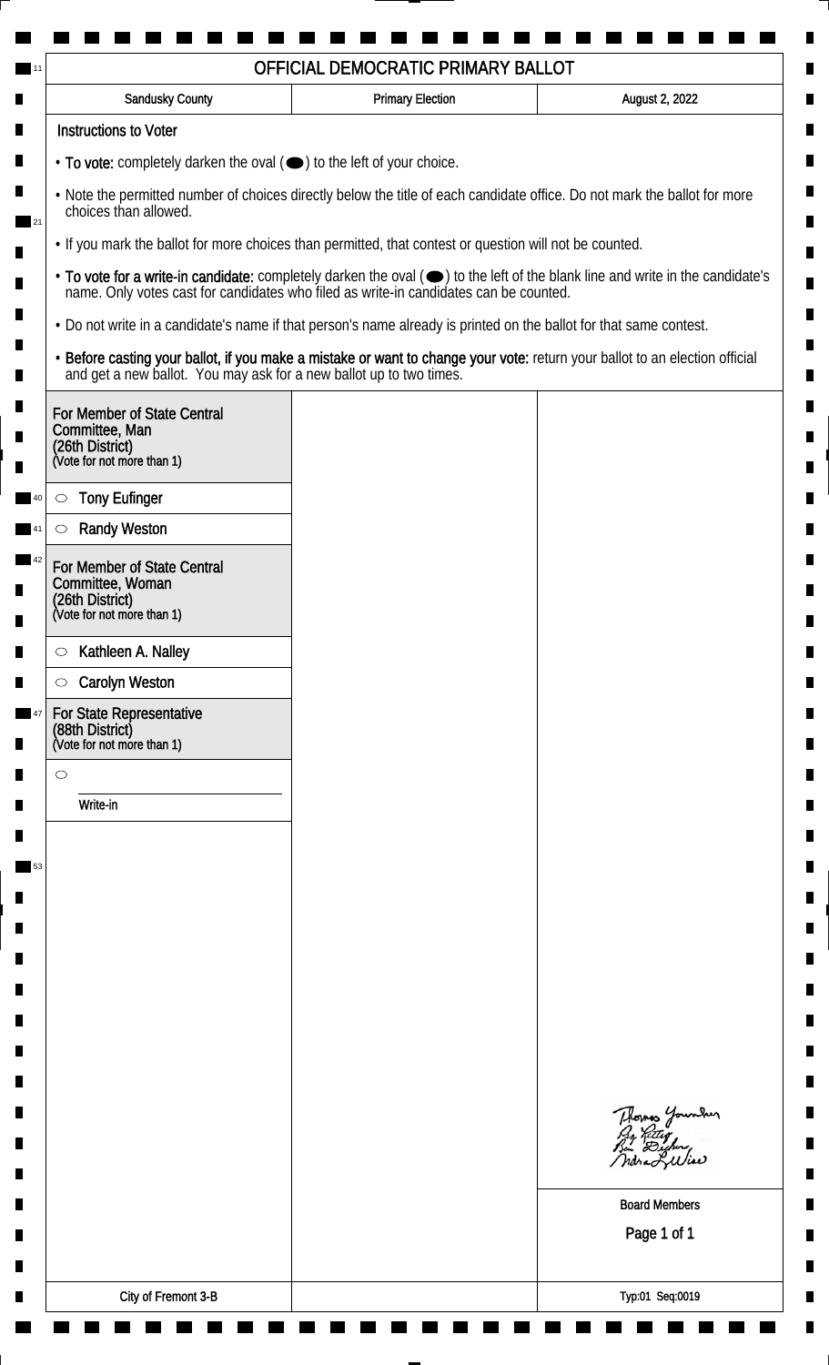| Sandusky County                                                           | <b>Primary Election</b>                                                                                                                                                                         | August 2, 2022                                                                                                                                                                                                                 |
|---------------------------------------------------------------------------|-------------------------------------------------------------------------------------------------------------------------------------------------------------------------------------------------|--------------------------------------------------------------------------------------------------------------------------------------------------------------------------------------------------------------------------------|
| <b>Instructions to Voter</b>                                              |                                                                                                                                                                                                 |                                                                                                                                                                                                                                |
| • To vote: completely darken the oval (•) to the left of your choice.     |                                                                                                                                                                                                 |                                                                                                                                                                                                                                |
| choices than allowed.                                                     | . Note the permitted number of choices directly below the title of each candidate office. Do not mark the ballot for more                                                                       |                                                                                                                                                                                                                                |
|                                                                           | . If you mark the ballot for more choices than permitted, that contest or question will not be counted.                                                                                         |                                                                                                                                                                                                                                |
|                                                                           |                                                                                                                                                                                                 | • To vote for a write-in candidate: completely darken the oval ( $\bigcirc$ ) to the left of the blank line and write in the candidate's name. Only votes cast for candidates who filed as write-in candidates can be counted. |
|                                                                           | • Do not write in a candidate's name if that person's name already is printed on the ballot for that same contest.                                                                              |                                                                                                                                                                                                                                |
|                                                                           | • Before casting your ballot, if you make a mistake or want to change your vote: return your ballot to an election official and get a new ballot. You may ask for a new ballot up to two times. |                                                                                                                                                                                                                                |
| For Member of State Central<br>Committee, Man                             |                                                                                                                                                                                                 |                                                                                                                                                                                                                                |
| (26th District)<br>(Vote for not more than 1)                             |                                                                                                                                                                                                 |                                                                                                                                                                                                                                |
| <b>Tony Eufinger</b><br>$\circ$                                           |                                                                                                                                                                                                 |                                                                                                                                                                                                                                |
| <b>Randy Weston</b>                                                       |                                                                                                                                                                                                 |                                                                                                                                                                                                                                |
| For Member of State Central<br>Committee, Woman                           |                                                                                                                                                                                                 |                                                                                                                                                                                                                                |
| (26th District)<br>(Vote for not more than 1)                             |                                                                                                                                                                                                 |                                                                                                                                                                                                                                |
| Kathleen A. Nalley<br>$\circ$                                             |                                                                                                                                                                                                 |                                                                                                                                                                                                                                |
| <b>Carolyn Weston</b><br>$\circ$                                          |                                                                                                                                                                                                 |                                                                                                                                                                                                                                |
| For State Representative<br>(88th District)<br>(Vote for not more than 1) |                                                                                                                                                                                                 |                                                                                                                                                                                                                                |
| $\circ$                                                                   |                                                                                                                                                                                                 |                                                                                                                                                                                                                                |
| Write-in                                                                  |                                                                                                                                                                                                 |                                                                                                                                                                                                                                |
|                                                                           |                                                                                                                                                                                                 |                                                                                                                                                                                                                                |
|                                                                           |                                                                                                                                                                                                 |                                                                                                                                                                                                                                |
|                                                                           |                                                                                                                                                                                                 |                                                                                                                                                                                                                                |
|                                                                           |                                                                                                                                                                                                 |                                                                                                                                                                                                                                |
|                                                                           |                                                                                                                                                                                                 |                                                                                                                                                                                                                                |
|                                                                           |                                                                                                                                                                                                 |                                                                                                                                                                                                                                |
|                                                                           |                                                                                                                                                                                                 |                                                                                                                                                                                                                                |
|                                                                           |                                                                                                                                                                                                 |                                                                                                                                                                                                                                |
|                                                                           |                                                                                                                                                                                                 |                                                                                                                                                                                                                                |
|                                                                           |                                                                                                                                                                                                 | Thomas Younder<br>Pro Retter<br>Bin Dicher,                                                                                                                                                                                    |
|                                                                           |                                                                                                                                                                                                 | ndra Luliae                                                                                                                                                                                                                    |
|                                                                           |                                                                                                                                                                                                 | <b>Board Members</b>                                                                                                                                                                                                           |
|                                                                           |                                                                                                                                                                                                 | Page 1 of 1                                                                                                                                                                                                                    |
|                                                                           |                                                                                                                                                                                                 |                                                                                                                                                                                                                                |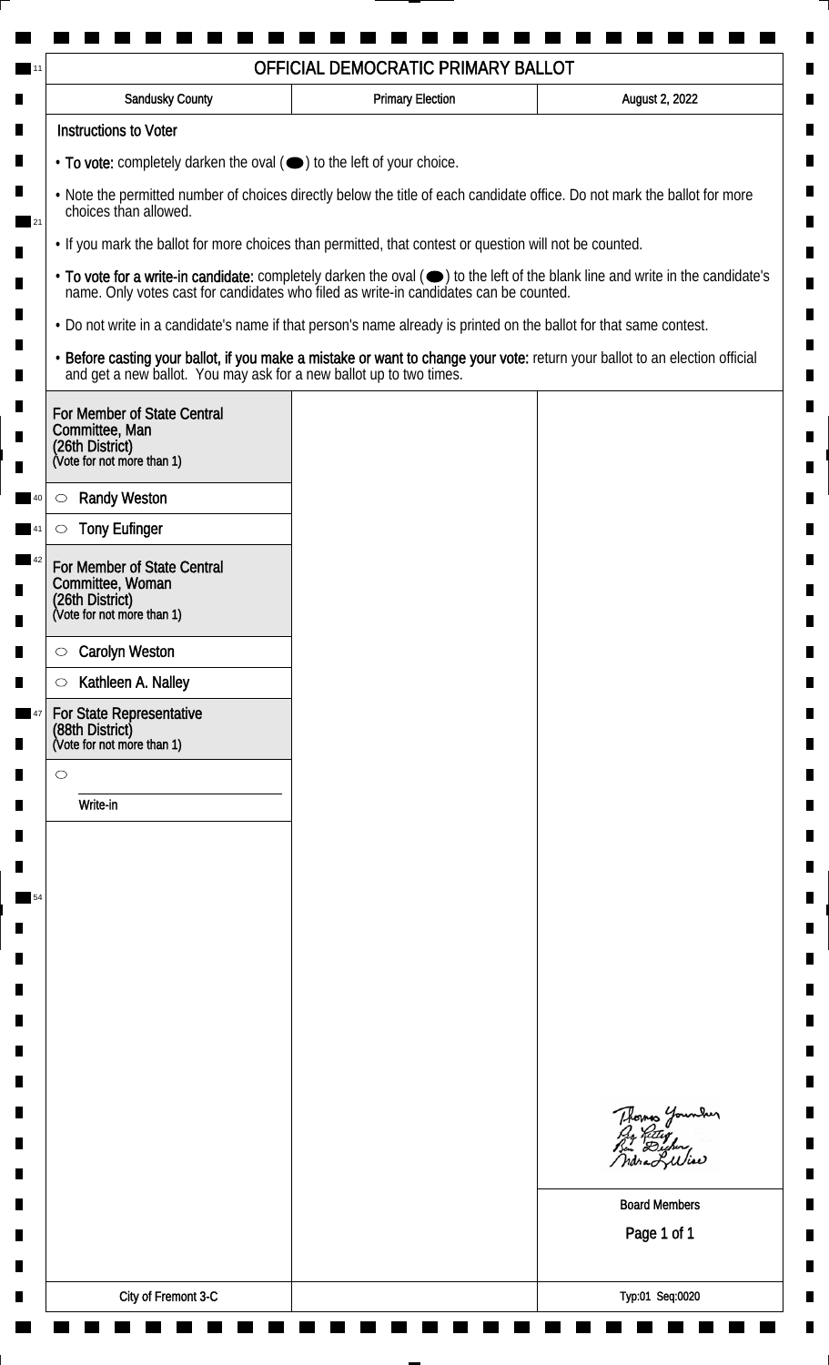| <b>Sandusky County</b>                                                                                             | <b>Primary Election</b> | August 2, 2022                                                                                                                                                                                                                 |
|--------------------------------------------------------------------------------------------------------------------|-------------------------|--------------------------------------------------------------------------------------------------------------------------------------------------------------------------------------------------------------------------------|
| <b>Instructions to Voter</b>                                                                                       |                         |                                                                                                                                                                                                                                |
| • To vote: completely darken the oval ( $\bigcirc$ ) to the left of your choice.                                   |                         |                                                                                                                                                                                                                                |
| choices than allowed.                                                                                              |                         | . Note the permitted number of choices directly below the title of each candidate office. Do not mark the ballot for more                                                                                                      |
| . If you mark the ballot for more choices than permitted, that contest or question will not be counted.            |                         |                                                                                                                                                                                                                                |
|                                                                                                                    |                         | • To vote for a write-in candidate: completely darken the oval ( $\bigcirc$ ) to the left of the blank line and write in the candidate's name. Only votes cast for candidates who filed as write-in candidates can be counted. |
| . Do not write in a candidate's name if that person's name already is printed on the ballot for that same contest. |                         |                                                                                                                                                                                                                                |
|                                                                                                                    |                         | • Before casting your ballot, if you make a mistake or want to change your vote: return your ballot to an election official and get a new ballot. You may ask for a new ballot up to two times.                                |
| For Member of State Central<br>Committee, Man<br>(26th District)<br>(Vote for not more than 1)                     |                         |                                                                                                                                                                                                                                |
|                                                                                                                    |                         |                                                                                                                                                                                                                                |
| <b>Randy Weston</b><br>$\circ$<br><b>Tony Eufinger</b>                                                             |                         |                                                                                                                                                                                                                                |
|                                                                                                                    |                         |                                                                                                                                                                                                                                |
| For Member of State Central<br>Committee, Woman<br>(26th District)<br>(Vote for not more than 1)                   |                         |                                                                                                                                                                                                                                |
| <b>Carolyn Weston</b><br>$\circ$                                                                                   |                         |                                                                                                                                                                                                                                |
| Kathleen A. Nalley<br>$\circlearrowright$                                                                          |                         |                                                                                                                                                                                                                                |
| For State Representative<br>(88th District)<br>(Vote for not more than 1)                                          |                         |                                                                                                                                                                                                                                |
| $\circ$                                                                                                            |                         |                                                                                                                                                                                                                                |
| Write-in                                                                                                           |                         |                                                                                                                                                                                                                                |
|                                                                                                                    |                         |                                                                                                                                                                                                                                |
|                                                                                                                    |                         |                                                                                                                                                                                                                                |
|                                                                                                                    |                         |                                                                                                                                                                                                                                |
|                                                                                                                    |                         |                                                                                                                                                                                                                                |
|                                                                                                                    |                         |                                                                                                                                                                                                                                |
|                                                                                                                    |                         |                                                                                                                                                                                                                                |
|                                                                                                                    |                         |                                                                                                                                                                                                                                |
|                                                                                                                    |                         |                                                                                                                                                                                                                                |
|                                                                                                                    |                         |                                                                                                                                                                                                                                |
|                                                                                                                    |                         | Thomas Younder                                                                                                                                                                                                                 |
|                                                                                                                    |                         |                                                                                                                                                                                                                                |
|                                                                                                                    |                         | <b>Board Members</b>                                                                                                                                                                                                           |
|                                                                                                                    |                         | Page 1 of 1                                                                                                                                                                                                                    |
|                                                                                                                    |                         |                                                                                                                                                                                                                                |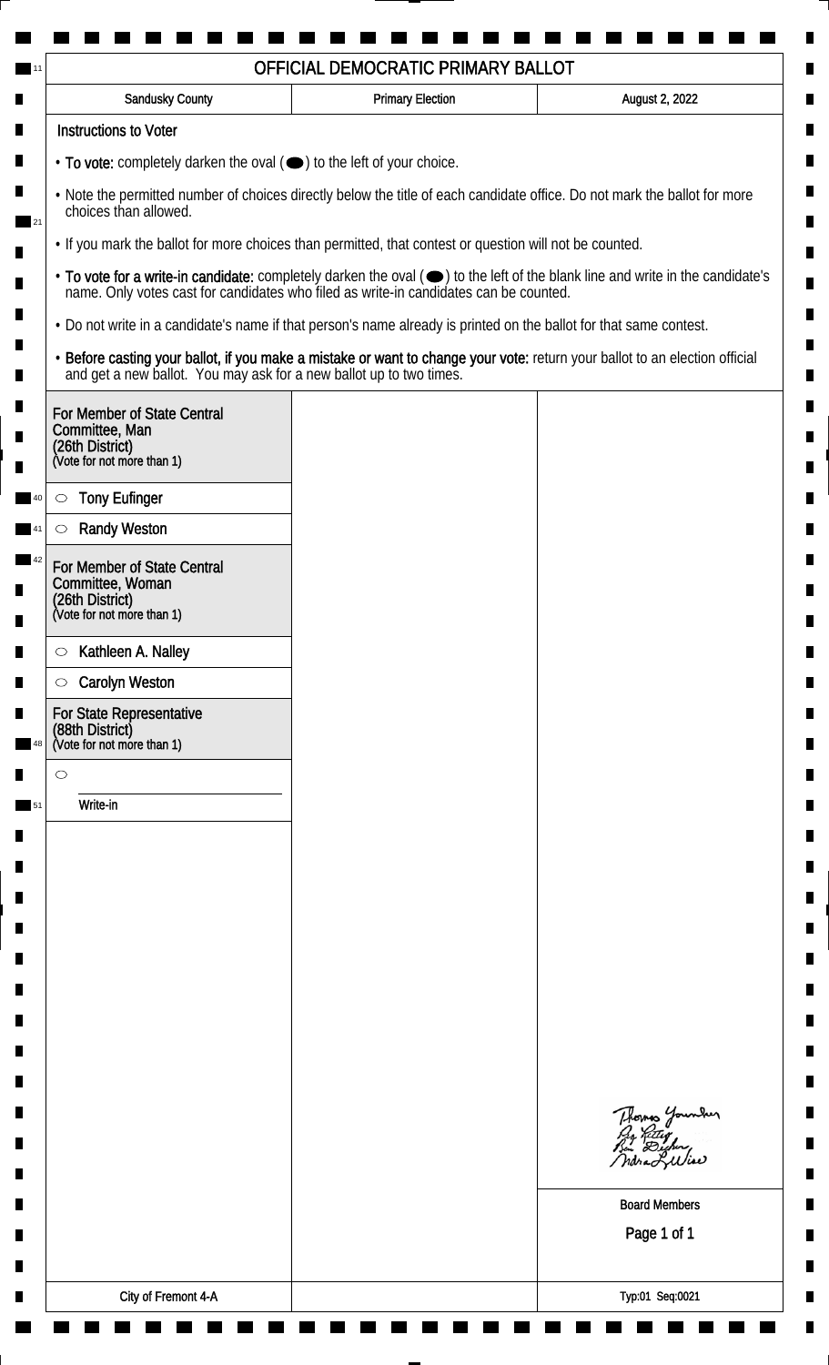|         | Sandusky County                                                                                  | <b>Primary Election</b>                                                                                                   | August 2, 2022                                                                                                                                                                                                                 |
|---------|--------------------------------------------------------------------------------------------------|---------------------------------------------------------------------------------------------------------------------------|--------------------------------------------------------------------------------------------------------------------------------------------------------------------------------------------------------------------------------|
|         | <b>Instructions to Voter</b>                                                                     |                                                                                                                           |                                                                                                                                                                                                                                |
|         | • To vote: completely darken the oval (•) to the left of your choice.                            |                                                                                                                           |                                                                                                                                                                                                                                |
|         | choices than allowed.                                                                            | . Note the permitted number of choices directly below the title of each candidate office. Do not mark the ballot for more |                                                                                                                                                                                                                                |
|         |                                                                                                  | . If you mark the ballot for more choices than permitted, that contest or question will not be counted.                   |                                                                                                                                                                                                                                |
|         |                                                                                                  |                                                                                                                           | • To vote for a write-in candidate: completely darken the oval ( $\bigcirc$ ) to the left of the blank line and write in the candidate's name. Only votes cast for candidates who filed as write-in candidates can be counted. |
|         |                                                                                                  | • Do not write in a candidate's name if that person's name already is printed on the ballot for that same contest.        |                                                                                                                                                                                                                                |
|         |                                                                                                  |                                                                                                                           | • Before casting your ballot, if you make a mistake or want to change your vote: return your ballot to an election official and get a new ballot. You may ask for a new ballot up to two times.                                |
|         | For Member of State Central<br>Committee, Man<br>(26th District)<br>(Vote for not more than 1)   |                                                                                                                           |                                                                                                                                                                                                                                |
|         |                                                                                                  |                                                                                                                           |                                                                                                                                                                                                                                |
| $\circ$ | <b>Tony Eufinger</b>                                                                             |                                                                                                                           |                                                                                                                                                                                                                                |
|         | <b>Randy Weston</b>                                                                              |                                                                                                                           |                                                                                                                                                                                                                                |
|         | For Member of State Central<br>Committee, Woman<br>(26th District)<br>(Vote for not more than 1) |                                                                                                                           |                                                                                                                                                                                                                                |
|         |                                                                                                  |                                                                                                                           |                                                                                                                                                                                                                                |
| $\circ$ | Kathleen A. Nalley<br><b>Carolyn Weston</b>                                                      |                                                                                                                           |                                                                                                                                                                                                                                |
| $\circ$ | For State Representative                                                                         |                                                                                                                           |                                                                                                                                                                                                                                |
|         | (88th District)<br>(Vote for not more than 1)                                                    |                                                                                                                           |                                                                                                                                                                                                                                |
| $\circ$ |                                                                                                  |                                                                                                                           |                                                                                                                                                                                                                                |
|         | Write-in                                                                                         |                                                                                                                           |                                                                                                                                                                                                                                |
|         |                                                                                                  |                                                                                                                           |                                                                                                                                                                                                                                |
|         |                                                                                                  |                                                                                                                           |                                                                                                                                                                                                                                |
|         |                                                                                                  |                                                                                                                           |                                                                                                                                                                                                                                |
|         |                                                                                                  |                                                                                                                           |                                                                                                                                                                                                                                |
|         |                                                                                                  |                                                                                                                           |                                                                                                                                                                                                                                |
|         |                                                                                                  |                                                                                                                           |                                                                                                                                                                                                                                |
|         |                                                                                                  |                                                                                                                           |                                                                                                                                                                                                                                |
|         |                                                                                                  |                                                                                                                           |                                                                                                                                                                                                                                |
|         |                                                                                                  |                                                                                                                           |                                                                                                                                                                                                                                |
|         |                                                                                                  |                                                                                                                           | Thomas Younder<br>Pro Retter<br>Pen Dicher,                                                                                                                                                                                    |
|         |                                                                                                  |                                                                                                                           | ndra Luliae                                                                                                                                                                                                                    |
|         |                                                                                                  |                                                                                                                           | <b>Board Members</b>                                                                                                                                                                                                           |
|         |                                                                                                  |                                                                                                                           | Page 1 of 1                                                                                                                                                                                                                    |
|         |                                                                                                  |                                                                                                                           |                                                                                                                                                                                                                                |
|         |                                                                                                  |                                                                                                                           |                                                                                                                                                                                                                                |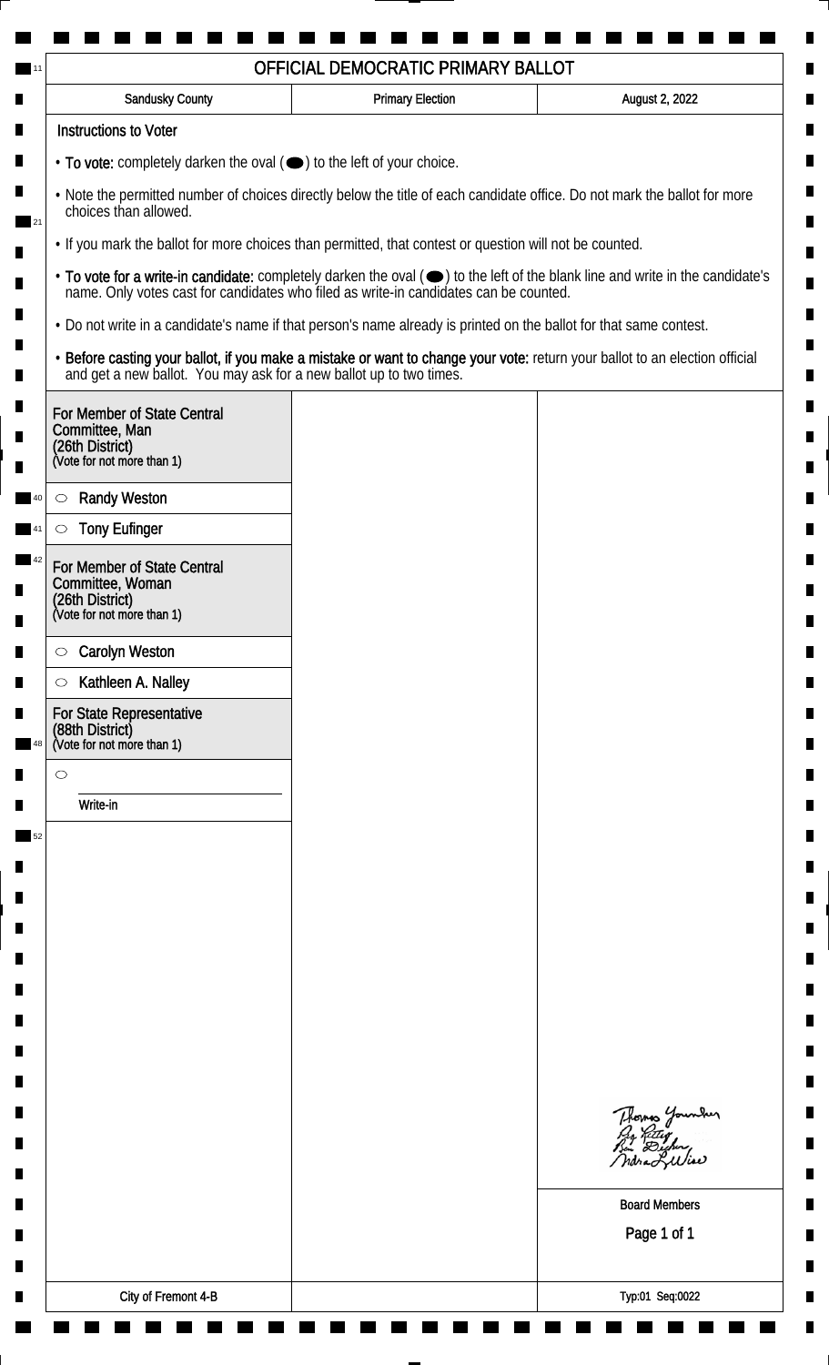| Sandusky County                                                                                                                                    | <b>Primary Election</b> | August 2, 2022                                                                                                                                                                                                                 |
|----------------------------------------------------------------------------------------------------------------------------------------------------|-------------------------|--------------------------------------------------------------------------------------------------------------------------------------------------------------------------------------------------------------------------------|
| <b>Instructions to Voter</b>                                                                                                                       |                         |                                                                                                                                                                                                                                |
| • To vote: completely darken the oval (•) to the left of your choice.                                                                              |                         |                                                                                                                                                                                                                                |
| . Note the permitted number of choices directly below the title of each candidate office. Do not mark the ballot for more<br>choices than allowed. |                         |                                                                                                                                                                                                                                |
| . If you mark the ballot for more choices than permitted, that contest or question will not be counted.                                            |                         |                                                                                                                                                                                                                                |
|                                                                                                                                                    |                         | • To vote for a write-in candidate: completely darken the oval ( $\bigcirc$ ) to the left of the blank line and write in the candidate's name. Only votes cast for candidates who filed as write-in candidates can be counted. |
| • Do not write in a candidate's name if that person's name already is printed on the ballot for that same contest.                                 |                         |                                                                                                                                                                                                                                |
|                                                                                                                                                    |                         | • Before casting your ballot, if you make a mistake or want to change your vote: return your ballot to an election official and get a new ballot. You may ask for a new ballot up to two times.                                |
| For Member of State Central<br>Committee, Man<br>(26th District)<br>(Vote for not more than 1)                                                     |                         |                                                                                                                                                                                                                                |
|                                                                                                                                                    |                         |                                                                                                                                                                                                                                |
| <b>Randy Weston</b><br>$\circlearrowright$                                                                                                         |                         |                                                                                                                                                                                                                                |
| <b>Tony Eufinger</b>                                                                                                                               |                         |                                                                                                                                                                                                                                |
| For Member of State Central<br>Committee, Woman<br>(26th District)<br>(Vote for not more than 1)                                                   |                         |                                                                                                                                                                                                                                |
| <b>Carolyn Weston</b><br>$\circ$                                                                                                                   |                         |                                                                                                                                                                                                                                |
| Kathleen A. Nalley<br>$\circlearrowright$                                                                                                          |                         |                                                                                                                                                                                                                                |
| For State Representative<br>(88th District)<br>(Vote for not more than 1)                                                                          |                         |                                                                                                                                                                                                                                |
| $\circ$                                                                                                                                            |                         |                                                                                                                                                                                                                                |
| Write-in                                                                                                                                           |                         |                                                                                                                                                                                                                                |
|                                                                                                                                                    |                         |                                                                                                                                                                                                                                |
|                                                                                                                                                    |                         |                                                                                                                                                                                                                                |
|                                                                                                                                                    |                         |                                                                                                                                                                                                                                |
|                                                                                                                                                    |                         |                                                                                                                                                                                                                                |
|                                                                                                                                                    |                         |                                                                                                                                                                                                                                |
|                                                                                                                                                    |                         |                                                                                                                                                                                                                                |
|                                                                                                                                                    |                         |                                                                                                                                                                                                                                |
|                                                                                                                                                    |                         |                                                                                                                                                                                                                                |
|                                                                                                                                                    |                         |                                                                                                                                                                                                                                |
|                                                                                                                                                    |                         | Thomas Younder<br>Pro Retter<br>Pen Dicher,                                                                                                                                                                                    |
|                                                                                                                                                    |                         |                                                                                                                                                                                                                                |
|                                                                                                                                                    |                         | <b>Board Members</b>                                                                                                                                                                                                           |
|                                                                                                                                                    |                         | Page 1 of 1                                                                                                                                                                                                                    |
|                                                                                                                                                    |                         |                                                                                                                                                                                                                                |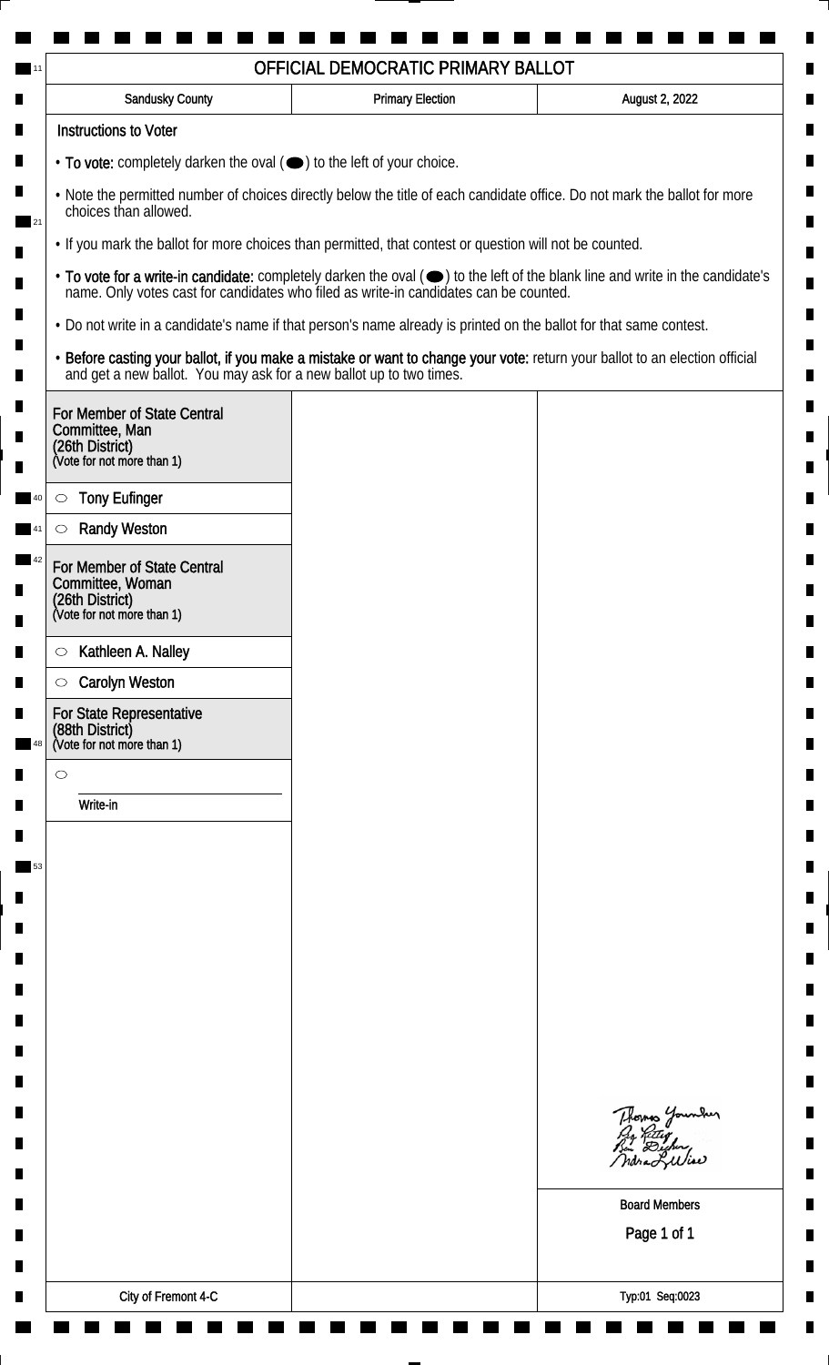| <b>Sandusky County</b>                                                                           | <b>Primary Election</b>                                                                                            | August 2, 2022                                                                                                                                                                                                                 |
|--------------------------------------------------------------------------------------------------|--------------------------------------------------------------------------------------------------------------------|--------------------------------------------------------------------------------------------------------------------------------------------------------------------------------------------------------------------------------|
| <b>Instructions to Voter</b>                                                                     |                                                                                                                    |                                                                                                                                                                                                                                |
| • To vote: completely darken the oval ( $\bigcirc$ ) to the left of your choice.                 |                                                                                                                    |                                                                                                                                                                                                                                |
| choices than allowed.                                                                            |                                                                                                                    | . Note the permitted number of choices directly below the title of each candidate office. Do not mark the ballot for more                                                                                                      |
|                                                                                                  | . If you mark the ballot for more choices than permitted, that contest or question will not be counted.            |                                                                                                                                                                                                                                |
|                                                                                                  |                                                                                                                    | • To vote for a write-in candidate: completely darken the oval ( $\bigcirc$ ) to the left of the blank line and write in the candidate's name. Only votes cast for candidates who filed as write-in candidates can be counted. |
|                                                                                                  | . Do not write in a candidate's name if that person's name already is printed on the ballot for that same contest. |                                                                                                                                                                                                                                |
|                                                                                                  |                                                                                                                    | • Before casting your ballot, if you make a mistake or want to change your vote: return your ballot to an election official and get a new ballot. You may ask for a new ballot up to two times.                                |
| For Member of State Central<br>Committee, Man<br>(26th District)<br>(Vote for not more than 1)   |                                                                                                                    |                                                                                                                                                                                                                                |
|                                                                                                  |                                                                                                                    |                                                                                                                                                                                                                                |
| <b>Tony Eufinger</b><br>$\circ$                                                                  |                                                                                                                    |                                                                                                                                                                                                                                |
| <b>Randy Weston</b>                                                                              |                                                                                                                    |                                                                                                                                                                                                                                |
| For Member of State Central<br>Committee, Woman<br>(26th District)<br>(Vote for not more than 1) |                                                                                                                    |                                                                                                                                                                                                                                |
| Kathleen A. Nalley<br>$\circ$                                                                    |                                                                                                                    |                                                                                                                                                                                                                                |
| <b>Carolyn Weston</b><br>$\circ$                                                                 |                                                                                                                    |                                                                                                                                                                                                                                |
| For State Representative<br>(88th District)<br>(Vote for not more than 1)                        |                                                                                                                    |                                                                                                                                                                                                                                |
| $\circ$                                                                                          |                                                                                                                    |                                                                                                                                                                                                                                |
| Write-in                                                                                         |                                                                                                                    |                                                                                                                                                                                                                                |
|                                                                                                  |                                                                                                                    |                                                                                                                                                                                                                                |
|                                                                                                  |                                                                                                                    |                                                                                                                                                                                                                                |
|                                                                                                  |                                                                                                                    |                                                                                                                                                                                                                                |
|                                                                                                  |                                                                                                                    |                                                                                                                                                                                                                                |
|                                                                                                  |                                                                                                                    |                                                                                                                                                                                                                                |
|                                                                                                  |                                                                                                                    |                                                                                                                                                                                                                                |
|                                                                                                  |                                                                                                                    |                                                                                                                                                                                                                                |
|                                                                                                  |                                                                                                                    |                                                                                                                                                                                                                                |
|                                                                                                  |                                                                                                                    |                                                                                                                                                                                                                                |
|                                                                                                  |                                                                                                                    | Thomas Younder                                                                                                                                                                                                                 |
|                                                                                                  |                                                                                                                    |                                                                                                                                                                                                                                |
|                                                                                                  |                                                                                                                    | <b>Board Members</b>                                                                                                                                                                                                           |
|                                                                                                  |                                                                                                                    | Page 1 of 1                                                                                                                                                                                                                    |
|                                                                                                  |                                                                                                                    |                                                                                                                                                                                                                                |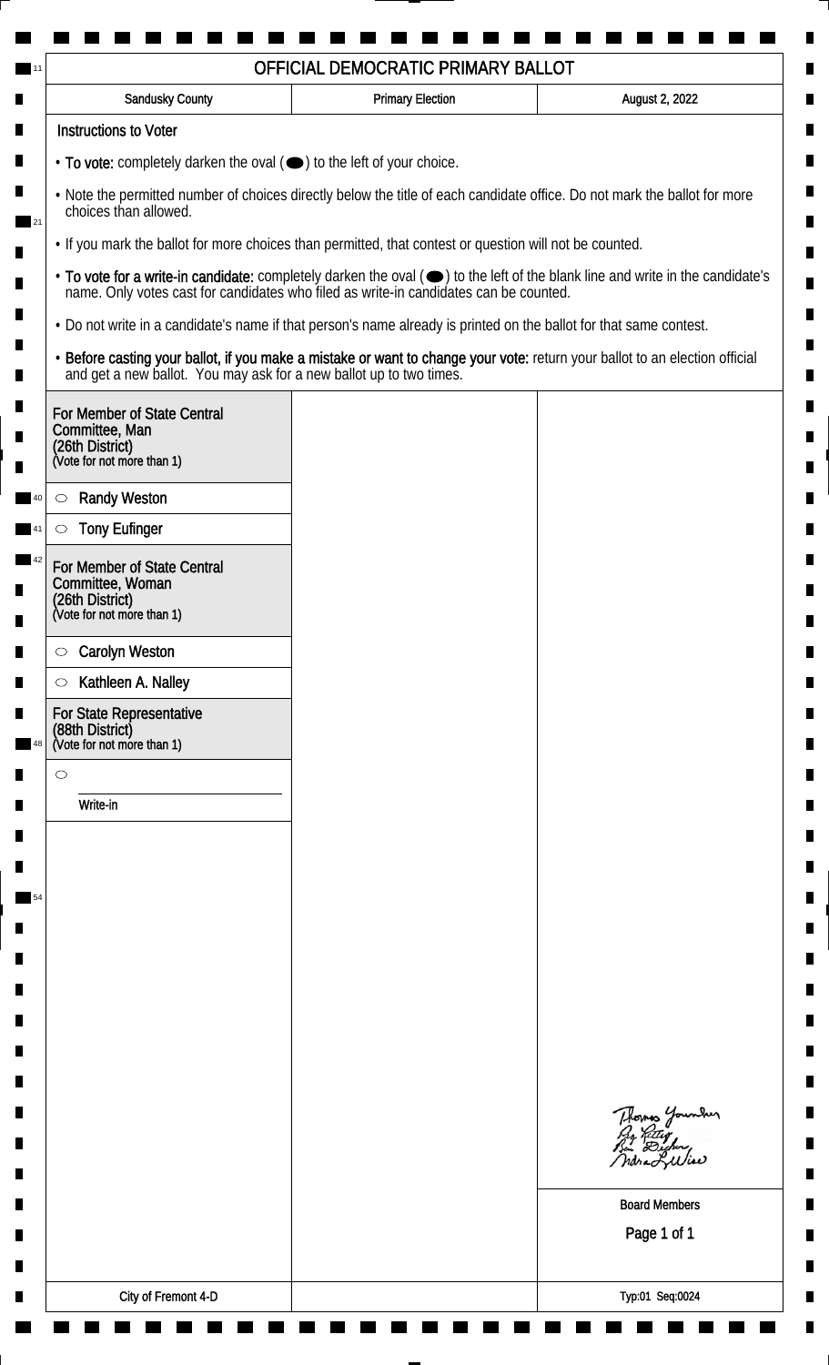| <b>Sandusky County</b>                                                                         | <b>Primary Election</b>                                                                                            | August 2, 2022                                                                                                                                                                                                                 |
|------------------------------------------------------------------------------------------------|--------------------------------------------------------------------------------------------------------------------|--------------------------------------------------------------------------------------------------------------------------------------------------------------------------------------------------------------------------------|
| <b>Instructions to Voter</b>                                                                   |                                                                                                                    |                                                                                                                                                                                                                                |
| • To vote: completely darken the oval ( $\bigcirc$ ) to the left of your choice.               |                                                                                                                    |                                                                                                                                                                                                                                |
| choices than allowed.                                                                          |                                                                                                                    | . Note the permitted number of choices directly below the title of each candidate office. Do not mark the ballot for more                                                                                                      |
|                                                                                                | . If you mark the ballot for more choices than permitted, that contest or question will not be counted.            |                                                                                                                                                                                                                                |
|                                                                                                |                                                                                                                    | • To vote for a write-in candidate: completely darken the oval ( $\bigcirc$ ) to the left of the blank line and write in the candidate's name. Only votes cast for candidates who filed as write-in candidates can be counted. |
|                                                                                                | . Do not write in a candidate's name if that person's name already is printed on the ballot for that same contest. |                                                                                                                                                                                                                                |
|                                                                                                |                                                                                                                    | • Before casting your ballot, if you make a mistake or want to change your vote: return your ballot to an election official and get a new ballot. You may ask for a new ballot up to two times.                                |
| For Member of State Central<br>Committee, Man<br>(26th District)<br>(Vote for not more than 1) |                                                                                                                    |                                                                                                                                                                                                                                |
|                                                                                                |                                                                                                                    |                                                                                                                                                                                                                                |
| <b>Randy Weston</b><br>$\circ$<br><b>Tony Eufinger</b>                                         |                                                                                                                    |                                                                                                                                                                                                                                |
| For Member of State Central                                                                    |                                                                                                                    |                                                                                                                                                                                                                                |
| Committee, Woman<br>(26th District)<br>(Vote for not more than 1)                              |                                                                                                                    |                                                                                                                                                                                                                                |
| <b>Carolyn Weston</b><br>$\circ$                                                               |                                                                                                                    |                                                                                                                                                                                                                                |
| Kathleen A. Nalley<br>$\circlearrowright$                                                      |                                                                                                                    |                                                                                                                                                                                                                                |
| For State Representative<br>(88th District)<br>(Vote for not more than 1)                      |                                                                                                                    |                                                                                                                                                                                                                                |
| $\circ$                                                                                        |                                                                                                                    |                                                                                                                                                                                                                                |
| Write-in                                                                                       |                                                                                                                    |                                                                                                                                                                                                                                |
|                                                                                                |                                                                                                                    |                                                                                                                                                                                                                                |
|                                                                                                |                                                                                                                    |                                                                                                                                                                                                                                |
|                                                                                                |                                                                                                                    |                                                                                                                                                                                                                                |
|                                                                                                |                                                                                                                    |                                                                                                                                                                                                                                |
|                                                                                                |                                                                                                                    |                                                                                                                                                                                                                                |
|                                                                                                |                                                                                                                    |                                                                                                                                                                                                                                |
|                                                                                                |                                                                                                                    |                                                                                                                                                                                                                                |
|                                                                                                |                                                                                                                    |                                                                                                                                                                                                                                |
|                                                                                                |                                                                                                                    |                                                                                                                                                                                                                                |
|                                                                                                |                                                                                                                    | Thomas Younder                                                                                                                                                                                                                 |
|                                                                                                |                                                                                                                    | <b>Board Members</b>                                                                                                                                                                                                           |
|                                                                                                |                                                                                                                    | Page 1 of 1                                                                                                                                                                                                                    |
|                                                                                                |                                                                                                                    |                                                                                                                                                                                                                                |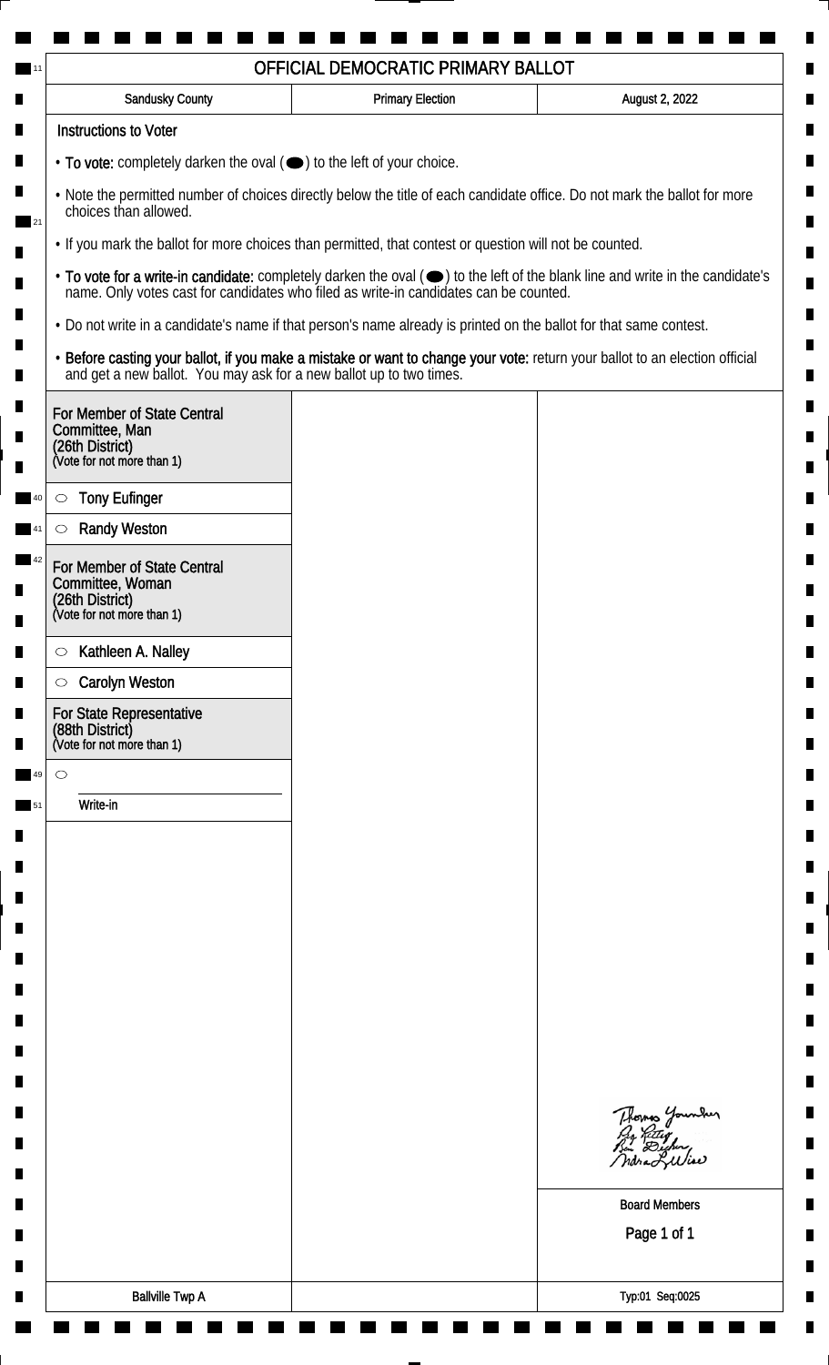| <b>Sandusky County</b>                                                                                             | <b>Primary Election</b> | August 2, 2022                                                                                                                                                                                                                 |
|--------------------------------------------------------------------------------------------------------------------|-------------------------|--------------------------------------------------------------------------------------------------------------------------------------------------------------------------------------------------------------------------------|
| <b>Instructions to Voter</b>                                                                                       |                         |                                                                                                                                                                                                                                |
| • To vote: completely darken the oval (•) to the left of your choice.                                              |                         |                                                                                                                                                                                                                                |
| choices than allowed.                                                                                              |                         | . Note the permitted number of choices directly below the title of each candidate office. Do not mark the ballot for more                                                                                                      |
| • If you mark the ballot for more choices than permitted, that contest or question will not be counted.            |                         |                                                                                                                                                                                                                                |
|                                                                                                                    |                         | • To vote for a write-in candidate: completely darken the oval ( $\bigcirc$ ) to the left of the blank line and write in the candidate's name. Only votes cast for candidates who filed as write-in candidates can be counted. |
| . Do not write in a candidate's name if that person's name already is printed on the ballot for that same contest. |                         |                                                                                                                                                                                                                                |
|                                                                                                                    |                         | • Before casting your ballot, if you make a mistake or want to change your vote: return your ballot to an election official and get a new ballot. You may ask for a new ballot up to two times.                                |
| For Member of State Central<br>Committee, Man<br>(26th District)<br>(Vote for not more than 1)                     |                         |                                                                                                                                                                                                                                |
| <b>Tony Eufinger</b><br>$\circ$                                                                                    |                         |                                                                                                                                                                                                                                |
| <b>Randy Weston</b>                                                                                                |                         |                                                                                                                                                                                                                                |
| For Member of State Central<br>Committee, Woman<br>(26th District)<br>(Vote for not more than 1)                   |                         |                                                                                                                                                                                                                                |
| Kathleen A. Nalley<br>$\circ$                                                                                      |                         |                                                                                                                                                                                                                                |
| <b>Carolyn Weston</b><br>$\circ$                                                                                   |                         |                                                                                                                                                                                                                                |
| For State Representative<br>(88th District)<br>(Vote for not more than 1)                                          |                         |                                                                                                                                                                                                                                |
| $\circ$                                                                                                            |                         |                                                                                                                                                                                                                                |
| Write-in                                                                                                           |                         |                                                                                                                                                                                                                                |
|                                                                                                                    |                         | Thomas Younder<br><b>Board Members</b>                                                                                                                                                                                         |
|                                                                                                                    |                         | Page 1 of 1                                                                                                                                                                                                                    |
| <b>Ballville Twp A</b>                                                                                             |                         | Typ:01 Seq:0025                                                                                                                                                                                                                |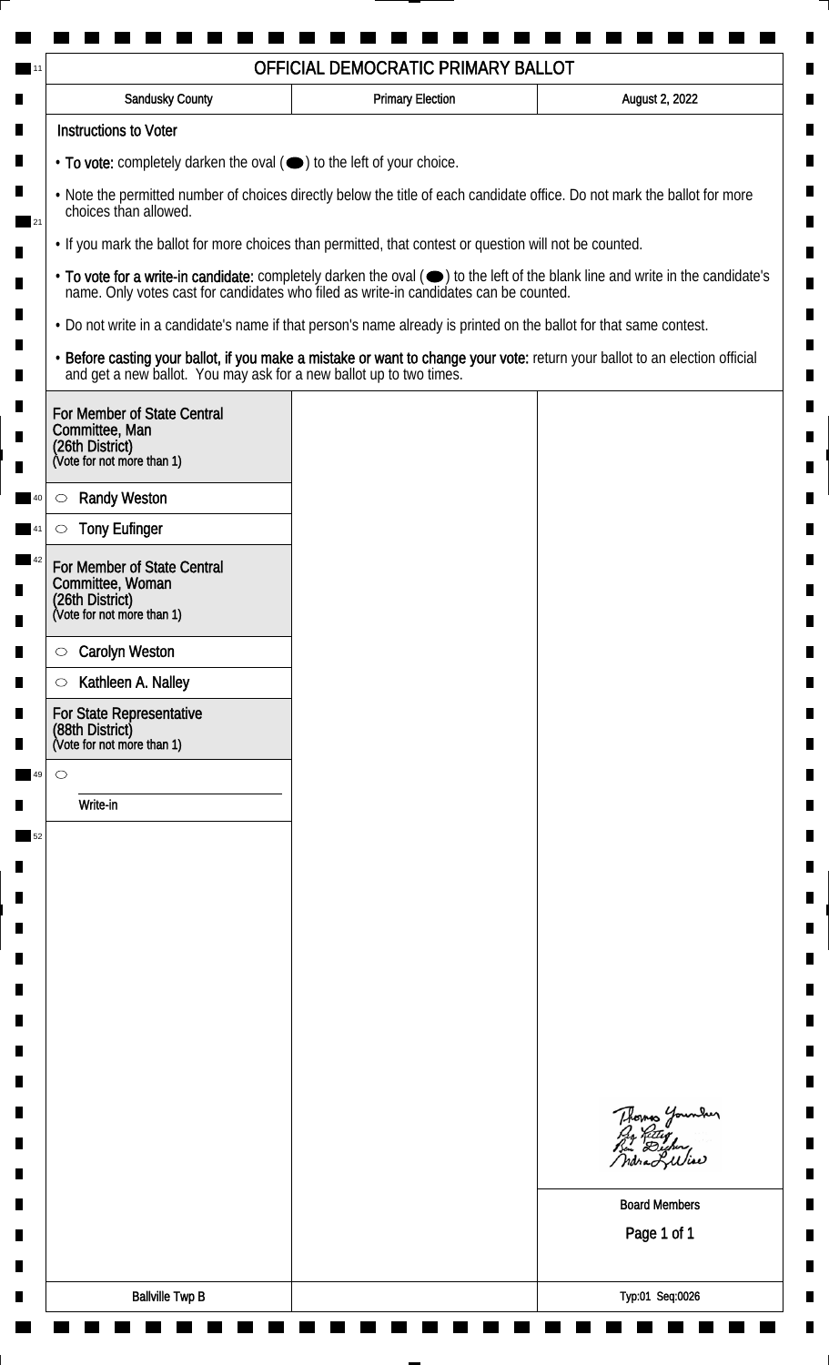| <b>Sandusky County</b>                                                                                             | <b>Primary Election</b> | August 2, 2022                                                                                                                                                                                                                 |
|--------------------------------------------------------------------------------------------------------------------|-------------------------|--------------------------------------------------------------------------------------------------------------------------------------------------------------------------------------------------------------------------------|
| <b>Instructions to Voter</b>                                                                                       |                         |                                                                                                                                                                                                                                |
| • To vote: completely darken the oval (•) to the left of your choice.                                              |                         |                                                                                                                                                                                                                                |
| choices than allowed.                                                                                              |                         | . Note the permitted number of choices directly below the title of each candidate office. Do not mark the ballot for more                                                                                                      |
| • If you mark the ballot for more choices than permitted, that contest or question will not be counted.            |                         |                                                                                                                                                                                                                                |
|                                                                                                                    |                         | • To vote for a write-in candidate: completely darken the oval ( $\bigcirc$ ) to the left of the blank line and write in the candidate's name. Only votes cast for candidates who filed as write-in candidates can be counted. |
| . Do not write in a candidate's name if that person's name already is printed on the ballot for that same contest. |                         |                                                                                                                                                                                                                                |
|                                                                                                                    |                         | • Before casting your ballot, if you make a mistake or want to change your vote: return your ballot to an election official and get a new ballot. You may ask for a new ballot up to two times.                                |
| For Member of State Central<br>Committee, Man<br>(26th District)<br>(Vote for not more than 1)                     |                         |                                                                                                                                                                                                                                |
| <b>Randy Weston</b><br>$\circ$                                                                                     |                         |                                                                                                                                                                                                                                |
| <b>Tony Eufinger</b>                                                                                               |                         |                                                                                                                                                                                                                                |
| For Member of State Central<br>Committee, Woman<br>(26th District)<br>(Vote for not more than 1)                   |                         |                                                                                                                                                                                                                                |
| <b>Carolyn Weston</b><br>$\circ$                                                                                   |                         |                                                                                                                                                                                                                                |
| Kathleen A. Nalley<br>$\circ$                                                                                      |                         |                                                                                                                                                                                                                                |
| For State Representative<br>(88th District)<br>(Vote for not more than 1)                                          |                         |                                                                                                                                                                                                                                |
| $\circ$                                                                                                            |                         |                                                                                                                                                                                                                                |
| Write-in                                                                                                           |                         |                                                                                                                                                                                                                                |
|                                                                                                                    |                         |                                                                                                                                                                                                                                |
|                                                                                                                    |                         |                                                                                                                                                                                                                                |
|                                                                                                                    |                         |                                                                                                                                                                                                                                |
|                                                                                                                    |                         |                                                                                                                                                                                                                                |
|                                                                                                                    |                         |                                                                                                                                                                                                                                |
|                                                                                                                    |                         |                                                                                                                                                                                                                                |
|                                                                                                                    |                         |                                                                                                                                                                                                                                |
|                                                                                                                    |                         |                                                                                                                                                                                                                                |
|                                                                                                                    |                         |                                                                                                                                                                                                                                |
|                                                                                                                    |                         | Thomas Younder                                                                                                                                                                                                                 |
|                                                                                                                    |                         | <b>Board Members</b><br>Page 1 of 1                                                                                                                                                                                            |
|                                                                                                                    |                         |                                                                                                                                                                                                                                |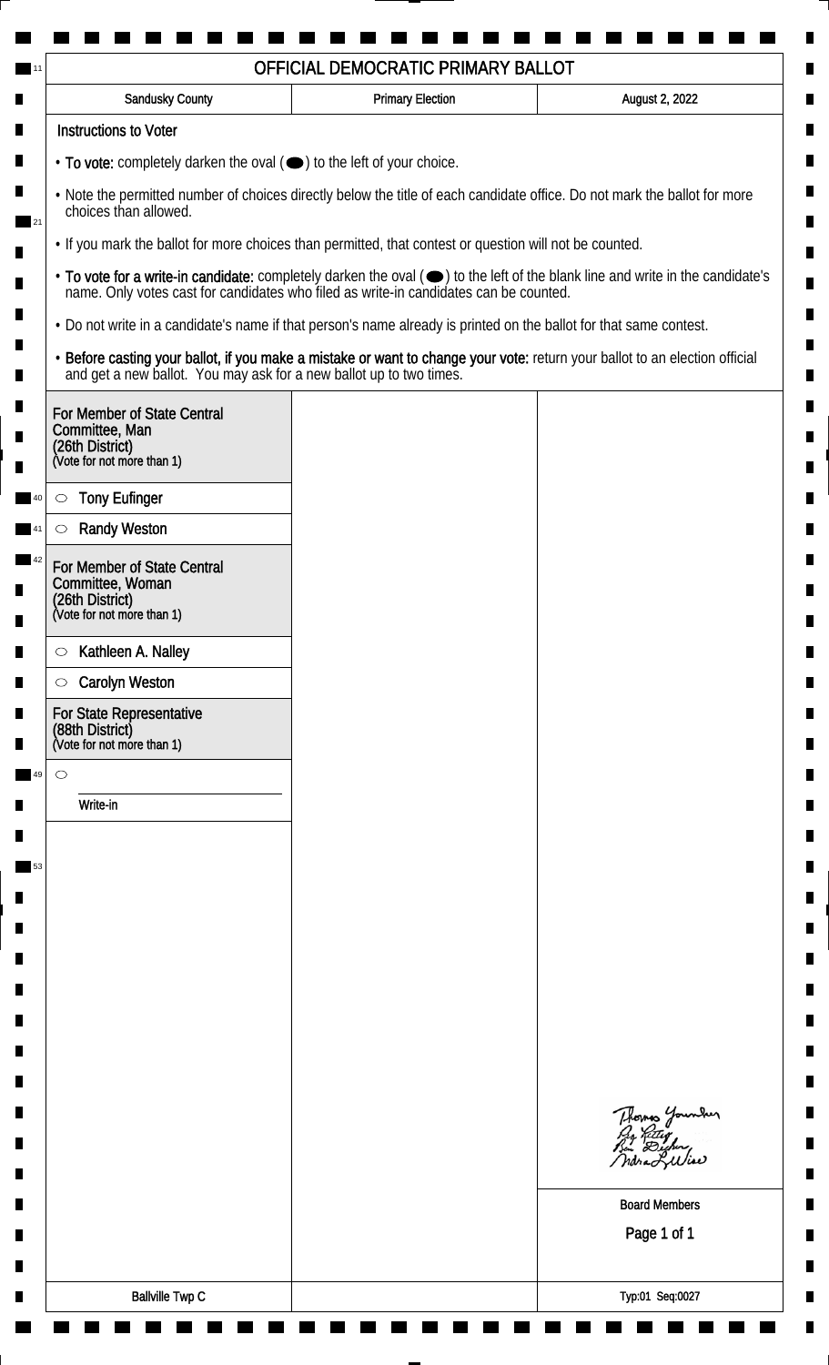| Sandusky County                                                                                  | <b>Primary Election</b>                                                                                                                                                                                                        | August 2, 2022                              |
|--------------------------------------------------------------------------------------------------|--------------------------------------------------------------------------------------------------------------------------------------------------------------------------------------------------------------------------------|---------------------------------------------|
| <b>Instructions to Voter</b>                                                                     |                                                                                                                                                                                                                                |                                             |
| • To vote: completely darken the oval (•) to the left of your choice.                            |                                                                                                                                                                                                                                |                                             |
| choices than allowed.                                                                            | . Note the permitted number of choices directly below the title of each candidate office. Do not mark the ballot for more                                                                                                      |                                             |
|                                                                                                  | . If you mark the ballot for more choices than permitted, that contest or question will not be counted.                                                                                                                        |                                             |
|                                                                                                  | • To vote for a write-in candidate: completely darken the oval ( $\bigcirc$ ) to the left of the blank line and write in the candidate's name. Only votes cast for candidates who filed as write-in candidates can be counted. |                                             |
|                                                                                                  | . Do not write in a candidate's name if that person's name already is printed on the ballot for that same contest.                                                                                                             |                                             |
|                                                                                                  | • Before casting your ballot, if you make a mistake or want to change your vote: return your ballot to an election official and get a new ballot. You may ask for a new ballot up to two times.                                |                                             |
| For Member of State Central<br>Committee, Man                                                    |                                                                                                                                                                                                                                |                                             |
| (26th District)<br>(Vote for not more than 1)                                                    |                                                                                                                                                                                                                                |                                             |
| <b>Tony Eufinger</b><br>$\circ$                                                                  |                                                                                                                                                                                                                                |                                             |
| <b>Randy Weston</b>                                                                              |                                                                                                                                                                                                                                |                                             |
| For Member of State Central<br>Committee, Woman<br>(26th District)<br>(Vote for not more than 1) |                                                                                                                                                                                                                                |                                             |
|                                                                                                  |                                                                                                                                                                                                                                |                                             |
| Kathleen A. Nalley<br>$\circ$<br><b>Carolyn Weston</b><br>$\circ$                                |                                                                                                                                                                                                                                |                                             |
| For State Representative<br>(88th District)<br>(Vote for not more than 1)                        |                                                                                                                                                                                                                                |                                             |
| $\circ$                                                                                          |                                                                                                                                                                                                                                |                                             |
| Write-in                                                                                         |                                                                                                                                                                                                                                |                                             |
|                                                                                                  |                                                                                                                                                                                                                                |                                             |
|                                                                                                  |                                                                                                                                                                                                                                |                                             |
|                                                                                                  |                                                                                                                                                                                                                                |                                             |
|                                                                                                  |                                                                                                                                                                                                                                |                                             |
|                                                                                                  |                                                                                                                                                                                                                                |                                             |
|                                                                                                  |                                                                                                                                                                                                                                |                                             |
|                                                                                                  |                                                                                                                                                                                                                                |                                             |
|                                                                                                  |                                                                                                                                                                                                                                |                                             |
|                                                                                                  |                                                                                                                                                                                                                                |                                             |
|                                                                                                  |                                                                                                                                                                                                                                | Thomas Younder<br>Pro Retter<br>Bin Dicher, |
|                                                                                                  |                                                                                                                                                                                                                                | <b>Board Members</b>                        |
|                                                                                                  |                                                                                                                                                                                                                                | Page 1 of 1                                 |
|                                                                                                  |                                                                                                                                                                                                                                |                                             |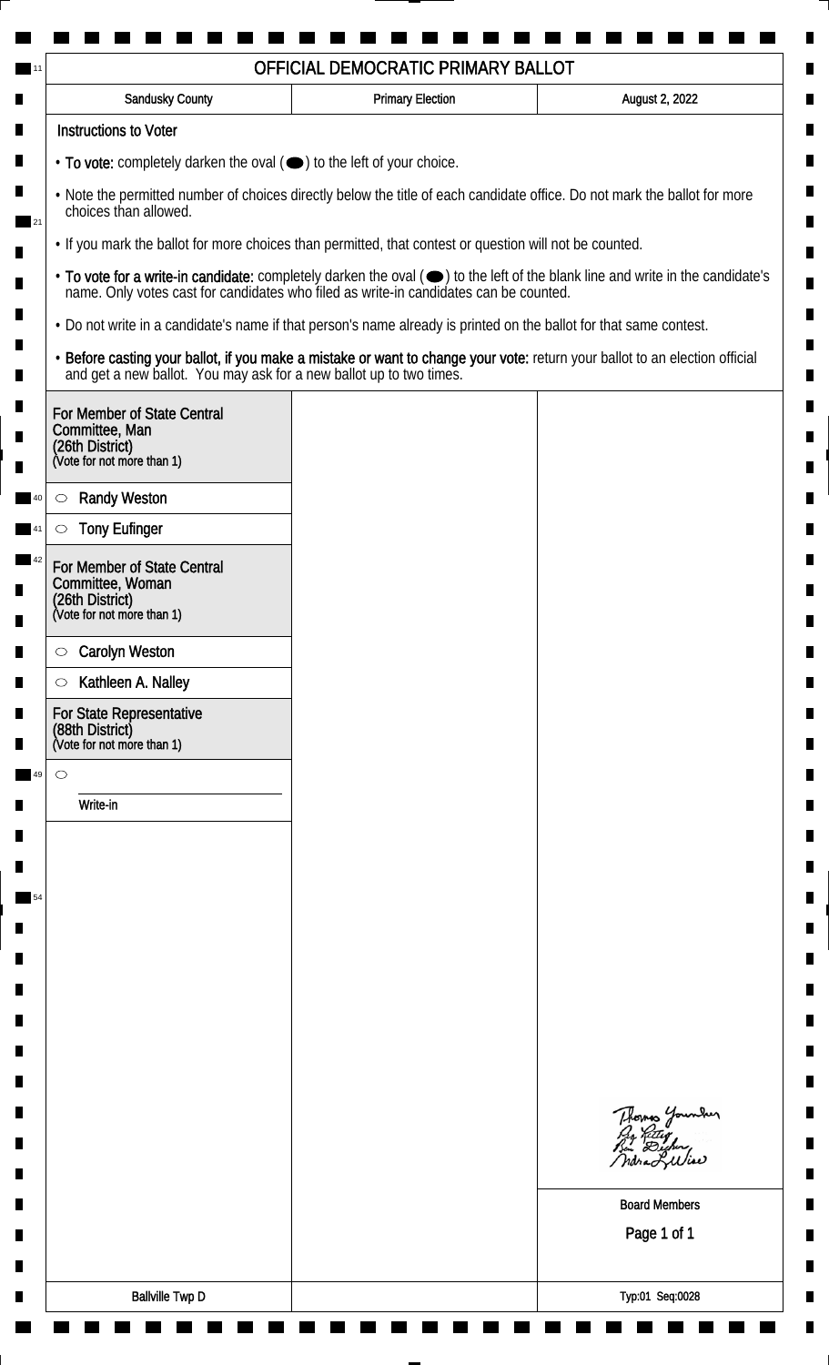| <b>Sandusky County</b>                                                                                             | <b>Primary Election</b> | August 2, 2022                                                                                                                                                                                                                 |
|--------------------------------------------------------------------------------------------------------------------|-------------------------|--------------------------------------------------------------------------------------------------------------------------------------------------------------------------------------------------------------------------------|
| <b>Instructions to Voter</b>                                                                                       |                         |                                                                                                                                                                                                                                |
| • To vote: completely darken the oval (•) to the left of your choice.                                              |                         |                                                                                                                                                                                                                                |
| choices than allowed.                                                                                              |                         | . Note the permitted number of choices directly below the title of each candidate office. Do not mark the ballot for more                                                                                                      |
| • If you mark the ballot for more choices than permitted, that contest or question will not be counted.            |                         |                                                                                                                                                                                                                                |
|                                                                                                                    |                         | • To vote for a write-in candidate: completely darken the oval ( $\bigcirc$ ) to the left of the blank line and write in the candidate's name. Only votes cast for candidates who filed as write-in candidates can be counted. |
| . Do not write in a candidate's name if that person's name already is printed on the ballot for that same contest. |                         |                                                                                                                                                                                                                                |
|                                                                                                                    |                         | • Before casting your ballot, if you make a mistake or want to change your vote: return your ballot to an election official and get a new ballot. You may ask for a new ballot up to two times.                                |
| For Member of State Central<br>Committee, Man<br>(26th District)<br>(Vote for not more than 1)                     |                         |                                                                                                                                                                                                                                |
| <b>Randy Weston</b><br>$\circlearrowright$                                                                         |                         |                                                                                                                                                                                                                                |
| <b>Tony Eufinger</b>                                                                                               |                         |                                                                                                                                                                                                                                |
| For Member of State Central<br>Committee, Woman<br>(26th District)<br>(Vote for not more than 1)                   |                         |                                                                                                                                                                                                                                |
| <b>Carolyn Weston</b><br>$\circlearrowright$                                                                       |                         |                                                                                                                                                                                                                                |
| Kathleen A. Nalley<br>$\circlearrowright$                                                                          |                         |                                                                                                                                                                                                                                |
| For State Representative<br>(88th District)<br>(Vote for not more than 1)                                          |                         |                                                                                                                                                                                                                                |
| $\circ$                                                                                                            |                         |                                                                                                                                                                                                                                |
| Write-in                                                                                                           |                         |                                                                                                                                                                                                                                |
|                                                                                                                    |                         |                                                                                                                                                                                                                                |
|                                                                                                                    |                         |                                                                                                                                                                                                                                |
|                                                                                                                    |                         |                                                                                                                                                                                                                                |
|                                                                                                                    |                         |                                                                                                                                                                                                                                |
|                                                                                                                    |                         |                                                                                                                                                                                                                                |
|                                                                                                                    |                         |                                                                                                                                                                                                                                |
|                                                                                                                    |                         |                                                                                                                                                                                                                                |
|                                                                                                                    |                         |                                                                                                                                                                                                                                |
|                                                                                                                    |                         |                                                                                                                                                                                                                                |
|                                                                                                                    |                         | Thomas Younder                                                                                                                                                                                                                 |
|                                                                                                                    |                         | <b>Board Members</b><br>Page 1 of 1                                                                                                                                                                                            |
|                                                                                                                    |                         |                                                                                                                                                                                                                                |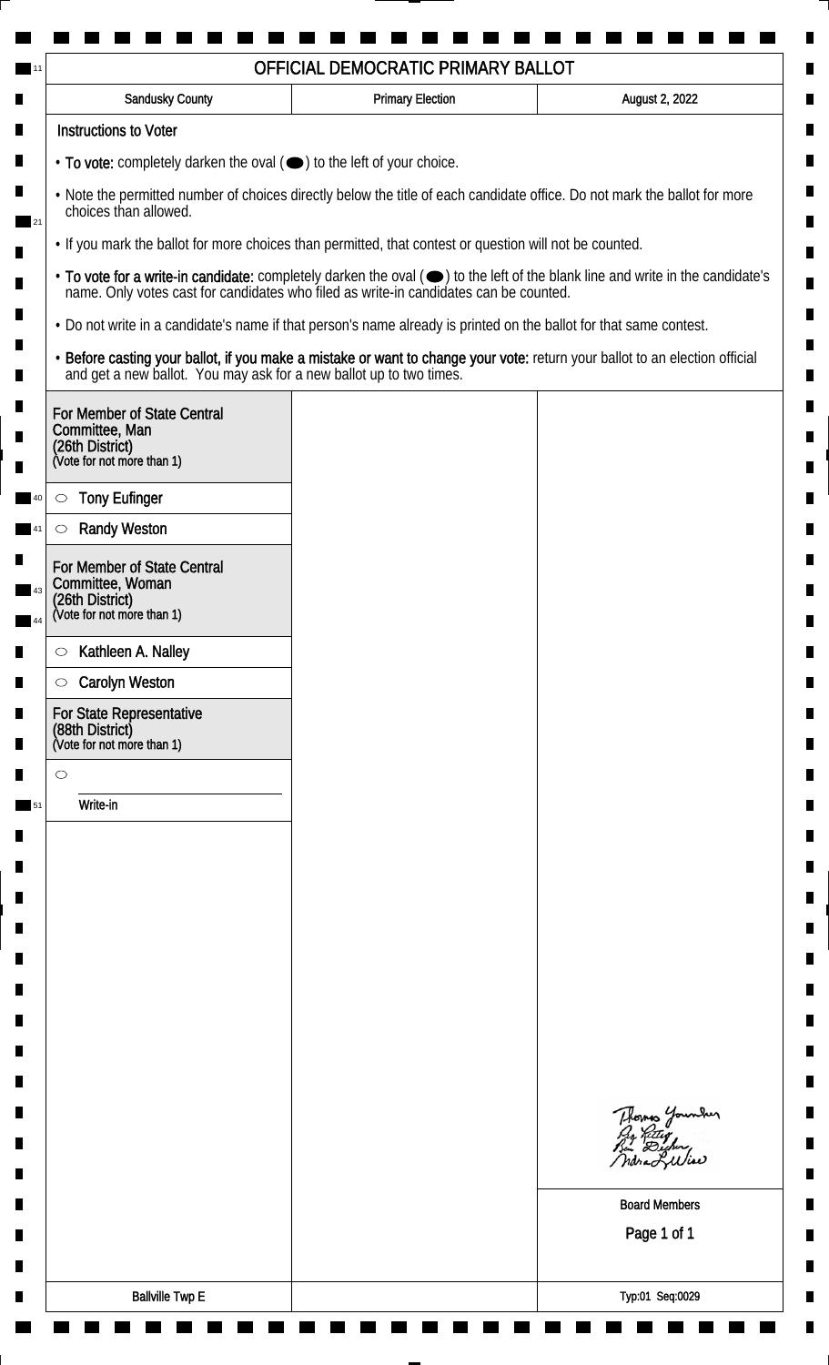| Sandusky County                                                                                                                                                                                 | <b>Primary Election</b> | August 2, 2022                                                                                                                                                                                                                 |
|-------------------------------------------------------------------------------------------------------------------------------------------------------------------------------------------------|-------------------------|--------------------------------------------------------------------------------------------------------------------------------------------------------------------------------------------------------------------------------|
| <b>Instructions to Voter</b>                                                                                                                                                                    |                         |                                                                                                                                                                                                                                |
| • To vote: completely darken the oval (•) to the left of your choice.                                                                                                                           |                         |                                                                                                                                                                                                                                |
| . Note the permitted number of choices directly below the title of each candidate office. Do not mark the ballot for more<br>choices than allowed.                                              |                         |                                                                                                                                                                                                                                |
| . If you mark the ballot for more choices than permitted, that contest or question will not be counted.                                                                                         |                         |                                                                                                                                                                                                                                |
|                                                                                                                                                                                                 |                         | • To vote for a write-in candidate: completely darken the oval ( $\bigcirc$ ) to the left of the blank line and write in the candidate's name. Only votes cast for candidates who filed as write-in candidates can be counted. |
| • Do not write in a candidate's name if that person's name already is printed on the ballot for that same contest.                                                                              |                         |                                                                                                                                                                                                                                |
| • Before casting your ballot, if you make a mistake or want to change your vote: return your ballot to an election official and get a new ballot. You may ask for a new ballot up to two times. |                         |                                                                                                                                                                                                                                |
| For Member of State Central<br>Committee, Man<br>(26th District)<br>(Vote for not more than 1)                                                                                                  |                         |                                                                                                                                                                                                                                |
|                                                                                                                                                                                                 |                         |                                                                                                                                                                                                                                |
| <b>Tony Eufinger</b><br>$\circlearrowright$<br><b>Randy Weston</b><br>$\circlearrowright$                                                                                                       |                         |                                                                                                                                                                                                                                |
|                                                                                                                                                                                                 |                         |                                                                                                                                                                                                                                |
| For Member of State Central<br>Committee, Woman                                                                                                                                                 |                         |                                                                                                                                                                                                                                |
| (26th District)<br>(Vote for not more than 1)                                                                                                                                                   |                         |                                                                                                                                                                                                                                |
| Kathleen A. Nalley<br>$\circ$                                                                                                                                                                   |                         |                                                                                                                                                                                                                                |
| <b>Carolyn Weston</b><br>$\circ$                                                                                                                                                                |                         |                                                                                                                                                                                                                                |
| For State Representative<br>(88th District)<br>(Vote for not more than 1)                                                                                                                       |                         |                                                                                                                                                                                                                                |
| $\circ$                                                                                                                                                                                         |                         |                                                                                                                                                                                                                                |
| Write-in                                                                                                                                                                                        |                         |                                                                                                                                                                                                                                |
|                                                                                                                                                                                                 |                         |                                                                                                                                                                                                                                |
|                                                                                                                                                                                                 |                         |                                                                                                                                                                                                                                |
|                                                                                                                                                                                                 |                         |                                                                                                                                                                                                                                |
|                                                                                                                                                                                                 |                         |                                                                                                                                                                                                                                |
|                                                                                                                                                                                                 |                         |                                                                                                                                                                                                                                |
|                                                                                                                                                                                                 |                         |                                                                                                                                                                                                                                |
|                                                                                                                                                                                                 |                         |                                                                                                                                                                                                                                |
|                                                                                                                                                                                                 |                         |                                                                                                                                                                                                                                |
|                                                                                                                                                                                                 |                         |                                                                                                                                                                                                                                |
|                                                                                                                                                                                                 |                         | Thomas Younder<br>Pro Retter<br>Bin Dicher,                                                                                                                                                                                    |
|                                                                                                                                                                                                 |                         | ndra Lilia                                                                                                                                                                                                                     |
|                                                                                                                                                                                                 |                         | <b>Board Members</b>                                                                                                                                                                                                           |
|                                                                                                                                                                                                 |                         | Page 1 of 1                                                                                                                                                                                                                    |
|                                                                                                                                                                                                 |                         |                                                                                                                                                                                                                                |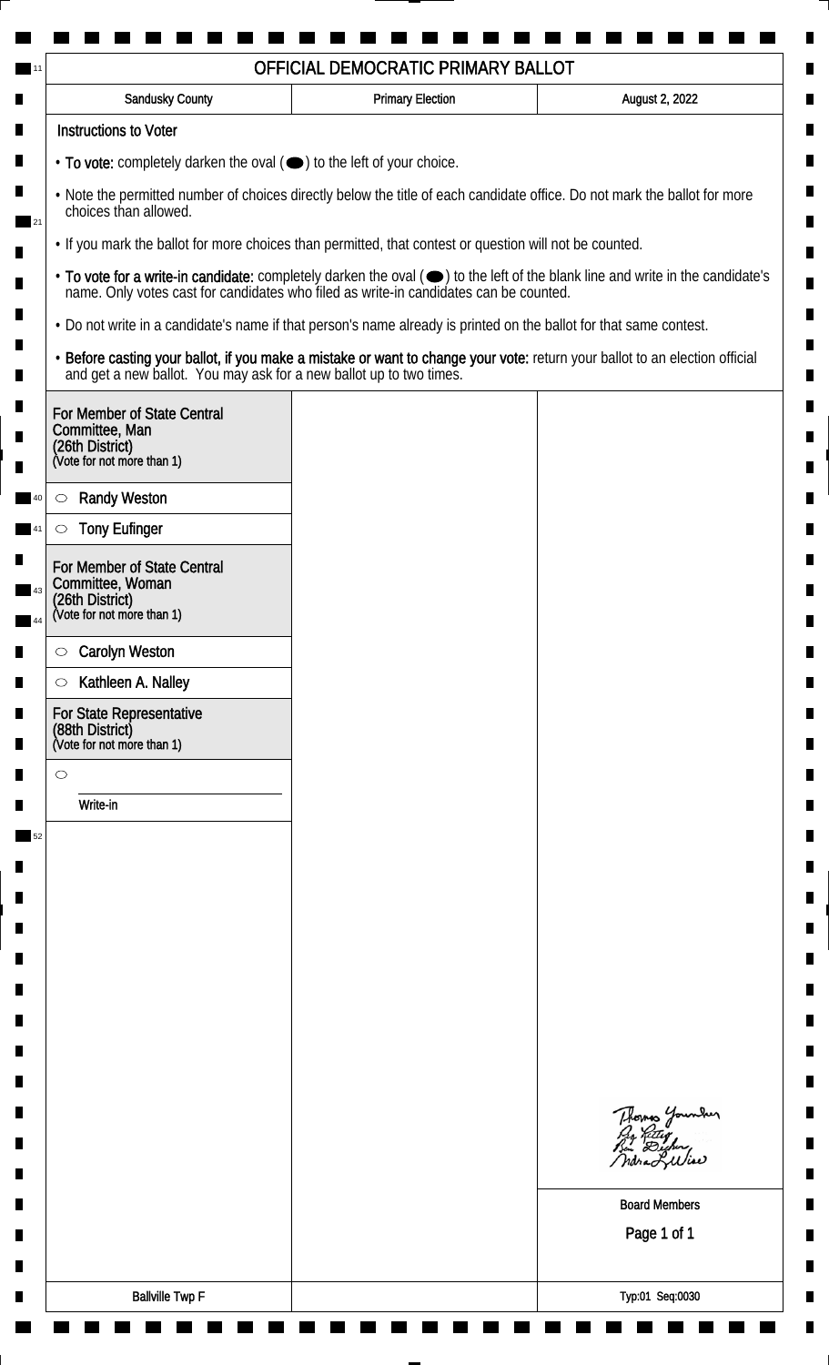| <b>Sandusky County</b>                                                                         | <b>Primary Election</b>                                                                                            | August 2, 2022                                                                                                                                                                                                                 |
|------------------------------------------------------------------------------------------------|--------------------------------------------------------------------------------------------------------------------|--------------------------------------------------------------------------------------------------------------------------------------------------------------------------------------------------------------------------------|
| <b>Instructions to Voter</b>                                                                   |                                                                                                                    |                                                                                                                                                                                                                                |
| $\cdot$ To vote: completely darken the oval $(\bullet)$ to the left of your choice.            |                                                                                                                    |                                                                                                                                                                                                                                |
| choices than allowed.                                                                          |                                                                                                                    | . Note the permitted number of choices directly below the title of each candidate office. Do not mark the ballot for more                                                                                                      |
|                                                                                                | . If you mark the ballot for more choices than permitted, that contest or question will not be counted.            |                                                                                                                                                                                                                                |
|                                                                                                |                                                                                                                    | • To vote for a write-in candidate: completely darken the oval ( $\bigcirc$ ) to the left of the blank line and write in the candidate's name. Only votes cast for candidates who filed as write-in candidates can be counted. |
|                                                                                                | . Do not write in a candidate's name if that person's name already is printed on the ballot for that same contest. |                                                                                                                                                                                                                                |
|                                                                                                |                                                                                                                    | • Before casting your ballot, if you make a mistake or want to change your vote: return your ballot to an election official and get a new ballot. You may ask for a new ballot up to two times.                                |
| For Member of State Central<br>Committee, Man<br>(26th District)<br>(Vote for not more than 1) |                                                                                                                    |                                                                                                                                                                                                                                |
| <b>Randy Weston</b><br>$\circ$                                                                 |                                                                                                                    |                                                                                                                                                                                                                                |
| <b>Tony Eufinger</b><br>$\circlearrowright$                                                    |                                                                                                                    |                                                                                                                                                                                                                                |
| For Member of State Central                                                                    |                                                                                                                    |                                                                                                                                                                                                                                |
| Committee, Woman                                                                               |                                                                                                                    |                                                                                                                                                                                                                                |
| (26th District)<br>(Vote for not more than 1)                                                  |                                                                                                                    |                                                                                                                                                                                                                                |
| <b>Carolyn Weston</b><br>$\circ$                                                               |                                                                                                                    |                                                                                                                                                                                                                                |
| Kathleen A. Nalley<br>$\circ$                                                                  |                                                                                                                    |                                                                                                                                                                                                                                |
| For State Representative<br>(88th District)<br>(Vote for not more than 1)                      |                                                                                                                    |                                                                                                                                                                                                                                |
| $\circ$                                                                                        |                                                                                                                    |                                                                                                                                                                                                                                |
| Write-in                                                                                       |                                                                                                                    |                                                                                                                                                                                                                                |
|                                                                                                |                                                                                                                    |                                                                                                                                                                                                                                |
|                                                                                                |                                                                                                                    |                                                                                                                                                                                                                                |
|                                                                                                |                                                                                                                    |                                                                                                                                                                                                                                |
|                                                                                                |                                                                                                                    |                                                                                                                                                                                                                                |
|                                                                                                |                                                                                                                    |                                                                                                                                                                                                                                |
|                                                                                                |                                                                                                                    |                                                                                                                                                                                                                                |
|                                                                                                |                                                                                                                    |                                                                                                                                                                                                                                |
|                                                                                                |                                                                                                                    |                                                                                                                                                                                                                                |
|                                                                                                |                                                                                                                    |                                                                                                                                                                                                                                |
|                                                                                                |                                                                                                                    | Thomas Younder                                                                                                                                                                                                                 |
|                                                                                                |                                                                                                                    | <b>Board Members</b>                                                                                                                                                                                                           |
|                                                                                                |                                                                                                                    | Page 1 of 1                                                                                                                                                                                                                    |
|                                                                                                |                                                                                                                    |                                                                                                                                                                                                                                |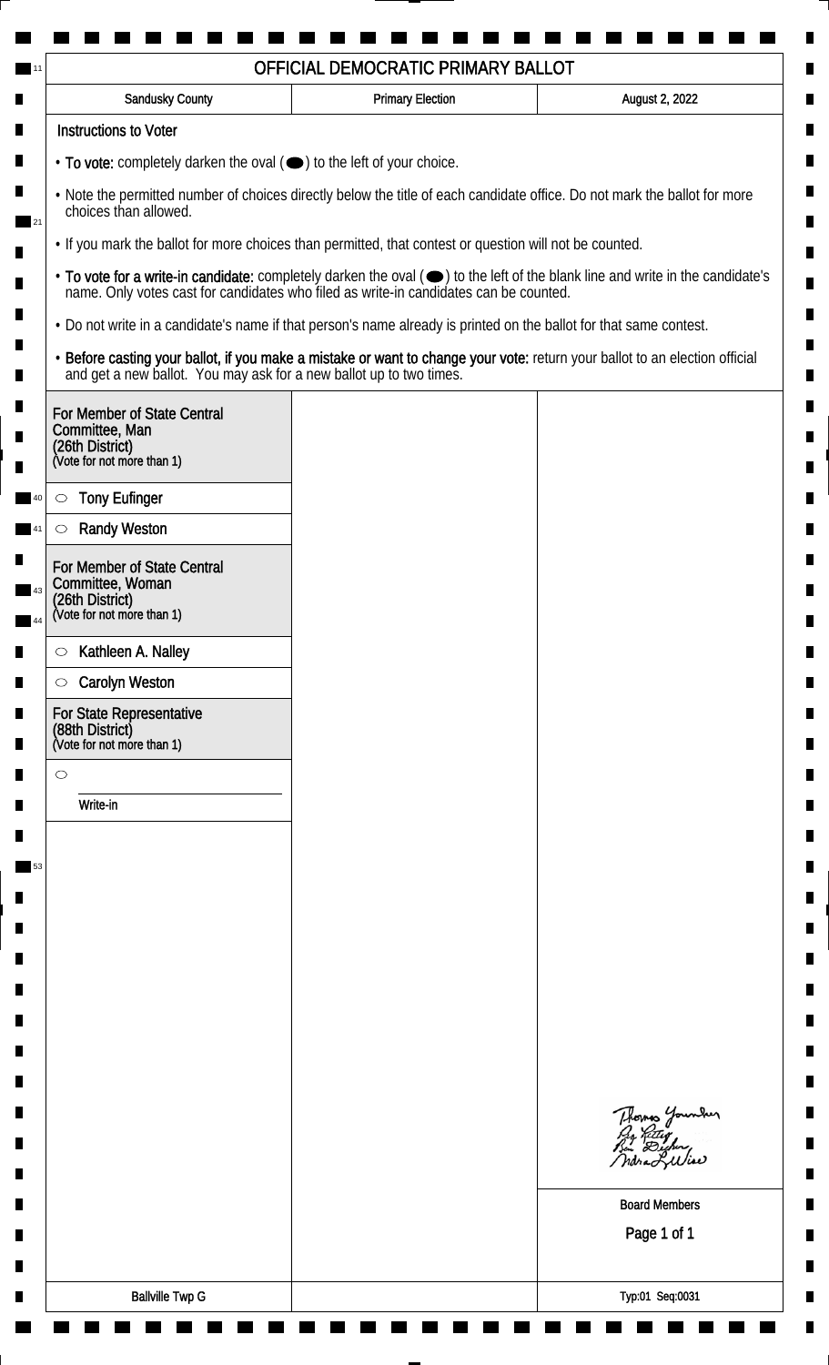| <b>Sandusky County</b>                                                                         | <b>Primary Election</b>                                                                                            | August 2, 2022                                                                                                                                                                                                                 |
|------------------------------------------------------------------------------------------------|--------------------------------------------------------------------------------------------------------------------|--------------------------------------------------------------------------------------------------------------------------------------------------------------------------------------------------------------------------------|
| <b>Instructions to Voter</b>                                                                   |                                                                                                                    |                                                                                                                                                                                                                                |
| • To vote: completely darken the oval ( $\bigcirc$ ) to the left of your choice.               |                                                                                                                    |                                                                                                                                                                                                                                |
| choices than allowed.                                                                          |                                                                                                                    | . Note the permitted number of choices directly below the title of each candidate office. Do not mark the ballot for more                                                                                                      |
|                                                                                                | . If you mark the ballot for more choices than permitted, that contest or question will not be counted.            |                                                                                                                                                                                                                                |
|                                                                                                |                                                                                                                    | • To vote for a write-in candidate: completely darken the oval ( $\bigcirc$ ) to the left of the blank line and write in the candidate's name. Only votes cast for candidates who filed as write-in candidates can be counted. |
|                                                                                                | . Do not write in a candidate's name if that person's name already is printed on the ballot for that same contest. |                                                                                                                                                                                                                                |
|                                                                                                |                                                                                                                    | • Before casting your ballot, if you make a mistake or want to change your vote: return your ballot to an election official and get a new ballot. You may ask for a new ballot up to two times.                                |
| For Member of State Central<br>Committee, Man<br>(26th District)<br>(Vote for not more than 1) |                                                                                                                    |                                                                                                                                                                                                                                |
| <b>Tony Eufinger</b><br>$\circlearrowright$                                                    |                                                                                                                    |                                                                                                                                                                                                                                |
| <b>Randy Weston</b><br>$\circlearrowright$                                                     |                                                                                                                    |                                                                                                                                                                                                                                |
| For Member of State Central<br>Committee, Woman                                                |                                                                                                                    |                                                                                                                                                                                                                                |
| (26th District)<br>(Vote for not more than 1)                                                  |                                                                                                                    |                                                                                                                                                                                                                                |
| Kathleen A. Nalley<br>$\circ$                                                                  |                                                                                                                    |                                                                                                                                                                                                                                |
| <b>Carolyn Weston</b><br>$\circ$                                                               |                                                                                                                    |                                                                                                                                                                                                                                |
| For State Representative<br>(88th District)<br>(Vote for not more than 1)                      |                                                                                                                    |                                                                                                                                                                                                                                |
| $\circ$                                                                                        |                                                                                                                    |                                                                                                                                                                                                                                |
| Write-in                                                                                       |                                                                                                                    |                                                                                                                                                                                                                                |
|                                                                                                |                                                                                                                    |                                                                                                                                                                                                                                |
|                                                                                                |                                                                                                                    |                                                                                                                                                                                                                                |
|                                                                                                |                                                                                                                    |                                                                                                                                                                                                                                |
|                                                                                                |                                                                                                                    |                                                                                                                                                                                                                                |
|                                                                                                |                                                                                                                    |                                                                                                                                                                                                                                |
|                                                                                                |                                                                                                                    |                                                                                                                                                                                                                                |
|                                                                                                |                                                                                                                    |                                                                                                                                                                                                                                |
|                                                                                                |                                                                                                                    |                                                                                                                                                                                                                                |
|                                                                                                |                                                                                                                    | Thomas Younder                                                                                                                                                                                                                 |
|                                                                                                |                                                                                                                    | <b>Board Members</b>                                                                                                                                                                                                           |
|                                                                                                |                                                                                                                    | Page 1 of 1                                                                                                                                                                                                                    |
|                                                                                                |                                                                                                                    |                                                                                                                                                                                                                                |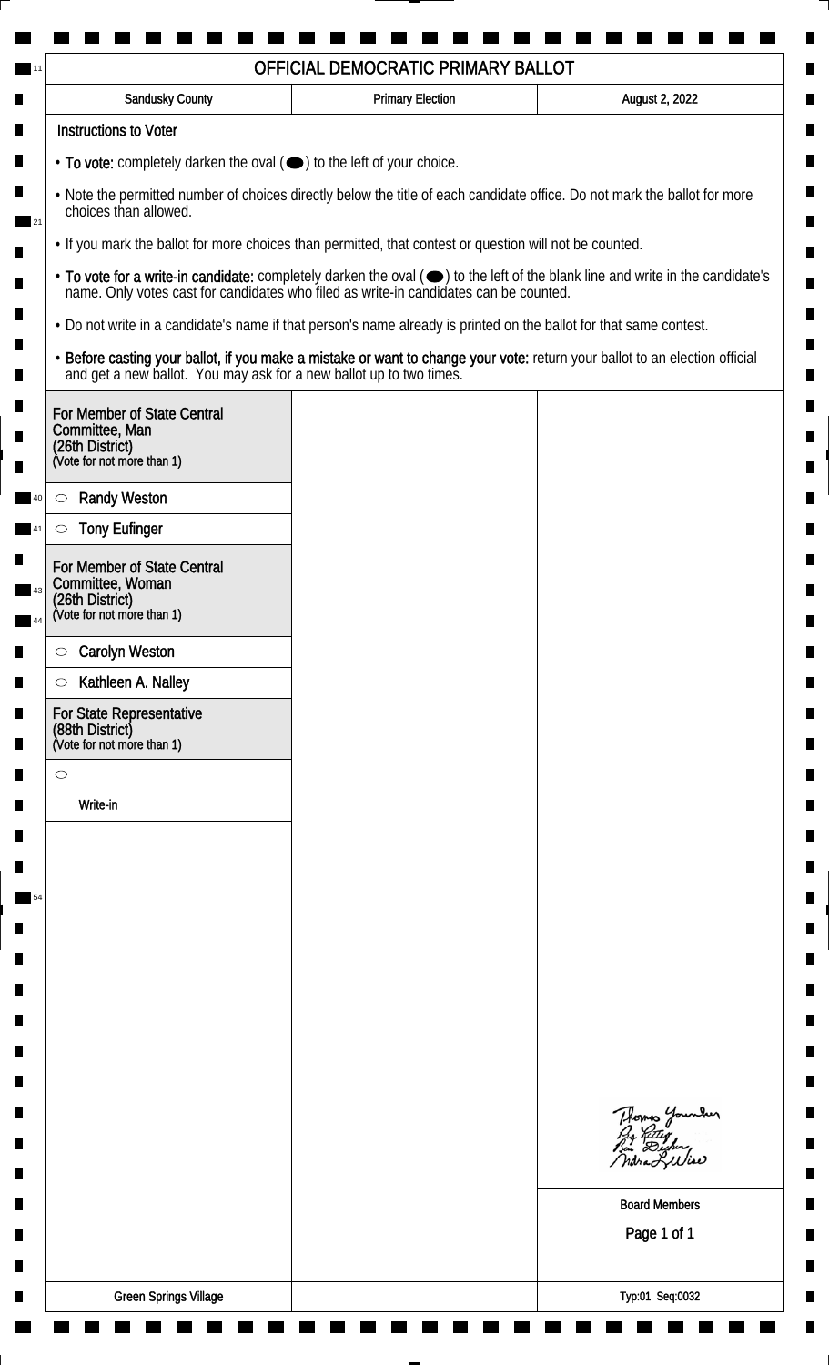| <b>Sandusky County</b>                                                                                                                             | <b>Primary Election</b> | August 2, 2022                                                                                                                                                                                                                 |
|----------------------------------------------------------------------------------------------------------------------------------------------------|-------------------------|--------------------------------------------------------------------------------------------------------------------------------------------------------------------------------------------------------------------------------|
| <b>Instructions to Voter</b>                                                                                                                       |                         |                                                                                                                                                                                                                                |
| • To vote: completely darken the oval ( $\bigcirc$ ) to the left of your choice.                                                                   |                         |                                                                                                                                                                                                                                |
| . Note the permitted number of choices directly below the title of each candidate office. Do not mark the ballot for more<br>choices than allowed. |                         |                                                                                                                                                                                                                                |
| . If you mark the ballot for more choices than permitted, that contest or question will not be counted.                                            |                         |                                                                                                                                                                                                                                |
|                                                                                                                                                    |                         | • To vote for a write-in candidate: completely darken the oval ( $\bigcirc$ ) to the left of the blank line and write in the candidate's name. Only votes cast for candidates who filed as write-in candidates can be counted. |
| . Do not write in a candidate's name if that person's name already is printed on the ballot for that same contest.                                 |                         |                                                                                                                                                                                                                                |
|                                                                                                                                                    |                         | • Before casting your ballot, if you make a mistake or want to change your vote: return your ballot to an election official and get a new ballot. You may ask for a new ballot up to two times.                                |
| For Member of State Central<br>Committee, Man<br>(26th District)<br>(Vote for not more than 1)                                                     |                         |                                                                                                                                                                                                                                |
| <b>Randy Weston</b><br>$\circ$                                                                                                                     |                         |                                                                                                                                                                                                                                |
| <b>Tony Eufinger</b><br>$\circlearrowright$                                                                                                        |                         |                                                                                                                                                                                                                                |
| For Member of State Central                                                                                                                        |                         |                                                                                                                                                                                                                                |
| Committee, Woman<br>(26th District)<br>(Vote for not more than 1)                                                                                  |                         |                                                                                                                                                                                                                                |
|                                                                                                                                                    |                         |                                                                                                                                                                                                                                |
| <b>Carolyn Weston</b><br>$\circ$                                                                                                                   |                         |                                                                                                                                                                                                                                |
| Kathleen A. Nalley<br>$\circ$                                                                                                                      |                         |                                                                                                                                                                                                                                |
| For State Representative<br>(88th District)<br>(Vote for not more than 1)                                                                          |                         |                                                                                                                                                                                                                                |
| $\circ$                                                                                                                                            |                         |                                                                                                                                                                                                                                |
| Write-in                                                                                                                                           |                         |                                                                                                                                                                                                                                |
|                                                                                                                                                    |                         |                                                                                                                                                                                                                                |
|                                                                                                                                                    |                         |                                                                                                                                                                                                                                |
|                                                                                                                                                    |                         |                                                                                                                                                                                                                                |
|                                                                                                                                                    |                         |                                                                                                                                                                                                                                |
|                                                                                                                                                    |                         |                                                                                                                                                                                                                                |
|                                                                                                                                                    |                         |                                                                                                                                                                                                                                |
|                                                                                                                                                    |                         |                                                                                                                                                                                                                                |
|                                                                                                                                                    |                         |                                                                                                                                                                                                                                |
|                                                                                                                                                    |                         | Thomas Younder                                                                                                                                                                                                                 |
|                                                                                                                                                    |                         |                                                                                                                                                                                                                                |
|                                                                                                                                                    |                         |                                                                                                                                                                                                                                |
|                                                                                                                                                    |                         | <b>Board Members</b>                                                                                                                                                                                                           |
|                                                                                                                                                    |                         | Page 1 of 1                                                                                                                                                                                                                    |
|                                                                                                                                                    |                         |                                                                                                                                                                                                                                |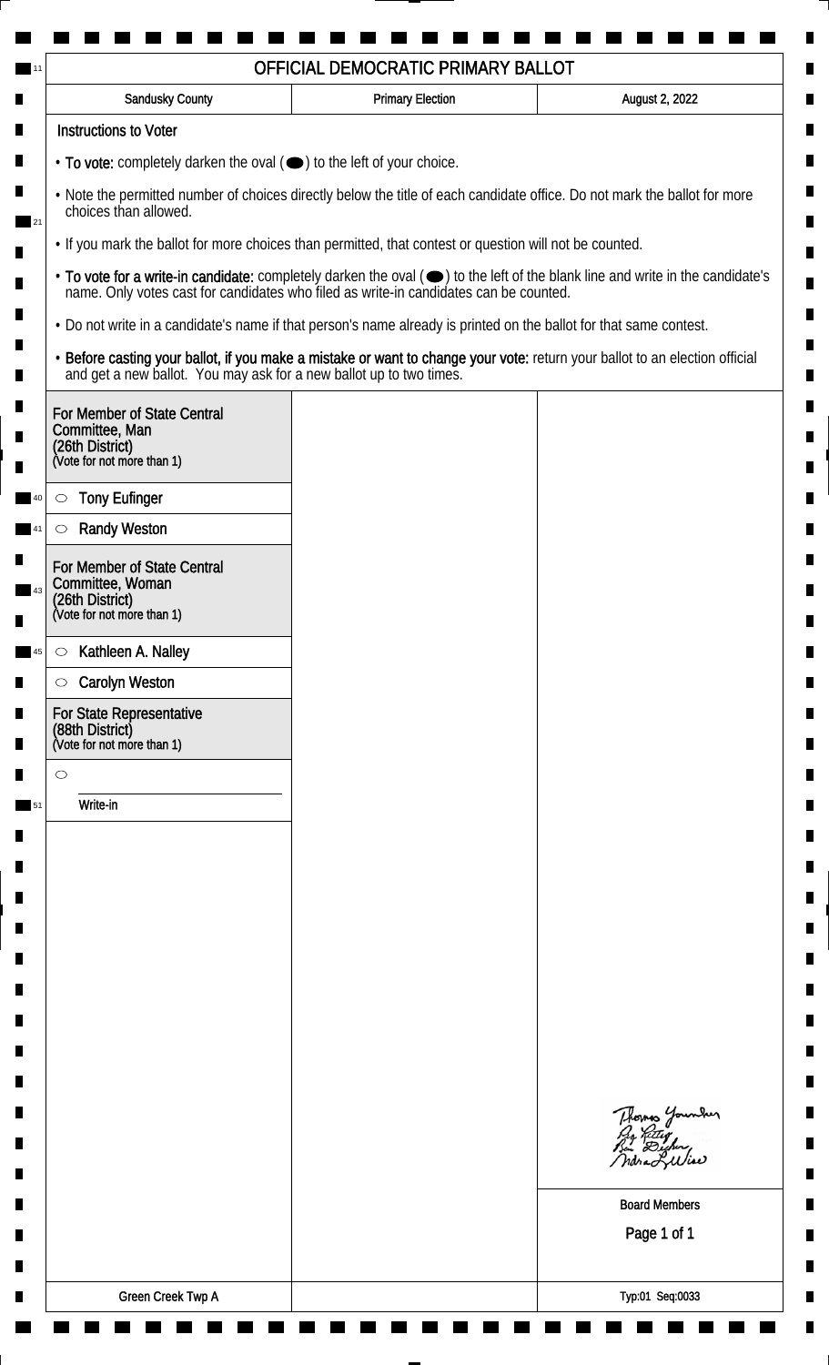| Sandusky County                                                                                | <b>Primary Election</b>                                                                                                                                                                                                        | August 2, 2022                              |
|------------------------------------------------------------------------------------------------|--------------------------------------------------------------------------------------------------------------------------------------------------------------------------------------------------------------------------------|---------------------------------------------|
| <b>Instructions to Voter</b>                                                                   |                                                                                                                                                                                                                                |                                             |
| • To vote: completely darken the oval (•) to the left of your choice.                          |                                                                                                                                                                                                                                |                                             |
| choices than allowed.                                                                          | . Note the permitted number of choices directly below the title of each candidate office. Do not mark the ballot for more                                                                                                      |                                             |
|                                                                                                | . If you mark the ballot for more choices than permitted, that contest or question will not be counted.                                                                                                                        |                                             |
|                                                                                                | • To vote for a write-in candidate: completely darken the oval ( $\bigcirc$ ) to the left of the blank line and write in the candidate's name. Only votes cast for candidates who filed as write-in candidates can be counted. |                                             |
|                                                                                                | • Do not write in a candidate's name if that person's name already is printed on the ballot for that same contest.                                                                                                             |                                             |
|                                                                                                | • Before casting your ballot, if you make a mistake or want to change your vote: return your ballot to an election official and get a new ballot. You may ask for a new ballot up to two times.                                |                                             |
| For Member of State Central<br>Committee, Man<br>(26th District)<br>(Vote for not more than 1) |                                                                                                                                                                                                                                |                                             |
| <b>Tony Eufinger</b><br>$\circlearrowright$                                                    |                                                                                                                                                                                                                                |                                             |
| <b>Randy Weston</b><br>$\circlearrowright$                                                     |                                                                                                                                                                                                                                |                                             |
| For Member of State Central                                                                    |                                                                                                                                                                                                                                |                                             |
| Committee, Woman                                                                               |                                                                                                                                                                                                                                |                                             |
| (26th District)<br>(Vote for not more than 1)                                                  |                                                                                                                                                                                                                                |                                             |
| Kathleen A. Nalley<br>$\circ$                                                                  |                                                                                                                                                                                                                                |                                             |
| <b>Carolyn Weston</b><br>$\circ$                                                               |                                                                                                                                                                                                                                |                                             |
| For State Representative<br>(88th District)<br>(Vote for not more than 1)                      |                                                                                                                                                                                                                                |                                             |
| $\circ$                                                                                        |                                                                                                                                                                                                                                |                                             |
| Write-in                                                                                       |                                                                                                                                                                                                                                |                                             |
|                                                                                                |                                                                                                                                                                                                                                |                                             |
|                                                                                                |                                                                                                                                                                                                                                |                                             |
|                                                                                                |                                                                                                                                                                                                                                |                                             |
|                                                                                                |                                                                                                                                                                                                                                |                                             |
|                                                                                                |                                                                                                                                                                                                                                |                                             |
|                                                                                                |                                                                                                                                                                                                                                |                                             |
|                                                                                                |                                                                                                                                                                                                                                |                                             |
|                                                                                                |                                                                                                                                                                                                                                |                                             |
|                                                                                                |                                                                                                                                                                                                                                |                                             |
|                                                                                                |                                                                                                                                                                                                                                | Thomas Younder<br>Pro Retter<br>Bin Dicher, |
|                                                                                                |                                                                                                                                                                                                                                | ndra Lilia                                  |
|                                                                                                |                                                                                                                                                                                                                                | <b>Board Members</b>                        |
|                                                                                                |                                                                                                                                                                                                                                | Page 1 of 1                                 |
|                                                                                                |                                                                                                                                                                                                                                |                                             |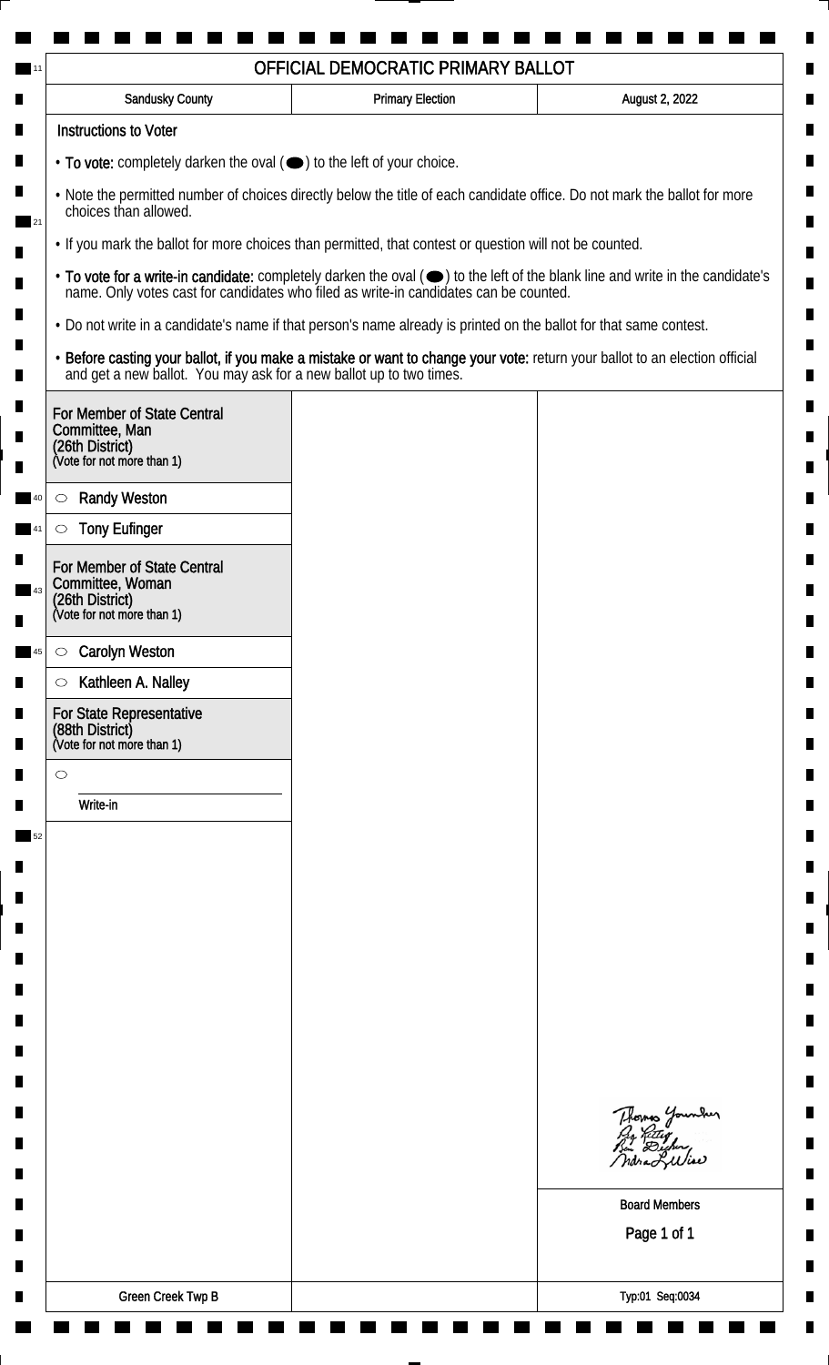| Sandusky County                                                                                | <b>Primary Election</b>                                                                                                                                                                                                        | August 2, 2022                              |
|------------------------------------------------------------------------------------------------|--------------------------------------------------------------------------------------------------------------------------------------------------------------------------------------------------------------------------------|---------------------------------------------|
| <b>Instructions to Voter</b>                                                                   |                                                                                                                                                                                                                                |                                             |
| $\cdot$ To vote: completely darken the oval $(\bullet)$ to the left of your choice.            |                                                                                                                                                                                                                                |                                             |
| choices than allowed.                                                                          | . Note the permitted number of choices directly below the title of each candidate office. Do not mark the ballot for more                                                                                                      |                                             |
|                                                                                                | . If you mark the ballot for more choices than permitted, that contest or question will not be counted.                                                                                                                        |                                             |
|                                                                                                | • To vote for a write-in candidate: completely darken the oval ( $\bigcirc$ ) to the left of the blank line and write in the candidate's name. Only votes cast for candidates who filed as write-in candidates can be counted. |                                             |
|                                                                                                | • Do not write in a candidate's name if that person's name already is printed on the ballot for that same contest.                                                                                                             |                                             |
|                                                                                                | • Before casting your ballot, if you make a mistake or want to change your vote: return your ballot to an election official and get a new ballot. You may ask for a new ballot up to two times.                                |                                             |
| For Member of State Central<br>Committee, Man<br>(26th District)<br>(Vote for not more than 1) |                                                                                                                                                                                                                                |                                             |
| <b>Randy Weston</b><br>$\circlearrowright$                                                     |                                                                                                                                                                                                                                |                                             |
| <b>Tony Eufinger</b><br>$\circlearrowright$                                                    |                                                                                                                                                                                                                                |                                             |
|                                                                                                |                                                                                                                                                                                                                                |                                             |
| For Member of State Central<br>Committee, Woman                                                |                                                                                                                                                                                                                                |                                             |
| (26th District)<br>(Vote for not more than 1)                                                  |                                                                                                                                                                                                                                |                                             |
| <b>Carolyn Weston</b><br>$\bigcirc$                                                            |                                                                                                                                                                                                                                |                                             |
| Kathleen A. Nalley<br>$\circlearrowright$                                                      |                                                                                                                                                                                                                                |                                             |
| For State Representative<br>(88th District)<br>(Vote for not more than 1)                      |                                                                                                                                                                                                                                |                                             |
| $\circ$                                                                                        |                                                                                                                                                                                                                                |                                             |
| Write-in                                                                                       |                                                                                                                                                                                                                                |                                             |
|                                                                                                |                                                                                                                                                                                                                                |                                             |
|                                                                                                |                                                                                                                                                                                                                                |                                             |
|                                                                                                |                                                                                                                                                                                                                                |                                             |
|                                                                                                |                                                                                                                                                                                                                                |                                             |
|                                                                                                |                                                                                                                                                                                                                                |                                             |
|                                                                                                |                                                                                                                                                                                                                                |                                             |
|                                                                                                |                                                                                                                                                                                                                                |                                             |
|                                                                                                |                                                                                                                                                                                                                                |                                             |
|                                                                                                |                                                                                                                                                                                                                                |                                             |
|                                                                                                |                                                                                                                                                                                                                                | Thomas Younder<br>Pro Retter<br>Bin Dicher, |
|                                                                                                |                                                                                                                                                                                                                                | Indra Luliae                                |
|                                                                                                |                                                                                                                                                                                                                                | <b>Board Members</b>                        |
|                                                                                                |                                                                                                                                                                                                                                | Page 1 of 1                                 |
|                                                                                                |                                                                                                                                                                                                                                |                                             |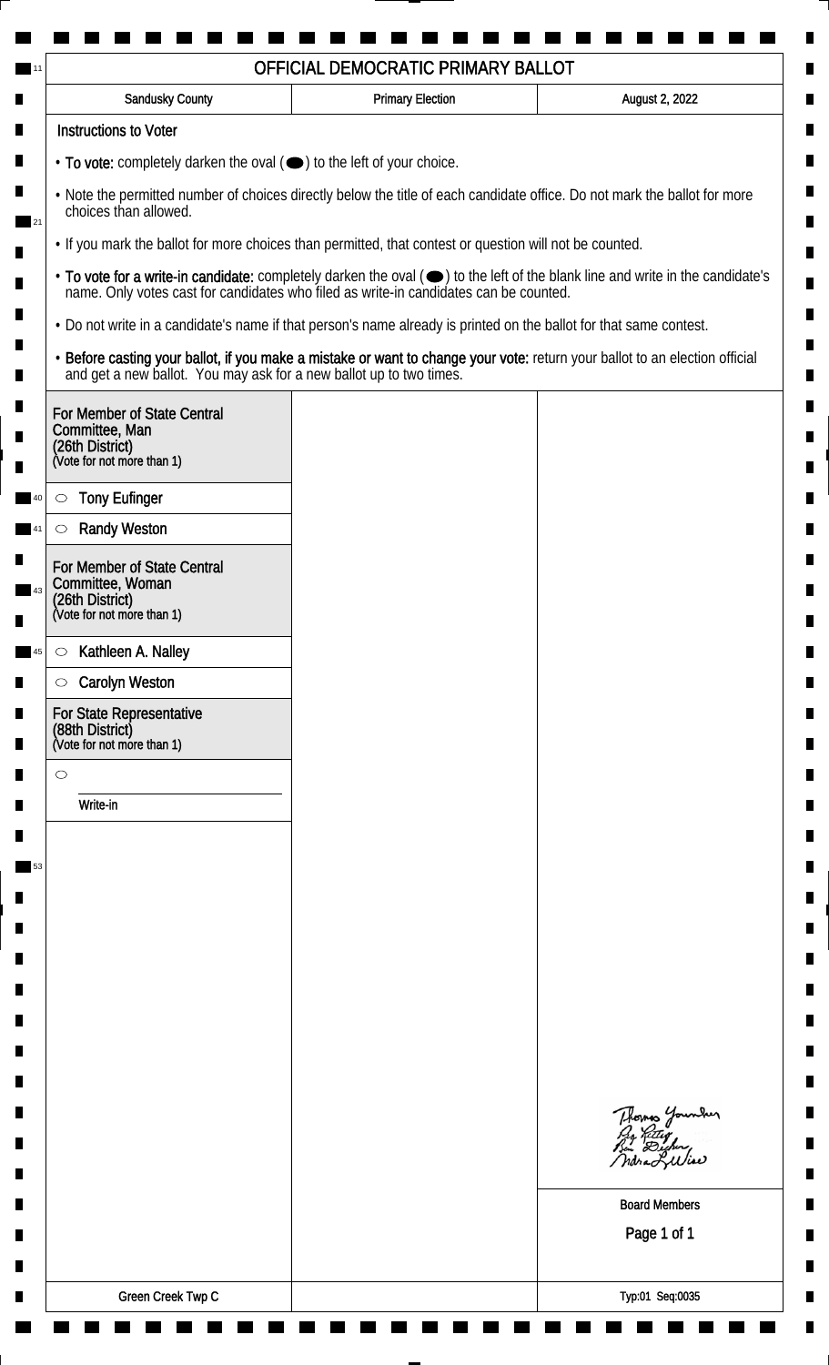| Sandusky County                                                                                  | <b>Primary Election</b>                                                                                                                                                                                                        | August 2, 2022                             |
|--------------------------------------------------------------------------------------------------|--------------------------------------------------------------------------------------------------------------------------------------------------------------------------------------------------------------------------------|--------------------------------------------|
| <b>Instructions to Voter</b>                                                                     |                                                                                                                                                                                                                                |                                            |
| • To vote: completely darken the oval (•) to the left of your choice.                            |                                                                                                                                                                                                                                |                                            |
| choices than allowed.                                                                            | . Note the permitted number of choices directly below the title of each candidate office. Do not mark the ballot for more                                                                                                      |                                            |
|                                                                                                  | . If you mark the ballot for more choices than permitted, that contest or question will not be counted.                                                                                                                        |                                            |
|                                                                                                  | • To vote for a write-in candidate: completely darken the oval ( $\bigcirc$ ) to the left of the blank line and write in the candidate's name. Only votes cast for candidates who filed as write-in candidates can be counted. |                                            |
|                                                                                                  | . Do not write in a candidate's name if that person's name already is printed on the ballot for that same contest.                                                                                                             |                                            |
|                                                                                                  | • Before casting your ballot, if you make a mistake or want to change your vote: return your ballot to an election official and get a new ballot. You may ask for a new ballot up to two times.                                |                                            |
| For Member of State Central                                                                      |                                                                                                                                                                                                                                |                                            |
| Committee, Man<br>(26th District)<br>(Vote for not more than 1)                                  |                                                                                                                                                                                                                                |                                            |
|                                                                                                  |                                                                                                                                                                                                                                |                                            |
| <b>Tony Eufinger</b><br>$\circlearrowright$                                                      |                                                                                                                                                                                                                                |                                            |
| <b>Randy Weston</b><br>$\circlearrowright$                                                       |                                                                                                                                                                                                                                |                                            |
| For Member of State Central<br>Committee, Woman<br>(26th District)<br>(Vote for not more than 1) |                                                                                                                                                                                                                                |                                            |
|                                                                                                  |                                                                                                                                                                                                                                |                                            |
| Kathleen A. Nalley<br>$\circ$<br><b>Carolyn Weston</b><br>$\circ$                                |                                                                                                                                                                                                                                |                                            |
| For State Representative                                                                         |                                                                                                                                                                                                                                |                                            |
| (88th District)<br>(Vote for not more than 1)                                                    |                                                                                                                                                                                                                                |                                            |
| $\circ$                                                                                          |                                                                                                                                                                                                                                |                                            |
| Write-in                                                                                         |                                                                                                                                                                                                                                |                                            |
|                                                                                                  |                                                                                                                                                                                                                                |                                            |
|                                                                                                  |                                                                                                                                                                                                                                |                                            |
|                                                                                                  |                                                                                                                                                                                                                                |                                            |
|                                                                                                  |                                                                                                                                                                                                                                |                                            |
|                                                                                                  |                                                                                                                                                                                                                                |                                            |
|                                                                                                  |                                                                                                                                                                                                                                |                                            |
|                                                                                                  |                                                                                                                                                                                                                                |                                            |
|                                                                                                  |                                                                                                                                                                                                                                |                                            |
|                                                                                                  |                                                                                                                                                                                                                                |                                            |
|                                                                                                  |                                                                                                                                                                                                                                | Thomas Younder<br>By Ritter<br>Bin Dicher, |
|                                                                                                  |                                                                                                                                                                                                                                |                                            |
|                                                                                                  |                                                                                                                                                                                                                                | <b>Board Members</b>                       |
|                                                                                                  |                                                                                                                                                                                                                                | Page 1 of 1                                |
|                                                                                                  |                                                                                                                                                                                                                                |                                            |
|                                                                                                  |                                                                                                                                                                                                                                |                                            |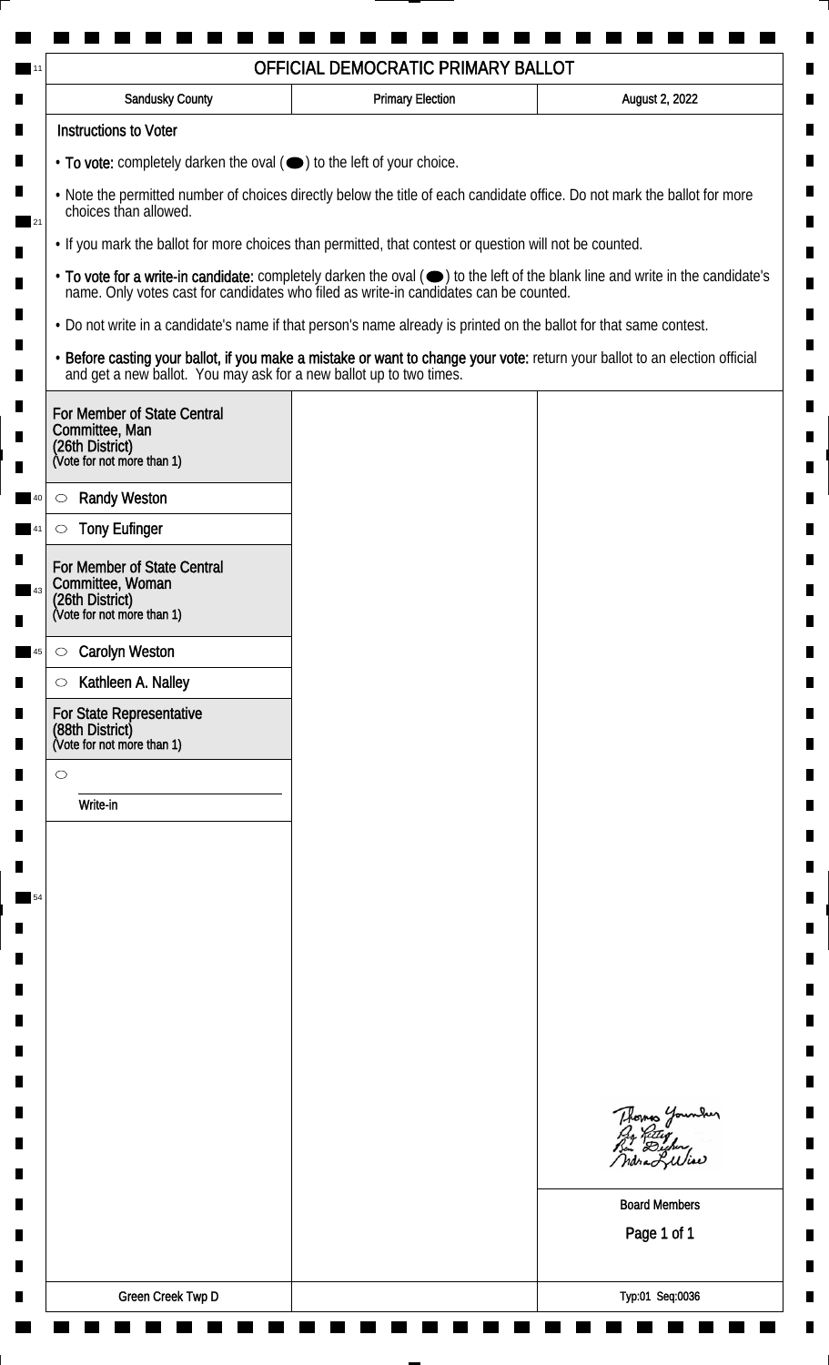| <b>Sandusky County</b>                                                                                             | <b>Primary Election</b> | August 2, 2022                                                                                                                                                                                                                 |
|--------------------------------------------------------------------------------------------------------------------|-------------------------|--------------------------------------------------------------------------------------------------------------------------------------------------------------------------------------------------------------------------------|
| <b>Instructions to Voter</b>                                                                                       |                         |                                                                                                                                                                                                                                |
| $\cdot$ To vote: completely darken the oval $(\bullet)$ to the left of your choice.                                |                         |                                                                                                                                                                                                                                |
| choices than allowed.                                                                                              |                         | . Note the permitted number of choices directly below the title of each candidate office. Do not mark the ballot for more                                                                                                      |
| . If you mark the ballot for more choices than permitted, that contest or question will not be counted.            |                         |                                                                                                                                                                                                                                |
|                                                                                                                    |                         | • To vote for a write-in candidate: completely darken the oval ( $\bigcirc$ ) to the left of the blank line and write in the candidate's name. Only votes cast for candidates who filed as write-in candidates can be counted. |
| . Do not write in a candidate's name if that person's name already is printed on the ballot for that same contest. |                         |                                                                                                                                                                                                                                |
|                                                                                                                    |                         | • Before casting your ballot, if you make a mistake or want to change your vote: return your ballot to an election official and get a new ballot. You may ask for a new ballot up to two times.                                |
| For Member of State Central<br>Committee, Man<br>(26th District)<br>(Vote for not more than 1)                     |                         |                                                                                                                                                                                                                                |
| <b>Randy Weston</b><br>$\circ$                                                                                     |                         |                                                                                                                                                                                                                                |
| <b>Tony Eufinger</b><br>$\circ$                                                                                    |                         |                                                                                                                                                                                                                                |
| For Member of State Central<br>Committee, Woman<br>(26th District)<br>(Vote for not more than 1)                   |                         |                                                                                                                                                                                                                                |
|                                                                                                                    |                         |                                                                                                                                                                                                                                |
| <b>Carolyn Weston</b><br>$\circ$                                                                                   |                         |                                                                                                                                                                                                                                |
| Kathleen A. Nalley<br>$\circ$<br>For State Representative                                                          |                         |                                                                                                                                                                                                                                |
| (88th District)<br>(Vote for not more than 1)                                                                      |                         |                                                                                                                                                                                                                                |
| $\circ$                                                                                                            |                         |                                                                                                                                                                                                                                |
| Write-in                                                                                                           |                         |                                                                                                                                                                                                                                |
|                                                                                                                    |                         |                                                                                                                                                                                                                                |
|                                                                                                                    |                         |                                                                                                                                                                                                                                |
|                                                                                                                    |                         |                                                                                                                                                                                                                                |
|                                                                                                                    |                         |                                                                                                                                                                                                                                |
|                                                                                                                    |                         |                                                                                                                                                                                                                                |
|                                                                                                                    |                         |                                                                                                                                                                                                                                |
|                                                                                                                    |                         |                                                                                                                                                                                                                                |
|                                                                                                                    |                         |                                                                                                                                                                                                                                |
|                                                                                                                    |                         |                                                                                                                                                                                                                                |
|                                                                                                                    |                         | Thomas Younder                                                                                                                                                                                                                 |
|                                                                                                                    |                         |                                                                                                                                                                                                                                |
|                                                                                                                    |                         | <b>Board Members</b>                                                                                                                                                                                                           |
|                                                                                                                    |                         | Page 1 of 1                                                                                                                                                                                                                    |
|                                                                                                                    |                         |                                                                                                                                                                                                                                |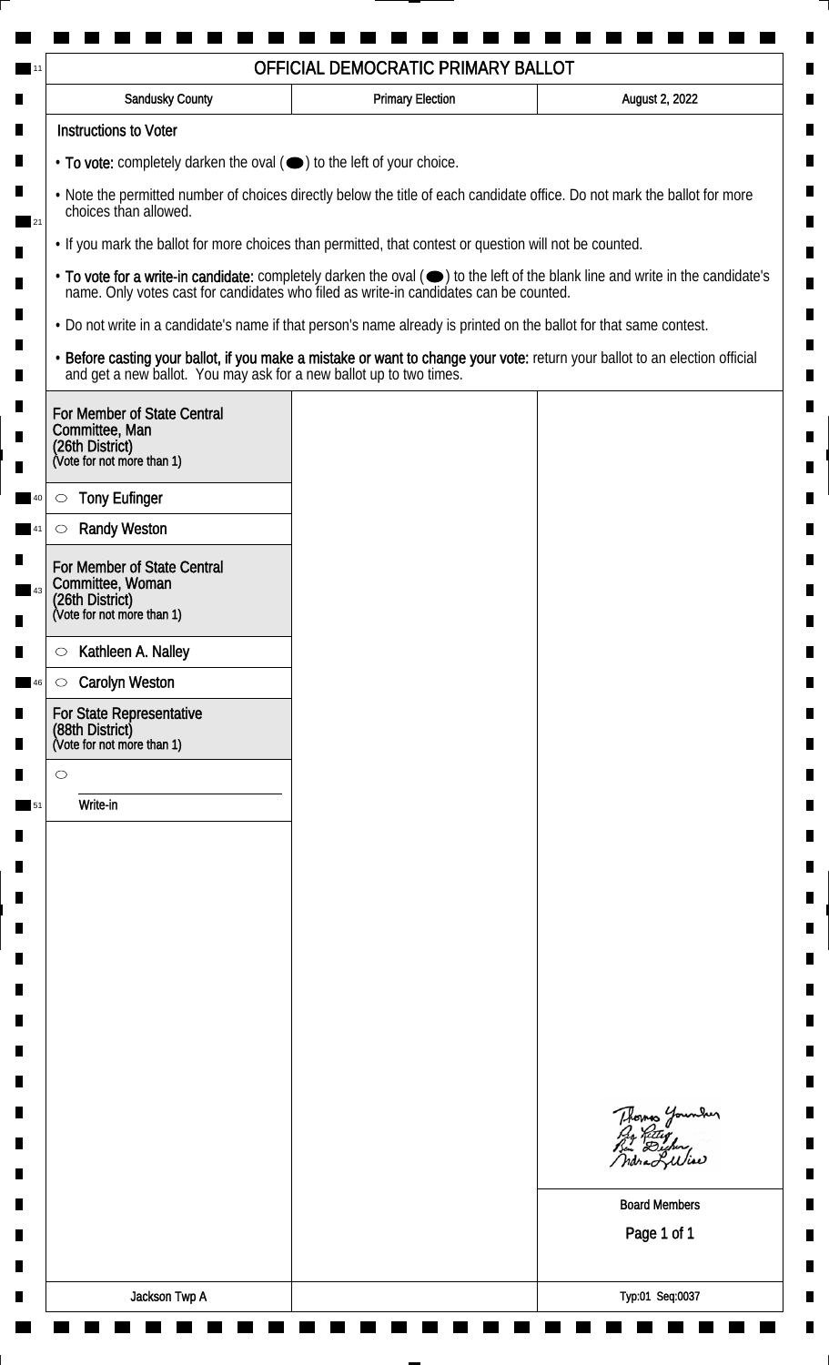| <b>Sandusky County</b>                                                                           | <b>Primary Election</b>                                                                                            | August 2, 2022                                                                                                                                                                                                                 |
|--------------------------------------------------------------------------------------------------|--------------------------------------------------------------------------------------------------------------------|--------------------------------------------------------------------------------------------------------------------------------------------------------------------------------------------------------------------------------|
| <b>Instructions to Voter</b>                                                                     |                                                                                                                    |                                                                                                                                                                                                                                |
| • To vote: completely darken the oval (•) to the left of your choice.                            |                                                                                                                    |                                                                                                                                                                                                                                |
| choices than allowed.                                                                            |                                                                                                                    | . Note the permitted number of choices directly below the title of each candidate office. Do not mark the ballot for more                                                                                                      |
|                                                                                                  | • If you mark the ballot for more choices than permitted, that contest or question will not be counted.            |                                                                                                                                                                                                                                |
|                                                                                                  |                                                                                                                    | • To vote for a write-in candidate: completely darken the oval ( $\bigcirc$ ) to the left of the blank line and write in the candidate's name. Only votes cast for candidates who filed as write-in candidates can be counted. |
|                                                                                                  | . Do not write in a candidate's name if that person's name already is printed on the ballot for that same contest. |                                                                                                                                                                                                                                |
|                                                                                                  |                                                                                                                    | • Before casting your ballot, if you make a mistake or want to change your vote: return your ballot to an election official and get a new ballot. You may ask for a new ballot up to two times.                                |
| For Member of State Central<br>Committee, Man<br>(26th District)<br>(Vote for not more than 1)   |                                                                                                                    |                                                                                                                                                                                                                                |
| <b>Tony Eufinger</b><br>$\circ$                                                                  |                                                                                                                    |                                                                                                                                                                                                                                |
| <b>Randy Weston</b><br>$\circlearrowright$                                                       |                                                                                                                    |                                                                                                                                                                                                                                |
| For Member of State Central<br>Committee, Woman<br>(26th District)<br>(Vote for not more than 1) |                                                                                                                    |                                                                                                                                                                                                                                |
|                                                                                                  |                                                                                                                    |                                                                                                                                                                                                                                |
| Kathleen A. Nalley<br>$\circ$                                                                    |                                                                                                                    |                                                                                                                                                                                                                                |
| <b>Carolyn Weston</b><br>$\circ$                                                                 |                                                                                                                    |                                                                                                                                                                                                                                |
| For State Representative<br>(88th District)<br>(Vote for not more than 1)                        |                                                                                                                    |                                                                                                                                                                                                                                |
| $\circ$                                                                                          |                                                                                                                    |                                                                                                                                                                                                                                |
| Write-in                                                                                         |                                                                                                                    |                                                                                                                                                                                                                                |
|                                                                                                  |                                                                                                                    | Thomas Younder<br><b>Board Members</b>                                                                                                                                                                                         |
|                                                                                                  |                                                                                                                    | Page 1 of 1                                                                                                                                                                                                                    |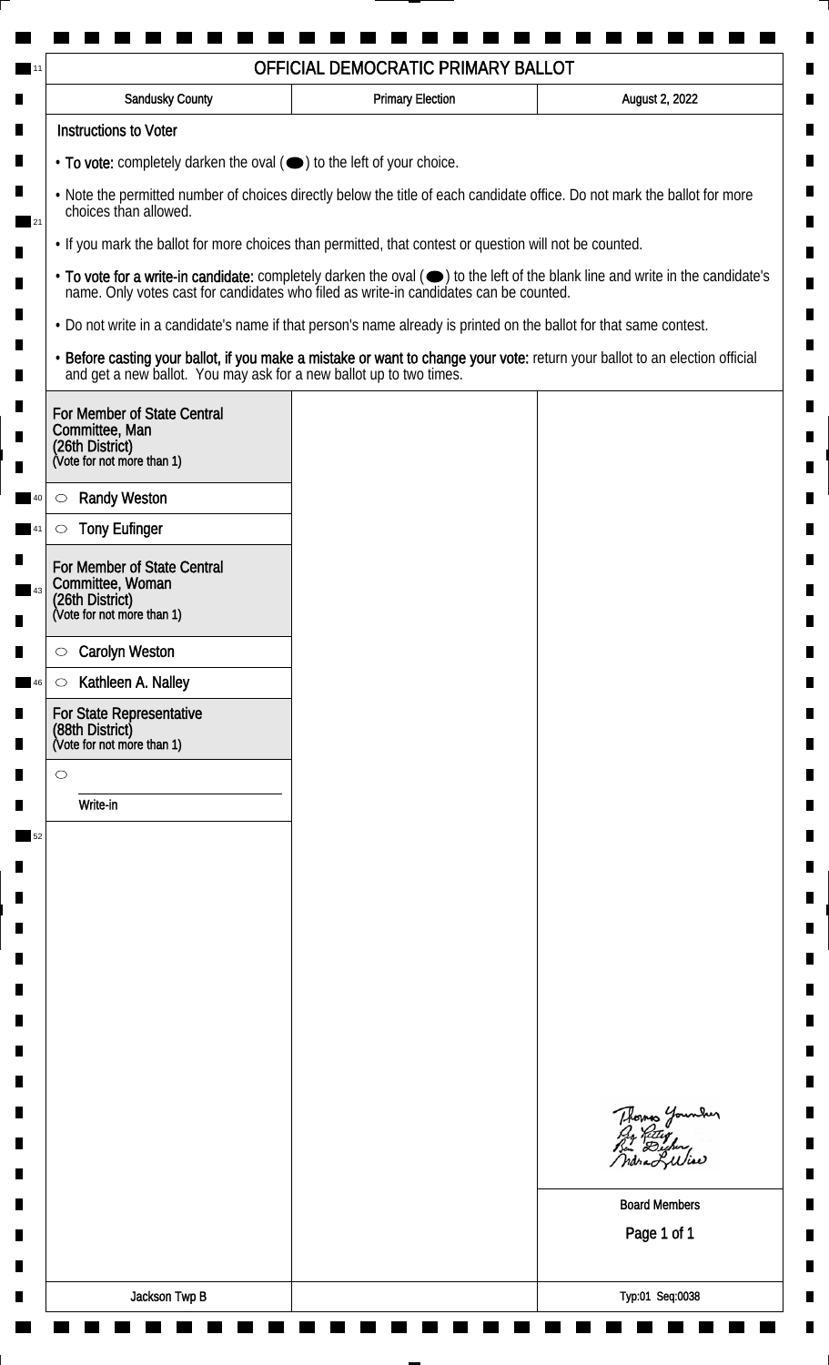| <b>Instructions to Voter</b><br>• To vote: completely darken the oval (•) to the left of your choice.<br>. Note the permitted number of choices directly below the title of each candidate office. Do not mark the ballot for more<br>choices than allowed.<br>• If you mark the ballot for more choices than permitted, that contest or question will not be counted.<br>. Do not write in a candidate's name if that person's name already is printed on the ballot for that same contest.<br>• Before casting your ballot, if you make a mistake or want to change your vote: return your ballot to an election official and get a new ballot. You may ask for a new ballot up to two times.<br>For Member of State Central<br>Committee, Man<br>(26th District)<br>(Vote for not more than 1)<br><b>Randy Weston</b><br>$\circ$<br><b>Tony Eufinger</b><br>$\circ$<br>For Member of State Central<br>Committee, Woman<br>(26th District)<br>(Vote for not more than 1)<br><b>Carolyn Weston</b><br>$\circ$<br>Kathleen A. Nalley<br>$\circ$<br>For State Representative<br>(88th District)<br>(Vote for not more than 1)<br>$\circ$<br>Write-in<br>Thomas Younder<br><b>Board Members</b><br>Page 1 of 1 | <b>Sandusky County</b> | <b>Primary Election</b> | August 2, 2022 |
|--------------------------------------------------------------------------------------------------------------------------------------------------------------------------------------------------------------------------------------------------------------------------------------------------------------------------------------------------------------------------------------------------------------------------------------------------------------------------------------------------------------------------------------------------------------------------------------------------------------------------------------------------------------------------------------------------------------------------------------------------------------------------------------------------------------------------------------------------------------------------------------------------------------------------------------------------------------------------------------------------------------------------------------------------------------------------------------------------------------------------------------------------------------------------------------------------------------|------------------------|-------------------------|----------------|
| • To vote for a write-in candidate: completely darken the oval ( $\bigcirc$ ) to the left of the blank line and write in the candidate's name. Only votes cast for candidates who filed as write-in candidates can be counted.                                                                                                                                                                                                                                                                                                                                                                                                                                                                                                                                                                                                                                                                                                                                                                                                                                                                                                                                                                               |                        |                         |                |
|                                                                                                                                                                                                                                                                                                                                                                                                                                                                                                                                                                                                                                                                                                                                                                                                                                                                                                                                                                                                                                                                                                                                                                                                              |                        |                         |                |
|                                                                                                                                                                                                                                                                                                                                                                                                                                                                                                                                                                                                                                                                                                                                                                                                                                                                                                                                                                                                                                                                                                                                                                                                              |                        |                         |                |
|                                                                                                                                                                                                                                                                                                                                                                                                                                                                                                                                                                                                                                                                                                                                                                                                                                                                                                                                                                                                                                                                                                                                                                                                              |                        |                         |                |
|                                                                                                                                                                                                                                                                                                                                                                                                                                                                                                                                                                                                                                                                                                                                                                                                                                                                                                                                                                                                                                                                                                                                                                                                              |                        |                         |                |
|                                                                                                                                                                                                                                                                                                                                                                                                                                                                                                                                                                                                                                                                                                                                                                                                                                                                                                                                                                                                                                                                                                                                                                                                              |                        |                         |                |
|                                                                                                                                                                                                                                                                                                                                                                                                                                                                                                                                                                                                                                                                                                                                                                                                                                                                                                                                                                                                                                                                                                                                                                                                              |                        |                         |                |
|                                                                                                                                                                                                                                                                                                                                                                                                                                                                                                                                                                                                                                                                                                                                                                                                                                                                                                                                                                                                                                                                                                                                                                                                              |                        |                         |                |
|                                                                                                                                                                                                                                                                                                                                                                                                                                                                                                                                                                                                                                                                                                                                                                                                                                                                                                                                                                                                                                                                                                                                                                                                              |                        |                         |                |
|                                                                                                                                                                                                                                                                                                                                                                                                                                                                                                                                                                                                                                                                                                                                                                                                                                                                                                                                                                                                                                                                                                                                                                                                              |                        |                         |                |
|                                                                                                                                                                                                                                                                                                                                                                                                                                                                                                                                                                                                                                                                                                                                                                                                                                                                                                                                                                                                                                                                                                                                                                                                              |                        |                         |                |
|                                                                                                                                                                                                                                                                                                                                                                                                                                                                                                                                                                                                                                                                                                                                                                                                                                                                                                                                                                                                                                                                                                                                                                                                              |                        |                         |                |
|                                                                                                                                                                                                                                                                                                                                                                                                                                                                                                                                                                                                                                                                                                                                                                                                                                                                                                                                                                                                                                                                                                                                                                                                              |                        |                         |                |
|                                                                                                                                                                                                                                                                                                                                                                                                                                                                                                                                                                                                                                                                                                                                                                                                                                                                                                                                                                                                                                                                                                                                                                                                              |                        |                         |                |
|                                                                                                                                                                                                                                                                                                                                                                                                                                                                                                                                                                                                                                                                                                                                                                                                                                                                                                                                                                                                                                                                                                                                                                                                              |                        |                         |                |
|                                                                                                                                                                                                                                                                                                                                                                                                                                                                                                                                                                                                                                                                                                                                                                                                                                                                                                                                                                                                                                                                                                                                                                                                              |                        |                         |                |
|                                                                                                                                                                                                                                                                                                                                                                                                                                                                                                                                                                                                                                                                                                                                                                                                                                                                                                                                                                                                                                                                                                                                                                                                              |                        |                         |                |
|                                                                                                                                                                                                                                                                                                                                                                                                                                                                                                                                                                                                                                                                                                                                                                                                                                                                                                                                                                                                                                                                                                                                                                                                              |                        |                         |                |
|                                                                                                                                                                                                                                                                                                                                                                                                                                                                                                                                                                                                                                                                                                                                                                                                                                                                                                                                                                                                                                                                                                                                                                                                              |                        |                         |                |
|                                                                                                                                                                                                                                                                                                                                                                                                                                                                                                                                                                                                                                                                                                                                                                                                                                                                                                                                                                                                                                                                                                                                                                                                              |                        |                         |                |
|                                                                                                                                                                                                                                                                                                                                                                                                                                                                                                                                                                                                                                                                                                                                                                                                                                                                                                                                                                                                                                                                                                                                                                                                              |                        |                         |                |
|                                                                                                                                                                                                                                                                                                                                                                                                                                                                                                                                                                                                                                                                                                                                                                                                                                                                                                                                                                                                                                                                                                                                                                                                              |                        |                         |                |
|                                                                                                                                                                                                                                                                                                                                                                                                                                                                                                                                                                                                                                                                                                                                                                                                                                                                                                                                                                                                                                                                                                                                                                                                              |                        |                         |                |
|                                                                                                                                                                                                                                                                                                                                                                                                                                                                                                                                                                                                                                                                                                                                                                                                                                                                                                                                                                                                                                                                                                                                                                                                              |                        |                         |                |
|                                                                                                                                                                                                                                                                                                                                                                                                                                                                                                                                                                                                                                                                                                                                                                                                                                                                                                                                                                                                                                                                                                                                                                                                              |                        |                         |                |
|                                                                                                                                                                                                                                                                                                                                                                                                                                                                                                                                                                                                                                                                                                                                                                                                                                                                                                                                                                                                                                                                                                                                                                                                              |                        |                         |                |
|                                                                                                                                                                                                                                                                                                                                                                                                                                                                                                                                                                                                                                                                                                                                                                                                                                                                                                                                                                                                                                                                                                                                                                                                              |                        |                         |                |
|                                                                                                                                                                                                                                                                                                                                                                                                                                                                                                                                                                                                                                                                                                                                                                                                                                                                                                                                                                                                                                                                                                                                                                                                              |                        |                         |                |
|                                                                                                                                                                                                                                                                                                                                                                                                                                                                                                                                                                                                                                                                                                                                                                                                                                                                                                                                                                                                                                                                                                                                                                                                              |                        |                         |                |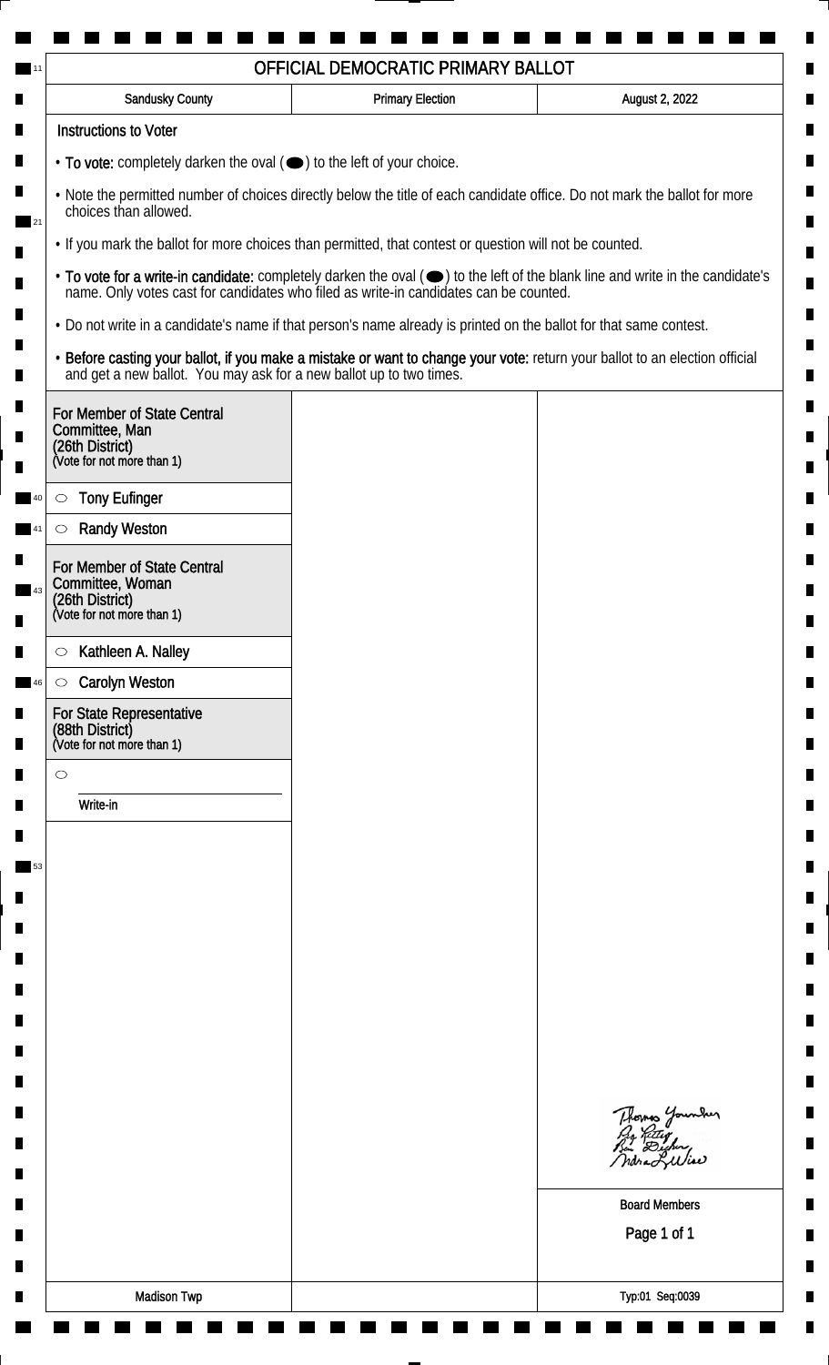| <b>Sandusky County</b>                                                                                             | <b>Primary Election</b> | August 2, 2022                                                                                                                                                                                                                 |
|--------------------------------------------------------------------------------------------------------------------|-------------------------|--------------------------------------------------------------------------------------------------------------------------------------------------------------------------------------------------------------------------------|
| <b>Instructions to Voter</b>                                                                                       |                         |                                                                                                                                                                                                                                |
| • To vote: completely darken the oval ( $\bigcirc$ ) to the left of your choice.                                   |                         |                                                                                                                                                                                                                                |
| choices than allowed.                                                                                              |                         | . Note the permitted number of choices directly below the title of each candidate office. Do not mark the ballot for more                                                                                                      |
| . If you mark the ballot for more choices than permitted, that contest or question will not be counted.            |                         |                                                                                                                                                                                                                                |
|                                                                                                                    |                         | • To vote for a write-in candidate: completely darken the oval ( $\bigcirc$ ) to the left of the blank line and write in the candidate's name. Only votes cast for candidates who filed as write-in candidates can be counted. |
| . Do not write in a candidate's name if that person's name already is printed on the ballot for that same contest. |                         |                                                                                                                                                                                                                                |
|                                                                                                                    |                         | • Before casting your ballot, if you make a mistake or want to change your vote: return your ballot to an election official and get a new ballot. You may ask for a new ballot up to two times.                                |
| For Member of State Central<br>Committee, Man<br>(26th District)<br>(Vote for not more than 1)                     |                         |                                                                                                                                                                                                                                |
| <b>Tony Eufinger</b><br>$\circ$                                                                                    |                         |                                                                                                                                                                                                                                |
| <b>Randy Weston</b><br>$\circlearrowright$                                                                         |                         |                                                                                                                                                                                                                                |
| For Member of State Central<br>Committee, Woman<br>(26th District)<br>(Vote for not more than 1)                   |                         |                                                                                                                                                                                                                                |
|                                                                                                                    |                         |                                                                                                                                                                                                                                |
| Kathleen A. Nalley<br>$\circ$                                                                                      |                         |                                                                                                                                                                                                                                |
| <b>Carolyn Weston</b><br>$\circ$                                                                                   |                         |                                                                                                                                                                                                                                |
| For State Representative<br>(88th District)<br>(Vote for not more than 1)                                          |                         |                                                                                                                                                                                                                                |
| $\circ$                                                                                                            |                         |                                                                                                                                                                                                                                |
| Write-in                                                                                                           |                         |                                                                                                                                                                                                                                |
|                                                                                                                    |                         |                                                                                                                                                                                                                                |
|                                                                                                                    |                         |                                                                                                                                                                                                                                |
|                                                                                                                    |                         |                                                                                                                                                                                                                                |
|                                                                                                                    |                         |                                                                                                                                                                                                                                |
|                                                                                                                    |                         |                                                                                                                                                                                                                                |
|                                                                                                                    |                         |                                                                                                                                                                                                                                |
|                                                                                                                    |                         |                                                                                                                                                                                                                                |
|                                                                                                                    |                         |                                                                                                                                                                                                                                |
|                                                                                                                    |                         |                                                                                                                                                                                                                                |
|                                                                                                                    |                         | Thomas Younder                                                                                                                                                                                                                 |
|                                                                                                                    |                         |                                                                                                                                                                                                                                |
|                                                                                                                    |                         | <b>Board Members</b>                                                                                                                                                                                                           |
|                                                                                                                    |                         | Page 1 of 1                                                                                                                                                                                                                    |
|                                                                                                                    |                         |                                                                                                                                                                                                                                |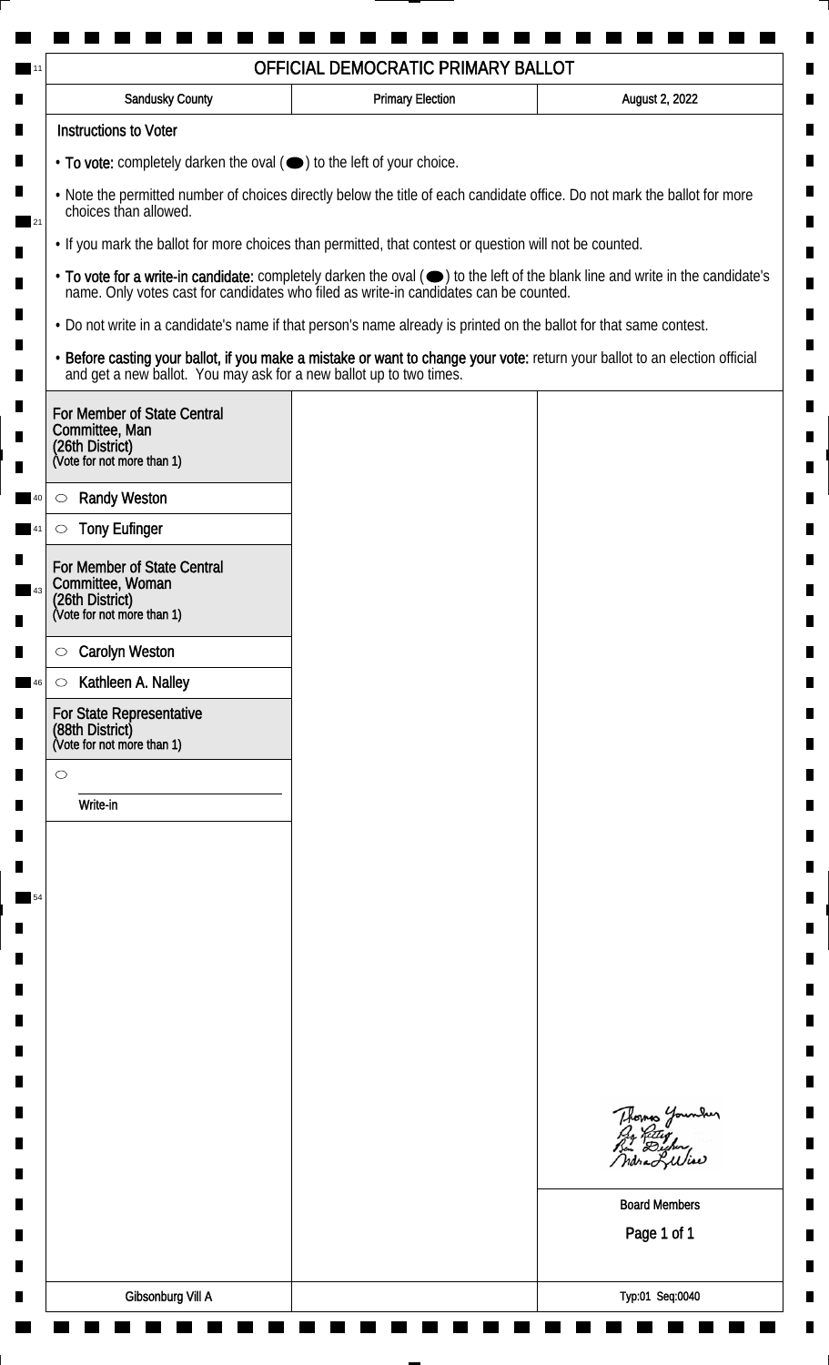| <b>Sandusky County</b>                                                                                             | <b>Primary Election</b> | August 2, 2022                                                                                                                                                                                                                 |
|--------------------------------------------------------------------------------------------------------------------|-------------------------|--------------------------------------------------------------------------------------------------------------------------------------------------------------------------------------------------------------------------------|
| <b>Instructions to Voter</b>                                                                                       |                         |                                                                                                                                                                                                                                |
| • To vote: completely darken the oval ( $\bigcirc$ ) to the left of your choice.                                   |                         |                                                                                                                                                                                                                                |
| choices than allowed.                                                                                              |                         | . Note the permitted number of choices directly below the title of each candidate office. Do not mark the ballot for more                                                                                                      |
| . If you mark the ballot for more choices than permitted, that contest or question will not be counted.            |                         |                                                                                                                                                                                                                                |
|                                                                                                                    |                         | • To vote for a write-in candidate: completely darken the oval ( $\bigcirc$ ) to the left of the blank line and write in the candidate's name. Only votes cast for candidates who filed as write-in candidates can be counted. |
| . Do not write in a candidate's name if that person's name already is printed on the ballot for that same contest. |                         |                                                                                                                                                                                                                                |
|                                                                                                                    |                         | • Before casting your ballot, if you make a mistake or want to change your vote: return your ballot to an election official and get a new ballot. You may ask for a new ballot up to two times.                                |
| For Member of State Central<br>Committee, Man<br>(26th District)<br>(Vote for not more than 1)                     |                         |                                                                                                                                                                                                                                |
| <b>Randy Weston</b><br>$\circ$                                                                                     |                         |                                                                                                                                                                                                                                |
| <b>Tony Eufinger</b><br>$\circlearrowright$                                                                        |                         |                                                                                                                                                                                                                                |
| For Member of State Central<br>Committee, Woman<br>(26th District)<br>(Vote for not more than 1)                   |                         |                                                                                                                                                                                                                                |
| <b>Carolyn Weston</b>                                                                                              |                         |                                                                                                                                                                                                                                |
| $\circ$<br>Kathleen A. Nalley<br>$\circ$                                                                           |                         |                                                                                                                                                                                                                                |
| For State Representative<br>(88th District)<br>(Vote for not more than 1)                                          |                         |                                                                                                                                                                                                                                |
| $\circ$                                                                                                            |                         |                                                                                                                                                                                                                                |
| Write-in                                                                                                           |                         |                                                                                                                                                                                                                                |
|                                                                                                                    |                         |                                                                                                                                                                                                                                |
|                                                                                                                    |                         |                                                                                                                                                                                                                                |
|                                                                                                                    |                         |                                                                                                                                                                                                                                |
|                                                                                                                    |                         |                                                                                                                                                                                                                                |
|                                                                                                                    |                         |                                                                                                                                                                                                                                |
|                                                                                                                    |                         |                                                                                                                                                                                                                                |
|                                                                                                                    |                         |                                                                                                                                                                                                                                |
|                                                                                                                    |                         |                                                                                                                                                                                                                                |
|                                                                                                                    |                         |                                                                                                                                                                                                                                |
|                                                                                                                    |                         | Thomas Younder                                                                                                                                                                                                                 |
|                                                                                                                    |                         | <b>Board Members</b>                                                                                                                                                                                                           |
|                                                                                                                    |                         | Page 1 of 1                                                                                                                                                                                                                    |
|                                                                                                                    |                         |                                                                                                                                                                                                                                |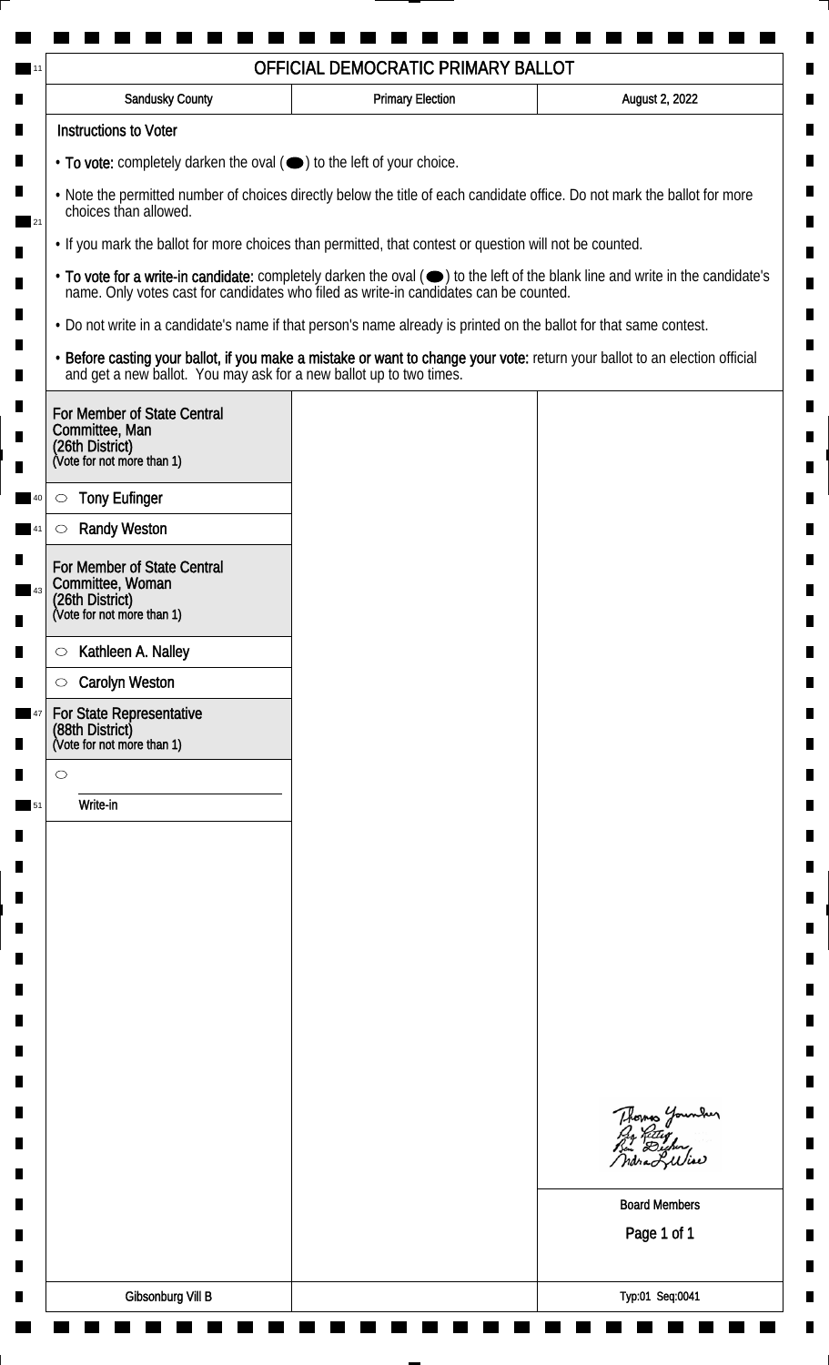| Sandusky County                                                                                  | <b>Primary Election</b>                                                                                                                                                                         | August 2, 2022                                                                                                                                                                                                                 |
|--------------------------------------------------------------------------------------------------|-------------------------------------------------------------------------------------------------------------------------------------------------------------------------------------------------|--------------------------------------------------------------------------------------------------------------------------------------------------------------------------------------------------------------------------------|
| <b>Instructions to Voter</b>                                                                     |                                                                                                                                                                                                 |                                                                                                                                                                                                                                |
| • To vote: completely darken the oval (•) to the left of your choice.                            |                                                                                                                                                                                                 |                                                                                                                                                                                                                                |
| choices than allowed.                                                                            | . Note the permitted number of choices directly below the title of each candidate office. Do not mark the ballot for more                                                                       |                                                                                                                                                                                                                                |
|                                                                                                  | . If you mark the ballot for more choices than permitted, that contest or question will not be counted.                                                                                         |                                                                                                                                                                                                                                |
|                                                                                                  |                                                                                                                                                                                                 | • To vote for a write-in candidate: completely darken the oval ( $\bigcirc$ ) to the left of the blank line and write in the candidate's name. Only votes cast for candidates who filed as write-in candidates can be counted. |
|                                                                                                  | . Do not write in a candidate's name if that person's name already is printed on the ballot for that same contest.                                                                              |                                                                                                                                                                                                                                |
|                                                                                                  | • Before casting your ballot, if you make a mistake or want to change your vote: return your ballot to an election official and get a new ballot. You may ask for a new ballot up to two times. |                                                                                                                                                                                                                                |
| For Member of State Central<br>Committee, Man                                                    |                                                                                                                                                                                                 |                                                                                                                                                                                                                                |
| (26th District)<br>(Vote for not more than 1)                                                    |                                                                                                                                                                                                 |                                                                                                                                                                                                                                |
| <b>Tony Eufinger</b><br>$\circ$                                                                  |                                                                                                                                                                                                 |                                                                                                                                                                                                                                |
| <b>Randy Weston</b>                                                                              |                                                                                                                                                                                                 |                                                                                                                                                                                                                                |
| For Member of State Central<br>Committee, Woman<br>(26th District)<br>(Vote for not more than 1) |                                                                                                                                                                                                 |                                                                                                                                                                                                                                |
|                                                                                                  |                                                                                                                                                                                                 |                                                                                                                                                                                                                                |
| Kathleen A. Nalley<br>$\circ$                                                                    |                                                                                                                                                                                                 |                                                                                                                                                                                                                                |
| <b>Carolyn Weston</b><br>$\circ$<br>For State Representative                                     |                                                                                                                                                                                                 |                                                                                                                                                                                                                                |
| (88th District)<br>(Vote for not more than 1)                                                    |                                                                                                                                                                                                 |                                                                                                                                                                                                                                |
| $\circ$                                                                                          |                                                                                                                                                                                                 |                                                                                                                                                                                                                                |
| Write-in                                                                                         |                                                                                                                                                                                                 |                                                                                                                                                                                                                                |
|                                                                                                  |                                                                                                                                                                                                 |                                                                                                                                                                                                                                |
|                                                                                                  |                                                                                                                                                                                                 |                                                                                                                                                                                                                                |
|                                                                                                  |                                                                                                                                                                                                 |                                                                                                                                                                                                                                |
|                                                                                                  |                                                                                                                                                                                                 |                                                                                                                                                                                                                                |
|                                                                                                  |                                                                                                                                                                                                 |                                                                                                                                                                                                                                |
|                                                                                                  |                                                                                                                                                                                                 |                                                                                                                                                                                                                                |
|                                                                                                  |                                                                                                                                                                                                 |                                                                                                                                                                                                                                |
|                                                                                                  |                                                                                                                                                                                                 |                                                                                                                                                                                                                                |
|                                                                                                  |                                                                                                                                                                                                 |                                                                                                                                                                                                                                |
|                                                                                                  |                                                                                                                                                                                                 | Thomas Younder<br>Pro Retter<br>Bin Dicher,                                                                                                                                                                                    |
|                                                                                                  |                                                                                                                                                                                                 |                                                                                                                                                                                                                                |
|                                                                                                  |                                                                                                                                                                                                 | <b>Board Members</b>                                                                                                                                                                                                           |
|                                                                                                  |                                                                                                                                                                                                 | Page 1 of 1                                                                                                                                                                                                                    |
|                                                                                                  |                                                                                                                                                                                                 |                                                                                                                                                                                                                                |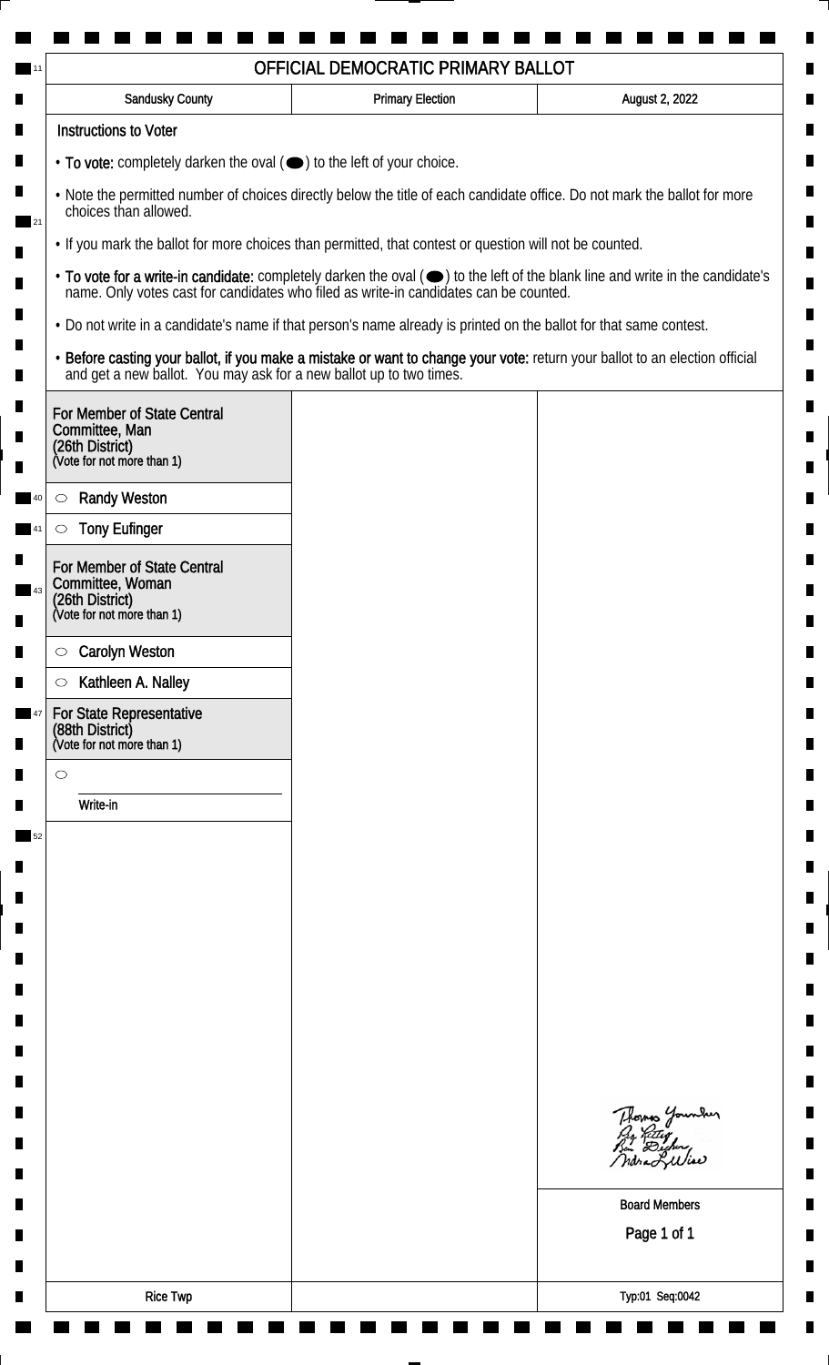| <b>Instructions to Voter</b><br>• To vote: completely darken the oval (•) to the left of your choice.<br>. Note the permitted number of choices directly below the title of each candidate office. Do not mark the ballot for more<br>choices than allowed.<br>• If you mark the ballot for more choices than permitted, that contest or question will not be counted.<br>• To vote for a write-in candidate: completely darken the oval ( $\bigcirc$ ) to the left of the blank line and write in the candidate's name. Only votes cast for candidates who filed as write-in candidates can be counted.<br>. Do not write in a candidate's name if that person's name already is printed on the ballot for that same contest.<br>• Before casting your ballot, if you make a mistake or want to change your vote: return your ballot to an election official and get a new ballot. You may ask for a new ballot up to two times.<br>For Member of State Central<br>Committee, Man<br>(26th District)<br>(Vote for not more than 1)<br><b>Randy Weston</b><br>$\circlearrowright$<br><b>Tony Eufinger</b><br>$\circlearrowright$<br><b>Carolyn Weston</b><br>$\circlearrowright$<br>Kathleen A. Nalley<br>$\circlearrowright$ |                      |
|-------------------------------------------------------------------------------------------------------------------------------------------------------------------------------------------------------------------------------------------------------------------------------------------------------------------------------------------------------------------------------------------------------------------------------------------------------------------------------------------------------------------------------------------------------------------------------------------------------------------------------------------------------------------------------------------------------------------------------------------------------------------------------------------------------------------------------------------------------------------------------------------------------------------------------------------------------------------------------------------------------------------------------------------------------------------------------------------------------------------------------------------------------------------------------------------------------------------------------|----------------------|
|                                                                                                                                                                                                                                                                                                                                                                                                                                                                                                                                                                                                                                                                                                                                                                                                                                                                                                                                                                                                                                                                                                                                                                                                                               |                      |
|                                                                                                                                                                                                                                                                                                                                                                                                                                                                                                                                                                                                                                                                                                                                                                                                                                                                                                                                                                                                                                                                                                                                                                                                                               |                      |
|                                                                                                                                                                                                                                                                                                                                                                                                                                                                                                                                                                                                                                                                                                                                                                                                                                                                                                                                                                                                                                                                                                                                                                                                                               |                      |
|                                                                                                                                                                                                                                                                                                                                                                                                                                                                                                                                                                                                                                                                                                                                                                                                                                                                                                                                                                                                                                                                                                                                                                                                                               |                      |
|                                                                                                                                                                                                                                                                                                                                                                                                                                                                                                                                                                                                                                                                                                                                                                                                                                                                                                                                                                                                                                                                                                                                                                                                                               |                      |
|                                                                                                                                                                                                                                                                                                                                                                                                                                                                                                                                                                                                                                                                                                                                                                                                                                                                                                                                                                                                                                                                                                                                                                                                                               |                      |
|                                                                                                                                                                                                                                                                                                                                                                                                                                                                                                                                                                                                                                                                                                                                                                                                                                                                                                                                                                                                                                                                                                                                                                                                                               |                      |
| For Member of State Central<br>Committee, Woman<br>(26th District)<br>(Vote for not more than 1)<br>For State Representative<br>(88th District)<br>(Vote for not more than 1)                                                                                                                                                                                                                                                                                                                                                                                                                                                                                                                                                                                                                                                                                                                                                                                                                                                                                                                                                                                                                                                 |                      |
|                                                                                                                                                                                                                                                                                                                                                                                                                                                                                                                                                                                                                                                                                                                                                                                                                                                                                                                                                                                                                                                                                                                                                                                                                               |                      |
|                                                                                                                                                                                                                                                                                                                                                                                                                                                                                                                                                                                                                                                                                                                                                                                                                                                                                                                                                                                                                                                                                                                                                                                                                               |                      |
|                                                                                                                                                                                                                                                                                                                                                                                                                                                                                                                                                                                                                                                                                                                                                                                                                                                                                                                                                                                                                                                                                                                                                                                                                               |                      |
|                                                                                                                                                                                                                                                                                                                                                                                                                                                                                                                                                                                                                                                                                                                                                                                                                                                                                                                                                                                                                                                                                                                                                                                                                               |                      |
|                                                                                                                                                                                                                                                                                                                                                                                                                                                                                                                                                                                                                                                                                                                                                                                                                                                                                                                                                                                                                                                                                                                                                                                                                               |                      |
|                                                                                                                                                                                                                                                                                                                                                                                                                                                                                                                                                                                                                                                                                                                                                                                                                                                                                                                                                                                                                                                                                                                                                                                                                               |                      |
| $\circ$                                                                                                                                                                                                                                                                                                                                                                                                                                                                                                                                                                                                                                                                                                                                                                                                                                                                                                                                                                                                                                                                                                                                                                                                                       |                      |
| Write-in                                                                                                                                                                                                                                                                                                                                                                                                                                                                                                                                                                                                                                                                                                                                                                                                                                                                                                                                                                                                                                                                                                                                                                                                                      |                      |
|                                                                                                                                                                                                                                                                                                                                                                                                                                                                                                                                                                                                                                                                                                                                                                                                                                                                                                                                                                                                                                                                                                                                                                                                                               |                      |
|                                                                                                                                                                                                                                                                                                                                                                                                                                                                                                                                                                                                                                                                                                                                                                                                                                                                                                                                                                                                                                                                                                                                                                                                                               |                      |
|                                                                                                                                                                                                                                                                                                                                                                                                                                                                                                                                                                                                                                                                                                                                                                                                                                                                                                                                                                                                                                                                                                                                                                                                                               |                      |
|                                                                                                                                                                                                                                                                                                                                                                                                                                                                                                                                                                                                                                                                                                                                                                                                                                                                                                                                                                                                                                                                                                                                                                                                                               |                      |
|                                                                                                                                                                                                                                                                                                                                                                                                                                                                                                                                                                                                                                                                                                                                                                                                                                                                                                                                                                                                                                                                                                                                                                                                                               |                      |
|                                                                                                                                                                                                                                                                                                                                                                                                                                                                                                                                                                                                                                                                                                                                                                                                                                                                                                                                                                                                                                                                                                                                                                                                                               |                      |
|                                                                                                                                                                                                                                                                                                                                                                                                                                                                                                                                                                                                                                                                                                                                                                                                                                                                                                                                                                                                                                                                                                                                                                                                                               |                      |
|                                                                                                                                                                                                                                                                                                                                                                                                                                                                                                                                                                                                                                                                                                                                                                                                                                                                                                                                                                                                                                                                                                                                                                                                                               |                      |
|                                                                                                                                                                                                                                                                                                                                                                                                                                                                                                                                                                                                                                                                                                                                                                                                                                                                                                                                                                                                                                                                                                                                                                                                                               |                      |
|                                                                                                                                                                                                                                                                                                                                                                                                                                                                                                                                                                                                                                                                                                                                                                                                                                                                                                                                                                                                                                                                                                                                                                                                                               | Thomas Younder       |
|                                                                                                                                                                                                                                                                                                                                                                                                                                                                                                                                                                                                                                                                                                                                                                                                                                                                                                                                                                                                                                                                                                                                                                                                                               | <b>Board Members</b> |
|                                                                                                                                                                                                                                                                                                                                                                                                                                                                                                                                                                                                                                                                                                                                                                                                                                                                                                                                                                                                                                                                                                                                                                                                                               | Page 1 of 1          |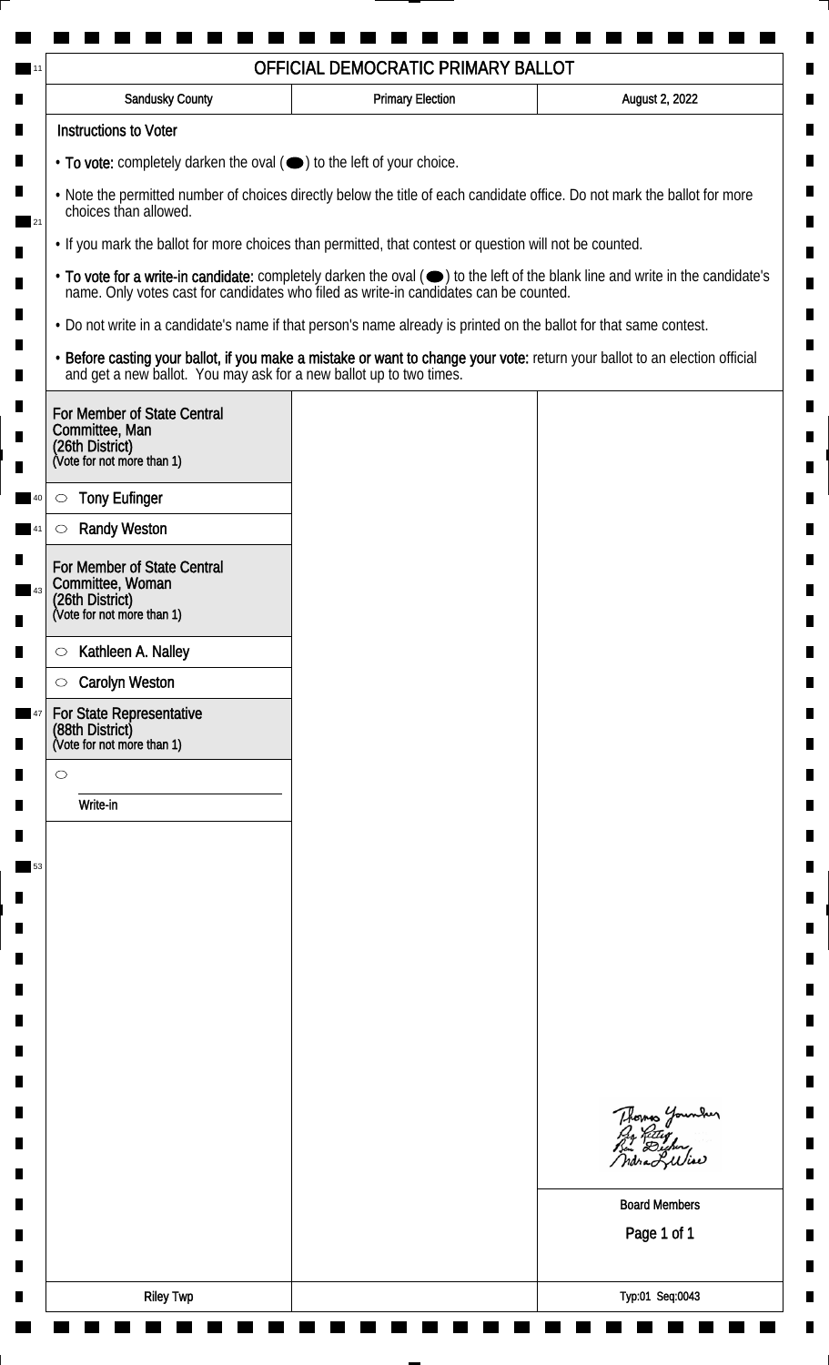| <b>Sandusky County</b>                                                                                             | <b>Primary Election</b> | August 2, 2022                                                                                                                                                                                                                 |
|--------------------------------------------------------------------------------------------------------------------|-------------------------|--------------------------------------------------------------------------------------------------------------------------------------------------------------------------------------------------------------------------------|
| <b>Instructions to Voter</b>                                                                                       |                         |                                                                                                                                                                                                                                |
| • To vote: completely darken the oval ( $\bigcirc$ ) to the left of your choice.                                   |                         |                                                                                                                                                                                                                                |
| choices than allowed.                                                                                              |                         | . Note the permitted number of choices directly below the title of each candidate office. Do not mark the ballot for more                                                                                                      |
| . If you mark the ballot for more choices than permitted, that contest or question will not be counted.            |                         |                                                                                                                                                                                                                                |
|                                                                                                                    |                         | • To vote for a write-in candidate: completely darken the oval ( $\bigcirc$ ) to the left of the blank line and write in the candidate's name. Only votes cast for candidates who filed as write-in candidates can be counted. |
| . Do not write in a candidate's name if that person's name already is printed on the ballot for that same contest. |                         |                                                                                                                                                                                                                                |
|                                                                                                                    |                         | • Before casting your ballot, if you make a mistake or want to change your vote: return your ballot to an election official and get a new ballot. You may ask for a new ballot up to two times.                                |
| For Member of State Central<br>Committee, Man<br>(26th District)<br>(Vote for not more than 1)                     |                         |                                                                                                                                                                                                                                |
| <b>Tony Eufinger</b><br>$\circ$                                                                                    |                         |                                                                                                                                                                                                                                |
| <b>Randy Weston</b><br>$\circlearrowright$                                                                         |                         |                                                                                                                                                                                                                                |
| For Member of State Central<br>Committee, Woman<br>(26th District)<br>(Vote for not more than 1)                   |                         |                                                                                                                                                                                                                                |
| Kathleen A. Nalley                                                                                                 |                         |                                                                                                                                                                                                                                |
| $\circ$<br><b>Carolyn Weston</b><br>$\circ$                                                                        |                         |                                                                                                                                                                                                                                |
| For State Representative<br>(88th District)<br>(Vote for not more than 1)                                          |                         |                                                                                                                                                                                                                                |
| $\circ$                                                                                                            |                         |                                                                                                                                                                                                                                |
| Write-in                                                                                                           |                         |                                                                                                                                                                                                                                |
|                                                                                                                    |                         |                                                                                                                                                                                                                                |
|                                                                                                                    |                         |                                                                                                                                                                                                                                |
|                                                                                                                    |                         |                                                                                                                                                                                                                                |
|                                                                                                                    |                         |                                                                                                                                                                                                                                |
|                                                                                                                    |                         |                                                                                                                                                                                                                                |
|                                                                                                                    |                         |                                                                                                                                                                                                                                |
|                                                                                                                    |                         |                                                                                                                                                                                                                                |
|                                                                                                                    |                         |                                                                                                                                                                                                                                |
|                                                                                                                    |                         |                                                                                                                                                                                                                                |
|                                                                                                                    |                         | Thomas Younder                                                                                                                                                                                                                 |
|                                                                                                                    |                         | <b>Board Members</b><br>Page 1 of 1                                                                                                                                                                                            |
|                                                                                                                    |                         |                                                                                                                                                                                                                                |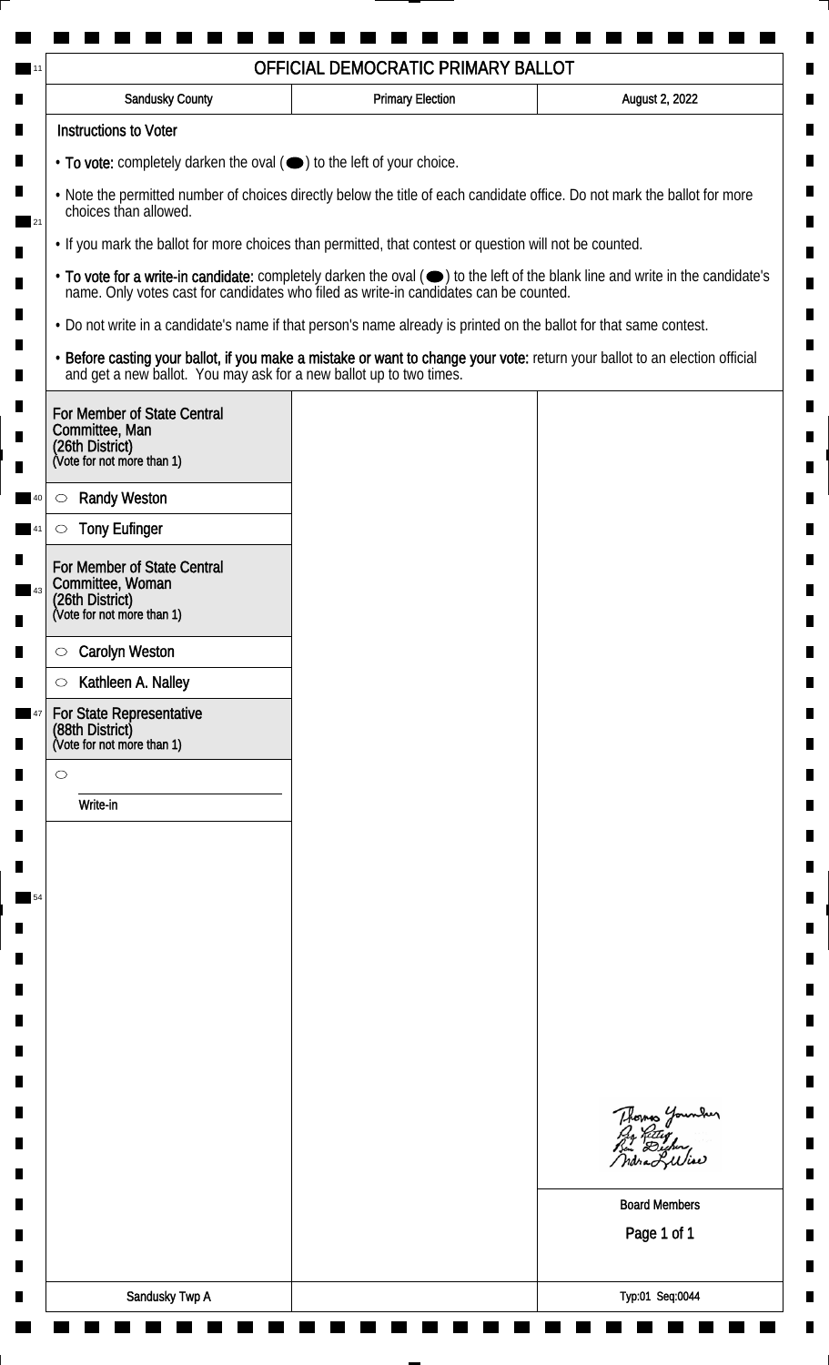| Sandusky County                                                                                                                                    | <b>Primary Election</b> | August 2, 2022                                                                                                                                                                                                                 |
|----------------------------------------------------------------------------------------------------------------------------------------------------|-------------------------|--------------------------------------------------------------------------------------------------------------------------------------------------------------------------------------------------------------------------------|
| <b>Instructions to Voter</b>                                                                                                                       |                         |                                                                                                                                                                                                                                |
| • To vote: completely darken the oval (•) to the left of your choice.                                                                              |                         |                                                                                                                                                                                                                                |
| . Note the permitted number of choices directly below the title of each candidate office. Do not mark the ballot for more<br>choices than allowed. |                         |                                                                                                                                                                                                                                |
| . If you mark the ballot for more choices than permitted, that contest or question will not be counted.                                            |                         |                                                                                                                                                                                                                                |
|                                                                                                                                                    |                         | • To vote for a write-in candidate: completely darken the oval ( $\bigcirc$ ) to the left of the blank line and write in the candidate's name. Only votes cast for candidates who filed as write-in candidates can be counted. |
| • Do not write in a candidate's name if that person's name already is printed on the ballot for that same contest.                                 |                         |                                                                                                                                                                                                                                |
|                                                                                                                                                    |                         | • Before casting your ballot, if you make a mistake or want to change your vote: return your ballot to an election official and get a new ballot. You may ask for a new ballot up to two times.                                |
| For Member of State Central<br>Committee, Man<br>(26th District)<br>(Vote for not more than 1)                                                     |                         |                                                                                                                                                                                                                                |
|                                                                                                                                                    |                         |                                                                                                                                                                                                                                |
| <b>Randy Weston</b><br>$\circlearrowright$                                                                                                         |                         |                                                                                                                                                                                                                                |
| <b>Tony Eufinger</b><br>$\circlearrowright$                                                                                                        |                         |                                                                                                                                                                                                                                |
| For Member of State Central<br>Committee, Woman<br>(26th District)<br>(Vote for not more than 1)                                                   |                         |                                                                                                                                                                                                                                |
| <b>Carolyn Weston</b><br>$\circ$                                                                                                                   |                         |                                                                                                                                                                                                                                |
| Kathleen A. Nalley<br>$\circlearrowright$                                                                                                          |                         |                                                                                                                                                                                                                                |
| For State Representative<br>(88th District)<br>(Vote for not more than 1)                                                                          |                         |                                                                                                                                                                                                                                |
| $\circ$                                                                                                                                            |                         |                                                                                                                                                                                                                                |
| Write-in                                                                                                                                           |                         |                                                                                                                                                                                                                                |
|                                                                                                                                                    |                         |                                                                                                                                                                                                                                |
|                                                                                                                                                    |                         |                                                                                                                                                                                                                                |
|                                                                                                                                                    |                         |                                                                                                                                                                                                                                |
|                                                                                                                                                    |                         |                                                                                                                                                                                                                                |
|                                                                                                                                                    |                         |                                                                                                                                                                                                                                |
|                                                                                                                                                    |                         |                                                                                                                                                                                                                                |
|                                                                                                                                                    |                         |                                                                                                                                                                                                                                |
|                                                                                                                                                    |                         |                                                                                                                                                                                                                                |
|                                                                                                                                                    |                         |                                                                                                                                                                                                                                |
|                                                                                                                                                    |                         | Thomas Younder<br>Pro Retter<br>Pen Dicher,                                                                                                                                                                                    |
|                                                                                                                                                    |                         |                                                                                                                                                                                                                                |
|                                                                                                                                                    |                         | <b>Board Members</b>                                                                                                                                                                                                           |
|                                                                                                                                                    |                         | Page 1 of 1                                                                                                                                                                                                                    |
|                                                                                                                                                    |                         |                                                                                                                                                                                                                                |
| Sandusky Twp A                                                                                                                                     |                         | Typ:01 Seq:0044                                                                                                                                                                                                                |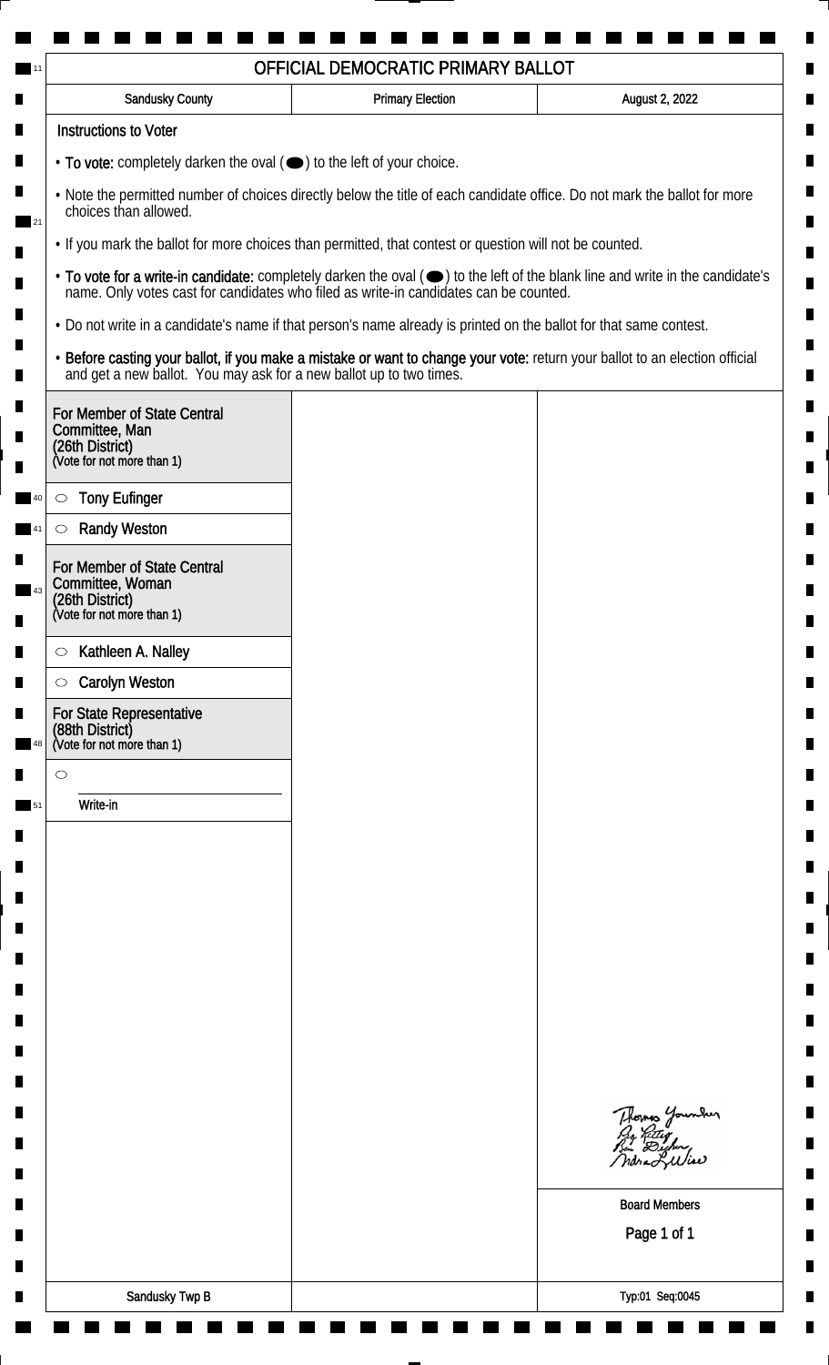| <b>Sandusky County</b>                                                                                                                             | <b>Primary Election</b> | August 2, 2022                                                                                                                                                                                                                 |
|----------------------------------------------------------------------------------------------------------------------------------------------------|-------------------------|--------------------------------------------------------------------------------------------------------------------------------------------------------------------------------------------------------------------------------|
| <b>Instructions to Voter</b>                                                                                                                       |                         |                                                                                                                                                                                                                                |
| • To vote: completely darken the oval (•) to the left of your choice.                                                                              |                         |                                                                                                                                                                                                                                |
| . Note the permitted number of choices directly below the title of each candidate office. Do not mark the ballot for more<br>choices than allowed. |                         |                                                                                                                                                                                                                                |
| . If you mark the ballot for more choices than permitted, that contest or question will not be counted.                                            |                         |                                                                                                                                                                                                                                |
|                                                                                                                                                    |                         | • To vote for a write-in candidate: completely darken the oval ( $\bigcirc$ ) to the left of the blank line and write in the candidate's name. Only votes cast for candidates who filed as write-in candidates can be counted. |
| . Do not write in a candidate's name if that person's name already is printed on the ballot for that same contest.                                 |                         |                                                                                                                                                                                                                                |
|                                                                                                                                                    |                         | • Before casting your ballot, if you make a mistake or want to change your vote: return your ballot to an election official and get a new ballot. You may ask for a new ballot up to two times.                                |
| For Member of State Central<br>Committee, Man<br>(26th District)<br>(Vote for not more than 1)                                                     |                         |                                                                                                                                                                                                                                |
|                                                                                                                                                    |                         |                                                                                                                                                                                                                                |
| <b>Tony Eufinger</b><br>$\circ$                                                                                                                    |                         |                                                                                                                                                                                                                                |
| <b>Randy Weston</b><br>O                                                                                                                           |                         |                                                                                                                                                                                                                                |
| For Member of State Central<br>Committee, Woman                                                                                                    |                         |                                                                                                                                                                                                                                |
| (26th District)<br>(Vote for not more than 1)                                                                                                      |                         |                                                                                                                                                                                                                                |
| Kathleen A. Nalley<br>$\circ$                                                                                                                      |                         |                                                                                                                                                                                                                                |
| <b>Carolyn Weston</b><br>$\circlearrowright$                                                                                                       |                         |                                                                                                                                                                                                                                |
| For State Representative<br>(88th District)<br>(Vote for not more than 1)                                                                          |                         |                                                                                                                                                                                                                                |
| $\circ$                                                                                                                                            |                         |                                                                                                                                                                                                                                |
| Write-in                                                                                                                                           |                         |                                                                                                                                                                                                                                |
|                                                                                                                                                    |                         |                                                                                                                                                                                                                                |
|                                                                                                                                                    |                         |                                                                                                                                                                                                                                |
|                                                                                                                                                    |                         |                                                                                                                                                                                                                                |
|                                                                                                                                                    |                         |                                                                                                                                                                                                                                |
|                                                                                                                                                    |                         |                                                                                                                                                                                                                                |
|                                                                                                                                                    |                         |                                                                                                                                                                                                                                |
|                                                                                                                                                    |                         |                                                                                                                                                                                                                                |
|                                                                                                                                                    |                         |                                                                                                                                                                                                                                |
|                                                                                                                                                    |                         |                                                                                                                                                                                                                                |
|                                                                                                                                                    |                         | Thomas Younder<br>Py Retty<br>Bin Digher,                                                                                                                                                                                      |
|                                                                                                                                                    |                         |                                                                                                                                                                                                                                |
|                                                                                                                                                    |                         | <b>Board Members</b>                                                                                                                                                                                                           |
|                                                                                                                                                    |                         | Page 1 of 1                                                                                                                                                                                                                    |
|                                                                                                                                                    |                         |                                                                                                                                                                                                                                |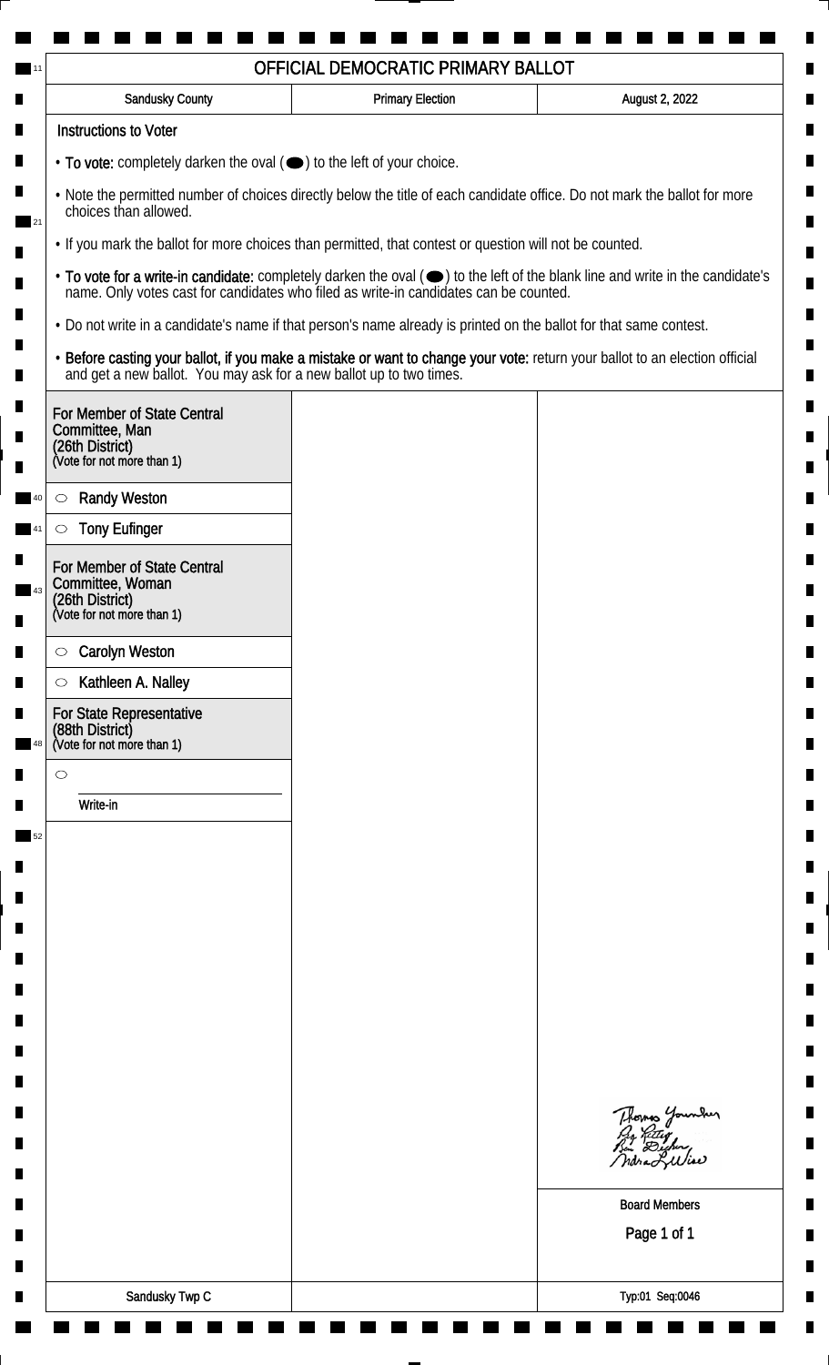| <b>Sandusky County</b>                                                                                             | <b>Primary Election</b> | August 2, 2022                                                                                                                                                                                                                 |
|--------------------------------------------------------------------------------------------------------------------|-------------------------|--------------------------------------------------------------------------------------------------------------------------------------------------------------------------------------------------------------------------------|
| <b>Instructions to Voter</b>                                                                                       |                         |                                                                                                                                                                                                                                |
| • To vote: completely darken the oval (•) to the left of your choice.                                              |                         |                                                                                                                                                                                                                                |
| choices than allowed.                                                                                              |                         | . Note the permitted number of choices directly below the title of each candidate office. Do not mark the ballot for more                                                                                                      |
| . If you mark the ballot for more choices than permitted, that contest or question will not be counted.            |                         |                                                                                                                                                                                                                                |
|                                                                                                                    |                         | • To vote for a write-in candidate: completely darken the oval ( $\bigcirc$ ) to the left of the blank line and write in the candidate's name. Only votes cast for candidates who filed as write-in candidates can be counted. |
| . Do not write in a candidate's name if that person's name already is printed on the ballot for that same contest. |                         |                                                                                                                                                                                                                                |
|                                                                                                                    |                         | • Before casting your ballot, if you make a mistake or want to change your vote: return your ballot to an election official and get a new ballot. You may ask for a new ballot up to two times.                                |
| For Member of State Central<br>Committee, Man<br>(26th District)<br>(Vote for not more than 1)                     |                         |                                                                                                                                                                                                                                |
|                                                                                                                    |                         |                                                                                                                                                                                                                                |
| <b>Randy Weston</b><br>$\circlearrowright$                                                                         |                         |                                                                                                                                                                                                                                |
| <b>Tony Eufinger</b><br>O                                                                                          |                         |                                                                                                                                                                                                                                |
| For Member of State Central<br>Committee, Woman<br>(26th District)<br>(Vote for not more than 1)                   |                         |                                                                                                                                                                                                                                |
| <b>Carolyn Weston</b><br>$\circ$                                                                                   |                         |                                                                                                                                                                                                                                |
| Kathleen A. Nalley<br>$\circlearrowright$                                                                          |                         |                                                                                                                                                                                                                                |
| For State Representative<br>(88th District)<br>(Vote for not more than 1)                                          |                         |                                                                                                                                                                                                                                |
| $\circ$                                                                                                            |                         |                                                                                                                                                                                                                                |
| Write-in                                                                                                           |                         |                                                                                                                                                                                                                                |
|                                                                                                                    |                         |                                                                                                                                                                                                                                |
|                                                                                                                    |                         |                                                                                                                                                                                                                                |
|                                                                                                                    |                         |                                                                                                                                                                                                                                |
|                                                                                                                    |                         |                                                                                                                                                                                                                                |
|                                                                                                                    |                         |                                                                                                                                                                                                                                |
|                                                                                                                    |                         |                                                                                                                                                                                                                                |
|                                                                                                                    |                         |                                                                                                                                                                                                                                |
|                                                                                                                    |                         |                                                                                                                                                                                                                                |
|                                                                                                                    |                         |                                                                                                                                                                                                                                |
|                                                                                                                    |                         |                                                                                                                                                                                                                                |
|                                                                                                                    |                         | Thomas Younder<br>Py Retty<br>Bin Digher,                                                                                                                                                                                      |
|                                                                                                                    |                         |                                                                                                                                                                                                                                |
|                                                                                                                    |                         | <b>Board Members</b>                                                                                                                                                                                                           |
|                                                                                                                    |                         | Page 1 of 1                                                                                                                                                                                                                    |
|                                                                                                                    |                         |                                                                                                                                                                                                                                |
|                                                                                                                    |                         |                                                                                                                                                                                                                                |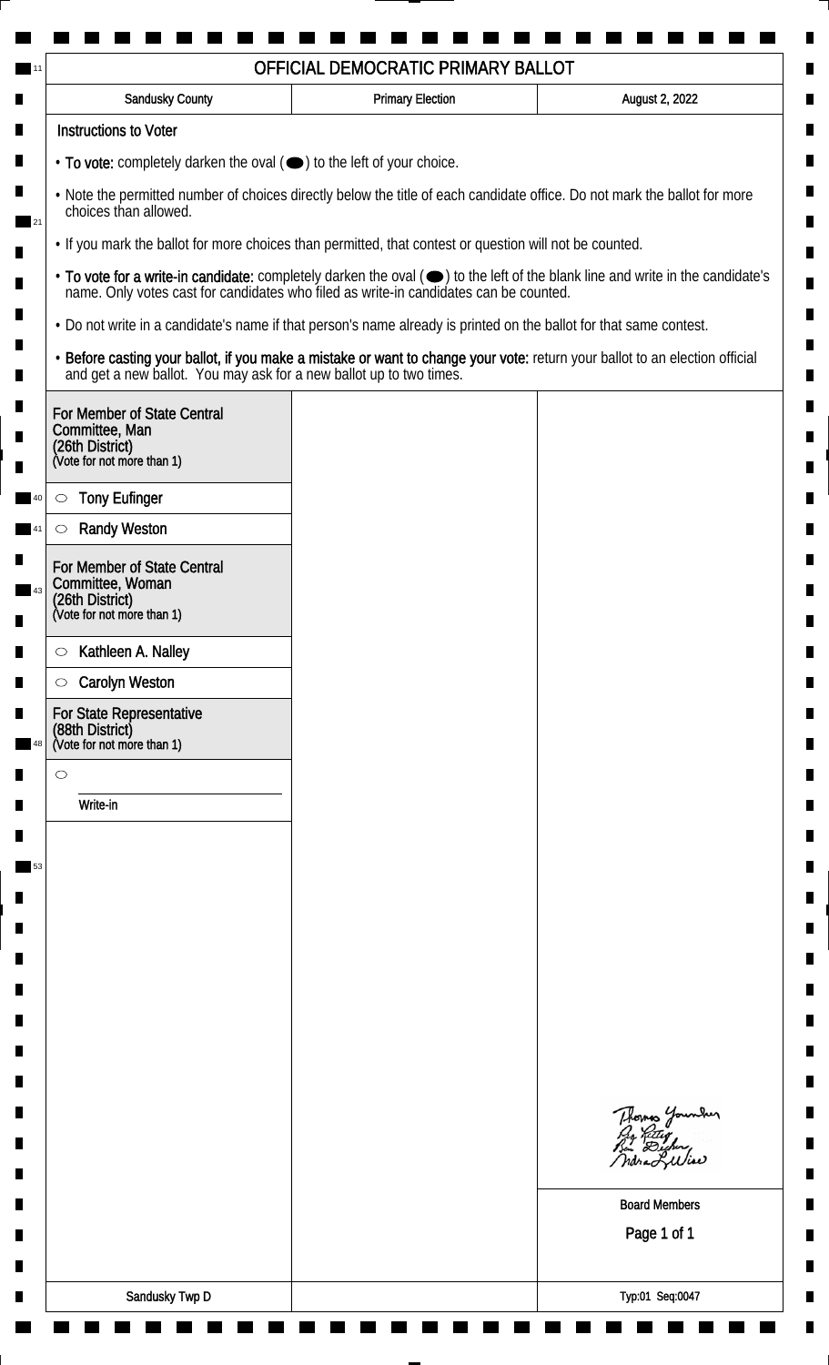| Sandusky County                                                                                                                                    | <b>Primary Election</b> | August 2, 2022                                                                                                                                                                                                                 |
|----------------------------------------------------------------------------------------------------------------------------------------------------|-------------------------|--------------------------------------------------------------------------------------------------------------------------------------------------------------------------------------------------------------------------------|
| <b>Instructions to Voter</b>                                                                                                                       |                         |                                                                                                                                                                                                                                |
| • To vote: completely darken the oval (•) to the left of your choice.                                                                              |                         |                                                                                                                                                                                                                                |
| . Note the permitted number of choices directly below the title of each candidate office. Do not mark the ballot for more<br>choices than allowed. |                         |                                                                                                                                                                                                                                |
| . If you mark the ballot for more choices than permitted, that contest or question will not be counted.                                            |                         |                                                                                                                                                                                                                                |
|                                                                                                                                                    |                         | • To vote for a write-in candidate: completely darken the oval ( $\bigcirc$ ) to the left of the blank line and write in the candidate's name. Only votes cast for candidates who filed as write-in candidates can be counted. |
| • Do not write in a candidate's name if that person's name already is printed on the ballot for that same contest.                                 |                         |                                                                                                                                                                                                                                |
|                                                                                                                                                    |                         | • Before casting your ballot, if you make a mistake or want to change your vote: return your ballot to an election official and get a new ballot. You may ask for a new ballot up to two times.                                |
| For Member of State Central<br>Committee, Man<br>(26th District)<br>(Vote for not more than 1)                                                     |                         |                                                                                                                                                                                                                                |
|                                                                                                                                                    |                         |                                                                                                                                                                                                                                |
| <b>Tony Eufinger</b><br>$\circlearrowright$                                                                                                        |                         |                                                                                                                                                                                                                                |
| <b>Randy Weston</b><br>$\circlearrowright$                                                                                                         |                         |                                                                                                                                                                                                                                |
| For Member of State Central<br>Committee, Woman<br>(26th District)<br>(Vote for not more than 1)                                                   |                         |                                                                                                                                                                                                                                |
| Kathleen A. Nalley<br>$\circ$                                                                                                                      |                         |                                                                                                                                                                                                                                |
| <b>Carolyn Weston</b><br>$\circ$                                                                                                                   |                         |                                                                                                                                                                                                                                |
| For State Representative<br>(88th District)<br>(Vote for not more than 1)                                                                          |                         |                                                                                                                                                                                                                                |
| $\circ$                                                                                                                                            |                         |                                                                                                                                                                                                                                |
| Write-in                                                                                                                                           |                         |                                                                                                                                                                                                                                |
|                                                                                                                                                    |                         |                                                                                                                                                                                                                                |
|                                                                                                                                                    |                         |                                                                                                                                                                                                                                |
|                                                                                                                                                    |                         |                                                                                                                                                                                                                                |
|                                                                                                                                                    |                         |                                                                                                                                                                                                                                |
|                                                                                                                                                    |                         |                                                                                                                                                                                                                                |
|                                                                                                                                                    |                         |                                                                                                                                                                                                                                |
|                                                                                                                                                    |                         |                                                                                                                                                                                                                                |
|                                                                                                                                                    |                         |                                                                                                                                                                                                                                |
|                                                                                                                                                    |                         |                                                                                                                                                                                                                                |
|                                                                                                                                                    |                         | Thomas Younder<br>Pro Retter<br>Bin Dicher,                                                                                                                                                                                    |
|                                                                                                                                                    |                         | ndra Luliae                                                                                                                                                                                                                    |
|                                                                                                                                                    |                         | <b>Board Members</b>                                                                                                                                                                                                           |
|                                                                                                                                                    |                         | Page 1 of 1                                                                                                                                                                                                                    |
|                                                                                                                                                    |                         |                                                                                                                                                                                                                                |
| Sandusky Twp D                                                                                                                                     |                         | Typ:01 Seq:0047                                                                                                                                                                                                                |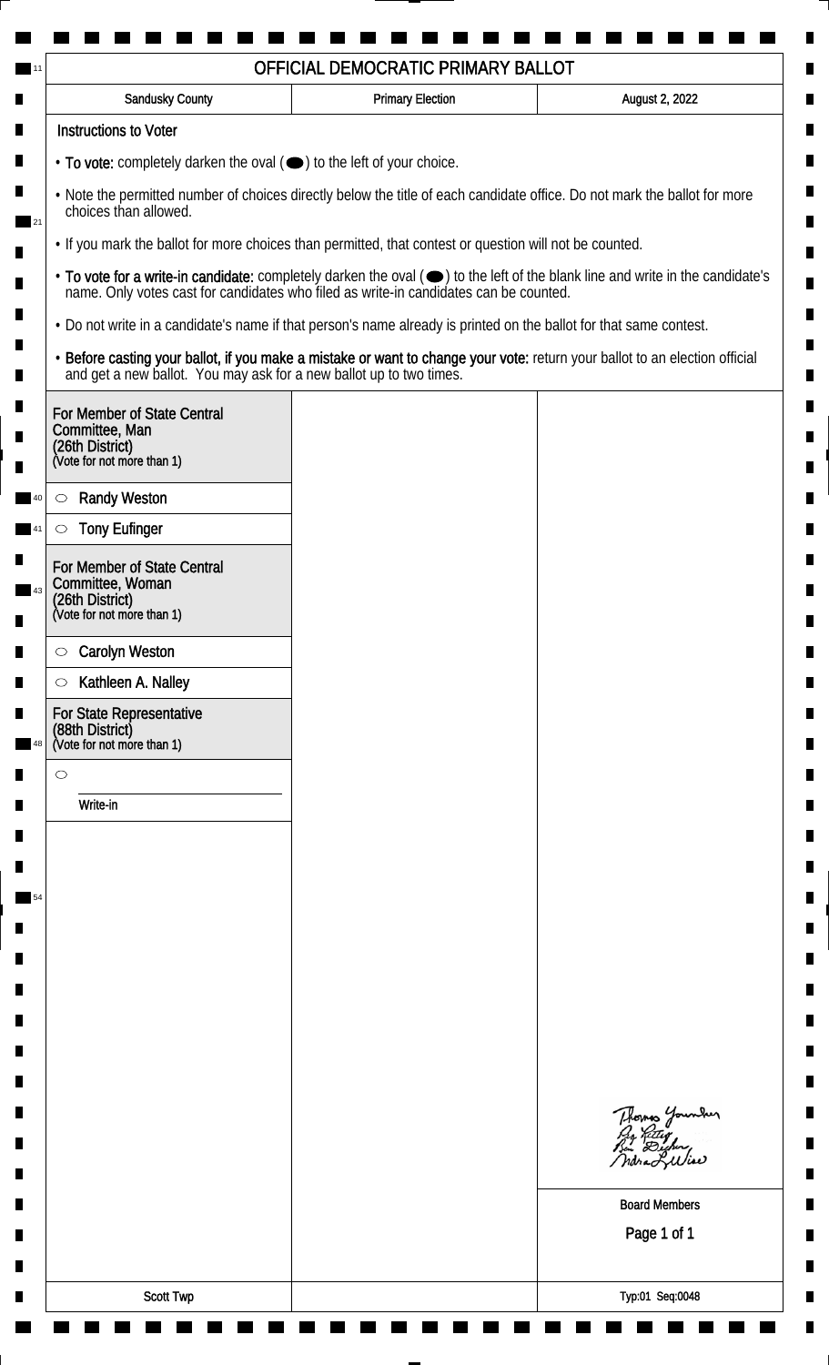| $\cdot$ To vote: completely darken the oval $(\bullet)$ to the left of your choice.<br>. Note the permitted number of choices directly below the title of each candidate office. Do not mark the ballot for more<br>choices than allowed.<br>. If you mark the ballot for more choices than permitted, that contest or question will not be counted.<br>• To vote for a write-in candidate: completely darken the oval (•) to the left of the blank line and write in the candidate's<br>name. Only votes cast for candidates who filed as write-in candidates can be counted.<br>• Do not write in a candidate's name if that person's name already is printed on the ballot for that same contest.<br>• Before casting your ballot, if you make a mistake or want to change your vote: return your ballot to an election official<br>and get a new ballot. You may ask for a new ballot up to two times.<br><b>Randy Weston</b><br><b>Tony Eufinger</b><br>For Member of State Central<br>(26th District)<br><b>Carolyn Weston</b><br>Kathleen A. Nalley<br>Write-in<br>Thomas Younder<br>Py Retty<br>Bin Dicher,<br>Indra Lilliae<br><b>Board Members</b><br>Page 1 of 1<br><b>Scott Twp</b><br>Typ:01 Seq:0048 | <b>Sandusky County</b>                                                                         | <b>Primary Election</b> | August 2, 2022 |
|--------------------------------------------------------------------------------------------------------------------------------------------------------------------------------------------------------------------------------------------------------------------------------------------------------------------------------------------------------------------------------------------------------------------------------------------------------------------------------------------------------------------------------------------------------------------------------------------------------------------------------------------------------------------------------------------------------------------------------------------------------------------------------------------------------------------------------------------------------------------------------------------------------------------------------------------------------------------------------------------------------------------------------------------------------------------------------------------------------------------------------------------------------------------------------------------------------------------|------------------------------------------------------------------------------------------------|-------------------------|----------------|
|                                                                                                                                                                                                                                                                                                                                                                                                                                                                                                                                                                                                                                                                                                                                                                                                                                                                                                                                                                                                                                                                                                                                                                                                                    | <b>Instructions to Voter</b>                                                                   |                         |                |
|                                                                                                                                                                                                                                                                                                                                                                                                                                                                                                                                                                                                                                                                                                                                                                                                                                                                                                                                                                                                                                                                                                                                                                                                                    |                                                                                                |                         |                |
|                                                                                                                                                                                                                                                                                                                                                                                                                                                                                                                                                                                                                                                                                                                                                                                                                                                                                                                                                                                                                                                                                                                                                                                                                    |                                                                                                |                         |                |
|                                                                                                                                                                                                                                                                                                                                                                                                                                                                                                                                                                                                                                                                                                                                                                                                                                                                                                                                                                                                                                                                                                                                                                                                                    |                                                                                                |                         |                |
|                                                                                                                                                                                                                                                                                                                                                                                                                                                                                                                                                                                                                                                                                                                                                                                                                                                                                                                                                                                                                                                                                                                                                                                                                    |                                                                                                |                         |                |
|                                                                                                                                                                                                                                                                                                                                                                                                                                                                                                                                                                                                                                                                                                                                                                                                                                                                                                                                                                                                                                                                                                                                                                                                                    |                                                                                                |                         |                |
|                                                                                                                                                                                                                                                                                                                                                                                                                                                                                                                                                                                                                                                                                                                                                                                                                                                                                                                                                                                                                                                                                                                                                                                                                    |                                                                                                |                         |                |
|                                                                                                                                                                                                                                                                                                                                                                                                                                                                                                                                                                                                                                                                                                                                                                                                                                                                                                                                                                                                                                                                                                                                                                                                                    | For Member of State Central<br>Committee, Man<br>(26th District)<br>(Vote for not more than 1) |                         |                |
|                                                                                                                                                                                                                                                                                                                                                                                                                                                                                                                                                                                                                                                                                                                                                                                                                                                                                                                                                                                                                                                                                                                                                                                                                    | $\circlearrowright$                                                                            |                         |                |
|                                                                                                                                                                                                                                                                                                                                                                                                                                                                                                                                                                                                                                                                                                                                                                                                                                                                                                                                                                                                                                                                                                                                                                                                                    | $\circlearrowright$                                                                            |                         |                |
|                                                                                                                                                                                                                                                                                                                                                                                                                                                                                                                                                                                                                                                                                                                                                                                                                                                                                                                                                                                                                                                                                                                                                                                                                    |                                                                                                |                         |                |
|                                                                                                                                                                                                                                                                                                                                                                                                                                                                                                                                                                                                                                                                                                                                                                                                                                                                                                                                                                                                                                                                                                                                                                                                                    | Committee, Woman                                                                               |                         |                |
|                                                                                                                                                                                                                                                                                                                                                                                                                                                                                                                                                                                                                                                                                                                                                                                                                                                                                                                                                                                                                                                                                                                                                                                                                    | (Vote for not more than 1)                                                                     |                         |                |
|                                                                                                                                                                                                                                                                                                                                                                                                                                                                                                                                                                                                                                                                                                                                                                                                                                                                                                                                                                                                                                                                                                                                                                                                                    | $\circ$                                                                                        |                         |                |
|                                                                                                                                                                                                                                                                                                                                                                                                                                                                                                                                                                                                                                                                                                                                                                                                                                                                                                                                                                                                                                                                                                                                                                                                                    | $\circ$                                                                                        |                         |                |
|                                                                                                                                                                                                                                                                                                                                                                                                                                                                                                                                                                                                                                                                                                                                                                                                                                                                                                                                                                                                                                                                                                                                                                                                                    | For State Representative<br>(88th District)<br>(Vote for not more than 1)                      |                         |                |
|                                                                                                                                                                                                                                                                                                                                                                                                                                                                                                                                                                                                                                                                                                                                                                                                                                                                                                                                                                                                                                                                                                                                                                                                                    | $\circ$                                                                                        |                         |                |
|                                                                                                                                                                                                                                                                                                                                                                                                                                                                                                                                                                                                                                                                                                                                                                                                                                                                                                                                                                                                                                                                                                                                                                                                                    |                                                                                                |                         |                |
|                                                                                                                                                                                                                                                                                                                                                                                                                                                                                                                                                                                                                                                                                                                                                                                                                                                                                                                                                                                                                                                                                                                                                                                                                    |                                                                                                |                         |                |
|                                                                                                                                                                                                                                                                                                                                                                                                                                                                                                                                                                                                                                                                                                                                                                                                                                                                                                                                                                                                                                                                                                                                                                                                                    |                                                                                                |                         |                |
|                                                                                                                                                                                                                                                                                                                                                                                                                                                                                                                                                                                                                                                                                                                                                                                                                                                                                                                                                                                                                                                                                                                                                                                                                    |                                                                                                |                         |                |
|                                                                                                                                                                                                                                                                                                                                                                                                                                                                                                                                                                                                                                                                                                                                                                                                                                                                                                                                                                                                                                                                                                                                                                                                                    |                                                                                                |                         |                |
|                                                                                                                                                                                                                                                                                                                                                                                                                                                                                                                                                                                                                                                                                                                                                                                                                                                                                                                                                                                                                                                                                                                                                                                                                    |                                                                                                |                         |                |
|                                                                                                                                                                                                                                                                                                                                                                                                                                                                                                                                                                                                                                                                                                                                                                                                                                                                                                                                                                                                                                                                                                                                                                                                                    |                                                                                                |                         |                |
|                                                                                                                                                                                                                                                                                                                                                                                                                                                                                                                                                                                                                                                                                                                                                                                                                                                                                                                                                                                                                                                                                                                                                                                                                    |                                                                                                |                         |                |
|                                                                                                                                                                                                                                                                                                                                                                                                                                                                                                                                                                                                                                                                                                                                                                                                                                                                                                                                                                                                                                                                                                                                                                                                                    |                                                                                                |                         |                |
|                                                                                                                                                                                                                                                                                                                                                                                                                                                                                                                                                                                                                                                                                                                                                                                                                                                                                                                                                                                                                                                                                                                                                                                                                    |                                                                                                |                         |                |
|                                                                                                                                                                                                                                                                                                                                                                                                                                                                                                                                                                                                                                                                                                                                                                                                                                                                                                                                                                                                                                                                                                                                                                                                                    |                                                                                                |                         |                |
|                                                                                                                                                                                                                                                                                                                                                                                                                                                                                                                                                                                                                                                                                                                                                                                                                                                                                                                                                                                                                                                                                                                                                                                                                    |                                                                                                |                         |                |
|                                                                                                                                                                                                                                                                                                                                                                                                                                                                                                                                                                                                                                                                                                                                                                                                                                                                                                                                                                                                                                                                                                                                                                                                                    |                                                                                                |                         |                |
|                                                                                                                                                                                                                                                                                                                                                                                                                                                                                                                                                                                                                                                                                                                                                                                                                                                                                                                                                                                                                                                                                                                                                                                                                    |                                                                                                |                         |                |
|                                                                                                                                                                                                                                                                                                                                                                                                                                                                                                                                                                                                                                                                                                                                                                                                                                                                                                                                                                                                                                                                                                                                                                                                                    |                                                                                                |                         |                |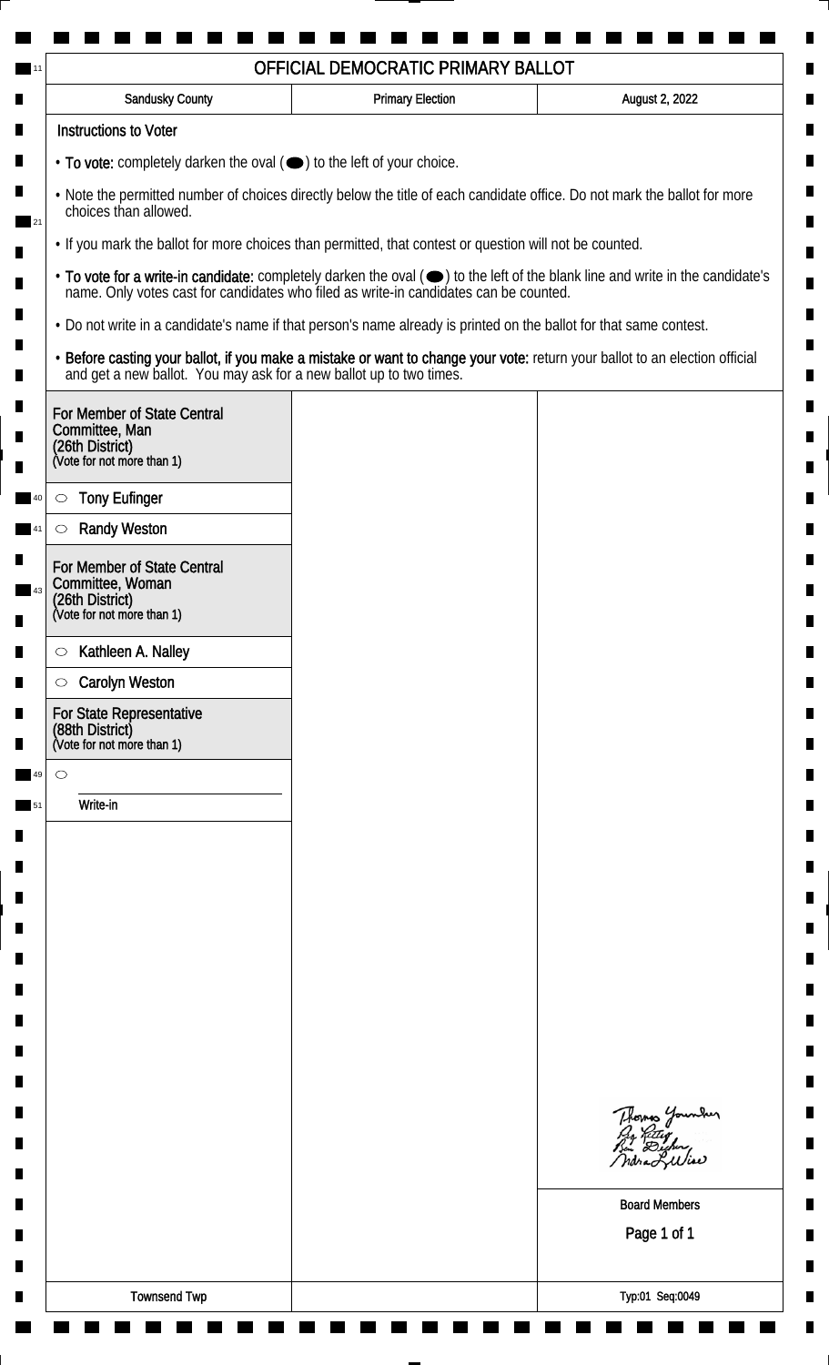| <b>Sandusky County</b>                                                                                                                             | <b>Primary Election</b> | August 2, 2022                                                                                                                                                                                                                 |  |  |
|----------------------------------------------------------------------------------------------------------------------------------------------------|-------------------------|--------------------------------------------------------------------------------------------------------------------------------------------------------------------------------------------------------------------------------|--|--|
| <b>Instructions to Voter</b>                                                                                                                       |                         |                                                                                                                                                                                                                                |  |  |
| • To vote: completely darken the oval (•) to the left of your choice.                                                                              |                         |                                                                                                                                                                                                                                |  |  |
| . Note the permitted number of choices directly below the title of each candidate office. Do not mark the ballot for more<br>choices than allowed. |                         |                                                                                                                                                                                                                                |  |  |
| . If you mark the ballot for more choices than permitted, that contest or question will not be counted.                                            |                         |                                                                                                                                                                                                                                |  |  |
|                                                                                                                                                    |                         | • To vote for a write-in candidate: completely darken the oval ( $\bigcirc$ ) to the left of the blank line and write in the candidate's name. Only votes cast for candidates who filed as write-in candidates can be counted. |  |  |
| . Do not write in a candidate's name if that person's name already is printed on the ballot for that same contest.                                 |                         |                                                                                                                                                                                                                                |  |  |
|                                                                                                                                                    |                         | • Before casting your ballot, if you make a mistake or want to change your vote: return your ballot to an election official and get a new ballot. You may ask for a new ballot up to two times.                                |  |  |
| For Member of State Central<br>Committee, Man<br>(26th District)<br>(Vote for not more than 1)                                                     |                         |                                                                                                                                                                                                                                |  |  |
| <b>Tony Eufinger</b><br>$\circ$                                                                                                                    |                         |                                                                                                                                                                                                                                |  |  |
| <b>Randy Weston</b><br>O                                                                                                                           |                         |                                                                                                                                                                                                                                |  |  |
|                                                                                                                                                    |                         |                                                                                                                                                                                                                                |  |  |
| For Member of State Central<br>Committee, Woman                                                                                                    |                         |                                                                                                                                                                                                                                |  |  |
| (26th District)<br>(Vote for not more than 1)                                                                                                      |                         |                                                                                                                                                                                                                                |  |  |
| Kathleen A. Nalley<br>$\circ$                                                                                                                      |                         |                                                                                                                                                                                                                                |  |  |
| <b>Carolyn Weston</b><br>$\circ$                                                                                                                   |                         |                                                                                                                                                                                                                                |  |  |
| For State Representative<br>(88th District)<br>(Vote for not more than 1)                                                                          |                         |                                                                                                                                                                                                                                |  |  |
| $\circ$                                                                                                                                            |                         |                                                                                                                                                                                                                                |  |  |
| Write-in                                                                                                                                           |                         |                                                                                                                                                                                                                                |  |  |
|                                                                                                                                                    |                         |                                                                                                                                                                                                                                |  |  |
|                                                                                                                                                    |                         |                                                                                                                                                                                                                                |  |  |
|                                                                                                                                                    |                         |                                                                                                                                                                                                                                |  |  |
|                                                                                                                                                    |                         |                                                                                                                                                                                                                                |  |  |
|                                                                                                                                                    |                         |                                                                                                                                                                                                                                |  |  |
|                                                                                                                                                    |                         |                                                                                                                                                                                                                                |  |  |
|                                                                                                                                                    |                         |                                                                                                                                                                                                                                |  |  |
|                                                                                                                                                    |                         |                                                                                                                                                                                                                                |  |  |
|                                                                                                                                                    |                         |                                                                                                                                                                                                                                |  |  |
|                                                                                                                                                    |                         | Thomas Younder<br>Pro Retter<br>Bin Dighing                                                                                                                                                                                    |  |  |
|                                                                                                                                                    |                         |                                                                                                                                                                                                                                |  |  |
|                                                                                                                                                    |                         | <b>Board Members</b>                                                                                                                                                                                                           |  |  |
|                                                                                                                                                    |                         | Page 1 of 1                                                                                                                                                                                                                    |  |  |
|                                                                                                                                                    |                         |                                                                                                                                                                                                                                |  |  |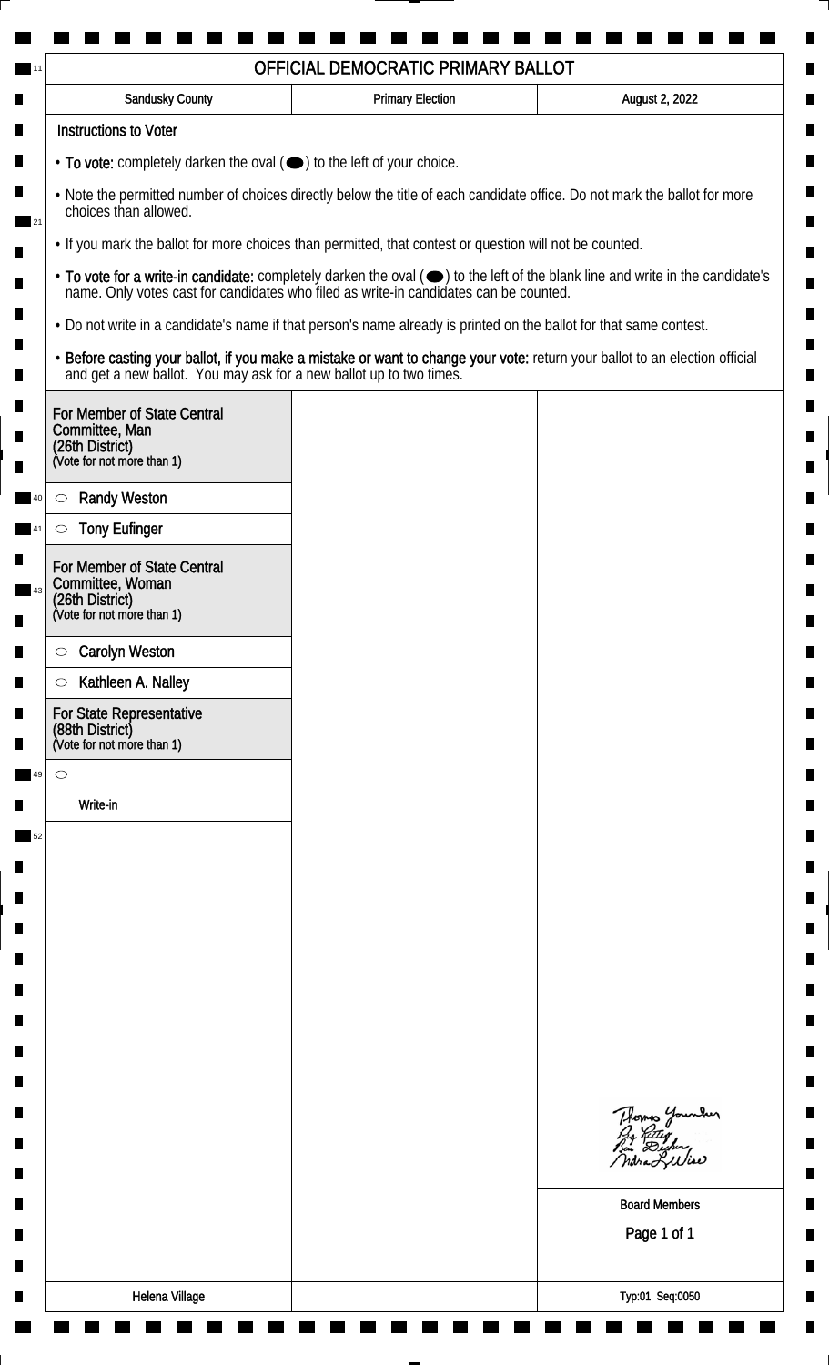| <b>Sandusky County</b>                                                                                                                             | <b>Primary Election</b> | August 2, 2022                                                                                                                                                                                                                 |
|----------------------------------------------------------------------------------------------------------------------------------------------------|-------------------------|--------------------------------------------------------------------------------------------------------------------------------------------------------------------------------------------------------------------------------|
| <b>Instructions to Voter</b>                                                                                                                       |                         |                                                                                                                                                                                                                                |
| • To vote: completely darken the oval (•) to the left of your choice.                                                                              |                         |                                                                                                                                                                                                                                |
| . Note the permitted number of choices directly below the title of each candidate office. Do not mark the ballot for more<br>choices than allowed. |                         |                                                                                                                                                                                                                                |
| • If you mark the ballot for more choices than permitted, that contest or question will not be counted.                                            |                         |                                                                                                                                                                                                                                |
|                                                                                                                                                    |                         | • To vote for a write-in candidate: completely darken the oval ( $\bigcirc$ ) to the left of the blank line and write in the candidate's name. Only votes cast for candidates who filed as write-in candidates can be counted. |
| . Do not write in a candidate's name if that person's name already is printed on the ballot for that same contest.                                 |                         |                                                                                                                                                                                                                                |
|                                                                                                                                                    |                         | • Before casting your ballot, if you make a mistake or want to change your vote: return your ballot to an election official and get a new ballot. You may ask for a new ballot up to two times.                                |
| For Member of State Central<br>Committee, Man<br>(26th District)<br>(Vote for not more than 1)                                                     |                         |                                                                                                                                                                                                                                |
| <b>Randy Weston</b><br>$\circlearrowright$                                                                                                         |                         |                                                                                                                                                                                                                                |
| <b>Tony Eufinger</b><br>$\circlearrowright$                                                                                                        |                         |                                                                                                                                                                                                                                |
| For Member of State Central<br>Committee, Woman<br>(26th District)<br>(Vote for not more than 1)                                                   |                         |                                                                                                                                                                                                                                |
| <b>Carolyn Weston</b><br>$\circlearrowright$                                                                                                       |                         |                                                                                                                                                                                                                                |
| Kathleen A. Nalley<br>$\circlearrowright$                                                                                                          |                         |                                                                                                                                                                                                                                |
| For State Representative<br>(88th District)<br>(Vote for not more than 1)                                                                          |                         |                                                                                                                                                                                                                                |
| $\circ$                                                                                                                                            |                         |                                                                                                                                                                                                                                |
| Write-in                                                                                                                                           |                         |                                                                                                                                                                                                                                |
|                                                                                                                                                    |                         |                                                                                                                                                                                                                                |
|                                                                                                                                                    |                         |                                                                                                                                                                                                                                |
|                                                                                                                                                    |                         |                                                                                                                                                                                                                                |
|                                                                                                                                                    |                         |                                                                                                                                                                                                                                |
|                                                                                                                                                    |                         |                                                                                                                                                                                                                                |
|                                                                                                                                                    |                         |                                                                                                                                                                                                                                |
|                                                                                                                                                    |                         |                                                                                                                                                                                                                                |
|                                                                                                                                                    |                         |                                                                                                                                                                                                                                |
|                                                                                                                                                    |                         |                                                                                                                                                                                                                                |
|                                                                                                                                                    |                         | Thomas Younder                                                                                                                                                                                                                 |
|                                                                                                                                                    |                         | <b>Board Members</b>                                                                                                                                                                                                           |
|                                                                                                                                                    |                         | Page 1 of 1                                                                                                                                                                                                                    |
|                                                                                                                                                    |                         |                                                                                                                                                                                                                                |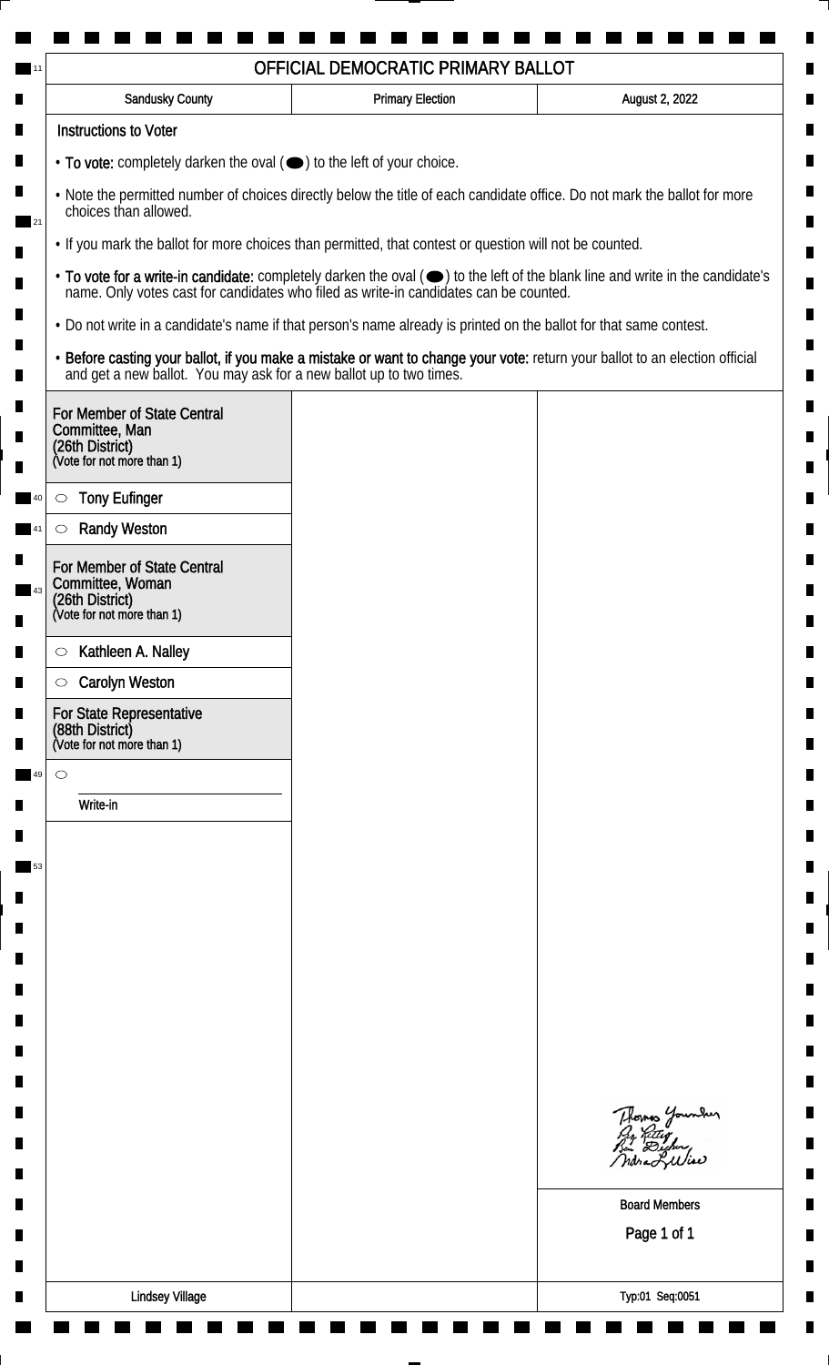| Sandusky County                                                                                                                                    | <b>Primary Election</b>                                                                                                                                                                                                        | August 2, 2022                              |  |  |
|----------------------------------------------------------------------------------------------------------------------------------------------------|--------------------------------------------------------------------------------------------------------------------------------------------------------------------------------------------------------------------------------|---------------------------------------------|--|--|
| <b>Instructions to Voter</b>                                                                                                                       |                                                                                                                                                                                                                                |                                             |  |  |
| • To vote: completely darken the oval (•) to the left of your choice.                                                                              |                                                                                                                                                                                                                                |                                             |  |  |
| . Note the permitted number of choices directly below the title of each candidate office. Do not mark the ballot for more<br>choices than allowed. |                                                                                                                                                                                                                                |                                             |  |  |
|                                                                                                                                                    | . If you mark the ballot for more choices than permitted, that contest or question will not be counted.                                                                                                                        |                                             |  |  |
|                                                                                                                                                    | • To vote for a write-in candidate: completely darken the oval ( $\bigcirc$ ) to the left of the blank line and write in the candidate's name. Only votes cast for candidates who filed as write-in candidates can be counted. |                                             |  |  |
|                                                                                                                                                    | . Do not write in a candidate's name if that person's name already is printed on the ballot for that same contest.                                                                                                             |                                             |  |  |
|                                                                                                                                                    | • Before casting your ballot, if you make a mistake or want to change your vote: return your ballot to an election official and get a new ballot. You may ask for a new ballot up to two times.                                |                                             |  |  |
| For Member of State Central<br>Committee, Man<br>(26th District)<br>(Vote for not more than 1)                                                     |                                                                                                                                                                                                                                |                                             |  |  |
| <b>Tony Eufinger</b>                                                                                                                               |                                                                                                                                                                                                                                |                                             |  |  |
| $\circ$<br><b>Randy Weston</b>                                                                                                                     |                                                                                                                                                                                                                                |                                             |  |  |
|                                                                                                                                                    |                                                                                                                                                                                                                                |                                             |  |  |
| For Member of State Central<br>Committee, Woman                                                                                                    |                                                                                                                                                                                                                                |                                             |  |  |
| (26th District)<br>(Vote for not more than 1)                                                                                                      |                                                                                                                                                                                                                                |                                             |  |  |
| Kathleen A. Nalley<br>$\circ$                                                                                                                      |                                                                                                                                                                                                                                |                                             |  |  |
| <b>Carolyn Weston</b><br>$\circ$                                                                                                                   |                                                                                                                                                                                                                                |                                             |  |  |
| For State Representative<br>(88th District)<br>(Vote for not more than 1)                                                                          |                                                                                                                                                                                                                                |                                             |  |  |
| $\circ$                                                                                                                                            |                                                                                                                                                                                                                                |                                             |  |  |
| Write-in                                                                                                                                           |                                                                                                                                                                                                                                |                                             |  |  |
|                                                                                                                                                    |                                                                                                                                                                                                                                |                                             |  |  |
|                                                                                                                                                    |                                                                                                                                                                                                                                |                                             |  |  |
|                                                                                                                                                    |                                                                                                                                                                                                                                |                                             |  |  |
|                                                                                                                                                    |                                                                                                                                                                                                                                |                                             |  |  |
|                                                                                                                                                    |                                                                                                                                                                                                                                |                                             |  |  |
|                                                                                                                                                    |                                                                                                                                                                                                                                |                                             |  |  |
|                                                                                                                                                    |                                                                                                                                                                                                                                |                                             |  |  |
|                                                                                                                                                    |                                                                                                                                                                                                                                |                                             |  |  |
|                                                                                                                                                    |                                                                                                                                                                                                                                |                                             |  |  |
|                                                                                                                                                    |                                                                                                                                                                                                                                | Thomas Younder<br>Pro Retter<br>Bin Dicher, |  |  |
|                                                                                                                                                    |                                                                                                                                                                                                                                |                                             |  |  |
|                                                                                                                                                    |                                                                                                                                                                                                                                | <b>Board Members</b>                        |  |  |
|                                                                                                                                                    |                                                                                                                                                                                                                                | Page 1 of 1                                 |  |  |
|                                                                                                                                                    |                                                                                                                                                                                                                                |                                             |  |  |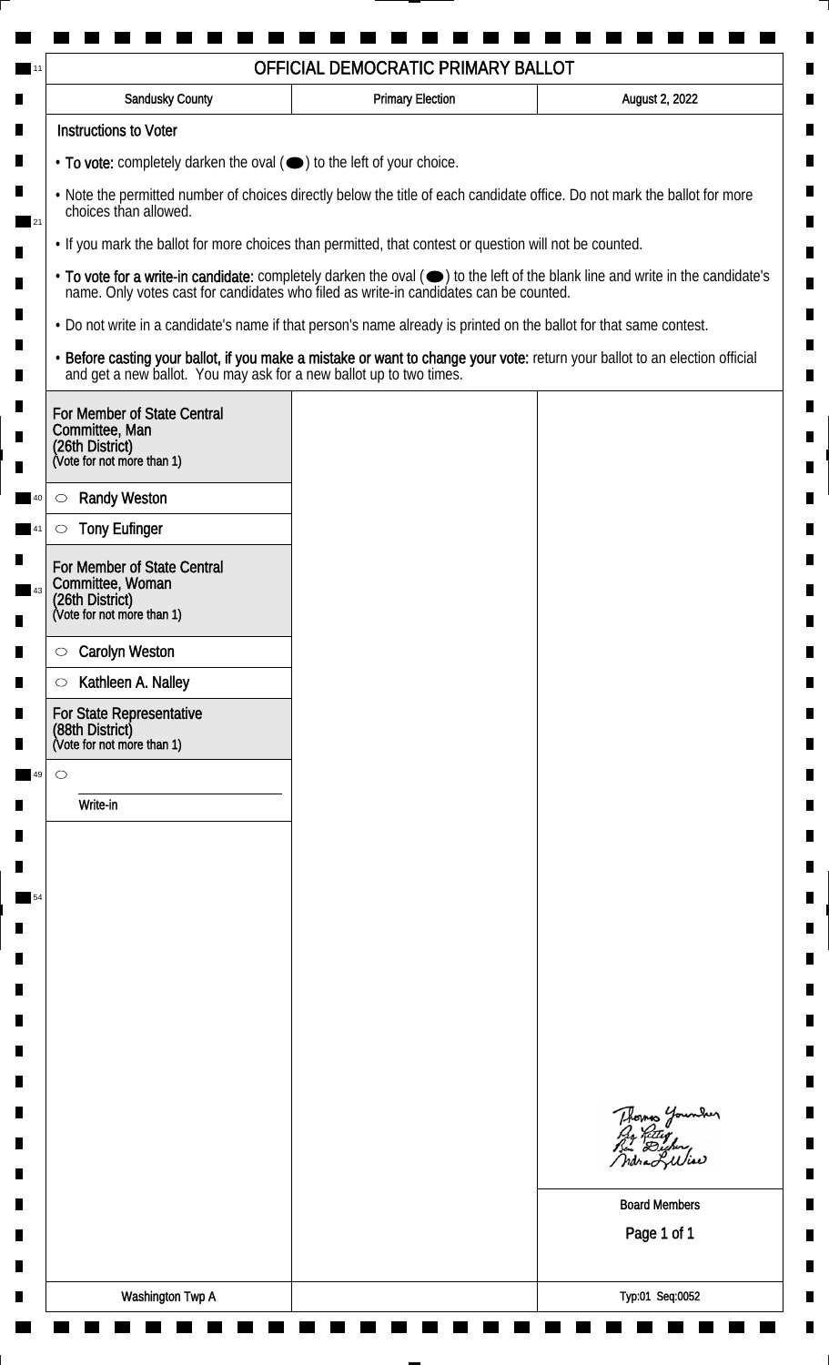| <b>Sandusky County</b>                                                                                                                             | <b>Primary Election</b> | August 2, 2022                                                                                                                                                                                                                 |  |  |
|----------------------------------------------------------------------------------------------------------------------------------------------------|-------------------------|--------------------------------------------------------------------------------------------------------------------------------------------------------------------------------------------------------------------------------|--|--|
| <b>Instructions to Voter</b>                                                                                                                       |                         |                                                                                                                                                                                                                                |  |  |
| • To vote: completely darken the oval (•) to the left of your choice.                                                                              |                         |                                                                                                                                                                                                                                |  |  |
| . Note the permitted number of choices directly below the title of each candidate office. Do not mark the ballot for more<br>choices than allowed. |                         |                                                                                                                                                                                                                                |  |  |
| . If you mark the ballot for more choices than permitted, that contest or question will not be counted.                                            |                         |                                                                                                                                                                                                                                |  |  |
|                                                                                                                                                    |                         | • To vote for a write-in candidate: completely darken the oval ( $\bigcirc$ ) to the left of the blank line and write in the candidate's name. Only votes cast for candidates who filed as write-in candidates can be counted. |  |  |
| . Do not write in a candidate's name if that person's name already is printed on the ballot for that same contest.                                 |                         |                                                                                                                                                                                                                                |  |  |
|                                                                                                                                                    |                         | • Before casting your ballot, if you make a mistake or want to change your vote: return your ballot to an election official and get a new ballot. You may ask for a new ballot up to two times.                                |  |  |
| For Member of State Central<br>Committee, Man<br>(26th District)<br>(Vote for not more than 1)                                                     |                         |                                                                                                                                                                                                                                |  |  |
|                                                                                                                                                    |                         |                                                                                                                                                                                                                                |  |  |
| <b>Randy Weston</b><br>$\circlearrowright$                                                                                                         |                         |                                                                                                                                                                                                                                |  |  |
| <b>Tony Eufinger</b><br>O                                                                                                                          |                         |                                                                                                                                                                                                                                |  |  |
| For Member of State Central<br>Committee, Woman<br>(26th District)<br>(Vote for not more than 1)                                                   |                         |                                                                                                                                                                                                                                |  |  |
| <b>Carolyn Weston</b><br>$\circ$                                                                                                                   |                         |                                                                                                                                                                                                                                |  |  |
| Kathleen A. Nalley<br>$\circlearrowright$                                                                                                          |                         |                                                                                                                                                                                                                                |  |  |
| For State Representative<br>(88th District)<br>(Vote for not more than 1)                                                                          |                         |                                                                                                                                                                                                                                |  |  |
| $\circ$                                                                                                                                            |                         |                                                                                                                                                                                                                                |  |  |
| Write-in                                                                                                                                           |                         |                                                                                                                                                                                                                                |  |  |
|                                                                                                                                                    |                         |                                                                                                                                                                                                                                |  |  |
|                                                                                                                                                    |                         |                                                                                                                                                                                                                                |  |  |
|                                                                                                                                                    |                         |                                                                                                                                                                                                                                |  |  |
|                                                                                                                                                    |                         |                                                                                                                                                                                                                                |  |  |
|                                                                                                                                                    |                         |                                                                                                                                                                                                                                |  |  |
|                                                                                                                                                    |                         |                                                                                                                                                                                                                                |  |  |
|                                                                                                                                                    |                         |                                                                                                                                                                                                                                |  |  |
|                                                                                                                                                    |                         |                                                                                                                                                                                                                                |  |  |
|                                                                                                                                                    |                         |                                                                                                                                                                                                                                |  |  |
|                                                                                                                                                    |                         | Thomas Younder<br>Py Retty<br>Bin Digher,                                                                                                                                                                                      |  |  |
|                                                                                                                                                    |                         |                                                                                                                                                                                                                                |  |  |
|                                                                                                                                                    |                         | <b>Board Members</b>                                                                                                                                                                                                           |  |  |
|                                                                                                                                                    |                         | Page 1 of 1                                                                                                                                                                                                                    |  |  |
|                                                                                                                                                    |                         |                                                                                                                                                                                                                                |  |  |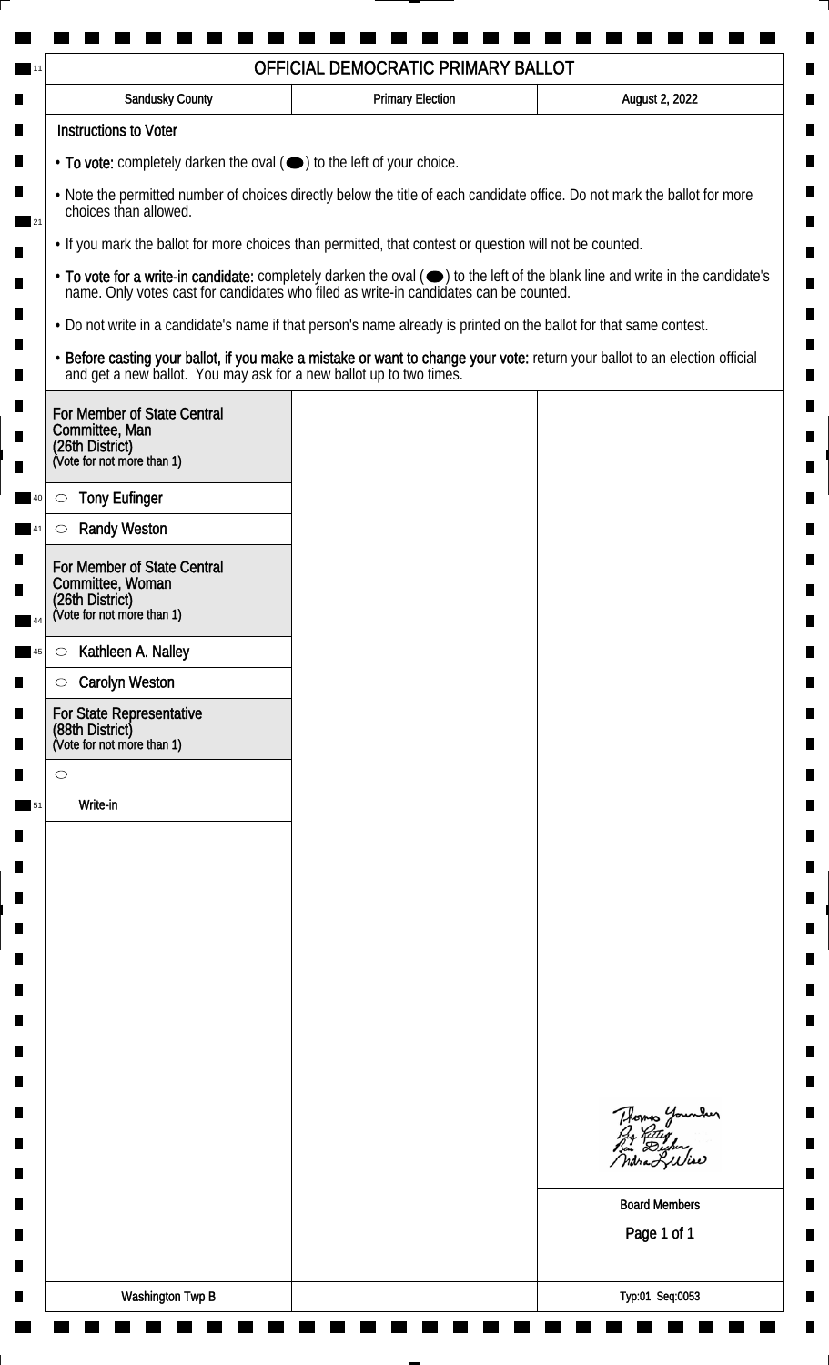| <b>Sandusky County</b>                                                                                                                             | <b>Primary Election</b>                                                                                                                                                                                                        | August 2, 2022                              |  |  |
|----------------------------------------------------------------------------------------------------------------------------------------------------|--------------------------------------------------------------------------------------------------------------------------------------------------------------------------------------------------------------------------------|---------------------------------------------|--|--|
| <b>Instructions to Voter</b>                                                                                                                       |                                                                                                                                                                                                                                |                                             |  |  |
| $\cdot$ To vote: completely darken the oval $(\bullet)$ to the left of your choice.                                                                |                                                                                                                                                                                                                                |                                             |  |  |
| . Note the permitted number of choices directly below the title of each candidate office. Do not mark the ballot for more<br>choices than allowed. |                                                                                                                                                                                                                                |                                             |  |  |
|                                                                                                                                                    | . If you mark the ballot for more choices than permitted, that contest or question will not be counted.                                                                                                                        |                                             |  |  |
|                                                                                                                                                    | • To vote for a write-in candidate: completely darken the oval ( $\bigcirc$ ) to the left of the blank line and write in the candidate's name. Only votes cast for candidates who filed as write-in candidates can be counted. |                                             |  |  |
|                                                                                                                                                    | • Do not write in a candidate's name if that person's name already is printed on the ballot for that same contest.                                                                                                             |                                             |  |  |
|                                                                                                                                                    | • Before casting your ballot, if you make a mistake or want to change your vote: return your ballot to an election official and get a new ballot. You may ask for a new ballot up to two times.                                |                                             |  |  |
| For Member of State Central<br>Committee, Man<br>(26th District)<br>(Vote for not more than 1)                                                     |                                                                                                                                                                                                                                |                                             |  |  |
|                                                                                                                                                    |                                                                                                                                                                                                                                |                                             |  |  |
| <b>Tony Eufinger</b><br>$\circlearrowright$                                                                                                        |                                                                                                                                                                                                                                |                                             |  |  |
| <b>Randy Weston</b><br>$\circlearrowright$                                                                                                         |                                                                                                                                                                                                                                |                                             |  |  |
| For Member of State Central<br>Committee, Woman                                                                                                    |                                                                                                                                                                                                                                |                                             |  |  |
| (26th District)<br>(Vote for not more than 1)                                                                                                      |                                                                                                                                                                                                                                |                                             |  |  |
| Kathleen A. Nalley<br>$\circ$                                                                                                                      |                                                                                                                                                                                                                                |                                             |  |  |
| <b>Carolyn Weston</b><br>$\circ$                                                                                                                   |                                                                                                                                                                                                                                |                                             |  |  |
| For State Representative<br>(88th District)<br>(Vote for not more than 1)                                                                          |                                                                                                                                                                                                                                |                                             |  |  |
| $\circ$                                                                                                                                            |                                                                                                                                                                                                                                |                                             |  |  |
| Write-in                                                                                                                                           |                                                                                                                                                                                                                                |                                             |  |  |
|                                                                                                                                                    |                                                                                                                                                                                                                                |                                             |  |  |
|                                                                                                                                                    |                                                                                                                                                                                                                                |                                             |  |  |
|                                                                                                                                                    |                                                                                                                                                                                                                                |                                             |  |  |
|                                                                                                                                                    |                                                                                                                                                                                                                                |                                             |  |  |
|                                                                                                                                                    |                                                                                                                                                                                                                                |                                             |  |  |
|                                                                                                                                                    |                                                                                                                                                                                                                                |                                             |  |  |
|                                                                                                                                                    |                                                                                                                                                                                                                                |                                             |  |  |
|                                                                                                                                                    |                                                                                                                                                                                                                                |                                             |  |  |
|                                                                                                                                                    |                                                                                                                                                                                                                                |                                             |  |  |
|                                                                                                                                                    |                                                                                                                                                                                                                                | Thomas Younder<br>Pro Retter<br>Bin Dicher, |  |  |
|                                                                                                                                                    |                                                                                                                                                                                                                                | Indra Luliae                                |  |  |
|                                                                                                                                                    | <b>Board Members</b>                                                                                                                                                                                                           |                                             |  |  |
|                                                                                                                                                    |                                                                                                                                                                                                                                | Page 1 of 1                                 |  |  |
|                                                                                                                                                    |                                                                                                                                                                                                                                |                                             |  |  |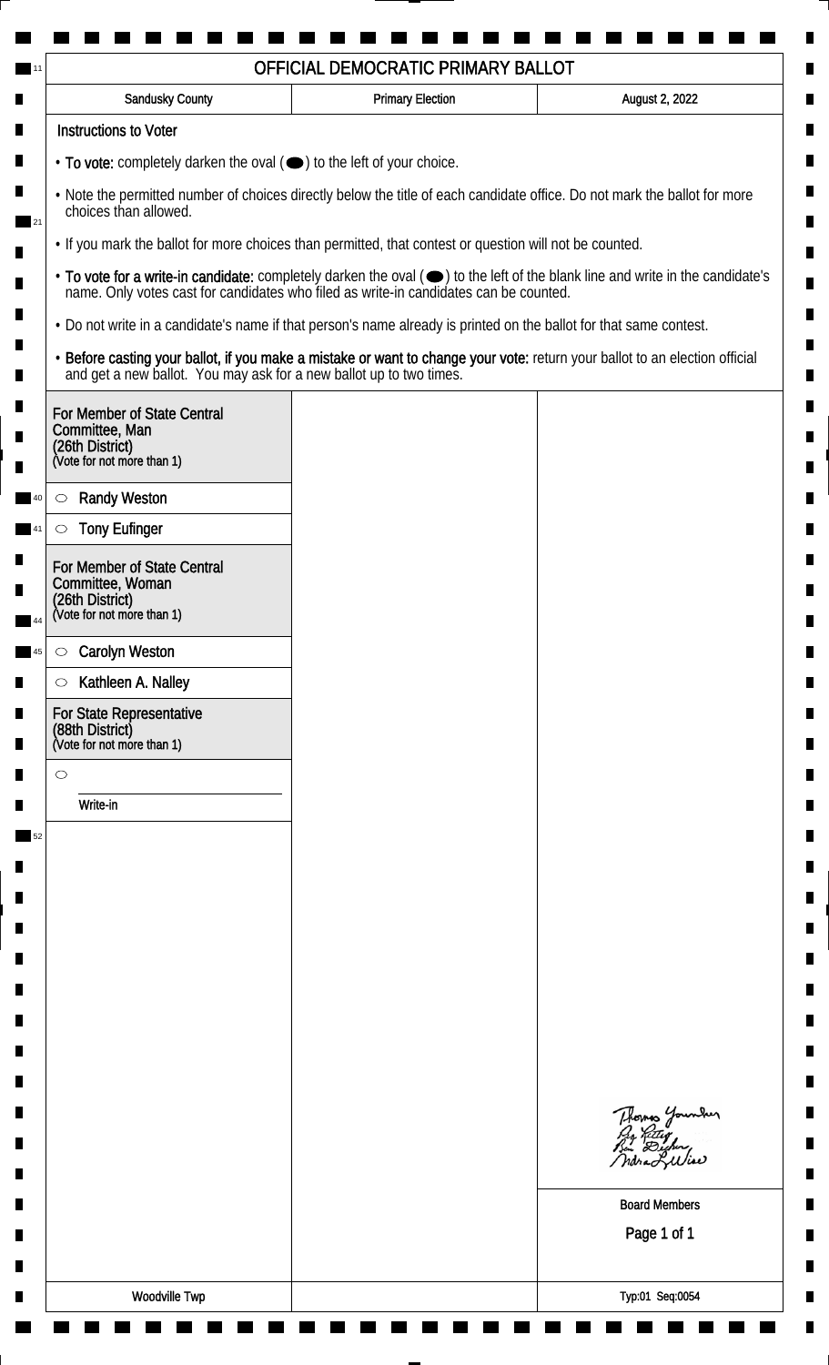| <b>Instructions to Voter</b><br>• To vote: completely darken the oval ( $\bigcirc$ ) to the left of your choice.<br>. Note the permitted number of choices directly below the title of each candidate office. Do not mark the ballot for more<br>choices than allowed.<br>. If you mark the ballot for more choices than permitted, that contest or question will not be counted.<br>. Do not write in a candidate's name if that person's name already is printed on the ballot for that same contest.<br>• Before casting your ballot, if you make a mistake or want to change your vote: return your ballot to an election official and get a new ballot. You may ask for a new ballot up to two times.<br>For Member of State Central<br>Committee, Man<br>(26th District)<br>(Vote for not more than 1)<br><b>Randy Weston</b><br>$\circlearrowright$<br><b>Tony Eufinger</b><br>$\circlearrowright$<br>For Member of State Central<br>Committee, Woman<br>(26th District)<br>(Vote for not more than 1)<br><b>Carolyn Weston</b><br>$\circ$<br>Kathleen A. Nalley<br>$\circ$<br>For State Representative<br>(88th District)<br>(Vote for not more than 1)<br>$\circ$<br>Write-in<br>Thomas Younder<br><b>Board Members</b><br>Page 1 of 1 | <b>Sandusky County</b> | <b>Primary Election</b> | August 2, 2022 |  |  |
|-------------------------------------------------------------------------------------------------------------------------------------------------------------------------------------------------------------------------------------------------------------------------------------------------------------------------------------------------------------------------------------------------------------------------------------------------------------------------------------------------------------------------------------------------------------------------------------------------------------------------------------------------------------------------------------------------------------------------------------------------------------------------------------------------------------------------------------------------------------------------------------------------------------------------------------------------------------------------------------------------------------------------------------------------------------------------------------------------------------------------------------------------------------------------------------------------------------------------------------------------|------------------------|-------------------------|----------------|--|--|
|                                                                                                                                                                                                                                                                                                                                                                                                                                                                                                                                                                                                                                                                                                                                                                                                                                                                                                                                                                                                                                                                                                                                                                                                                                                 |                        |                         |                |  |  |
|                                                                                                                                                                                                                                                                                                                                                                                                                                                                                                                                                                                                                                                                                                                                                                                                                                                                                                                                                                                                                                                                                                                                                                                                                                                 |                        |                         |                |  |  |
|                                                                                                                                                                                                                                                                                                                                                                                                                                                                                                                                                                                                                                                                                                                                                                                                                                                                                                                                                                                                                                                                                                                                                                                                                                                 |                        |                         |                |  |  |
| • To vote for a write-in candidate: completely darken the oval ( $\bigcirc$ ) to the left of the blank line and write in the candidate's name. Only votes cast for candidates who filed as write-in candidates can be counted.                                                                                                                                                                                                                                                                                                                                                                                                                                                                                                                                                                                                                                                                                                                                                                                                                                                                                                                                                                                                                  |                        |                         |                |  |  |
|                                                                                                                                                                                                                                                                                                                                                                                                                                                                                                                                                                                                                                                                                                                                                                                                                                                                                                                                                                                                                                                                                                                                                                                                                                                 |                        |                         |                |  |  |
|                                                                                                                                                                                                                                                                                                                                                                                                                                                                                                                                                                                                                                                                                                                                                                                                                                                                                                                                                                                                                                                                                                                                                                                                                                                 |                        |                         |                |  |  |
|                                                                                                                                                                                                                                                                                                                                                                                                                                                                                                                                                                                                                                                                                                                                                                                                                                                                                                                                                                                                                                                                                                                                                                                                                                                 |                        |                         |                |  |  |
|                                                                                                                                                                                                                                                                                                                                                                                                                                                                                                                                                                                                                                                                                                                                                                                                                                                                                                                                                                                                                                                                                                                                                                                                                                                 |                        |                         |                |  |  |
|                                                                                                                                                                                                                                                                                                                                                                                                                                                                                                                                                                                                                                                                                                                                                                                                                                                                                                                                                                                                                                                                                                                                                                                                                                                 |                        |                         |                |  |  |
|                                                                                                                                                                                                                                                                                                                                                                                                                                                                                                                                                                                                                                                                                                                                                                                                                                                                                                                                                                                                                                                                                                                                                                                                                                                 |                        |                         |                |  |  |
|                                                                                                                                                                                                                                                                                                                                                                                                                                                                                                                                                                                                                                                                                                                                                                                                                                                                                                                                                                                                                                                                                                                                                                                                                                                 |                        |                         |                |  |  |
|                                                                                                                                                                                                                                                                                                                                                                                                                                                                                                                                                                                                                                                                                                                                                                                                                                                                                                                                                                                                                                                                                                                                                                                                                                                 |                        |                         |                |  |  |
|                                                                                                                                                                                                                                                                                                                                                                                                                                                                                                                                                                                                                                                                                                                                                                                                                                                                                                                                                                                                                                                                                                                                                                                                                                                 |                        |                         |                |  |  |
|                                                                                                                                                                                                                                                                                                                                                                                                                                                                                                                                                                                                                                                                                                                                                                                                                                                                                                                                                                                                                                                                                                                                                                                                                                                 |                        |                         |                |  |  |
|                                                                                                                                                                                                                                                                                                                                                                                                                                                                                                                                                                                                                                                                                                                                                                                                                                                                                                                                                                                                                                                                                                                                                                                                                                                 |                        |                         |                |  |  |
|                                                                                                                                                                                                                                                                                                                                                                                                                                                                                                                                                                                                                                                                                                                                                                                                                                                                                                                                                                                                                                                                                                                                                                                                                                                 |                        |                         |                |  |  |
|                                                                                                                                                                                                                                                                                                                                                                                                                                                                                                                                                                                                                                                                                                                                                                                                                                                                                                                                                                                                                                                                                                                                                                                                                                                 |                        |                         |                |  |  |
|                                                                                                                                                                                                                                                                                                                                                                                                                                                                                                                                                                                                                                                                                                                                                                                                                                                                                                                                                                                                                                                                                                                                                                                                                                                 |                        |                         |                |  |  |
|                                                                                                                                                                                                                                                                                                                                                                                                                                                                                                                                                                                                                                                                                                                                                                                                                                                                                                                                                                                                                                                                                                                                                                                                                                                 |                        |                         |                |  |  |
|                                                                                                                                                                                                                                                                                                                                                                                                                                                                                                                                                                                                                                                                                                                                                                                                                                                                                                                                                                                                                                                                                                                                                                                                                                                 |                        |                         |                |  |  |
|                                                                                                                                                                                                                                                                                                                                                                                                                                                                                                                                                                                                                                                                                                                                                                                                                                                                                                                                                                                                                                                                                                                                                                                                                                                 |                        |                         |                |  |  |
|                                                                                                                                                                                                                                                                                                                                                                                                                                                                                                                                                                                                                                                                                                                                                                                                                                                                                                                                                                                                                                                                                                                                                                                                                                                 |                        |                         |                |  |  |
|                                                                                                                                                                                                                                                                                                                                                                                                                                                                                                                                                                                                                                                                                                                                                                                                                                                                                                                                                                                                                                                                                                                                                                                                                                                 |                        |                         |                |  |  |
|                                                                                                                                                                                                                                                                                                                                                                                                                                                                                                                                                                                                                                                                                                                                                                                                                                                                                                                                                                                                                                                                                                                                                                                                                                                 |                        |                         |                |  |  |
|                                                                                                                                                                                                                                                                                                                                                                                                                                                                                                                                                                                                                                                                                                                                                                                                                                                                                                                                                                                                                                                                                                                                                                                                                                                 |                        |                         |                |  |  |
|                                                                                                                                                                                                                                                                                                                                                                                                                                                                                                                                                                                                                                                                                                                                                                                                                                                                                                                                                                                                                                                                                                                                                                                                                                                 |                        |                         |                |  |  |
|                                                                                                                                                                                                                                                                                                                                                                                                                                                                                                                                                                                                                                                                                                                                                                                                                                                                                                                                                                                                                                                                                                                                                                                                                                                 |                        |                         |                |  |  |
|                                                                                                                                                                                                                                                                                                                                                                                                                                                                                                                                                                                                                                                                                                                                                                                                                                                                                                                                                                                                                                                                                                                                                                                                                                                 |                        |                         |                |  |  |
|                                                                                                                                                                                                                                                                                                                                                                                                                                                                                                                                                                                                                                                                                                                                                                                                                                                                                                                                                                                                                                                                                                                                                                                                                                                 |                        |                         |                |  |  |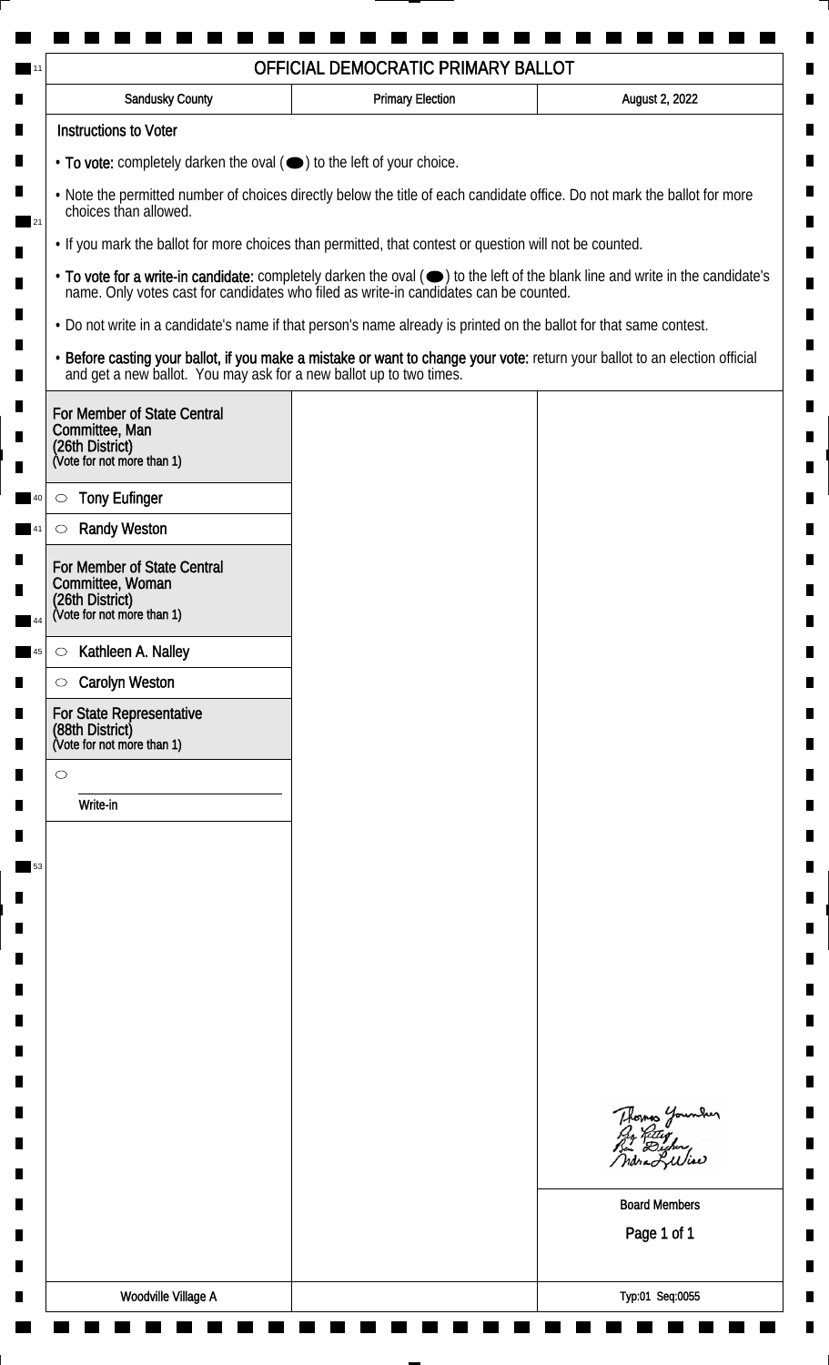| <b>Sandusky County</b>                                                                                                                             | <b>Primary Election</b> | August 2, 2022                                                                                                                                                                                                                 |  |  |
|----------------------------------------------------------------------------------------------------------------------------------------------------|-------------------------|--------------------------------------------------------------------------------------------------------------------------------------------------------------------------------------------------------------------------------|--|--|
| <b>Instructions to Voter</b>                                                                                                                       |                         |                                                                                                                                                                                                                                |  |  |
| • To vote: completely darken the oval ( $\bigcirc$ ) to the left of your choice.                                                                   |                         |                                                                                                                                                                                                                                |  |  |
| . Note the permitted number of choices directly below the title of each candidate office. Do not mark the ballot for more<br>choices than allowed. |                         |                                                                                                                                                                                                                                |  |  |
| . If you mark the ballot for more choices than permitted, that contest or question will not be counted.                                            |                         |                                                                                                                                                                                                                                |  |  |
|                                                                                                                                                    |                         | • To vote for a write-in candidate: completely darken the oval ( $\bigcirc$ ) to the left of the blank line and write in the candidate's name. Only votes cast for candidates who filed as write-in candidates can be counted. |  |  |
| . Do not write in a candidate's name if that person's name already is printed on the ballot for that same contest.                                 |                         |                                                                                                                                                                                                                                |  |  |
|                                                                                                                                                    |                         | • Before casting your ballot, if you make a mistake or want to change your vote: return your ballot to an election official and get a new ballot. You may ask for a new ballot up to two times.                                |  |  |
| For Member of State Central<br>Committee, Man<br>(26th District)<br>(Vote for not more than 1)                                                     |                         |                                                                                                                                                                                                                                |  |  |
| <b>Tony Eufinger</b><br>$\circlearrowright$                                                                                                        |                         |                                                                                                                                                                                                                                |  |  |
| <b>Randy Weston</b><br>$\circ$                                                                                                                     |                         |                                                                                                                                                                                                                                |  |  |
| For Member of State Central<br>Committee, Woman<br>(26th District)<br>(Vote for not more than 1)                                                   |                         |                                                                                                                                                                                                                                |  |  |
|                                                                                                                                                    |                         |                                                                                                                                                                                                                                |  |  |
| Kathleen A. Nalley<br>$\circ$                                                                                                                      |                         |                                                                                                                                                                                                                                |  |  |
| <b>Carolyn Weston</b><br>$\circ$                                                                                                                   |                         |                                                                                                                                                                                                                                |  |  |
| For State Representative<br>(88th District)<br>(Vote for not more than 1)                                                                          |                         |                                                                                                                                                                                                                                |  |  |
| $\circ$                                                                                                                                            |                         |                                                                                                                                                                                                                                |  |  |
| Write-in                                                                                                                                           |                         |                                                                                                                                                                                                                                |  |  |
|                                                                                                                                                    |                         |                                                                                                                                                                                                                                |  |  |
|                                                                                                                                                    |                         |                                                                                                                                                                                                                                |  |  |
|                                                                                                                                                    |                         |                                                                                                                                                                                                                                |  |  |
|                                                                                                                                                    |                         |                                                                                                                                                                                                                                |  |  |
|                                                                                                                                                    |                         |                                                                                                                                                                                                                                |  |  |
|                                                                                                                                                    |                         |                                                                                                                                                                                                                                |  |  |
|                                                                                                                                                    |                         |                                                                                                                                                                                                                                |  |  |
|                                                                                                                                                    |                         |                                                                                                                                                                                                                                |  |  |
|                                                                                                                                                    |                         | Thomas Younder                                                                                                                                                                                                                 |  |  |
|                                                                                                                                                    |                         | <b>Board Members</b>                                                                                                                                                                                                           |  |  |
|                                                                                                                                                    |                         | Page 1 of 1                                                                                                                                                                                                                    |  |  |
|                                                                                                                                                    |                         |                                                                                                                                                                                                                                |  |  |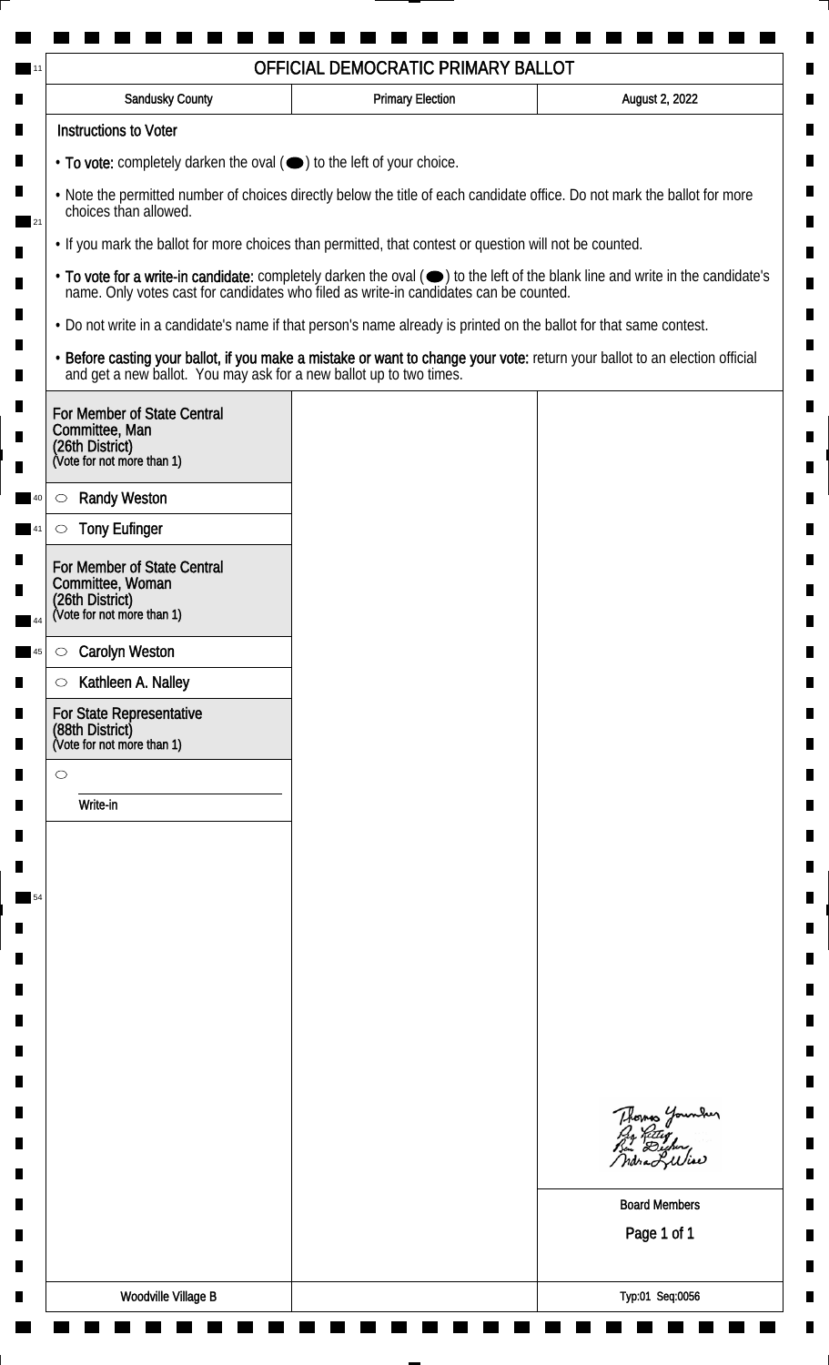| <b>Sandusky County</b>                                                                                                                             | <b>Primary Election</b>                                                                                                                                                                         | August 2, 2022                                                                                                                                                                                                                 |  |  |
|----------------------------------------------------------------------------------------------------------------------------------------------------|-------------------------------------------------------------------------------------------------------------------------------------------------------------------------------------------------|--------------------------------------------------------------------------------------------------------------------------------------------------------------------------------------------------------------------------------|--|--|
| <b>Instructions to Voter</b>                                                                                                                       |                                                                                                                                                                                                 |                                                                                                                                                                                                                                |  |  |
| • To vote: completely darken the oval (•) to the left of your choice.                                                                              |                                                                                                                                                                                                 |                                                                                                                                                                                                                                |  |  |
| . Note the permitted number of choices directly below the title of each candidate office. Do not mark the ballot for more<br>choices than allowed. |                                                                                                                                                                                                 |                                                                                                                                                                                                                                |  |  |
|                                                                                                                                                    | . If you mark the ballot for more choices than permitted, that contest or question will not be counted.                                                                                         |                                                                                                                                                                                                                                |  |  |
|                                                                                                                                                    |                                                                                                                                                                                                 | • To vote for a write-in candidate: completely darken the oval ( $\bigcirc$ ) to the left of the blank line and write in the candidate's name. Only votes cast for candidates who filed as write-in candidates can be counted. |  |  |
|                                                                                                                                                    | . Do not write in a candidate's name if that person's name already is printed on the ballot for that same contest.                                                                              |                                                                                                                                                                                                                                |  |  |
|                                                                                                                                                    | • Before casting your ballot, if you make a mistake or want to change your vote: return your ballot to an election official and get a new ballot. You may ask for a new ballot up to two times. |                                                                                                                                                                                                                                |  |  |
| For Member of State Central<br>Committee, Man                                                                                                      |                                                                                                                                                                                                 |                                                                                                                                                                                                                                |  |  |
| (26th District)<br>(Vote for not more than 1)                                                                                                      |                                                                                                                                                                                                 |                                                                                                                                                                                                                                |  |  |
| <b>Randy Weston</b>                                                                                                                                |                                                                                                                                                                                                 |                                                                                                                                                                                                                                |  |  |
| $\circlearrowright$<br><b>Tony Eufinger</b><br>$\circlearrowright$                                                                                 |                                                                                                                                                                                                 |                                                                                                                                                                                                                                |  |  |
| For Member of State Central                                                                                                                        |                                                                                                                                                                                                 |                                                                                                                                                                                                                                |  |  |
| Committee, Woman<br>(26th District)<br>(Vote for not more than 1)                                                                                  |                                                                                                                                                                                                 |                                                                                                                                                                                                                                |  |  |
|                                                                                                                                                    |                                                                                                                                                                                                 |                                                                                                                                                                                                                                |  |  |
| <b>Carolyn Weston</b><br>$\circ$                                                                                                                   |                                                                                                                                                                                                 |                                                                                                                                                                                                                                |  |  |
| Kathleen A. Nalley<br>$\circ$                                                                                                                      |                                                                                                                                                                                                 |                                                                                                                                                                                                                                |  |  |
| For State Representative<br>(88th District)<br>(Vote for not more than 1)                                                                          |                                                                                                                                                                                                 |                                                                                                                                                                                                                                |  |  |
| $\circ$                                                                                                                                            |                                                                                                                                                                                                 |                                                                                                                                                                                                                                |  |  |
| Write-in                                                                                                                                           |                                                                                                                                                                                                 |                                                                                                                                                                                                                                |  |  |
|                                                                                                                                                    |                                                                                                                                                                                                 |                                                                                                                                                                                                                                |  |  |
|                                                                                                                                                    |                                                                                                                                                                                                 |                                                                                                                                                                                                                                |  |  |
|                                                                                                                                                    |                                                                                                                                                                                                 |                                                                                                                                                                                                                                |  |  |
|                                                                                                                                                    |                                                                                                                                                                                                 |                                                                                                                                                                                                                                |  |  |
|                                                                                                                                                    |                                                                                                                                                                                                 |                                                                                                                                                                                                                                |  |  |
|                                                                                                                                                    |                                                                                                                                                                                                 |                                                                                                                                                                                                                                |  |  |
|                                                                                                                                                    |                                                                                                                                                                                                 |                                                                                                                                                                                                                                |  |  |
|                                                                                                                                                    |                                                                                                                                                                                                 |                                                                                                                                                                                                                                |  |  |
|                                                                                                                                                    |                                                                                                                                                                                                 |                                                                                                                                                                                                                                |  |  |
|                                                                                                                                                    |                                                                                                                                                                                                 | Thomas Younder                                                                                                                                                                                                                 |  |  |
|                                                                                                                                                    |                                                                                                                                                                                                 |                                                                                                                                                                                                                                |  |  |
|                                                                                                                                                    |                                                                                                                                                                                                 | <b>Board Members</b>                                                                                                                                                                                                           |  |  |
|                                                                                                                                                    |                                                                                                                                                                                                 | Page 1 of 1                                                                                                                                                                                                                    |  |  |
|                                                                                                                                                    |                                                                                                                                                                                                 |                                                                                                                                                                                                                                |  |  |
| <b>Woodville Village B</b>                                                                                                                         |                                                                                                                                                                                                 | Typ:01 Seq:0056                                                                                                                                                                                                                |  |  |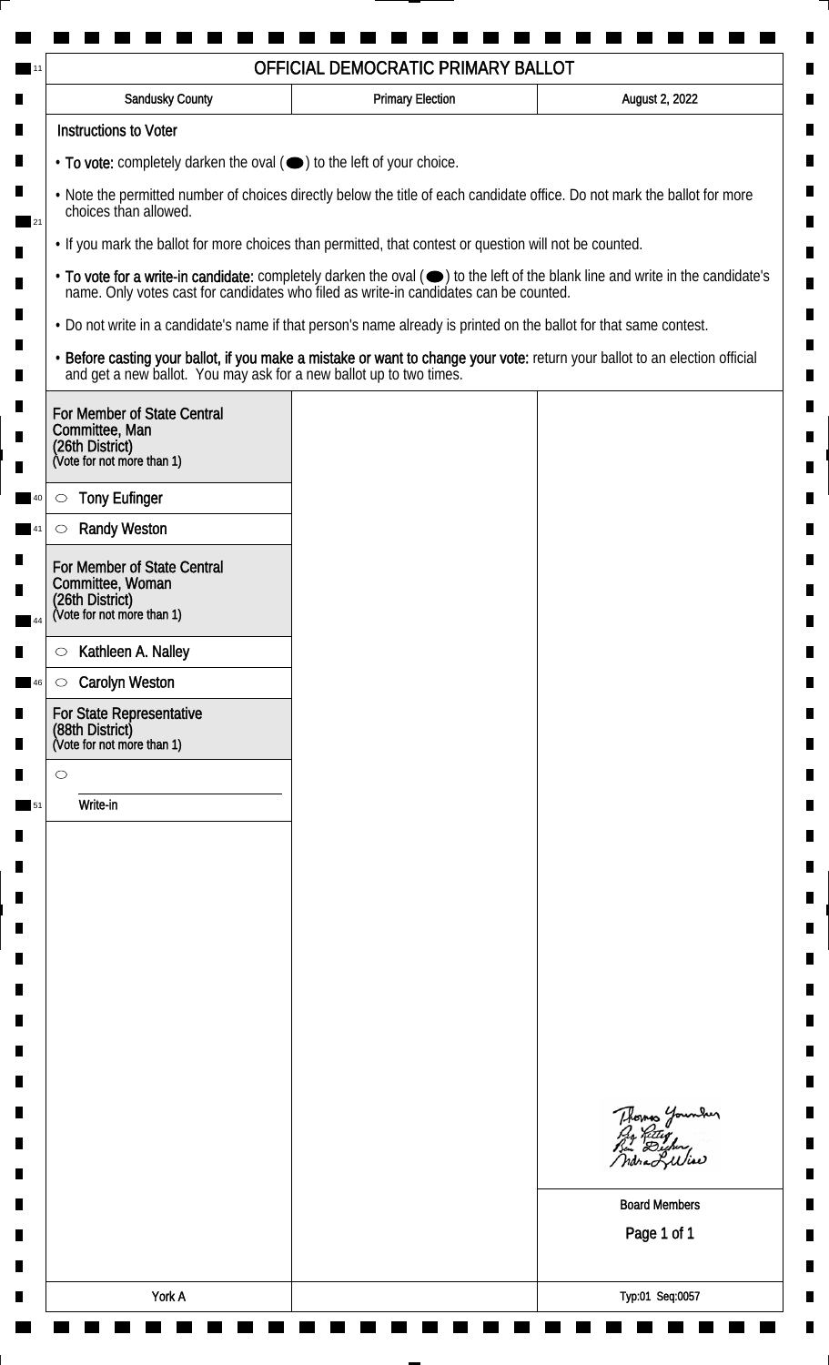| <b>Sandusky County</b>                                                                                                                             | <b>Primary Election</b> | August 2, 2022                                                                                                                                                                                                                 |  |  |
|----------------------------------------------------------------------------------------------------------------------------------------------------|-------------------------|--------------------------------------------------------------------------------------------------------------------------------------------------------------------------------------------------------------------------------|--|--|
| <b>Instructions to Voter</b>                                                                                                                       |                         |                                                                                                                                                                                                                                |  |  |
| • To vote: completely darken the oval (•) to the left of your choice.                                                                              |                         |                                                                                                                                                                                                                                |  |  |
| . Note the permitted number of choices directly below the title of each candidate office. Do not mark the ballot for more<br>choices than allowed. |                         |                                                                                                                                                                                                                                |  |  |
| • If you mark the ballot for more choices than permitted, that contest or question will not be counted.                                            |                         |                                                                                                                                                                                                                                |  |  |
|                                                                                                                                                    |                         | • To vote for a write-in candidate: completely darken the oval ( $\bigcirc$ ) to the left of the blank line and write in the candidate's name. Only votes cast for candidates who filed as write-in candidates can be counted. |  |  |
| . Do not write in a candidate's name if that person's name already is printed on the ballot for that same contest.                                 |                         |                                                                                                                                                                                                                                |  |  |
|                                                                                                                                                    |                         | • Before casting your ballot, if you make a mistake or want to change your vote: return your ballot to an election official and get a new ballot. You may ask for a new ballot up to two times.                                |  |  |
| For Member of State Central<br>Committee, Man<br>(26th District)<br>(Vote for not more than 1)                                                     |                         |                                                                                                                                                                                                                                |  |  |
| <b>Tony Eufinger</b><br>$\circlearrowright$                                                                                                        |                         |                                                                                                                                                                                                                                |  |  |
| <b>Randy Weston</b><br>$\circlearrowright$                                                                                                         |                         |                                                                                                                                                                                                                                |  |  |
| For Member of State Central<br>Committee, Woman<br>(26th District)<br>(Vote for not more than 1)                                                   |                         |                                                                                                                                                                                                                                |  |  |
| Kathleen A. Nalley<br>$\circ$                                                                                                                      |                         |                                                                                                                                                                                                                                |  |  |
| <b>Carolyn Weston</b><br>$\circ$                                                                                                                   |                         |                                                                                                                                                                                                                                |  |  |
| For State Representative<br>(88th District)<br>(Vote for not more than 1)                                                                          |                         |                                                                                                                                                                                                                                |  |  |
| $\circ$                                                                                                                                            |                         |                                                                                                                                                                                                                                |  |  |
| Write-in                                                                                                                                           |                         |                                                                                                                                                                                                                                |  |  |
|                                                                                                                                                    |                         |                                                                                                                                                                                                                                |  |  |
|                                                                                                                                                    |                         |                                                                                                                                                                                                                                |  |  |
|                                                                                                                                                    |                         |                                                                                                                                                                                                                                |  |  |
|                                                                                                                                                    |                         |                                                                                                                                                                                                                                |  |  |
|                                                                                                                                                    |                         |                                                                                                                                                                                                                                |  |  |
|                                                                                                                                                    |                         |                                                                                                                                                                                                                                |  |  |
|                                                                                                                                                    |                         |                                                                                                                                                                                                                                |  |  |
|                                                                                                                                                    |                         |                                                                                                                                                                                                                                |  |  |
|                                                                                                                                                    |                         | Thomas Younder<br>ndra Liliae                                                                                                                                                                                                  |  |  |
|                                                                                                                                                    |                         | <b>Board Members</b><br>Page 1 of 1                                                                                                                                                                                            |  |  |
|                                                                                                                                                    |                         |                                                                                                                                                                                                                                |  |  |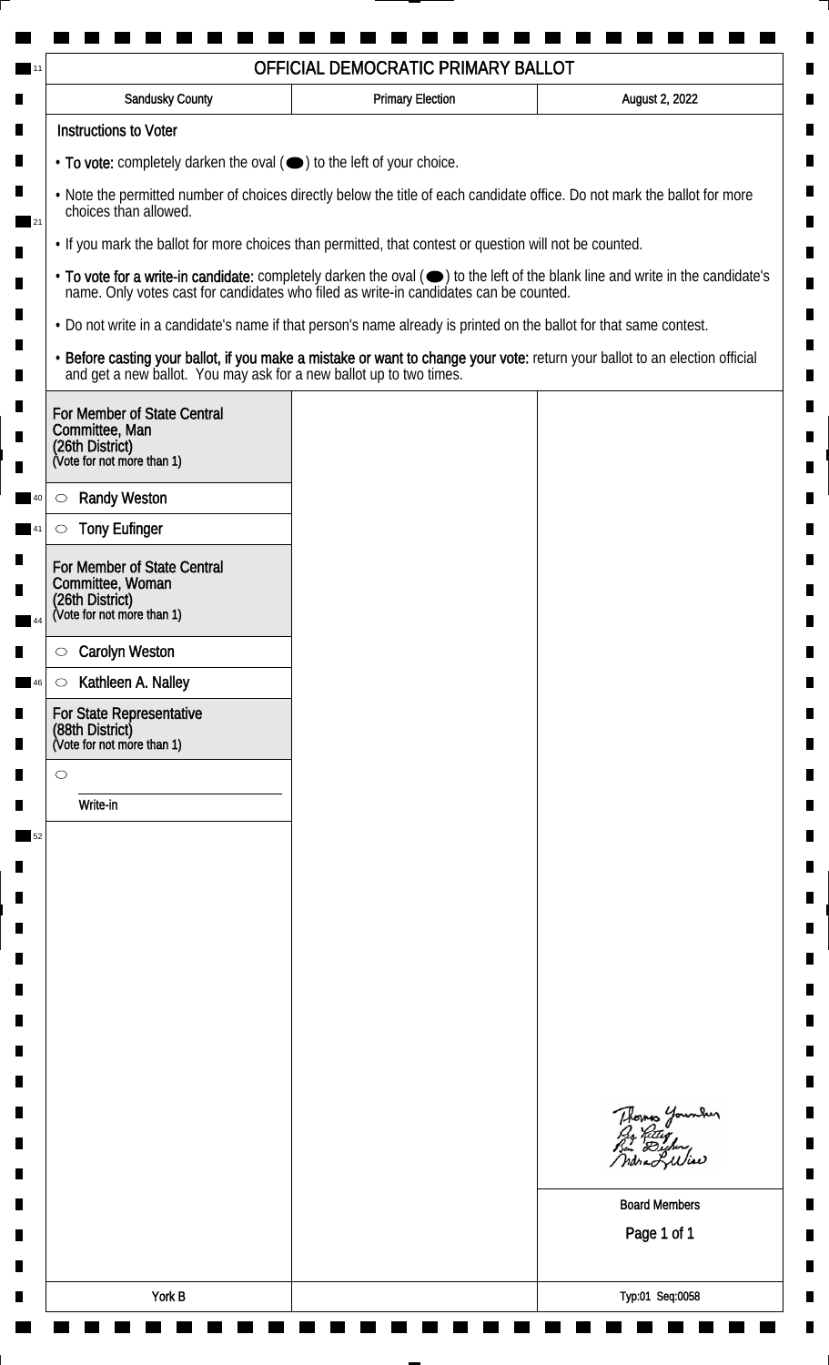| <b>Sandusky County</b>                                                                                                                             | <b>Primary Election</b>                                                               | August 2, 2022                                                                                                                |  |  |
|----------------------------------------------------------------------------------------------------------------------------------------------------|---------------------------------------------------------------------------------------|-------------------------------------------------------------------------------------------------------------------------------|--|--|
| <b>Instructions to Voter</b>                                                                                                                       |                                                                                       |                                                                                                                               |  |  |
| • To vote: completely darken the oval (O) to the left of your choice.                                                                              |                                                                                       |                                                                                                                               |  |  |
| . Note the permitted number of choices directly below the title of each candidate office. Do not mark the ballot for more<br>choices than allowed. |                                                                                       |                                                                                                                               |  |  |
| . If you mark the ballot for more choices than permitted, that contest or question will not be counted.                                            |                                                                                       |                                                                                                                               |  |  |
|                                                                                                                                                    | name. Only votes cast for candidates who filed as write-in candidates can be counted. | • To vote for a write-in candidate: completely darken the oval (•) to the left of the blank line and write in the candidate's |  |  |
| . Do not write in a candidate's name if that person's name already is printed on the ballot for that same contest.                                 |                                                                                       |                                                                                                                               |  |  |
| and get a new ballot. You may ask for a new ballot up to two times.                                                                                |                                                                                       | · Before casting your ballot, if you make a mistake or want to change your vote: return your ballot to an election official   |  |  |
| For Member of State Central<br>Committee, Man<br>(26th District)<br>(Vote for not more than 1)                                                     |                                                                                       |                                                                                                                               |  |  |
| <b>Randy Weston</b><br>$\circlearrowright$                                                                                                         |                                                                                       |                                                                                                                               |  |  |
| <b>Tony Eufinger</b><br>$\circlearrowright$                                                                                                        |                                                                                       |                                                                                                                               |  |  |
| For Member of State Central                                                                                                                        |                                                                                       |                                                                                                                               |  |  |
| Committee, Woman                                                                                                                                   |                                                                                       |                                                                                                                               |  |  |
| (26th District)<br>(Vote for not more than 1)                                                                                                      |                                                                                       |                                                                                                                               |  |  |
| <b>Carolyn Weston</b><br>$\circlearrowright$                                                                                                       |                                                                                       |                                                                                                                               |  |  |
| Kathleen A. Nalley<br>$\circ$                                                                                                                      |                                                                                       |                                                                                                                               |  |  |
| For State Representative<br>(88th District)<br>(Vote for not more than 1)                                                                          |                                                                                       |                                                                                                                               |  |  |
| $\bigcirc$                                                                                                                                         |                                                                                       |                                                                                                                               |  |  |
| Write-in                                                                                                                                           |                                                                                       |                                                                                                                               |  |  |
|                                                                                                                                                    |                                                                                       |                                                                                                                               |  |  |
|                                                                                                                                                    |                                                                                       |                                                                                                                               |  |  |
|                                                                                                                                                    |                                                                                       |                                                                                                                               |  |  |
|                                                                                                                                                    |                                                                                       |                                                                                                                               |  |  |
|                                                                                                                                                    |                                                                                       |                                                                                                                               |  |  |
|                                                                                                                                                    |                                                                                       |                                                                                                                               |  |  |
|                                                                                                                                                    |                                                                                       |                                                                                                                               |  |  |
|                                                                                                                                                    |                                                                                       |                                                                                                                               |  |  |
|                                                                                                                                                    |                                                                                       |                                                                                                                               |  |  |
|                                                                                                                                                    |                                                                                       | Thomas Younder<br>By Ritty<br>Bin Dicher,                                                                                     |  |  |
|                                                                                                                                                    |                                                                                       | ndra Liliae                                                                                                                   |  |  |
|                                                                                                                                                    |                                                                                       | <b>Board Members</b>                                                                                                          |  |  |
|                                                                                                                                                    |                                                                                       | Page 1 of 1                                                                                                                   |  |  |
|                                                                                                                                                    |                                                                                       |                                                                                                                               |  |  |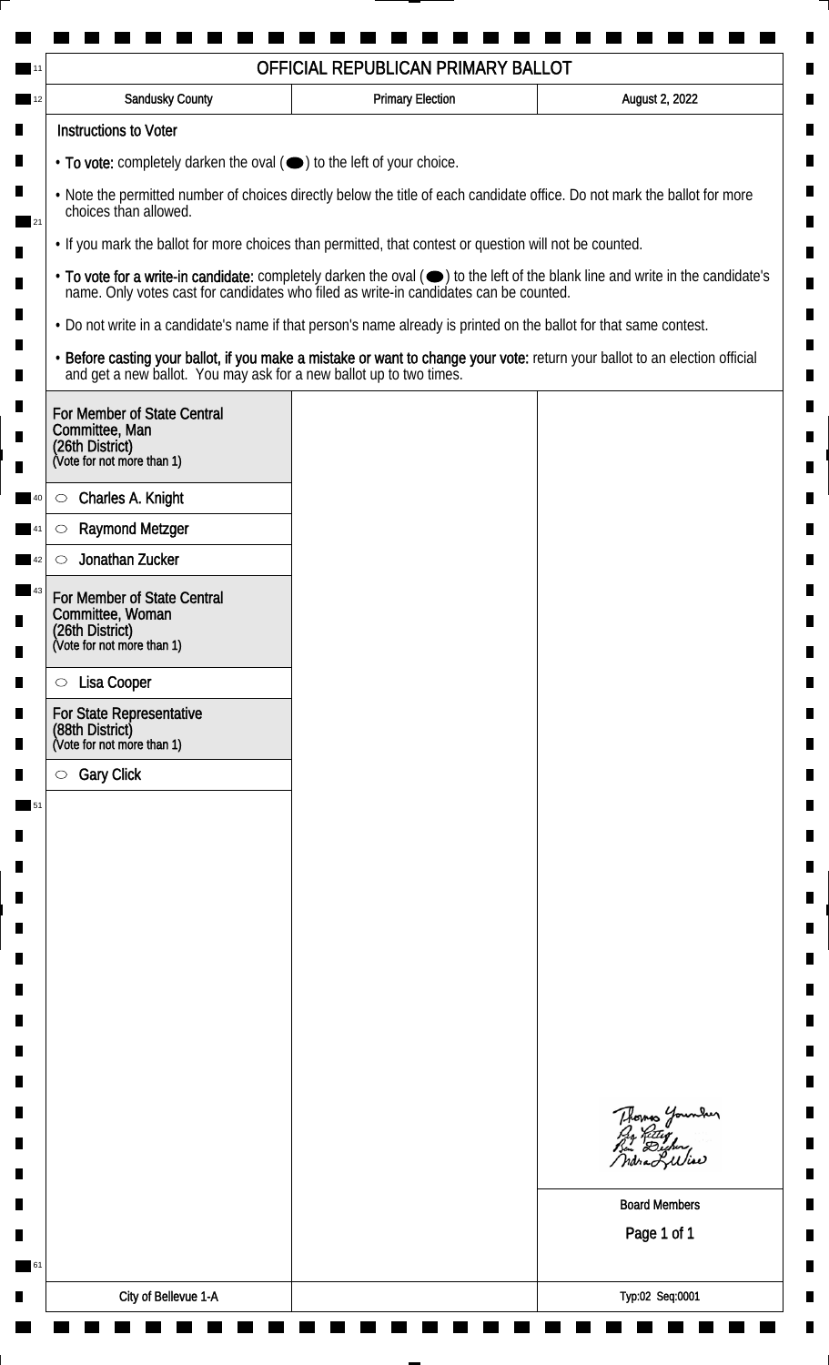| OFFICIAL REPUBLICAN PRIMARY BALLOT                                                                                                                                                                                                                                                                                                        |                         |                                                                                                                             |  |
|-------------------------------------------------------------------------------------------------------------------------------------------------------------------------------------------------------------------------------------------------------------------------------------------------------------------------------------------|-------------------------|-----------------------------------------------------------------------------------------------------------------------------|--|
| <b>Sandusky County</b>                                                                                                                                                                                                                                                                                                                    | <b>Primary Election</b> | August 2, 2022                                                                                                              |  |
| <b>Instructions to Voter</b>                                                                                                                                                                                                                                                                                                              |                         |                                                                                                                             |  |
| • To vote: completely darken the oval (•) to the left of your choice.                                                                                                                                                                                                                                                                     |                         |                                                                                                                             |  |
| . Note the permitted number of choices directly below the title of each candidate office. Do not mark the ballot for more<br>choices than allowed.                                                                                                                                                                                        |                         |                                                                                                                             |  |
| . If you mark the ballot for more choices than permitted, that contest or question will not be counted.<br>• To vote for a write-in candidate: completely darken the oval ( $\bigcirc$ ) to the left of the blank line and write in the candidate's name. Only votes cast for candidates who filed as write-in candidates can be counted. |                         |                                                                                                                             |  |
|                                                                                                                                                                                                                                                                                                                                           |                         |                                                                                                                             |  |
| and get a new ballot. You may ask for a new ballot up to two times.                                                                                                                                                                                                                                                                       |                         | · Before casting your ballot, if you make a mistake or want to change your vote: return your ballot to an election official |  |
| For Member of State Central<br>Committee, Man<br>(26th District)<br>(Vote for not more than 1)                                                                                                                                                                                                                                            |                         |                                                                                                                             |  |
| Charles A. Knight<br>$\circ$                                                                                                                                                                                                                                                                                                              |                         |                                                                                                                             |  |
| <b>Raymond Metzger</b><br>$\circlearrowright$                                                                                                                                                                                                                                                                                             |                         |                                                                                                                             |  |
| Jonathan Zucker                                                                                                                                                                                                                                                                                                                           |                         |                                                                                                                             |  |
| For Member of State Central<br>Committee, Woman<br>(26th District)<br>(Vote for not more than 1)                                                                                                                                                                                                                                          |                         |                                                                                                                             |  |
|                                                                                                                                                                                                                                                                                                                                           |                         |                                                                                                                             |  |
| Lisa Cooper<br>$\circ$                                                                                                                                                                                                                                                                                                                    |                         |                                                                                                                             |  |
| <b>For State Representative</b><br>(88th District)<br>(Vote for not more than 1)                                                                                                                                                                                                                                                          |                         |                                                                                                                             |  |
| <b>Gary Click</b><br>$\circ$                                                                                                                                                                                                                                                                                                              |                         |                                                                                                                             |  |
|                                                                                                                                                                                                                                                                                                                                           |                         |                                                                                                                             |  |
|                                                                                                                                                                                                                                                                                                                                           |                         |                                                                                                                             |  |
|                                                                                                                                                                                                                                                                                                                                           |                         |                                                                                                                             |  |
|                                                                                                                                                                                                                                                                                                                                           |                         |                                                                                                                             |  |
|                                                                                                                                                                                                                                                                                                                                           |                         |                                                                                                                             |  |
|                                                                                                                                                                                                                                                                                                                                           |                         |                                                                                                                             |  |
|                                                                                                                                                                                                                                                                                                                                           |                         |                                                                                                                             |  |
|                                                                                                                                                                                                                                                                                                                                           |                         |                                                                                                                             |  |
|                                                                                                                                                                                                                                                                                                                                           |                         |                                                                                                                             |  |
|                                                                                                                                                                                                                                                                                                                                           |                         |                                                                                                                             |  |
|                                                                                                                                                                                                                                                                                                                                           |                         | Thomas Younder<br>ndra Liliae                                                                                               |  |
|                                                                                                                                                                                                                                                                                                                                           |                         | <b>Board Members</b>                                                                                                        |  |
|                                                                                                                                                                                                                                                                                                                                           |                         | Page 1 of 1                                                                                                                 |  |
|                                                                                                                                                                                                                                                                                                                                           |                         |                                                                                                                             |  |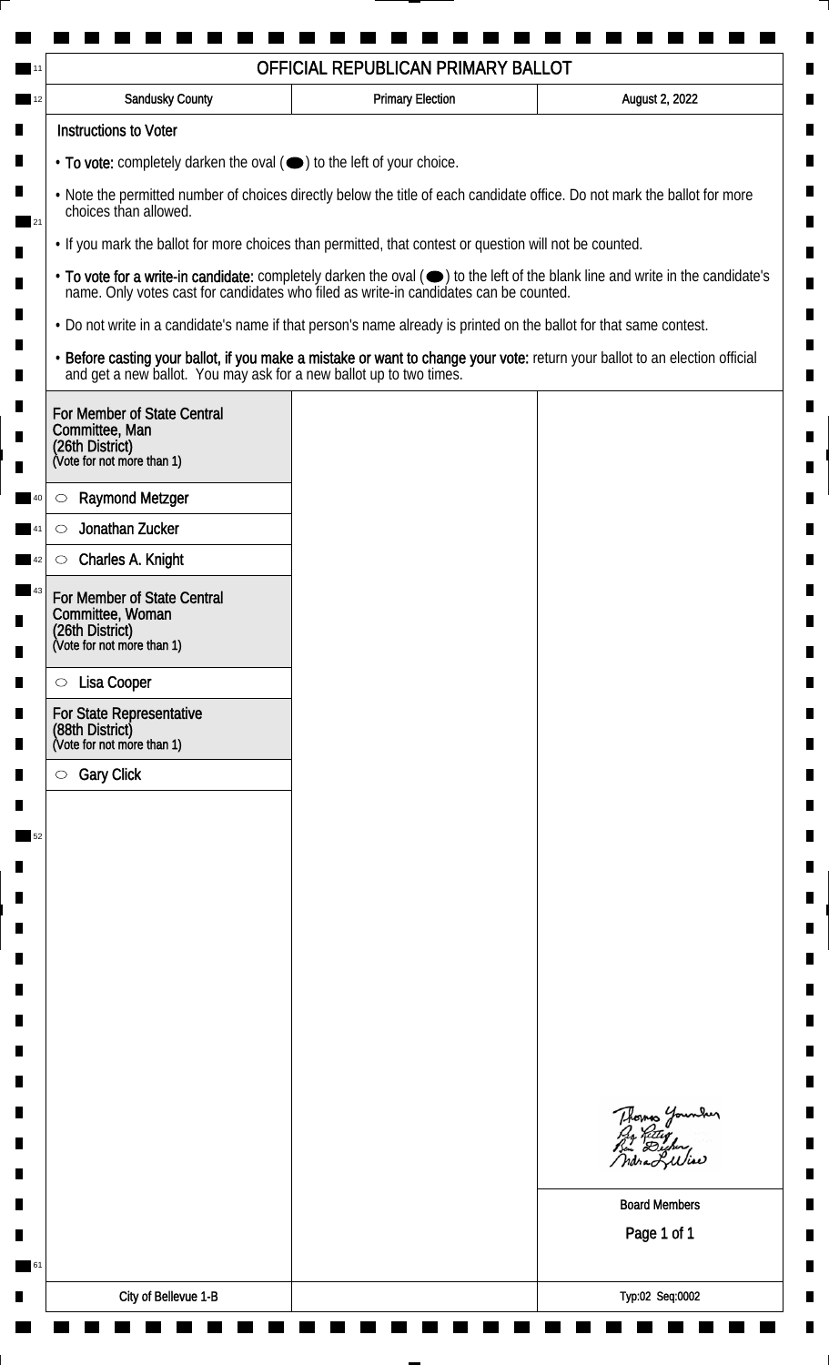|                                                                                                         | OFFICIAL REPUBLICAN PRIMARY BALLOT                                                                                                                 |                         |                                                                                                                                                                                                                                |  |  |
|---------------------------------------------------------------------------------------------------------|----------------------------------------------------------------------------------------------------------------------------------------------------|-------------------------|--------------------------------------------------------------------------------------------------------------------------------------------------------------------------------------------------------------------------------|--|--|
|                                                                                                         | <b>Sandusky County</b>                                                                                                                             | <b>Primary Election</b> | August 2, 2022                                                                                                                                                                                                                 |  |  |
|                                                                                                         | <b>Instructions to Voter</b>                                                                                                                       |                         |                                                                                                                                                                                                                                |  |  |
|                                                                                                         | $\cdot$ To vote: completely darken the oval $(\bullet)$ to the left of your choice.                                                                |                         |                                                                                                                                                                                                                                |  |  |
|                                                                                                         | . Note the permitted number of choices directly below the title of each candidate office. Do not mark the ballot for more<br>choices than allowed. |                         |                                                                                                                                                                                                                                |  |  |
| . If you mark the ballot for more choices than permitted, that contest or question will not be counted. |                                                                                                                                                    |                         |                                                                                                                                                                                                                                |  |  |
|                                                                                                         |                                                                                                                                                    |                         | • To vote for a write-in candidate: completely darken the oval ( $\bigcirc$ ) to the left of the blank line and write in the candidate's name. Only votes cast for candidates who filed as write-in candidates can be counted. |  |  |
|                                                                                                         | . Do not write in a candidate's name if that person's name already is printed on the ballot for that same contest.                                 |                         |                                                                                                                                                                                                                                |  |  |
|                                                                                                         | and get a new ballot. You may ask for a new ballot up to two times.                                                                                |                         | · Before casting your ballot, if you make a mistake or want to change your vote: return your ballot to an election official                                                                                                    |  |  |
|                                                                                                         | For Member of State Central                                                                                                                        |                         |                                                                                                                                                                                                                                |  |  |
|                                                                                                         | Committee, Man<br>(26th District)                                                                                                                  |                         |                                                                                                                                                                                                                                |  |  |
|                                                                                                         | (Vote for not more than 1)                                                                                                                         |                         |                                                                                                                                                                                                                                |  |  |
| O                                                                                                       | <b>Raymond Metzger</b>                                                                                                                             |                         |                                                                                                                                                                                                                                |  |  |
| $\circlearrowright$                                                                                     | Jonathan Zucker                                                                                                                                    |                         |                                                                                                                                                                                                                                |  |  |
| $\circlearrowright$                                                                                     | Charles A. Knight                                                                                                                                  |                         |                                                                                                                                                                                                                                |  |  |
|                                                                                                         | For Member of State Central                                                                                                                        |                         |                                                                                                                                                                                                                                |  |  |
|                                                                                                         | Committee, Woman<br>(26th District)<br>(Vote for not more than 1)                                                                                  |                         |                                                                                                                                                                                                                                |  |  |
|                                                                                                         |                                                                                                                                                    |                         |                                                                                                                                                                                                                                |  |  |
| $\circ$                                                                                                 | Lisa Cooper                                                                                                                                        |                         |                                                                                                                                                                                                                                |  |  |
|                                                                                                         | <b>For State Representative</b><br>(88th District)                                                                                                 |                         |                                                                                                                                                                                                                                |  |  |
|                                                                                                         | (Vote for not more than 1)                                                                                                                         |                         |                                                                                                                                                                                                                                |  |  |
| $\circ$                                                                                                 | <b>Gary Click</b>                                                                                                                                  |                         |                                                                                                                                                                                                                                |  |  |
|                                                                                                         |                                                                                                                                                    |                         |                                                                                                                                                                                                                                |  |  |
|                                                                                                         |                                                                                                                                                    |                         |                                                                                                                                                                                                                                |  |  |
|                                                                                                         |                                                                                                                                                    |                         |                                                                                                                                                                                                                                |  |  |
|                                                                                                         |                                                                                                                                                    |                         |                                                                                                                                                                                                                                |  |  |
|                                                                                                         |                                                                                                                                                    |                         |                                                                                                                                                                                                                                |  |  |
|                                                                                                         |                                                                                                                                                    |                         |                                                                                                                                                                                                                                |  |  |
|                                                                                                         |                                                                                                                                                    |                         |                                                                                                                                                                                                                                |  |  |
|                                                                                                         |                                                                                                                                                    |                         |                                                                                                                                                                                                                                |  |  |
|                                                                                                         |                                                                                                                                                    |                         |                                                                                                                                                                                                                                |  |  |
|                                                                                                         |                                                                                                                                                    |                         |                                                                                                                                                                                                                                |  |  |
|                                                                                                         |                                                                                                                                                    |                         | Thomas Younder                                                                                                                                                                                                                 |  |  |
|                                                                                                         |                                                                                                                                                    |                         |                                                                                                                                                                                                                                |  |  |
|                                                                                                         |                                                                                                                                                    |                         |                                                                                                                                                                                                                                |  |  |
|                                                                                                         |                                                                                                                                                    |                         | <b>Board Members</b>                                                                                                                                                                                                           |  |  |
|                                                                                                         |                                                                                                                                                    |                         | Page 1 of 1                                                                                                                                                                                                                    |  |  |
|                                                                                                         |                                                                                                                                                    |                         |                                                                                                                                                                                                                                |  |  |
|                                                                                                         | City of Bellevue 1-B                                                                                                                               |                         | Typ:02 Seq:0002                                                                                                                                                                                                                |  |  |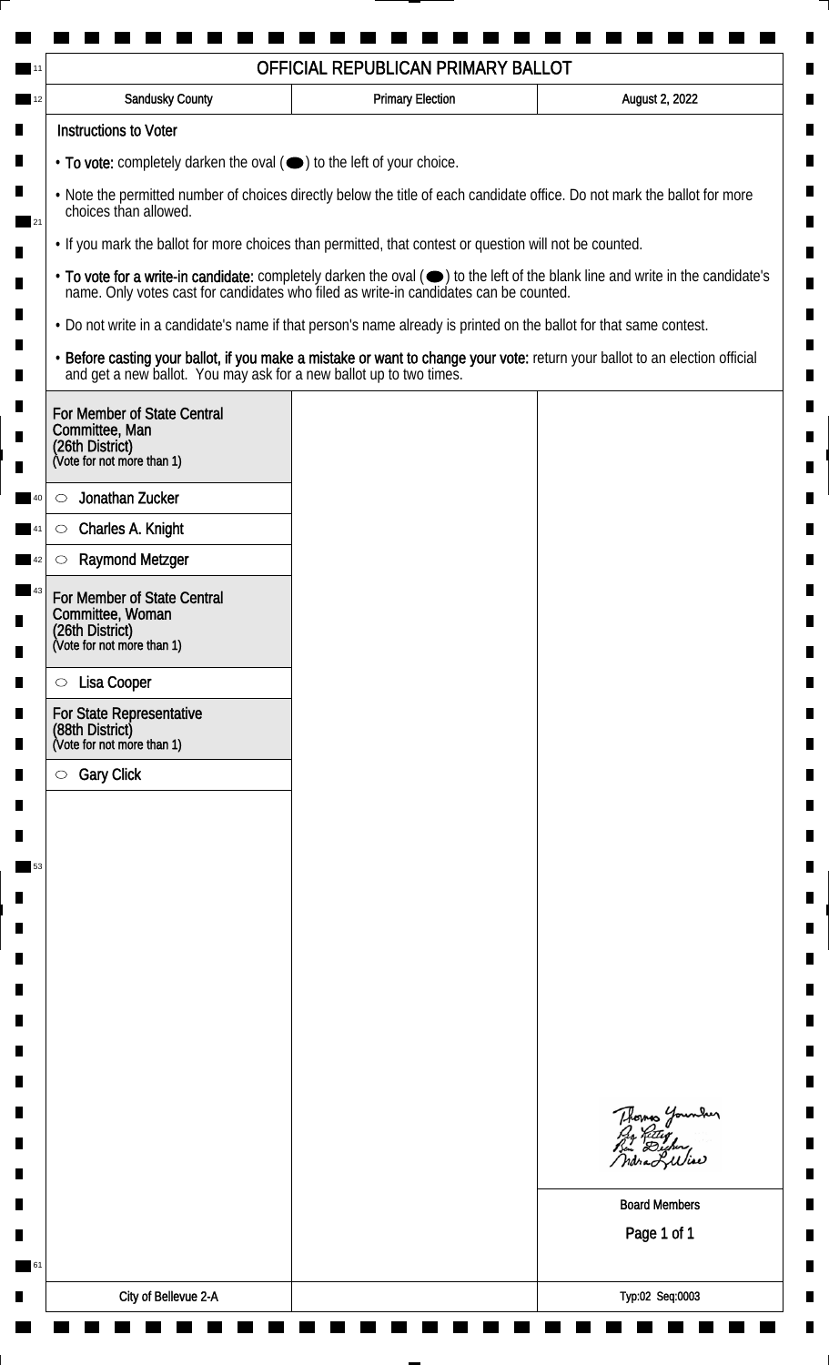|                                                                                                                    | OFFICIAL REPUBLICAN PRIMARY BALLOT                                                    |                                                                                                                               |
|--------------------------------------------------------------------------------------------------------------------|---------------------------------------------------------------------------------------|-------------------------------------------------------------------------------------------------------------------------------|
| <b>Sandusky County</b>                                                                                             | <b>Primary Election</b>                                                               | August 2, 2022                                                                                                                |
| <b>Instructions to Voter</b>                                                                                       |                                                                                       |                                                                                                                               |
| • To vote: completely darken the oval (•) to the left of your choice.                                              |                                                                                       |                                                                                                                               |
| choices than allowed.                                                                                              |                                                                                       | . Note the permitted number of choices directly below the title of each candidate office. Do not mark the ballot for more     |
| . If you mark the ballot for more choices than permitted, that contest or question will not be counted.            |                                                                                       |                                                                                                                               |
|                                                                                                                    | name. Only votes cast for candidates who filed as write-in candidates can be counted. | • To vote for a write-in candidate: completely darken the oval (•) to the left of the blank line and write in the candidate's |
| . Do not write in a candidate's name if that person's name already is printed on the ballot for that same contest. |                                                                                       |                                                                                                                               |
| and get a new ballot. You may ask for a new ballot up to two times.                                                |                                                                                       | · Before casting your ballot, if you make a mistake or want to change your vote: return your ballot to an election official   |
| For Member of State Central                                                                                        |                                                                                       |                                                                                                                               |
| Committee, Man<br>(26th District)                                                                                  |                                                                                       |                                                                                                                               |
| (Vote for not more than 1)                                                                                         |                                                                                       |                                                                                                                               |
| Jonathan Zucker<br>$\circlearrowright$                                                                             |                                                                                       |                                                                                                                               |
| Charles A. Knight<br>$\circlearrowright$                                                                           |                                                                                       |                                                                                                                               |
| <b>Raymond Metzger</b><br>C                                                                                        |                                                                                       |                                                                                                                               |
| For Member of State Central<br>Committee, Woman                                                                    |                                                                                       |                                                                                                                               |
| (26th District)<br>(Vote for not more than 1)                                                                      |                                                                                       |                                                                                                                               |
|                                                                                                                    |                                                                                       |                                                                                                                               |
| Lisa Cooper<br>$\circ$                                                                                             |                                                                                       |                                                                                                                               |
| <b>For State Representative</b><br>(88th District)<br>(Vote for not more than 1)                                   |                                                                                       |                                                                                                                               |
| <b>Gary Click</b><br>$\circ$                                                                                       |                                                                                       |                                                                                                                               |
|                                                                                                                    |                                                                                       |                                                                                                                               |
|                                                                                                                    |                                                                                       |                                                                                                                               |
|                                                                                                                    |                                                                                       |                                                                                                                               |
|                                                                                                                    |                                                                                       |                                                                                                                               |
|                                                                                                                    |                                                                                       |                                                                                                                               |
|                                                                                                                    |                                                                                       |                                                                                                                               |
|                                                                                                                    |                                                                                       |                                                                                                                               |
|                                                                                                                    |                                                                                       |                                                                                                                               |
|                                                                                                                    |                                                                                       |                                                                                                                               |
|                                                                                                                    |                                                                                       |                                                                                                                               |
|                                                                                                                    |                                                                                       | Thomas Younder                                                                                                                |
|                                                                                                                    |                                                                                       | ndra Liliae                                                                                                                   |
|                                                                                                                    |                                                                                       |                                                                                                                               |
|                                                                                                                    |                                                                                       | <b>Board Members</b>                                                                                                          |
|                                                                                                                    |                                                                                       | Page 1 of 1                                                                                                                   |
|                                                                                                                    |                                                                                       |                                                                                                                               |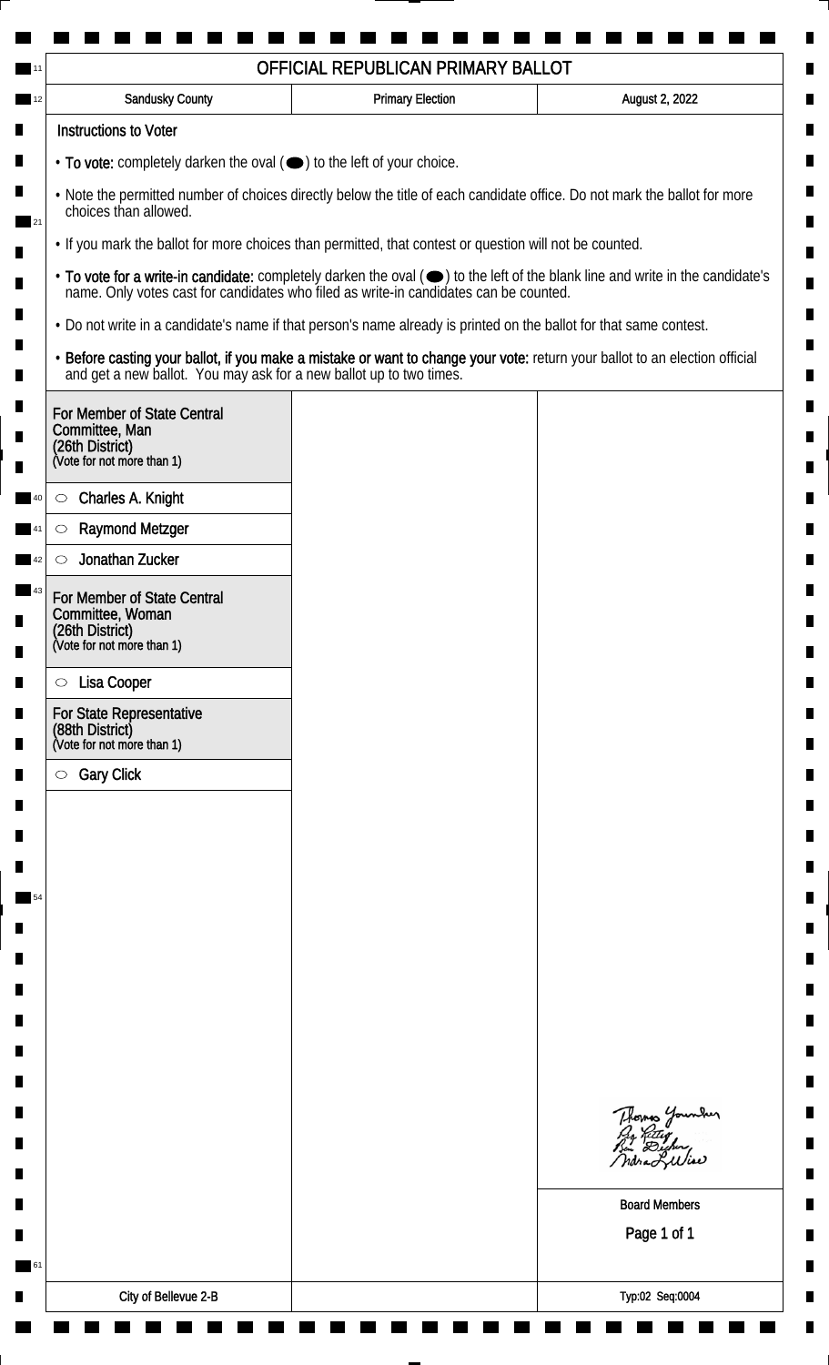| Sandusky County                                                                                                                                                                                                                                                                                                                                   | <b>Primary Election</b> | August 2, 2022                                                                                                              |                                                                                                                    |  |                                                                                                                               |
|---------------------------------------------------------------------------------------------------------------------------------------------------------------------------------------------------------------------------------------------------------------------------------------------------------------------------------------------------|-------------------------|-----------------------------------------------------------------------------------------------------------------------------|--------------------------------------------------------------------------------------------------------------------|--|-------------------------------------------------------------------------------------------------------------------------------|
| <b>Instructions to Voter</b>                                                                                                                                                                                                                                                                                                                      |                         |                                                                                                                             |                                                                                                                    |  |                                                                                                                               |
| • To vote: completely darken the oval ( $\bigcirc$ ) to the left of your choice.<br>. Note the permitted number of choices directly below the title of each candidate office. Do not mark the ballot for more<br>choices than allowed.<br>. If you mark the ballot for more choices than permitted, that contest or question will not be counted. |                         |                                                                                                                             |                                                                                                                    |  |                                                                                                                               |
|                                                                                                                                                                                                                                                                                                                                                   |                         |                                                                                                                             | name. Only votes cast for candidates who filed as write-in candidates can be counted.                              |  | • To vote for a write-in candidate: completely darken the oval (•) to the left of the blank line and write in the candidate's |
|                                                                                                                                                                                                                                                                                                                                                   |                         |                                                                                                                             | . Do not write in a candidate's name if that person's name already is printed on the ballot for that same contest. |  |                                                                                                                               |
| and get a new ballot. You may ask for a new ballot up to two times.                                                                                                                                                                                                                                                                               |                         | · Before casting your ballot, if you make a mistake or want to change your vote: return your ballot to an election official |                                                                                                                    |  |                                                                                                                               |
| For Member of State Central<br>Committee, Man<br>(26th District)<br>(Vote for not more than 1)                                                                                                                                                                                                                                                    |                         |                                                                                                                             |                                                                                                                    |  |                                                                                                                               |
| Charles A. Knight<br>$\circ$                                                                                                                                                                                                                                                                                                                      |                         |                                                                                                                             |                                                                                                                    |  |                                                                                                                               |
| <b>Raymond Metzger</b><br>$\circlearrowright$                                                                                                                                                                                                                                                                                                     |                         |                                                                                                                             |                                                                                                                    |  |                                                                                                                               |
| Jonathan Zucker<br>$\circlearrowright$                                                                                                                                                                                                                                                                                                            |                         |                                                                                                                             |                                                                                                                    |  |                                                                                                                               |
| For Member of State Central<br>Committee, Woman<br>(26th District)<br>(Vote for not more than 1)                                                                                                                                                                                                                                                  |                         |                                                                                                                             |                                                                                                                    |  |                                                                                                                               |
| Lisa Cooper<br>$\circ$                                                                                                                                                                                                                                                                                                                            |                         |                                                                                                                             |                                                                                                                    |  |                                                                                                                               |
| For State Representative<br>(88th District)<br>(Vote for not more than 1)                                                                                                                                                                                                                                                                         |                         |                                                                                                                             |                                                                                                                    |  |                                                                                                                               |
| <b>Gary Click</b><br>$\circ$                                                                                                                                                                                                                                                                                                                      |                         |                                                                                                                             |                                                                                                                    |  |                                                                                                                               |
|                                                                                                                                                                                                                                                                                                                                                   |                         |                                                                                                                             |                                                                                                                    |  |                                                                                                                               |
|                                                                                                                                                                                                                                                                                                                                                   |                         |                                                                                                                             |                                                                                                                    |  |                                                                                                                               |
|                                                                                                                                                                                                                                                                                                                                                   |                         |                                                                                                                             |                                                                                                                    |  |                                                                                                                               |
|                                                                                                                                                                                                                                                                                                                                                   |                         |                                                                                                                             |                                                                                                                    |  |                                                                                                                               |
|                                                                                                                                                                                                                                                                                                                                                   |                         |                                                                                                                             |                                                                                                                    |  |                                                                                                                               |
|                                                                                                                                                                                                                                                                                                                                                   |                         |                                                                                                                             |                                                                                                                    |  |                                                                                                                               |
|                                                                                                                                                                                                                                                                                                                                                   |                         |                                                                                                                             |                                                                                                                    |  |                                                                                                                               |
|                                                                                                                                                                                                                                                                                                                                                   |                         |                                                                                                                             |                                                                                                                    |  |                                                                                                                               |
|                                                                                                                                                                                                                                                                                                                                                   |                         |                                                                                                                             |                                                                                                                    |  |                                                                                                                               |
|                                                                                                                                                                                                                                                                                                                                                   |                         | Thomas Younder<br>By Riting<br>Bin Dicher,                                                                                  |                                                                                                                    |  |                                                                                                                               |
|                                                                                                                                                                                                                                                                                                                                                   |                         | ndra Liliae                                                                                                                 |                                                                                                                    |  |                                                                                                                               |
|                                                                                                                                                                                                                                                                                                                                                   |                         | <b>Board Members</b>                                                                                                        |                                                                                                                    |  |                                                                                                                               |
|                                                                                                                                                                                                                                                                                                                                                   |                         | Page 1 of 1                                                                                                                 |                                                                                                                    |  |                                                                                                                               |
|                                                                                                                                                                                                                                                                                                                                                   |                         |                                                                                                                             |                                                                                                                    |  |                                                                                                                               |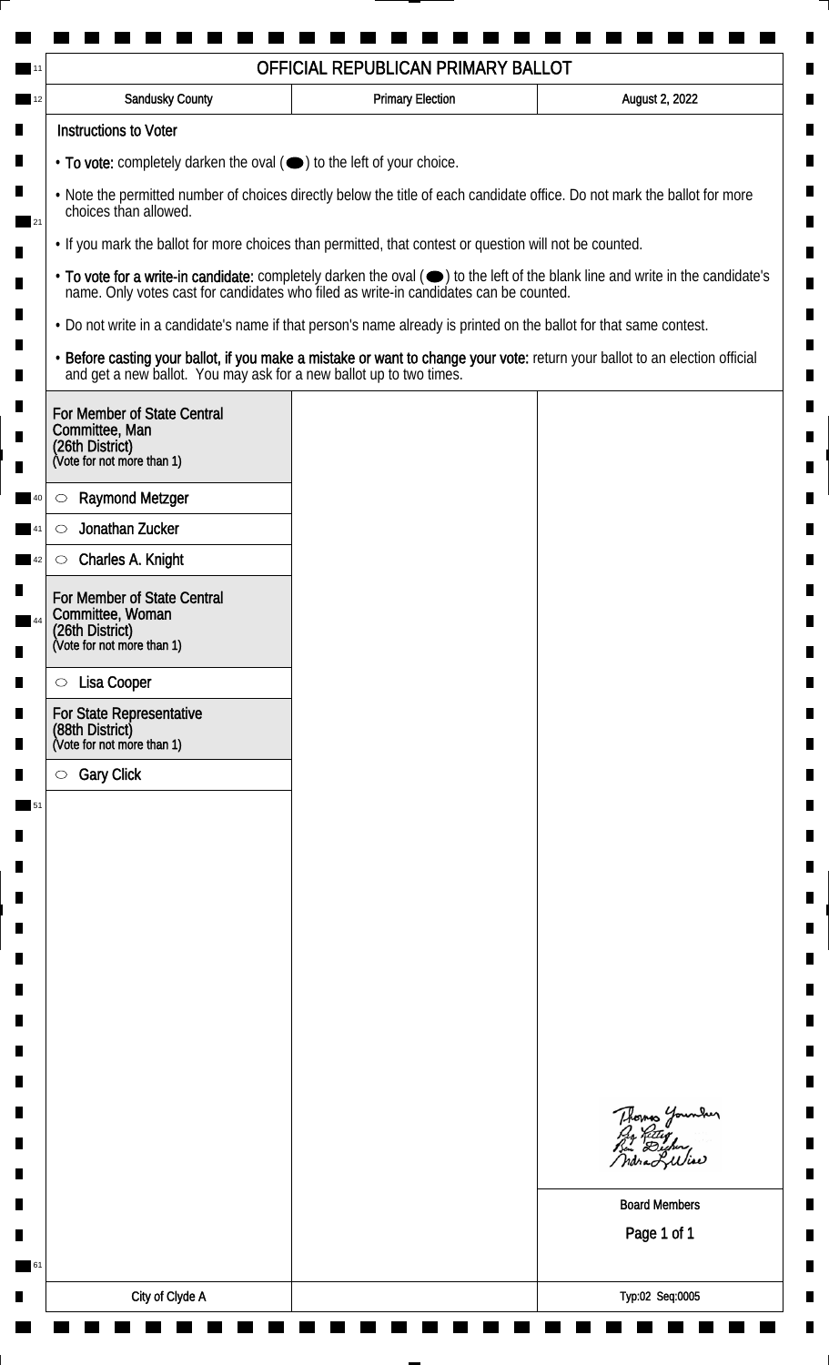| Sandusky County                                                                                                                                                                                                                                               | <b>Primary Election</b>                                                             | August 2, 2022                                                                                                              |                                                                                       |
|---------------------------------------------------------------------------------------------------------------------------------------------------------------------------------------------------------------------------------------------------------------|-------------------------------------------------------------------------------------|-----------------------------------------------------------------------------------------------------------------------------|---------------------------------------------------------------------------------------|
| <b>Instructions to Voter</b>                                                                                                                                                                                                                                  |                                                                                     |                                                                                                                             |                                                                                       |
|                                                                                                                                                                                                                                                               | $\cdot$ To vote: completely darken the oval $(\bullet)$ to the left of your choice. |                                                                                                                             |                                                                                       |
| . Note the permitted number of choices directly below the title of each candidate office. Do not mark the ballot for more<br>choices than allowed.<br>. If you mark the ballot for more choices than permitted, that contest or question will not be counted. |                                                                                     |                                                                                                                             |                                                                                       |
|                                                                                                                                                                                                                                                               |                                                                                     |                                                                                                                             | name. Only votes cast for candidates who filed as write-in candidates can be counted. |
| . Do not write in a candidate's name if that person's name already is printed on the ballot for that same contest.                                                                                                                                            |                                                                                     |                                                                                                                             |                                                                                       |
| and get a new ballot. You may ask for a new ballot up to two times.                                                                                                                                                                                           |                                                                                     | · Before casting your ballot, if you make a mistake or want to change your vote: return your ballot to an election official |                                                                                       |
| For Member of State Central<br>Committee, Man<br>(26th District)<br>(Vote for not more than 1)                                                                                                                                                                |                                                                                     |                                                                                                                             |                                                                                       |
| <b>Raymond Metzger</b><br>$\circlearrowright$                                                                                                                                                                                                                 |                                                                                     |                                                                                                                             |                                                                                       |
| Jonathan Zucker<br>$\circlearrowright$                                                                                                                                                                                                                        |                                                                                     |                                                                                                                             |                                                                                       |
| Charles A. Knight<br>$\circ$                                                                                                                                                                                                                                  |                                                                                     |                                                                                                                             |                                                                                       |
| For Member of State Central<br>Committee, Woman<br>(26th District)<br>(Vote for not more than 1)                                                                                                                                                              |                                                                                     |                                                                                                                             |                                                                                       |
|                                                                                                                                                                                                                                                               |                                                                                     |                                                                                                                             |                                                                                       |
| Lisa Cooper<br>$\circ$                                                                                                                                                                                                                                        |                                                                                     |                                                                                                                             |                                                                                       |
| For State Representative<br>(88th District)<br>(Vote for not more than 1)                                                                                                                                                                                     |                                                                                     |                                                                                                                             |                                                                                       |
| <b>Gary Click</b><br>$\circ$                                                                                                                                                                                                                                  |                                                                                     |                                                                                                                             |                                                                                       |
|                                                                                                                                                                                                                                                               |                                                                                     |                                                                                                                             |                                                                                       |
|                                                                                                                                                                                                                                                               |                                                                                     |                                                                                                                             |                                                                                       |
|                                                                                                                                                                                                                                                               |                                                                                     |                                                                                                                             |                                                                                       |
|                                                                                                                                                                                                                                                               |                                                                                     |                                                                                                                             |                                                                                       |
|                                                                                                                                                                                                                                                               |                                                                                     |                                                                                                                             |                                                                                       |
|                                                                                                                                                                                                                                                               |                                                                                     |                                                                                                                             |                                                                                       |
|                                                                                                                                                                                                                                                               |                                                                                     |                                                                                                                             |                                                                                       |
|                                                                                                                                                                                                                                                               |                                                                                     |                                                                                                                             |                                                                                       |
|                                                                                                                                                                                                                                                               |                                                                                     |                                                                                                                             |                                                                                       |
|                                                                                                                                                                                                                                                               |                                                                                     | Thomas Younder<br>By Ritig<br>Bu Digher,<br>ndra Liliae                                                                     |                                                                                       |
|                                                                                                                                                                                                                                                               |                                                                                     | <b>Board Members</b>                                                                                                        |                                                                                       |
|                                                                                                                                                                                                                                                               |                                                                                     | Page 1 of 1                                                                                                                 |                                                                                       |
|                                                                                                                                                                                                                                                               |                                                                                     |                                                                                                                             |                                                                                       |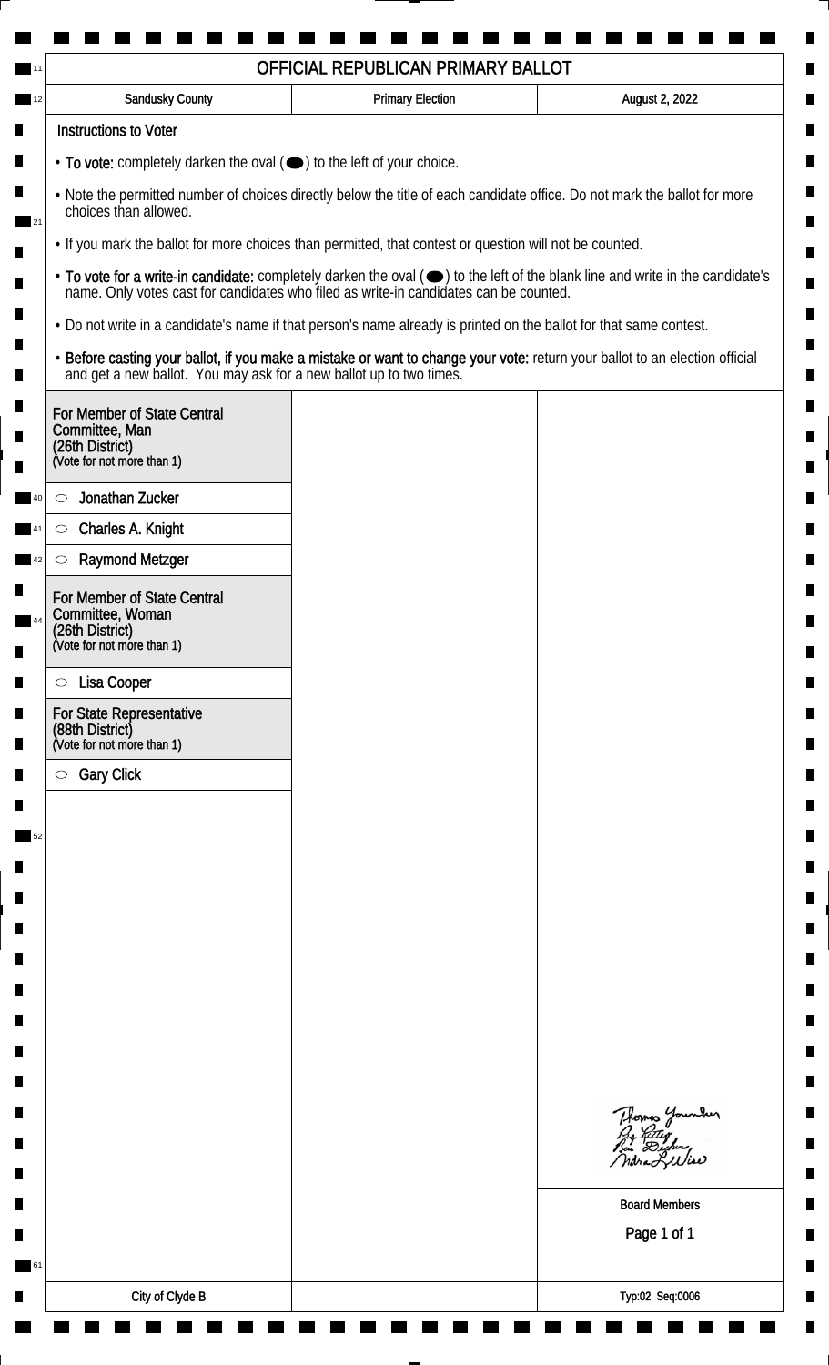| OFFICIAL REPUBLICAN PRIMARY BALLOT |                                                                                                                                                                                                    |                         |                                                                                                                                                                                                                                |
|------------------------------------|----------------------------------------------------------------------------------------------------------------------------------------------------------------------------------------------------|-------------------------|--------------------------------------------------------------------------------------------------------------------------------------------------------------------------------------------------------------------------------|
|                                    | <b>Sandusky County</b>                                                                                                                                                                             | <b>Primary Election</b> | August 2, 2022                                                                                                                                                                                                                 |
|                                    | <b>Instructions to Voter</b>                                                                                                                                                                       |                         |                                                                                                                                                                                                                                |
|                                    | • To vote: completely darken the oval (•) to the left of your choice.                                                                                                                              |                         |                                                                                                                                                                                                                                |
|                                    | . Note the permitted number of choices directly below the title of each candidate office. Do not mark the ballot for more<br>choices than allowed.                                                 |                         |                                                                                                                                                                                                                                |
|                                    | . If you mark the ballot for more choices than permitted, that contest or question will not be counted.                                                                                            |                         |                                                                                                                                                                                                                                |
|                                    |                                                                                                                                                                                                    |                         | • To vote for a write-in candidate: completely darken the oval ( $\bigcirc$ ) to the left of the blank line and write in the candidate's name. Only votes cast for candidates who filed as write-in candidates can be counted. |
|                                    | . Do not write in a candidate's name if that person's name already is printed on the ballot for that same contest.                                                                                 |                         |                                                                                                                                                                                                                                |
|                                    | · Before casting your ballot, if you make a mistake or want to change your vote: return your ballot to an election official<br>and get a new ballot. You may ask for a new ballot up to two times. |                         |                                                                                                                                                                                                                                |
|                                    | For Member of State Central<br>Committee, Man<br>(26th District)<br>(Vote for not more than 1)                                                                                                     |                         |                                                                                                                                                                                                                                |
|                                    | Jonathan Zucker<br>$\circlearrowright$                                                                                                                                                             |                         |                                                                                                                                                                                                                                |
|                                    | Charles A. Knight<br>$\circlearrowright$                                                                                                                                                           |                         |                                                                                                                                                                                                                                |
| 42                                 | <b>Raymond Metzger</b><br>$\circlearrowright$                                                                                                                                                      |                         |                                                                                                                                                                                                                                |
|                                    | For Member of State Central<br>Committee, Woman<br>(26th District)<br>(Vote for not more than 1)                                                                                                   |                         |                                                                                                                                                                                                                                |
|                                    | Lisa Cooper<br>$\circ$                                                                                                                                                                             |                         |                                                                                                                                                                                                                                |
|                                    | <b>For State Representative</b><br>(88th District)<br>(Vote for not more than 1)                                                                                                                   |                         |                                                                                                                                                                                                                                |
|                                    | <b>Gary Click</b><br>$\circ$                                                                                                                                                                       |                         |                                                                                                                                                                                                                                |
|                                    |                                                                                                                                                                                                    |                         |                                                                                                                                                                                                                                |
|                                    |                                                                                                                                                                                                    |                         |                                                                                                                                                                                                                                |
|                                    |                                                                                                                                                                                                    |                         |                                                                                                                                                                                                                                |
|                                    |                                                                                                                                                                                                    |                         |                                                                                                                                                                                                                                |
|                                    |                                                                                                                                                                                                    |                         |                                                                                                                                                                                                                                |
|                                    |                                                                                                                                                                                                    |                         |                                                                                                                                                                                                                                |
|                                    |                                                                                                                                                                                                    |                         |                                                                                                                                                                                                                                |
|                                    |                                                                                                                                                                                                    |                         |                                                                                                                                                                                                                                |
|                                    |                                                                                                                                                                                                    |                         |                                                                                                                                                                                                                                |
|                                    |                                                                                                                                                                                                    |                         |                                                                                                                                                                                                                                |
|                                    |                                                                                                                                                                                                    |                         | Thomas Younder<br>ndra Liliae                                                                                                                                                                                                  |
|                                    |                                                                                                                                                                                                    |                         | <b>Board Members</b>                                                                                                                                                                                                           |
|                                    |                                                                                                                                                                                                    |                         | Page 1 of 1                                                                                                                                                                                                                    |
| 61                                 |                                                                                                                                                                                                    |                         |                                                                                                                                                                                                                                |
|                                    |                                                                                                                                                                                                    |                         |                                                                                                                                                                                                                                |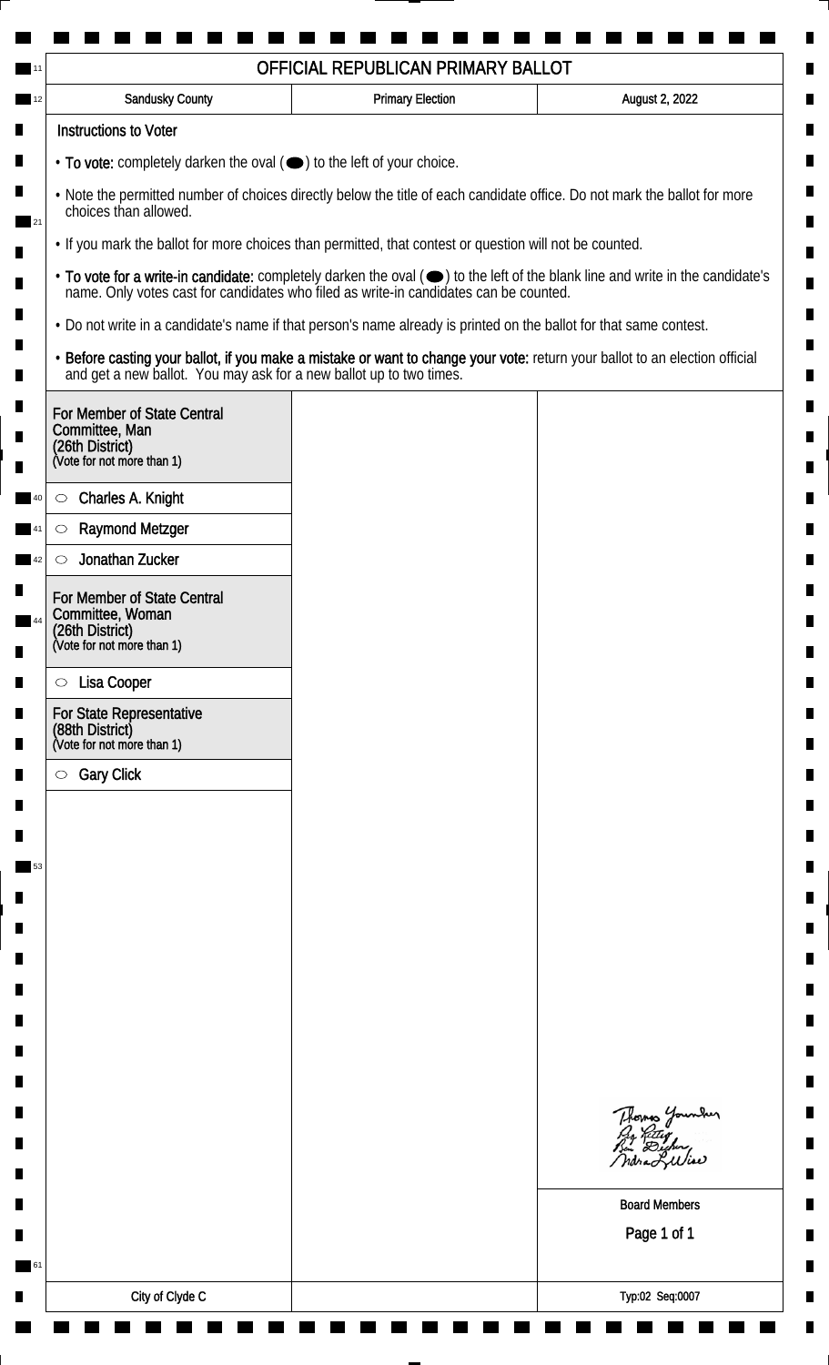| Sandusky County                                                                                                                                                                                                                                               | <b>Primary Election</b>                                                             | August 2, 2022                                                                                                              |                                                                                       |
|---------------------------------------------------------------------------------------------------------------------------------------------------------------------------------------------------------------------------------------------------------------|-------------------------------------------------------------------------------------|-----------------------------------------------------------------------------------------------------------------------------|---------------------------------------------------------------------------------------|
| <b>Instructions to Voter</b>                                                                                                                                                                                                                                  |                                                                                     |                                                                                                                             |                                                                                       |
|                                                                                                                                                                                                                                                               | $\cdot$ To vote: completely darken the oval $(\bullet)$ to the left of your choice. |                                                                                                                             |                                                                                       |
| . Note the permitted number of choices directly below the title of each candidate office. Do not mark the ballot for more<br>choices than allowed.<br>. If you mark the ballot for more choices than permitted, that contest or question will not be counted. |                                                                                     |                                                                                                                             |                                                                                       |
|                                                                                                                                                                                                                                                               |                                                                                     |                                                                                                                             | name. Only votes cast for candidates who filed as write-in candidates can be counted. |
| . Do not write in a candidate's name if that person's name already is printed on the ballot for that same contest.                                                                                                                                            |                                                                                     |                                                                                                                             |                                                                                       |
| and get a new ballot. You may ask for a new ballot up to two times.                                                                                                                                                                                           |                                                                                     | · Before casting your ballot, if you make a mistake or want to change your vote: return your ballot to an election official |                                                                                       |
| For Member of State Central<br>Committee, Man<br>(26th District)<br>(Vote for not more than 1)                                                                                                                                                                |                                                                                     |                                                                                                                             |                                                                                       |
| Charles A. Knight<br>$\circ$                                                                                                                                                                                                                                  |                                                                                     |                                                                                                                             |                                                                                       |
| <b>Raymond Metzger</b><br>$\circlearrowright$                                                                                                                                                                                                                 |                                                                                     |                                                                                                                             |                                                                                       |
| Jonathan Zucker<br>$\circlearrowright$                                                                                                                                                                                                                        |                                                                                     |                                                                                                                             |                                                                                       |
| For Member of State Central<br>Committee, Woman<br>(26th District)<br>(Vote for not more than 1)                                                                                                                                                              |                                                                                     |                                                                                                                             |                                                                                       |
|                                                                                                                                                                                                                                                               |                                                                                     |                                                                                                                             |                                                                                       |
| Lisa Cooper<br>$\circ$                                                                                                                                                                                                                                        |                                                                                     |                                                                                                                             |                                                                                       |
| For State Representative<br>(88th District)<br>(Vote for not more than 1)                                                                                                                                                                                     |                                                                                     |                                                                                                                             |                                                                                       |
| <b>Gary Click</b><br>$\circ$                                                                                                                                                                                                                                  |                                                                                     |                                                                                                                             |                                                                                       |
|                                                                                                                                                                                                                                                               |                                                                                     |                                                                                                                             |                                                                                       |
|                                                                                                                                                                                                                                                               |                                                                                     |                                                                                                                             |                                                                                       |
|                                                                                                                                                                                                                                                               |                                                                                     |                                                                                                                             |                                                                                       |
|                                                                                                                                                                                                                                                               |                                                                                     |                                                                                                                             |                                                                                       |
|                                                                                                                                                                                                                                                               |                                                                                     |                                                                                                                             |                                                                                       |
|                                                                                                                                                                                                                                                               |                                                                                     |                                                                                                                             |                                                                                       |
|                                                                                                                                                                                                                                                               |                                                                                     |                                                                                                                             |                                                                                       |
|                                                                                                                                                                                                                                                               |                                                                                     |                                                                                                                             |                                                                                       |
|                                                                                                                                                                                                                                                               |                                                                                     |                                                                                                                             |                                                                                       |
|                                                                                                                                                                                                                                                               |                                                                                     | Thomas Younder<br>By Ritig<br>Bu Digher,<br>ndra Liliae                                                                     |                                                                                       |
|                                                                                                                                                                                                                                                               |                                                                                     | <b>Board Members</b>                                                                                                        |                                                                                       |
|                                                                                                                                                                                                                                                               |                                                                                     | Page 1 of 1                                                                                                                 |                                                                                       |
|                                                                                                                                                                                                                                                               |                                                                                     |                                                                                                                             |                                                                                       |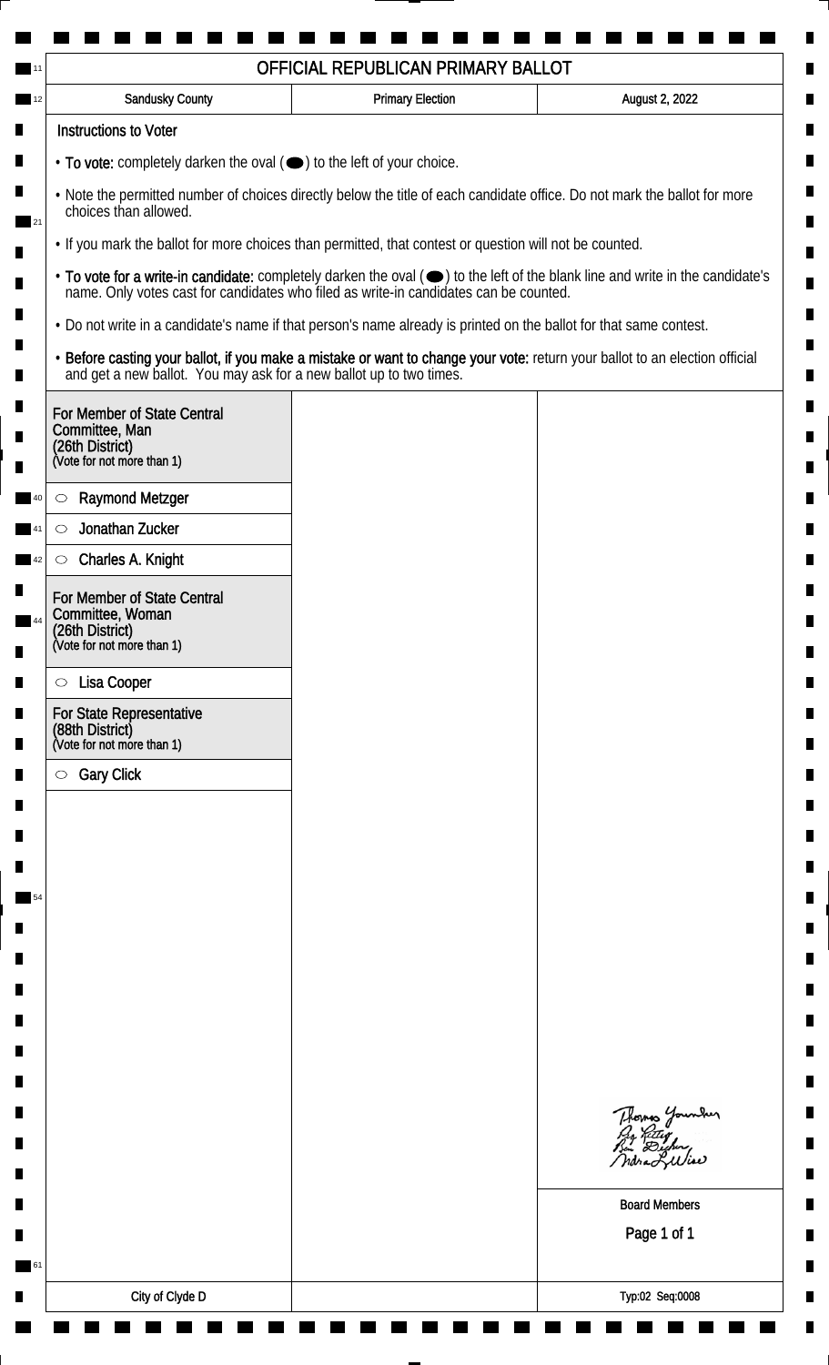| Sandusky County                                                                                                                                                                                                                                               | <b>Primary Election</b>                                                             | August 2, 2022                                                                                                              |                                                                                       |
|---------------------------------------------------------------------------------------------------------------------------------------------------------------------------------------------------------------------------------------------------------------|-------------------------------------------------------------------------------------|-----------------------------------------------------------------------------------------------------------------------------|---------------------------------------------------------------------------------------|
| <b>Instructions to Voter</b>                                                                                                                                                                                                                                  |                                                                                     |                                                                                                                             |                                                                                       |
|                                                                                                                                                                                                                                                               | $\cdot$ To vote: completely darken the oval $(\bullet)$ to the left of your choice. |                                                                                                                             |                                                                                       |
| . Note the permitted number of choices directly below the title of each candidate office. Do not mark the ballot for more<br>choices than allowed.<br>. If you mark the ballot for more choices than permitted, that contest or question will not be counted. |                                                                                     |                                                                                                                             |                                                                                       |
|                                                                                                                                                                                                                                                               |                                                                                     |                                                                                                                             | name. Only votes cast for candidates who filed as write-in candidates can be counted. |
| . Do not write in a candidate's name if that person's name already is printed on the ballot for that same contest.                                                                                                                                            |                                                                                     |                                                                                                                             |                                                                                       |
| and get a new ballot. You may ask for a new ballot up to two times.                                                                                                                                                                                           |                                                                                     | · Before casting your ballot, if you make a mistake or want to change your vote: return your ballot to an election official |                                                                                       |
| For Member of State Central<br>Committee, Man<br>(26th District)<br>(Vote for not more than 1)                                                                                                                                                                |                                                                                     |                                                                                                                             |                                                                                       |
| <b>Raymond Metzger</b><br>$\circlearrowright$                                                                                                                                                                                                                 |                                                                                     |                                                                                                                             |                                                                                       |
| Jonathan Zucker<br>$\circlearrowright$                                                                                                                                                                                                                        |                                                                                     |                                                                                                                             |                                                                                       |
| Charles A. Knight<br>$\circ$                                                                                                                                                                                                                                  |                                                                                     |                                                                                                                             |                                                                                       |
| For Member of State Central<br>Committee, Woman<br>(26th District)<br>(Vote for not more than 1)                                                                                                                                                              |                                                                                     |                                                                                                                             |                                                                                       |
|                                                                                                                                                                                                                                                               |                                                                                     |                                                                                                                             |                                                                                       |
| Lisa Cooper<br>$\circ$                                                                                                                                                                                                                                        |                                                                                     |                                                                                                                             |                                                                                       |
| For State Representative<br>(88th District)<br>(Vote for not more than 1)                                                                                                                                                                                     |                                                                                     |                                                                                                                             |                                                                                       |
| <b>Gary Click</b><br>$\circ$                                                                                                                                                                                                                                  |                                                                                     |                                                                                                                             |                                                                                       |
|                                                                                                                                                                                                                                                               |                                                                                     |                                                                                                                             |                                                                                       |
|                                                                                                                                                                                                                                                               |                                                                                     |                                                                                                                             |                                                                                       |
|                                                                                                                                                                                                                                                               |                                                                                     |                                                                                                                             |                                                                                       |
|                                                                                                                                                                                                                                                               |                                                                                     |                                                                                                                             |                                                                                       |
|                                                                                                                                                                                                                                                               |                                                                                     |                                                                                                                             |                                                                                       |
|                                                                                                                                                                                                                                                               |                                                                                     |                                                                                                                             |                                                                                       |
|                                                                                                                                                                                                                                                               |                                                                                     |                                                                                                                             |                                                                                       |
|                                                                                                                                                                                                                                                               |                                                                                     |                                                                                                                             |                                                                                       |
|                                                                                                                                                                                                                                                               |                                                                                     |                                                                                                                             |                                                                                       |
|                                                                                                                                                                                                                                                               |                                                                                     | Thomas Younder<br>By Ritig<br>Bu Digher,<br>ndra Liliae                                                                     |                                                                                       |
|                                                                                                                                                                                                                                                               |                                                                                     | <b>Board Members</b>                                                                                                        |                                                                                       |
|                                                                                                                                                                                                                                                               |                                                                                     | Page 1 of 1                                                                                                                 |                                                                                       |
|                                                                                                                                                                                                                                                               |                                                                                     |                                                                                                                             |                                                                                       |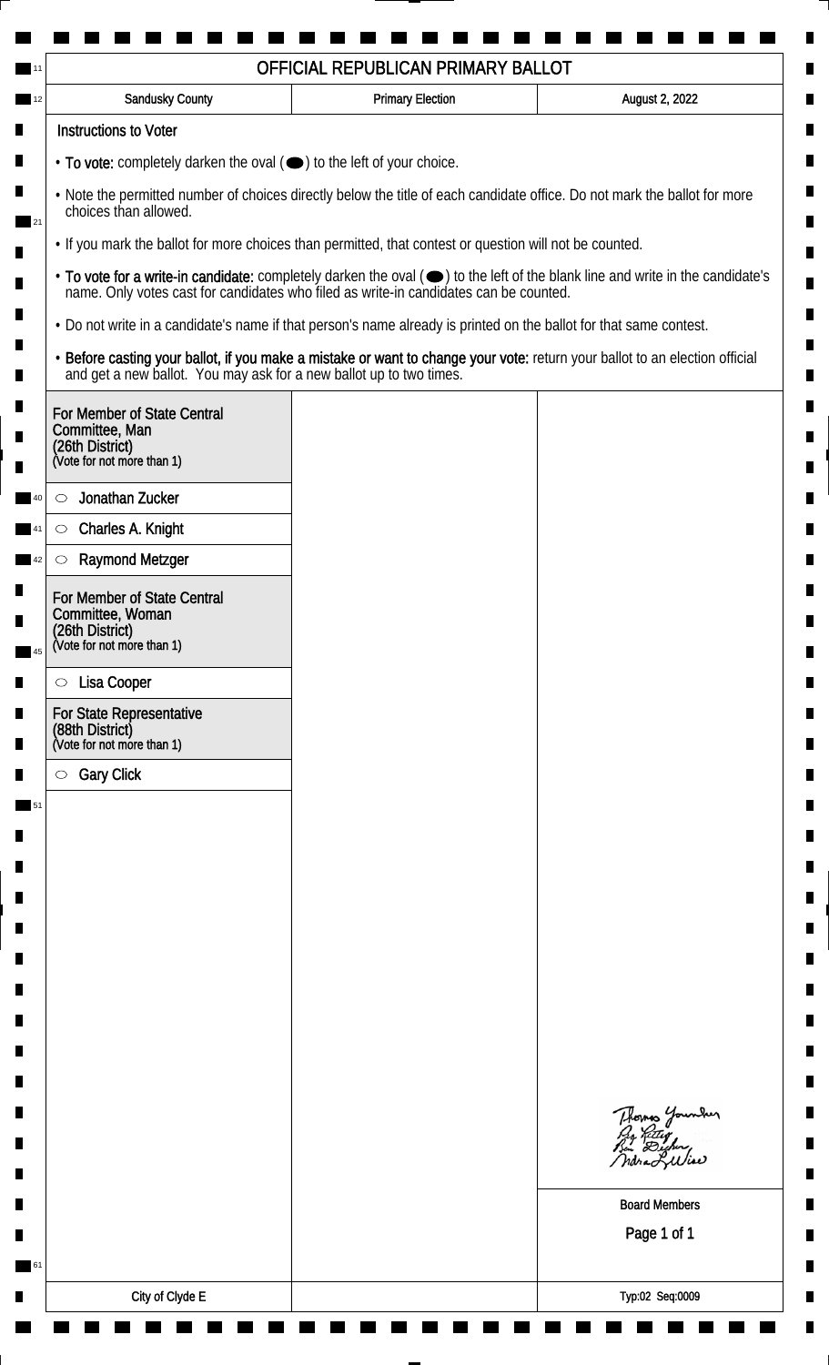| Sandusky County                                                                                                    | <b>Primary Election</b>                                                                                 | August 2, 2022                                                                                                                |  |
|--------------------------------------------------------------------------------------------------------------------|---------------------------------------------------------------------------------------------------------|-------------------------------------------------------------------------------------------------------------------------------|--|
| <b>Instructions to Voter</b>                                                                                       |                                                                                                         |                                                                                                                               |  |
|                                                                                                                    | • To vote: completely darken the oval ( $\bigcirc$ ) to the left of your choice.                        |                                                                                                                               |  |
| choices than allowed.                                                                                              |                                                                                                         | . Note the permitted number of choices directly below the title of each candidate office. Do not mark the ballot for more     |  |
|                                                                                                                    | . If you mark the ballot for more choices than permitted, that contest or question will not be counted. |                                                                                                                               |  |
| name. Only votes cast for candidates who filed as write-in candidates can be counted.                              |                                                                                                         | • To vote for a write-in candidate: completely darken the oval (•) to the left of the blank line and write in the candidate's |  |
| . Do not write in a candidate's name if that person's name already is printed on the ballot for that same contest. |                                                                                                         |                                                                                                                               |  |
| and get a new ballot. You may ask for a new ballot up to two times.                                                |                                                                                                         | · Before casting your ballot, if you make a mistake or want to change your vote: return your ballot to an election official   |  |
| For Member of State Central<br>Committee, Man<br>(26th District)<br>(Vote for not more than 1)                     |                                                                                                         |                                                                                                                               |  |
|                                                                                                                    |                                                                                                         |                                                                                                                               |  |
| Jonathan Zucker<br>$\circlearrowright$<br>Charles A. Knight<br>$\circlearrowright$                                 |                                                                                                         |                                                                                                                               |  |
| <b>Raymond Metzger</b><br>$\circlearrowright$                                                                      |                                                                                                         |                                                                                                                               |  |
| For Member of State Central<br>Committee, Woman<br>(26th District)<br>(Vote for not more than 1)                   |                                                                                                         |                                                                                                                               |  |
|                                                                                                                    |                                                                                                         |                                                                                                                               |  |
| Lisa Cooper<br>$\circ$                                                                                             |                                                                                                         |                                                                                                                               |  |
| For State Representative<br>(88th District)<br>(Vote for not more than 1)                                          |                                                                                                         |                                                                                                                               |  |
| <b>Gary Click</b><br>$\circ$                                                                                       |                                                                                                         |                                                                                                                               |  |
|                                                                                                                    |                                                                                                         |                                                                                                                               |  |
|                                                                                                                    |                                                                                                         |                                                                                                                               |  |
|                                                                                                                    |                                                                                                         |                                                                                                                               |  |
|                                                                                                                    |                                                                                                         |                                                                                                                               |  |
|                                                                                                                    |                                                                                                         |                                                                                                                               |  |
|                                                                                                                    |                                                                                                         |                                                                                                                               |  |
|                                                                                                                    |                                                                                                         |                                                                                                                               |  |
|                                                                                                                    |                                                                                                         |                                                                                                                               |  |
|                                                                                                                    |                                                                                                         |                                                                                                                               |  |
|                                                                                                                    |                                                                                                         | Thomas Younder<br>By Ritig<br>Bu Digher,<br>ndra Liliae                                                                       |  |
|                                                                                                                    |                                                                                                         | <b>Board Members</b>                                                                                                          |  |
|                                                                                                                    |                                                                                                         | Page 1 of 1                                                                                                                   |  |
|                                                                                                                    |                                                                                                         |                                                                                                                               |  |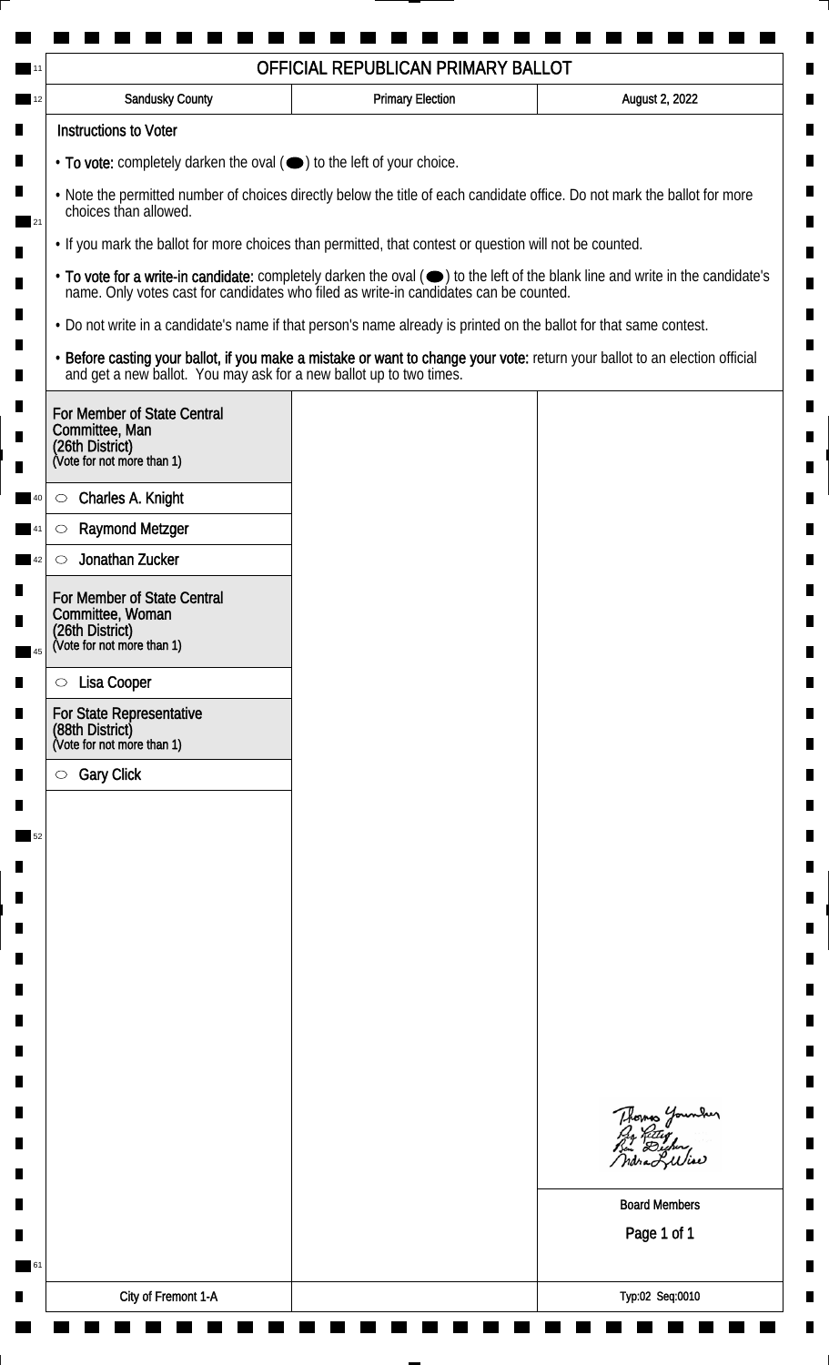| Sandusky County                                                                                                                                                                                                                                               | <b>Primary Election</b> | August 2, 2022                                                                                                              |
|---------------------------------------------------------------------------------------------------------------------------------------------------------------------------------------------------------------------------------------------------------------|-------------------------|-----------------------------------------------------------------------------------------------------------------------------|
| <b>Instructions to Voter</b>                                                                                                                                                                                                                                  |                         |                                                                                                                             |
| $\cdot$ To vote: completely darken the oval $(\bullet)$ to the left of your choice.                                                                                                                                                                           |                         |                                                                                                                             |
| . Note the permitted number of choices directly below the title of each candidate office. Do not mark the ballot for more<br>choices than allowed.<br>. If you mark the ballot for more choices than permitted, that contest or question will not be counted. |                         |                                                                                                                             |
|                                                                                                                                                                                                                                                               |                         |                                                                                                                             |
| . Do not write in a candidate's name if that person's name already is printed on the ballot for that same contest.                                                                                                                                            |                         |                                                                                                                             |
| and get a new ballot. You may ask for a new ballot up to two times.                                                                                                                                                                                           |                         | · Before casting your ballot, if you make a mistake or want to change your vote: return your ballot to an election official |
| For Member of State Central<br>Committee, Man<br>(26th District)<br>(Vote for not more than 1)                                                                                                                                                                |                         |                                                                                                                             |
|                                                                                                                                                                                                                                                               |                         |                                                                                                                             |
| Charles A. Knight<br>$\circ$<br><b>Raymond Metzger</b><br>$\circlearrowright$                                                                                                                                                                                 |                         |                                                                                                                             |
| Jonathan Zucker<br>$\circlearrowright$                                                                                                                                                                                                                        |                         |                                                                                                                             |
| For Member of State Central<br>Committee, Woman                                                                                                                                                                                                               |                         |                                                                                                                             |
| (26th District)<br>(Vote for not more than 1)                                                                                                                                                                                                                 |                         |                                                                                                                             |
| Lisa Cooper<br>$\circ$                                                                                                                                                                                                                                        |                         |                                                                                                                             |
| For State Representative<br>(88th District)<br>(Vote for not more than 1)                                                                                                                                                                                     |                         |                                                                                                                             |
| <b>Gary Click</b><br>$\circ$                                                                                                                                                                                                                                  |                         |                                                                                                                             |
|                                                                                                                                                                                                                                                               |                         |                                                                                                                             |
|                                                                                                                                                                                                                                                               |                         |                                                                                                                             |
|                                                                                                                                                                                                                                                               |                         |                                                                                                                             |
|                                                                                                                                                                                                                                                               |                         |                                                                                                                             |
|                                                                                                                                                                                                                                                               |                         |                                                                                                                             |
|                                                                                                                                                                                                                                                               |                         |                                                                                                                             |
|                                                                                                                                                                                                                                                               |                         |                                                                                                                             |
|                                                                                                                                                                                                                                                               |                         |                                                                                                                             |
|                                                                                                                                                                                                                                                               |                         |                                                                                                                             |
|                                                                                                                                                                                                                                                               |                         | Thomas Younder<br>By Ritig<br>Bu Digher,<br>ndra Liliae                                                                     |
|                                                                                                                                                                                                                                                               |                         | <b>Board Members</b>                                                                                                        |
|                                                                                                                                                                                                                                                               |                         | Page 1 of 1                                                                                                                 |
|                                                                                                                                                                                                                                                               |                         |                                                                                                                             |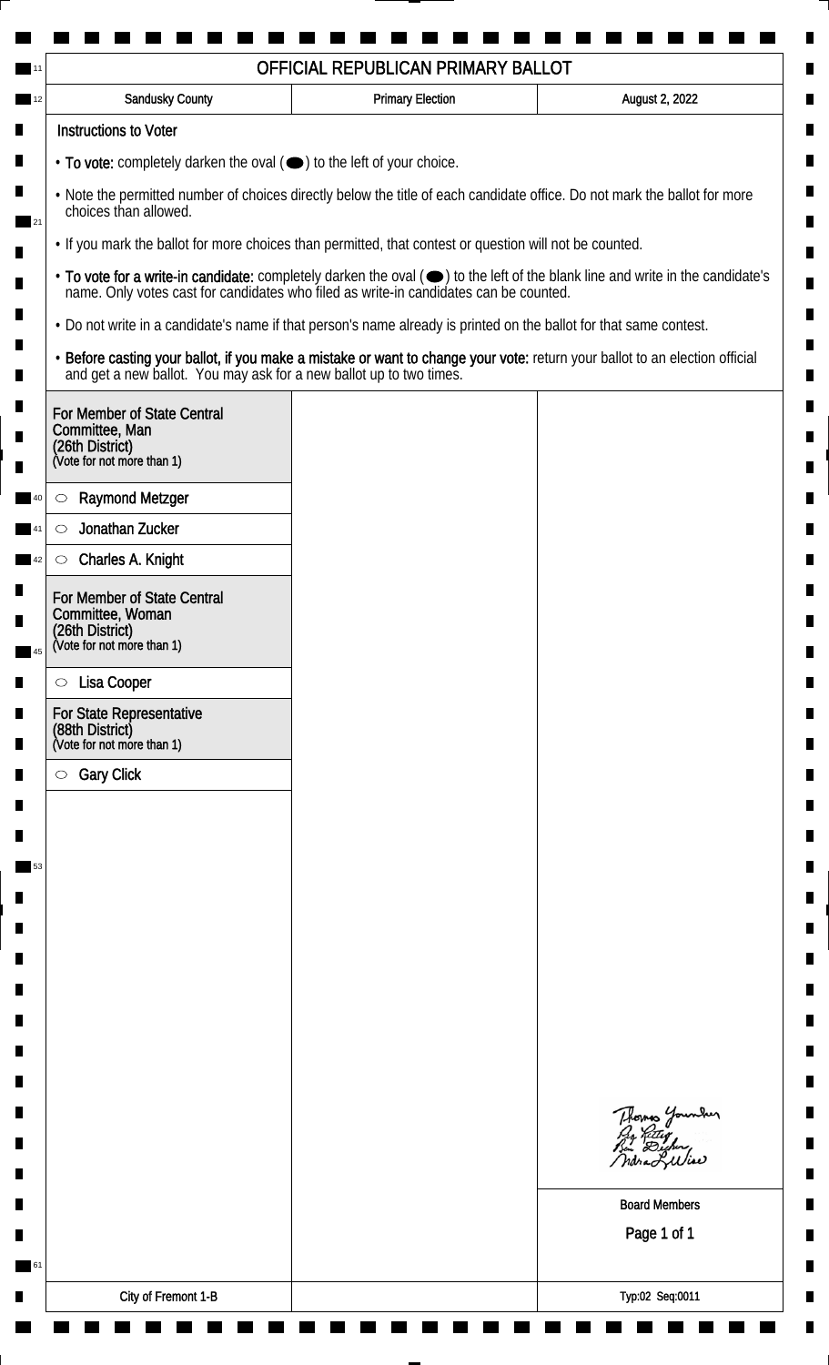| Sandusky County                                                                                                                                                                                                                                               | <b>Primary Election</b>                                                             | August 2, 2022                                                                                                              |                                                                                       |
|---------------------------------------------------------------------------------------------------------------------------------------------------------------------------------------------------------------------------------------------------------------|-------------------------------------------------------------------------------------|-----------------------------------------------------------------------------------------------------------------------------|---------------------------------------------------------------------------------------|
| <b>Instructions to Voter</b>                                                                                                                                                                                                                                  |                                                                                     |                                                                                                                             |                                                                                       |
|                                                                                                                                                                                                                                                               | $\cdot$ To vote: completely darken the oval $(\bullet)$ to the left of your choice. |                                                                                                                             |                                                                                       |
| . Note the permitted number of choices directly below the title of each candidate office. Do not mark the ballot for more<br>choices than allowed.<br>. If you mark the ballot for more choices than permitted, that contest or question will not be counted. |                                                                                     |                                                                                                                             |                                                                                       |
|                                                                                                                                                                                                                                                               |                                                                                     |                                                                                                                             | name. Only votes cast for candidates who filed as write-in candidates can be counted. |
| . Do not write in a candidate's name if that person's name already is printed on the ballot for that same contest.                                                                                                                                            |                                                                                     |                                                                                                                             |                                                                                       |
| and get a new ballot. You may ask for a new ballot up to two times.                                                                                                                                                                                           |                                                                                     | · Before casting your ballot, if you make a mistake or want to change your vote: return your ballot to an election official |                                                                                       |
| For Member of State Central<br>Committee, Man<br>(26th District)<br>(Vote for not more than 1)                                                                                                                                                                |                                                                                     |                                                                                                                             |                                                                                       |
| <b>Raymond Metzger</b><br>$\circlearrowright$                                                                                                                                                                                                                 |                                                                                     |                                                                                                                             |                                                                                       |
| Jonathan Zucker<br>$\circlearrowright$                                                                                                                                                                                                                        |                                                                                     |                                                                                                                             |                                                                                       |
| Charles A. Knight<br>$\circ$                                                                                                                                                                                                                                  |                                                                                     |                                                                                                                             |                                                                                       |
| For Member of State Central<br>Committee, Woman<br>(26th District)<br>(Vote for not more than 1)                                                                                                                                                              |                                                                                     |                                                                                                                             |                                                                                       |
|                                                                                                                                                                                                                                                               |                                                                                     |                                                                                                                             |                                                                                       |
| Lisa Cooper<br>$\circ$                                                                                                                                                                                                                                        |                                                                                     |                                                                                                                             |                                                                                       |
| For State Representative<br>(88th District)<br>(Vote for not more than 1)                                                                                                                                                                                     |                                                                                     |                                                                                                                             |                                                                                       |
| <b>Gary Click</b><br>$\circ$                                                                                                                                                                                                                                  |                                                                                     |                                                                                                                             |                                                                                       |
|                                                                                                                                                                                                                                                               |                                                                                     |                                                                                                                             |                                                                                       |
|                                                                                                                                                                                                                                                               |                                                                                     |                                                                                                                             |                                                                                       |
|                                                                                                                                                                                                                                                               |                                                                                     |                                                                                                                             |                                                                                       |
|                                                                                                                                                                                                                                                               |                                                                                     |                                                                                                                             |                                                                                       |
|                                                                                                                                                                                                                                                               |                                                                                     |                                                                                                                             |                                                                                       |
|                                                                                                                                                                                                                                                               |                                                                                     |                                                                                                                             |                                                                                       |
|                                                                                                                                                                                                                                                               |                                                                                     |                                                                                                                             |                                                                                       |
|                                                                                                                                                                                                                                                               |                                                                                     |                                                                                                                             |                                                                                       |
|                                                                                                                                                                                                                                                               |                                                                                     |                                                                                                                             |                                                                                       |
|                                                                                                                                                                                                                                                               |                                                                                     | Thomas Younder<br>By Ritig<br>Bu Digher,<br>ndra Liliae                                                                     |                                                                                       |
|                                                                                                                                                                                                                                                               |                                                                                     | <b>Board Members</b>                                                                                                        |                                                                                       |
|                                                                                                                                                                                                                                                               |                                                                                     | Page 1 of 1                                                                                                                 |                                                                                       |
|                                                                                                                                                                                                                                                               |                                                                                     |                                                                                                                             |                                                                                       |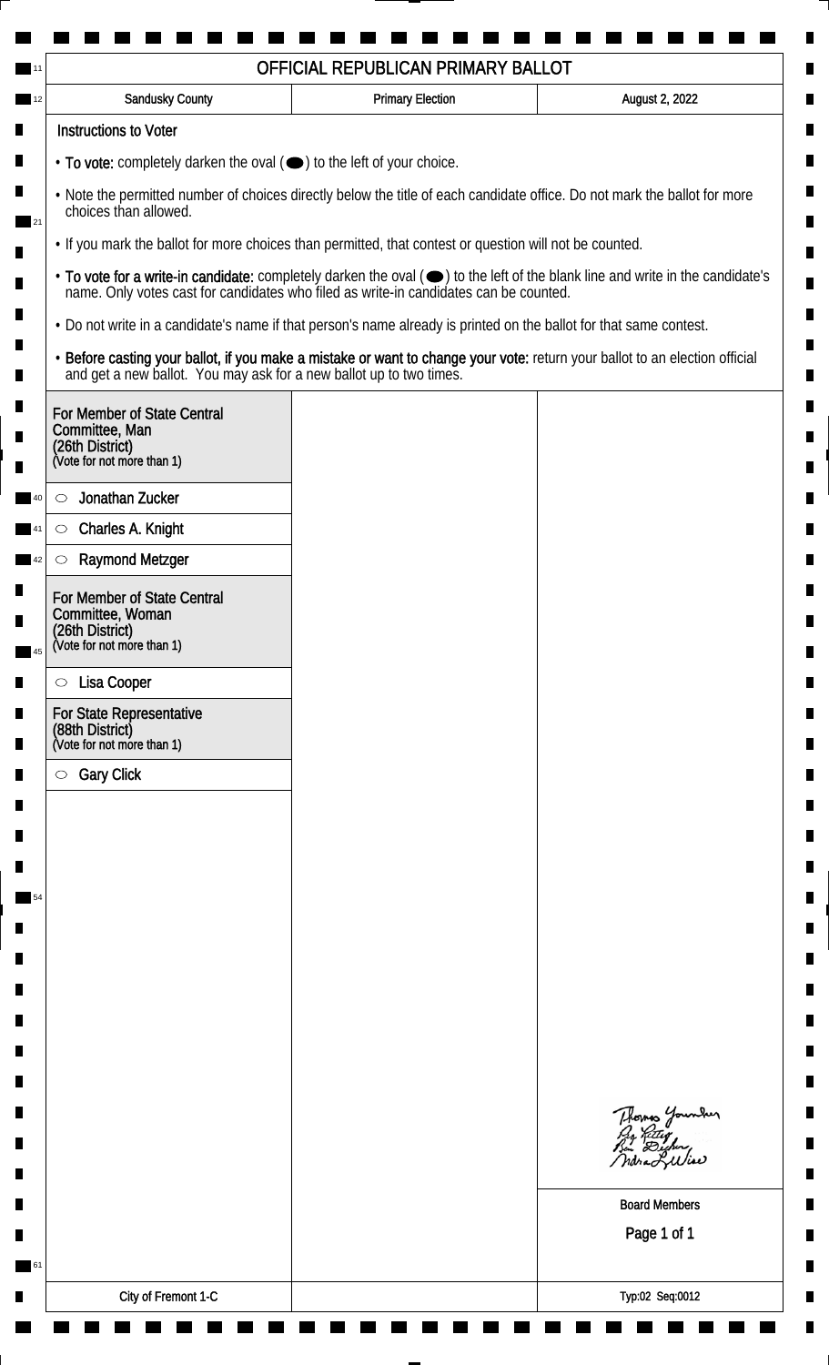|                                                                                                                    | OFFICIAL REPUBLICAN PRIMARY BALLOT |                                                                                                                               |  |
|--------------------------------------------------------------------------------------------------------------------|------------------------------------|-------------------------------------------------------------------------------------------------------------------------------|--|
| <b>Sandusky County</b>                                                                                             | <b>Primary Election</b>            | August 2, 2022                                                                                                                |  |
| <b>Instructions to Voter</b>                                                                                       |                                    |                                                                                                                               |  |
| • To vote: completely darken the oval (•) to the left of your choice.                                              |                                    |                                                                                                                               |  |
| choices than allowed.                                                                                              |                                    | . Note the permitted number of choices directly below the title of each candidate office. Do not mark the ballot for more     |  |
| . If you mark the ballot for more choices than permitted, that contest or question will not be counted.            |                                    |                                                                                                                               |  |
| name. Only votes cast for candidates who filed as write-in candidates can be counted.                              |                                    | • To vote for a write-in candidate: completely darken the oval (•) to the left of the blank line and write in the candidate's |  |
| . Do not write in a candidate's name if that person's name already is printed on the ballot for that same contest. |                                    |                                                                                                                               |  |
| and get a new ballot. You may ask for a new ballot up to two times.                                                |                                    | · Before casting your ballot, if you make a mistake or want to change your vote: return your ballot to an election official   |  |
| For Member of State Central                                                                                        |                                    |                                                                                                                               |  |
| Committee, Man<br>(26th District)                                                                                  |                                    |                                                                                                                               |  |
| (Vote for not more than 1)                                                                                         |                                    |                                                                                                                               |  |
| Jonathan Zucker<br>$\circlearrowright$                                                                             |                                    |                                                                                                                               |  |
| Charles A. Knight<br>$\circlearrowright$                                                                           |                                    |                                                                                                                               |  |
| <b>Raymond Metzger</b><br>$\circlearrowright$                                                                      |                                    |                                                                                                                               |  |
| For Member of State Central<br>Committee, Woman                                                                    |                                    |                                                                                                                               |  |
| (26th District)<br>(Vote for not more than 1)                                                                      |                                    |                                                                                                                               |  |
|                                                                                                                    |                                    |                                                                                                                               |  |
| Lisa Cooper<br>$\circ$                                                                                             |                                    |                                                                                                                               |  |
| <b>For State Representative</b><br>(88th District)<br>(Vote for not more than 1)                                   |                                    |                                                                                                                               |  |
| <b>Gary Click</b><br>$\circ$                                                                                       |                                    |                                                                                                                               |  |
|                                                                                                                    |                                    |                                                                                                                               |  |
|                                                                                                                    |                                    |                                                                                                                               |  |
|                                                                                                                    |                                    |                                                                                                                               |  |
|                                                                                                                    |                                    |                                                                                                                               |  |
|                                                                                                                    |                                    |                                                                                                                               |  |
|                                                                                                                    |                                    |                                                                                                                               |  |
|                                                                                                                    |                                    |                                                                                                                               |  |
|                                                                                                                    |                                    |                                                                                                                               |  |
|                                                                                                                    |                                    |                                                                                                                               |  |
|                                                                                                                    |                                    |                                                                                                                               |  |
|                                                                                                                    |                                    |                                                                                                                               |  |
|                                                                                                                    |                                    | Thomas Younder<br>By Ritig<br>Bu Digher,                                                                                      |  |
|                                                                                                                    |                                    | ndra Liliae                                                                                                                   |  |
|                                                                                                                    |                                    | <b>Board Members</b>                                                                                                          |  |
|                                                                                                                    |                                    | Page 1 of 1                                                                                                                   |  |
|                                                                                                                    |                                    |                                                                                                                               |  |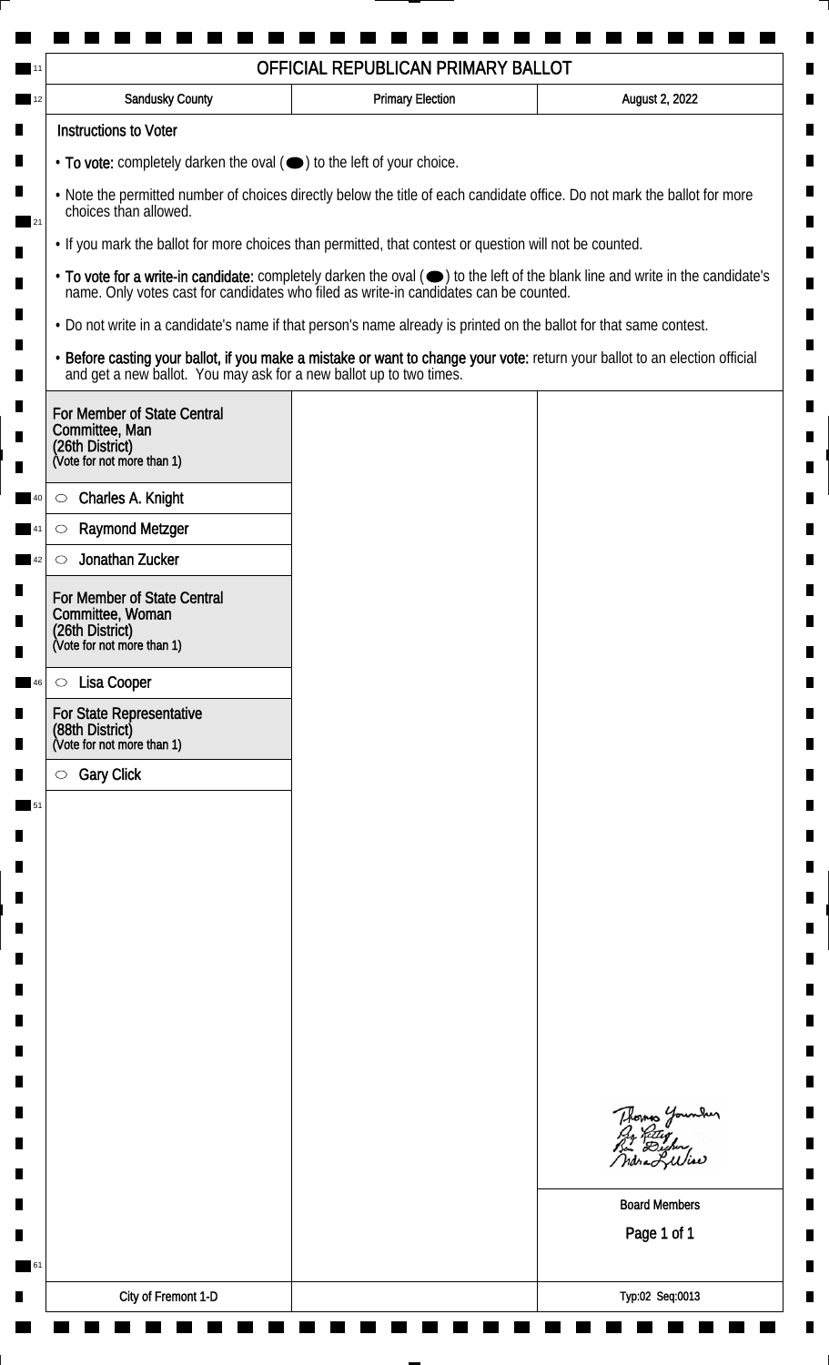| <b>Sandusky County</b>                                                                                                                                                                                                                                        | <b>Primary Election</b> | August 2, 2022                                                                                                              |
|---------------------------------------------------------------------------------------------------------------------------------------------------------------------------------------------------------------------------------------------------------------|-------------------------|-----------------------------------------------------------------------------------------------------------------------------|
| <b>Instructions to Voter</b>                                                                                                                                                                                                                                  |                         |                                                                                                                             |
| $\cdot$ To vote: completely darken the oval $(\bullet)$ to the left of your choice.                                                                                                                                                                           |                         |                                                                                                                             |
| . Note the permitted number of choices directly below the title of each candidate office. Do not mark the ballot for more<br>choices than allowed.<br>. If you mark the ballot for more choices than permitted, that contest or question will not be counted. |                         |                                                                                                                             |
|                                                                                                                                                                                                                                                               |                         |                                                                                                                             |
| . Do not write in a candidate's name if that person's name already is printed on the ballot for that same contest.                                                                                                                                            |                         |                                                                                                                             |
| and get a new ballot. You may ask for a new ballot up to two times.                                                                                                                                                                                           |                         | · Before casting your ballot, if you make a mistake or want to change your vote: return your ballot to an election official |
| For Member of State Central<br>Committee, Man<br>(26th District)<br>(Vote for not more than 1)                                                                                                                                                                |                         |                                                                                                                             |
| Charles A. Knight<br>$\circ$                                                                                                                                                                                                                                  |                         |                                                                                                                             |
| <b>Raymond Metzger</b><br>C                                                                                                                                                                                                                                   |                         |                                                                                                                             |
| Jonathan Zucker<br>$\circlearrowright$                                                                                                                                                                                                                        |                         |                                                                                                                             |
| For Member of State Central<br>Committee, Woman<br>(26th District)<br>(Vote for not more than 1)                                                                                                                                                              |                         |                                                                                                                             |
|                                                                                                                                                                                                                                                               |                         |                                                                                                                             |
| Lisa Cooper<br>$\circ$                                                                                                                                                                                                                                        |                         |                                                                                                                             |
| For State Representative<br>(88th District)<br>(Vote for not more than 1)                                                                                                                                                                                     |                         |                                                                                                                             |
| <b>Gary Click</b><br>$\circ$                                                                                                                                                                                                                                  |                         |                                                                                                                             |
|                                                                                                                                                                                                                                                               |                         |                                                                                                                             |
|                                                                                                                                                                                                                                                               |                         |                                                                                                                             |
|                                                                                                                                                                                                                                                               |                         |                                                                                                                             |
|                                                                                                                                                                                                                                                               |                         |                                                                                                                             |
|                                                                                                                                                                                                                                                               |                         |                                                                                                                             |
|                                                                                                                                                                                                                                                               |                         |                                                                                                                             |
|                                                                                                                                                                                                                                                               |                         |                                                                                                                             |
|                                                                                                                                                                                                                                                               |                         |                                                                                                                             |
|                                                                                                                                                                                                                                                               |                         |                                                                                                                             |
|                                                                                                                                                                                                                                                               |                         | Thomas Younder<br>By Ritley<br>Bin Dicher,<br>ndraLuliae                                                                    |
|                                                                                                                                                                                                                                                               |                         | <b>Board Members</b>                                                                                                        |
|                                                                                                                                                                                                                                                               |                         | Page 1 of 1                                                                                                                 |
|                                                                                                                                                                                                                                                               |                         |                                                                                                                             |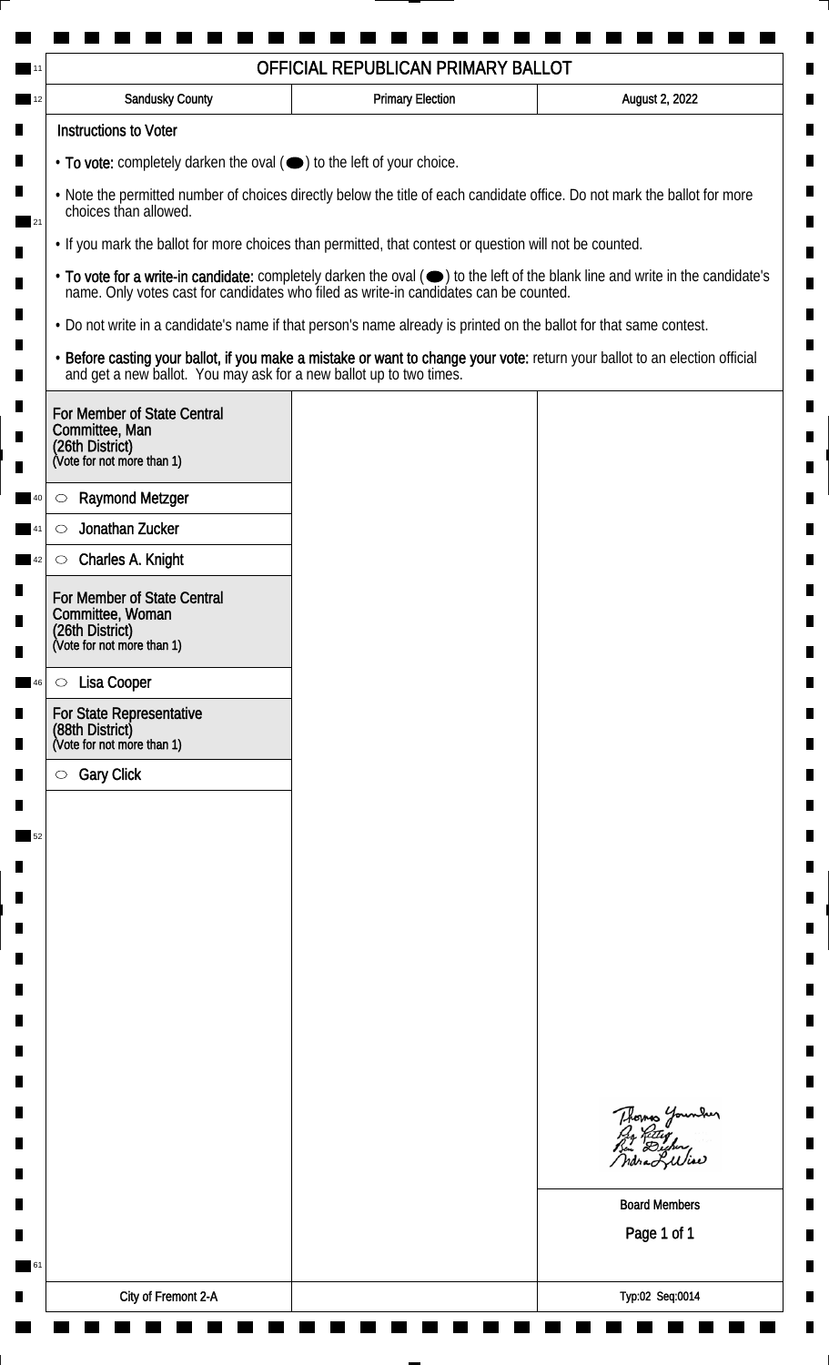| <b>Sandusky County</b>                                                                                                                                                                                                                                        | <b>Primary Election</b>                                                             | August 2, 2022                                                                                                              |                                                                                       |
|---------------------------------------------------------------------------------------------------------------------------------------------------------------------------------------------------------------------------------------------------------------|-------------------------------------------------------------------------------------|-----------------------------------------------------------------------------------------------------------------------------|---------------------------------------------------------------------------------------|
| <b>Instructions to Voter</b>                                                                                                                                                                                                                                  |                                                                                     |                                                                                                                             |                                                                                       |
|                                                                                                                                                                                                                                                               | $\cdot$ To vote: completely darken the oval $(\bullet)$ to the left of your choice. |                                                                                                                             |                                                                                       |
| . Note the permitted number of choices directly below the title of each candidate office. Do not mark the ballot for more<br>choices than allowed.<br>. If you mark the ballot for more choices than permitted, that contest or question will not be counted. |                                                                                     |                                                                                                                             |                                                                                       |
|                                                                                                                                                                                                                                                               |                                                                                     |                                                                                                                             | name. Only votes cast for candidates who filed as write-in candidates can be counted. |
| . Do not write in a candidate's name if that person's name already is printed on the ballot for that same contest.                                                                                                                                            |                                                                                     |                                                                                                                             |                                                                                       |
| and get a new ballot. You may ask for a new ballot up to two times.                                                                                                                                                                                           |                                                                                     | · Before casting your ballot, if you make a mistake or want to change your vote: return your ballot to an election official |                                                                                       |
| For Member of State Central<br>Committee, Man<br>(26th District)<br>(Vote for not more than 1)                                                                                                                                                                |                                                                                     |                                                                                                                             |                                                                                       |
| <b>Raymond Metzger</b><br>$\circlearrowright$                                                                                                                                                                                                                 |                                                                                     |                                                                                                                             |                                                                                       |
| Jonathan Zucker<br>$\circlearrowright$                                                                                                                                                                                                                        |                                                                                     |                                                                                                                             |                                                                                       |
| Charles A. Knight<br>$\circlearrowright$                                                                                                                                                                                                                      |                                                                                     |                                                                                                                             |                                                                                       |
| For Member of State Central<br>Committee, Woman<br>(26th District)<br>(Vote for not more than 1)                                                                                                                                                              |                                                                                     |                                                                                                                             |                                                                                       |
| Lisa Cooper                                                                                                                                                                                                                                                   |                                                                                     |                                                                                                                             |                                                                                       |
| $\circ$<br>For State Representative                                                                                                                                                                                                                           |                                                                                     |                                                                                                                             |                                                                                       |
| (88th District)<br>(Vote for not more than 1)                                                                                                                                                                                                                 |                                                                                     |                                                                                                                             |                                                                                       |
| <b>Gary Click</b><br>$\circ$                                                                                                                                                                                                                                  |                                                                                     |                                                                                                                             |                                                                                       |
|                                                                                                                                                                                                                                                               |                                                                                     |                                                                                                                             |                                                                                       |
|                                                                                                                                                                                                                                                               |                                                                                     |                                                                                                                             |                                                                                       |
|                                                                                                                                                                                                                                                               |                                                                                     |                                                                                                                             |                                                                                       |
|                                                                                                                                                                                                                                                               |                                                                                     |                                                                                                                             |                                                                                       |
|                                                                                                                                                                                                                                                               |                                                                                     |                                                                                                                             |                                                                                       |
|                                                                                                                                                                                                                                                               |                                                                                     |                                                                                                                             |                                                                                       |
|                                                                                                                                                                                                                                                               |                                                                                     |                                                                                                                             |                                                                                       |
|                                                                                                                                                                                                                                                               |                                                                                     |                                                                                                                             |                                                                                       |
|                                                                                                                                                                                                                                                               |                                                                                     |                                                                                                                             |                                                                                       |
|                                                                                                                                                                                                                                                               |                                                                                     | Thomas Younder<br>By Ritley<br>Bin Dicher,<br>ndraLuliae                                                                    |                                                                                       |
|                                                                                                                                                                                                                                                               |                                                                                     | <b>Board Members</b>                                                                                                        |                                                                                       |
|                                                                                                                                                                                                                                                               |                                                                                     | Page 1 of 1                                                                                                                 |                                                                                       |
|                                                                                                                                                                                                                                                               |                                                                                     |                                                                                                                             |                                                                                       |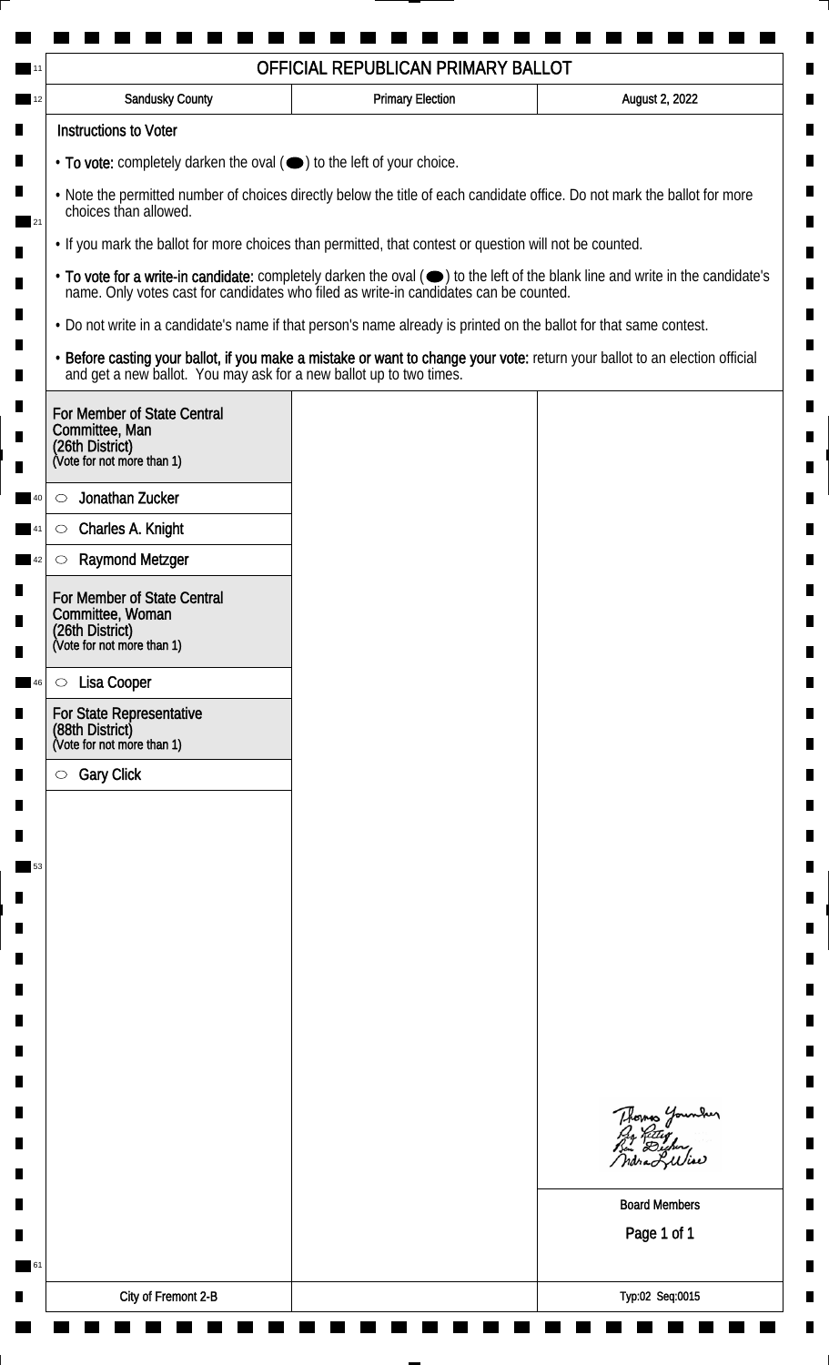| <b>Sandusky County</b>                                                                                             | <b>Primary Election</b> | August 2, 2022                                                                                                                |
|--------------------------------------------------------------------------------------------------------------------|-------------------------|-------------------------------------------------------------------------------------------------------------------------------|
| <b>Instructions to Voter</b>                                                                                       |                         |                                                                                                                               |
| $\cdot$ To vote: completely darken the oval $(\bullet)$ to the left of your choice.                                |                         |                                                                                                                               |
| choices than allowed.                                                                                              |                         | . Note the permitted number of choices directly below the title of each candidate office. Do not mark the ballot for more     |
| . If you mark the ballot for more choices than permitted, that contest or question will not be counted.            |                         |                                                                                                                               |
| name. Only votes cast for candidates who filed as write-in candidates can be counted.                              |                         | • To vote for a write-in candidate: completely darken the oval (•) to the left of the blank line and write in the candidate's |
| . Do not write in a candidate's name if that person's name already is printed on the ballot for that same contest. |                         |                                                                                                                               |
| and get a new ballot. You may ask for a new ballot up to two times.                                                |                         | · Before casting your ballot, if you make a mistake or want to change your vote: return your ballot to an election official   |
| For Member of State Central<br>Committee, Man<br>(26th District)<br>(Vote for not more than 1)                     |                         |                                                                                                                               |
| Jonathan Zucker<br>$\circlearrowright$                                                                             |                         |                                                                                                                               |
| Charles A. Knight<br>$\circlearrowright$                                                                           |                         |                                                                                                                               |
| <b>Raymond Metzger</b><br>$\circlearrowright$                                                                      |                         |                                                                                                                               |
| For Member of State Central<br>Committee, Woman<br>(26th District)<br>(Vote for not more than 1)                   |                         |                                                                                                                               |
| Lisa Cooper<br>$\circ$                                                                                             |                         |                                                                                                                               |
| For State Representative<br>(88th District)<br>(Vote for not more than 1)                                          |                         |                                                                                                                               |
| <b>Gary Click</b><br>$\bigcirc$                                                                                    |                         |                                                                                                                               |
|                                                                                                                    |                         |                                                                                                                               |
|                                                                                                                    |                         |                                                                                                                               |
|                                                                                                                    |                         |                                                                                                                               |
|                                                                                                                    |                         |                                                                                                                               |
|                                                                                                                    |                         |                                                                                                                               |
|                                                                                                                    |                         |                                                                                                                               |
|                                                                                                                    |                         |                                                                                                                               |
|                                                                                                                    |                         |                                                                                                                               |
|                                                                                                                    |                         |                                                                                                                               |
|                                                                                                                    |                         | Thomas Younder<br>By Ritley<br>Bin Dicher,<br>ndra Liliae                                                                     |
|                                                                                                                    |                         | <b>Board Members</b>                                                                                                          |
|                                                                                                                    |                         | Page 1 of 1                                                                                                                   |
|                                                                                                                    |                         |                                                                                                                               |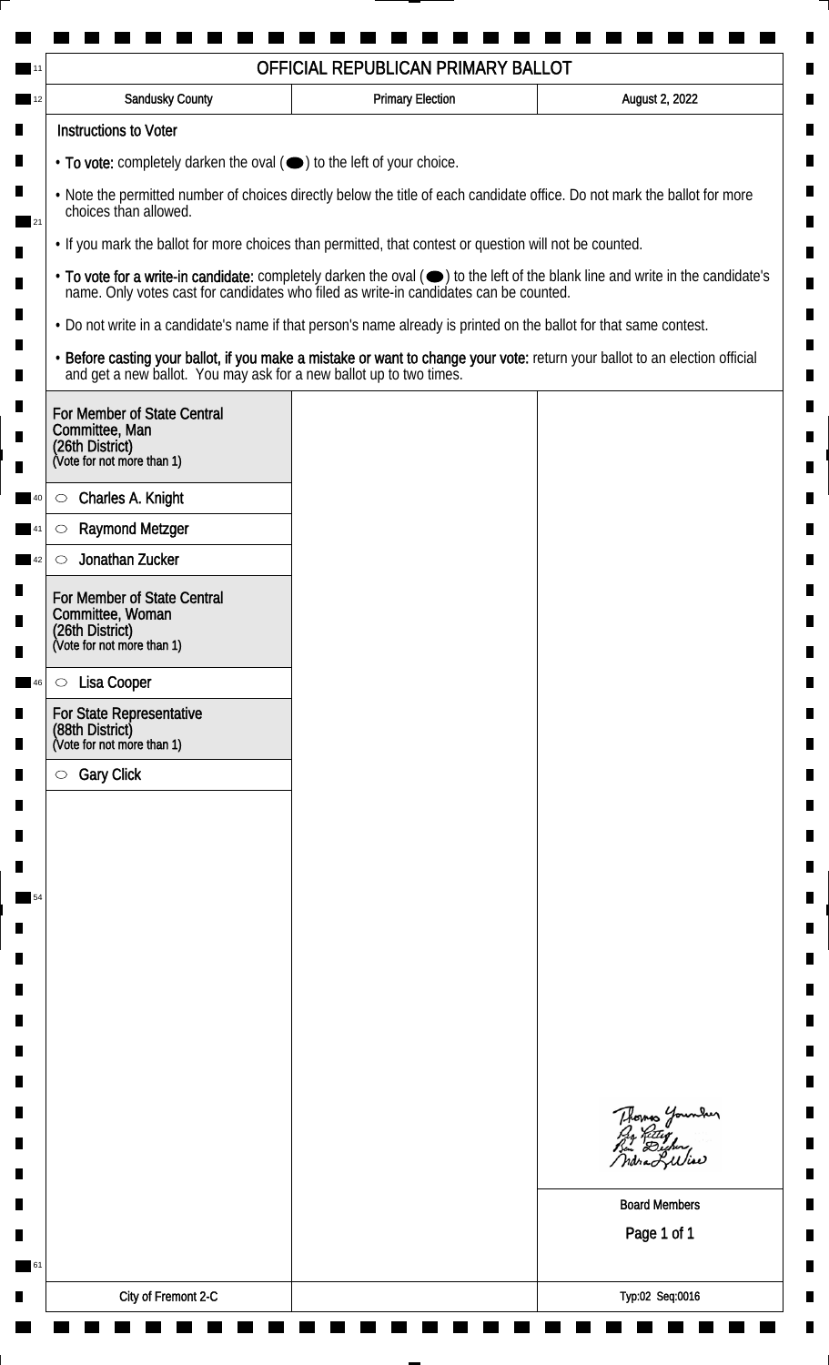| <b>Sandusky County</b>                                                                                             | <b>Primary Election</b> | August 2, 2022                                                                                                                |
|--------------------------------------------------------------------------------------------------------------------|-------------------------|-------------------------------------------------------------------------------------------------------------------------------|
| <b>Instructions to Voter</b>                                                                                       |                         |                                                                                                                               |
| $\cdot$ To vote: completely darken the oval $(\bullet)$ to the left of your choice.                                |                         |                                                                                                                               |
| choices than allowed.                                                                                              |                         | . Note the permitted number of choices directly below the title of each candidate office. Do not mark the ballot for more     |
| . If you mark the ballot for more choices than permitted, that contest or question will not be counted.            |                         |                                                                                                                               |
| name. Only votes cast for candidates who filed as write-in candidates can be counted.                              |                         | • To vote for a write-in candidate: completely darken the oval (•) to the left of the blank line and write in the candidate's |
| . Do not write in a candidate's name if that person's name already is printed on the ballot for that same contest. |                         |                                                                                                                               |
| and get a new ballot. You may ask for a new ballot up to two times.                                                |                         | · Before casting your ballot, if you make a mistake or want to change your vote: return your ballot to an election official   |
| For Member of State Central<br>Committee, Man<br>(26th District)<br>(Vote for not more than 1)                     |                         |                                                                                                                               |
| Charles A. Knight<br>$\circ$                                                                                       |                         |                                                                                                                               |
| <b>Raymond Metzger</b><br>C                                                                                        |                         |                                                                                                                               |
| Jonathan Zucker<br>$\circlearrowright$                                                                             |                         |                                                                                                                               |
| For Member of State Central<br>Committee, Woman<br>(26th District)<br>(Vote for not more than 1)                   |                         |                                                                                                                               |
| Lisa Cooper<br>$\circ$                                                                                             |                         |                                                                                                                               |
| For State Representative<br>(88th District)<br>(Vote for not more than 1)                                          |                         |                                                                                                                               |
| <b>Gary Click</b><br>$\circ$                                                                                       |                         |                                                                                                                               |
|                                                                                                                    |                         |                                                                                                                               |
|                                                                                                                    |                         |                                                                                                                               |
|                                                                                                                    |                         |                                                                                                                               |
|                                                                                                                    |                         |                                                                                                                               |
|                                                                                                                    |                         |                                                                                                                               |
|                                                                                                                    |                         |                                                                                                                               |
|                                                                                                                    |                         |                                                                                                                               |
|                                                                                                                    |                         |                                                                                                                               |
|                                                                                                                    |                         |                                                                                                                               |
|                                                                                                                    |                         |                                                                                                                               |
|                                                                                                                    |                         | Thomas Younder<br>By Ritley<br>Bin Dicher,<br>ndra Liliae                                                                     |
|                                                                                                                    |                         | <b>Board Members</b>                                                                                                          |
|                                                                                                                    |                         | Page 1 of 1                                                                                                                   |
|                                                                                                                    |                         |                                                                                                                               |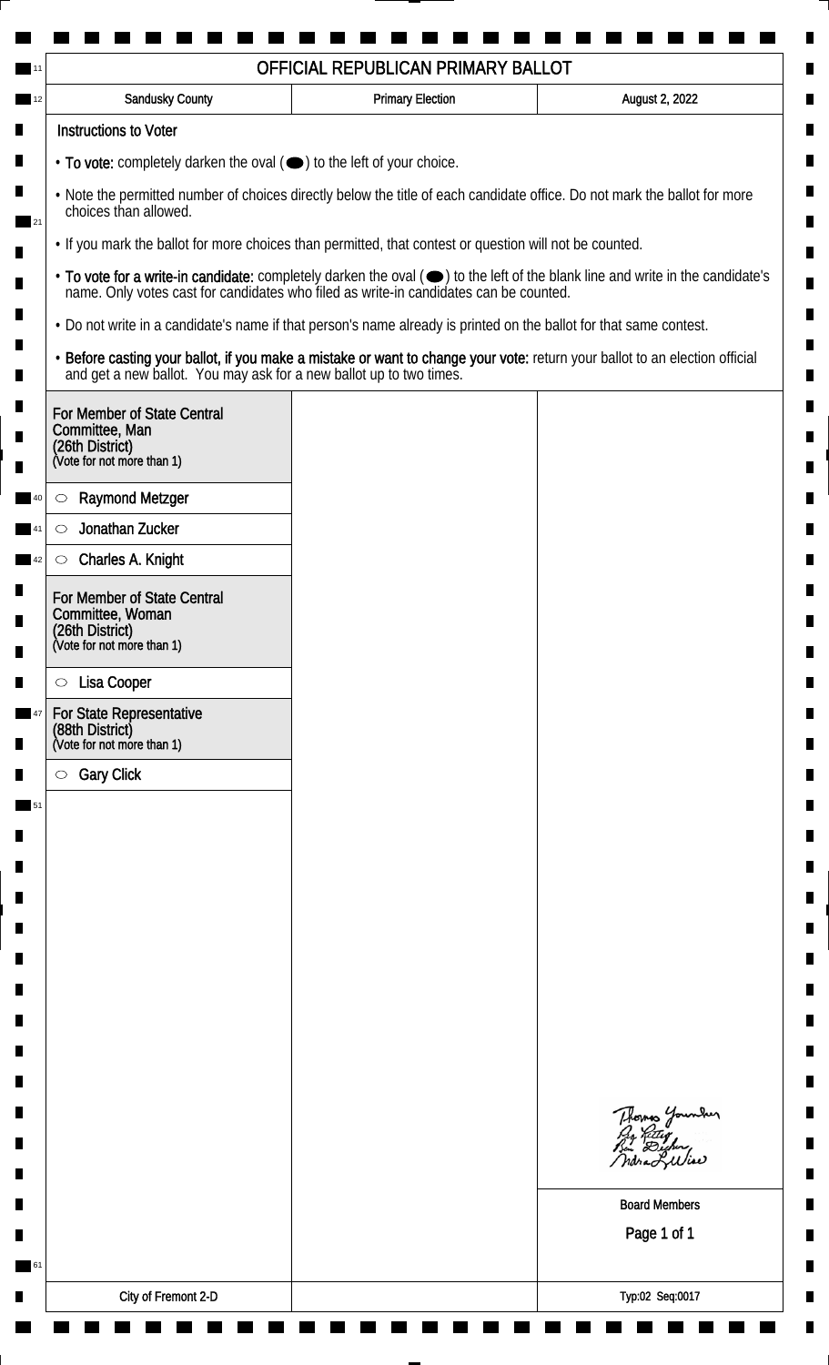| <b>Sandusky County</b>                                                                                             | <b>Primary Election</b> | August 2, 2022                                                                                                                |
|--------------------------------------------------------------------------------------------------------------------|-------------------------|-------------------------------------------------------------------------------------------------------------------------------|
| <b>Instructions to Voter</b>                                                                                       |                         |                                                                                                                               |
| $\cdot$ To vote: completely darken the oval $(\bullet)$ to the left of your choice.                                |                         |                                                                                                                               |
| choices than allowed.                                                                                              |                         | . Note the permitted number of choices directly below the title of each candidate office. Do not mark the ballot for more     |
| . If you mark the ballot for more choices than permitted, that contest or question will not be counted.            |                         |                                                                                                                               |
| name. Only votes cast for candidates who filed as write-in candidates can be counted.                              |                         | • To vote for a write-in candidate: completely darken the oval (•) to the left of the blank line and write in the candidate's |
| . Do not write in a candidate's name if that person's name already is printed on the ballot for that same contest. |                         |                                                                                                                               |
| and get a new ballot. You may ask for a new ballot up to two times.                                                |                         | · Before casting your ballot, if you make a mistake or want to change your vote: return your ballot to an election official   |
| For Member of State Central<br>Committee, Man<br>(26th District)<br>(Vote for not more than 1)                     |                         |                                                                                                                               |
| <b>Raymond Metzger</b><br>$\circlearrowright$                                                                      |                         |                                                                                                                               |
| Jonathan Zucker<br>$\circlearrowright$                                                                             |                         |                                                                                                                               |
| Charles A. Knight<br>$\circlearrowright$                                                                           |                         |                                                                                                                               |
| For Member of State Central<br>Committee, Woman<br>(26th District)<br>(Vote for not more than 1)                   |                         |                                                                                                                               |
| Lisa Cooper<br>$\circ$                                                                                             |                         |                                                                                                                               |
| For State Representative<br>(88th District)<br>(Vote for not more than 1)                                          |                         |                                                                                                                               |
| <b>Gary Click</b><br>$\circ$                                                                                       |                         |                                                                                                                               |
|                                                                                                                    |                         |                                                                                                                               |
|                                                                                                                    |                         |                                                                                                                               |
|                                                                                                                    |                         |                                                                                                                               |
|                                                                                                                    |                         |                                                                                                                               |
|                                                                                                                    |                         |                                                                                                                               |
|                                                                                                                    |                         |                                                                                                                               |
|                                                                                                                    |                         |                                                                                                                               |
|                                                                                                                    |                         |                                                                                                                               |
|                                                                                                                    |                         |                                                                                                                               |
|                                                                                                                    |                         | Thomas Younder<br>By Ritley<br>Bin Dicher,<br>ndra Liliae                                                                     |
|                                                                                                                    |                         | <b>Board Members</b>                                                                                                          |
|                                                                                                                    |                         | Page 1 of 1                                                                                                                   |
|                                                                                                                    |                         |                                                                                                                               |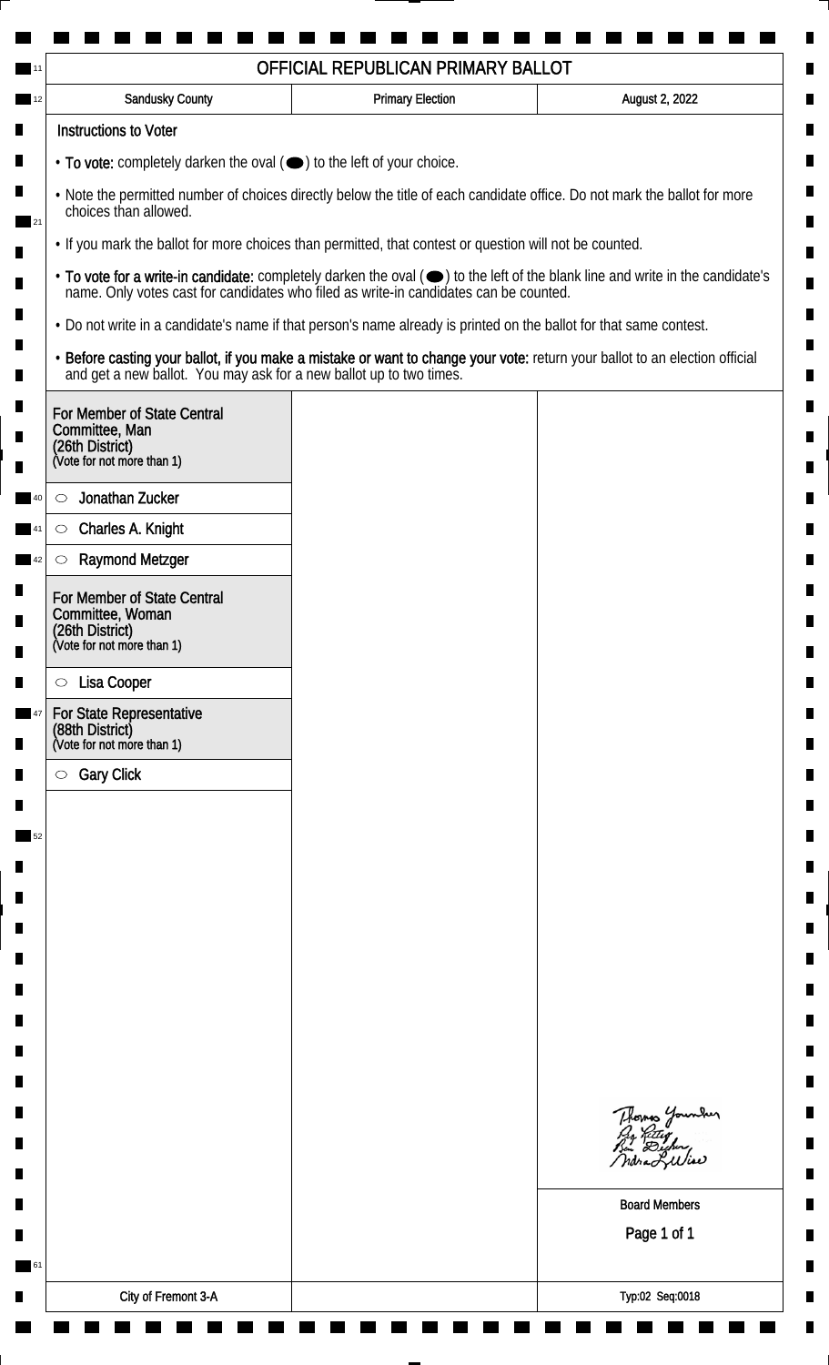| <b>Sandusky County</b>                                                                                             | <b>Primary Election</b> | August 2, 2022                                                                                                                |
|--------------------------------------------------------------------------------------------------------------------|-------------------------|-------------------------------------------------------------------------------------------------------------------------------|
| <b>Instructions to Voter</b>                                                                                       |                         |                                                                                                                               |
| $\cdot$ To vote: completely darken the oval $(\bullet)$ to the left of your choice.                                |                         |                                                                                                                               |
| choices than allowed.                                                                                              |                         | . Note the permitted number of choices directly below the title of each candidate office. Do not mark the ballot for more     |
| . If you mark the ballot for more choices than permitted, that contest or question will not be counted.            |                         |                                                                                                                               |
| name. Only votes cast for candidates who filed as write-in candidates can be counted.                              |                         | • To vote for a write-in candidate: completely darken the oval (•) to the left of the blank line and write in the candidate's |
| . Do not write in a candidate's name if that person's name already is printed on the ballot for that same contest. |                         |                                                                                                                               |
| and get a new ballot. You may ask for a new ballot up to two times.                                                |                         | · Before casting your ballot, if you make a mistake or want to change your vote: return your ballot to an election official   |
| For Member of State Central<br>Committee, Man<br>(26th District)<br>(Vote for not more than 1)                     |                         |                                                                                                                               |
| Jonathan Zucker<br>$\circlearrowright$                                                                             |                         |                                                                                                                               |
| Charles A. Knight<br>$\circlearrowright$                                                                           |                         |                                                                                                                               |
| <b>Raymond Metzger</b><br>$\circlearrowright$                                                                      |                         |                                                                                                                               |
| For Member of State Central<br>Committee, Woman<br>(26th District)<br>(Vote for not more than 1)                   |                         |                                                                                                                               |
|                                                                                                                    |                         |                                                                                                                               |
| Lisa Cooper<br>$\circ$<br>For State Representative                                                                 |                         |                                                                                                                               |
| (88th District)<br>(Vote for not more than 1)                                                                      |                         |                                                                                                                               |
| <b>Gary Click</b><br>$\circ$                                                                                       |                         |                                                                                                                               |
|                                                                                                                    |                         |                                                                                                                               |
|                                                                                                                    |                         |                                                                                                                               |
|                                                                                                                    |                         |                                                                                                                               |
|                                                                                                                    |                         |                                                                                                                               |
|                                                                                                                    |                         |                                                                                                                               |
|                                                                                                                    |                         |                                                                                                                               |
|                                                                                                                    |                         |                                                                                                                               |
|                                                                                                                    |                         |                                                                                                                               |
|                                                                                                                    |                         |                                                                                                                               |
|                                                                                                                    |                         | Thomas Younder<br>By Ritley<br>Bin Dicher,<br>Indra LWise                                                                     |
|                                                                                                                    |                         | <b>Board Members</b>                                                                                                          |
|                                                                                                                    |                         | Page 1 of 1                                                                                                                   |
|                                                                                                                    |                         |                                                                                                                               |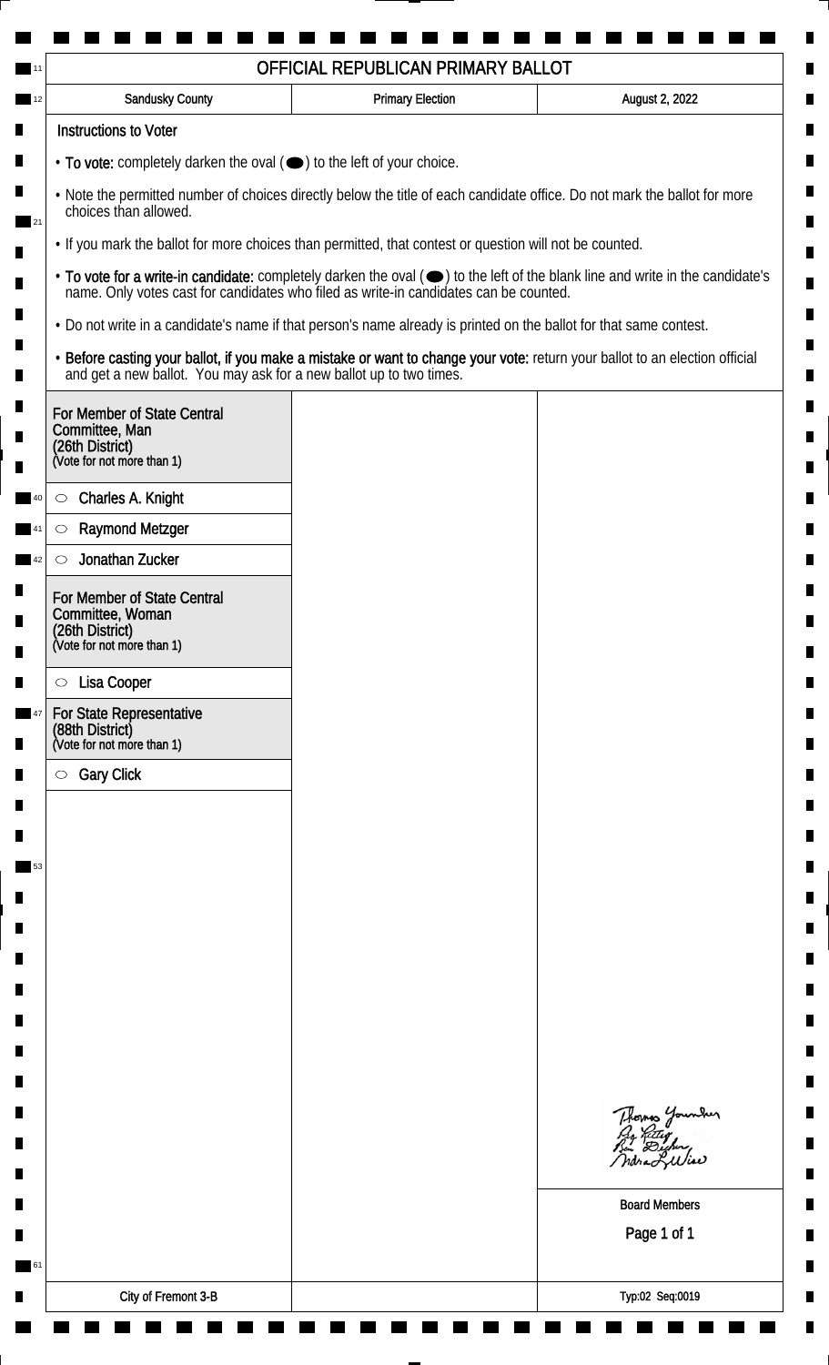| <b>Sandusky County</b>                                                                                             | <b>Primary Election</b> | August 2, 2022                                                                                                                |
|--------------------------------------------------------------------------------------------------------------------|-------------------------|-------------------------------------------------------------------------------------------------------------------------------|
| <b>Instructions to Voter</b>                                                                                       |                         |                                                                                                                               |
| $\cdot$ To vote: completely darken the oval $(\bullet)$ to the left of your choice.                                |                         |                                                                                                                               |
| choices than allowed.                                                                                              |                         | . Note the permitted number of choices directly below the title of each candidate office. Do not mark the ballot for more     |
| . If you mark the ballot for more choices than permitted, that contest or question will not be counted.            |                         |                                                                                                                               |
| name. Only votes cast for candidates who filed as write-in candidates can be counted.                              |                         | • To vote for a write-in candidate: completely darken the oval (•) to the left of the blank line and write in the candidate's |
| . Do not write in a candidate's name if that person's name already is printed on the ballot for that same contest. |                         |                                                                                                                               |
| and get a new ballot. You may ask for a new ballot up to two times.                                                |                         | · Before casting your ballot, if you make a mistake or want to change your vote: return your ballot to an election official   |
| For Member of State Central<br>Committee, Man<br>(26th District)<br>(Vote for not more than 1)                     |                         |                                                                                                                               |
| Charles A. Knight<br>$\circ$                                                                                       |                         |                                                                                                                               |
| <b>Raymond Metzger</b><br>C                                                                                        |                         |                                                                                                                               |
| Jonathan Zucker<br>$\circlearrowright$                                                                             |                         |                                                                                                                               |
| For Member of State Central<br>Committee, Woman<br>(26th District)<br>(Vote for not more than 1)                   |                         |                                                                                                                               |
| Lisa Cooper<br>$\circ$                                                                                             |                         |                                                                                                                               |
| For State Representative<br>(88th District)<br>(Vote for not more than 1)                                          |                         |                                                                                                                               |
| <b>Gary Click</b><br>$\circ$                                                                                       |                         |                                                                                                                               |
|                                                                                                                    |                         |                                                                                                                               |
|                                                                                                                    |                         |                                                                                                                               |
|                                                                                                                    |                         |                                                                                                                               |
|                                                                                                                    |                         |                                                                                                                               |
|                                                                                                                    |                         |                                                                                                                               |
|                                                                                                                    |                         |                                                                                                                               |
|                                                                                                                    |                         |                                                                                                                               |
|                                                                                                                    |                         |                                                                                                                               |
|                                                                                                                    |                         |                                                                                                                               |
|                                                                                                                    |                         | Thomas Younder<br>By Ritley<br>Bin Dicher,<br>ndra Liliae                                                                     |
|                                                                                                                    |                         |                                                                                                                               |
|                                                                                                                    |                         | <b>Board Members</b>                                                                                                          |
|                                                                                                                    |                         | Page 1 of 1                                                                                                                   |
|                                                                                                                    |                         |                                                                                                                               |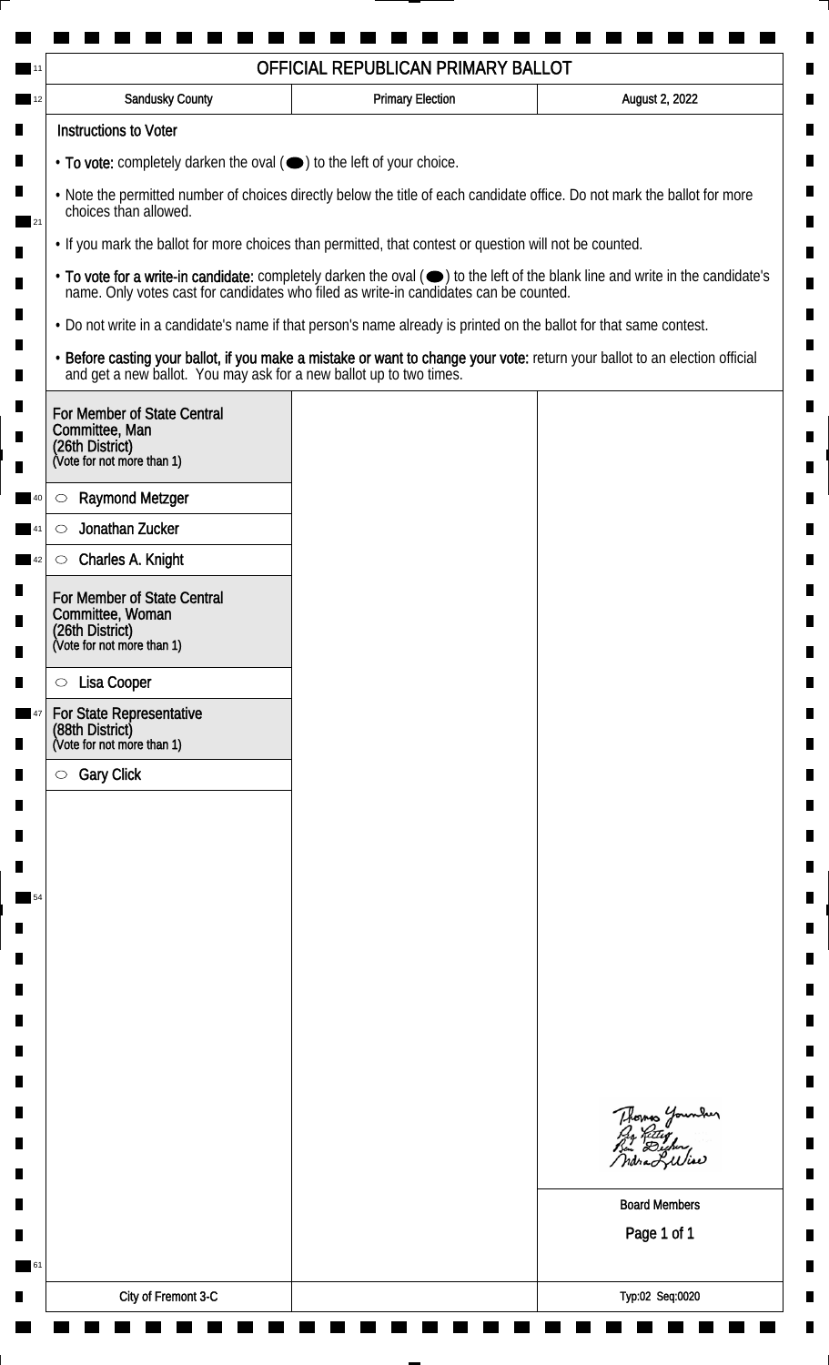| <b>Sandusky County</b>                                                                                             | <b>Primary Election</b> | August 2, 2022                                                                                                                |
|--------------------------------------------------------------------------------------------------------------------|-------------------------|-------------------------------------------------------------------------------------------------------------------------------|
| <b>Instructions to Voter</b>                                                                                       |                         |                                                                                                                               |
| $\cdot$ To vote: completely darken the oval $(\bullet)$ to the left of your choice.                                |                         |                                                                                                                               |
| choices than allowed.                                                                                              |                         | . Note the permitted number of choices directly below the title of each candidate office. Do not mark the ballot for more     |
| . If you mark the ballot for more choices than permitted, that contest or question will not be counted.            |                         |                                                                                                                               |
| name. Only votes cast for candidates who filed as write-in candidates can be counted.                              |                         | • To vote for a write-in candidate: completely darken the oval (•) to the left of the blank line and write in the candidate's |
| . Do not write in a candidate's name if that person's name already is printed on the ballot for that same contest. |                         |                                                                                                                               |
| and get a new ballot. You may ask for a new ballot up to two times.                                                |                         | · Before casting your ballot, if you make a mistake or want to change your vote: return your ballot to an election official   |
| For Member of State Central<br>Committee, Man<br>(26th District)<br>(Vote for not more than 1)                     |                         |                                                                                                                               |
| <b>Raymond Metzger</b><br>$\circlearrowright$                                                                      |                         |                                                                                                                               |
| Jonathan Zucker<br>$\circlearrowright$                                                                             |                         |                                                                                                                               |
| Charles A. Knight<br>$\circlearrowright$                                                                           |                         |                                                                                                                               |
| For Member of State Central<br>Committee, Woman<br>(26th District)<br>(Vote for not more than 1)                   |                         |                                                                                                                               |
| Lisa Cooper<br>$\circ$                                                                                             |                         |                                                                                                                               |
| <b>For State Representative</b><br>(88th District)<br>(Vote for not more than 1)                                   |                         |                                                                                                                               |
| <b>Gary Click</b><br>$\circ$                                                                                       |                         |                                                                                                                               |
|                                                                                                                    |                         |                                                                                                                               |
|                                                                                                                    |                         |                                                                                                                               |
|                                                                                                                    |                         |                                                                                                                               |
|                                                                                                                    |                         |                                                                                                                               |
|                                                                                                                    |                         |                                                                                                                               |
|                                                                                                                    |                         |                                                                                                                               |
|                                                                                                                    |                         |                                                                                                                               |
|                                                                                                                    |                         |                                                                                                                               |
|                                                                                                                    |                         |                                                                                                                               |
|                                                                                                                    |                         | Thomas Younder<br>By Riting<br>Bin Dicher,<br>ndra Liliae                                                                     |
|                                                                                                                    |                         | <b>Board Members</b>                                                                                                          |
|                                                                                                                    |                         | Page 1 of 1                                                                                                                   |
|                                                                                                                    |                         |                                                                                                                               |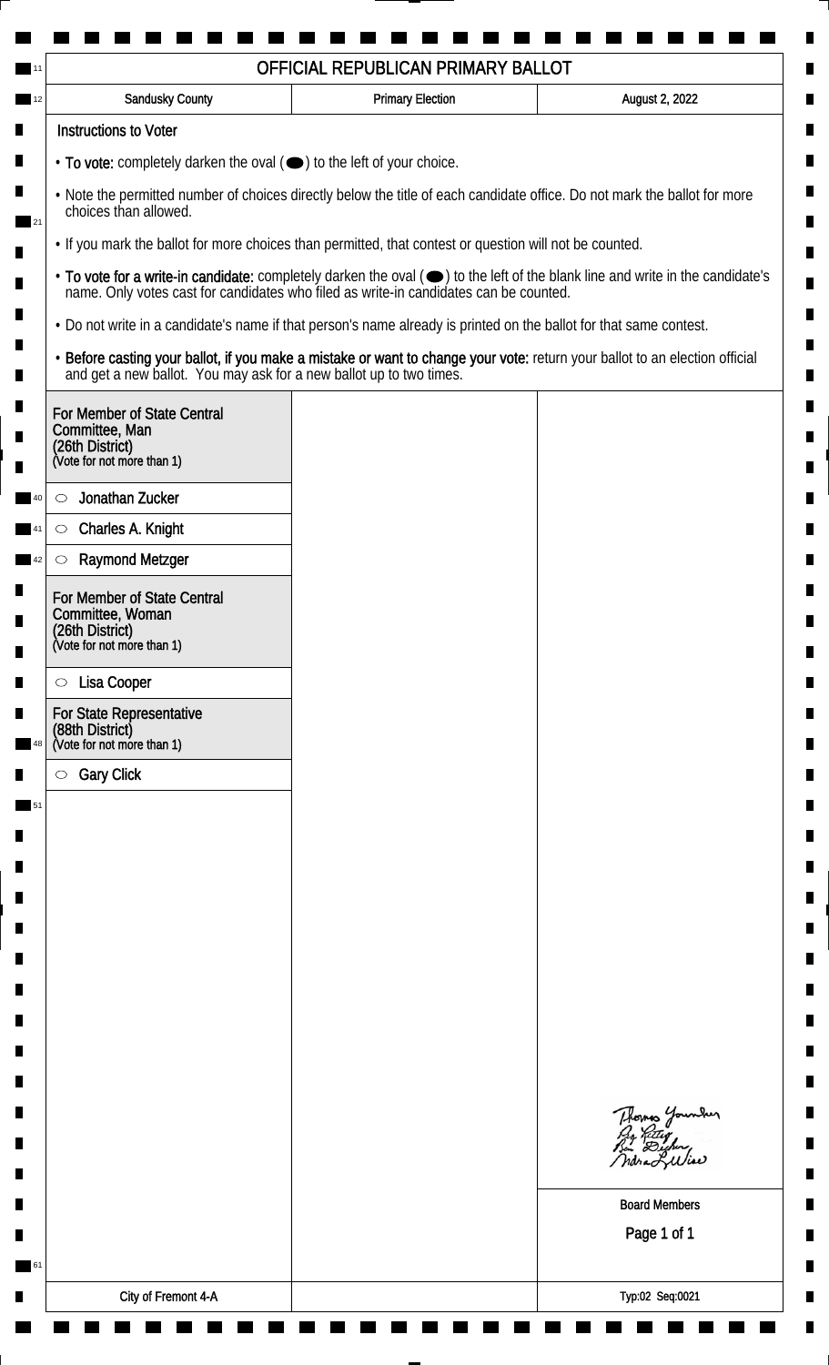|                                                                                                  | OFFICIAL REPUBLICAN PRIMARY BALLOT                                                                                 |                                                                                                                               |
|--------------------------------------------------------------------------------------------------|--------------------------------------------------------------------------------------------------------------------|-------------------------------------------------------------------------------------------------------------------------------|
| Sandusky County                                                                                  | <b>Primary Election</b>                                                                                            | August 2, 2022                                                                                                                |
| <b>Instructions to Voter</b>                                                                     |                                                                                                                    |                                                                                                                               |
| $\cdot$ To vote: completely darken the oval $(\bullet)$ to the left of your choice.              |                                                                                                                    |                                                                                                                               |
| choices than allowed.                                                                            |                                                                                                                    | . Note the permitted number of choices directly below the title of each candidate office. Do not mark the ballot for more     |
|                                                                                                  | • If you mark the ballot for more choices than permitted, that contest or question will not be counted.            |                                                                                                                               |
|                                                                                                  | name. Only votes cast for candidates who filed as write-in candidates can be counted.                              | • To vote for a write-in candidate: completely darken the oval (•) to the left of the blank line and write in the candidate's |
|                                                                                                  | • Do not write in a candidate's name if that person's name already is printed on the ballot for that same contest. |                                                                                                                               |
| and get a new ballot. You may ask for a new ballot up to two times.                              |                                                                                                                    | . Before casting your ballot, if you make a mistake or want to change your vote: return your ballot to an election official   |
| For Member of State Central<br>Committee, Man<br>(26th District)<br>(Vote for not more than 1)   |                                                                                                                    |                                                                                                                               |
| Jonathan Zucker<br>$\circlearrowright$                                                           |                                                                                                                    |                                                                                                                               |
| Charles A. Knight<br>$\circlearrowright$                                                         |                                                                                                                    |                                                                                                                               |
| <b>Raymond Metzger</b><br>O                                                                      |                                                                                                                    |                                                                                                                               |
| For Member of State Central<br>Committee, Woman<br>(26th District)<br>(Vote for not more than 1) |                                                                                                                    |                                                                                                                               |
| Lisa Cooper<br>$\circ$                                                                           |                                                                                                                    |                                                                                                                               |
| For State Representative<br>(88th District)<br>(Vote for not more than 1)                        |                                                                                                                    |                                                                                                                               |
| <b>Gary Click</b><br>$\circlearrowright$                                                         |                                                                                                                    |                                                                                                                               |
|                                                                                                  |                                                                                                                    |                                                                                                                               |
|                                                                                                  |                                                                                                                    |                                                                                                                               |
|                                                                                                  |                                                                                                                    |                                                                                                                               |
|                                                                                                  |                                                                                                                    |                                                                                                                               |
|                                                                                                  |                                                                                                                    |                                                                                                                               |
|                                                                                                  |                                                                                                                    |                                                                                                                               |
|                                                                                                  |                                                                                                                    |                                                                                                                               |
|                                                                                                  |                                                                                                                    |                                                                                                                               |
|                                                                                                  |                                                                                                                    |                                                                                                                               |
|                                                                                                  |                                                                                                                    |                                                                                                                               |
|                                                                                                  |                                                                                                                    | Thomas Younder<br>ndraLuliae                                                                                                  |
|                                                                                                  |                                                                                                                    | <b>Board Members</b>                                                                                                          |
|                                                                                                  |                                                                                                                    | Page 1 of 1                                                                                                                   |
|                                                                                                  |                                                                                                                    |                                                                                                                               |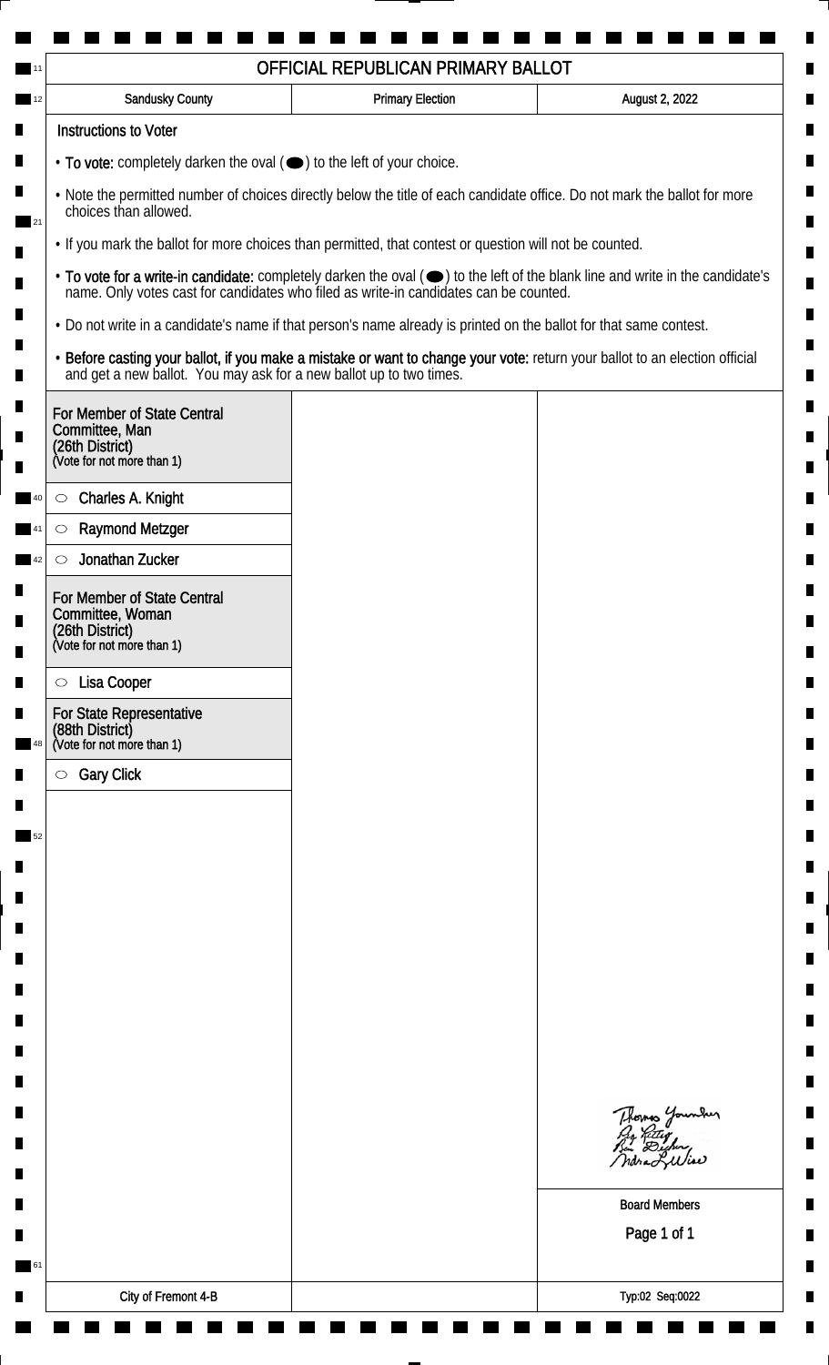| <b>Sandusky County</b>                                                                                             | <b>Primary Election</b> | August 2, 2022                                                                                                                                                                                                                 |
|--------------------------------------------------------------------------------------------------------------------|-------------------------|--------------------------------------------------------------------------------------------------------------------------------------------------------------------------------------------------------------------------------|
| <b>Instructions to Voter</b>                                                                                       |                         |                                                                                                                                                                                                                                |
| $\cdot$ To vote: completely darken the oval $(\bullet)$ to the left of your choice.                                |                         |                                                                                                                                                                                                                                |
| choices than allowed.                                                                                              |                         | . Note the permitted number of choices directly below the title of each candidate office. Do not mark the ballot for more                                                                                                      |
| • If you mark the ballot for more choices than permitted, that contest or question will not be counted.            |                         |                                                                                                                                                                                                                                |
|                                                                                                                    |                         | • To vote for a write-in candidate: completely darken the oval ( $\bigcirc$ ) to the left of the blank line and write in the candidate's name. Only votes cast for candidates who filed as write-in candidates can be counted. |
| . Do not write in a candidate's name if that person's name already is printed on the ballot for that same contest. |                         |                                                                                                                                                                                                                                |
| and get a new ballot. You may ask for a new ballot up to two times.                                                |                         | · Before casting your ballot, if you make a mistake or want to change your vote: return your ballot to an election official                                                                                                    |
| For Member of State Central<br>Committee, Man<br>(26th District)<br>(Vote for not more than 1)                     |                         |                                                                                                                                                                                                                                |
| Charles A. Knight<br>$\circ$                                                                                       |                         |                                                                                                                                                                                                                                |
| <b>Raymond Metzger</b><br>O                                                                                        |                         |                                                                                                                                                                                                                                |
| Jonathan Zucker<br>$\circlearrowright$                                                                             |                         |                                                                                                                                                                                                                                |
| For Member of State Central<br>Committee, Woman<br>(26th District)<br>(Vote for not more than 1)                   |                         |                                                                                                                                                                                                                                |
| Lisa Cooper<br>$\circ$                                                                                             |                         |                                                                                                                                                                                                                                |
| For State Representative<br>(88th District)<br>(Vote for not more than 1)                                          |                         |                                                                                                                                                                                                                                |
| <b>Gary Click</b><br>$\circ$                                                                                       |                         |                                                                                                                                                                                                                                |
|                                                                                                                    |                         |                                                                                                                                                                                                                                |
|                                                                                                                    |                         |                                                                                                                                                                                                                                |
|                                                                                                                    |                         |                                                                                                                                                                                                                                |
|                                                                                                                    |                         |                                                                                                                                                                                                                                |
|                                                                                                                    |                         |                                                                                                                                                                                                                                |
|                                                                                                                    |                         |                                                                                                                                                                                                                                |
|                                                                                                                    |                         |                                                                                                                                                                                                                                |
|                                                                                                                    |                         |                                                                                                                                                                                                                                |
|                                                                                                                    |                         |                                                                                                                                                                                                                                |
|                                                                                                                    |                         | Thomas Younder<br>By Riting<br>But Dicher,<br>ndra Lulia                                                                                                                                                                       |
|                                                                                                                    |                         |                                                                                                                                                                                                                                |
|                                                                                                                    |                         | <b>Board Members</b><br>Page 1 of 1                                                                                                                                                                                            |
|                                                                                                                    |                         |                                                                                                                                                                                                                                |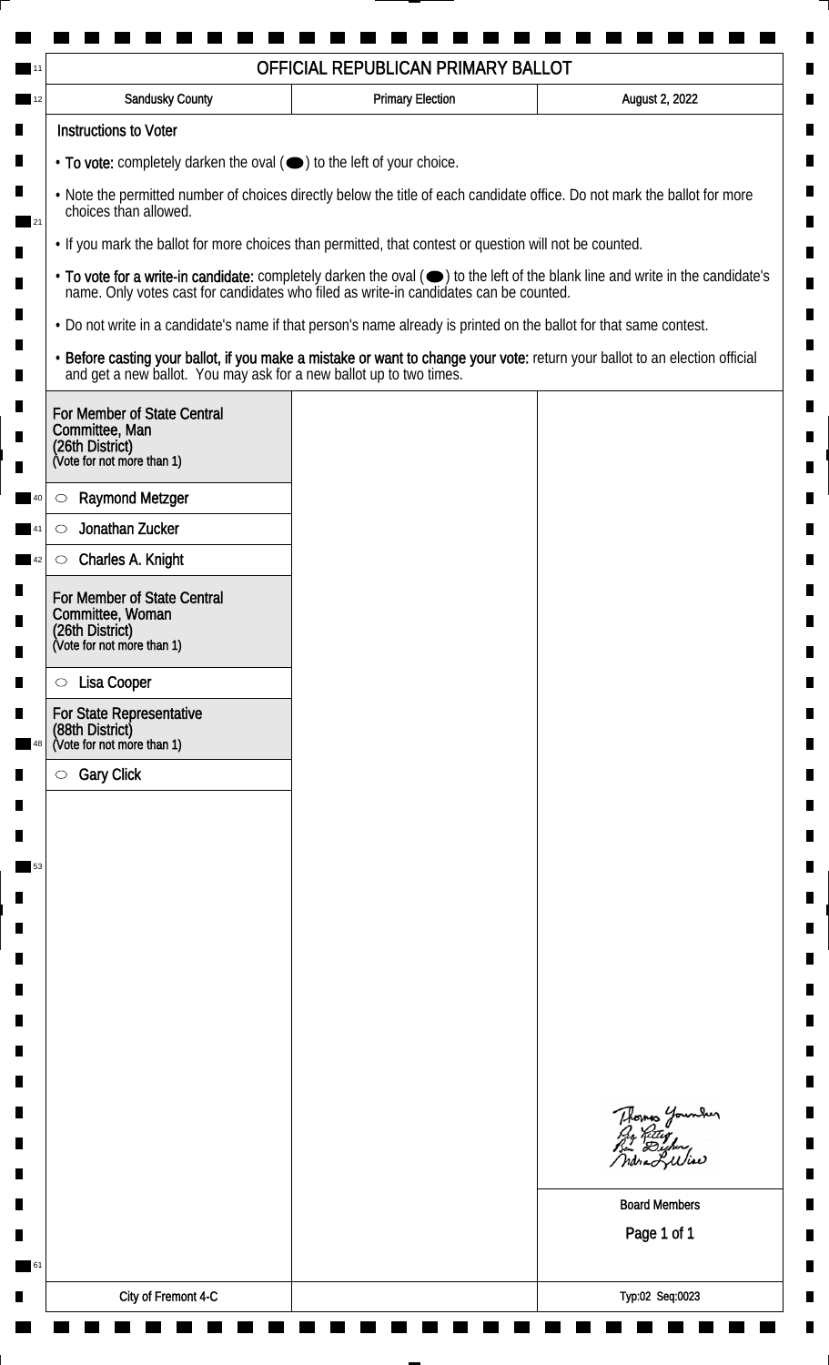| <b>Sandusky County</b>                                                                                             | <b>Primary Election</b> | August 2, 2022                                                                                                                |
|--------------------------------------------------------------------------------------------------------------------|-------------------------|-------------------------------------------------------------------------------------------------------------------------------|
| <b>Instructions to Voter</b>                                                                                       |                         |                                                                                                                               |
| $\cdot$ To vote: completely darken the oval $(\bullet)$ to the left of your choice.                                |                         |                                                                                                                               |
| choices than allowed.                                                                                              |                         | . Note the permitted number of choices directly below the title of each candidate office. Do not mark the ballot for more     |
| . If you mark the ballot for more choices than permitted, that contest or question will not be counted.            |                         |                                                                                                                               |
| name. Only votes cast for candidates who filed as write-in candidates can be counted.                              |                         | • To vote for a write-in candidate: completely darken the oval (•) to the left of the blank line and write in the candidate's |
| . Do not write in a candidate's name if that person's name already is printed on the ballot for that same contest. |                         |                                                                                                                               |
| and get a new ballot. You may ask for a new ballot up to two times.                                                |                         | · Before casting your ballot, if you make a mistake or want to change your vote: return your ballot to an election official   |
| For Member of State Central<br>Committee, Man<br>(26th District)<br>(Vote for not more than 1)                     |                         |                                                                                                                               |
| <b>Raymond Metzger</b><br>$\circlearrowright$                                                                      |                         |                                                                                                                               |
| Jonathan Zucker<br>$\circlearrowright$                                                                             |                         |                                                                                                                               |
| Charles A. Knight<br>$\circlearrowright$                                                                           |                         |                                                                                                                               |
| For Member of State Central<br>Committee, Woman<br>(26th District)<br>(Vote for not more than 1)                   |                         |                                                                                                                               |
| Lisa Cooper<br>$\circ$                                                                                             |                         |                                                                                                                               |
| For State Representative<br>(88th District)<br>(Vote for not more than 1)                                          |                         |                                                                                                                               |
| <b>Gary Click</b><br>$\circ$                                                                                       |                         |                                                                                                                               |
|                                                                                                                    |                         |                                                                                                                               |
|                                                                                                                    |                         |                                                                                                                               |
|                                                                                                                    |                         |                                                                                                                               |
|                                                                                                                    |                         |                                                                                                                               |
|                                                                                                                    |                         |                                                                                                                               |
|                                                                                                                    |                         |                                                                                                                               |
|                                                                                                                    |                         |                                                                                                                               |
|                                                                                                                    |                         |                                                                                                                               |
|                                                                                                                    |                         |                                                                                                                               |
|                                                                                                                    |                         |                                                                                                                               |
|                                                                                                                    |                         | Thomas Younder<br>By Ritley<br>Bin Dicher,<br>ndra Liliae                                                                     |
|                                                                                                                    |                         | <b>Board Members</b>                                                                                                          |
|                                                                                                                    |                         | Page 1 of 1                                                                                                                   |
|                                                                                                                    |                         |                                                                                                                               |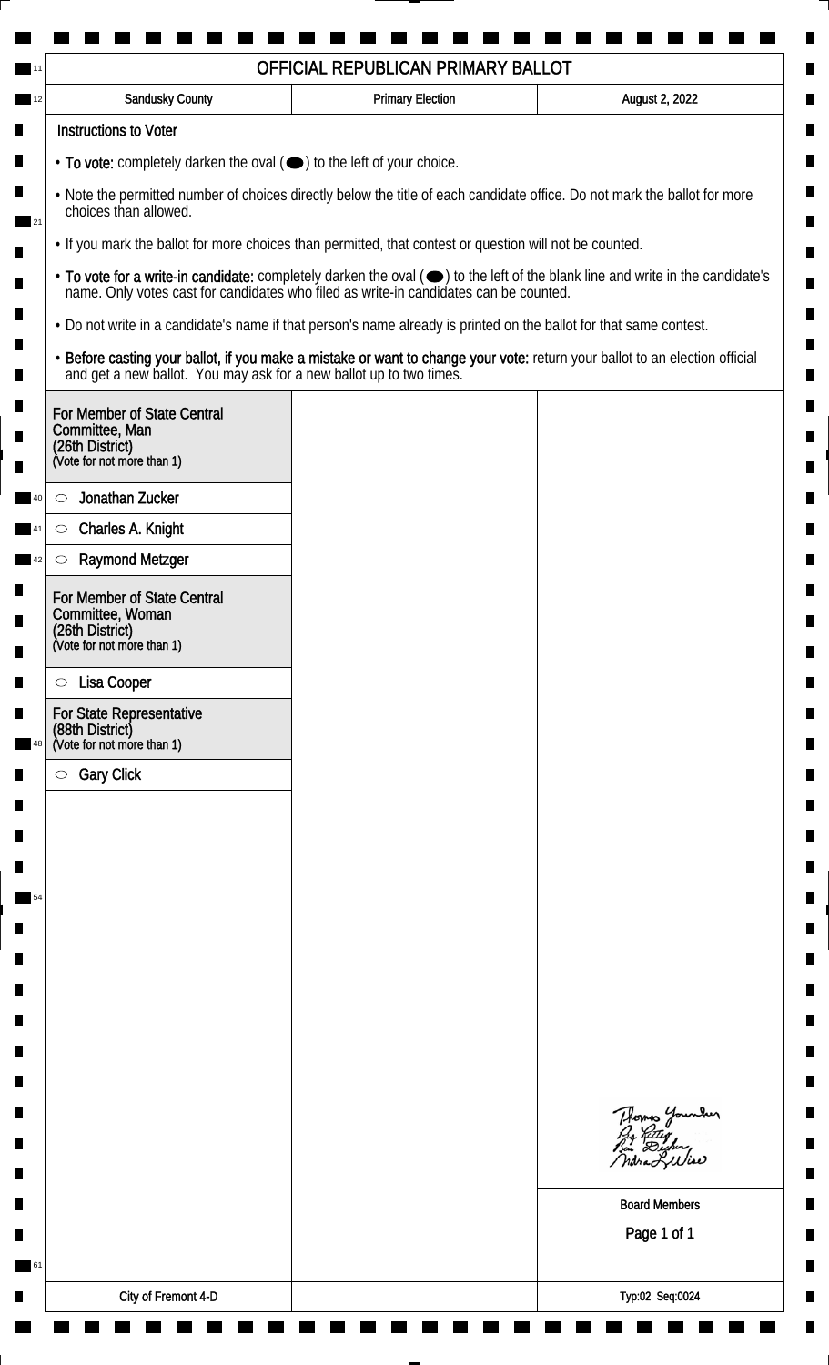| <b>Sandusky County</b>                                                                                             | <b>Primary Election</b> | August 2, 2022                                                                                                                |
|--------------------------------------------------------------------------------------------------------------------|-------------------------|-------------------------------------------------------------------------------------------------------------------------------|
| <b>Instructions to Voter</b>                                                                                       |                         |                                                                                                                               |
| $\cdot$ To vote: completely darken the oval $(\bullet)$ to the left of your choice.                                |                         |                                                                                                                               |
| choices than allowed.                                                                                              |                         | . Note the permitted number of choices directly below the title of each candidate office. Do not mark the ballot for more     |
| . If you mark the ballot for more choices than permitted, that contest or question will not be counted.            |                         |                                                                                                                               |
| name. Only votes cast for candidates who filed as write-in candidates can be counted.                              |                         | • To vote for a write-in candidate: completely darken the oval (•) to the left of the blank line and write in the candidate's |
| . Do not write in a candidate's name if that person's name already is printed on the ballot for that same contest. |                         |                                                                                                                               |
| and get a new ballot. You may ask for a new ballot up to two times.                                                |                         | · Before casting your ballot, if you make a mistake or want to change your vote: return your ballot to an election official   |
| For Member of State Central<br>Committee, Man<br>(26th District)<br>(Vote for not more than 1)                     |                         |                                                                                                                               |
| Jonathan Zucker<br>$\circlearrowright$                                                                             |                         |                                                                                                                               |
| Charles A. Knight<br>$\circlearrowright$                                                                           |                         |                                                                                                                               |
| <b>Raymond Metzger</b><br>$\circlearrowright$                                                                      |                         |                                                                                                                               |
| For Member of State Central<br>Committee, Woman<br>(26th District)<br>(Vote for not more than 1)                   |                         |                                                                                                                               |
| Lisa Cooper<br>$\circ$                                                                                             |                         |                                                                                                                               |
| For State Representative<br>(88th District)<br>(Vote for not more than 1)                                          |                         |                                                                                                                               |
| <b>Gary Click</b><br>$\circ$                                                                                       |                         |                                                                                                                               |
|                                                                                                                    |                         |                                                                                                                               |
|                                                                                                                    |                         |                                                                                                                               |
|                                                                                                                    |                         |                                                                                                                               |
|                                                                                                                    |                         |                                                                                                                               |
|                                                                                                                    |                         |                                                                                                                               |
|                                                                                                                    |                         |                                                                                                                               |
|                                                                                                                    |                         |                                                                                                                               |
|                                                                                                                    |                         |                                                                                                                               |
|                                                                                                                    |                         |                                                                                                                               |
|                                                                                                                    |                         | Thomas Younder<br>By Riting<br>Bin Dicher,<br>ndra Liliae                                                                     |
|                                                                                                                    |                         | <b>Board Members</b>                                                                                                          |
|                                                                                                                    |                         | Page 1 of 1                                                                                                                   |
|                                                                                                                    |                         |                                                                                                                               |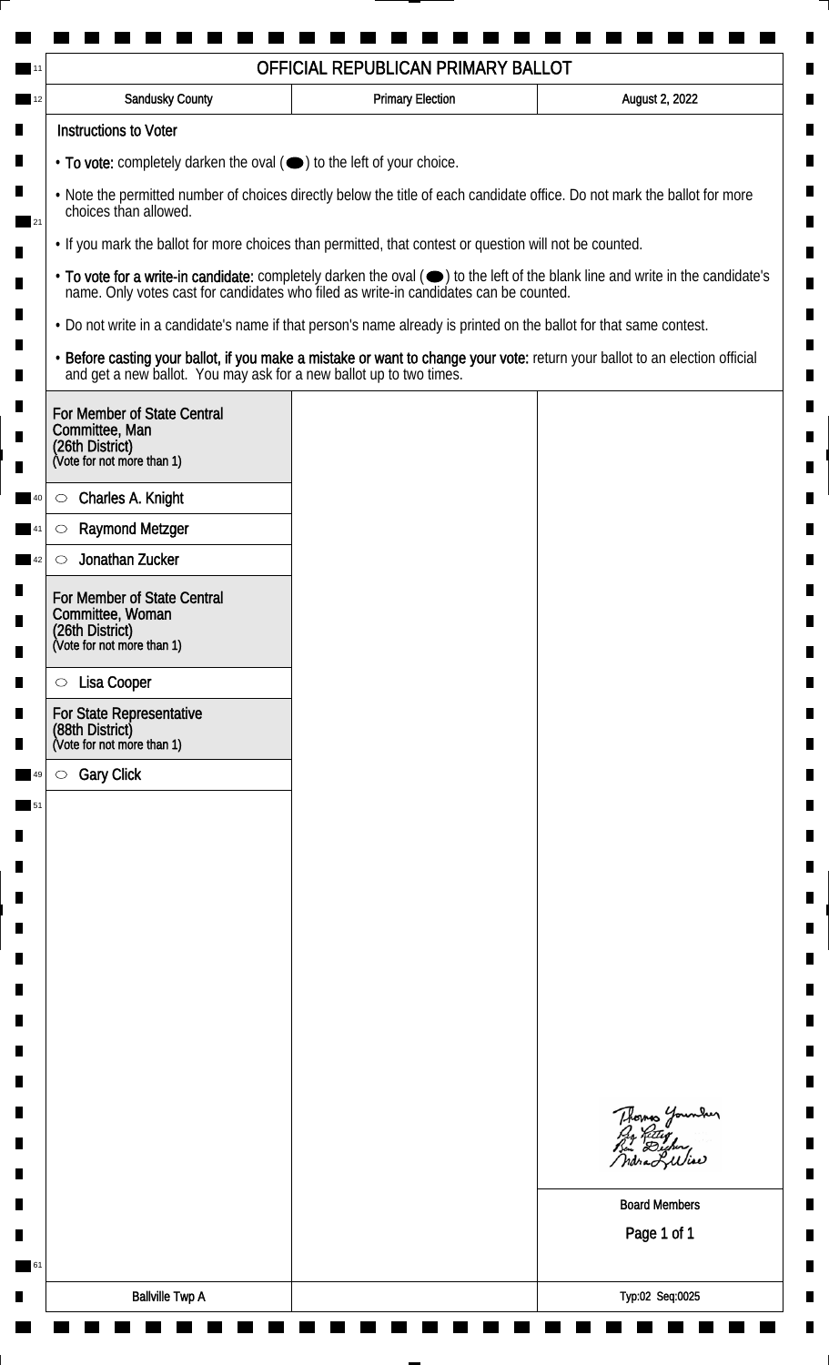| OFFICIAL REPUBLICAN PRIMARY BALLOT                                               |                             |                                                                                                                    |                                                                                                                               |
|----------------------------------------------------------------------------------|-----------------------------|--------------------------------------------------------------------------------------------------------------------|-------------------------------------------------------------------------------------------------------------------------------|
|                                                                                  | <b>Sandusky County</b>      | <b>Primary Election</b>                                                                                            | August 2, 2022                                                                                                                |
| <b>Instructions to Voter</b>                                                     |                             |                                                                                                                    |                                                                                                                               |
|                                                                                  |                             | $\cdot$ To vote: completely darken the oval $(\bullet)$ to the left of your choice.                                |                                                                                                                               |
| choices than allowed.                                                            |                             |                                                                                                                    | . Note the permitted number of choices directly below the title of each candidate office. Do not mark the ballot for more     |
|                                                                                  |                             | . If you mark the ballot for more choices than permitted, that contest or question will not be counted.            |                                                                                                                               |
|                                                                                  |                             | name. Only votes cast for candidates who filed as write-in candidates can be counted.                              | • To vote for a write-in candidate: completely darken the oval (•) to the left of the blank line and write in the candidate's |
|                                                                                  |                             | • Do not write in a candidate's name if that person's name already is printed on the ballot for that same contest. |                                                                                                                               |
|                                                                                  |                             | and get a new ballot. You may ask for a new ballot up to two times.                                                | · Before casting your ballot, if you make a mistake or want to change your vote: return your ballot to an election official   |
| Committee, Man<br>(26th District)<br>(Vote for not more than 1)                  | For Member of State Central |                                                                                                                    |                                                                                                                               |
| Charles A. Knight<br>$\circ$                                                     |                             |                                                                                                                    |                                                                                                                               |
| <b>Raymond Metzger</b><br>$\circlearrowright$                                    |                             |                                                                                                                    |                                                                                                                               |
| Jonathan Zucker<br>$\circlearrowright$                                           |                             |                                                                                                                    |                                                                                                                               |
| Committee, Woman<br>(26th District)<br>(Vote for not more than 1)                | For Member of State Central |                                                                                                                    |                                                                                                                               |
| Lisa Cooper<br>$\circ$                                                           |                             |                                                                                                                    |                                                                                                                               |
| <b>For State Representative</b><br>(88th District)<br>(Vote for not more than 1) |                             |                                                                                                                    |                                                                                                                               |
| <b>Gary Click</b><br>$\circ$                                                     |                             |                                                                                                                    |                                                                                                                               |
|                                                                                  |                             |                                                                                                                    |                                                                                                                               |
|                                                                                  |                             |                                                                                                                    |                                                                                                                               |
|                                                                                  |                             |                                                                                                                    |                                                                                                                               |
|                                                                                  |                             |                                                                                                                    |                                                                                                                               |
|                                                                                  |                             |                                                                                                                    |                                                                                                                               |
|                                                                                  |                             |                                                                                                                    |                                                                                                                               |
|                                                                                  |                             |                                                                                                                    |                                                                                                                               |
|                                                                                  |                             |                                                                                                                    |                                                                                                                               |
|                                                                                  |                             |                                                                                                                    |                                                                                                                               |
|                                                                                  |                             |                                                                                                                    |                                                                                                                               |
|                                                                                  |                             |                                                                                                                    | Thomas Younder<br>ndra Lulia                                                                                                  |
|                                                                                  |                             |                                                                                                                    | <b>Board Members</b>                                                                                                          |
|                                                                                  |                             |                                                                                                                    | Page 1 of 1                                                                                                                   |
|                                                                                  |                             |                                                                                                                    |                                                                                                                               |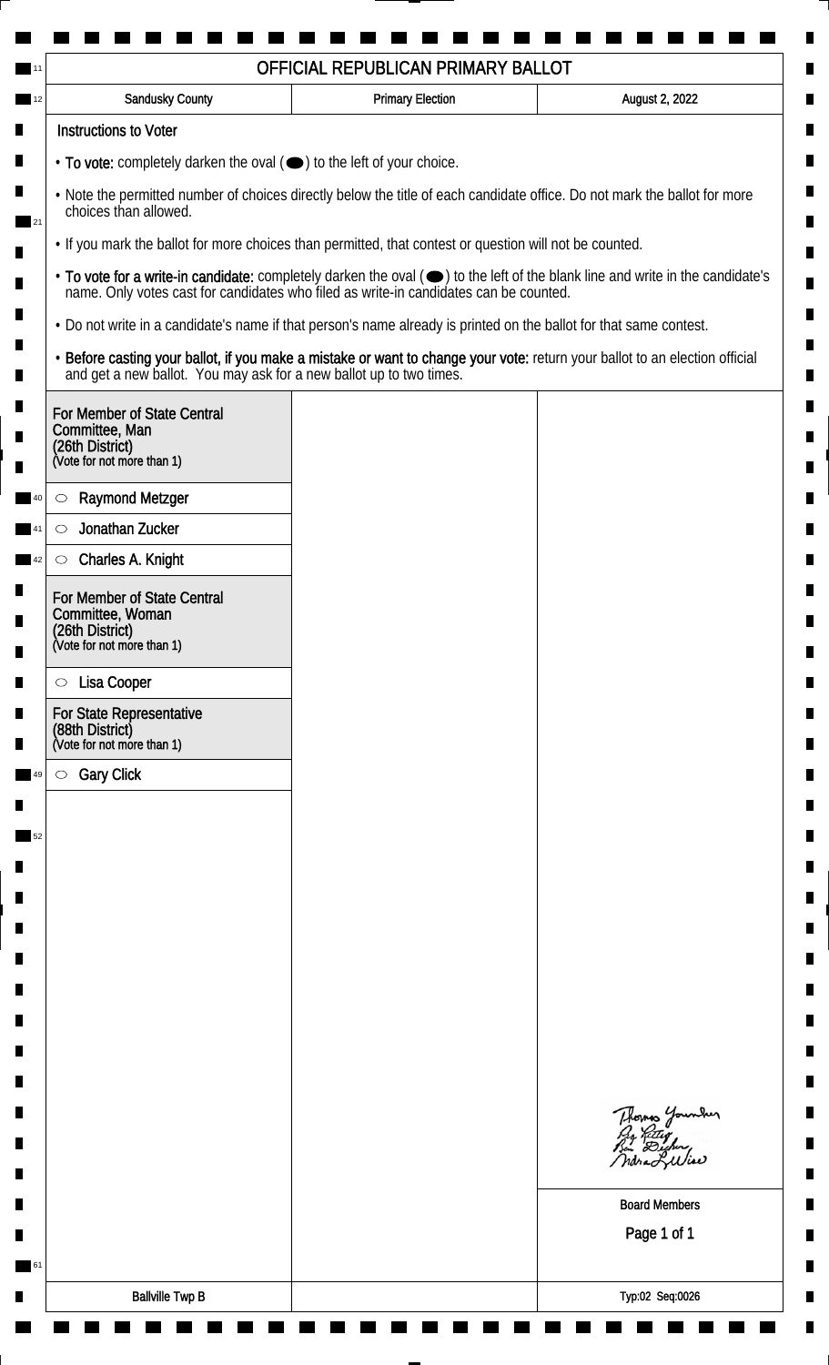| <b>Sandusky County</b>                                                                                             | <b>Primary Election</b> | August 2, 2022                                                                                                                                                                                                                 |
|--------------------------------------------------------------------------------------------------------------------|-------------------------|--------------------------------------------------------------------------------------------------------------------------------------------------------------------------------------------------------------------------------|
| <b>Instructions to Voter</b>                                                                                       |                         |                                                                                                                                                                                                                                |
| $\cdot$ To vote: completely darken the oval $(\bullet)$ to the left of your choice.                                |                         |                                                                                                                                                                                                                                |
| choices than allowed.                                                                                              |                         | . Note the permitted number of choices directly below the title of each candidate office. Do not mark the ballot for more                                                                                                      |
| • If you mark the ballot for more choices than permitted, that contest or question will not be counted.            |                         |                                                                                                                                                                                                                                |
|                                                                                                                    |                         | • To vote for a write-in candidate: completely darken the oval ( $\bigcirc$ ) to the left of the blank line and write in the candidate's name. Only votes cast for candidates who filed as write-in candidates can be counted. |
| . Do not write in a candidate's name if that person's name already is printed on the ballot for that same contest. |                         |                                                                                                                                                                                                                                |
| and get a new ballot. You may ask for a new ballot up to two times.                                                |                         | · Before casting your ballot, if you make a mistake or want to change your vote: return your ballot to an election official                                                                                                    |
| For Member of State Central<br>Committee, Man<br>(26th District)<br>(Vote for not more than 1)                     |                         |                                                                                                                                                                                                                                |
| <b>Raymond Metzger</b><br>$\circlearrowright$                                                                      |                         |                                                                                                                                                                                                                                |
| Jonathan Zucker<br>O                                                                                               |                         |                                                                                                                                                                                                                                |
| Charles A. Knight<br>$\circ$                                                                                       |                         |                                                                                                                                                                                                                                |
| For Member of State Central<br>Committee, Woman<br>(26th District)<br>(Vote for not more than 1)                   |                         |                                                                                                                                                                                                                                |
|                                                                                                                    |                         |                                                                                                                                                                                                                                |
| Lisa Cooper<br>$\circ$                                                                                             |                         |                                                                                                                                                                                                                                |
| For State Representative<br>(88th District)<br>(Vote for not more than 1)                                          |                         |                                                                                                                                                                                                                                |
| <b>Gary Click</b><br>$\circ$                                                                                       |                         |                                                                                                                                                                                                                                |
|                                                                                                                    |                         |                                                                                                                                                                                                                                |
|                                                                                                                    |                         |                                                                                                                                                                                                                                |
|                                                                                                                    |                         |                                                                                                                                                                                                                                |
|                                                                                                                    |                         |                                                                                                                                                                                                                                |
|                                                                                                                    |                         |                                                                                                                                                                                                                                |
|                                                                                                                    |                         |                                                                                                                                                                                                                                |
|                                                                                                                    |                         |                                                                                                                                                                                                                                |
|                                                                                                                    |                         |                                                                                                                                                                                                                                |
|                                                                                                                    |                         |                                                                                                                                                                                                                                |
|                                                                                                                    |                         | Thomas Younder<br>By Ritig<br>Bu Digher,<br>ndra Lulia                                                                                                                                                                         |
|                                                                                                                    |                         | <b>Board Members</b>                                                                                                                                                                                                           |
|                                                                                                                    |                         | Page 1 of 1                                                                                                                                                                                                                    |
|                                                                                                                    |                         |                                                                                                                                                                                                                                |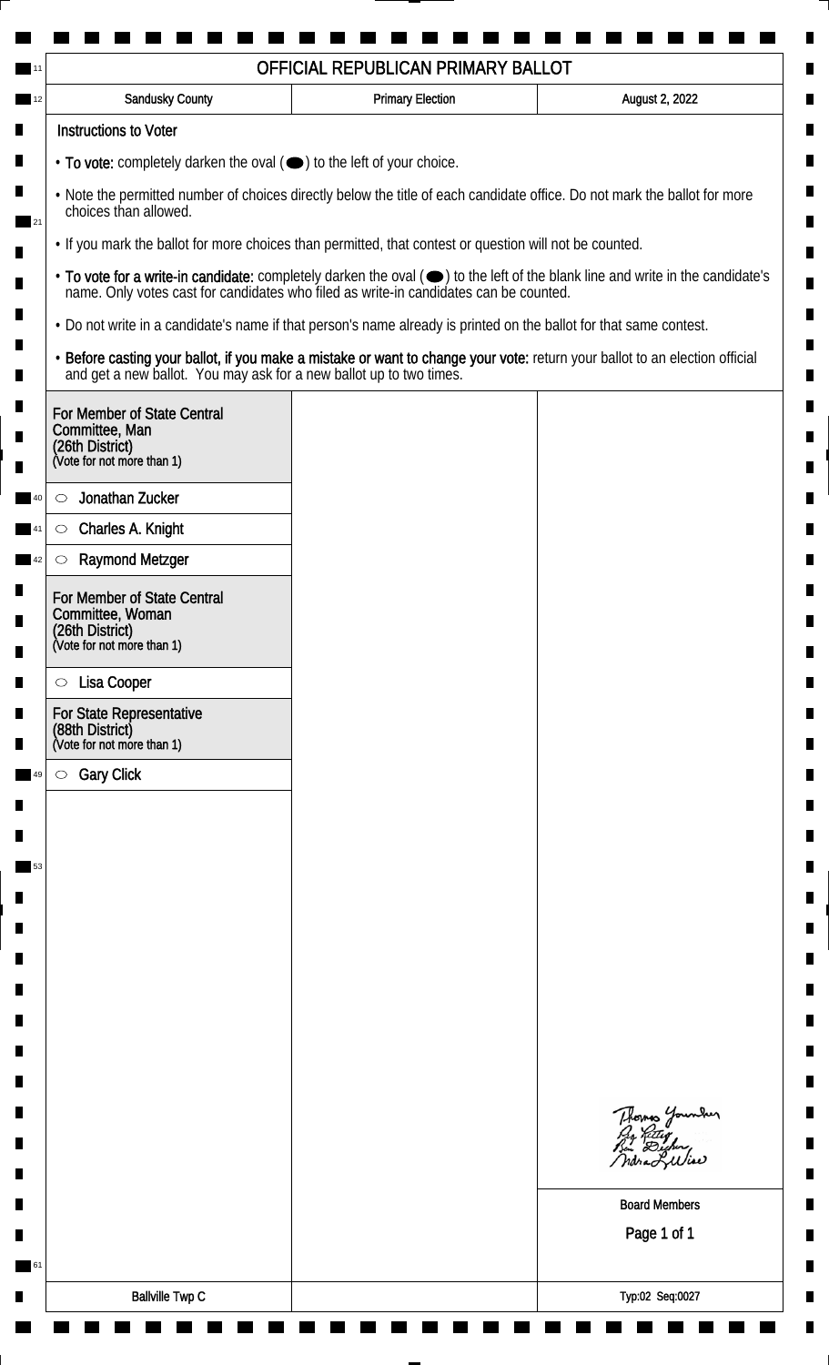|                                                                                                                                                    | OFFICIAL REPUBLICAN PRIMARY BALLOT                                                                                 |                                                                                                                               |  |
|----------------------------------------------------------------------------------------------------------------------------------------------------|--------------------------------------------------------------------------------------------------------------------|-------------------------------------------------------------------------------------------------------------------------------|--|
| Sandusky County                                                                                                                                    | <b>Primary Election</b>                                                                                            | August 2, 2022                                                                                                                |  |
| <b>Instructions to Voter</b>                                                                                                                       |                                                                                                                    |                                                                                                                               |  |
| $\cdot$ To vote: completely darken the oval $(\bullet)$ to the left of your choice.                                                                |                                                                                                                    |                                                                                                                               |  |
| . Note the permitted number of choices directly below the title of each candidate office. Do not mark the ballot for more<br>choices than allowed. |                                                                                                                    |                                                                                                                               |  |
|                                                                                                                                                    | • If you mark the ballot for more choices than permitted, that contest or question will not be counted.            |                                                                                                                               |  |
|                                                                                                                                                    | name. Only votes cast for candidates who filed as write-in candidates can be counted.                              | • To vote for a write-in candidate: completely darken the oval (•) to the left of the blank line and write in the candidate's |  |
|                                                                                                                                                    | • Do not write in a candidate's name if that person's name already is printed on the ballot for that same contest. |                                                                                                                               |  |
| and get a new ballot. You may ask for a new ballot up to two times.                                                                                |                                                                                                                    | . Before casting your ballot, if you make a mistake or want to change your vote: return your ballot to an election official   |  |
| For Member of State Central<br>Committee, Man<br>(26th District)<br>(Vote for not more than 1)                                                     |                                                                                                                    |                                                                                                                               |  |
| Jonathan Zucker<br>$\circlearrowright$                                                                                                             |                                                                                                                    |                                                                                                                               |  |
| Charles A. Knight<br>$\circlearrowright$                                                                                                           |                                                                                                                    |                                                                                                                               |  |
| <b>Raymond Metzger</b><br>O                                                                                                                        |                                                                                                                    |                                                                                                                               |  |
| For Member of State Central<br>Committee, Woman<br>(26th District)<br>(Vote for not more than 1)                                                   |                                                                                                                    |                                                                                                                               |  |
|                                                                                                                                                    |                                                                                                                    |                                                                                                                               |  |
| Lisa Cooper<br>$\circ$                                                                                                                             |                                                                                                                    |                                                                                                                               |  |
| For State Representative<br>(88th District)<br>(Vote for not more than 1)                                                                          |                                                                                                                    |                                                                                                                               |  |
| <b>Gary Click</b><br>$\circ$                                                                                                                       |                                                                                                                    |                                                                                                                               |  |
|                                                                                                                                                    |                                                                                                                    |                                                                                                                               |  |
|                                                                                                                                                    |                                                                                                                    |                                                                                                                               |  |
|                                                                                                                                                    |                                                                                                                    |                                                                                                                               |  |
|                                                                                                                                                    |                                                                                                                    |                                                                                                                               |  |
|                                                                                                                                                    |                                                                                                                    |                                                                                                                               |  |
|                                                                                                                                                    |                                                                                                                    |                                                                                                                               |  |
|                                                                                                                                                    |                                                                                                                    |                                                                                                                               |  |
|                                                                                                                                                    |                                                                                                                    |                                                                                                                               |  |
|                                                                                                                                                    |                                                                                                                    |                                                                                                                               |  |
|                                                                                                                                                    |                                                                                                                    |                                                                                                                               |  |
|                                                                                                                                                    |                                                                                                                    | Thomas Younder<br>ndra Liliae                                                                                                 |  |
|                                                                                                                                                    |                                                                                                                    | <b>Board Members</b>                                                                                                          |  |
|                                                                                                                                                    |                                                                                                                    | Page 1 of 1                                                                                                                   |  |
|                                                                                                                                                    |                                                                                                                    |                                                                                                                               |  |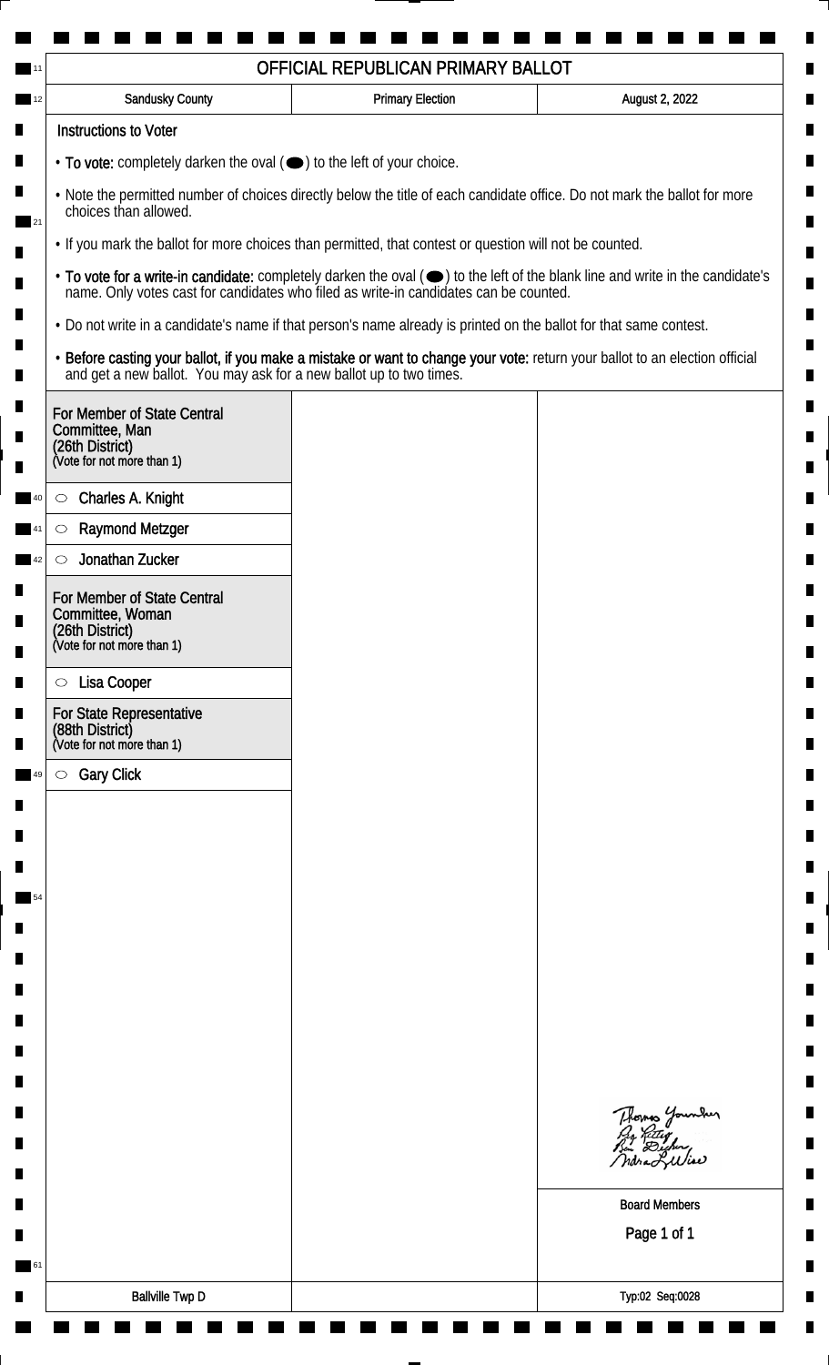|                                                                                                                                                    | OFFICIAL REPUBLICAN PRIMARY BALLOT                                                                                 |                                                                                                                               |  |
|----------------------------------------------------------------------------------------------------------------------------------------------------|--------------------------------------------------------------------------------------------------------------------|-------------------------------------------------------------------------------------------------------------------------------|--|
| Sandusky County                                                                                                                                    | <b>Primary Election</b>                                                                                            | August 2, 2022                                                                                                                |  |
| <b>Instructions to Voter</b>                                                                                                                       |                                                                                                                    |                                                                                                                               |  |
| $\cdot$ To vote: completely darken the oval $(\bullet)$ to the left of your choice.                                                                |                                                                                                                    |                                                                                                                               |  |
| . Note the permitted number of choices directly below the title of each candidate office. Do not mark the ballot for more<br>choices than allowed. |                                                                                                                    |                                                                                                                               |  |
| • If you mark the ballot for more choices than permitted, that contest or question will not be counted.                                            |                                                                                                                    |                                                                                                                               |  |
|                                                                                                                                                    | name. Only votes cast for candidates who filed as write-in candidates can be counted.                              | • To vote for a write-in candidate: completely darken the oval (•) to the left of the blank line and write in the candidate's |  |
|                                                                                                                                                    | • Do not write in a candidate's name if that person's name already is printed on the ballot for that same contest. |                                                                                                                               |  |
| and get a new ballot. You may ask for a new ballot up to two times.                                                                                |                                                                                                                    | . Before casting your ballot, if you make a mistake or want to change your vote: return your ballot to an election official   |  |
| For Member of State Central<br>Committee, Man<br>(26th District)<br>(Vote for not more than 1)                                                     |                                                                                                                    |                                                                                                                               |  |
| Charles A. Knight<br>$\circ$                                                                                                                       |                                                                                                                    |                                                                                                                               |  |
| <b>Raymond Metzger</b><br>O                                                                                                                        |                                                                                                                    |                                                                                                                               |  |
| Jonathan Zucker<br>$\circlearrowright$                                                                                                             |                                                                                                                    |                                                                                                                               |  |
| For Member of State Central<br>Committee, Woman<br>(26th District)<br>(Vote for not more than 1)                                                   |                                                                                                                    |                                                                                                                               |  |
|                                                                                                                                                    |                                                                                                                    |                                                                                                                               |  |
| Lisa Cooper<br>$\circ$                                                                                                                             |                                                                                                                    |                                                                                                                               |  |
| For State Representative<br>(88th District)<br>(Vote for not more than 1)                                                                          |                                                                                                                    |                                                                                                                               |  |
| <b>Gary Click</b><br>$\circ$                                                                                                                       |                                                                                                                    |                                                                                                                               |  |
|                                                                                                                                                    |                                                                                                                    |                                                                                                                               |  |
|                                                                                                                                                    |                                                                                                                    |                                                                                                                               |  |
|                                                                                                                                                    |                                                                                                                    |                                                                                                                               |  |
|                                                                                                                                                    |                                                                                                                    |                                                                                                                               |  |
|                                                                                                                                                    |                                                                                                                    |                                                                                                                               |  |
|                                                                                                                                                    |                                                                                                                    |                                                                                                                               |  |
|                                                                                                                                                    |                                                                                                                    |                                                                                                                               |  |
|                                                                                                                                                    |                                                                                                                    |                                                                                                                               |  |
|                                                                                                                                                    |                                                                                                                    |                                                                                                                               |  |
|                                                                                                                                                    |                                                                                                                    | Thomas Younder<br>ndra Liliae                                                                                                 |  |
|                                                                                                                                                    |                                                                                                                    | <b>Board Members</b>                                                                                                          |  |
|                                                                                                                                                    |                                                                                                                    | Page 1 of 1                                                                                                                   |  |
|                                                                                                                                                    |                                                                                                                    |                                                                                                                               |  |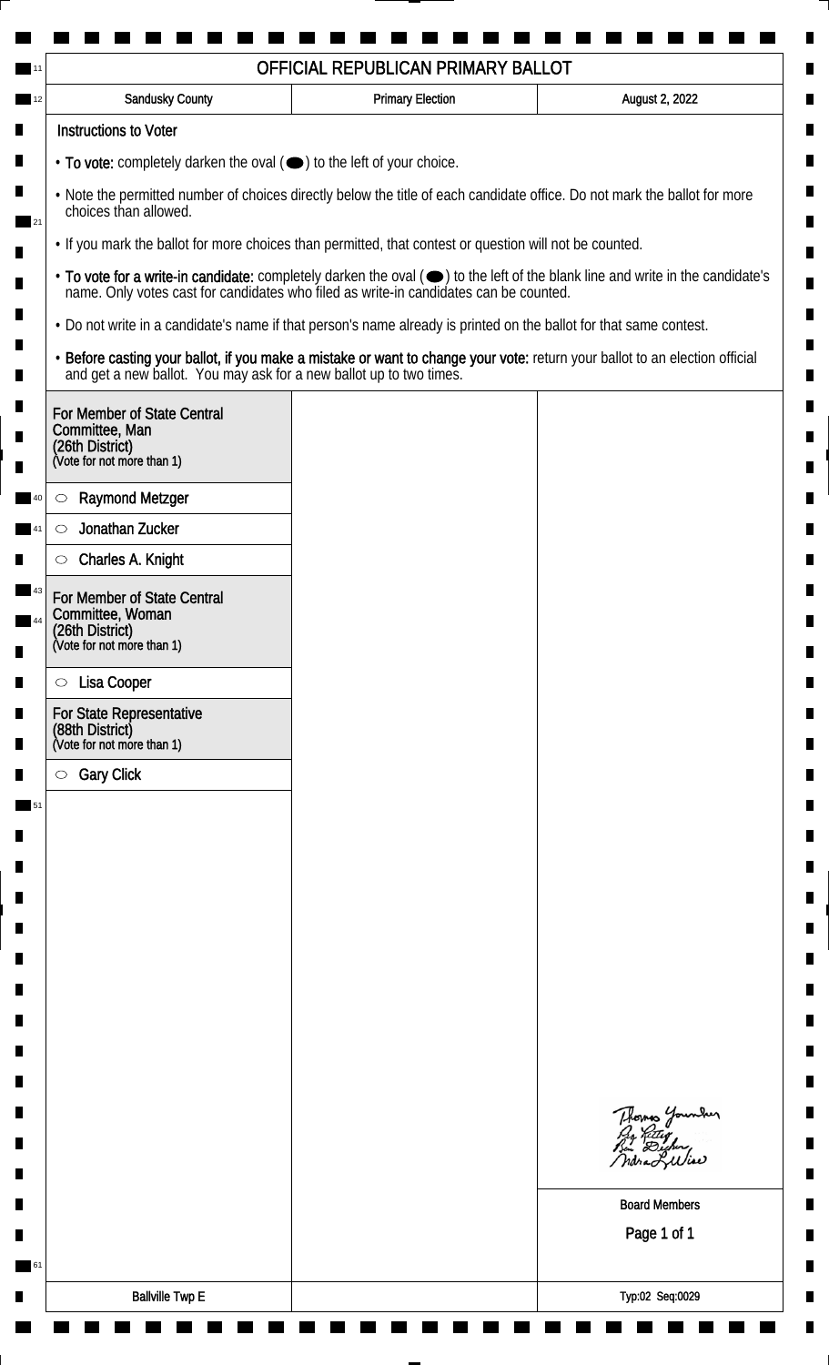|                                                                                                                                                    | OFFICIAL REPUBLICAN PRIMARY BALLOT                                                                                 |                                                                                                                               |  |  |
|----------------------------------------------------------------------------------------------------------------------------------------------------|--------------------------------------------------------------------------------------------------------------------|-------------------------------------------------------------------------------------------------------------------------------|--|--|
| <b>Sandusky County</b>                                                                                                                             | <b>Primary Election</b>                                                                                            | August 2, 2022                                                                                                                |  |  |
| <b>Instructions to Voter</b>                                                                                                                       |                                                                                                                    |                                                                                                                               |  |  |
| $\cdot$ To vote: completely darken the oval $(\bullet)$ to the left of your choice.                                                                |                                                                                                                    |                                                                                                                               |  |  |
| . Note the permitted number of choices directly below the title of each candidate office. Do not mark the ballot for more<br>choices than allowed. |                                                                                                                    |                                                                                                                               |  |  |
| . If you mark the ballot for more choices than permitted, that contest or question will not be counted.                                            |                                                                                                                    |                                                                                                                               |  |  |
|                                                                                                                                                    | name. Only votes cast for candidates who filed as write-in candidates can be counted.                              | • To vote for a write-in candidate: completely darken the oval (•) to the left of the blank line and write in the candidate's |  |  |
|                                                                                                                                                    | • Do not write in a candidate's name if that person's name already is printed on the ballot for that same contest. |                                                                                                                               |  |  |
| and get a new ballot. You may ask for a new ballot up to two times.                                                                                |                                                                                                                    | · Before casting your ballot, if you make a mistake or want to change your vote: return your ballot to an election official   |  |  |
| For Member of State Central<br>Committee, Man<br>(26th District)<br>(Vote for not more than 1)                                                     |                                                                                                                    |                                                                                                                               |  |  |
| <b>Raymond Metzger</b><br>$\circ$                                                                                                                  |                                                                                                                    |                                                                                                                               |  |  |
| Jonathan Zucker<br>$\circlearrowright$                                                                                                             |                                                                                                                    |                                                                                                                               |  |  |
| Charles A. Knight<br>$\circlearrowright$                                                                                                           |                                                                                                                    |                                                                                                                               |  |  |
| For Member of State Central<br>Committee, Woman<br>(26th District)<br>(Vote for not more than 1)                                                   |                                                                                                                    |                                                                                                                               |  |  |
| Lisa Cooper<br>$\circ$                                                                                                                             |                                                                                                                    |                                                                                                                               |  |  |
| <b>For State Representative</b>                                                                                                                    |                                                                                                                    |                                                                                                                               |  |  |
| (88th District)<br>(Vote for not more than 1)                                                                                                      |                                                                                                                    |                                                                                                                               |  |  |
| <b>Gary Click</b><br>$\circ$                                                                                                                       |                                                                                                                    |                                                                                                                               |  |  |
|                                                                                                                                                    |                                                                                                                    |                                                                                                                               |  |  |
|                                                                                                                                                    |                                                                                                                    |                                                                                                                               |  |  |
|                                                                                                                                                    |                                                                                                                    |                                                                                                                               |  |  |
|                                                                                                                                                    |                                                                                                                    |                                                                                                                               |  |  |
|                                                                                                                                                    |                                                                                                                    |                                                                                                                               |  |  |
|                                                                                                                                                    |                                                                                                                    |                                                                                                                               |  |  |
|                                                                                                                                                    |                                                                                                                    |                                                                                                                               |  |  |
|                                                                                                                                                    |                                                                                                                    |                                                                                                                               |  |  |
|                                                                                                                                                    |                                                                                                                    |                                                                                                                               |  |  |
|                                                                                                                                                    |                                                                                                                    | Thomas Younder<br>By Riting<br>But Digher,<br>ndra Liliae                                                                     |  |  |
|                                                                                                                                                    |                                                                                                                    | <b>Board Members</b>                                                                                                          |  |  |
|                                                                                                                                                    |                                                                                                                    | Page 1 of 1                                                                                                                   |  |  |
|                                                                                                                                                    |                                                                                                                    |                                                                                                                               |  |  |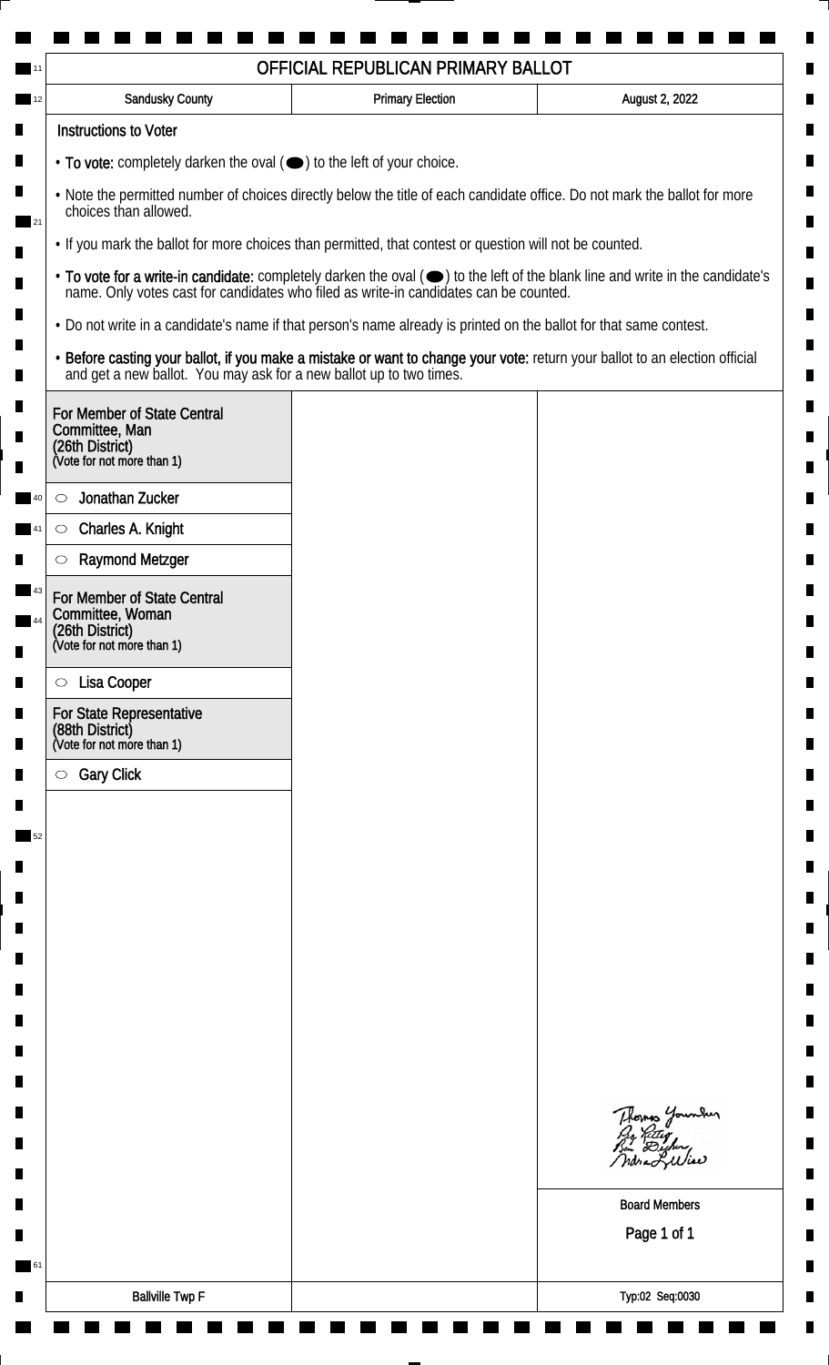|                                                                                                                                                          |                                                                                                                    | OFFICIAL REPUBLICAN PRIMARY BALLOT |                                                                                                                               |
|----------------------------------------------------------------------------------------------------------------------------------------------------------|--------------------------------------------------------------------------------------------------------------------|------------------------------------|-------------------------------------------------------------------------------------------------------------------------------|
|                                                                                                                                                          | Sandusky County                                                                                                    | <b>Primary Election</b>            | August 2, 2022                                                                                                                |
|                                                                                                                                                          | <b>Instructions to Voter</b>                                                                                       |                                    |                                                                                                                               |
|                                                                                                                                                          | $\cdot$ To vote: completely darken the oval $(\bullet)$ to the left of your choice.                                |                                    |                                                                                                                               |
| . Note the permitted number of choices directly below the title of each candidate office. Do not mark the ballot for more<br>choices than allowed.<br>21 |                                                                                                                    |                                    |                                                                                                                               |
|                                                                                                                                                          | . If you mark the ballot for more choices than permitted, that contest or question will not be counted.            |                                    |                                                                                                                               |
|                                                                                                                                                          | name. Only votes cast for candidates who filed as write-in candidates can be counted.                              |                                    | • To vote for a write-in candidate: completely darken the oval (•) to the left of the blank line and write in the candidate's |
|                                                                                                                                                          | . Do not write in a candidate's name if that person's name already is printed on the ballot for that same contest. |                                    |                                                                                                                               |
|                                                                                                                                                          | and get a new ballot. You may ask for a new ballot up to two times.                                                |                                    | · Before casting your ballot, if you make a mistake or want to change your vote: return your ballot to an election official   |
|                                                                                                                                                          | For Member of State Central<br>Committee, Man<br>(26th District)<br>(Vote for not more than 1)                     |                                    |                                                                                                                               |
|                                                                                                                                                          | Jonathan Zucker<br>$\circlearrowright$                                                                             |                                    |                                                                                                                               |
|                                                                                                                                                          | Charles A. Knight<br>$\circ$                                                                                       |                                    |                                                                                                                               |
|                                                                                                                                                          | <b>Raymond Metzger</b><br>$\circlearrowright$                                                                      |                                    |                                                                                                                               |
|                                                                                                                                                          | For Member of State Central<br>Committee, Woman<br>(26th District)<br>(Vote for not more than 1)                   |                                    |                                                                                                                               |
|                                                                                                                                                          | Lisa Cooper<br>$\circ$                                                                                             |                                    |                                                                                                                               |
|                                                                                                                                                          | For State Representative                                                                                           |                                    |                                                                                                                               |
|                                                                                                                                                          | (88th District)<br>(Vote for not more than 1)                                                                      |                                    |                                                                                                                               |
|                                                                                                                                                          | <b>Gary Click</b><br>$\circ$                                                                                       |                                    |                                                                                                                               |
|                                                                                                                                                          |                                                                                                                    |                                    |                                                                                                                               |
|                                                                                                                                                          |                                                                                                                    |                                    |                                                                                                                               |
|                                                                                                                                                          |                                                                                                                    |                                    |                                                                                                                               |
|                                                                                                                                                          |                                                                                                                    |                                    |                                                                                                                               |
|                                                                                                                                                          |                                                                                                                    |                                    |                                                                                                                               |
|                                                                                                                                                          |                                                                                                                    |                                    |                                                                                                                               |
|                                                                                                                                                          |                                                                                                                    |                                    |                                                                                                                               |
|                                                                                                                                                          |                                                                                                                    |                                    |                                                                                                                               |
|                                                                                                                                                          |                                                                                                                    |                                    |                                                                                                                               |
|                                                                                                                                                          |                                                                                                                    |                                    |                                                                                                                               |
|                                                                                                                                                          |                                                                                                                    |                                    | Thomas Younder<br>By Reter<br>By Digher<br>Mora Lilliae                                                                       |
|                                                                                                                                                          |                                                                                                                    |                                    | <b>Board Members</b>                                                                                                          |
|                                                                                                                                                          |                                                                                                                    |                                    | Page 1 of 1                                                                                                                   |
| $\blacksquare$ 61                                                                                                                                        |                                                                                                                    |                                    |                                                                                                                               |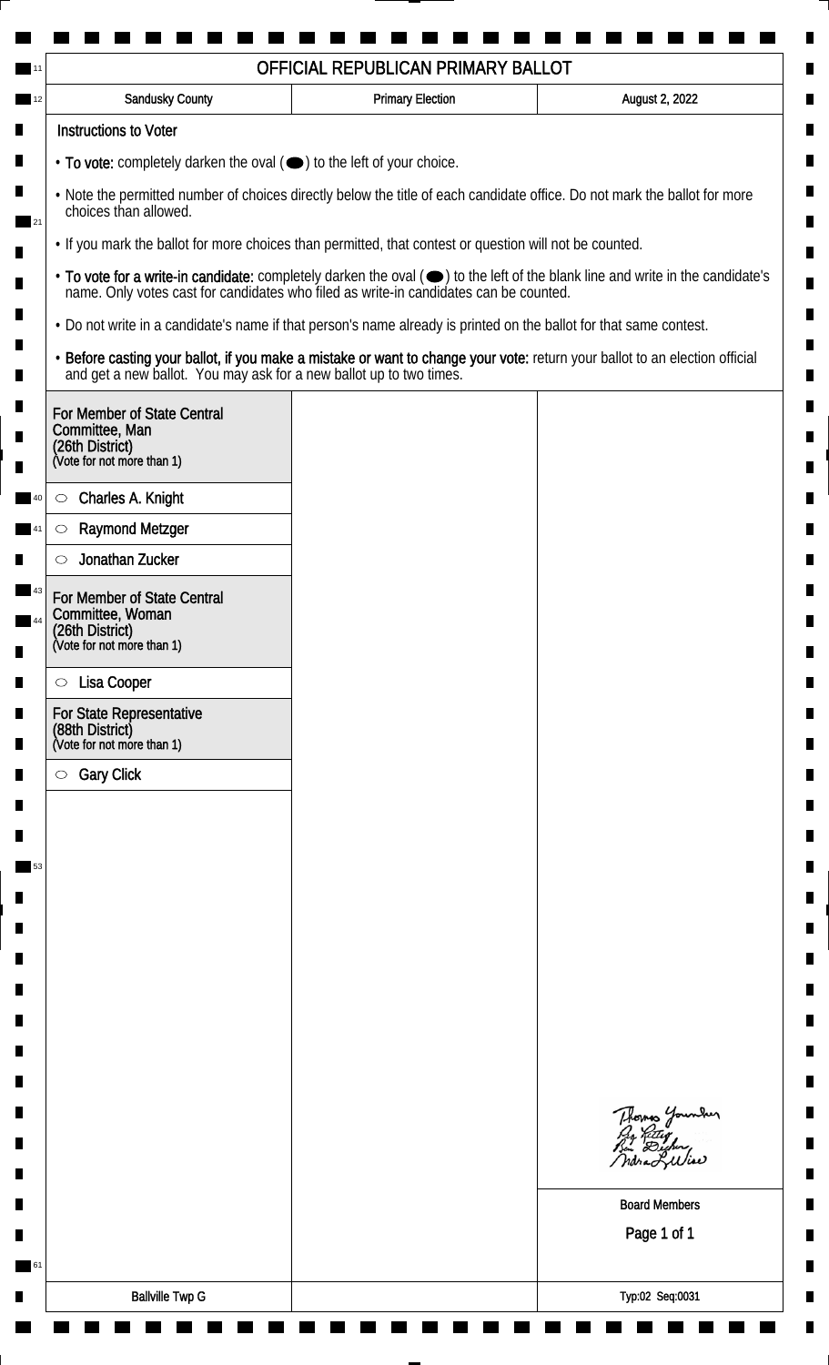| OFFICIAL REPUBLICAN PRIMARY BALLOT                                                                                                                       |                                                                                                                    |                         |                                                                                                                                                                                                                                |  |
|----------------------------------------------------------------------------------------------------------------------------------------------------------|--------------------------------------------------------------------------------------------------------------------|-------------------------|--------------------------------------------------------------------------------------------------------------------------------------------------------------------------------------------------------------------------------|--|
|                                                                                                                                                          | <b>Sandusky County</b>                                                                                             | <b>Primary Election</b> | August 2, 2022                                                                                                                                                                                                                 |  |
|                                                                                                                                                          | <b>Instructions to Voter</b>                                                                                       |                         |                                                                                                                                                                                                                                |  |
| • To vote: completely darken the oval (•) to the left of your choice.                                                                                    |                                                                                                                    |                         |                                                                                                                                                                                                                                |  |
| . Note the permitted number of choices directly below the title of each candidate office. Do not mark the ballot for more<br>choices than allowed.<br>21 |                                                                                                                    |                         |                                                                                                                                                                                                                                |  |
|                                                                                                                                                          | . If you mark the ballot for more choices than permitted, that contest or question will not be counted.            |                         |                                                                                                                                                                                                                                |  |
|                                                                                                                                                          |                                                                                                                    |                         | • To vote for a write-in candidate: completely darken the oval ( $\bigcirc$ ) to the left of the blank line and write in the candidate's name. Only votes cast for candidates who filed as write-in candidates can be counted. |  |
|                                                                                                                                                          | . Do not write in a candidate's name if that person's name already is printed on the ballot for that same contest. |                         |                                                                                                                                                                                                                                |  |
|                                                                                                                                                          | and get a new ballot. You may ask for a new ballot up to two times.                                                |                         | · Before casting your ballot, if you make a mistake or want to change your vote: return your ballot to an election official                                                                                                    |  |
|                                                                                                                                                          | For Member of State Central<br>Committee, Man<br>(26th District)<br>(Vote for not more than 1)                     |                         |                                                                                                                                                                                                                                |  |
|                                                                                                                                                          | Charles A. Knight<br>$\circ$                                                                                       |                         |                                                                                                                                                                                                                                |  |
|                                                                                                                                                          | <b>Raymond Metzger</b><br>$\circ$                                                                                  |                         |                                                                                                                                                                                                                                |  |
|                                                                                                                                                          | Jonathan Zucker<br>$\circlearrowright$                                                                             |                         |                                                                                                                                                                                                                                |  |
|                                                                                                                                                          | For Member of State Central<br>Committee, Woman                                                                    |                         |                                                                                                                                                                                                                                |  |
|                                                                                                                                                          | (26th District)<br>(Vote for not more than 1)                                                                      |                         |                                                                                                                                                                                                                                |  |
|                                                                                                                                                          | Lisa Cooper<br>$\circ$                                                                                             |                         |                                                                                                                                                                                                                                |  |
|                                                                                                                                                          | <b>For State Representative</b><br>(88th District)<br>(Vote for not more than 1)                                   |                         |                                                                                                                                                                                                                                |  |
|                                                                                                                                                          | <b>Gary Click</b><br>$\circ$                                                                                       |                         |                                                                                                                                                                                                                                |  |
|                                                                                                                                                          |                                                                                                                    |                         |                                                                                                                                                                                                                                |  |
|                                                                                                                                                          |                                                                                                                    |                         |                                                                                                                                                                                                                                |  |
| 53                                                                                                                                                       |                                                                                                                    |                         |                                                                                                                                                                                                                                |  |
|                                                                                                                                                          |                                                                                                                    |                         |                                                                                                                                                                                                                                |  |
|                                                                                                                                                          |                                                                                                                    |                         |                                                                                                                                                                                                                                |  |
|                                                                                                                                                          |                                                                                                                    |                         |                                                                                                                                                                                                                                |  |
|                                                                                                                                                          |                                                                                                                    |                         |                                                                                                                                                                                                                                |  |
|                                                                                                                                                          |                                                                                                                    |                         |                                                                                                                                                                                                                                |  |
|                                                                                                                                                          |                                                                                                                    |                         |                                                                                                                                                                                                                                |  |
|                                                                                                                                                          |                                                                                                                    |                         |                                                                                                                                                                                                                                |  |
|                                                                                                                                                          |                                                                                                                    |                         | Thomas Younder<br>ndra Liliar                                                                                                                                                                                                  |  |
|                                                                                                                                                          |                                                                                                                    |                         |                                                                                                                                                                                                                                |  |
| 61                                                                                                                                                       |                                                                                                                    |                         | <b>Board Members</b><br>Page 1 of 1                                                                                                                                                                                            |  |
|                                                                                                                                                          |                                                                                                                    |                         |                                                                                                                                                                                                                                |  |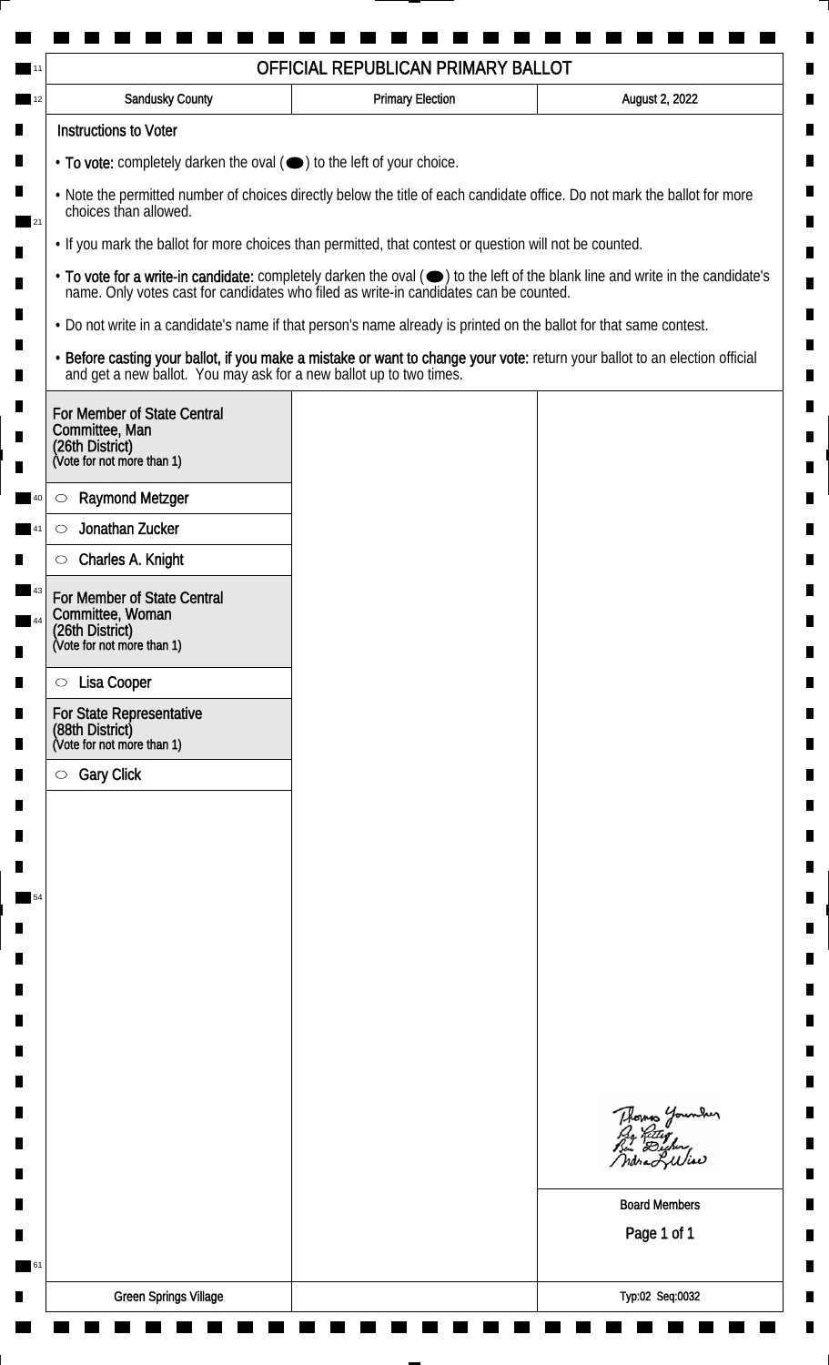| Sandusky County                                                                                                                                    | <b>Primary Election</b> | August 2, 2022                                                                                                                |  |
|----------------------------------------------------------------------------------------------------------------------------------------------------|-------------------------|-------------------------------------------------------------------------------------------------------------------------------|--|
| <b>Instructions to Voter</b>                                                                                                                       |                         |                                                                                                                               |  |
| $\cdot$ To vote: completely darken the oval $(\bullet)$ to the left of your choice.                                                                |                         |                                                                                                                               |  |
| . Note the permitted number of choices directly below the title of each candidate office. Do not mark the ballot for more<br>choices than allowed. |                         |                                                                                                                               |  |
| 21<br>. If you mark the ballot for more choices than permitted, that contest or question will not be counted.                                      |                         |                                                                                                                               |  |
| name. Only votes cast for candidates who filed as write-in candidates can be counted.                                                              |                         | • To vote for a write-in candidate: completely darken the oval (•) to the left of the blank line and write in the candidate's |  |
| . Do not write in a candidate's name if that person's name already is printed on the ballot for that same contest.                                 |                         |                                                                                                                               |  |
| and get a new ballot. You may ask for a new ballot up to two times.                                                                                |                         | · Before casting your ballot, if you make a mistake or want to change your vote: return your ballot to an election official   |  |
| For Member of State Central<br>Committee, Man<br>(26th District)<br>(Vote for not more than 1)                                                     |                         |                                                                                                                               |  |
| <b>Raymond Metzger</b><br>$\circlearrowright$                                                                                                      |                         |                                                                                                                               |  |
| Jonathan Zucker<br>$\circlearrowright$                                                                                                             |                         |                                                                                                                               |  |
| Charles A. Knight<br>$\bigcirc$                                                                                                                    |                         |                                                                                                                               |  |
| For Member of State Central<br>Committee, Woman<br>(26th District)<br>(Vote for not more than 1)                                                   |                         |                                                                                                                               |  |
| Lisa Cooper<br>$\circ$                                                                                                                             |                         |                                                                                                                               |  |
| For State Representative<br>(88th District)<br>(Vote for not more than 1)                                                                          |                         |                                                                                                                               |  |
| <b>Gary Click</b><br>$\circ$                                                                                                                       |                         |                                                                                                                               |  |
|                                                                                                                                                    |                         |                                                                                                                               |  |
|                                                                                                                                                    |                         |                                                                                                                               |  |
|                                                                                                                                                    |                         |                                                                                                                               |  |
|                                                                                                                                                    |                         |                                                                                                                               |  |
|                                                                                                                                                    |                         |                                                                                                                               |  |
|                                                                                                                                                    |                         |                                                                                                                               |  |
|                                                                                                                                                    |                         |                                                                                                                               |  |
|                                                                                                                                                    |                         |                                                                                                                               |  |
|                                                                                                                                                    |                         |                                                                                                                               |  |
|                                                                                                                                                    |                         | Thomas Younder<br>By Riting<br>Bin Dicher,<br>ndra Liliae                                                                     |  |
|                                                                                                                                                    |                         | <b>Board Members</b>                                                                                                          |  |
|                                                                                                                                                    |                         | Page 1 of 1                                                                                                                   |  |
|                                                                                                                                                    |                         |                                                                                                                               |  |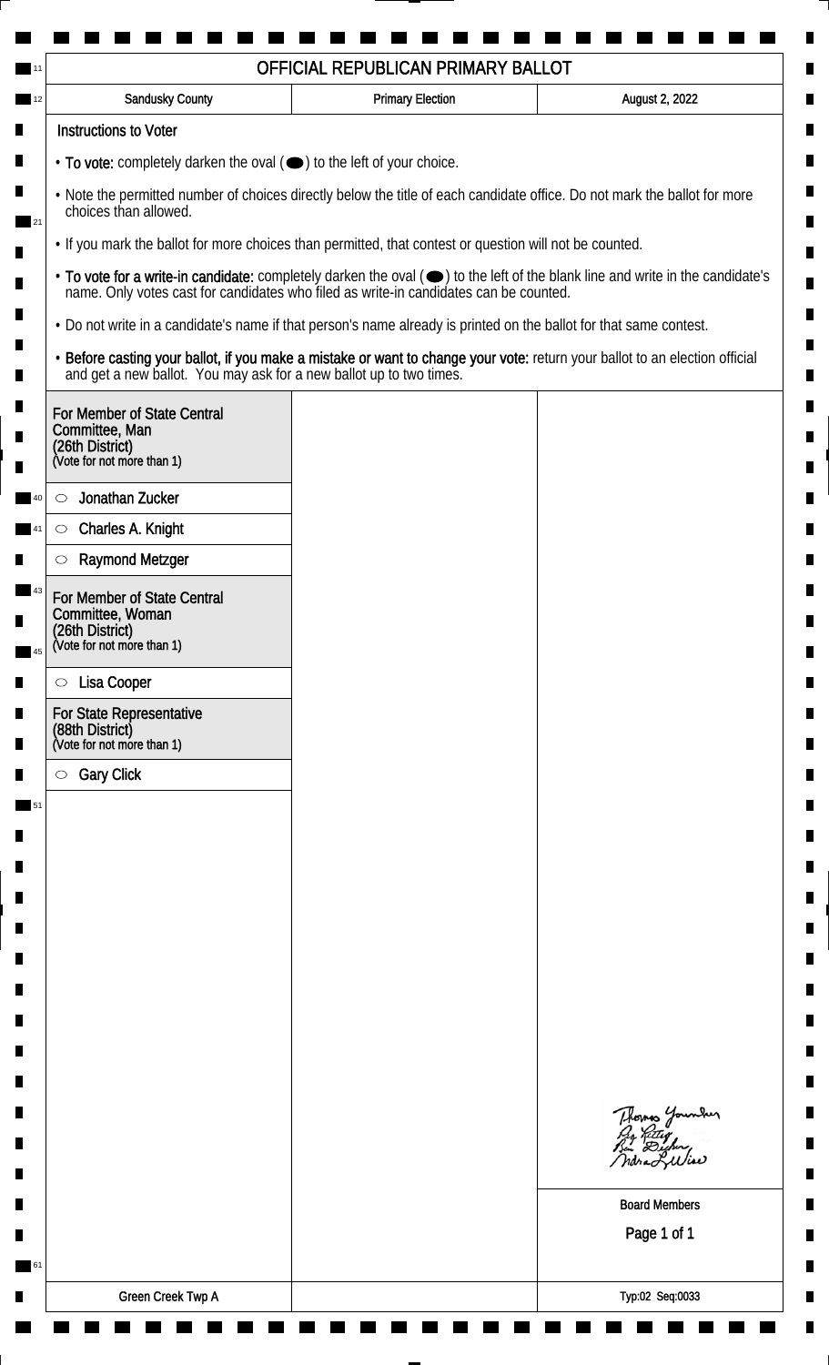| OFFICIAL REPUBLICAN PRIMARY BALLOT                                                                                                                       |                                                                                                                                                                                                    |                         |                                                                                                                               |
|----------------------------------------------------------------------------------------------------------------------------------------------------------|----------------------------------------------------------------------------------------------------------------------------------------------------------------------------------------------------|-------------------------|-------------------------------------------------------------------------------------------------------------------------------|
|                                                                                                                                                          | <b>Sandusky County</b>                                                                                                                                                                             | <b>Primary Election</b> | August 2, 2022                                                                                                                |
|                                                                                                                                                          | <b>Instructions to Voter</b>                                                                                                                                                                       |                         |                                                                                                                               |
|                                                                                                                                                          | • To vote: completely darken the oval (•) to the left of your choice.                                                                                                                              |                         |                                                                                                                               |
| . Note the permitted number of choices directly below the title of each candidate office. Do not mark the ballot for more<br>choices than allowed.<br>21 |                                                                                                                                                                                                    |                         |                                                                                                                               |
|                                                                                                                                                          | . If you mark the ballot for more choices than permitted, that contest or question will not be counted.                                                                                            |                         |                                                                                                                               |
|                                                                                                                                                          | name. Only votes cast for candidates who filed as write-in candidates can be counted.                                                                                                              |                         | • To vote for a write-in candidate: completely darken the oval (•) to the left of the blank line and write in the candidate's |
|                                                                                                                                                          | . Do not write in a candidate's name if that person's name already is printed on the ballot for that same contest.                                                                                 |                         |                                                                                                                               |
|                                                                                                                                                          | · Before casting your ballot, if you make a mistake or want to change your vote: return your ballot to an election official<br>and get a new ballot. You may ask for a new ballot up to two times. |                         |                                                                                                                               |
|                                                                                                                                                          | For Member of State Central<br>Committee, Man<br>(26th District)<br>(Vote for not more than 1)                                                                                                     |                         |                                                                                                                               |
|                                                                                                                                                          | Jonathan Zucker<br>$\circlearrowright$                                                                                                                                                             |                         |                                                                                                                               |
|                                                                                                                                                          | Charles A. Knight<br>$\circ$                                                                                                                                                                       |                         |                                                                                                                               |
|                                                                                                                                                          | <b>Raymond Metzger</b><br>$\circlearrowright$                                                                                                                                                      |                         |                                                                                                                               |
|                                                                                                                                                          | For Member of State Central<br>Committee, Woman<br>(26th District)<br>(Vote for not more than 1)                                                                                                   |                         |                                                                                                                               |
|                                                                                                                                                          |                                                                                                                                                                                                    |                         |                                                                                                                               |
|                                                                                                                                                          | Lisa Cooper<br>$\circ$                                                                                                                                                                             |                         |                                                                                                                               |
|                                                                                                                                                          | <b>For State Representative</b><br>(88th District)<br>(Vote for not more than 1)                                                                                                                   |                         |                                                                                                                               |
|                                                                                                                                                          | <b>Gary Click</b><br>$\circ$                                                                                                                                                                       |                         |                                                                                                                               |
|                                                                                                                                                          |                                                                                                                                                                                                    |                         |                                                                                                                               |
|                                                                                                                                                          |                                                                                                                                                                                                    |                         |                                                                                                                               |
|                                                                                                                                                          |                                                                                                                                                                                                    |                         |                                                                                                                               |
|                                                                                                                                                          |                                                                                                                                                                                                    |                         |                                                                                                                               |
|                                                                                                                                                          |                                                                                                                                                                                                    |                         |                                                                                                                               |
|                                                                                                                                                          |                                                                                                                                                                                                    |                         |                                                                                                                               |
|                                                                                                                                                          |                                                                                                                                                                                                    |                         |                                                                                                                               |
|                                                                                                                                                          |                                                                                                                                                                                                    |                         |                                                                                                                               |
|                                                                                                                                                          |                                                                                                                                                                                                    |                         |                                                                                                                               |
|                                                                                                                                                          |                                                                                                                                                                                                    |                         |                                                                                                                               |
|                                                                                                                                                          |                                                                                                                                                                                                    |                         | Thomas Younder<br>By Riting<br>But Digher,<br>ndra Liliar                                                                     |
|                                                                                                                                                          |                                                                                                                                                                                                    |                         | <b>Board Members</b>                                                                                                          |
|                                                                                                                                                          |                                                                                                                                                                                                    |                         | Page 1 of 1                                                                                                                   |
|                                                                                                                                                          |                                                                                                                                                                                                    |                         |                                                                                                                               |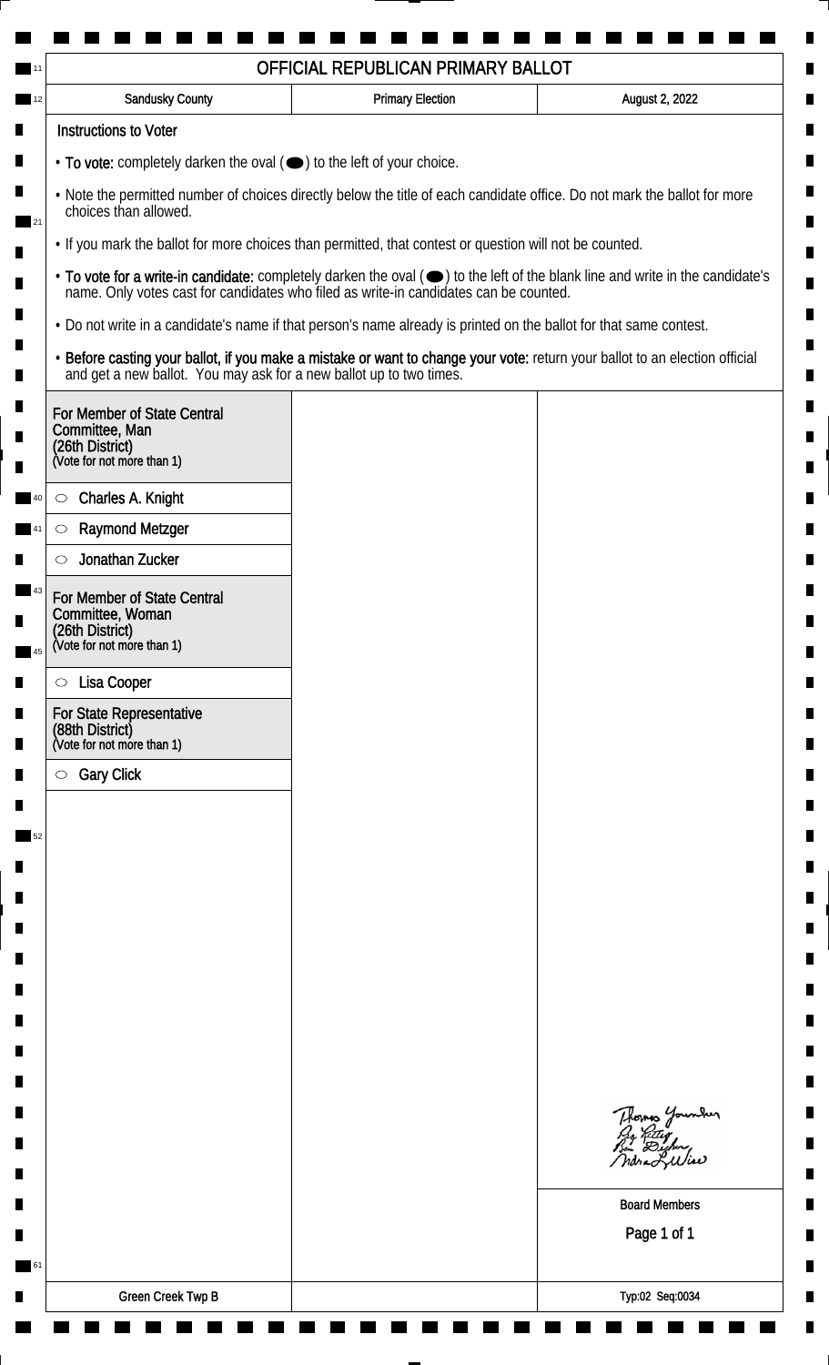| OFFICIAL REPUBLICAN PRIMARY BALLOT                                                                                                                                                                                                        |                                                                                                                    |                                                                                                                                                                                                                                |  |                                                                                                               |
|-------------------------------------------------------------------------------------------------------------------------------------------------------------------------------------------------------------------------------------------|--------------------------------------------------------------------------------------------------------------------|--------------------------------------------------------------------------------------------------------------------------------------------------------------------------------------------------------------------------------|--|---------------------------------------------------------------------------------------------------------------|
| <b>Sandusky County</b>                                                                                                                                                                                                                    | <b>Primary Election</b>                                                                                            | August 2, 2022                                                                                                                                                                                                                 |  |                                                                                                               |
| <b>Instructions to Voter</b>                                                                                                                                                                                                              |                                                                                                                    |                                                                                                                                                                                                                                |  |                                                                                                               |
| $\cdot$ To vote: completely darken the oval $(\bullet)$ to the left of your choice.<br>. Note the permitted number of choices directly below the title of each candidate office. Do not mark the ballot for more<br>choices than allowed. |                                                                                                                    |                                                                                                                                                                                                                                |  |                                                                                                               |
|                                                                                                                                                                                                                                           |                                                                                                                    |                                                                                                                                                                                                                                |  | 21<br>. If you mark the ballot for more choices than permitted, that contest or question will not be counted. |
|                                                                                                                                                                                                                                           |                                                                                                                    | • To vote for a write-in candidate: completely darken the oval ( $\bigcirc$ ) to the left of the blank line and write in the candidate's name. Only votes cast for candidates who filed as write-in candidates can be counted. |  |                                                                                                               |
|                                                                                                                                                                                                                                           | . Do not write in a candidate's name if that person's name already is printed on the ballot for that same contest. |                                                                                                                                                                                                                                |  |                                                                                                               |
| and get a new ballot. You may ask for a new ballot up to two times.                                                                                                                                                                       |                                                                                                                    | · Before casting your ballot, if you make a mistake or want to change your vote: return your ballot to an election official                                                                                                    |  |                                                                                                               |
| For Member of State Central                                                                                                                                                                                                               |                                                                                                                    |                                                                                                                                                                                                                                |  |                                                                                                               |
| Committee, Man<br>(26th District)                                                                                                                                                                                                         |                                                                                                                    |                                                                                                                                                                                                                                |  |                                                                                                               |
| (Vote for not more than 1)                                                                                                                                                                                                                |                                                                                                                    |                                                                                                                                                                                                                                |  |                                                                                                               |
| Charles A. Knight<br>$\circlearrowright$                                                                                                                                                                                                  |                                                                                                                    |                                                                                                                                                                                                                                |  |                                                                                                               |
| <b>Raymond Metzger</b><br>$\bigcirc$                                                                                                                                                                                                      |                                                                                                                    |                                                                                                                                                                                                                                |  |                                                                                                               |
| Jonathan Zucker<br>$\circlearrowright$                                                                                                                                                                                                    |                                                                                                                    |                                                                                                                                                                                                                                |  |                                                                                                               |
| For Member of State Central                                                                                                                                                                                                               |                                                                                                                    |                                                                                                                                                                                                                                |  |                                                                                                               |
| Committee, Woman                                                                                                                                                                                                                          |                                                                                                                    |                                                                                                                                                                                                                                |  |                                                                                                               |
| (26th District)<br>(Vote for not more than 1)                                                                                                                                                                                             |                                                                                                                    |                                                                                                                                                                                                                                |  |                                                                                                               |
| Lisa Cooper<br>$\circ$                                                                                                                                                                                                                    |                                                                                                                    |                                                                                                                                                                                                                                |  |                                                                                                               |
| For State Representative                                                                                                                                                                                                                  |                                                                                                                    |                                                                                                                                                                                                                                |  |                                                                                                               |
| (88th District)<br>(Vote for not more than 1)                                                                                                                                                                                             |                                                                                                                    |                                                                                                                                                                                                                                |  |                                                                                                               |
| <b>Gary Click</b><br>$\circ$                                                                                                                                                                                                              |                                                                                                                    |                                                                                                                                                                                                                                |  |                                                                                                               |
|                                                                                                                                                                                                                                           |                                                                                                                    |                                                                                                                                                                                                                                |  |                                                                                                               |
|                                                                                                                                                                                                                                           |                                                                                                                    |                                                                                                                                                                                                                                |  |                                                                                                               |
|                                                                                                                                                                                                                                           |                                                                                                                    |                                                                                                                                                                                                                                |  |                                                                                                               |
|                                                                                                                                                                                                                                           |                                                                                                                    |                                                                                                                                                                                                                                |  |                                                                                                               |
|                                                                                                                                                                                                                                           |                                                                                                                    |                                                                                                                                                                                                                                |  |                                                                                                               |
|                                                                                                                                                                                                                                           |                                                                                                                    |                                                                                                                                                                                                                                |  |                                                                                                               |
|                                                                                                                                                                                                                                           |                                                                                                                    |                                                                                                                                                                                                                                |  |                                                                                                               |
|                                                                                                                                                                                                                                           |                                                                                                                    |                                                                                                                                                                                                                                |  |                                                                                                               |
|                                                                                                                                                                                                                                           |                                                                                                                    |                                                                                                                                                                                                                                |  |                                                                                                               |
|                                                                                                                                                                                                                                           |                                                                                                                    |                                                                                                                                                                                                                                |  |                                                                                                               |
|                                                                                                                                                                                                                                           |                                                                                                                    |                                                                                                                                                                                                                                |  |                                                                                                               |
|                                                                                                                                                                                                                                           |                                                                                                                    | Thomas Younder                                                                                                                                                                                                                 |  |                                                                                                               |
|                                                                                                                                                                                                                                           |                                                                                                                    |                                                                                                                                                                                                                                |  |                                                                                                               |
|                                                                                                                                                                                                                                           |                                                                                                                    | <b>Board Members</b>                                                                                                                                                                                                           |  |                                                                                                               |
|                                                                                                                                                                                                                                           |                                                                                                                    | Page 1 of 1                                                                                                                                                                                                                    |  |                                                                                                               |
|                                                                                                                                                                                                                                           |                                                                                                                    |                                                                                                                                                                                                                                |  |                                                                                                               |
|                                                                                                                                                                                                                                           |                                                                                                                    |                                                                                                                                                                                                                                |  |                                                                                                               |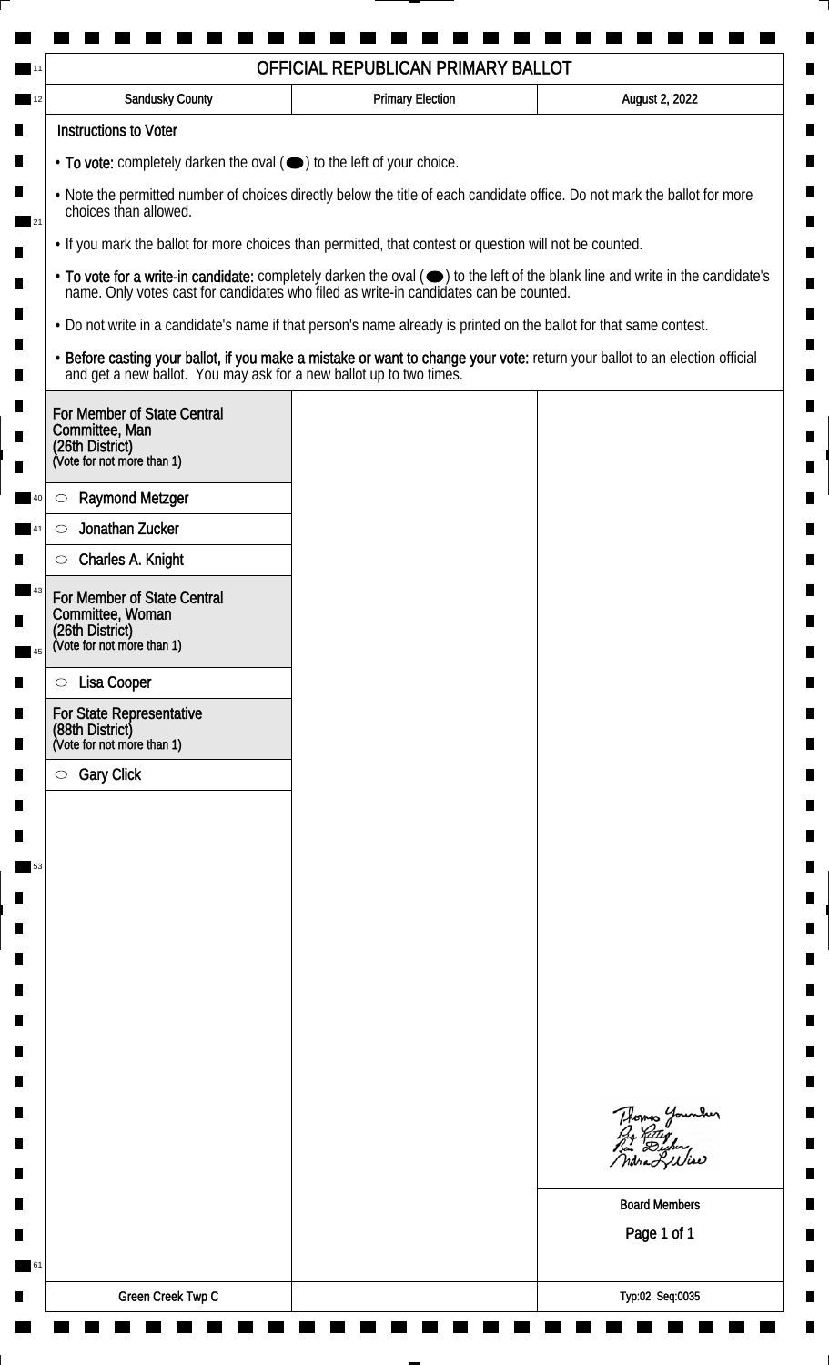|                                                                                                                                                                                                                                                                          |  | OFFICIAL REPUBLICAN PRIMARY BALLOT                                                                                                                                                                 |                                                                                                                               |
|--------------------------------------------------------------------------------------------------------------------------------------------------------------------------------------------------------------------------------------------------------------------------|--|----------------------------------------------------------------------------------------------------------------------------------------------------------------------------------------------------|-------------------------------------------------------------------------------------------------------------------------------|
| <b>Sandusky County</b>                                                                                                                                                                                                                                                   |  | <b>Primary Election</b>                                                                                                                                                                            | August 2, 2022                                                                                                                |
| <b>Instructions to Voter</b>                                                                                                                                                                                                                                             |  |                                                                                                                                                                                                    |                                                                                                                               |
|                                                                                                                                                                                                                                                                          |  | • To vote: completely darken the oval (•) to the left of your choice.                                                                                                                              |                                                                                                                               |
| п<br>. Note the permitted number of choices directly below the title of each candidate office. Do not mark the ballot for more<br>choices than allowed.<br>21<br>. If you mark the ballot for more choices than permitted, that contest or question will not be counted. |  |                                                                                                                                                                                                    |                                                                                                                               |
|                                                                                                                                                                                                                                                                          |  |                                                                                                                                                                                                    |                                                                                                                               |
|                                                                                                                                                                                                                                                                          |  | name. Only votes cast for candidates who filed as write-in candidates can be counted.                                                                                                              | • To vote for a write-in candidate: completely darken the oval (•) to the left of the blank line and write in the candidate's |
|                                                                                                                                                                                                                                                                          |  | . Do not write in a candidate's name if that person's name already is printed on the ballot for that same contest.                                                                                 |                                                                                                                               |
|                                                                                                                                                                                                                                                                          |  | · Before casting your ballot, if you make a mistake or want to change your vote: return your ballot to an election official<br>and get a new ballot. You may ask for a new ballot up to two times. |                                                                                                                               |
| For Member of State Central<br>Committee, Man<br>(26th District)<br>(Vote for not more than 1)                                                                                                                                                                           |  |                                                                                                                                                                                                    |                                                                                                                               |
| <b>Raymond Metzger</b><br>$\circlearrowright$                                                                                                                                                                                                                            |  |                                                                                                                                                                                                    |                                                                                                                               |
| Jonathan Zucker<br>$\circlearrowright$                                                                                                                                                                                                                                   |  |                                                                                                                                                                                                    |                                                                                                                               |
| Charles A. Knight<br>$\circlearrowright$                                                                                                                                                                                                                                 |  |                                                                                                                                                                                                    |                                                                                                                               |
| For Member of State Central<br>Committee, Woman<br>(26th District)<br>(Vote for not more than 1)                                                                                                                                                                         |  |                                                                                                                                                                                                    |                                                                                                                               |
| Lisa Cooper<br>$\circ$                                                                                                                                                                                                                                                   |  |                                                                                                                                                                                                    |                                                                                                                               |
| <b>For State Representative</b><br>(88th District)                                                                                                                                                                                                                       |  |                                                                                                                                                                                                    |                                                                                                                               |
| (Vote for not more than 1)<br><b>Gary Click</b><br>$\circ$                                                                                                                                                                                                               |  |                                                                                                                                                                                                    |                                                                                                                               |
|                                                                                                                                                                                                                                                                          |  |                                                                                                                                                                                                    |                                                                                                                               |
|                                                                                                                                                                                                                                                                          |  |                                                                                                                                                                                                    |                                                                                                                               |
|                                                                                                                                                                                                                                                                          |  |                                                                                                                                                                                                    |                                                                                                                               |
|                                                                                                                                                                                                                                                                          |  |                                                                                                                                                                                                    |                                                                                                                               |
|                                                                                                                                                                                                                                                                          |  |                                                                                                                                                                                                    |                                                                                                                               |
|                                                                                                                                                                                                                                                                          |  |                                                                                                                                                                                                    |                                                                                                                               |
|                                                                                                                                                                                                                                                                          |  |                                                                                                                                                                                                    |                                                                                                                               |
|                                                                                                                                                                                                                                                                          |  |                                                                                                                                                                                                    |                                                                                                                               |
|                                                                                                                                                                                                                                                                          |  |                                                                                                                                                                                                    |                                                                                                                               |
|                                                                                                                                                                                                                                                                          |  |                                                                                                                                                                                                    |                                                                                                                               |
|                                                                                                                                                                                                                                                                          |  |                                                                                                                                                                                                    | Thomas Younder<br>ndraLuliae                                                                                                  |
|                                                                                                                                                                                                                                                                          |  |                                                                                                                                                                                                    | <b>Board Members</b>                                                                                                          |
|                                                                                                                                                                                                                                                                          |  |                                                                                                                                                                                                    | Page 1 of 1                                                                                                                   |
| Green Creek Twp C                                                                                                                                                                                                                                                        |  |                                                                                                                                                                                                    | Typ:02 Seq:0035                                                                                                               |
|                                                                                                                                                                                                                                                                          |  |                                                                                                                                                                                                    |                                                                                                                               |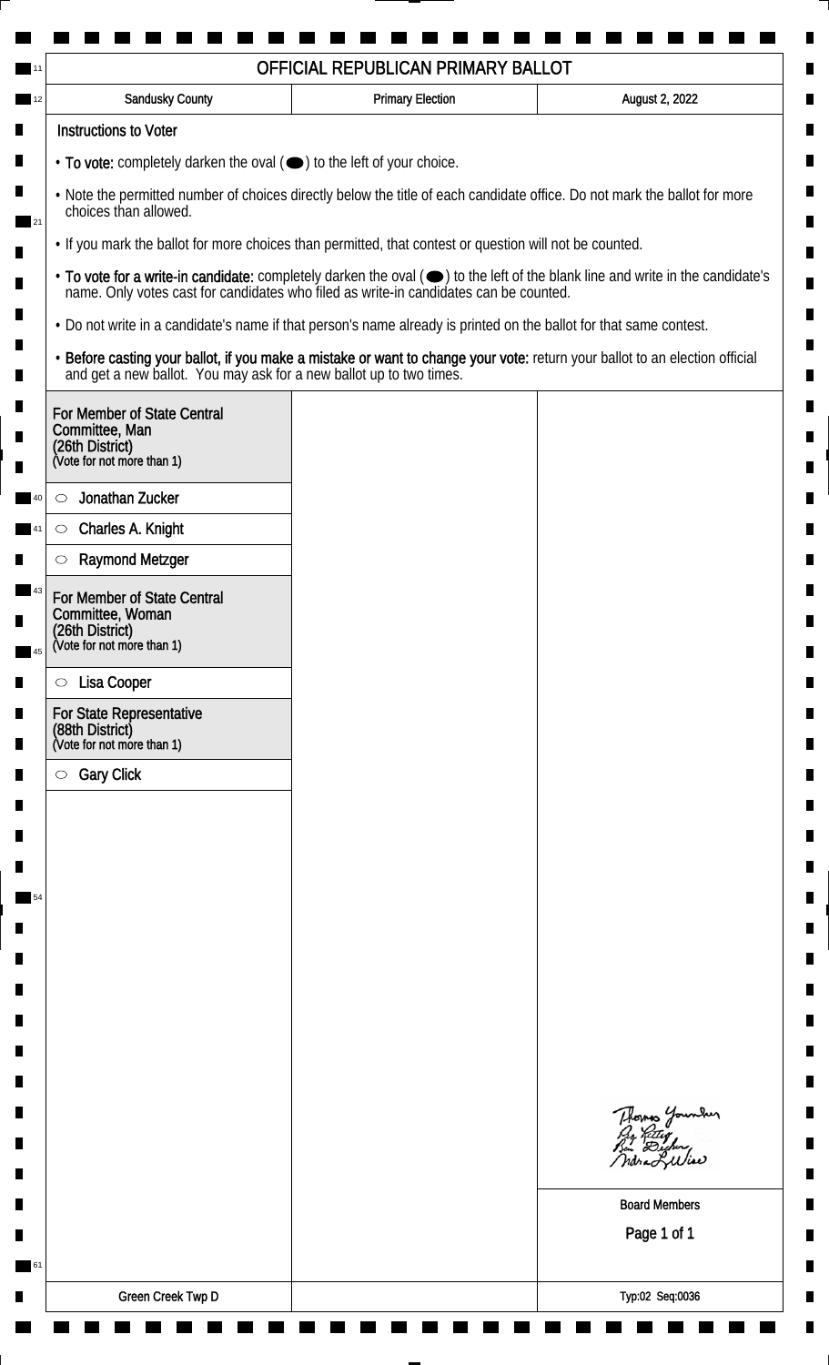|                                                                                                                                                               |                                                                                                                    | OFFICIAL REPUBLICAN PRIMARY BALLOT |                                                                                                                               |
|---------------------------------------------------------------------------------------------------------------------------------------------------------------|--------------------------------------------------------------------------------------------------------------------|------------------------------------|-------------------------------------------------------------------------------------------------------------------------------|
| 12                                                                                                                                                            | Sandusky County                                                                                                    | <b>Primary Election</b>            | August 2, 2022                                                                                                                |
|                                                                                                                                                               | <b>Instructions to Voter</b>                                                                                       |                                    |                                                                                                                               |
|                                                                                                                                                               | $\cdot$ To vote: completely darken the oval ( $\bullet$ ) to the left of your choice.                              |                                    |                                                                                                                               |
| п<br>. Note the permitted number of choices directly below the title of each candidate office. Do not mark the ballot for more<br>choices than allowed.<br>21 |                                                                                                                    |                                    |                                                                                                                               |
|                                                                                                                                                               | . If you mark the ballot for more choices than permitted, that contest or question will not be counted.            |                                    |                                                                                                                               |
|                                                                                                                                                               | name. Only votes cast for candidates who filed as write-in candidates can be counted.                              |                                    | • To vote for a write-in candidate: completely darken the oval (•) to the left of the blank line and write in the candidate's |
|                                                                                                                                                               | . Do not write in a candidate's name if that person's name already is printed on the ballot for that same contest. |                                    |                                                                                                                               |
|                                                                                                                                                               | and get a new ballot. You may ask for a new ballot up to two times.                                                |                                    | · Before casting your ballot, if you make a mistake or want to change your vote: return your ballot to an election official   |
|                                                                                                                                                               | For Member of State Central<br>Committee, Man<br>(26th District)<br>(Vote for not more than 1)                     |                                    |                                                                                                                               |
|                                                                                                                                                               | Jonathan Zucker<br>$\circlearrowright$                                                                             |                                    |                                                                                                                               |
|                                                                                                                                                               | Charles A. Knight<br>$\circ$                                                                                       |                                    |                                                                                                                               |
|                                                                                                                                                               | <b>Raymond Metzger</b>                                                                                             |                                    |                                                                                                                               |
| 45                                                                                                                                                            | For Member of State Central<br>Committee, Woman<br>(26th District)<br>(Vote for not more than 1)                   |                                    |                                                                                                                               |
|                                                                                                                                                               | Lisa Cooper<br>$\circ$                                                                                             |                                    |                                                                                                                               |
|                                                                                                                                                               | For State Representative<br>(88th District)<br>(Vote for not more than 1)                                          |                                    |                                                                                                                               |
|                                                                                                                                                               | <b>Gary Click</b><br>$\circ$                                                                                       |                                    |                                                                                                                               |
|                                                                                                                                                               |                                                                                                                    |                                    |                                                                                                                               |
|                                                                                                                                                               |                                                                                                                    |                                    |                                                                                                                               |
|                                                                                                                                                               |                                                                                                                    |                                    |                                                                                                                               |
| 54                                                                                                                                                            |                                                                                                                    |                                    |                                                                                                                               |
|                                                                                                                                                               |                                                                                                                    |                                    |                                                                                                                               |
|                                                                                                                                                               |                                                                                                                    |                                    |                                                                                                                               |
|                                                                                                                                                               |                                                                                                                    |                                    |                                                                                                                               |
|                                                                                                                                                               |                                                                                                                    |                                    |                                                                                                                               |
|                                                                                                                                                               |                                                                                                                    |                                    |                                                                                                                               |
|                                                                                                                                                               |                                                                                                                    |                                    |                                                                                                                               |
|                                                                                                                                                               |                                                                                                                    |                                    | Thomas Younder<br>By Reter<br>By Digher<br>Mora Lilliae                                                                       |
|                                                                                                                                                               |                                                                                                                    |                                    | <b>Board Members</b>                                                                                                          |
|                                                                                                                                                               |                                                                                                                    |                                    | Page 1 of 1                                                                                                                   |
| 61                                                                                                                                                            |                                                                                                                    |                                    |                                                                                                                               |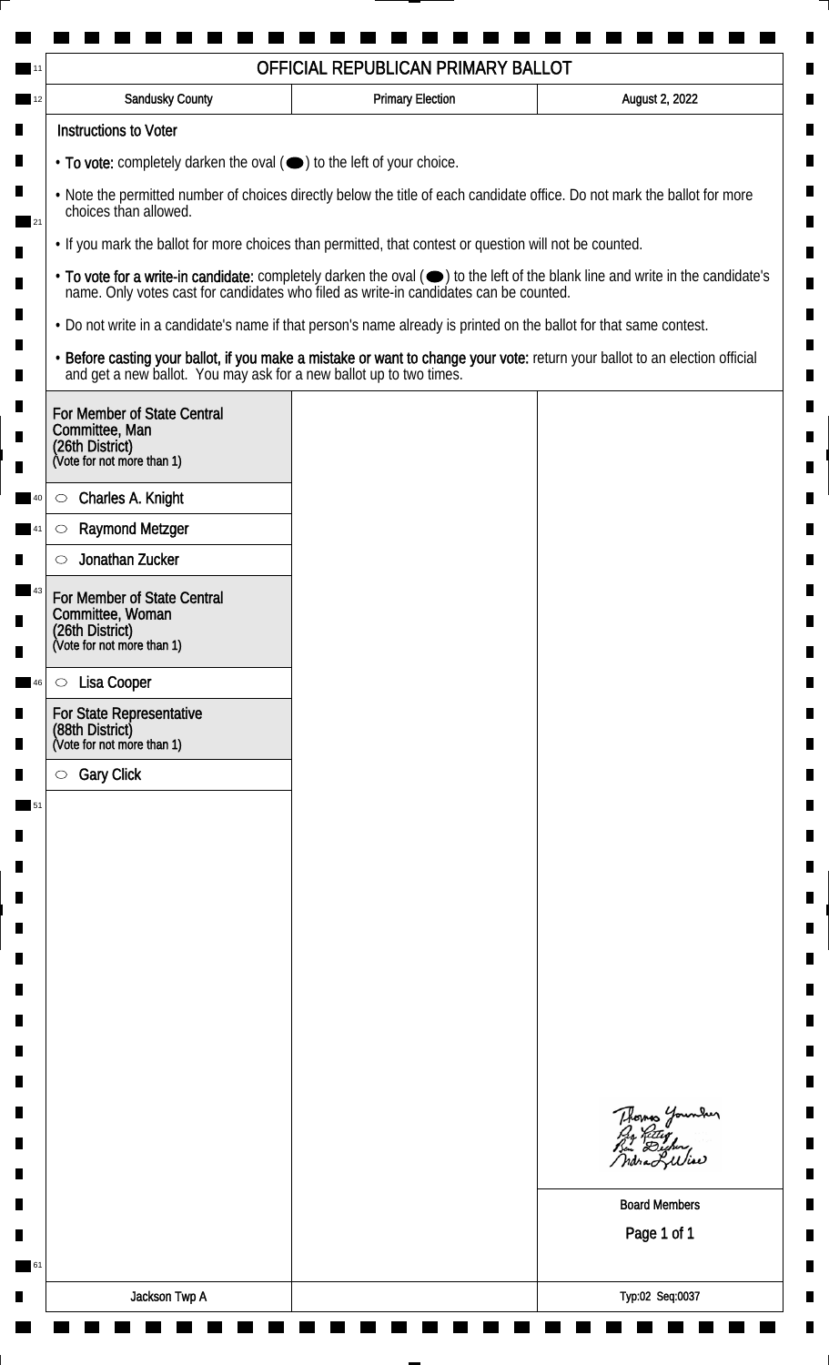|                                                                                                                                                    | <b>Sandusky County</b>                                                                                             | <b>Primary Election</b> | August 2, 2022                                                                                                                |
|----------------------------------------------------------------------------------------------------------------------------------------------------|--------------------------------------------------------------------------------------------------------------------|-------------------------|-------------------------------------------------------------------------------------------------------------------------------|
|                                                                                                                                                    | <b>Instructions to Voter</b>                                                                                       |                         |                                                                                                                               |
| $\cdot$ To vote: completely darken the oval $(\bullet)$ to the left of your choice.                                                                |                                                                                                                    |                         |                                                                                                                               |
| . Note the permitted number of choices directly below the title of each candidate office. Do not mark the ballot for more<br>choices than allowed. |                                                                                                                    |                         |                                                                                                                               |
|                                                                                                                                                    | . If you mark the ballot for more choices than permitted, that contest or question will not be counted.            |                         |                                                                                                                               |
|                                                                                                                                                    | name. Only votes cast for candidates who filed as write-in candidates can be counted.                              |                         | • To vote for a write-in candidate: completely darken the oval (•) to the left of the blank line and write in the candidate's |
|                                                                                                                                                    | . Do not write in a candidate's name if that person's name already is printed on the ballot for that same contest. |                         |                                                                                                                               |
|                                                                                                                                                    | and get a new ballot. You may ask for a new ballot up to two times.                                                |                         | · Before casting your ballot, if you make a mistake or want to change your vote: return your ballot to an election official   |
|                                                                                                                                                    | For Member of State Central<br>Committee, Man<br>(26th District)<br>(Vote for not more than 1)                     |                         |                                                                                                                               |
|                                                                                                                                                    | Charles A. Knight<br>$\circ$                                                                                       |                         |                                                                                                                               |
|                                                                                                                                                    | <b>Raymond Metzger</b><br>$\circlearrowright$                                                                      |                         |                                                                                                                               |
|                                                                                                                                                    | Jonathan Zucker                                                                                                    |                         |                                                                                                                               |
|                                                                                                                                                    | For Member of State Central<br>Committee, Woman<br>(26th District)<br>(Vote for not more than 1)                   |                         |                                                                                                                               |
|                                                                                                                                                    |                                                                                                                    |                         |                                                                                                                               |
|                                                                                                                                                    | Lisa Cooper<br>$\circ$<br>For State Representative                                                                 |                         |                                                                                                                               |
|                                                                                                                                                    | (88th District)<br>(Vote for not more than 1)                                                                      |                         |                                                                                                                               |
|                                                                                                                                                    | <b>Gary Click</b><br>$\circ$                                                                                       |                         |                                                                                                                               |
|                                                                                                                                                    |                                                                                                                    |                         |                                                                                                                               |
|                                                                                                                                                    |                                                                                                                    |                         |                                                                                                                               |
|                                                                                                                                                    |                                                                                                                    |                         |                                                                                                                               |
|                                                                                                                                                    |                                                                                                                    |                         |                                                                                                                               |
|                                                                                                                                                    |                                                                                                                    |                         |                                                                                                                               |
|                                                                                                                                                    |                                                                                                                    |                         |                                                                                                                               |
|                                                                                                                                                    |                                                                                                                    |                         |                                                                                                                               |
|                                                                                                                                                    |                                                                                                                    |                         |                                                                                                                               |
|                                                                                                                                                    |                                                                                                                    |                         |                                                                                                                               |
|                                                                                                                                                    |                                                                                                                    |                         | Thomas Younder<br>By Ritley<br>Bin Dicher,<br>ndra Liliae                                                                     |
|                                                                                                                                                    |                                                                                                                    |                         | <b>Board Members</b>                                                                                                          |
|                                                                                                                                                    |                                                                                                                    |                         | Page 1 of 1                                                                                                                   |
|                                                                                                                                                    |                                                                                                                    |                         |                                                                                                                               |
|                                                                                                                                                    | Jackson Twp A                                                                                                      |                         | Typ:02 Seq:0037                                                                                                               |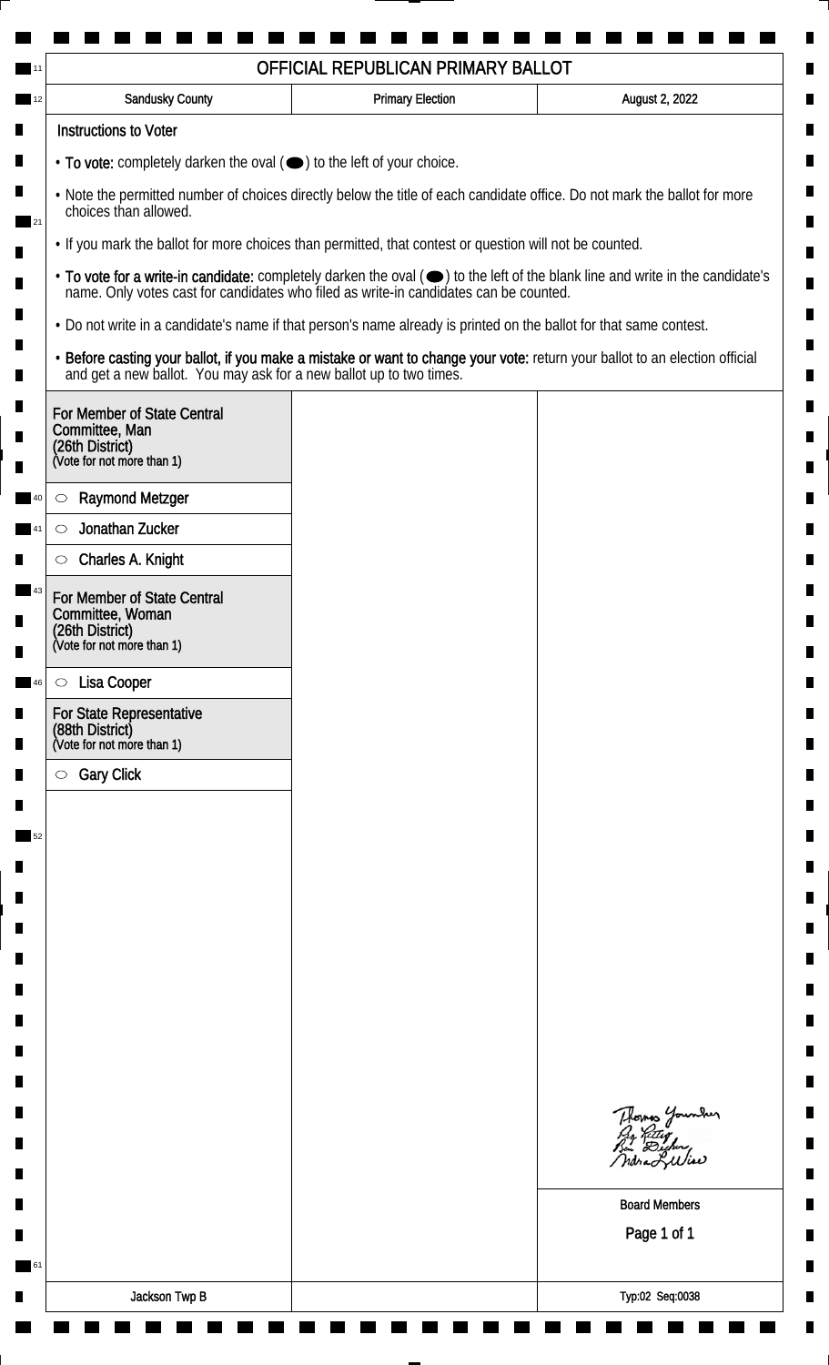|                                                                                                                    | OFFICIAL REPUBLICAN PRIMARY BALLOT |                                                                                                                               |  |
|--------------------------------------------------------------------------------------------------------------------|------------------------------------|-------------------------------------------------------------------------------------------------------------------------------|--|
| <b>Sandusky County</b>                                                                                             | <b>Primary Election</b>            | August 2, 2022                                                                                                                |  |
| <b>Instructions to Voter</b><br>• To vote: completely darken the oval (•) to the left of your choice.              |                                    |                                                                                                                               |  |
|                                                                                                                    |                                    |                                                                                                                               |  |
| name. Only votes cast for candidates who filed as write-in candidates can be counted.                              |                                    | • To vote for a write-in candidate: completely darken the oval (•) to the left of the blank line and write in the candidate's |  |
| . Do not write in a candidate's name if that person's name already is printed on the ballot for that same contest. |                                    |                                                                                                                               |  |
| and get a new ballot. You may ask for a new ballot up to two times.                                                |                                    | · Before casting your ballot, if you make a mistake or want to change your vote: return your ballot to an election official   |  |
| For Member of State Central<br>Committee, Man<br>(26th District)<br>(Vote for not more than 1)                     |                                    |                                                                                                                               |  |
|                                                                                                                    |                                    |                                                                                                                               |  |
| <b>Raymond Metzger</b><br>O<br>Jonathan Zucker<br>$\circ$                                                          |                                    |                                                                                                                               |  |
| Charles A. Knight                                                                                                  |                                    |                                                                                                                               |  |
| O                                                                                                                  |                                    |                                                                                                                               |  |
| For Member of State Central<br>Committee, Woman<br>(26th District)<br>(Vote for not more than 1)                   |                                    |                                                                                                                               |  |
| Lisa Cooper<br>$\circ$                                                                                             |                                    |                                                                                                                               |  |
| For State Representative<br>(88th District)<br>(Vote for not more than 1)                                          |                                    |                                                                                                                               |  |
| <b>Gary Click</b><br>$\circ$                                                                                       |                                    |                                                                                                                               |  |
|                                                                                                                    |                                    |                                                                                                                               |  |
|                                                                                                                    |                                    |                                                                                                                               |  |
|                                                                                                                    |                                    |                                                                                                                               |  |
|                                                                                                                    |                                    |                                                                                                                               |  |
|                                                                                                                    |                                    |                                                                                                                               |  |
|                                                                                                                    |                                    |                                                                                                                               |  |
|                                                                                                                    |                                    |                                                                                                                               |  |
|                                                                                                                    |                                    |                                                                                                                               |  |
|                                                                                                                    |                                    |                                                                                                                               |  |
|                                                                                                                    |                                    |                                                                                                                               |  |
|                                                                                                                    |                                    | Thomas Younder                                                                                                                |  |
|                                                                                                                    |                                    |                                                                                                                               |  |
|                                                                                                                    |                                    | <b>Board Members</b>                                                                                                          |  |
|                                                                                                                    |                                    | Page 1 of 1                                                                                                                   |  |
| Jackson Twp B                                                                                                      |                                    |                                                                                                                               |  |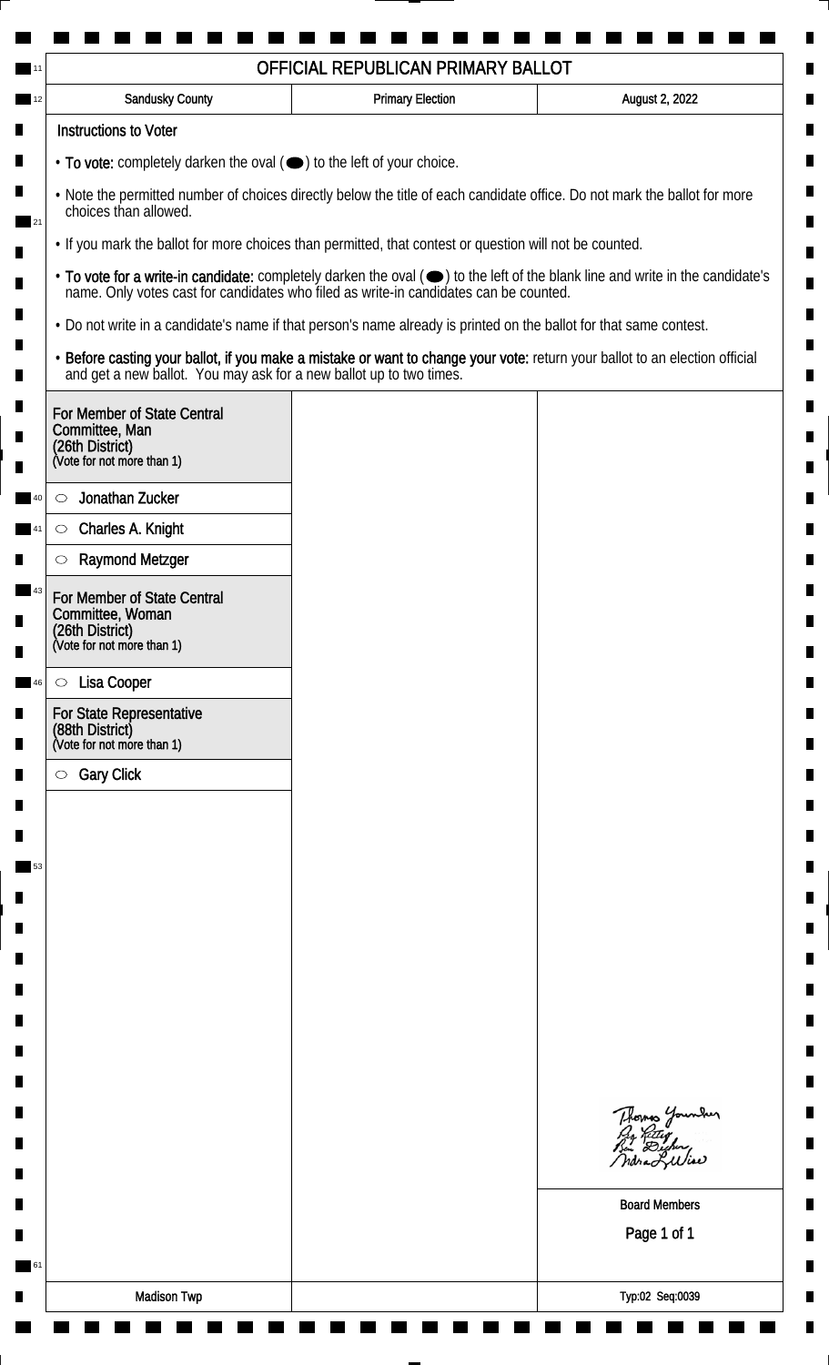|                                                                                                                                                    | OFFICIAL REPUBLICAN PRIMARY BALLOT                                                                                 |                                                                                                                               |  |  |
|----------------------------------------------------------------------------------------------------------------------------------------------------|--------------------------------------------------------------------------------------------------------------------|-------------------------------------------------------------------------------------------------------------------------------|--|--|
| Sandusky County                                                                                                                                    | <b>Primary Election</b>                                                                                            | August 2, 2022                                                                                                                |  |  |
| <b>Instructions to Voter</b>                                                                                                                       |                                                                                                                    |                                                                                                                               |  |  |
| $\cdot$ To vote: completely darken the oval $(\bullet)$ to the left of your choice.                                                                |                                                                                                                    |                                                                                                                               |  |  |
| . Note the permitted number of choices directly below the title of each candidate office. Do not mark the ballot for more<br>choices than allowed. |                                                                                                                    |                                                                                                                               |  |  |
| • If you mark the ballot for more choices than permitted, that contest or question will not be counted.                                            |                                                                                                                    |                                                                                                                               |  |  |
|                                                                                                                                                    | name. Only votes cast for candidates who filed as write-in candidates can be counted.                              | • To vote for a write-in candidate: completely darken the oval (•) to the left of the blank line and write in the candidate's |  |  |
|                                                                                                                                                    | • Do not write in a candidate's name if that person's name already is printed on the ballot for that same contest. |                                                                                                                               |  |  |
| and get a new ballot. You may ask for a new ballot up to two times.                                                                                |                                                                                                                    | . Before casting your ballot, if you make a mistake or want to change your vote: return your ballot to an election official   |  |  |
| For Member of State Central<br>Committee, Man<br>(26th District)<br>(Vote for not more than 1)                                                     |                                                                                                                    |                                                                                                                               |  |  |
| Jonathan Zucker<br>O                                                                                                                               |                                                                                                                    |                                                                                                                               |  |  |
| Charles A. Knight<br>$\circ$                                                                                                                       |                                                                                                                    |                                                                                                                               |  |  |
| <b>Raymond Metzger</b><br>O                                                                                                                        |                                                                                                                    |                                                                                                                               |  |  |
| For Member of State Central<br>Committee, Woman<br>(26th District)<br>(Vote for not more than 1)                                                   |                                                                                                                    |                                                                                                                               |  |  |
|                                                                                                                                                    |                                                                                                                    |                                                                                                                               |  |  |
| Lisa Cooper<br>$\circ$                                                                                                                             |                                                                                                                    |                                                                                                                               |  |  |
| For State Representative<br>(88th District)<br>(Vote for not more than 1)                                                                          |                                                                                                                    |                                                                                                                               |  |  |
| <b>Gary Click</b><br>$\circlearrowright$                                                                                                           |                                                                                                                    |                                                                                                                               |  |  |
|                                                                                                                                                    |                                                                                                                    |                                                                                                                               |  |  |
|                                                                                                                                                    |                                                                                                                    |                                                                                                                               |  |  |
|                                                                                                                                                    |                                                                                                                    |                                                                                                                               |  |  |
|                                                                                                                                                    |                                                                                                                    |                                                                                                                               |  |  |
|                                                                                                                                                    |                                                                                                                    |                                                                                                                               |  |  |
|                                                                                                                                                    |                                                                                                                    |                                                                                                                               |  |  |
|                                                                                                                                                    |                                                                                                                    |                                                                                                                               |  |  |
|                                                                                                                                                    |                                                                                                                    |                                                                                                                               |  |  |
|                                                                                                                                                    |                                                                                                                    |                                                                                                                               |  |  |
|                                                                                                                                                    |                                                                                                                    |                                                                                                                               |  |  |
|                                                                                                                                                    |                                                                                                                    | Thomas Younder<br>ndraLuliae                                                                                                  |  |  |
|                                                                                                                                                    |                                                                                                                    | <b>Board Members</b>                                                                                                          |  |  |
|                                                                                                                                                    |                                                                                                                    | Page 1 of 1                                                                                                                   |  |  |
|                                                                                                                                                    |                                                                                                                    |                                                                                                                               |  |  |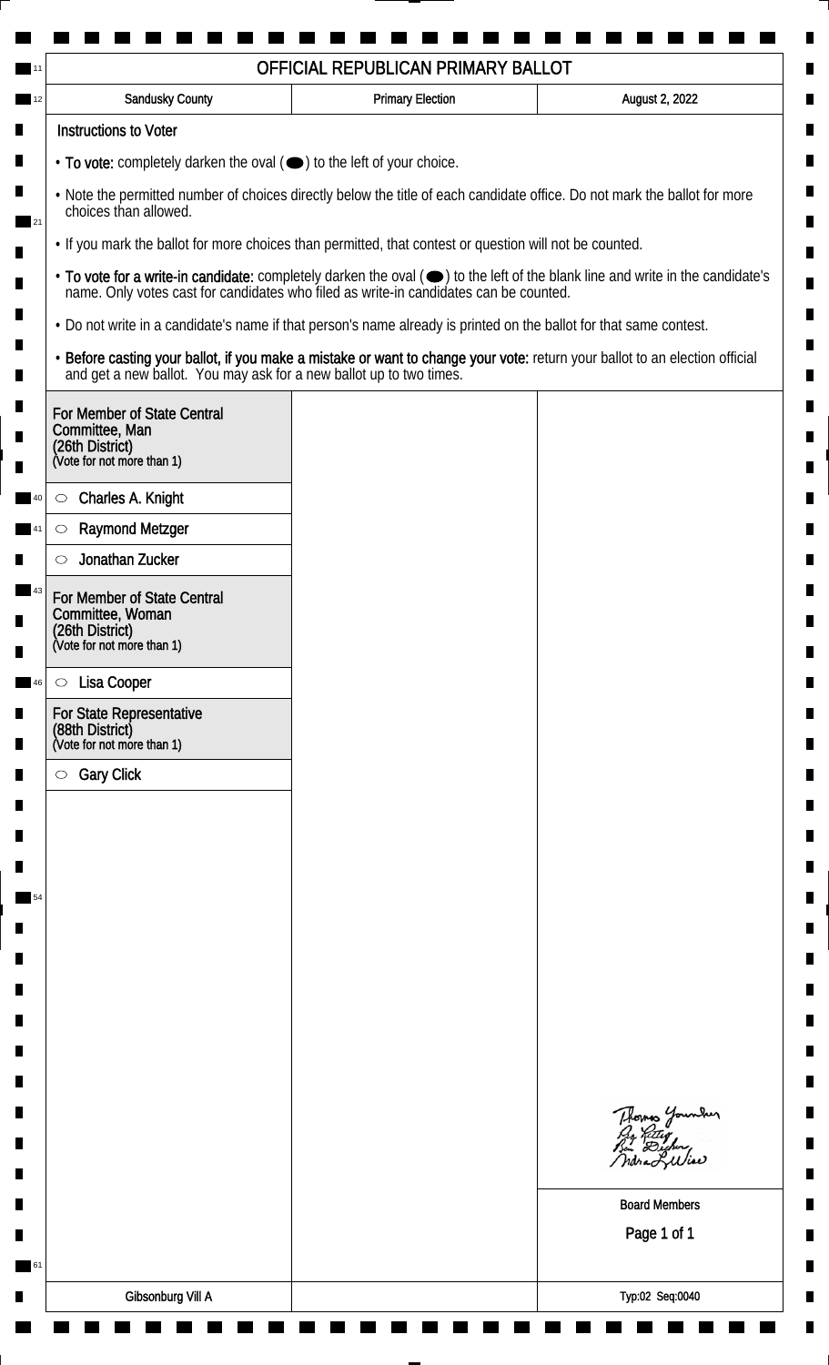| <b>Sandusky County</b>                                                                                                                                                                                                                                              | <b>Primary Election</b> | August 2, 2022                                                                                                              |                                                                                       |  |
|---------------------------------------------------------------------------------------------------------------------------------------------------------------------------------------------------------------------------------------------------------------------|-------------------------|-----------------------------------------------------------------------------------------------------------------------------|---------------------------------------------------------------------------------------|--|
| <b>Instructions to Voter</b>                                                                                                                                                                                                                                        |                         |                                                                                                                             |                                                                                       |  |
| $\cdot$ To vote: completely darken the oval $(\bullet)$ to the left of your choice.                                                                                                                                                                                 |                         |                                                                                                                             |                                                                                       |  |
| . Note the permitted number of choices directly below the title of each candidate office. Do not mark the ballot for more<br>choices than allowed.<br>21<br>. If you mark the ballot for more choices than permitted, that contest or question will not be counted. |                         |                                                                                                                             |                                                                                       |  |
|                                                                                                                                                                                                                                                                     |                         |                                                                                                                             | name. Only votes cast for candidates who filed as write-in candidates can be counted. |  |
| . Do not write in a candidate's name if that person's name already is printed on the ballot for that same contest.                                                                                                                                                  |                         |                                                                                                                             |                                                                                       |  |
| and get a new ballot. You may ask for a new ballot up to two times.                                                                                                                                                                                                 |                         | · Before casting your ballot, if you make a mistake or want to change your vote: return your ballot to an election official |                                                                                       |  |
| For Member of State Central<br>Committee, Man<br>(26th District)<br>(Vote for not more than 1)                                                                                                                                                                      |                         |                                                                                                                             |                                                                                       |  |
| Charles A. Knight<br>$\circ$                                                                                                                                                                                                                                        |                         |                                                                                                                             |                                                                                       |  |
| <b>Raymond Metzger</b><br>$\circlearrowright$                                                                                                                                                                                                                       |                         |                                                                                                                             |                                                                                       |  |
| Jonathan Zucker                                                                                                                                                                                                                                                     |                         |                                                                                                                             |                                                                                       |  |
| For Member of State Central<br>Committee, Woman<br>(26th District)<br>(Vote for not more than 1)                                                                                                                                                                    |                         |                                                                                                                             |                                                                                       |  |
| Lisa Cooper<br>$\circ$                                                                                                                                                                                                                                              |                         |                                                                                                                             |                                                                                       |  |
| For State Representative<br>(88th District)<br>(Vote for not more than 1)                                                                                                                                                                                           |                         |                                                                                                                             |                                                                                       |  |
| <b>Gary Click</b><br>$\bigcirc$                                                                                                                                                                                                                                     |                         |                                                                                                                             |                                                                                       |  |
|                                                                                                                                                                                                                                                                     |                         |                                                                                                                             |                                                                                       |  |
|                                                                                                                                                                                                                                                                     |                         |                                                                                                                             |                                                                                       |  |
|                                                                                                                                                                                                                                                                     |                         |                                                                                                                             |                                                                                       |  |
|                                                                                                                                                                                                                                                                     |                         |                                                                                                                             |                                                                                       |  |
|                                                                                                                                                                                                                                                                     |                         |                                                                                                                             |                                                                                       |  |
|                                                                                                                                                                                                                                                                     |                         |                                                                                                                             |                                                                                       |  |
|                                                                                                                                                                                                                                                                     |                         |                                                                                                                             |                                                                                       |  |
|                                                                                                                                                                                                                                                                     |                         |                                                                                                                             |                                                                                       |  |
|                                                                                                                                                                                                                                                                     |                         |                                                                                                                             |                                                                                       |  |
|                                                                                                                                                                                                                                                                     |                         | Thomas Younder<br>By Ritley<br>Bin Dicher,<br>ndra Liliae                                                                   |                                                                                       |  |
|                                                                                                                                                                                                                                                                     |                         | <b>Board Members</b>                                                                                                        |                                                                                       |  |
|                                                                                                                                                                                                                                                                     |                         | Page 1 of 1                                                                                                                 |                                                                                       |  |
|                                                                                                                                                                                                                                                                     |                         |                                                                                                                             |                                                                                       |  |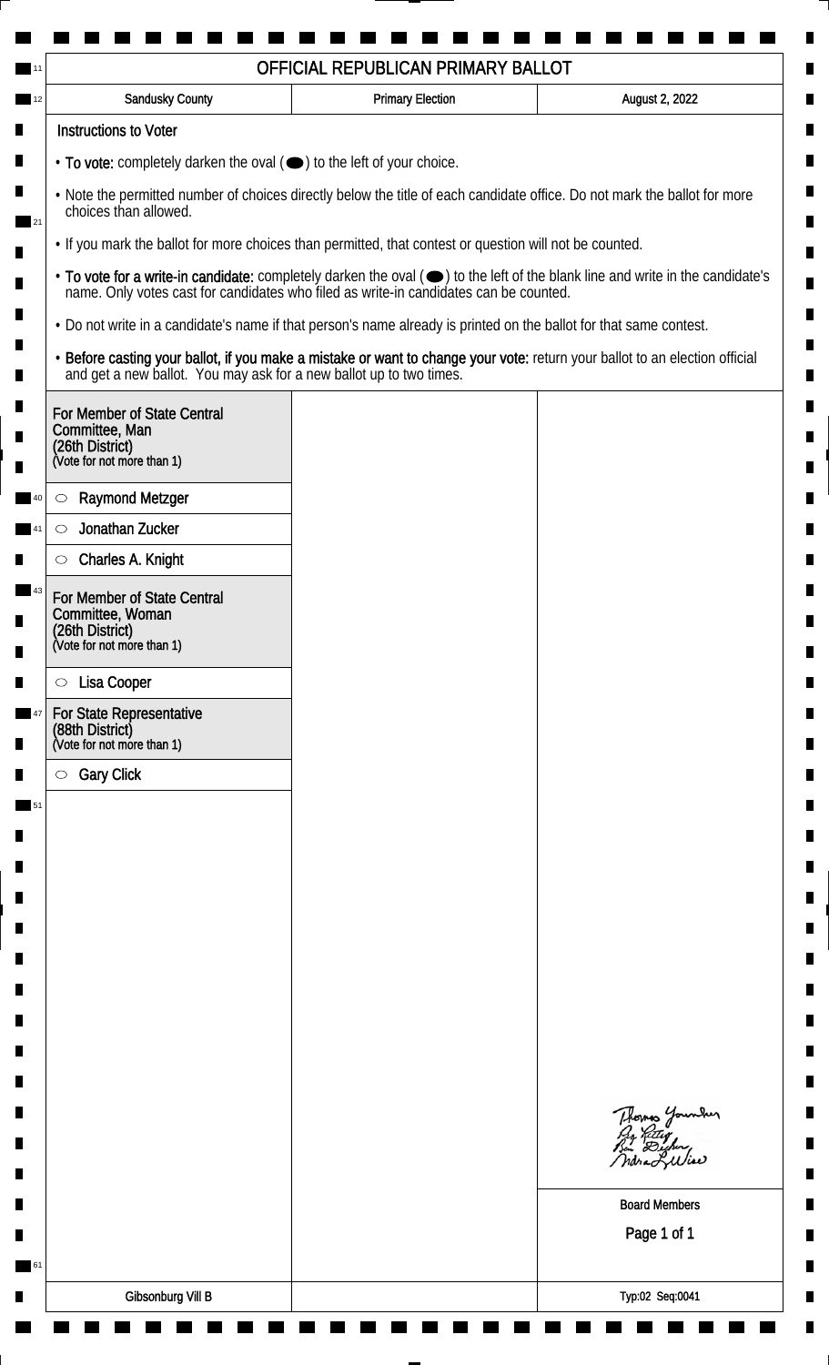| OFFICIAL REPUBLICAN PRIMARY BALLOT                                                                                                                 |                                                                                                         |                                                                                                                               |  |  |
|----------------------------------------------------------------------------------------------------------------------------------------------------|---------------------------------------------------------------------------------------------------------|-------------------------------------------------------------------------------------------------------------------------------|--|--|
| Sandusky County                                                                                                                                    | <b>Primary Election</b>                                                                                 | August 2, 2022                                                                                                                |  |  |
| <b>Instructions to Voter</b>                                                                                                                       |                                                                                                         |                                                                                                                               |  |  |
| $\cdot$ To vote: completely darken the oval $(\bullet)$ to the left of your choice.                                                                |                                                                                                         |                                                                                                                               |  |  |
| . Note the permitted number of choices directly below the title of each candidate office. Do not mark the ballot for more<br>choices than allowed. |                                                                                                         |                                                                                                                               |  |  |
|                                                                                                                                                    | • If you mark the ballot for more choices than permitted, that contest or question will not be counted. |                                                                                                                               |  |  |
|                                                                                                                                                    | name. Only votes cast for candidates who filed as write-in candidates can be counted.                   | • To vote for a write-in candidate: completely darken the oval (•) to the left of the blank line and write in the candidate's |  |  |
| • Do not write in a candidate's name if that person's name already is printed on the ballot for that same contest.                                 |                                                                                                         |                                                                                                                               |  |  |
|                                                                                                                                                    | and get a new ballot. You may ask for a new ballot up to two times.                                     | . Before casting your ballot, if you make a mistake or want to change your vote: return your ballot to an election official   |  |  |
| For Member of State Central<br>Committee, Man<br>(26th District)<br>(Vote for not more than 1)                                                     |                                                                                                         |                                                                                                                               |  |  |
| <b>Raymond Metzger</b><br>$\circ$                                                                                                                  |                                                                                                         |                                                                                                                               |  |  |
| Jonathan Zucker<br>$\circlearrowright$                                                                                                             |                                                                                                         |                                                                                                                               |  |  |
| Charles A. Knight<br>O                                                                                                                             |                                                                                                         |                                                                                                                               |  |  |
| For Member of State Central<br>Committee, Woman<br>(26th District)<br>(Vote for not more than 1)                                                   |                                                                                                         |                                                                                                                               |  |  |
|                                                                                                                                                    |                                                                                                         |                                                                                                                               |  |  |
| Lisa Cooper<br>$\circ$                                                                                                                             |                                                                                                         |                                                                                                                               |  |  |
| For State Representative<br>(88th District)<br>(Vote for not more than 1)                                                                          |                                                                                                         |                                                                                                                               |  |  |
| <b>Gary Click</b><br>$\circlearrowright$                                                                                                           |                                                                                                         |                                                                                                                               |  |  |
|                                                                                                                                                    |                                                                                                         |                                                                                                                               |  |  |
|                                                                                                                                                    |                                                                                                         |                                                                                                                               |  |  |
|                                                                                                                                                    |                                                                                                         |                                                                                                                               |  |  |
|                                                                                                                                                    |                                                                                                         |                                                                                                                               |  |  |
|                                                                                                                                                    |                                                                                                         |                                                                                                                               |  |  |
|                                                                                                                                                    |                                                                                                         |                                                                                                                               |  |  |
|                                                                                                                                                    |                                                                                                         |                                                                                                                               |  |  |
|                                                                                                                                                    |                                                                                                         |                                                                                                                               |  |  |
|                                                                                                                                                    |                                                                                                         |                                                                                                                               |  |  |
|                                                                                                                                                    |                                                                                                         |                                                                                                                               |  |  |
|                                                                                                                                                    |                                                                                                         | Thomas Younder<br>ndra Liliae                                                                                                 |  |  |
|                                                                                                                                                    |                                                                                                         | <b>Board Members</b>                                                                                                          |  |  |
|                                                                                                                                                    |                                                                                                         | Page 1 of 1                                                                                                                   |  |  |
|                                                                                                                                                    |                                                                                                         |                                                                                                                               |  |  |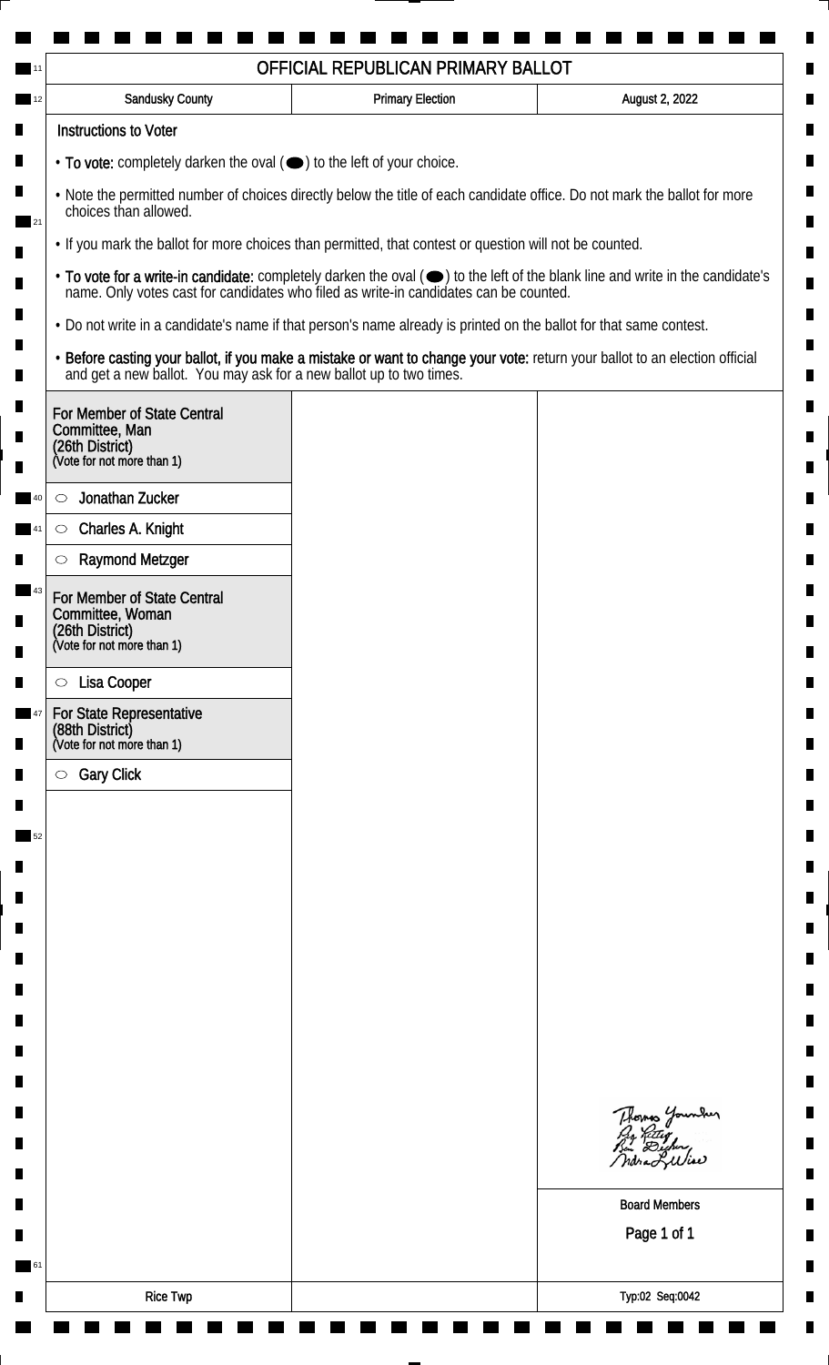|                                                                                                                                                    |                                                                                                                    | OFFICIAL REPUBLICAN PRIMARY BALLOT                                                    |                                                                                                                               |  |  |
|----------------------------------------------------------------------------------------------------------------------------------------------------|--------------------------------------------------------------------------------------------------------------------|---------------------------------------------------------------------------------------|-------------------------------------------------------------------------------------------------------------------------------|--|--|
|                                                                                                                                                    | Sandusky County                                                                                                    | <b>Primary Election</b>                                                               | August 2, 2022                                                                                                                |  |  |
|                                                                                                                                                    | <b>Instructions to Voter</b>                                                                                       |                                                                                       |                                                                                                                               |  |  |
|                                                                                                                                                    | $\cdot$ To vote: completely darken the oval $(\bullet)$ to the left of your choice.                                |                                                                                       |                                                                                                                               |  |  |
| . Note the permitted number of choices directly below the title of each candidate office. Do not mark the ballot for more<br>choices than allowed. |                                                                                                                    |                                                                                       |                                                                                                                               |  |  |
|                                                                                                                                                    | • If you mark the ballot for more choices than permitted, that contest or question will not be counted.            |                                                                                       |                                                                                                                               |  |  |
|                                                                                                                                                    |                                                                                                                    | name. Only votes cast for candidates who filed as write-in candidates can be counted. | • To vote for a write-in candidate: completely darken the oval (•) to the left of the blank line and write in the candidate's |  |  |
|                                                                                                                                                    | • Do not write in a candidate's name if that person's name already is printed on the ballot for that same contest. |                                                                                       |                                                                                                                               |  |  |
|                                                                                                                                                    | and get a new ballot. You may ask for a new ballot up to two times.                                                |                                                                                       | . Before casting your ballot, if you make a mistake or want to change your vote: return your ballot to an election official   |  |  |
| (26th District)                                                                                                                                    | For Member of State Central<br>Committee, Man<br>(Vote for not more than 1)                                        |                                                                                       |                                                                                                                               |  |  |
| O                                                                                                                                                  | Jonathan Zucker                                                                                                    |                                                                                       |                                                                                                                               |  |  |
| $\circ$                                                                                                                                            | Charles A. Knight                                                                                                  |                                                                                       |                                                                                                                               |  |  |
| O                                                                                                                                                  | <b>Raymond Metzger</b>                                                                                             |                                                                                       |                                                                                                                               |  |  |
|                                                                                                                                                    | For Member of State Central<br>Committee, Woman<br>(26th District)<br>(Vote for not more than 1)                   |                                                                                       |                                                                                                                               |  |  |
|                                                                                                                                                    |                                                                                                                    |                                                                                       |                                                                                                                               |  |  |
| $\circ$                                                                                                                                            | Lisa Cooper                                                                                                        |                                                                                       |                                                                                                                               |  |  |
| (88th District)                                                                                                                                    | For State Representative<br>(Vote for not more than 1)                                                             |                                                                                       |                                                                                                                               |  |  |
| $\circlearrowright$                                                                                                                                | <b>Gary Click</b>                                                                                                  |                                                                                       |                                                                                                                               |  |  |
|                                                                                                                                                    |                                                                                                                    |                                                                                       |                                                                                                                               |  |  |
|                                                                                                                                                    |                                                                                                                    |                                                                                       |                                                                                                                               |  |  |
|                                                                                                                                                    |                                                                                                                    |                                                                                       |                                                                                                                               |  |  |
|                                                                                                                                                    |                                                                                                                    |                                                                                       |                                                                                                                               |  |  |
|                                                                                                                                                    |                                                                                                                    |                                                                                       |                                                                                                                               |  |  |
|                                                                                                                                                    |                                                                                                                    |                                                                                       |                                                                                                                               |  |  |
|                                                                                                                                                    |                                                                                                                    |                                                                                       |                                                                                                                               |  |  |
|                                                                                                                                                    |                                                                                                                    |                                                                                       |                                                                                                                               |  |  |
|                                                                                                                                                    |                                                                                                                    |                                                                                       |                                                                                                                               |  |  |
|                                                                                                                                                    |                                                                                                                    |                                                                                       |                                                                                                                               |  |  |
|                                                                                                                                                    |                                                                                                                    |                                                                                       | Thomas Younder<br>ndra Liliae                                                                                                 |  |  |
|                                                                                                                                                    |                                                                                                                    |                                                                                       | <b>Board Members</b>                                                                                                          |  |  |
|                                                                                                                                                    |                                                                                                                    |                                                                                       | Page 1 of 1                                                                                                                   |  |  |
|                                                                                                                                                    |                                                                                                                    |                                                                                       |                                                                                                                               |  |  |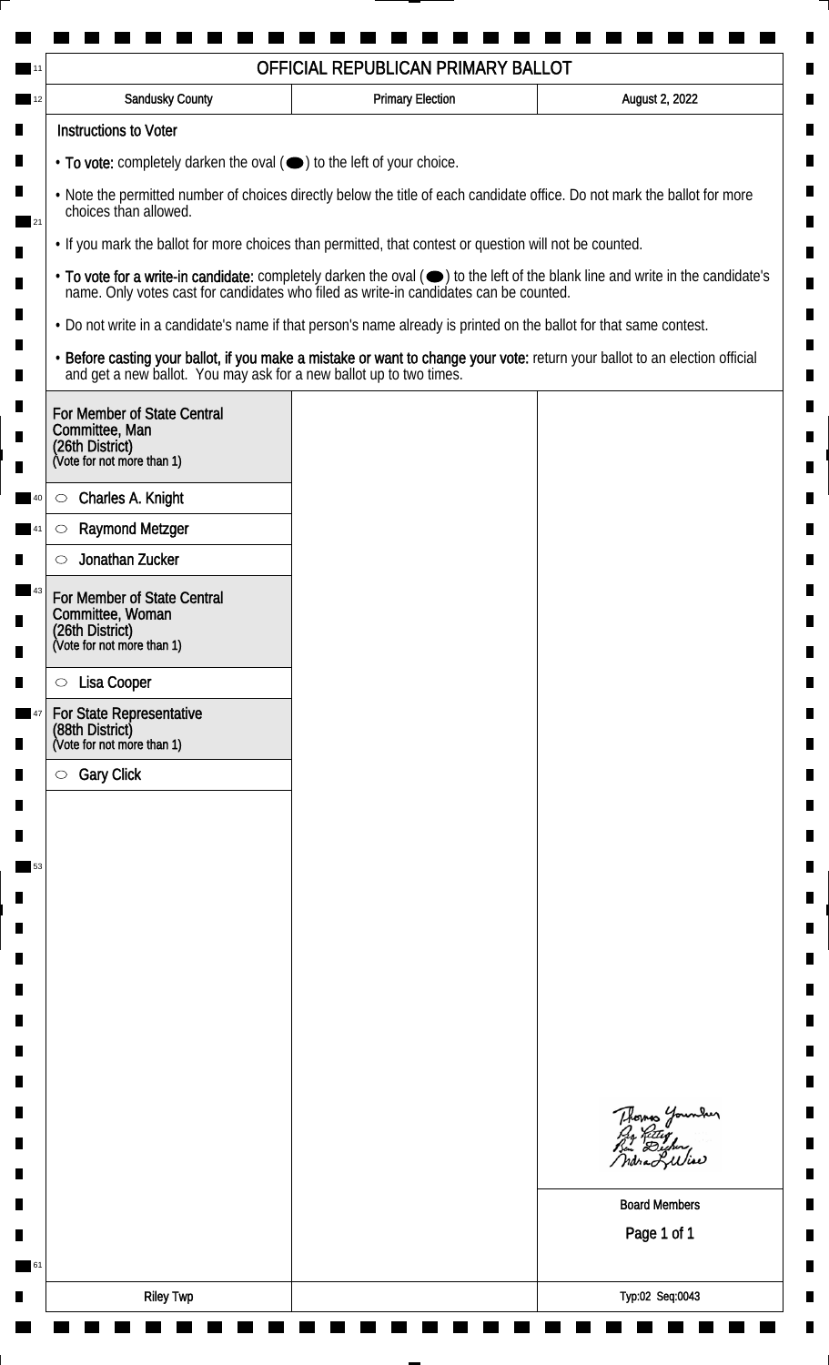|                                                                                                                                                    |                                                                                                         | OFFICIAL REPUBLICAN PRIMARY BALLOT                                                                                 |                                                                                                                               |  |
|----------------------------------------------------------------------------------------------------------------------------------------------------|---------------------------------------------------------------------------------------------------------|--------------------------------------------------------------------------------------------------------------------|-------------------------------------------------------------------------------------------------------------------------------|--|
|                                                                                                                                                    | Sandusky County                                                                                         | <b>Primary Election</b>                                                                                            | August 2, 2022                                                                                                                |  |
|                                                                                                                                                    | <b>Instructions to Voter</b>                                                                            |                                                                                                                    |                                                                                                                               |  |
|                                                                                                                                                    | $\cdot$ To vote: completely darken the oval $(\bullet)$ to the left of your choice.                     |                                                                                                                    |                                                                                                                               |  |
| . Note the permitted number of choices directly below the title of each candidate office. Do not mark the ballot for more<br>choices than allowed. |                                                                                                         |                                                                                                                    |                                                                                                                               |  |
|                                                                                                                                                    | • If you mark the ballot for more choices than permitted, that contest or question will not be counted. |                                                                                                                    |                                                                                                                               |  |
|                                                                                                                                                    |                                                                                                         | name. Only votes cast for candidates who filed as write-in candidates can be counted.                              | • To vote for a write-in candidate: completely darken the oval (•) to the left of the blank line and write in the candidate's |  |
|                                                                                                                                                    |                                                                                                         | • Do not write in a candidate's name if that person's name already is printed on the ballot for that same contest. |                                                                                                                               |  |
|                                                                                                                                                    | and get a new ballot. You may ask for a new ballot up to two times.                                     |                                                                                                                    | · Before casting your ballot, if you make a mistake or want to change your vote: return your ballot to an election official   |  |
| (26th District)                                                                                                                                    | For Member of State Central<br>Committee, Man<br>(Vote for not more than 1)                             |                                                                                                                    |                                                                                                                               |  |
| $\circ$                                                                                                                                            | Charles A. Knight                                                                                       |                                                                                                                    |                                                                                                                               |  |
| $\circlearrowright$                                                                                                                                | <b>Raymond Metzger</b>                                                                                  |                                                                                                                    |                                                                                                                               |  |
|                                                                                                                                                    | Jonathan Zucker                                                                                         |                                                                                                                    |                                                                                                                               |  |
|                                                                                                                                                    | For Member of State Central<br>Committee, Woman<br>(26th District)<br>(Vote for not more than 1)        |                                                                                                                    |                                                                                                                               |  |
| $\circ$                                                                                                                                            | Lisa Cooper                                                                                             |                                                                                                                    |                                                                                                                               |  |
|                                                                                                                                                    | For State Representative                                                                                |                                                                                                                    |                                                                                                                               |  |
| (88th District)                                                                                                                                    | (Vote for not more than 1)                                                                              |                                                                                                                    |                                                                                                                               |  |
| $\circlearrowright$                                                                                                                                | <b>Gary Click</b>                                                                                       |                                                                                                                    |                                                                                                                               |  |
|                                                                                                                                                    |                                                                                                         |                                                                                                                    |                                                                                                                               |  |
|                                                                                                                                                    |                                                                                                         |                                                                                                                    |                                                                                                                               |  |
|                                                                                                                                                    |                                                                                                         |                                                                                                                    |                                                                                                                               |  |
|                                                                                                                                                    |                                                                                                         |                                                                                                                    |                                                                                                                               |  |
|                                                                                                                                                    |                                                                                                         |                                                                                                                    |                                                                                                                               |  |
|                                                                                                                                                    |                                                                                                         |                                                                                                                    |                                                                                                                               |  |
|                                                                                                                                                    |                                                                                                         |                                                                                                                    |                                                                                                                               |  |
|                                                                                                                                                    |                                                                                                         |                                                                                                                    |                                                                                                                               |  |
|                                                                                                                                                    |                                                                                                         |                                                                                                                    |                                                                                                                               |  |
|                                                                                                                                                    |                                                                                                         |                                                                                                                    | Thomas Younder<br>ndra Liliae                                                                                                 |  |
|                                                                                                                                                    |                                                                                                         |                                                                                                                    | <b>Board Members</b>                                                                                                          |  |
|                                                                                                                                                    |                                                                                                         |                                                                                                                    | Page 1 of 1                                                                                                                   |  |
|                                                                                                                                                    |                                                                                                         |                                                                                                                    |                                                                                                                               |  |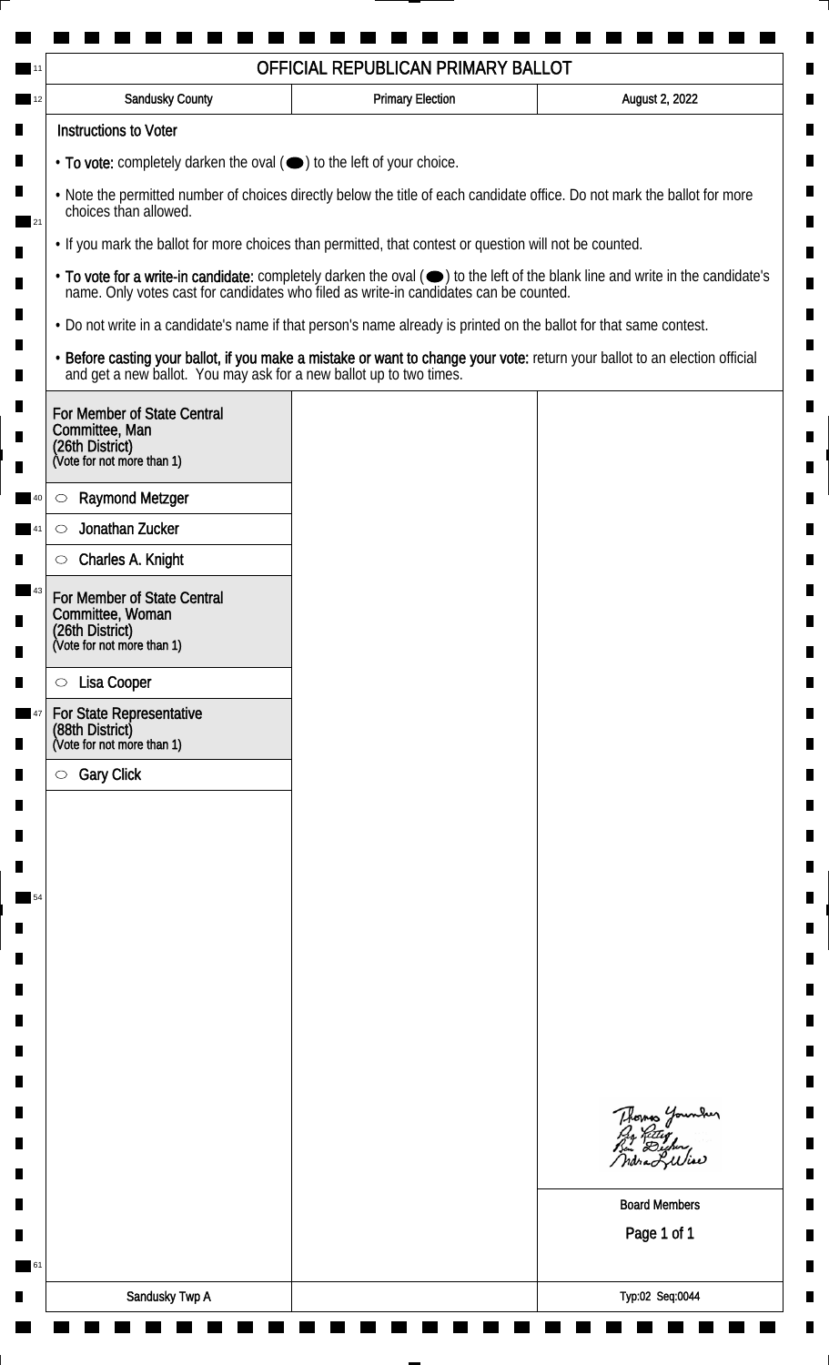| <b>Sandusky County</b>                                                                                                                                                                                                                    | <b>Primary Election</b> | August 2, 2022                                                                                                                                                                                                                 |  |                                                                                                                |
|-------------------------------------------------------------------------------------------------------------------------------------------------------------------------------------------------------------------------------------------|-------------------------|--------------------------------------------------------------------------------------------------------------------------------------------------------------------------------------------------------------------------------|--|----------------------------------------------------------------------------------------------------------------|
| <b>Instructions to Voter</b>                                                                                                                                                                                                              |                         |                                                                                                                                                                                                                                |  |                                                                                                                |
| $\cdot$ To vote: completely darken the oval $(\bullet)$ to the left of your choice.<br>. Note the permitted number of choices directly below the title of each candidate office. Do not mark the ballot for more<br>choices than allowed. |                         |                                                                                                                                                                                                                                |  |                                                                                                                |
|                                                                                                                                                                                                                                           |                         |                                                                                                                                                                                                                                |  | 121<br>• If you mark the ballot for more choices than permitted, that contest or question will not be counted. |
|                                                                                                                                                                                                                                           |                         | • To vote for a write-in candidate: completely darken the oval ( $\bigcirc$ ) to the left of the blank line and write in the candidate's name. Only votes cast for candidates who filed as write-in candidates can be counted. |  |                                                                                                                |
| . Do not write in a candidate's name if that person's name already is printed on the ballot for that same contest.                                                                                                                        |                         |                                                                                                                                                                                                                                |  |                                                                                                                |
| and get a new ballot. You may ask for a new ballot up to two times.                                                                                                                                                                       |                         | · Before casting your ballot, if you make a mistake or want to change your vote: return your ballot to an election official                                                                                                    |  |                                                                                                                |
| For Member of State Central<br>Committee, Man<br>(26th District)<br>(Vote for not more than 1)                                                                                                                                            |                         |                                                                                                                                                                                                                                |  |                                                                                                                |
| <b>Raymond Metzger</b><br>$\circlearrowright$                                                                                                                                                                                             |                         |                                                                                                                                                                                                                                |  |                                                                                                                |
| Jonathan Zucker<br>$\circlearrowright$                                                                                                                                                                                                    |                         |                                                                                                                                                                                                                                |  |                                                                                                                |
| Charles A. Knight<br>$\circlearrowright$                                                                                                                                                                                                  |                         |                                                                                                                                                                                                                                |  |                                                                                                                |
| For Member of State Central<br>Committee, Woman<br>(26th District)<br>(Vote for not more than 1)                                                                                                                                          |                         |                                                                                                                                                                                                                                |  |                                                                                                                |
| Lisa Cooper<br>$\circ$                                                                                                                                                                                                                    |                         |                                                                                                                                                                                                                                |  |                                                                                                                |
| For State Representative<br>(88th District)                                                                                                                                                                                               |                         |                                                                                                                                                                                                                                |  |                                                                                                                |
| (Vote for not more than 1)                                                                                                                                                                                                                |                         |                                                                                                                                                                                                                                |  |                                                                                                                |
| <b>Gary Click</b><br>$\circ$                                                                                                                                                                                                              |                         |                                                                                                                                                                                                                                |  |                                                                                                                |
|                                                                                                                                                                                                                                           |                         |                                                                                                                                                                                                                                |  |                                                                                                                |
|                                                                                                                                                                                                                                           |                         |                                                                                                                                                                                                                                |  |                                                                                                                |
|                                                                                                                                                                                                                                           |                         |                                                                                                                                                                                                                                |  |                                                                                                                |
|                                                                                                                                                                                                                                           |                         |                                                                                                                                                                                                                                |  |                                                                                                                |
|                                                                                                                                                                                                                                           |                         |                                                                                                                                                                                                                                |  |                                                                                                                |
|                                                                                                                                                                                                                                           |                         |                                                                                                                                                                                                                                |  |                                                                                                                |
|                                                                                                                                                                                                                                           |                         |                                                                                                                                                                                                                                |  |                                                                                                                |
|                                                                                                                                                                                                                                           |                         |                                                                                                                                                                                                                                |  |                                                                                                                |
|                                                                                                                                                                                                                                           |                         |                                                                                                                                                                                                                                |  |                                                                                                                |
|                                                                                                                                                                                                                                           |                         | Thomas Younder<br>By Ritig<br>Bu Digher,<br>ndra Lulia                                                                                                                                                                         |  |                                                                                                                |
|                                                                                                                                                                                                                                           |                         | <b>Board Members</b>                                                                                                                                                                                                           |  |                                                                                                                |
|                                                                                                                                                                                                                                           |                         | Page 1 of 1                                                                                                                                                                                                                    |  |                                                                                                                |
|                                                                                                                                                                                                                                           |                         |                                                                                                                                                                                                                                |  |                                                                                                                |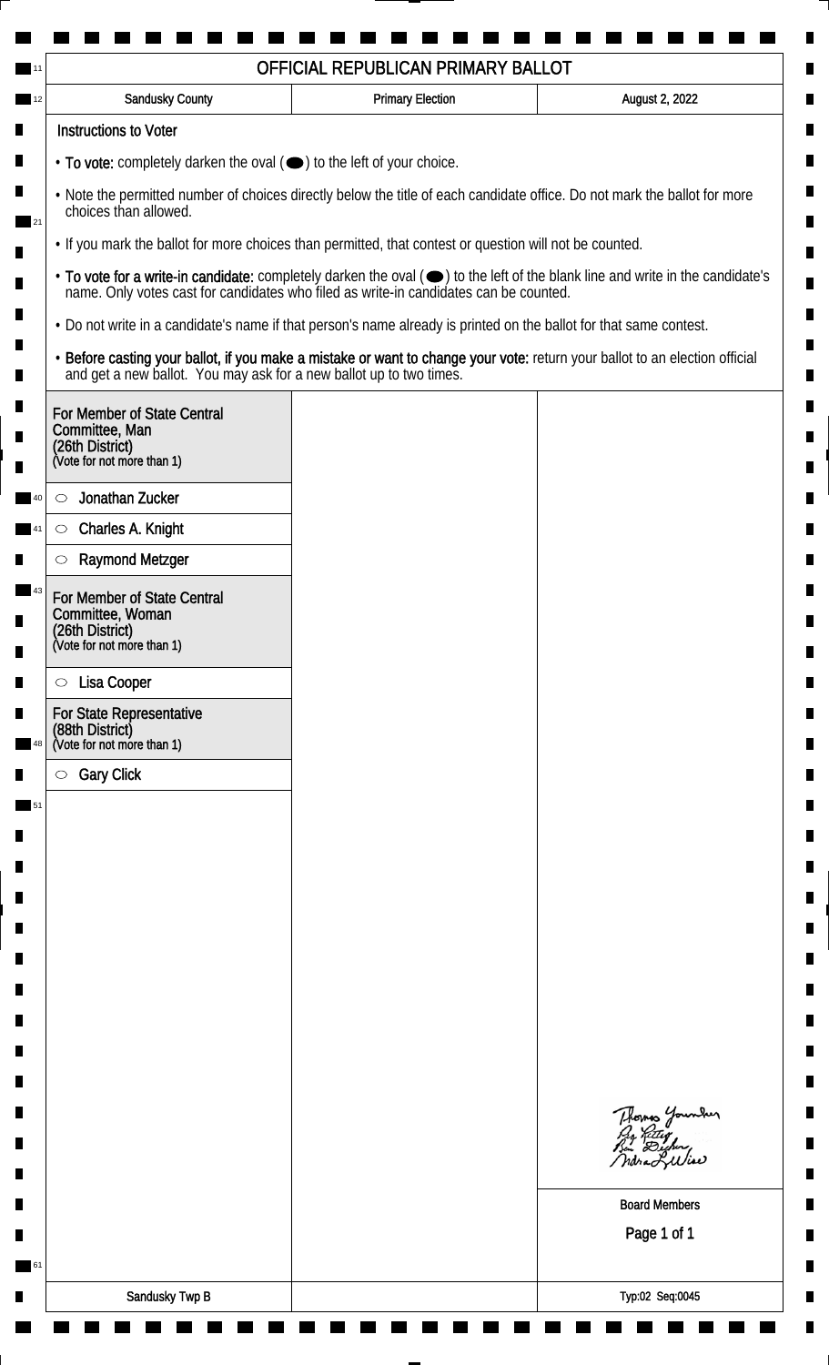|                                                                                                                                                    | OFFICIAL REPUBLICAN PRIMARY BALLOT                                                    |                                                                                                                               |  |  |
|----------------------------------------------------------------------------------------------------------------------------------------------------|---------------------------------------------------------------------------------------|-------------------------------------------------------------------------------------------------------------------------------|--|--|
| Sandusky County                                                                                                                                    | <b>Primary Election</b>                                                               | August 2, 2022                                                                                                                |  |  |
| <b>Instructions to Voter</b>                                                                                                                       |                                                                                       |                                                                                                                               |  |  |
| $\cdot$ To vote: completely darken the oval $(\bullet)$ to the left of your choice.                                                                |                                                                                       |                                                                                                                               |  |  |
| . Note the permitted number of choices directly below the title of each candidate office. Do not mark the ballot for more<br>choices than allowed. |                                                                                       |                                                                                                                               |  |  |
| • If you mark the ballot for more choices than permitted, that contest or question will not be counted.                                            |                                                                                       |                                                                                                                               |  |  |
|                                                                                                                                                    | name. Only votes cast for candidates who filed as write-in candidates can be counted. | • To vote for a write-in candidate: completely darken the oval (•) to the left of the blank line and write in the candidate's |  |  |
| • Do not write in a candidate's name if that person's name already is printed on the ballot for that same contest.                                 |                                                                                       |                                                                                                                               |  |  |
| and get a new ballot. You may ask for a new ballot up to two times.                                                                                |                                                                                       | . Before casting your ballot, if you make a mistake or want to change your vote: return your ballot to an election official   |  |  |
| For Member of State Central<br>Committee, Man<br>(26th District)<br>(Vote for not more than 1)                                                     |                                                                                       |                                                                                                                               |  |  |
| Jonathan Zucker<br>O                                                                                                                               |                                                                                       |                                                                                                                               |  |  |
| Charles A. Knight<br>$\circ$                                                                                                                       |                                                                                       |                                                                                                                               |  |  |
| <b>Raymond Metzger</b><br>O                                                                                                                        |                                                                                       |                                                                                                                               |  |  |
| For Member of State Central<br>Committee, Woman<br>(26th District)<br>(Vote for not more than 1)                                                   |                                                                                       |                                                                                                                               |  |  |
| Lisa Cooper<br>$\circ$                                                                                                                             |                                                                                       |                                                                                                                               |  |  |
| For State Representative                                                                                                                           |                                                                                       |                                                                                                                               |  |  |
| (88th District)<br>(Vote for not more than 1)                                                                                                      |                                                                                       |                                                                                                                               |  |  |
| <b>Gary Click</b><br>$\circlearrowright$                                                                                                           |                                                                                       |                                                                                                                               |  |  |
|                                                                                                                                                    |                                                                                       |                                                                                                                               |  |  |
|                                                                                                                                                    |                                                                                       |                                                                                                                               |  |  |
|                                                                                                                                                    |                                                                                       |                                                                                                                               |  |  |
|                                                                                                                                                    |                                                                                       |                                                                                                                               |  |  |
|                                                                                                                                                    |                                                                                       |                                                                                                                               |  |  |
|                                                                                                                                                    |                                                                                       |                                                                                                                               |  |  |
|                                                                                                                                                    |                                                                                       |                                                                                                                               |  |  |
|                                                                                                                                                    |                                                                                       |                                                                                                                               |  |  |
|                                                                                                                                                    |                                                                                       |                                                                                                                               |  |  |
|                                                                                                                                                    |                                                                                       |                                                                                                                               |  |  |
|                                                                                                                                                    |                                                                                       | Thomas Younder<br>ndraLuliae                                                                                                  |  |  |
|                                                                                                                                                    |                                                                                       | <b>Board Members</b>                                                                                                          |  |  |
|                                                                                                                                                    |                                                                                       | Page 1 of 1                                                                                                                   |  |  |
|                                                                                                                                                    |                                                                                       |                                                                                                                               |  |  |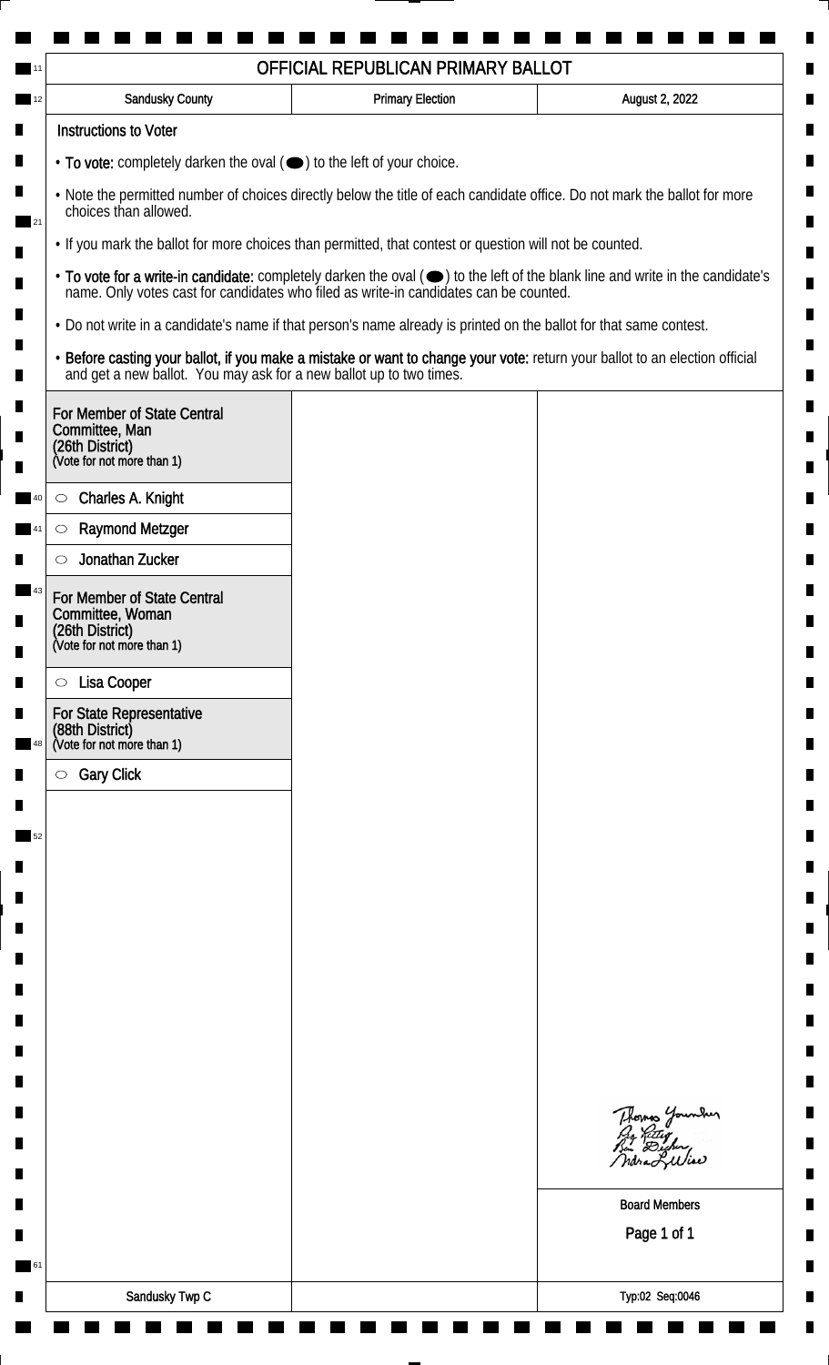|                                                                                                                                                                                                                        | OFFICIAL REPUBLICAN PRIMARY BALLOT                                                                                 |                                                                                                                             |  |  |
|------------------------------------------------------------------------------------------------------------------------------------------------------------------------------------------------------------------------|--------------------------------------------------------------------------------------------------------------------|-----------------------------------------------------------------------------------------------------------------------------|--|--|
| <b>Sandusky County</b>                                                                                                                                                                                                 | <b>Primary Election</b>                                                                                            | August 2, 2022                                                                                                              |  |  |
| <b>Instructions to Voter</b>                                                                                                                                                                                           |                                                                                                                    |                                                                                                                             |  |  |
| • To vote: completely darken the oval (•) to the left of your choice.                                                                                                                                                  |                                                                                                                    |                                                                                                                             |  |  |
| . Note the permitted number of choices directly below the title of each candidate office. Do not mark the ballot for more<br>choices than allowed.                                                                     |                                                                                                                    |                                                                                                                             |  |  |
| . If you mark the ballot for more choices than permitted, that contest or question will not be counted.                                                                                                                |                                                                                                                    |                                                                                                                             |  |  |
| • To vote for a write-in candidate: completely darken the oval (•) to the left of the blank line and write in the candidate's<br>name. Only votes cast for candidates who filed as write-in candidates can be counted. |                                                                                                                    |                                                                                                                             |  |  |
|                                                                                                                                                                                                                        | . Do not write in a candidate's name if that person's name already is printed on the ballot for that same contest. |                                                                                                                             |  |  |
| and get a new ballot. You may ask for a new ballot up to two times.                                                                                                                                                    |                                                                                                                    | · Before casting your ballot, if you make a mistake or want to change your vote: return your ballot to an election official |  |  |
| For Member of State Central                                                                                                                                                                                            |                                                                                                                    |                                                                                                                             |  |  |
| Committee, Man<br>(26th District)                                                                                                                                                                                      |                                                                                                                    |                                                                                                                             |  |  |
| (Vote for not more than 1)                                                                                                                                                                                             |                                                                                                                    |                                                                                                                             |  |  |
| Charles A. Knight<br>$\circ$                                                                                                                                                                                           |                                                                                                                    |                                                                                                                             |  |  |
| <b>Raymond Metzger</b><br>$\circ$                                                                                                                                                                                      |                                                                                                                    |                                                                                                                             |  |  |
| Jonathan Zucker<br>O                                                                                                                                                                                                   |                                                                                                                    |                                                                                                                             |  |  |
| For Member of State Central                                                                                                                                                                                            |                                                                                                                    |                                                                                                                             |  |  |
| Committee, Woman<br>(26th District)                                                                                                                                                                                    |                                                                                                                    |                                                                                                                             |  |  |
| (Vote for not more than 1)                                                                                                                                                                                             |                                                                                                                    |                                                                                                                             |  |  |
| Lisa Cooper<br>$\circ$                                                                                                                                                                                                 |                                                                                                                    |                                                                                                                             |  |  |
| For State Representative                                                                                                                                                                                               |                                                                                                                    |                                                                                                                             |  |  |
| (88th District)<br>(Vote for not more than 1)                                                                                                                                                                          |                                                                                                                    |                                                                                                                             |  |  |
| <b>Gary Click</b><br>$\circ$                                                                                                                                                                                           |                                                                                                                    |                                                                                                                             |  |  |
|                                                                                                                                                                                                                        |                                                                                                                    |                                                                                                                             |  |  |
|                                                                                                                                                                                                                        |                                                                                                                    |                                                                                                                             |  |  |
|                                                                                                                                                                                                                        |                                                                                                                    |                                                                                                                             |  |  |
|                                                                                                                                                                                                                        |                                                                                                                    |                                                                                                                             |  |  |
|                                                                                                                                                                                                                        |                                                                                                                    |                                                                                                                             |  |  |
|                                                                                                                                                                                                                        |                                                                                                                    |                                                                                                                             |  |  |
|                                                                                                                                                                                                                        |                                                                                                                    |                                                                                                                             |  |  |
|                                                                                                                                                                                                                        |                                                                                                                    |                                                                                                                             |  |  |
|                                                                                                                                                                                                                        |                                                                                                                    |                                                                                                                             |  |  |
|                                                                                                                                                                                                                        |                                                                                                                    |                                                                                                                             |  |  |
|                                                                                                                                                                                                                        |                                                                                                                    |                                                                                                                             |  |  |
|                                                                                                                                                                                                                        |                                                                                                                    | Thomas Younder                                                                                                              |  |  |
|                                                                                                                                                                                                                        |                                                                                                                    |                                                                                                                             |  |  |
|                                                                                                                                                                                                                        |                                                                                                                    |                                                                                                                             |  |  |
|                                                                                                                                                                                                                        |                                                                                                                    | <b>Board Members</b>                                                                                                        |  |  |
|                                                                                                                                                                                                                        |                                                                                                                    | Page 1 of 1                                                                                                                 |  |  |
|                                                                                                                                                                                                                        |                                                                                                                    |                                                                                                                             |  |  |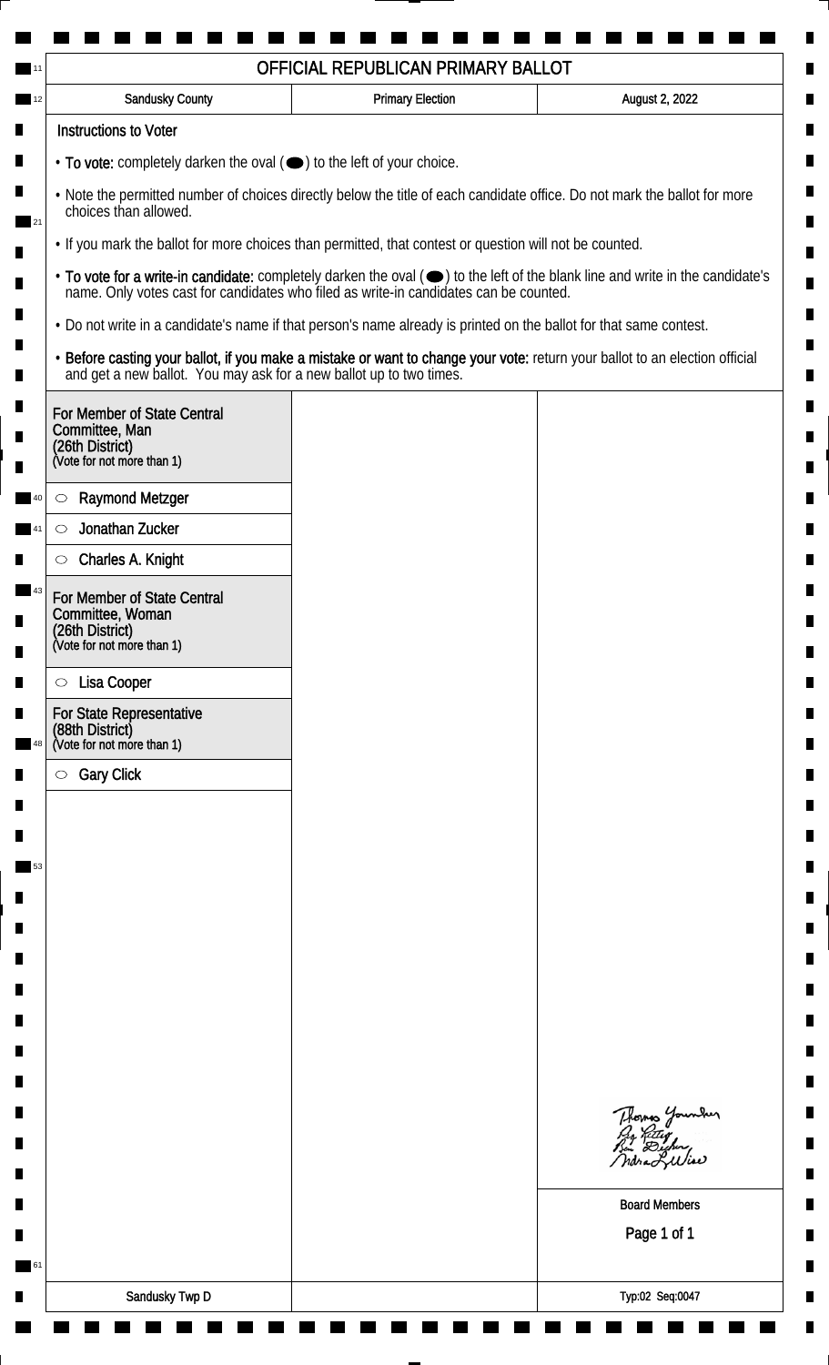| OFFICIAL REPUBLICAN PRIMARY BALLOT                                                                                                                                                                                                                                  |                                                                                                                    |                                                                                                                             |  |
|---------------------------------------------------------------------------------------------------------------------------------------------------------------------------------------------------------------------------------------------------------------------|--------------------------------------------------------------------------------------------------------------------|-----------------------------------------------------------------------------------------------------------------------------|--|
| Sandusky County                                                                                                                                                                                                                                                     | <b>Primary Election</b>                                                                                            | August 2, 2022                                                                                                              |  |
| <b>Instructions to Voter</b>                                                                                                                                                                                                                                        |                                                                                                                    |                                                                                                                             |  |
| $\cdot$ To vote: completely darken the oval $(\bullet)$ to the left of your choice.                                                                                                                                                                                 |                                                                                                                    |                                                                                                                             |  |
| . Note the permitted number of choices directly below the title of each candidate office. Do not mark the ballot for more<br>choices than allowed.<br>21<br>• If you mark the ballot for more choices than permitted, that contest or question will not be counted. |                                                                                                                    |                                                                                                                             |  |
|                                                                                                                                                                                                                                                                     |                                                                                                                    |                                                                                                                             |  |
|                                                                                                                                                                                                                                                                     | • Do not write in a candidate's name if that person's name already is printed on the ballot for that same contest. |                                                                                                                             |  |
|                                                                                                                                                                                                                                                                     | and get a new ballot. You may ask for a new ballot up to two times.                                                | . Before casting your ballot, if you make a mistake or want to change your vote: return your ballot to an election official |  |
| For Member of State Central<br>Committee, Man<br>(26th District)<br>(Vote for not more than 1)                                                                                                                                                                      |                                                                                                                    |                                                                                                                             |  |
| <b>Raymond Metzger</b><br>$\circ$                                                                                                                                                                                                                                   |                                                                                                                    |                                                                                                                             |  |
| Jonathan Zucker<br>$\circlearrowright$                                                                                                                                                                                                                              |                                                                                                                    |                                                                                                                             |  |
| Charles A. Knight<br>O                                                                                                                                                                                                                                              |                                                                                                                    |                                                                                                                             |  |
| For Member of State Central<br>Committee, Woman<br>(26th District)<br>(Vote for not more than 1)                                                                                                                                                                    |                                                                                                                    |                                                                                                                             |  |
| Lisa Cooper<br>$\circ$                                                                                                                                                                                                                                              |                                                                                                                    |                                                                                                                             |  |
| For State Representative<br>(88th District)<br>(Vote for not more than 1)                                                                                                                                                                                           |                                                                                                                    |                                                                                                                             |  |
| <b>Gary Click</b><br>$\circlearrowright$                                                                                                                                                                                                                            |                                                                                                                    |                                                                                                                             |  |
|                                                                                                                                                                                                                                                                     |                                                                                                                    |                                                                                                                             |  |
|                                                                                                                                                                                                                                                                     |                                                                                                                    |                                                                                                                             |  |
|                                                                                                                                                                                                                                                                     |                                                                                                                    |                                                                                                                             |  |
|                                                                                                                                                                                                                                                                     |                                                                                                                    |                                                                                                                             |  |
|                                                                                                                                                                                                                                                                     |                                                                                                                    |                                                                                                                             |  |
|                                                                                                                                                                                                                                                                     |                                                                                                                    |                                                                                                                             |  |
|                                                                                                                                                                                                                                                                     |                                                                                                                    |                                                                                                                             |  |
|                                                                                                                                                                                                                                                                     |                                                                                                                    |                                                                                                                             |  |
|                                                                                                                                                                                                                                                                     |                                                                                                                    |                                                                                                                             |  |
|                                                                                                                                                                                                                                                                     |                                                                                                                    |                                                                                                                             |  |
|                                                                                                                                                                                                                                                                     |                                                                                                                    | Thomas Younder<br>ndra Liliae                                                                                               |  |
|                                                                                                                                                                                                                                                                     |                                                                                                                    | <b>Board Members</b>                                                                                                        |  |
|                                                                                                                                                                                                                                                                     |                                                                                                                    | Page 1 of 1                                                                                                                 |  |
|                                                                                                                                                                                                                                                                     |                                                                                                                    |                                                                                                                             |  |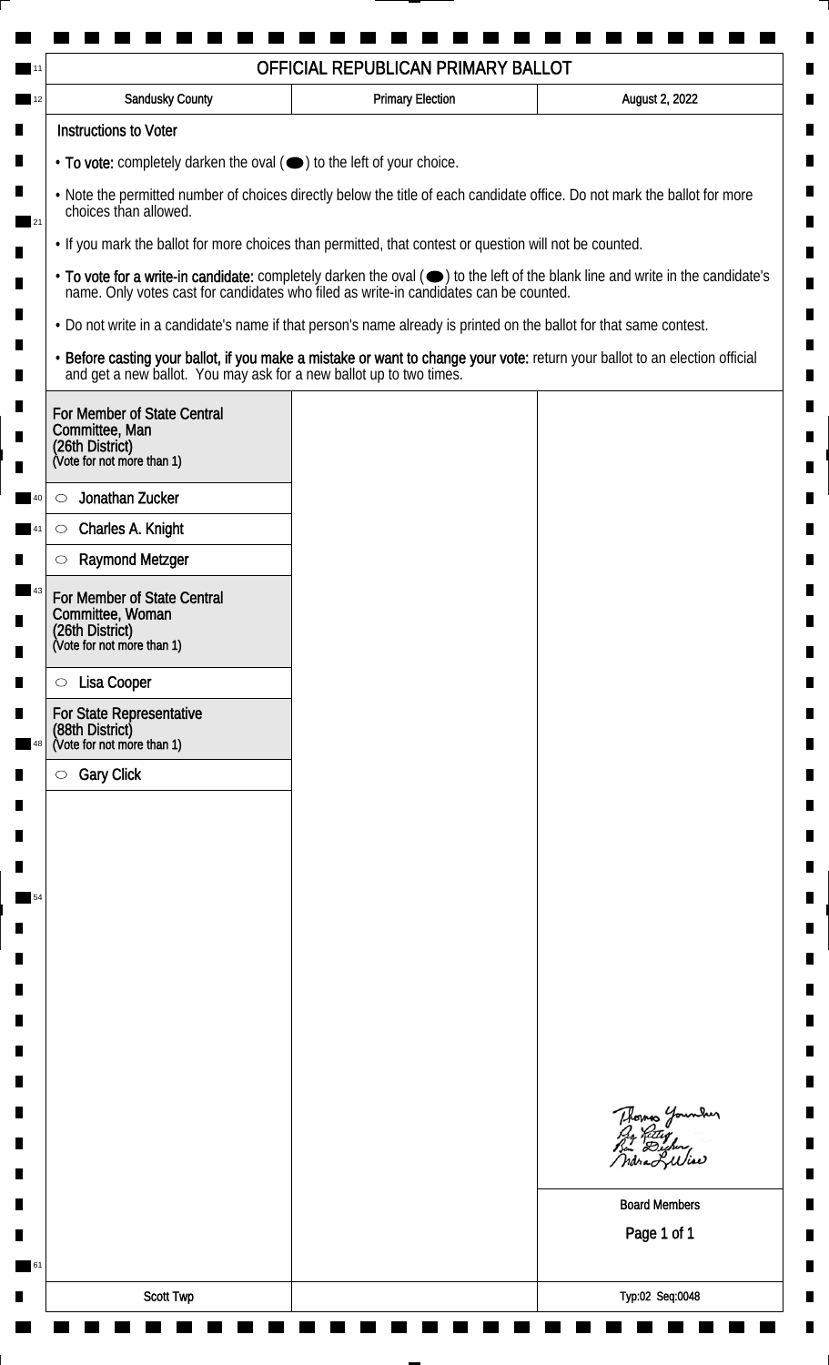|                                                                                                                                                    | OFFICIAL REPUBLICAN PRIMARY BALLOT                                                                                 |                                                                                                                               |  |
|----------------------------------------------------------------------------------------------------------------------------------------------------|--------------------------------------------------------------------------------------------------------------------|-------------------------------------------------------------------------------------------------------------------------------|--|
| Sandusky County                                                                                                                                    | <b>Primary Election</b>                                                                                            | August 2, 2022                                                                                                                |  |
| <b>Instructions to Voter</b>                                                                                                                       |                                                                                                                    |                                                                                                                               |  |
| $\cdot$ To vote: completely darken the oval $(\bullet)$ to the left of your choice.                                                                |                                                                                                                    |                                                                                                                               |  |
| . Note the permitted number of choices directly below the title of each candidate office. Do not mark the ballot for more<br>choices than allowed. |                                                                                                                    |                                                                                                                               |  |
| • If you mark the ballot for more choices than permitted, that contest or question will not be counted.                                            |                                                                                                                    |                                                                                                                               |  |
|                                                                                                                                                    | name. Only votes cast for candidates who filed as write-in candidates can be counted.                              | • To vote for a write-in candidate: completely darken the oval (•) to the left of the blank line and write in the candidate's |  |
|                                                                                                                                                    | • Do not write in a candidate's name if that person's name already is printed on the ballot for that same contest. |                                                                                                                               |  |
| and get a new ballot. You may ask for a new ballot up to two times.                                                                                |                                                                                                                    | . Before casting your ballot, if you make a mistake or want to change your vote: return your ballot to an election official   |  |
| For Member of State Central<br>Committee, Man<br>(26th District)<br>(Vote for not more than 1)                                                     |                                                                                                                    |                                                                                                                               |  |
| Jonathan Zucker<br>O                                                                                                                               |                                                                                                                    |                                                                                                                               |  |
| Charles A. Knight<br>$\circ$                                                                                                                       |                                                                                                                    |                                                                                                                               |  |
| <b>Raymond Metzger</b><br>O                                                                                                                        |                                                                                                                    |                                                                                                                               |  |
| For Member of State Central<br>Committee, Woman<br>(26th District)<br>(Vote for not more than 1)                                                   |                                                                                                                    |                                                                                                                               |  |
| Lisa Cooper<br>$\circ$                                                                                                                             |                                                                                                                    |                                                                                                                               |  |
| For State Representative<br>(88th District)<br>(Vote for not more than 1)                                                                          |                                                                                                                    |                                                                                                                               |  |
| <b>Gary Click</b><br>$\circlearrowright$                                                                                                           |                                                                                                                    |                                                                                                                               |  |
|                                                                                                                                                    |                                                                                                                    |                                                                                                                               |  |
|                                                                                                                                                    |                                                                                                                    |                                                                                                                               |  |
|                                                                                                                                                    |                                                                                                                    |                                                                                                                               |  |
|                                                                                                                                                    |                                                                                                                    |                                                                                                                               |  |
|                                                                                                                                                    |                                                                                                                    |                                                                                                                               |  |
|                                                                                                                                                    |                                                                                                                    |                                                                                                                               |  |
|                                                                                                                                                    |                                                                                                                    |                                                                                                                               |  |
|                                                                                                                                                    |                                                                                                                    |                                                                                                                               |  |
|                                                                                                                                                    |                                                                                                                    |                                                                                                                               |  |
|                                                                                                                                                    |                                                                                                                    |                                                                                                                               |  |
|                                                                                                                                                    |                                                                                                                    | Thomas Younder<br>ndra Liliae                                                                                                 |  |
|                                                                                                                                                    |                                                                                                                    | <b>Board Members</b>                                                                                                          |  |
|                                                                                                                                                    |                                                                                                                    | Page 1 of 1                                                                                                                   |  |
| Scott Twp                                                                                                                                          |                                                                                                                    | Typ:02 Seq:0048                                                                                                               |  |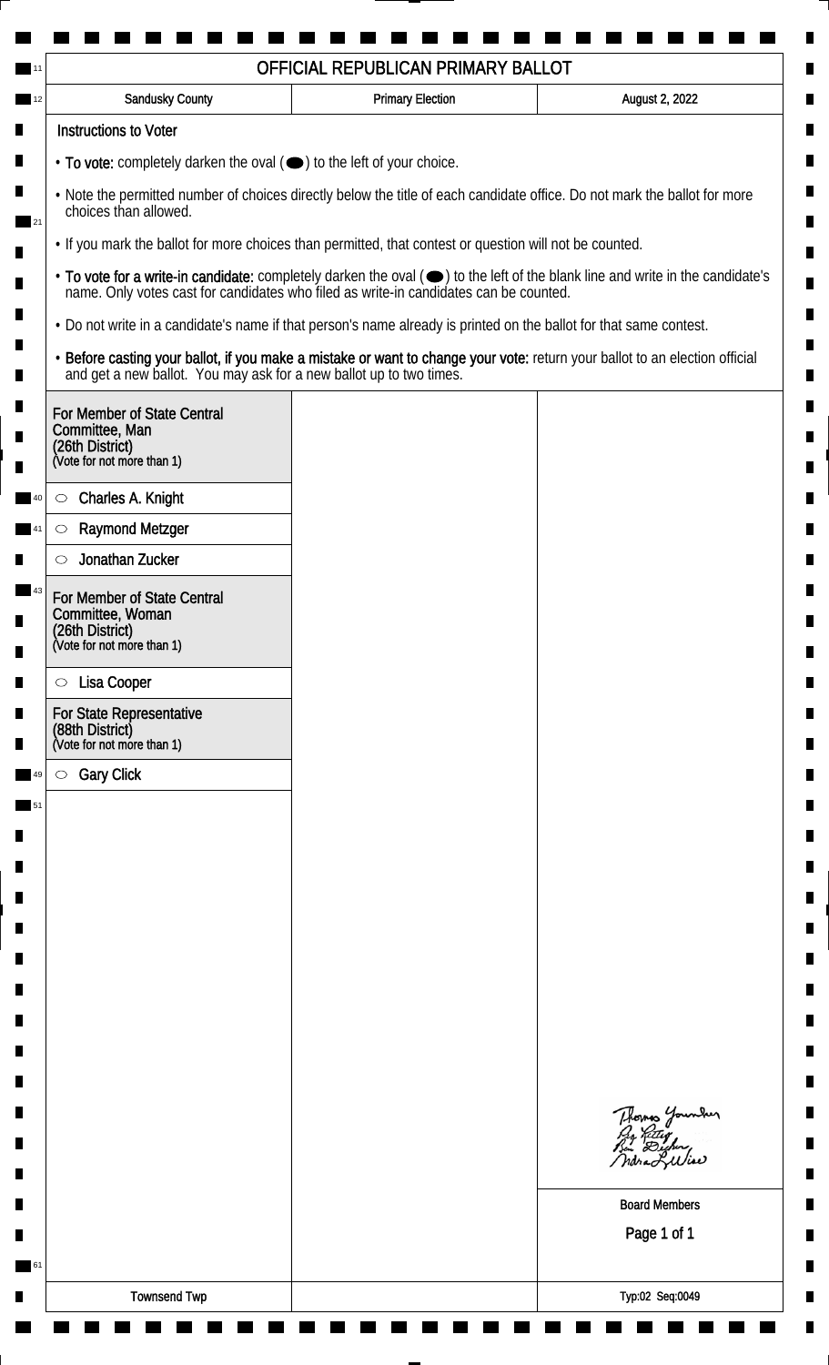|                                                                                                                                                    | <b>Sandusky County</b>                                                                                             | <b>Primary Election</b> | August 2, 2022                                                                                                                |  |  |
|----------------------------------------------------------------------------------------------------------------------------------------------------|--------------------------------------------------------------------------------------------------------------------|-------------------------|-------------------------------------------------------------------------------------------------------------------------------|--|--|
|                                                                                                                                                    | <b>Instructions to Voter</b>                                                                                       |                         |                                                                                                                               |  |  |
| $\cdot$ To vote: completely darken the oval $(\bullet)$ to the left of your choice.                                                                |                                                                                                                    |                         |                                                                                                                               |  |  |
| . Note the permitted number of choices directly below the title of each candidate office. Do not mark the ballot for more<br>choices than allowed. |                                                                                                                    |                         |                                                                                                                               |  |  |
|                                                                                                                                                    | . If you mark the ballot for more choices than permitted, that contest or question will not be counted.            |                         |                                                                                                                               |  |  |
|                                                                                                                                                    | name. Only votes cast for candidates who filed as write-in candidates can be counted.                              |                         | • To vote for a write-in candidate: completely darken the oval (•) to the left of the blank line and write in the candidate's |  |  |
|                                                                                                                                                    | . Do not write in a candidate's name if that person's name already is printed on the ballot for that same contest. |                         |                                                                                                                               |  |  |
|                                                                                                                                                    | and get a new ballot. You may ask for a new ballot up to two times.                                                |                         | · Before casting your ballot, if you make a mistake or want to change your vote: return your ballot to an election official   |  |  |
|                                                                                                                                                    | For Member of State Central<br>Committee, Man<br>(26th District)<br>(Vote for not more than 1)                     |                         |                                                                                                                               |  |  |
|                                                                                                                                                    | Charles A. Knight<br>$\circ$                                                                                       |                         |                                                                                                                               |  |  |
|                                                                                                                                                    | <b>Raymond Metzger</b><br>$\circlearrowright$                                                                      |                         |                                                                                                                               |  |  |
|                                                                                                                                                    | Jonathan Zucker                                                                                                    |                         |                                                                                                                               |  |  |
|                                                                                                                                                    | For Member of State Central<br>Committee, Woman<br>(26th District)<br>(Vote for not more than 1)                   |                         |                                                                                                                               |  |  |
|                                                                                                                                                    |                                                                                                                    |                         |                                                                                                                               |  |  |
|                                                                                                                                                    | Lisa Cooper<br>$\circ$<br><b>For State Representative</b>                                                          |                         |                                                                                                                               |  |  |
|                                                                                                                                                    | (88th District)<br>(Vote for not more than 1)                                                                      |                         |                                                                                                                               |  |  |
|                                                                                                                                                    | <b>Gary Click</b><br>$\circ$                                                                                       |                         |                                                                                                                               |  |  |
|                                                                                                                                                    |                                                                                                                    |                         |                                                                                                                               |  |  |
|                                                                                                                                                    |                                                                                                                    |                         |                                                                                                                               |  |  |
|                                                                                                                                                    |                                                                                                                    |                         |                                                                                                                               |  |  |
|                                                                                                                                                    |                                                                                                                    |                         |                                                                                                                               |  |  |
|                                                                                                                                                    |                                                                                                                    |                         |                                                                                                                               |  |  |
|                                                                                                                                                    |                                                                                                                    |                         |                                                                                                                               |  |  |
|                                                                                                                                                    |                                                                                                                    |                         |                                                                                                                               |  |  |
|                                                                                                                                                    |                                                                                                                    |                         |                                                                                                                               |  |  |
|                                                                                                                                                    |                                                                                                                    |                         |                                                                                                                               |  |  |
|                                                                                                                                                    |                                                                                                                    |                         | Thomas Younder<br>By Riting<br>But Dicher,<br>ndra Liliae                                                                     |  |  |
|                                                                                                                                                    |                                                                                                                    |                         | <b>Board Members</b>                                                                                                          |  |  |
|                                                                                                                                                    |                                                                                                                    |                         | Page 1 of 1                                                                                                                   |  |  |
|                                                                                                                                                    |                                                                                                                    |                         |                                                                                                                               |  |  |
|                                                                                                                                                    |                                                                                                                    |                         |                                                                                                                               |  |  |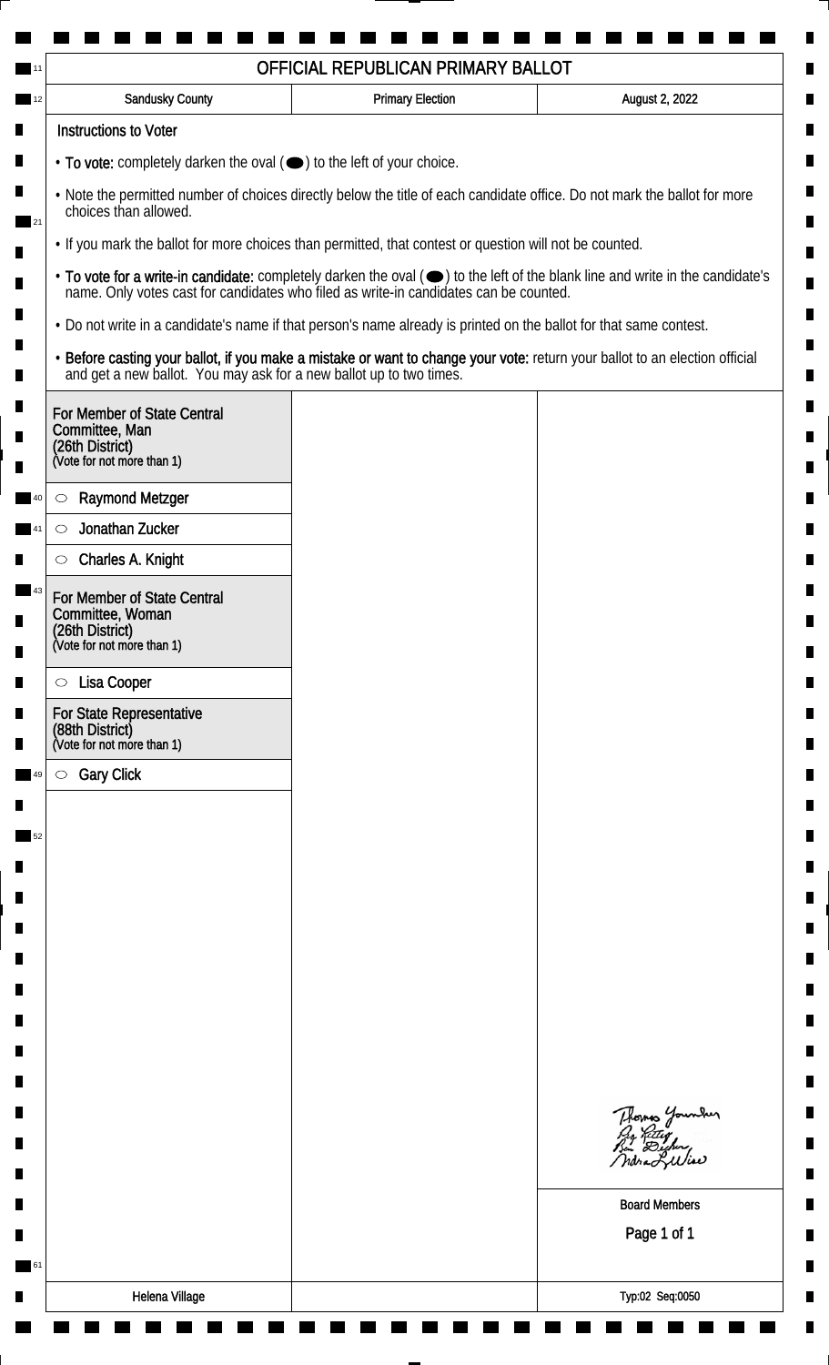| OFFICIAL REPUBLICAN PRIMARY BALLOT                                                                                                                 |                                                                                       |                                                                                                                               |  |  |
|----------------------------------------------------------------------------------------------------------------------------------------------------|---------------------------------------------------------------------------------------|-------------------------------------------------------------------------------------------------------------------------------|--|--|
| Sandusky County                                                                                                                                    | <b>Primary Election</b>                                                               | August 2, 2022                                                                                                                |  |  |
| <b>Instructions to Voter</b>                                                                                                                       |                                                                                       |                                                                                                                               |  |  |
| $\cdot$ To vote: completely darken the oval $(\bullet)$ to the left of your choice.                                                                |                                                                                       |                                                                                                                               |  |  |
| . Note the permitted number of choices directly below the title of each candidate office. Do not mark the ballot for more<br>choices than allowed. |                                                                                       |                                                                                                                               |  |  |
| • If you mark the ballot for more choices than permitted, that contest or question will not be counted.                                            |                                                                                       |                                                                                                                               |  |  |
|                                                                                                                                                    | name. Only votes cast for candidates who filed as write-in candidates can be counted. | • To vote for a write-in candidate: completely darken the oval (•) to the left of the blank line and write in the candidate's |  |  |
| • Do not write in a candidate's name if that person's name already is printed on the ballot for that same contest.                                 |                                                                                       |                                                                                                                               |  |  |
| and get a new ballot. You may ask for a new ballot up to two times.                                                                                |                                                                                       | . Before casting your ballot, if you make a mistake or want to change your vote: return your ballot to an election official   |  |  |
| For Member of State Central<br>Committee, Man<br>(26th District)<br>(Vote for not more than 1)                                                     |                                                                                       |                                                                                                                               |  |  |
| <b>Raymond Metzger</b><br>$\circ$                                                                                                                  |                                                                                       |                                                                                                                               |  |  |
| Jonathan Zucker<br>$\circlearrowright$                                                                                                             |                                                                                       |                                                                                                                               |  |  |
| Charles A. Knight<br>O                                                                                                                             |                                                                                       |                                                                                                                               |  |  |
| For Member of State Central<br>Committee, Woman                                                                                                    |                                                                                       |                                                                                                                               |  |  |
| (26th District)<br>(Vote for not more than 1)                                                                                                      |                                                                                       |                                                                                                                               |  |  |
| Lisa Cooper<br>$\circ$                                                                                                                             |                                                                                       |                                                                                                                               |  |  |
| For State Representative<br>(88th District)<br>(Vote for not more than 1)                                                                          |                                                                                       |                                                                                                                               |  |  |
| <b>Gary Click</b><br>$\circ$                                                                                                                       |                                                                                       |                                                                                                                               |  |  |
|                                                                                                                                                    |                                                                                       |                                                                                                                               |  |  |
|                                                                                                                                                    |                                                                                       |                                                                                                                               |  |  |
|                                                                                                                                                    |                                                                                       |                                                                                                                               |  |  |
|                                                                                                                                                    |                                                                                       |                                                                                                                               |  |  |
|                                                                                                                                                    |                                                                                       |                                                                                                                               |  |  |
|                                                                                                                                                    |                                                                                       |                                                                                                                               |  |  |
|                                                                                                                                                    |                                                                                       |                                                                                                                               |  |  |
|                                                                                                                                                    |                                                                                       |                                                                                                                               |  |  |
|                                                                                                                                                    |                                                                                       |                                                                                                                               |  |  |
|                                                                                                                                                    |                                                                                       |                                                                                                                               |  |  |
|                                                                                                                                                    |                                                                                       | Thomas Younder<br>ndra Liliae                                                                                                 |  |  |
|                                                                                                                                                    |                                                                                       | <b>Board Members</b>                                                                                                          |  |  |
|                                                                                                                                                    |                                                                                       | Page 1 of 1                                                                                                                   |  |  |
|                                                                                                                                                    |                                                                                       |                                                                                                                               |  |  |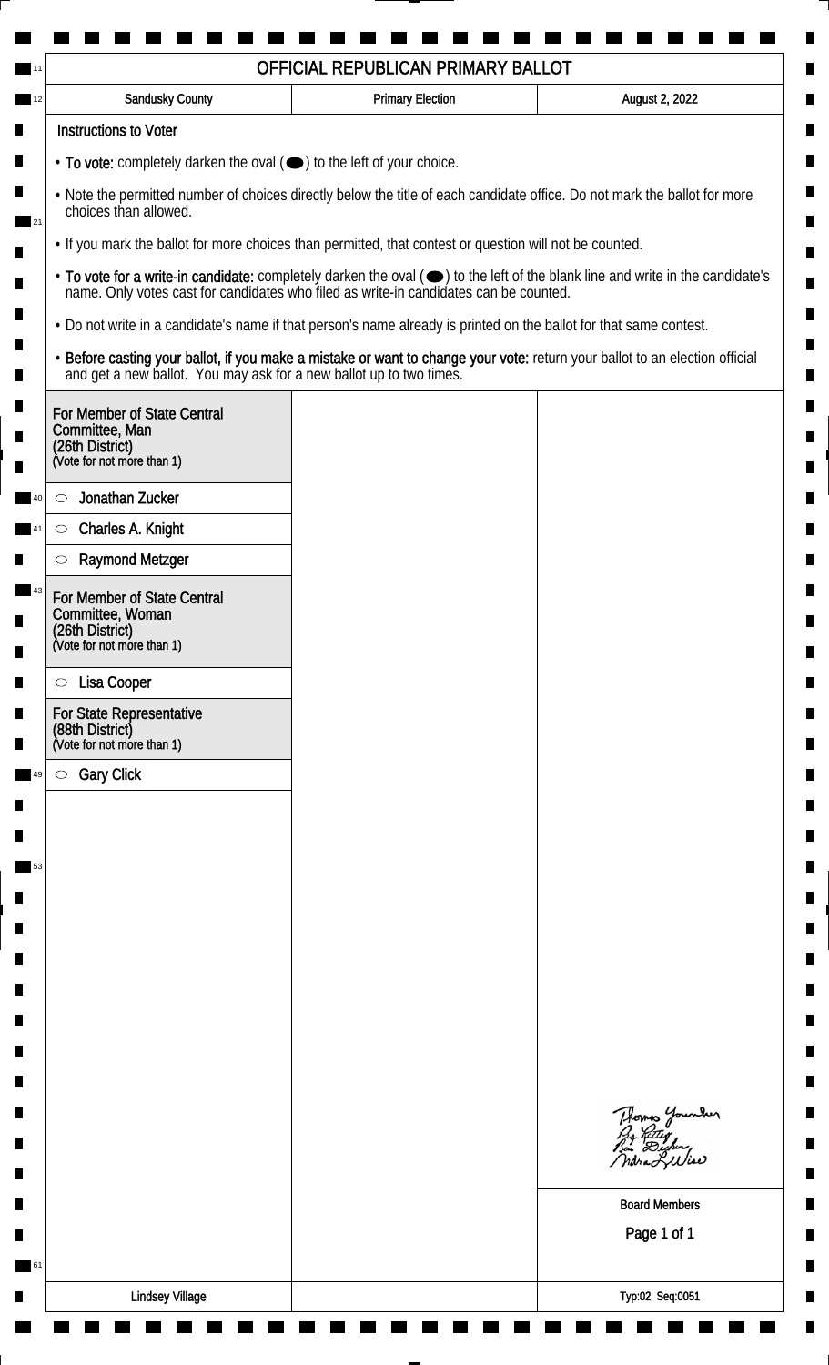| Sandusky County                                                                                                                                                                                                                           | <b>Primary Election</b> | August 2, 2022                                                                                                                |                                                                                                         |
|-------------------------------------------------------------------------------------------------------------------------------------------------------------------------------------------------------------------------------------------|-------------------------|-------------------------------------------------------------------------------------------------------------------------------|---------------------------------------------------------------------------------------------------------|
| <b>Instructions to Voter</b>                                                                                                                                                                                                              |                         |                                                                                                                               |                                                                                                         |
| $\cdot$ To vote: completely darken the oval $(\bullet)$ to the left of your choice.<br>. Note the permitted number of choices directly below the title of each candidate office. Do not mark the ballot for more<br>choices than allowed. |                         |                                                                                                                               |                                                                                                         |
|                                                                                                                                                                                                                                           |                         |                                                                                                                               | • If you mark the ballot for more choices than permitted, that contest or question will not be counted. |
| name. Only votes cast for candidates who filed as write-in candidates can be counted.                                                                                                                                                     |                         | • To vote for a write-in candidate: completely darken the oval (•) to the left of the blank line and write in the candidate's |                                                                                                         |
| • Do not write in a candidate's name if that person's name already is printed on the ballot for that same contest.                                                                                                                        |                         |                                                                                                                               |                                                                                                         |
| and get a new ballot. You may ask for a new ballot up to two times.                                                                                                                                                                       |                         | . Before casting your ballot, if you make a mistake or want to change your vote: return your ballot to an election official   |                                                                                                         |
| For Member of State Central<br>Committee, Man                                                                                                                                                                                             |                         |                                                                                                                               |                                                                                                         |
| (26th District)<br>(Vote for not more than 1)                                                                                                                                                                                             |                         |                                                                                                                               |                                                                                                         |
| Jonathan Zucker<br>O                                                                                                                                                                                                                      |                         |                                                                                                                               |                                                                                                         |
| Charles A. Knight<br>$\circ$                                                                                                                                                                                                              |                         |                                                                                                                               |                                                                                                         |
| <b>Raymond Metzger</b><br>O                                                                                                                                                                                                               |                         |                                                                                                                               |                                                                                                         |
| For Member of State Central                                                                                                                                                                                                               |                         |                                                                                                                               |                                                                                                         |
| Committee, Woman<br>(26th District)<br>(Vote for not more than 1)                                                                                                                                                                         |                         |                                                                                                                               |                                                                                                         |
|                                                                                                                                                                                                                                           |                         |                                                                                                                               |                                                                                                         |
| Lisa Cooper<br>$\circ$                                                                                                                                                                                                                    |                         |                                                                                                                               |                                                                                                         |
| For State Representative<br>(88th District)<br>(Vote for not more than 1)                                                                                                                                                                 |                         |                                                                                                                               |                                                                                                         |
| <b>Gary Click</b><br>$\circ$                                                                                                                                                                                                              |                         |                                                                                                                               |                                                                                                         |
|                                                                                                                                                                                                                                           |                         |                                                                                                                               |                                                                                                         |
|                                                                                                                                                                                                                                           |                         |                                                                                                                               |                                                                                                         |
|                                                                                                                                                                                                                                           |                         |                                                                                                                               |                                                                                                         |
|                                                                                                                                                                                                                                           |                         |                                                                                                                               |                                                                                                         |
|                                                                                                                                                                                                                                           |                         |                                                                                                                               |                                                                                                         |
|                                                                                                                                                                                                                                           |                         |                                                                                                                               |                                                                                                         |
|                                                                                                                                                                                                                                           |                         |                                                                                                                               |                                                                                                         |
|                                                                                                                                                                                                                                           |                         |                                                                                                                               |                                                                                                         |
|                                                                                                                                                                                                                                           |                         |                                                                                                                               |                                                                                                         |
|                                                                                                                                                                                                                                           |                         | Thomas Younder                                                                                                                |                                                                                                         |
|                                                                                                                                                                                                                                           |                         |                                                                                                                               |                                                                                                         |
|                                                                                                                                                                                                                                           |                         | ndra Liliae                                                                                                                   |                                                                                                         |
|                                                                                                                                                                                                                                           |                         | <b>Board Members</b>                                                                                                          |                                                                                                         |
|                                                                                                                                                                                                                                           |                         | Page 1 of 1                                                                                                                   |                                                                                                         |
|                                                                                                                                                                                                                                           |                         |                                                                                                                               |                                                                                                         |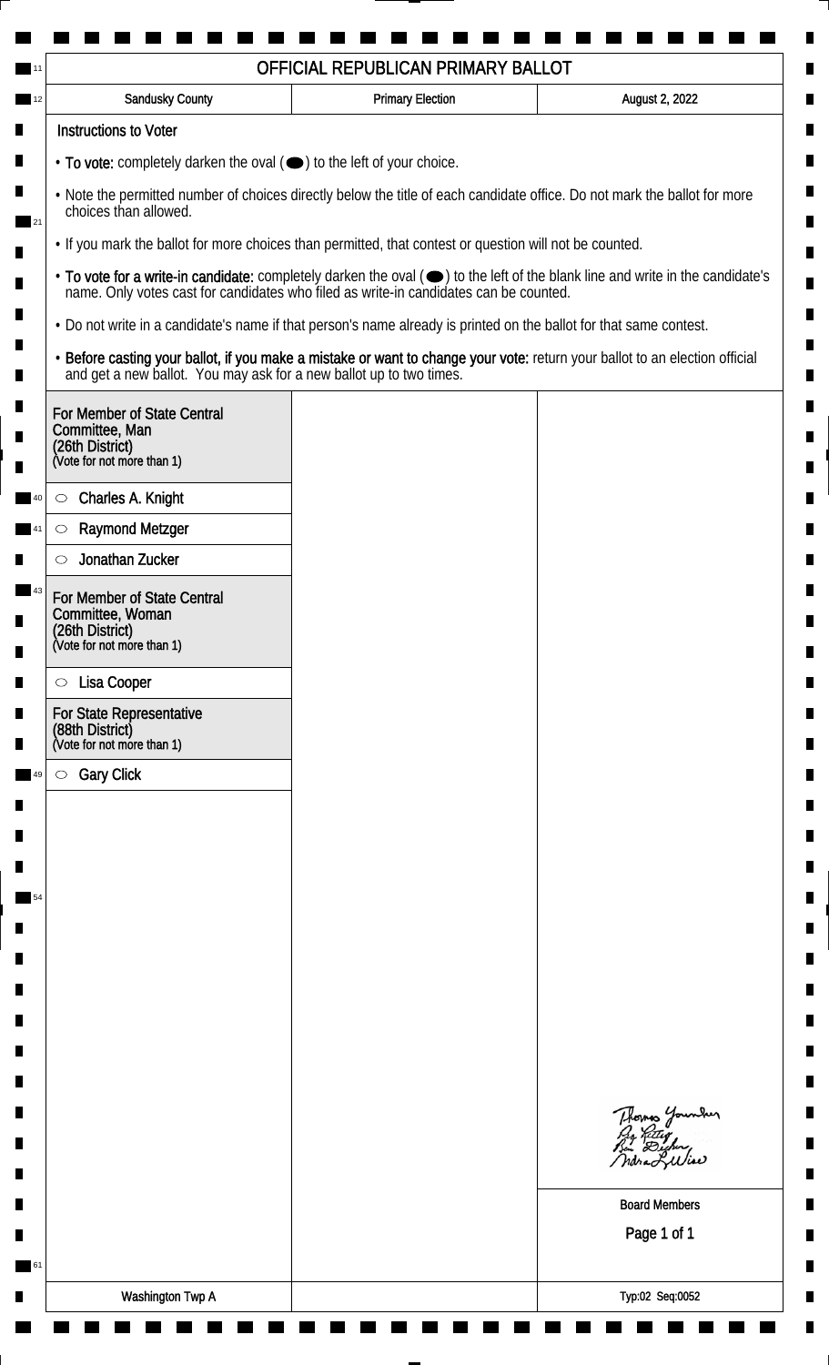|                                                                                                                                                    | OFFICIAL REPUBLICAN PRIMARY BALLOT                                                    |                                                                                                                               |  |  |
|----------------------------------------------------------------------------------------------------------------------------------------------------|---------------------------------------------------------------------------------------|-------------------------------------------------------------------------------------------------------------------------------|--|--|
| Sandusky County                                                                                                                                    | <b>Primary Election</b>                                                               | August 2, 2022                                                                                                                |  |  |
| <b>Instructions to Voter</b>                                                                                                                       |                                                                                       |                                                                                                                               |  |  |
|                                                                                                                                                    | • To vote: completely darken the oval (•) to the left of your choice.                 |                                                                                                                               |  |  |
| . Note the permitted number of choices directly below the title of each candidate office. Do not mark the ballot for more<br>choices than allowed. |                                                                                       |                                                                                                                               |  |  |
| • If you mark the ballot for more choices than permitted, that contest or question will not be counted.                                            |                                                                                       |                                                                                                                               |  |  |
|                                                                                                                                                    | name. Only votes cast for candidates who filed as write-in candidates can be counted. | • To vote for a write-in candidate: completely darken the oval (•) to the left of the blank line and write in the candidate's |  |  |
| • Do not write in a candidate's name if that person's name already is printed on the ballot for that same contest.                                 |                                                                                       |                                                                                                                               |  |  |
| and get a new ballot. You may ask for a new ballot up to two times.                                                                                |                                                                                       | . Before casting your ballot, if you make a mistake or want to change your vote: return your ballot to an election official   |  |  |
| For Member of State Central<br>Committee, Man<br>(26th District)<br>(Vote for not more than 1)                                                     |                                                                                       |                                                                                                                               |  |  |
| Charles A. Knight<br>$\circ$                                                                                                                       |                                                                                       |                                                                                                                               |  |  |
| <b>Raymond Metzger</b><br>$\circlearrowright$                                                                                                      |                                                                                       |                                                                                                                               |  |  |
| Jonathan Zucker                                                                                                                                    |                                                                                       |                                                                                                                               |  |  |
| For Member of State Central<br>Committee, Woman<br>(26th District)<br>(Vote for not more than 1)                                                   |                                                                                       |                                                                                                                               |  |  |
| Lisa Cooper<br>$\circ$                                                                                                                             |                                                                                       |                                                                                                                               |  |  |
| For State Representative<br>(88th District)<br>(Vote for not more than 1)                                                                          |                                                                                       |                                                                                                                               |  |  |
| <b>Gary Click</b><br>$\circ$                                                                                                                       |                                                                                       |                                                                                                                               |  |  |
|                                                                                                                                                    |                                                                                       |                                                                                                                               |  |  |
|                                                                                                                                                    |                                                                                       |                                                                                                                               |  |  |
|                                                                                                                                                    |                                                                                       |                                                                                                                               |  |  |
|                                                                                                                                                    |                                                                                       |                                                                                                                               |  |  |
|                                                                                                                                                    |                                                                                       |                                                                                                                               |  |  |
|                                                                                                                                                    |                                                                                       |                                                                                                                               |  |  |
|                                                                                                                                                    |                                                                                       |                                                                                                                               |  |  |
|                                                                                                                                                    |                                                                                       |                                                                                                                               |  |  |
|                                                                                                                                                    |                                                                                       |                                                                                                                               |  |  |
|                                                                                                                                                    |                                                                                       |                                                                                                                               |  |  |
|                                                                                                                                                    |                                                                                       | Thomas Younder<br>ndra Liliae                                                                                                 |  |  |
|                                                                                                                                                    |                                                                                       | <b>Board Members</b>                                                                                                          |  |  |
|                                                                                                                                                    |                                                                                       | Page 1 of 1                                                                                                                   |  |  |
|                                                                                                                                                    |                                                                                       |                                                                                                                               |  |  |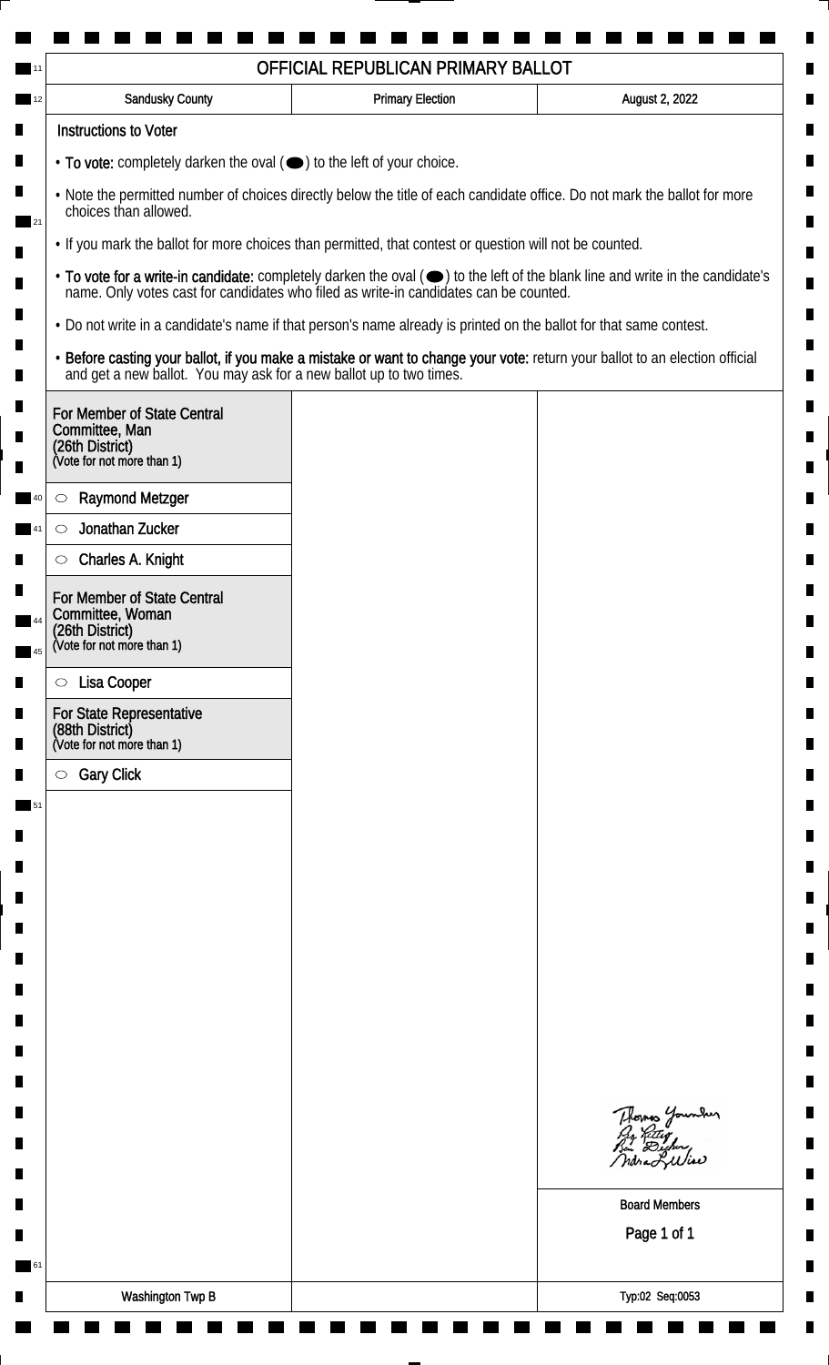| Sandusky County                                                                                                                                    | <b>Primary Election</b>                                                                                            | August 2, 2022                                                                                                                |  |  |
|----------------------------------------------------------------------------------------------------------------------------------------------------|--------------------------------------------------------------------------------------------------------------------|-------------------------------------------------------------------------------------------------------------------------------|--|--|
| <b>Instructions to Voter</b>                                                                                                                       |                                                                                                                    |                                                                                                                               |  |  |
| $\cdot$ To vote: completely darken the oval $(\bullet)$ to the left of your choice.                                                                |                                                                                                                    |                                                                                                                               |  |  |
| . Note the permitted number of choices directly below the title of each candidate office. Do not mark the ballot for more<br>choices than allowed. |                                                                                                                    |                                                                                                                               |  |  |
| . If you mark the ballot for more choices than permitted, that contest or question will not be counted.                                            |                                                                                                                    |                                                                                                                               |  |  |
| name. Only votes cast for candidates who filed as write-in candidates can be counted.                                                              |                                                                                                                    | • To vote for a write-in candidate: completely darken the oval (•) to the left of the blank line and write in the candidate's |  |  |
|                                                                                                                                                    | . Do not write in a candidate's name if that person's name already is printed on the ballot for that same contest. |                                                                                                                               |  |  |
| and get a new ballot. You may ask for a new ballot up to two times.                                                                                |                                                                                                                    | · Before casting your ballot, if you make a mistake or want to change your vote: return your ballot to an election official   |  |  |
| For Member of State Central<br>Committee, Man<br>(26th District)<br>(Vote for not more than 1)                                                     |                                                                                                                    |                                                                                                                               |  |  |
| <b>Raymond Metzger</b><br>$\circlearrowright$                                                                                                      |                                                                                                                    |                                                                                                                               |  |  |
| Jonathan Zucker<br>$\circlearrowright$                                                                                                             |                                                                                                                    |                                                                                                                               |  |  |
| Charles A. Knight<br>$\circlearrowright$                                                                                                           |                                                                                                                    |                                                                                                                               |  |  |
| For Member of State Central<br>Committee, Woman<br>(26th District)<br>(Vote for not more than 1)                                                   |                                                                                                                    |                                                                                                                               |  |  |
|                                                                                                                                                    |                                                                                                                    |                                                                                                                               |  |  |
| Lisa Cooper<br>$\circ$<br>For State Representative                                                                                                 |                                                                                                                    |                                                                                                                               |  |  |
| (88th District)<br>(Vote for not more than 1)                                                                                                      |                                                                                                                    |                                                                                                                               |  |  |
| <b>Gary Click</b><br>$\circ$                                                                                                                       |                                                                                                                    |                                                                                                                               |  |  |
|                                                                                                                                                    |                                                                                                                    |                                                                                                                               |  |  |
|                                                                                                                                                    |                                                                                                                    |                                                                                                                               |  |  |
|                                                                                                                                                    |                                                                                                                    |                                                                                                                               |  |  |
|                                                                                                                                                    |                                                                                                                    |                                                                                                                               |  |  |
|                                                                                                                                                    |                                                                                                                    |                                                                                                                               |  |  |
|                                                                                                                                                    |                                                                                                                    |                                                                                                                               |  |  |
|                                                                                                                                                    |                                                                                                                    |                                                                                                                               |  |  |
|                                                                                                                                                    |                                                                                                                    |                                                                                                                               |  |  |
|                                                                                                                                                    |                                                                                                                    |                                                                                                                               |  |  |
|                                                                                                                                                    |                                                                                                                    | Thomas Younder<br>By Ritig<br>Bu Digher,<br>ndra Liliae                                                                       |  |  |
|                                                                                                                                                    |                                                                                                                    | <b>Board Members</b>                                                                                                          |  |  |
|                                                                                                                                                    |                                                                                                                    | Page 1 of 1                                                                                                                   |  |  |
|                                                                                                                                                    |                                                                                                                    |                                                                                                                               |  |  |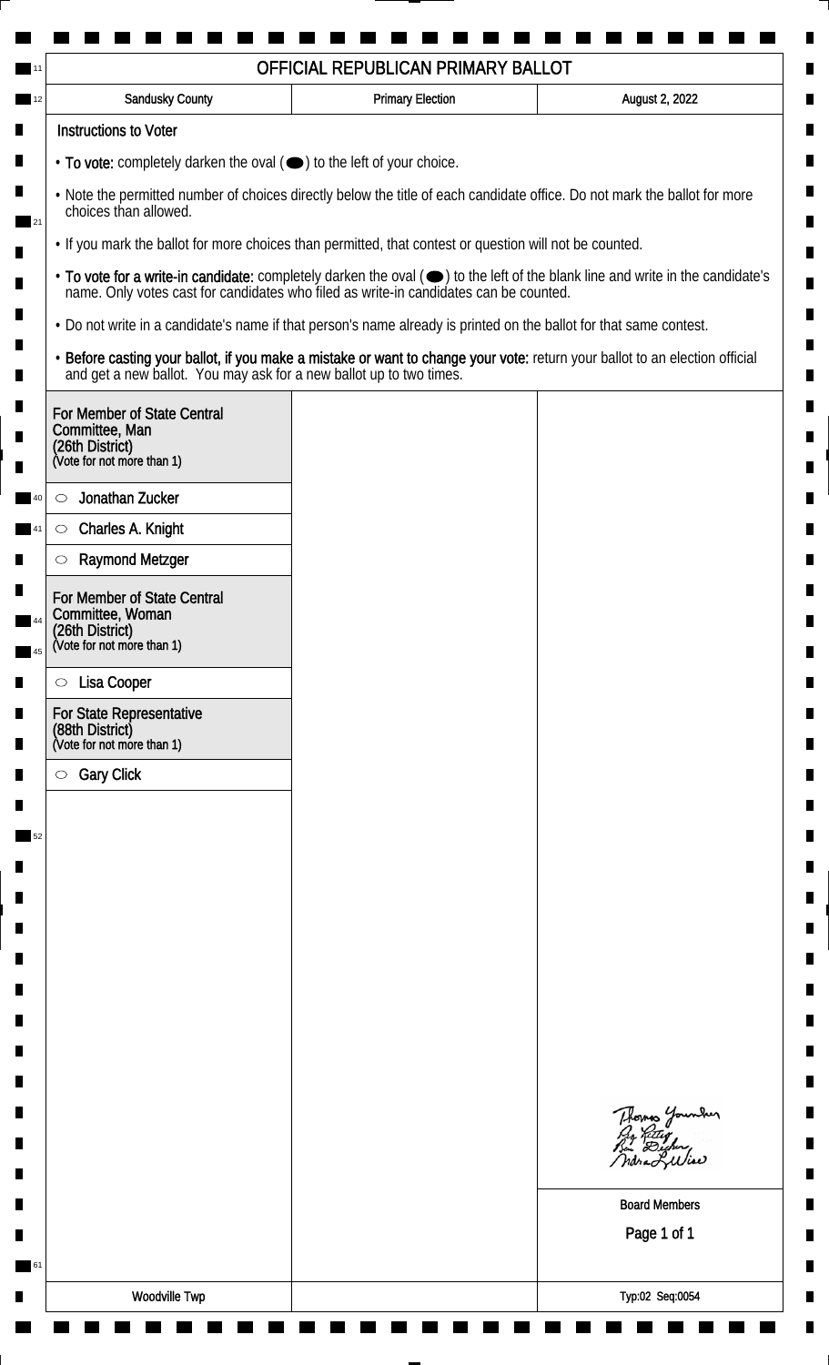|                                                                                                                                                                                                                                                                                                                                           | OFFICIAL REPUBLICAN PRIMARY BALLOT |                                                                                                                             |  |
|-------------------------------------------------------------------------------------------------------------------------------------------------------------------------------------------------------------------------------------------------------------------------------------------------------------------------------------------|------------------------------------|-----------------------------------------------------------------------------------------------------------------------------|--|
| <b>Sandusky County</b>                                                                                                                                                                                                                                                                                                                    | <b>Primary Election</b>            | August 2, 2022                                                                                                              |  |
| <b>Instructions to Voter</b>                                                                                                                                                                                                                                                                                                              |                                    |                                                                                                                             |  |
| • To vote: completely darken the oval (•) to the left of your choice.                                                                                                                                                                                                                                                                     |                                    |                                                                                                                             |  |
| . Note the permitted number of choices directly below the title of each candidate office. Do not mark the ballot for more<br>choices than allowed.                                                                                                                                                                                        |                                    |                                                                                                                             |  |
| . If you mark the ballot for more choices than permitted, that contest or question will not be counted.<br>• To vote for a write-in candidate: completely darken the oval ( $\bigcirc$ ) to the left of the blank line and write in the candidate's name. Only votes cast for candidates who filed as write-in candidates can be counted. |                                    |                                                                                                                             |  |
|                                                                                                                                                                                                                                                                                                                                           |                                    |                                                                                                                             |  |
| and get a new ballot. You may ask for a new ballot up to two times.                                                                                                                                                                                                                                                                       |                                    | · Before casting your ballot, if you make a mistake or want to change your vote: return your ballot to an election official |  |
| For Member of State Central<br>Committee, Man<br>(26th District)<br>(Vote for not more than 1)                                                                                                                                                                                                                                            |                                    |                                                                                                                             |  |
| Jonathan Zucker<br>$\circlearrowright$                                                                                                                                                                                                                                                                                                    |                                    |                                                                                                                             |  |
| Charles A. Knight<br>$\circ$                                                                                                                                                                                                                                                                                                              |                                    |                                                                                                                             |  |
| <b>Raymond Metzger</b><br>$\circ$                                                                                                                                                                                                                                                                                                         |                                    |                                                                                                                             |  |
| For Member of State Central<br>Committee, Woman<br>(26th District)<br>(Vote for not more than 1)                                                                                                                                                                                                                                          |                                    |                                                                                                                             |  |
|                                                                                                                                                                                                                                                                                                                                           |                                    |                                                                                                                             |  |
| Lisa Cooper<br>$\circ$                                                                                                                                                                                                                                                                                                                    |                                    |                                                                                                                             |  |
| <b>For State Representative</b><br>(88th District)<br>(Vote for not more than 1)                                                                                                                                                                                                                                                          |                                    |                                                                                                                             |  |
| <b>Gary Click</b><br>$\circ$                                                                                                                                                                                                                                                                                                              |                                    |                                                                                                                             |  |
|                                                                                                                                                                                                                                                                                                                                           |                                    |                                                                                                                             |  |
|                                                                                                                                                                                                                                                                                                                                           |                                    |                                                                                                                             |  |
|                                                                                                                                                                                                                                                                                                                                           |                                    |                                                                                                                             |  |
|                                                                                                                                                                                                                                                                                                                                           |                                    |                                                                                                                             |  |
|                                                                                                                                                                                                                                                                                                                                           |                                    |                                                                                                                             |  |
|                                                                                                                                                                                                                                                                                                                                           |                                    |                                                                                                                             |  |
|                                                                                                                                                                                                                                                                                                                                           |                                    |                                                                                                                             |  |
|                                                                                                                                                                                                                                                                                                                                           |                                    |                                                                                                                             |  |
|                                                                                                                                                                                                                                                                                                                                           |                                    |                                                                                                                             |  |
|                                                                                                                                                                                                                                                                                                                                           |                                    |                                                                                                                             |  |
|                                                                                                                                                                                                                                                                                                                                           |                                    | Thomas Younder<br>ndra Lulia                                                                                                |  |
|                                                                                                                                                                                                                                                                                                                                           |                                    | <b>Board Members</b>                                                                                                        |  |
|                                                                                                                                                                                                                                                                                                                                           |                                    | Page 1 of 1                                                                                                                 |  |
|                                                                                                                                                                                                                                                                                                                                           |                                    |                                                                                                                             |  |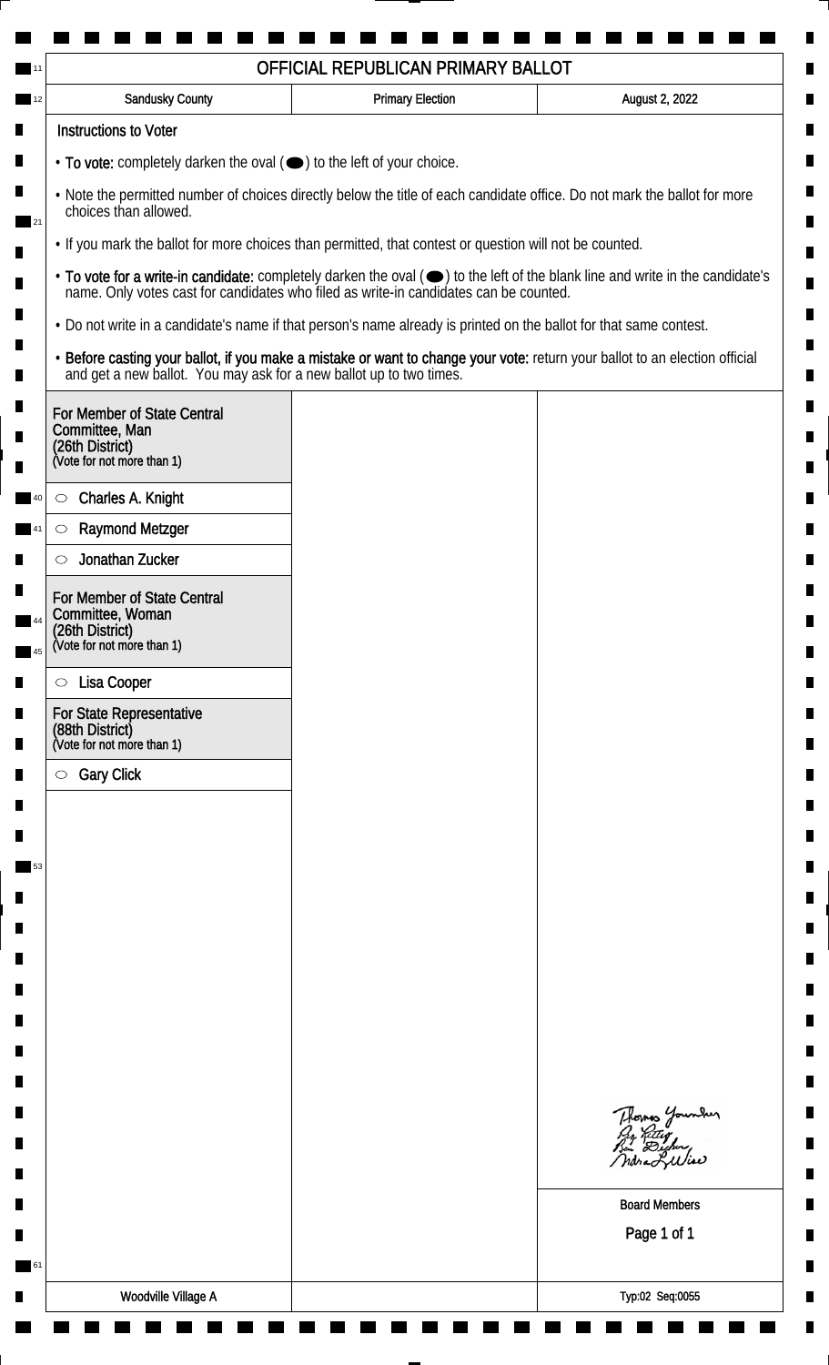| Sandusky County                                                                                                                                    | <b>Primary Election</b> | August 2, 2022                                                                                                                |  |
|----------------------------------------------------------------------------------------------------------------------------------------------------|-------------------------|-------------------------------------------------------------------------------------------------------------------------------|--|
| <b>Instructions to Voter</b>                                                                                                                       |                         |                                                                                                                               |  |
| $\cdot$ To vote: completely darken the oval $(\bullet)$ to the left of your choice.                                                                |                         |                                                                                                                               |  |
| . Note the permitted number of choices directly below the title of each candidate office. Do not mark the ballot for more<br>choices than allowed. |                         |                                                                                                                               |  |
| . If you mark the ballot for more choices than permitted, that contest or question will not be counted.                                            |                         |                                                                                                                               |  |
| name. Only votes cast for candidates who filed as write-in candidates can be counted.                                                              |                         | • To vote for a write-in candidate: completely darken the oval (•) to the left of the blank line and write in the candidate's |  |
| . Do not write in a candidate's name if that person's name already is printed on the ballot for that same contest.                                 |                         |                                                                                                                               |  |
| and get a new ballot. You may ask for a new ballot up to two times.                                                                                |                         | · Before casting your ballot, if you make a mistake or want to change your vote: return your ballot to an election official   |  |
| For Member of State Central<br>Committee, Man<br>(26th District)<br>(Vote for not more than 1)                                                     |                         |                                                                                                                               |  |
| Charles A. Knight<br>$\circ$                                                                                                                       |                         |                                                                                                                               |  |
| <b>Raymond Metzger</b><br>$\circ$                                                                                                                  |                         |                                                                                                                               |  |
| Jonathan Zucker<br>$\circlearrowright$                                                                                                             |                         |                                                                                                                               |  |
| For Member of State Central<br>Committee, Woman<br>(26th District)<br>(Vote for not more than 1)                                                   |                         |                                                                                                                               |  |
|                                                                                                                                                    |                         |                                                                                                                               |  |
| Lisa Cooper<br>$\circ$                                                                                                                             |                         |                                                                                                                               |  |
| For State Representative<br>(88th District)<br>(Vote for not more than 1)                                                                          |                         |                                                                                                                               |  |
| <b>Gary Click</b><br>$\circ$                                                                                                                       |                         |                                                                                                                               |  |
|                                                                                                                                                    |                         |                                                                                                                               |  |
|                                                                                                                                                    |                         |                                                                                                                               |  |
|                                                                                                                                                    |                         |                                                                                                                               |  |
|                                                                                                                                                    |                         |                                                                                                                               |  |
|                                                                                                                                                    |                         |                                                                                                                               |  |
|                                                                                                                                                    |                         |                                                                                                                               |  |
|                                                                                                                                                    |                         |                                                                                                                               |  |
|                                                                                                                                                    |                         |                                                                                                                               |  |
|                                                                                                                                                    |                         |                                                                                                                               |  |
|                                                                                                                                                    |                         | Thomas Younder<br>By Ritig<br>Bu Digher,<br>ndra Liliae                                                                       |  |
|                                                                                                                                                    |                         | <b>Board Members</b>                                                                                                          |  |
|                                                                                                                                                    |                         | Page 1 of 1                                                                                                                   |  |
|                                                                                                                                                    |                         |                                                                                                                               |  |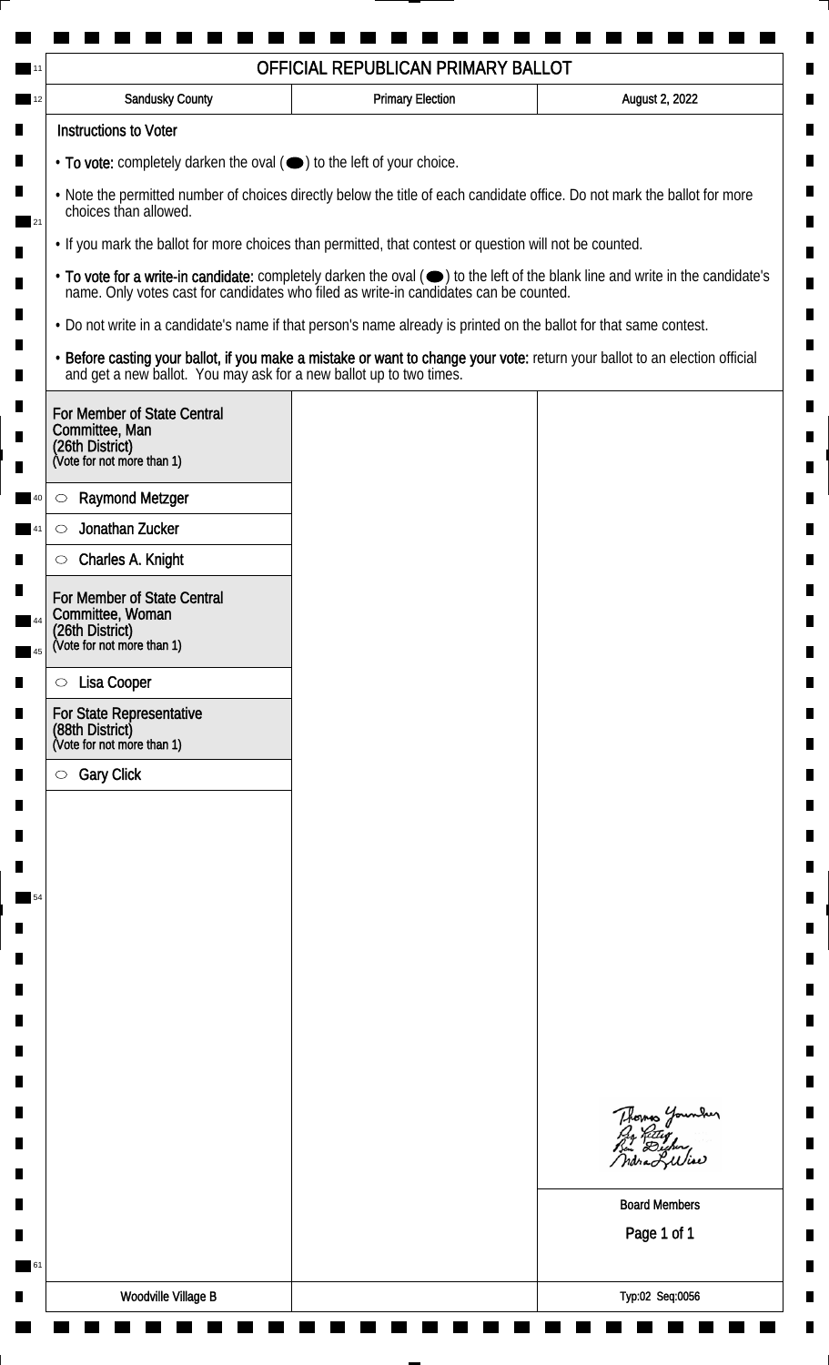| Sandusky County                                                                                                                                                                                                                                               | <b>Primary Election</b> | August 2, 2022                                                                                                              |                                                                                       |
|---------------------------------------------------------------------------------------------------------------------------------------------------------------------------------------------------------------------------------------------------------------|-------------------------|-----------------------------------------------------------------------------------------------------------------------------|---------------------------------------------------------------------------------------|
| <b>Instructions to Voter</b>                                                                                                                                                                                                                                  |                         |                                                                                                                             |                                                                                       |
| $\cdot$ To vote: completely darken the oval $(\bullet)$ to the left of your choice.                                                                                                                                                                           |                         |                                                                                                                             |                                                                                       |
| . Note the permitted number of choices directly below the title of each candidate office. Do not mark the ballot for more<br>choices than allowed.<br>. If you mark the ballot for more choices than permitted, that contest or question will not be counted. |                         |                                                                                                                             |                                                                                       |
|                                                                                                                                                                                                                                                               |                         |                                                                                                                             | name. Only votes cast for candidates who filed as write-in candidates can be counted. |
| . Do not write in a candidate's name if that person's name already is printed on the ballot for that same contest.                                                                                                                                            |                         |                                                                                                                             |                                                                                       |
| and get a new ballot. You may ask for a new ballot up to two times.                                                                                                                                                                                           |                         | · Before casting your ballot, if you make a mistake or want to change your vote: return your ballot to an election official |                                                                                       |
| For Member of State Central<br>Committee, Man<br>(26th District)<br>(Vote for not more than 1)                                                                                                                                                                |                         |                                                                                                                             |                                                                                       |
| <b>Raymond Metzger</b><br>$\circlearrowright$                                                                                                                                                                                                                 |                         |                                                                                                                             |                                                                                       |
| Jonathan Zucker<br>$\circlearrowright$                                                                                                                                                                                                                        |                         |                                                                                                                             |                                                                                       |
| Charles A. Knight<br>$\circlearrowright$                                                                                                                                                                                                                      |                         |                                                                                                                             |                                                                                       |
| For Member of State Central<br>Committee, Woman<br>(26th District)<br>(Vote for not more than 1)                                                                                                                                                              |                         |                                                                                                                             |                                                                                       |
| Lisa Cooper<br>$\circ$                                                                                                                                                                                                                                        |                         |                                                                                                                             |                                                                                       |
| For State Representative<br>(88th District)<br>(Vote for not more than 1)                                                                                                                                                                                     |                         |                                                                                                                             |                                                                                       |
| <b>Gary Click</b><br>$\circ$                                                                                                                                                                                                                                  |                         |                                                                                                                             |                                                                                       |
|                                                                                                                                                                                                                                                               |                         |                                                                                                                             |                                                                                       |
|                                                                                                                                                                                                                                                               |                         |                                                                                                                             |                                                                                       |
|                                                                                                                                                                                                                                                               |                         |                                                                                                                             |                                                                                       |
|                                                                                                                                                                                                                                                               |                         |                                                                                                                             |                                                                                       |
|                                                                                                                                                                                                                                                               |                         |                                                                                                                             |                                                                                       |
|                                                                                                                                                                                                                                                               |                         |                                                                                                                             |                                                                                       |
|                                                                                                                                                                                                                                                               |                         |                                                                                                                             |                                                                                       |
|                                                                                                                                                                                                                                                               |                         |                                                                                                                             |                                                                                       |
|                                                                                                                                                                                                                                                               |                         |                                                                                                                             |                                                                                       |
|                                                                                                                                                                                                                                                               |                         | Thomas Younder<br>By Riting<br>But Digher,<br>ndra Liliae                                                                   |                                                                                       |
|                                                                                                                                                                                                                                                               |                         | <b>Board Members</b>                                                                                                        |                                                                                       |
|                                                                                                                                                                                                                                                               |                         | Page 1 of 1                                                                                                                 |                                                                                       |
|                                                                                                                                                                                                                                                               |                         |                                                                                                                             |                                                                                       |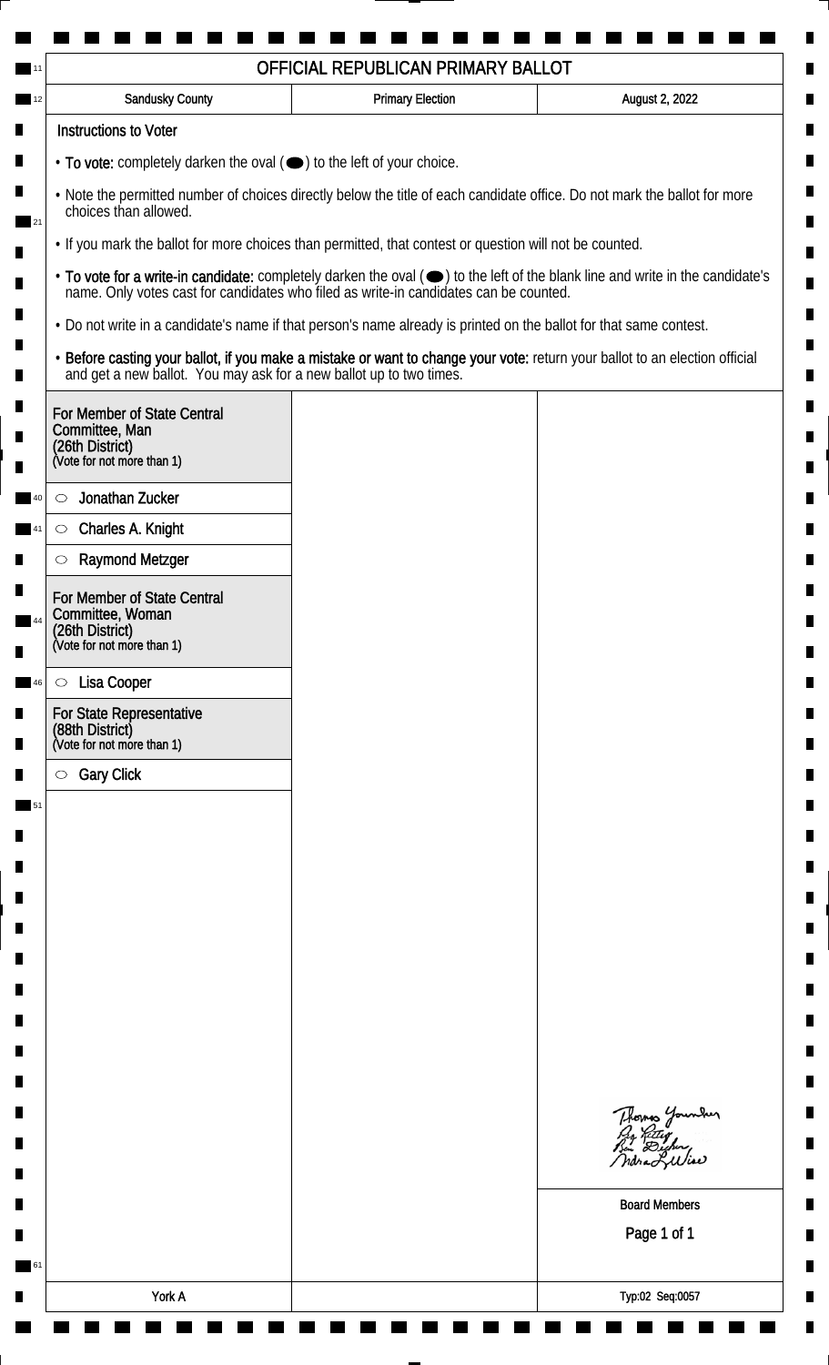|                                                                                                                                                                                                                                                               | <b>Sandusky County</b>                                                                                             | <b>Primary Election</b> | August 2, 2022                                                                                                                |
|---------------------------------------------------------------------------------------------------------------------------------------------------------------------------------------------------------------------------------------------------------------|--------------------------------------------------------------------------------------------------------------------|-------------------------|-------------------------------------------------------------------------------------------------------------------------------|
|                                                                                                                                                                                                                                                               | <b>Instructions to Voter</b>                                                                                       |                         |                                                                                                                               |
| $\cdot$ To vote: completely darken the oval $(\bullet)$ to the left of your choice.                                                                                                                                                                           |                                                                                                                    |                         |                                                                                                                               |
| . Note the permitted number of choices directly below the title of each candidate office. Do not mark the ballot for more<br>choices than allowed.<br>. If you mark the ballot for more choices than permitted, that contest or question will not be counted. |                                                                                                                    |                         |                                                                                                                               |
|                                                                                                                                                                                                                                                               |                                                                                                                    |                         |                                                                                                                               |
| name. Only votes cast for candidates who filed as write-in candidates can be counted.                                                                                                                                                                         |                                                                                                                    |                         | • To vote for a write-in candidate: completely darken the oval (•) to the left of the blank line and write in the candidate's |
|                                                                                                                                                                                                                                                               | . Do not write in a candidate's name if that person's name already is printed on the ballot for that same contest. |                         |                                                                                                                               |
|                                                                                                                                                                                                                                                               | and get a new ballot. You may ask for a new ballot up to two times.                                                |                         | · Before casting your ballot, if you make a mistake or want to change your vote: return your ballot to an election official   |
|                                                                                                                                                                                                                                                               | For Member of State Central<br>Committee, Man<br>(26th District)<br>(Vote for not more than 1)                     |                         |                                                                                                                               |
| $\circlearrowright$                                                                                                                                                                                                                                           | Jonathan Zucker                                                                                                    |                         |                                                                                                                               |
|                                                                                                                                                                                                                                                               | Charles A. Knight<br>$\circlearrowright$                                                                           |                         |                                                                                                                               |
|                                                                                                                                                                                                                                                               | <b>Raymond Metzger</b><br>$\circlearrowright$                                                                      |                         |                                                                                                                               |
|                                                                                                                                                                                                                                                               | For Member of State Central<br>Committee, Woman<br>(26th District)<br>(Vote for not more than 1)                   |                         |                                                                                                                               |
|                                                                                                                                                                                                                                                               | Lisa Cooper<br>$\circ$                                                                                             |                         |                                                                                                                               |
|                                                                                                                                                                                                                                                               | For State Representative<br>(88th District)<br>(Vote for not more than 1)                                          |                         |                                                                                                                               |
|                                                                                                                                                                                                                                                               | <b>Gary Click</b><br>$\circ$                                                                                       |                         |                                                                                                                               |
|                                                                                                                                                                                                                                                               |                                                                                                                    |                         |                                                                                                                               |
|                                                                                                                                                                                                                                                               |                                                                                                                    |                         |                                                                                                                               |
|                                                                                                                                                                                                                                                               |                                                                                                                    |                         |                                                                                                                               |
|                                                                                                                                                                                                                                                               |                                                                                                                    |                         |                                                                                                                               |
|                                                                                                                                                                                                                                                               |                                                                                                                    |                         |                                                                                                                               |
|                                                                                                                                                                                                                                                               |                                                                                                                    |                         |                                                                                                                               |
|                                                                                                                                                                                                                                                               |                                                                                                                    |                         |                                                                                                                               |
|                                                                                                                                                                                                                                                               |                                                                                                                    |                         |                                                                                                                               |
|                                                                                                                                                                                                                                                               |                                                                                                                    |                         |                                                                                                                               |
|                                                                                                                                                                                                                                                               |                                                                                                                    |                         | Thomas Younder<br>By Ritley<br>Bin Dicher,<br>ndraLuliae                                                                      |
|                                                                                                                                                                                                                                                               |                                                                                                                    |                         | <b>Board Members</b>                                                                                                          |
|                                                                                                                                                                                                                                                               |                                                                                                                    |                         | Page 1 of 1                                                                                                                   |
|                                                                                                                                                                                                                                                               |                                                                                                                    |                         |                                                                                                                               |
|                                                                                                                                                                                                                                                               |                                                                                                                    |                         |                                                                                                                               |